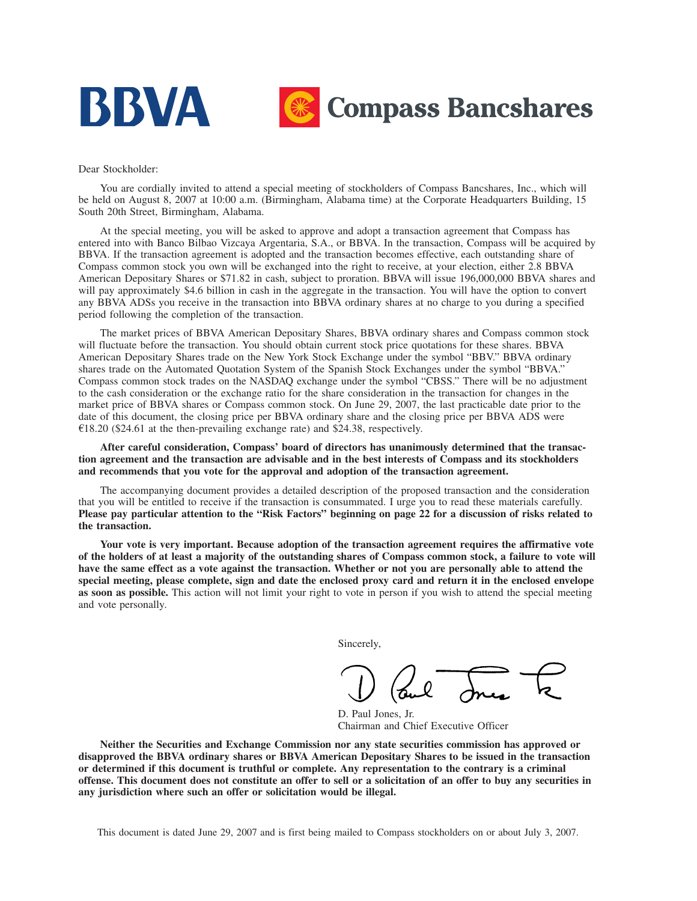

#### Dear Stockholder:

You are cordially invited to attend a special meeting of stockholders of Compass Bancshares, Inc., which will be held on August 8, 2007 at 10:00 a.m. (Birmingham, Alabama time) at the Corporate Headquarters Building, 15 South 20th Street, Birmingham, Alabama.

At the special meeting, you will be asked to approve and adopt a transaction agreement that Compass has entered into with Banco Bilbao Vizcaya Argentaria, S.A., or BBVA. In the transaction, Compass will be acquired by BBVA. If the transaction agreement is adopted and the transaction becomes effective, each outstanding share of Compass common stock you own will be exchanged into the right to receive, at your election, either 2.8 BBVA American Depositary Shares or \$71.82 in cash, subject to proration. BBVA will issue 196,000,000 BBVA shares and will pay approximately \$4.6 billion in cash in the aggregate in the transaction. You will have the option to convert any BBVA ADSs you receive in the transaction into BBVA ordinary shares at no charge to you during a specified period following the completion of the transaction.

The market prices of BBVA American Depositary Shares, BBVA ordinary shares and Compass common stock will fluctuate before the transaction. You should obtain current stock price quotations for these shares. BBVA American Depositary Shares trade on the New York Stock Exchange under the symbol "BBV." BBVA ordinary shares trade on the Automated Quotation System of the Spanish Stock Exchanges under the symbol "BBVA." Compass common stock trades on the NASDAQ exchange under the symbol "CBSS." There will be no adjustment to the cash consideration or the exchange ratio for the share consideration in the transaction for changes in the market price of BBVA shares or Compass common stock. On June 29, 2007, the last practicable date prior to the date of this document, the closing price per BBVA ordinary share and the closing price per BBVA ADS were  $\text{\textsterling}18.20$  (\$24.61 at the then-prevailing exchange rate) and \$24.38, respectively.

**After careful consideration, Compass' board of directors has unanimously determined that the transaction agreement and the transaction are advisable and in the best interests of Compass and its stockholders and recommends that you vote for the approval and adoption of the transaction agreement.**

The accompanying document provides a detailed description of the proposed transaction and the consideration that you will be entitled to receive if the transaction is consummated. I urge you to read these materials carefully. **Please pay particular attention to the "Risk Factors" beginning on page 22 for a discussion of risks related to the transaction.**

**Your vote is very important. Because adoption of the transaction agreement requires the affirmative vote of the holders of at least a majority of the outstanding shares of Compass common stock, a failure to vote will have the same effect as a vote against the transaction. Whether or not you are personally able to attend the special meeting, please complete, sign and date the enclosed proxy card and return it in the enclosed envelope as soon as possible.** This action will not limit your right to vote in person if you wish to attend the special meeting and vote personally.

Sincerely,

D. Paul Jones, Jr. Chairman and Chief Executive Officer

**Neither the Securities and Exchange Commission nor any state securities commission has approved or disapproved the BBVA ordinary shares or BBVA American Depositary Shares to be issued in the transaction or determined if this document is truthful or complete. Any representation to the contrary is a criminal offense. This document does not constitute an offer to sell or a solicitation of an offer to buy any securities in any jurisdiction where such an offer or solicitation would be illegal.**

This document is dated June 29, 2007 and is first being mailed to Compass stockholders on or about July 3, 2007.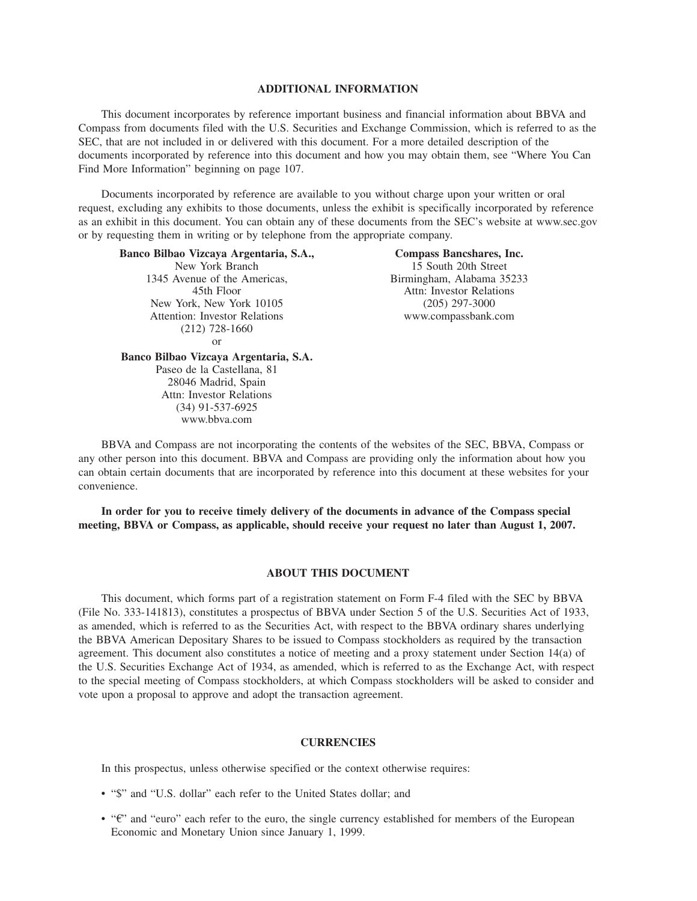#### **ADDITIONAL INFORMATION**

This document incorporates by reference important business and financial information about BBVA and Compass from documents filed with the U.S. Securities and Exchange Commission, which is referred to as the SEC, that are not included in or delivered with this document. For a more detailed description of the documents incorporated by reference into this document and how you may obtain them, see "Where You Can Find More Information" beginning on page 107.

Documents incorporated by reference are available to you without charge upon your written or oral request, excluding any exhibits to those documents, unless the exhibit is specifically incorporated by reference as an exhibit in this document. You can obtain any of these documents from the SEC's website at www.sec.gov or by requesting them in writing or by telephone from the appropriate company.

**Banco Bilbao Vizcaya Argentaria, S.A.,**

New York Branch 1345 Avenue of the Americas, 45th Floor New York, New York 10105 Attention: Investor Relations (212) 728-1660 or **Banco Bilbao Vizcaya Argentaria, S.A.**

> Paseo de la Castellana, 81 28046 Madrid, Spain Attn: Investor Relations

**Compass Bancshares, Inc.** 15 South 20th Street Birmingham, Alabama 35233 Attn: Investor Relations (205) 297-3000 www.compassbank.com

(34) 91-537-6925 www.bbva.com BBVA and Compass are not incorporating the contents of the websites of the SEC, BBVA, Compass or any other person into this document. BBVA and Compass are providing only the information about how you can obtain certain documents that are incorporated by reference into this document at these websites for your convenience.

**In order for you to receive timely delivery of the documents in advance of the Compass special meeting, BBVA or Compass, as applicable, should receive your request no later than August 1, 2007.**

#### **ABOUT THIS DOCUMENT**

This document, which forms part of a registration statement on Form F-4 filed with the SEC by BBVA (File No. 333-141813), constitutes a prospectus of BBVA under Section 5 of the U.S. Securities Act of 1933, as amended, which is referred to as the Securities Act, with respect to the BBVA ordinary shares underlying the BBVA American Depositary Shares to be issued to Compass stockholders as required by the transaction agreement. This document also constitutes a notice of meeting and a proxy statement under Section 14(a) of the U.S. Securities Exchange Act of 1934, as amended, which is referred to as the Exchange Act, with respect to the special meeting of Compass stockholders, at which Compass stockholders will be asked to consider and vote upon a proposal to approve and adopt the transaction agreement.

#### **CURRENCIES**

In this prospectus, unless otherwise specified or the context otherwise requires:

- "\$" and "U.S. dollar" each refer to the United States dollar; and
- " $\varepsilon$ " and "euro" each refer to the euro, the single currency established for members of the European Economic and Monetary Union since January 1, 1999.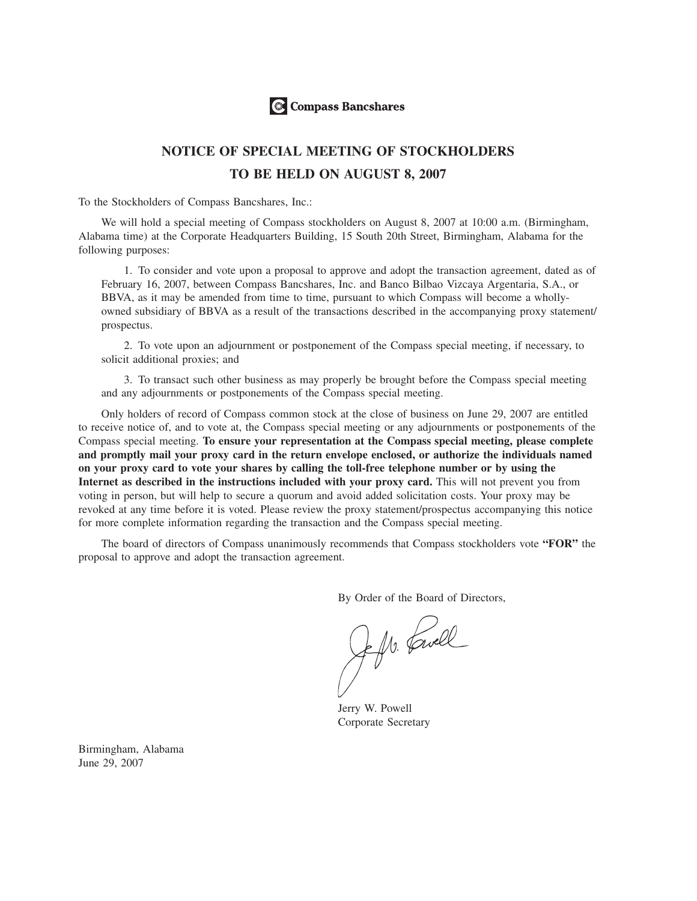

# **NOTICE OF SPECIAL MEETING OF STOCKHOLDERS TO BE HELD ON AUGUST 8, 2007**

To the Stockholders of Compass Bancshares, Inc.:

We will hold a special meeting of Compass stockholders on August 8, 2007 at 10:00 a.m. (Birmingham, Alabama time) at the Corporate Headquarters Building, 15 South 20th Street, Birmingham, Alabama for the following purposes:

1. To consider and vote upon a proposal to approve and adopt the transaction agreement, dated as of February 16, 2007, between Compass Bancshares, Inc. and Banco Bilbao Vizcaya Argentaria, S.A., or BBVA, as it may be amended from time to time, pursuant to which Compass will become a whollyowned subsidiary of BBVA as a result of the transactions described in the accompanying proxy statement/ prospectus.

2. To vote upon an adjournment or postponement of the Compass special meeting, if necessary, to solicit additional proxies; and

3. To transact such other business as may properly be brought before the Compass special meeting and any adjournments or postponements of the Compass special meeting.

Only holders of record of Compass common stock at the close of business on June 29, 2007 are entitled to receive notice of, and to vote at, the Compass special meeting or any adjournments or postponements of the Compass special meeting. **To ensure your representation at the Compass special meeting, please complete and promptly mail your proxy card in the return envelope enclosed, or authorize the individuals named on your proxy card to vote your shares by calling the toll-free telephone number or by using the Internet as described in the instructions included with your proxy card.** This will not prevent you from voting in person, but will help to secure a quorum and avoid added solicitation costs. Your proxy may be revoked at any time before it is voted. Please review the proxy statement/prospectus accompanying this notice for more complete information regarding the transaction and the Compass special meeting.

The board of directors of Compass unanimously recommends that Compass stockholders vote **"FOR"** the proposal to approve and adopt the transaction agreement.

By Order of the Board of Directors,

Jeffre Lewell

Jerry W. Powell Corporate Secretary

Birmingham, Alabama June 29, 2007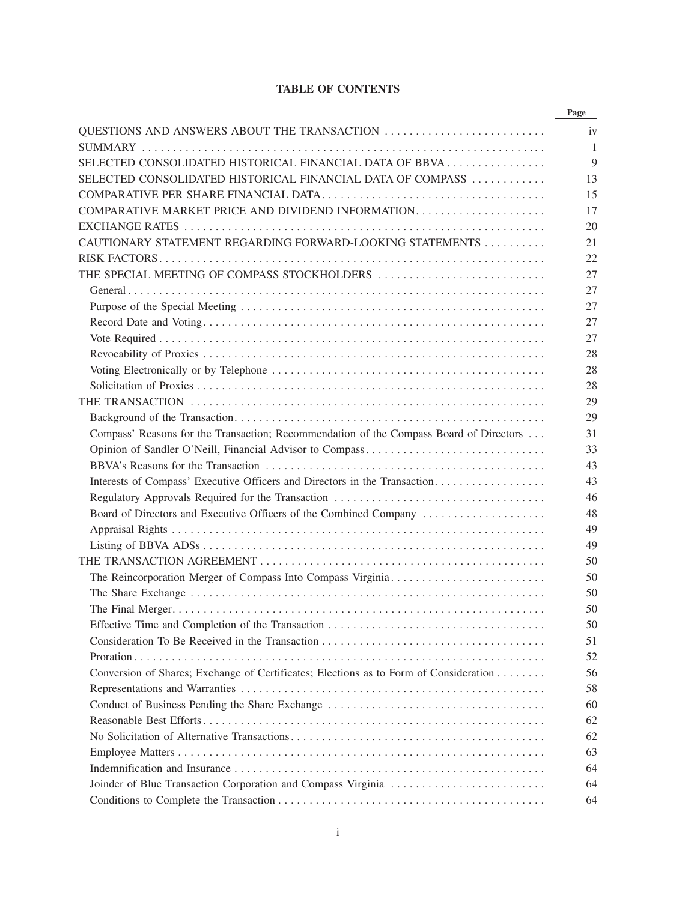# **TABLE OF CONTENTS**

|                                                                                        | Page |
|----------------------------------------------------------------------------------------|------|
| QUESTIONS AND ANSWERS ABOUT THE TRANSACTION                                            |      |
|                                                                                        |      |
| SELECTED CONSOLIDATED HISTORICAL FINANCIAL DATA OF BBVA                                |      |
| SELECTED CONSOLIDATED HISTORICAL FINANCIAL DATA OF COMPASS                             | 13   |
|                                                                                        | 15   |
|                                                                                        |      |
|                                                                                        | 20   |
| CAUTIONARY STATEMENT REGARDING FORWARD-LOOKING STATEMENTS                              |      |
|                                                                                        |      |
| THE SPECIAL MEETING OF COMPASS STOCKHOLDERS                                            |      |
|                                                                                        |      |
|                                                                                        |      |
|                                                                                        |      |
|                                                                                        |      |
|                                                                                        |      |
|                                                                                        |      |
|                                                                                        |      |
|                                                                                        |      |
|                                                                                        |      |
| Compass' Reasons for the Transaction; Recommendation of the Compass Board of Directors |      |
|                                                                                        |      |
|                                                                                        |      |
| Interests of Compass' Executive Officers and Directors in the Transaction              |      |
|                                                                                        |      |
| Board of Directors and Executive Officers of the Combined Company                      |      |
|                                                                                        |      |
|                                                                                        |      |
|                                                                                        |      |
|                                                                                        |      |
|                                                                                        |      |
|                                                                                        |      |
|                                                                                        |      |
|                                                                                        |      |
|                                                                                        |      |
| Conversion of Shares; Exchange of Certificates; Elections as to Form of Consideration  |      |
|                                                                                        |      |
| Conduct of Business Pending the Share Exchange                                         |      |
|                                                                                        |      |
|                                                                                        |      |
|                                                                                        |      |
|                                                                                        |      |
|                                                                                        |      |
| Joinder of Blue Transaction Corporation and Compass Virginia                           |      |
|                                                                                        |      |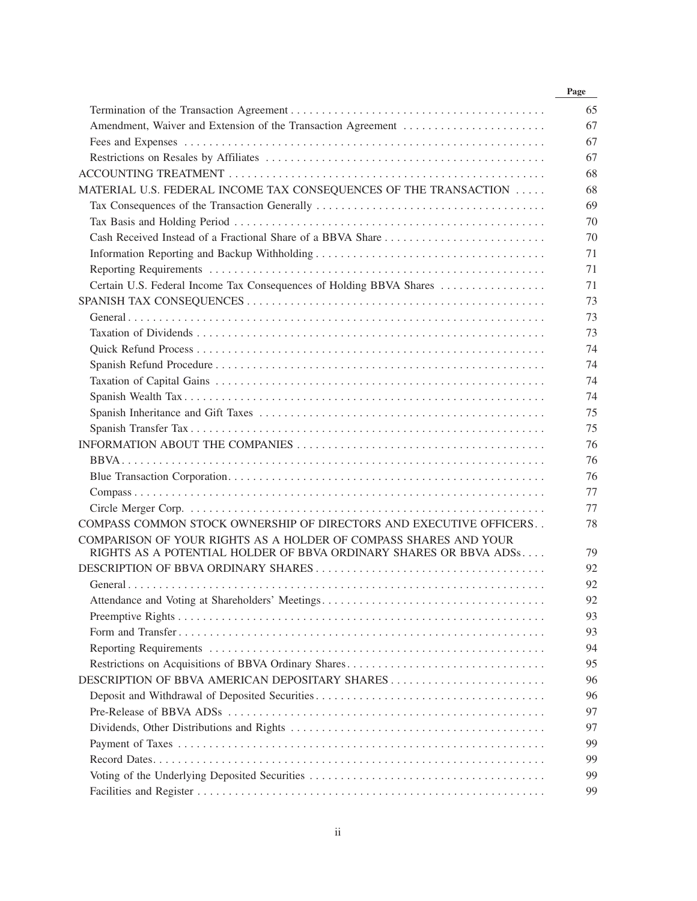|                                                                                                                                       | Page |
|---------------------------------------------------------------------------------------------------------------------------------------|------|
|                                                                                                                                       |      |
| Amendment, Waiver and Extension of the Transaction Agreement                                                                          |      |
|                                                                                                                                       |      |
|                                                                                                                                       |      |
|                                                                                                                                       |      |
| MATERIAL U.S. FEDERAL INCOME TAX CONSEQUENCES OF THE TRANSACTION                                                                      |      |
|                                                                                                                                       |      |
|                                                                                                                                       |      |
| Cash Received Instead of a Fractional Share of a BBVA Share                                                                           |      |
|                                                                                                                                       |      |
|                                                                                                                                       |      |
| Certain U.S. Federal Income Tax Consequences of Holding BBVA Shares                                                                   |      |
|                                                                                                                                       |      |
|                                                                                                                                       |      |
|                                                                                                                                       |      |
|                                                                                                                                       |      |
|                                                                                                                                       |      |
|                                                                                                                                       |      |
|                                                                                                                                       |      |
|                                                                                                                                       |      |
|                                                                                                                                       |      |
|                                                                                                                                       |      |
|                                                                                                                                       |      |
|                                                                                                                                       |      |
|                                                                                                                                       |      |
|                                                                                                                                       |      |
| COMPASS COMMON STOCK OWNERSHIP OF DIRECTORS AND EXECUTIVE OFFICERS                                                                    |      |
| COMPARISON OF YOUR RIGHTS AS A HOLDER OF COMPASS SHARES AND YOUR<br>RIGHTS AS A POTENTIAL HOLDER OF BBVA ORDINARY SHARES OR BBVA ADSs |      |
|                                                                                                                                       |      |
|                                                                                                                                       |      |
|                                                                                                                                       |      |
|                                                                                                                                       |      |
|                                                                                                                                       |      |
|                                                                                                                                       |      |
|                                                                                                                                       |      |
| DESCRIPTION OF BBVA AMERICAN DEPOSITARY SHARES                                                                                        |      |
|                                                                                                                                       |      |
|                                                                                                                                       |      |
|                                                                                                                                       |      |
|                                                                                                                                       |      |
|                                                                                                                                       |      |
|                                                                                                                                       |      |
|                                                                                                                                       |      |
|                                                                                                                                       |      |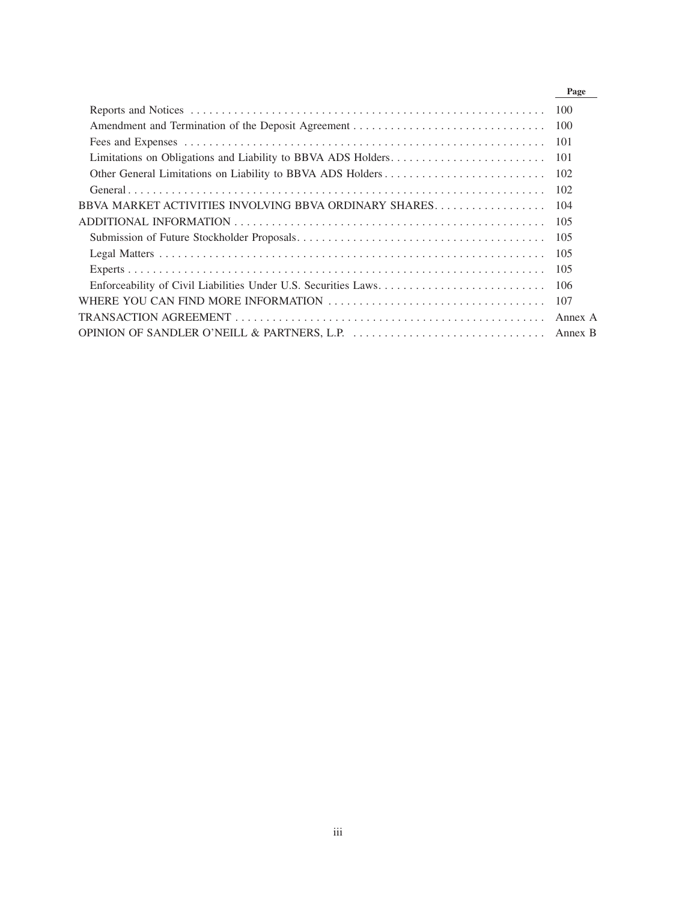|                                                       | Page    |
|-------------------------------------------------------|---------|
|                                                       |         |
|                                                       |         |
|                                                       |         |
|                                                       | -101    |
|                                                       |         |
|                                                       |         |
| BBVA MARKET ACTIVITIES INVOLVING BBVA ORDINARY SHARES | 104     |
|                                                       |         |
|                                                       |         |
|                                                       | 105     |
|                                                       | -105    |
|                                                       |         |
|                                                       | 107     |
|                                                       | Annex A |
|                                                       |         |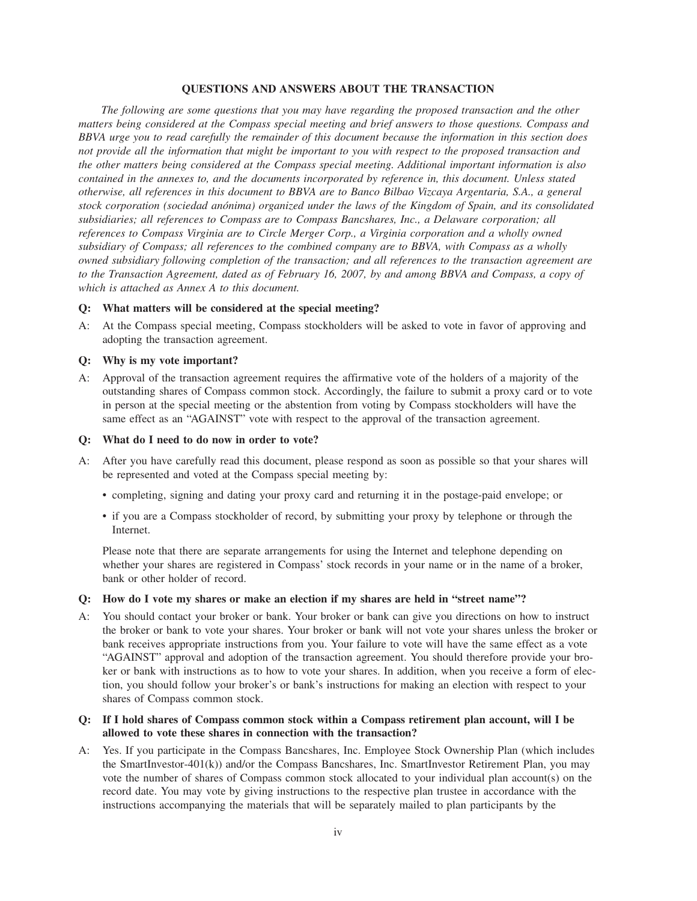#### **QUESTIONS AND ANSWERS ABOUT THE TRANSACTION**

*The following are some questions that you may have regarding the proposed transaction and the other matters being considered at the Compass special meeting and brief answers to those questions. Compass and BBVA urge you to read carefully the remainder of this document because the information in this section does not provide all the information that might be important to you with respect to the proposed transaction and the other matters being considered at the Compass special meeting. Additional important information is also contained in the annexes to, and the documents incorporated by reference in, this document. Unless stated otherwise, all references in this document to BBVA are to Banco Bilbao Vizcaya Argentaria, S.A., a general stock corporation (sociedad anónima) organized under the laws of the Kingdom of Spain, and its consolidated subsidiaries; all references to Compass are to Compass Bancshares, Inc., a Delaware corporation; all references to Compass Virginia are to Circle Merger Corp., a Virginia corporation and a wholly owned subsidiary of Compass; all references to the combined company are to BBVA, with Compass as a wholly owned subsidiary following completion of the transaction; and all references to the transaction agreement are to the Transaction Agreement, dated as of February 16, 2007, by and among BBVA and Compass, a copy of which is attached as Annex A to this document.*

#### **Q: What matters will be considered at the special meeting?**

A: At the Compass special meeting, Compass stockholders will be asked to vote in favor of approving and adopting the transaction agreement.

#### **Q: Why is my vote important?**

A: Approval of the transaction agreement requires the affirmative vote of the holders of a majority of the outstanding shares of Compass common stock. Accordingly, the failure to submit a proxy card or to vote in person at the special meeting or the abstention from voting by Compass stockholders will have the same effect as an "AGAINST" vote with respect to the approval of the transaction agreement.

### **Q: What do I need to do now in order to vote?**

- A: After you have carefully read this document, please respond as soon as possible so that your shares will be represented and voted at the Compass special meeting by:
	- completing, signing and dating your proxy card and returning it in the postage-paid envelope; or
	- if you are a Compass stockholder of record, by submitting your proxy by telephone or through the Internet.

Please note that there are separate arrangements for using the Internet and telephone depending on whether your shares are registered in Compass' stock records in your name or in the name of a broker, bank or other holder of record.

#### **Q: How do I vote my shares or make an election if my shares are held in "street name"?**

A: You should contact your broker or bank. Your broker or bank can give you directions on how to instruct the broker or bank to vote your shares. Your broker or bank will not vote your shares unless the broker or bank receives appropriate instructions from you. Your failure to vote will have the same effect as a vote "AGAINST" approval and adoption of the transaction agreement. You should therefore provide your broker or bank with instructions as to how to vote your shares. In addition, when you receive a form of election, you should follow your broker's or bank's instructions for making an election with respect to your shares of Compass common stock.

### **Q: If I hold shares of Compass common stock within a Compass retirement plan account, will I be allowed to vote these shares in connection with the transaction?**

A: Yes. If you participate in the Compass Bancshares, Inc. Employee Stock Ownership Plan (which includes the SmartInvestor-401(k)) and/or the Compass Bancshares, Inc. SmartInvestor Retirement Plan, you may vote the number of shares of Compass common stock allocated to your individual plan account(s) on the record date. You may vote by giving instructions to the respective plan trustee in accordance with the instructions accompanying the materials that will be separately mailed to plan participants by the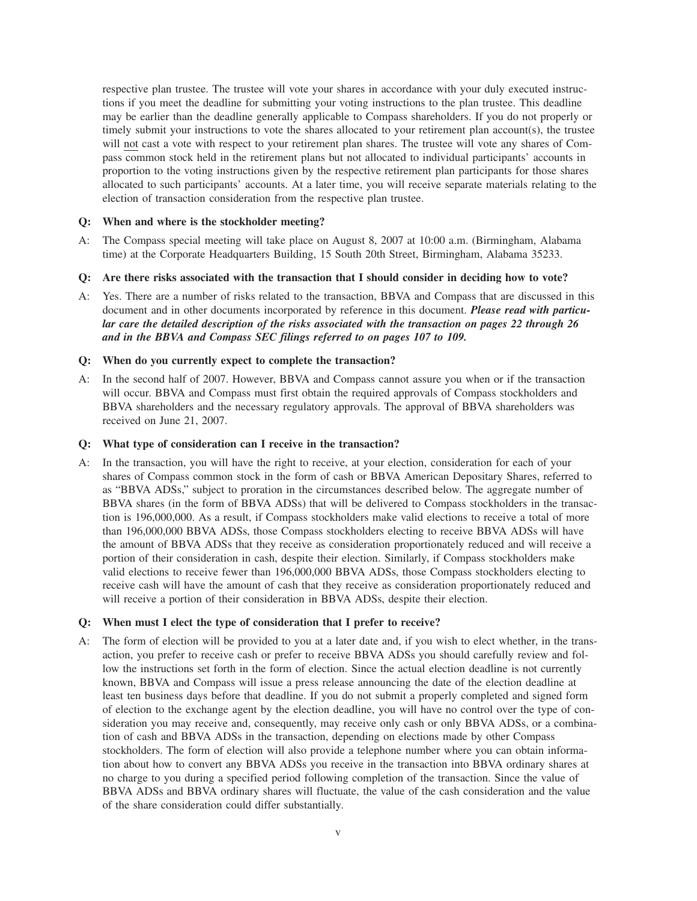respective plan trustee. The trustee will vote your shares in accordance with your duly executed instructions if you meet the deadline for submitting your voting instructions to the plan trustee. This deadline may be earlier than the deadline generally applicable to Compass shareholders. If you do not properly or timely submit your instructions to vote the shares allocated to your retirement plan account(s), the trustee will not cast a vote with respect to your retirement plan shares. The trustee will vote any shares of Compass common stock held in the retirement plans but not allocated to individual participants' accounts in proportion to the voting instructions given by the respective retirement plan participants for those shares allocated to such participants' accounts. At a later time, you will receive separate materials relating to the election of transaction consideration from the respective plan trustee.

### **Q: When and where is the stockholder meeting?**

- A: The Compass special meeting will take place on August 8, 2007 at 10:00 a.m. (Birmingham, Alabama time) at the Corporate Headquarters Building, 15 South 20th Street, Birmingham, Alabama 35233.
- **Q: Are there risks associated with the transaction that I should consider in deciding how to vote?**
- A: Yes. There are a number of risks related to the transaction, BBVA and Compass that are discussed in this document and in other documents incorporated by reference in this document. *Please read with particular care the detailed description of the risks associated with the transaction on pages 22 through 26 and in the BBVA and Compass SEC filings referred to on pages 107 to 109.*

### **Q: When do you currently expect to complete the transaction?**

A: In the second half of 2007. However, BBVA and Compass cannot assure you when or if the transaction will occur. BBVA and Compass must first obtain the required approvals of Compass stockholders and BBVA shareholders and the necessary regulatory approvals. The approval of BBVA shareholders was received on June 21, 2007.

### **Q: What type of consideration can I receive in the transaction?**

A: In the transaction, you will have the right to receive, at your election, consideration for each of your shares of Compass common stock in the form of cash or BBVA American Depositary Shares, referred to as "BBVA ADSs," subject to proration in the circumstances described below. The aggregate number of BBVA shares (in the form of BBVA ADSs) that will be delivered to Compass stockholders in the transaction is 196,000,000. As a result, if Compass stockholders make valid elections to receive a total of more than 196,000,000 BBVA ADSs, those Compass stockholders electing to receive BBVA ADSs will have the amount of BBVA ADSs that they receive as consideration proportionately reduced and will receive a portion of their consideration in cash, despite their election. Similarly, if Compass stockholders make valid elections to receive fewer than 196,000,000 BBVA ADSs, those Compass stockholders electing to receive cash will have the amount of cash that they receive as consideration proportionately reduced and will receive a portion of their consideration in BBVA ADSs, despite their election.

### **Q: When must I elect the type of consideration that I prefer to receive?**

A: The form of election will be provided to you at a later date and, if you wish to elect whether, in the transaction, you prefer to receive cash or prefer to receive BBVA ADSs you should carefully review and follow the instructions set forth in the form of election. Since the actual election deadline is not currently known, BBVA and Compass will issue a press release announcing the date of the election deadline at least ten business days before that deadline. If you do not submit a properly completed and signed form of election to the exchange agent by the election deadline, you will have no control over the type of consideration you may receive and, consequently, may receive only cash or only BBVA ADSs, or a combination of cash and BBVA ADSs in the transaction, depending on elections made by other Compass stockholders. The form of election will also provide a telephone number where you can obtain information about how to convert any BBVA ADSs you receive in the transaction into BBVA ordinary shares at no charge to you during a specified period following completion of the transaction. Since the value of BBVA ADSs and BBVA ordinary shares will fluctuate, the value of the cash consideration and the value of the share consideration could differ substantially.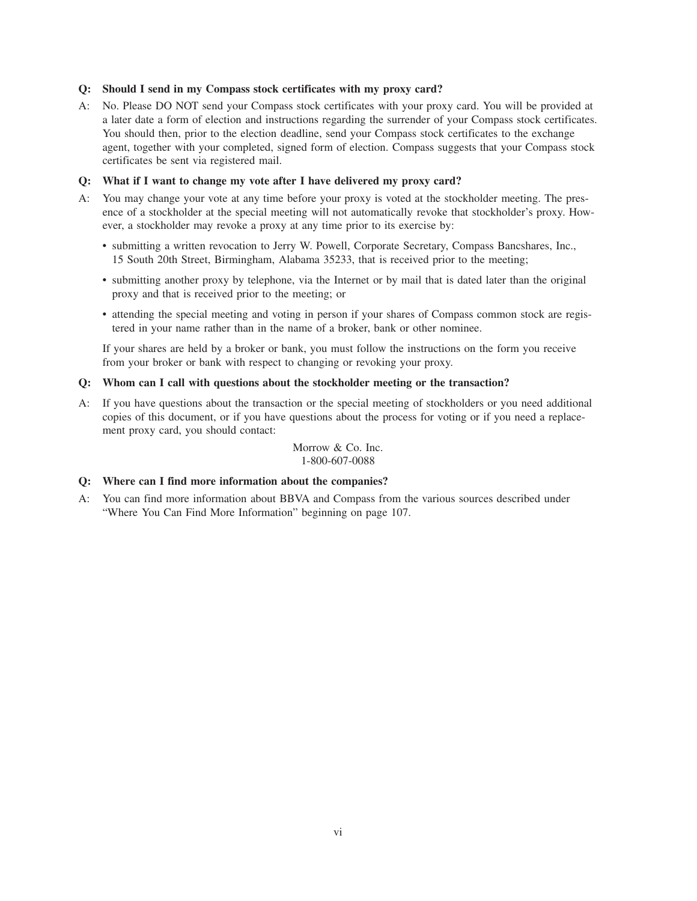### **Q: Should I send in my Compass stock certificates with my proxy card?**

A: No. Please DO NOT send your Compass stock certificates with your proxy card. You will be provided at a later date a form of election and instructions regarding the surrender of your Compass stock certificates. You should then, prior to the election deadline, send your Compass stock certificates to the exchange agent, together with your completed, signed form of election. Compass suggests that your Compass stock certificates be sent via registered mail.

#### **Q: What if I want to change my vote after I have delivered my proxy card?**

- A: You may change your vote at any time before your proxy is voted at the stockholder meeting. The presence of a stockholder at the special meeting will not automatically revoke that stockholder's proxy. However, a stockholder may revoke a proxy at any time prior to its exercise by:
	- submitting a written revocation to Jerry W. Powell, Corporate Secretary, Compass Bancshares, Inc., 15 South 20th Street, Birmingham, Alabama 35233, that is received prior to the meeting;
	- submitting another proxy by telephone, via the Internet or by mail that is dated later than the original proxy and that is received prior to the meeting; or
	- attending the special meeting and voting in person if your shares of Compass common stock are registered in your name rather than in the name of a broker, bank or other nominee.

If your shares are held by a broker or bank, you must follow the instructions on the form you receive from your broker or bank with respect to changing or revoking your proxy.

### **Q: Whom can I call with questions about the stockholder meeting or the transaction?**

A: If you have questions about the transaction or the special meeting of stockholders or you need additional copies of this document, or if you have questions about the process for voting or if you need a replacement proxy card, you should contact:

> Morrow & Co. Inc. 1-800-607-0088

### **Q: Where can I find more information about the companies?**

A: You can find more information about BBVA and Compass from the various sources described under "Where You Can Find More Information" beginning on page 107.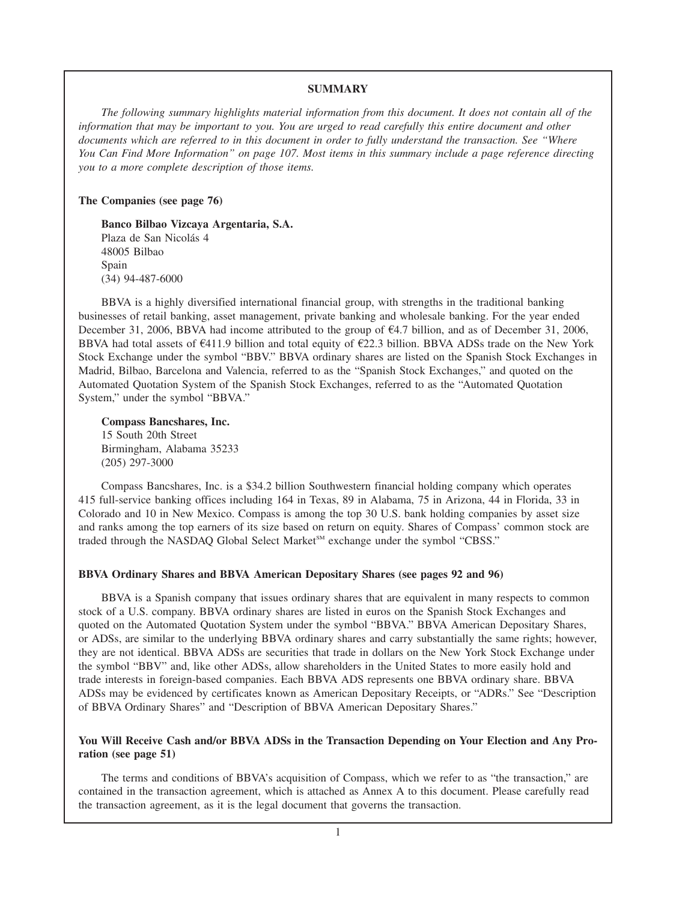#### **SUMMARY**

*The following summary highlights material information from this document. It does not contain all of the information that may be important to you. You are urged to read carefully this entire document and other documents which are referred to in this document in order to fully understand the transaction. See "Where You Can Find More Information" on page 107. Most items in this summary include a page reference directing you to a more complete description of those items.*

#### **The Companies (see page 76)**

**Banco Bilbao Vizcaya Argentaria, S.A.** Plaza de San Nicolás 4 48005 Bilbao Spain (34) 94-487-6000

BBVA is a highly diversified international financial group, with strengths in the traditional banking businesses of retail banking, asset management, private banking and wholesale banking. For the year ended December 31, 2006, BBVA had income attributed to the group of  $\epsilon$ 4.7 billion, and as of December 31, 2006, BBVA had total assets of  $\epsilon$ 411.9 billion and total equity of  $\epsilon$ 22.3 billion. BBVA ADSs trade on the New York Stock Exchange under the symbol "BBV." BBVA ordinary shares are listed on the Spanish Stock Exchanges in Madrid, Bilbao, Barcelona and Valencia, referred to as the "Spanish Stock Exchanges," and quoted on the Automated Quotation System of the Spanish Stock Exchanges, referred to as the "Automated Quotation System," under the symbol "BBVA."

**Compass Bancshares, Inc.** 15 South 20th Street Birmingham, Alabama 35233 (205) 297-3000

Compass Bancshares, Inc. is a \$34.2 billion Southwestern financial holding company which operates 415 full-service banking offices including 164 in Texas, 89 in Alabama, 75 in Arizona, 44 in Florida, 33 in Colorado and 10 in New Mexico. Compass is among the top 30 U.S. bank holding companies by asset size and ranks among the top earners of its size based on return on equity. Shares of Compass' common stock are traded through the NASDAQ Global Select Market<sup>SM</sup> exchange under the symbol "CBSS."

#### **BBVA Ordinary Shares and BBVA American Depositary Shares (see pages 92 and 96)**

BBVA is a Spanish company that issues ordinary shares that are equivalent in many respects to common stock of a U.S. company. BBVA ordinary shares are listed in euros on the Spanish Stock Exchanges and quoted on the Automated Quotation System under the symbol "BBVA." BBVA American Depositary Shares, or ADSs, are similar to the underlying BBVA ordinary shares and carry substantially the same rights; however, they are not identical. BBVA ADSs are securities that trade in dollars on the New York Stock Exchange under the symbol "BBV" and, like other ADSs, allow shareholders in the United States to more easily hold and trade interests in foreign-based companies. Each BBVA ADS represents one BBVA ordinary share. BBVA ADSs may be evidenced by certificates known as American Depositary Receipts, or "ADRs." See "Description of BBVA Ordinary Shares" and "Description of BBVA American Depositary Shares."

# **You Will Receive Cash and/or BBVA ADSs in the Transaction Depending on Your Election and Any Proration (see page 51)**

The terms and conditions of BBVA's acquisition of Compass, which we refer to as "the transaction," are contained in the transaction agreement, which is attached as Annex A to this document. Please carefully read the transaction agreement, as it is the legal document that governs the transaction.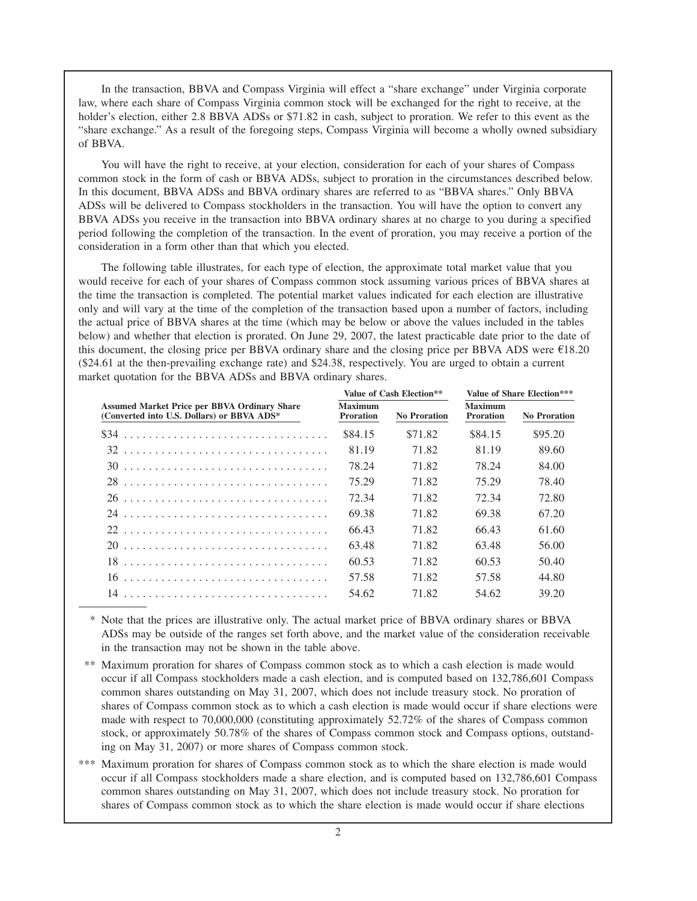In the transaction, BBVA and Compass Virginia will effect a "share exchange" under Virginia corporate law, where each share of Compass Virginia common stock will be exchanged for the right to receive, at the holder's election, either 2.8 BBVA ADSs or \$71.82 in cash, subject to proration. We refer to this event as the "share exchange." As a result of the foregoing steps, Compass Virginia will become a wholly owned subsidiary of BBVA.

You will have the right to receive, at your election, consideration for each of your shares of Compass common stock in the form of cash or BBVA ADSs, subject to proration in the circumstances described below. In this document, BBVA ADSs and BBVA ordinary shares are referred to as "BBVA shares." Only BBVA ADSs will be delivered to Compass stockholders in the transaction. You will have the option to convert any BBVA ADSs you receive in the transaction into BBVA ordinary shares at no charge to you during a specified period following the completion of the transaction. In the event of proration, you may receive a portion of the consideration in a form other than that which you elected.

The following table illustrates, for each type of election, the approximate total market value that you would receive for each of your shares of Compass common stock assuming various prices of BBVA shares at the time the transaction is completed. The potential market values indicated for each election are illustrative only and will vary at the time of the completion of the transaction based upon a number of factors, including the actual price of BBVA shares at the time (which may be below or above the values included in the tables below) and whether that election is prorated. On June 29, 2007, the latest practicable date prior to the date of this document, the closing price per BBVA ordinary share and the closing price per BBVA ADS were  $E18.20$ (\$24.61 at the then-prevailing exchange rate) and \$24.38, respectively. You are urged to obtain a current market quotation for the BBVA ADSs and BBVA ordinary shares.

|                                    |                     | Value of Share Election***         |                     |  |  |
|------------------------------------|---------------------|------------------------------------|---------------------|--|--|
| <b>Maximum</b><br><b>Proration</b> | <b>No Proration</b> | <b>Maximum</b><br><b>Proration</b> | <b>No Proration</b> |  |  |
| \$84.15                            | \$71.82             | \$84.15                            | \$95.20             |  |  |
| 81.19                              | 71.82               | 81.19                              | 89.60               |  |  |
| 78.24                              | 71.82               | 78.24                              | 84.00               |  |  |
| 75.29                              | 71.82               | 75.29                              | 78.40               |  |  |
| 72.34                              | 71.82               | 72.34                              | 72.80               |  |  |
| 69.38                              | 71.82               | 69.38                              | 67.20               |  |  |
| 66.43                              | 71.82               | 66.43                              | 61.60               |  |  |
| 63.48                              | 71.82               | 63.48                              | 56.00               |  |  |
| 60.53                              | 71.82               | 60.53                              | 50.40               |  |  |
| 57.58                              | 71.82               | 57.58                              | 44.80               |  |  |
| 54.62                              | 71.82               | 54.62                              | 39.20               |  |  |
|                                    |                     | Value of Cash Election**           |                     |  |  |

\* Note that the prices are illustrative only. The actual market price of BBVA ordinary shares or BBVA ADSs may be outside of the ranges set forth above, and the market value of the consideration receivable in the transaction may not be shown in the table above.

- \*\* Maximum proration for shares of Compass common stock as to which a cash election is made would occur if all Compass stockholders made a cash election, and is computed based on 132,786,601 Compass common shares outstanding on May 31, 2007, which does not include treasury stock. No proration of shares of Compass common stock as to which a cash election is made would occur if share elections were made with respect to 70,000,000 (constituting approximately 52.72% of the shares of Compass common stock, or approximately 50.78% of the shares of Compass common stock and Compass options, outstanding on May 31, 2007) or more shares of Compass common stock.
- \*\*\* Maximum proration for shares of Compass common stock as to which the share election is made would occur if all Compass stockholders made a share election, and is computed based on 132,786,601 Compass common shares outstanding on May 31, 2007, which does not include treasury stock. No proration for shares of Compass common stock as to which the share election is made would occur if share elections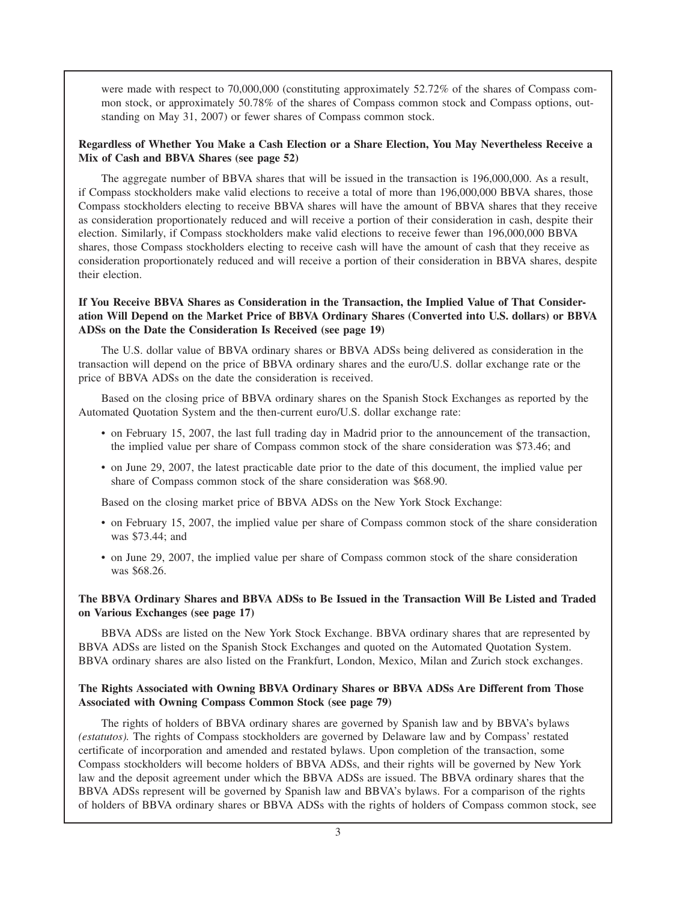were made with respect to 70,000,000 (constituting approximately 52.72% of the shares of Compass common stock, or approximately 50.78% of the shares of Compass common stock and Compass options, outstanding on May 31, 2007) or fewer shares of Compass common stock.

# **Regardless of Whether You Make a Cash Election or a Share Election, You May Nevertheless Receive a Mix of Cash and BBVA Shares (see page 52)**

The aggregate number of BBVA shares that will be issued in the transaction is 196,000,000. As a result, if Compass stockholders make valid elections to receive a total of more than 196,000,000 BBVA shares, those Compass stockholders electing to receive BBVA shares will have the amount of BBVA shares that they receive as consideration proportionately reduced and will receive a portion of their consideration in cash, despite their election. Similarly, if Compass stockholders make valid elections to receive fewer than 196,000,000 BBVA shares, those Compass stockholders electing to receive cash will have the amount of cash that they receive as consideration proportionately reduced and will receive a portion of their consideration in BBVA shares, despite their election.

# **If You Receive BBVA Shares as Consideration in the Transaction, the Implied Value of That Consideration Will Depend on the Market Price of BBVA Ordinary Shares (Converted into U.S. dollars) or BBVA ADSs on the Date the Consideration Is Received (see page 19)**

The U.S. dollar value of BBVA ordinary shares or BBVA ADSs being delivered as consideration in the transaction will depend on the price of BBVA ordinary shares and the euro/U.S. dollar exchange rate or the price of BBVA ADSs on the date the consideration is received.

Based on the closing price of BBVA ordinary shares on the Spanish Stock Exchanges as reported by the Automated Quotation System and the then-current euro/U.S. dollar exchange rate:

- on February 15, 2007, the last full trading day in Madrid prior to the announcement of the transaction, the implied value per share of Compass common stock of the share consideration was \$73.46; and
- on June 29, 2007, the latest practicable date prior to the date of this document, the implied value per share of Compass common stock of the share consideration was \$68.90.

Based on the closing market price of BBVA ADSs on the New York Stock Exchange:

- on February 15, 2007, the implied value per share of Compass common stock of the share consideration was \$73.44; and
- on June 29, 2007, the implied value per share of Compass common stock of the share consideration was \$68.26.

# **The BBVA Ordinary Shares and BBVA ADSs to Be Issued in the Transaction Will Be Listed and Traded on Various Exchanges (see page 17)**

BBVA ADSs are listed on the New York Stock Exchange. BBVA ordinary shares that are represented by BBVA ADSs are listed on the Spanish Stock Exchanges and quoted on the Automated Quotation System. BBVA ordinary shares are also listed on the Frankfurt, London, Mexico, Milan and Zurich stock exchanges.

# **The Rights Associated with Owning BBVA Ordinary Shares or BBVA ADSs Are Different from Those Associated with Owning Compass Common Stock (see page 79)**

The rights of holders of BBVA ordinary shares are governed by Spanish law and by BBVA's bylaws *(estatutos).* The rights of Compass stockholders are governed by Delaware law and by Compass' restated certificate of incorporation and amended and restated bylaws. Upon completion of the transaction, some Compass stockholders will become holders of BBVA ADSs, and their rights will be governed by New York law and the deposit agreement under which the BBVA ADSs are issued. The BBVA ordinary shares that the BBVA ADSs represent will be governed by Spanish law and BBVA's bylaws. For a comparison of the rights of holders of BBVA ordinary shares or BBVA ADSs with the rights of holders of Compass common stock, see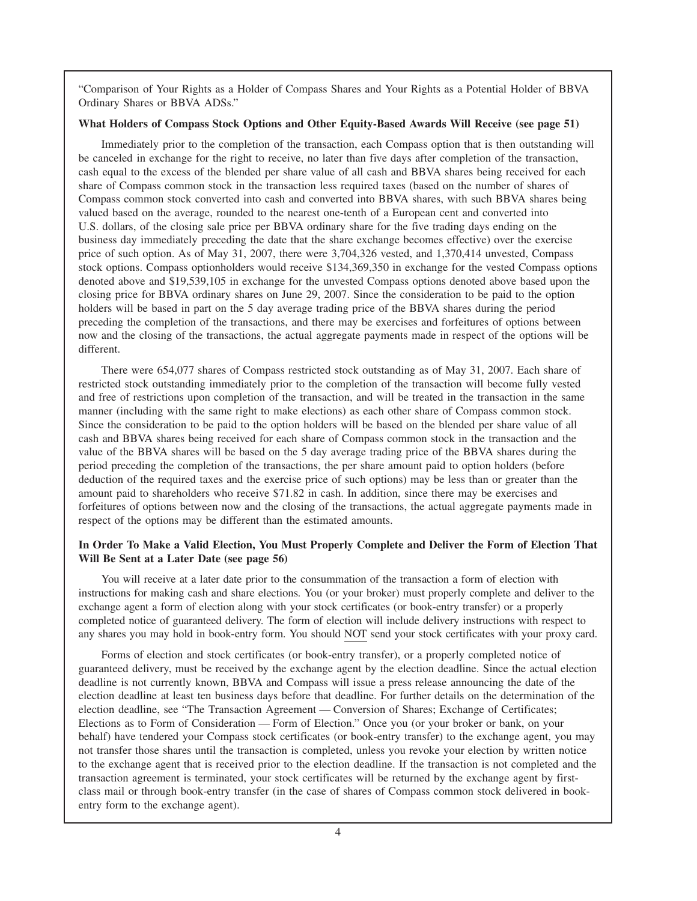"Comparison of Your Rights as a Holder of Compass Shares and Your Rights as a Potential Holder of BBVA Ordinary Shares or BBVA ADSs."

### **What Holders of Compass Stock Options and Other Equity-Based Awards Will Receive (see page 51)**

Immediately prior to the completion of the transaction, each Compass option that is then outstanding will be canceled in exchange for the right to receive, no later than five days after completion of the transaction, cash equal to the excess of the blended per share value of all cash and BBVA shares being received for each share of Compass common stock in the transaction less required taxes (based on the number of shares of Compass common stock converted into cash and converted into BBVA shares, with such BBVA shares being valued based on the average, rounded to the nearest one-tenth of a European cent and converted into U.S. dollars, of the closing sale price per BBVA ordinary share for the five trading days ending on the business day immediately preceding the date that the share exchange becomes effective) over the exercise price of such option. As of May 31, 2007, there were 3,704,326 vested, and 1,370,414 unvested, Compass stock options. Compass optionholders would receive \$134,369,350 in exchange for the vested Compass options denoted above and \$19,539,105 in exchange for the unvested Compass options denoted above based upon the closing price for BBVA ordinary shares on June 29, 2007. Since the consideration to be paid to the option holders will be based in part on the 5 day average trading price of the BBVA shares during the period preceding the completion of the transactions, and there may be exercises and forfeitures of options between now and the closing of the transactions, the actual aggregate payments made in respect of the options will be different.

There were 654,077 shares of Compass restricted stock outstanding as of May 31, 2007. Each share of restricted stock outstanding immediately prior to the completion of the transaction will become fully vested and free of restrictions upon completion of the transaction, and will be treated in the transaction in the same manner (including with the same right to make elections) as each other share of Compass common stock. Since the consideration to be paid to the option holders will be based on the blended per share value of all cash and BBVA shares being received for each share of Compass common stock in the transaction and the value of the BBVA shares will be based on the 5 day average trading price of the BBVA shares during the period preceding the completion of the transactions, the per share amount paid to option holders (before deduction of the required taxes and the exercise price of such options) may be less than or greater than the amount paid to shareholders who receive \$71.82 in cash. In addition, since there may be exercises and forfeitures of options between now and the closing of the transactions, the actual aggregate payments made in respect of the options may be different than the estimated amounts.

# **In Order To Make a Valid Election, You Must Properly Complete and Deliver the Form of Election That Will Be Sent at a Later Date (see page 56)**

You will receive at a later date prior to the consummation of the transaction a form of election with instructions for making cash and share elections. You (or your broker) must properly complete and deliver to the exchange agent a form of election along with your stock certificates (or book-entry transfer) or a properly completed notice of guaranteed delivery. The form of election will include delivery instructions with respect to any shares you may hold in book-entry form. You should NOT send your stock certificates with your proxy card.

Forms of election and stock certificates (or book-entry transfer), or a properly completed notice of guaranteed delivery, must be received by the exchange agent by the election deadline. Since the actual election deadline is not currently known, BBVA and Compass will issue a press release announcing the date of the election deadline at least ten business days before that deadline. For further details on the determination of the election deadline, see "The Transaction Agreement — Conversion of Shares; Exchange of Certificates; Elections as to Form of Consideration — Form of Election." Once you (or your broker or bank, on your behalf) have tendered your Compass stock certificates (or book-entry transfer) to the exchange agent, you may not transfer those shares until the transaction is completed, unless you revoke your election by written notice to the exchange agent that is received prior to the election deadline. If the transaction is not completed and the transaction agreement is terminated, your stock certificates will be returned by the exchange agent by firstclass mail or through book-entry transfer (in the case of shares of Compass common stock delivered in bookentry form to the exchange agent).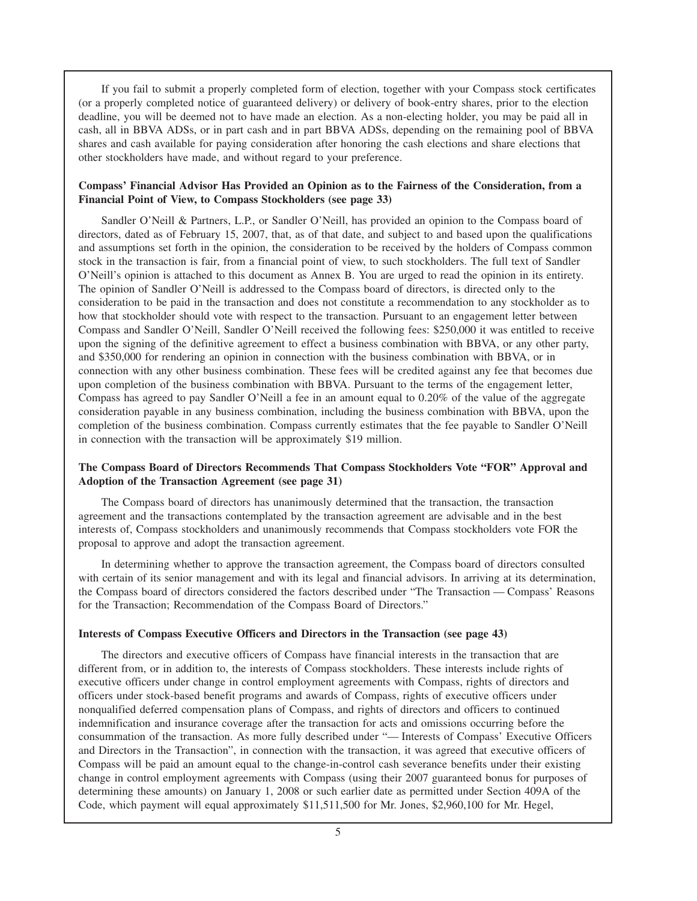If you fail to submit a properly completed form of election, together with your Compass stock certificates (or a properly completed notice of guaranteed delivery) or delivery of book-entry shares, prior to the election deadline, you will be deemed not to have made an election. As a non-electing holder, you may be paid all in cash, all in BBVA ADSs, or in part cash and in part BBVA ADSs, depending on the remaining pool of BBVA shares and cash available for paying consideration after honoring the cash elections and share elections that other stockholders have made, and without regard to your preference.

### **Compass' Financial Advisor Has Provided an Opinion as to the Fairness of the Consideration, from a Financial Point of View, to Compass Stockholders (see page 33)**

Sandler O'Neill & Partners, L.P., or Sandler O'Neill, has provided an opinion to the Compass board of directors, dated as of February 15, 2007, that, as of that date, and subject to and based upon the qualifications and assumptions set forth in the opinion, the consideration to be received by the holders of Compass common stock in the transaction is fair, from a financial point of view, to such stockholders. The full text of Sandler O'Neill's opinion is attached to this document as Annex B. You are urged to read the opinion in its entirety. The opinion of Sandler O'Neill is addressed to the Compass board of directors, is directed only to the consideration to be paid in the transaction and does not constitute a recommendation to any stockholder as to how that stockholder should vote with respect to the transaction. Pursuant to an engagement letter between Compass and Sandler O'Neill, Sandler O'Neill received the following fees: \$250,000 it was entitled to receive upon the signing of the definitive agreement to effect a business combination with BBVA, or any other party, and \$350,000 for rendering an opinion in connection with the business combination with BBVA, or in connection with any other business combination. These fees will be credited against any fee that becomes due upon completion of the business combination with BBVA. Pursuant to the terms of the engagement letter, Compass has agreed to pay Sandler O'Neill a fee in an amount equal to 0.20% of the value of the aggregate consideration payable in any business combination, including the business combination with BBVA, upon the completion of the business combination. Compass currently estimates that the fee payable to Sandler O'Neill in connection with the transaction will be approximately \$19 million.

### **The Compass Board of Directors Recommends That Compass Stockholders Vote "FOR" Approval and Adoption of the Transaction Agreement (see page 31)**

The Compass board of directors has unanimously determined that the transaction, the transaction agreement and the transactions contemplated by the transaction agreement are advisable and in the best interests of, Compass stockholders and unanimously recommends that Compass stockholders vote FOR the proposal to approve and adopt the transaction agreement.

In determining whether to approve the transaction agreement, the Compass board of directors consulted with certain of its senior management and with its legal and financial advisors. In arriving at its determination, the Compass board of directors considered the factors described under "The Transaction — Compass' Reasons for the Transaction; Recommendation of the Compass Board of Directors."

#### **Interests of Compass Executive Officers and Directors in the Transaction (see page 43)**

The directors and executive officers of Compass have financial interests in the transaction that are different from, or in addition to, the interests of Compass stockholders. These interests include rights of executive officers under change in control employment agreements with Compass, rights of directors and officers under stock-based benefit programs and awards of Compass, rights of executive officers under nonqualified deferred compensation plans of Compass, and rights of directors and officers to continued indemnification and insurance coverage after the transaction for acts and omissions occurring before the consummation of the transaction. As more fully described under "— Interests of Compass' Executive Officers and Directors in the Transaction", in connection with the transaction, it was agreed that executive officers of Compass will be paid an amount equal to the change-in-control cash severance benefits under their existing change in control employment agreements with Compass (using their 2007 guaranteed bonus for purposes of determining these amounts) on January 1, 2008 or such earlier date as permitted under Section 409A of the Code, which payment will equal approximately \$11,511,500 for Mr. Jones, \$2,960,100 for Mr. Hegel,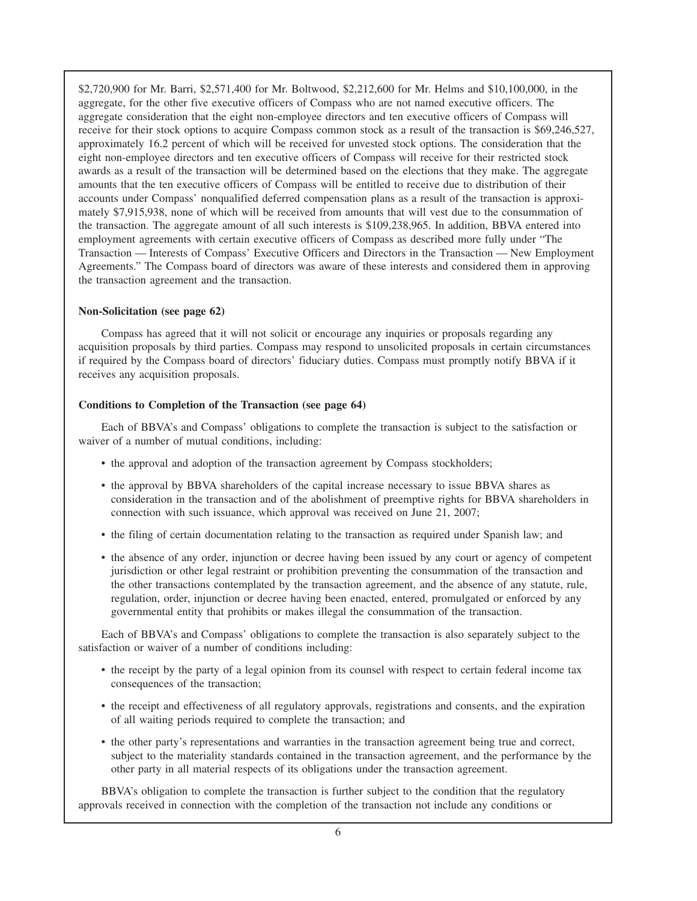\$2,720,900 for Mr. Barri, \$2,571,400 for Mr. Boltwood, \$2,212,600 for Mr. Helms and \$10,100,000, in the aggregate, for the other five executive officers of Compass who are not named executive officers. The aggregate consideration that the eight non-employee directors and ten executive officers of Compass will receive for their stock options to acquire Compass common stock as a result of the transaction is \$69,246,527, approximately 16.2 percent of which will be received for unvested stock options. The consideration that the eight non-employee directors and ten executive officers of Compass will receive for their restricted stock awards as a result of the transaction will be determined based on the elections that they make. The aggregate amounts that the ten executive officers of Compass will be entitled to receive due to distribution of their accounts under Compass' nonqualified deferred compensation plans as a result of the transaction is approximately \$7,915,938, none of which will be received from amounts that will vest due to the consummation of the transaction. The aggregate amount of all such interests is \$109,238,965. In addition, BBVA entered into employment agreements with certain executive officers of Compass as described more fully under "The Transaction — Interests of Compass' Executive Officers and Directors in the Transaction — New Employment Agreements." The Compass board of directors was aware of these interests and considered them in approving the transaction agreement and the transaction.

# **Non-Solicitation (see page 62)**

Compass has agreed that it will not solicit or encourage any inquiries or proposals regarding any acquisition proposals by third parties. Compass may respond to unsolicited proposals in certain circumstances if required by the Compass board of directors' fiduciary duties. Compass must promptly notify BBVA if it receives any acquisition proposals.

### **Conditions to Completion of the Transaction (see page 64)**

Each of BBVA's and Compass' obligations to complete the transaction is subject to the satisfaction or waiver of a number of mutual conditions, including:

- the approval and adoption of the transaction agreement by Compass stockholders;
- the approval by BBVA shareholders of the capital increase necessary to issue BBVA shares as consideration in the transaction and of the abolishment of preemptive rights for BBVA shareholders in connection with such issuance, which approval was received on June 21, 2007;
- the filing of certain documentation relating to the transaction as required under Spanish law; and
- the absence of any order, injunction or decree having been issued by any court or agency of competent jurisdiction or other legal restraint or prohibition preventing the consummation of the transaction and the other transactions contemplated by the transaction agreement, and the absence of any statute, rule, regulation, order, injunction or decree having been enacted, entered, promulgated or enforced by any governmental entity that prohibits or makes illegal the consummation of the transaction.

Each of BBVA's and Compass' obligations to complete the transaction is also separately subject to the satisfaction or waiver of a number of conditions including:

- the receipt by the party of a legal opinion from its counsel with respect to certain federal income tax consequences of the transaction;
- the receipt and effectiveness of all regulatory approvals, registrations and consents, and the expiration of all waiting periods required to complete the transaction; and
- the other party's representations and warranties in the transaction agreement being true and correct, subject to the materiality standards contained in the transaction agreement, and the performance by the other party in all material respects of its obligations under the transaction agreement.

BBVA's obligation to complete the transaction is further subject to the condition that the regulatory approvals received in connection with the completion of the transaction not include any conditions or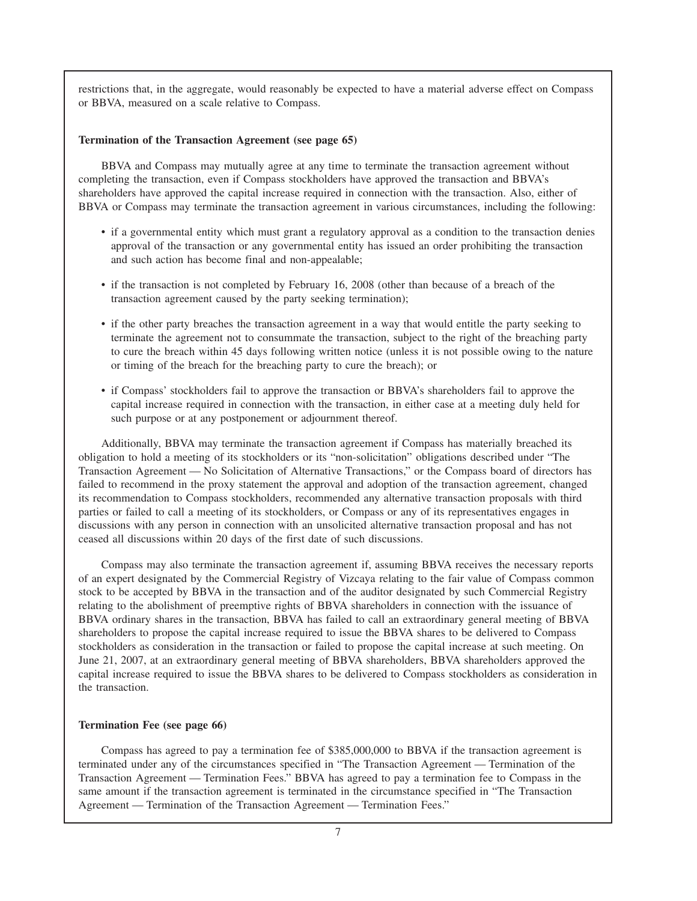restrictions that, in the aggregate, would reasonably be expected to have a material adverse effect on Compass or BBVA, measured on a scale relative to Compass.

# **Termination of the Transaction Agreement (see page 65)**

BBVA and Compass may mutually agree at any time to terminate the transaction agreement without completing the transaction, even if Compass stockholders have approved the transaction and BBVA's shareholders have approved the capital increase required in connection with the transaction. Also, either of BBVA or Compass may terminate the transaction agreement in various circumstances, including the following:

- if a governmental entity which must grant a regulatory approval as a condition to the transaction denies approval of the transaction or any governmental entity has issued an order prohibiting the transaction and such action has become final and non-appealable;
- if the transaction is not completed by February 16, 2008 (other than because of a breach of the transaction agreement caused by the party seeking termination);
- if the other party breaches the transaction agreement in a way that would entitle the party seeking to terminate the agreement not to consummate the transaction, subject to the right of the breaching party to cure the breach within 45 days following written notice (unless it is not possible owing to the nature or timing of the breach for the breaching party to cure the breach); or
- if Compass' stockholders fail to approve the transaction or BBVA's shareholders fail to approve the capital increase required in connection with the transaction, in either case at a meeting duly held for such purpose or at any postponement or adjournment thereof.

Additionally, BBVA may terminate the transaction agreement if Compass has materially breached its obligation to hold a meeting of its stockholders or its "non-solicitation" obligations described under "The Transaction Agreement — No Solicitation of Alternative Transactions," or the Compass board of directors has failed to recommend in the proxy statement the approval and adoption of the transaction agreement, changed its recommendation to Compass stockholders, recommended any alternative transaction proposals with third parties or failed to call a meeting of its stockholders, or Compass or any of its representatives engages in discussions with any person in connection with an unsolicited alternative transaction proposal and has not ceased all discussions within 20 days of the first date of such discussions.

Compass may also terminate the transaction agreement if, assuming BBVA receives the necessary reports of an expert designated by the Commercial Registry of Vizcaya relating to the fair value of Compass common stock to be accepted by BBVA in the transaction and of the auditor designated by such Commercial Registry relating to the abolishment of preemptive rights of BBVA shareholders in connection with the issuance of BBVA ordinary shares in the transaction, BBVA has failed to call an extraordinary general meeting of BBVA shareholders to propose the capital increase required to issue the BBVA shares to be delivered to Compass stockholders as consideration in the transaction or failed to propose the capital increase at such meeting. On June 21, 2007, at an extraordinary general meeting of BBVA shareholders, BBVA shareholders approved the capital increase required to issue the BBVA shares to be delivered to Compass stockholders as consideration in the transaction.

### **Termination Fee (see page 66)**

Compass has agreed to pay a termination fee of \$385,000,000 to BBVA if the transaction agreement is terminated under any of the circumstances specified in "The Transaction Agreement — Termination of the Transaction Agreement — Termination Fees." BBVA has agreed to pay a termination fee to Compass in the same amount if the transaction agreement is terminated in the circumstance specified in "The Transaction Agreement — Termination of the Transaction Agreement — Termination Fees."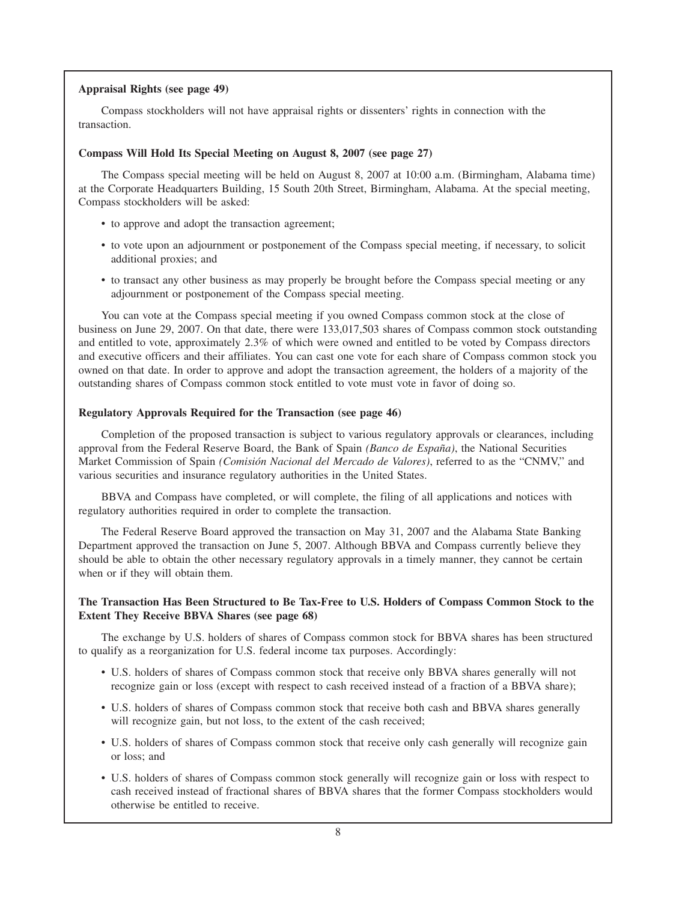# **Appraisal Rights (see page 49)**

Compass stockholders will not have appraisal rights or dissenters' rights in connection with the transaction.

# **Compass Will Hold Its Special Meeting on August 8, 2007 (see page 27)**

The Compass special meeting will be held on August 8, 2007 at 10:00 a.m. (Birmingham, Alabama time) at the Corporate Headquarters Building, 15 South 20th Street, Birmingham, Alabama. At the special meeting, Compass stockholders will be asked:

- to approve and adopt the transaction agreement;
- to vote upon an adjournment or postponement of the Compass special meeting, if necessary, to solicit additional proxies; and
- to transact any other business as may properly be brought before the Compass special meeting or any adjournment or postponement of the Compass special meeting.

You can vote at the Compass special meeting if you owned Compass common stock at the close of business on June 29, 2007. On that date, there were 133,017,503 shares of Compass common stock outstanding and entitled to vote, approximately 2.3% of which were owned and entitled to be voted by Compass directors and executive officers and their affiliates. You can cast one vote for each share of Compass common stock you owned on that date. In order to approve and adopt the transaction agreement, the holders of a majority of the outstanding shares of Compass common stock entitled to vote must vote in favor of doing so.

### **Regulatory Approvals Required for the Transaction (see page 46)**

Completion of the proposed transaction is subject to various regulatory approvals or clearances, including approval from the Federal Reserve Board, the Bank of Spain *(Banco de España)*, the National Securities Market Commission of Spain *(Comisión Nacional del Mercado de Valores)*, referred to as the "CNMV," and various securities and insurance regulatory authorities in the United States.

BBVA and Compass have completed, or will complete, the filing of all applications and notices with regulatory authorities required in order to complete the transaction.

The Federal Reserve Board approved the transaction on May 31, 2007 and the Alabama State Banking Department approved the transaction on June 5, 2007. Although BBVA and Compass currently believe they should be able to obtain the other necessary regulatory approvals in a timely manner, they cannot be certain when or if they will obtain them.

# **The Transaction Has Been Structured to Be Tax-Free to U.S. Holders of Compass Common Stock to the Extent They Receive BBVA Shares (see page 68)**

The exchange by U.S. holders of shares of Compass common stock for BBVA shares has been structured to qualify as a reorganization for U.S. federal income tax purposes. Accordingly:

- U.S. holders of shares of Compass common stock that receive only BBVA shares generally will not recognize gain or loss (except with respect to cash received instead of a fraction of a BBVA share);
- U.S. holders of shares of Compass common stock that receive both cash and BBVA shares generally will recognize gain, but not loss, to the extent of the cash received;
- U.S. holders of shares of Compass common stock that receive only cash generally will recognize gain or loss; and
- U.S. holders of shares of Compass common stock generally will recognize gain or loss with respect to cash received instead of fractional shares of BBVA shares that the former Compass stockholders would otherwise be entitled to receive.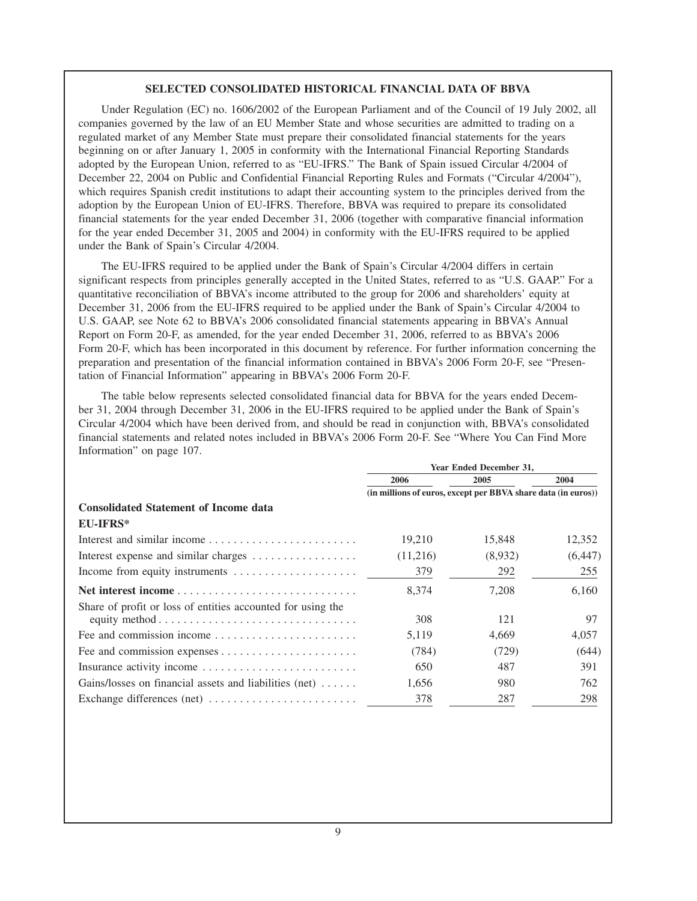### **SELECTED CONSOLIDATED HISTORICAL FINANCIAL DATA OF BBVA**

Under Regulation (EC) no. 1606/2002 of the European Parliament and of the Council of 19 July 2002, all companies governed by the law of an EU Member State and whose securities are admitted to trading on a regulated market of any Member State must prepare their consolidated financial statements for the years beginning on or after January 1, 2005 in conformity with the International Financial Reporting Standards adopted by the European Union, referred to as "EU-IFRS." The Bank of Spain issued Circular 4/2004 of December 22, 2004 on Public and Confidential Financial Reporting Rules and Formats ("Circular 4/2004"), which requires Spanish credit institutions to adapt their accounting system to the principles derived from the adoption by the European Union of EU-IFRS. Therefore, BBVA was required to prepare its consolidated financial statements for the year ended December 31, 2006 (together with comparative financial information for the year ended December 31, 2005 and 2004) in conformity with the EU-IFRS required to be applied under the Bank of Spain's Circular 4/2004.

The EU-IFRS required to be applied under the Bank of Spain's Circular 4/2004 differs in certain significant respects from principles generally accepted in the United States, referred to as "U.S. GAAP." For a quantitative reconciliation of BBVA's income attributed to the group for 2006 and shareholders' equity at December 31, 2006 from the EU-IFRS required to be applied under the Bank of Spain's Circular 4/2004 to U.S. GAAP, see Note 62 to BBVA's 2006 consolidated financial statements appearing in BBVA's Annual Report on Form 20-F, as amended, for the year ended December 31, 2006, referred to as BBVA's 2006 Form 20-F, which has been incorporated in this document by reference. For further information concerning the preparation and presentation of the financial information contained in BBVA's 2006 Form 20-F, see "Presentation of Financial Information" appearing in BBVA's 2006 Form 20-F.

The table below represents selected consolidated financial data for BBVA for the years ended December 31, 2004 through December 31, 2006 in the EU-IFRS required to be applied under the Bank of Spain's Circular 4/2004 which have been derived from, and should be read in conjunction with, BBVA's consolidated financial statements and related notes included in BBVA's 2006 Form 20-F. See "Where You Can Find More Information" on page 107.

|                                                                                                                                                      | Year Ended December 31,                                       |         |          |  |  |
|------------------------------------------------------------------------------------------------------------------------------------------------------|---------------------------------------------------------------|---------|----------|--|--|
|                                                                                                                                                      | 2006                                                          | 2005    | 2004     |  |  |
|                                                                                                                                                      | (in millions of euros, except per BBVA share data (in euros)) |         |          |  |  |
| <b>Consolidated Statement of Income data</b>                                                                                                         |                                                               |         |          |  |  |
| <b>EU-IFRS*</b>                                                                                                                                      |                                                               |         |          |  |  |
| Interest and similar income                                                                                                                          | 19,210                                                        | 15,848  | 12,352   |  |  |
| Interest expense and similar charges                                                                                                                 | (11,216)                                                      | (8,932) | (6, 447) |  |  |
| Income from equity instruments                                                                                                                       | 379                                                           | 292     | 255      |  |  |
|                                                                                                                                                      | 8,374                                                         | 7,208   | 6,160    |  |  |
| Share of profit or loss of entities accounted for using the<br>equity method $\ldots \ldots \ldots \ldots \ldots \ldots \ldots \ldots \ldots \ldots$ | 308                                                           | 121     | 97       |  |  |
|                                                                                                                                                      | 5.119                                                         | 4.669   | 4.057    |  |  |
|                                                                                                                                                      | (784)                                                         | (729)   | (644)    |  |  |
| Insurance activity income                                                                                                                            | 650                                                           | 487     | 391      |  |  |
| Gains/losses on financial assets and liabilities (net)                                                                                               | 1,656                                                         | 980     | 762      |  |  |
| Exchange differences (net)                                                                                                                           | 378                                                           | 287     | 298      |  |  |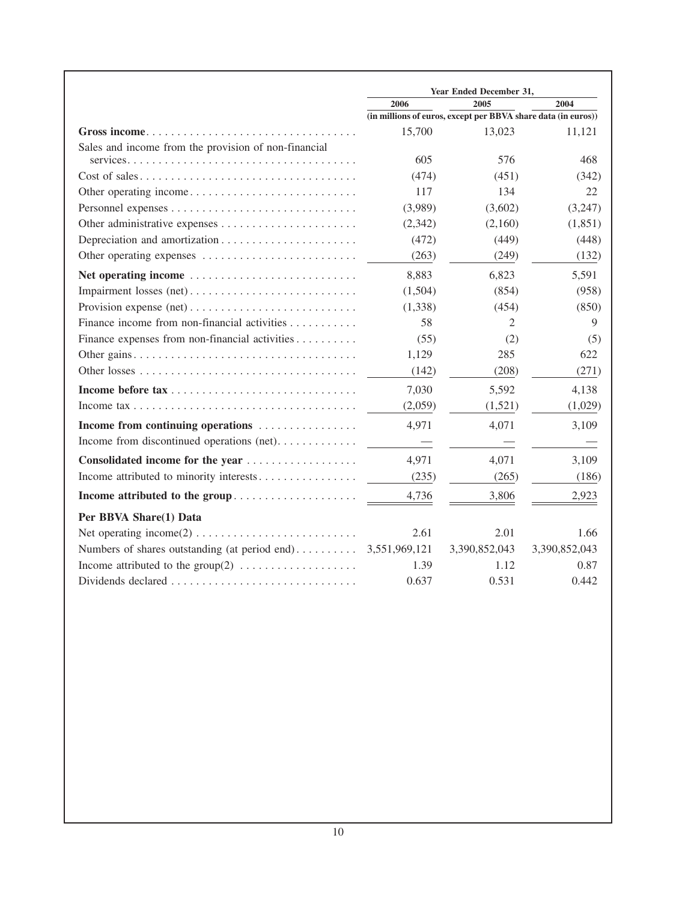|                                                                                                   |                                                               | Year Ended December 31, |               |
|---------------------------------------------------------------------------------------------------|---------------------------------------------------------------|-------------------------|---------------|
|                                                                                                   | 2006                                                          | 2005                    | 2004          |
|                                                                                                   | (in millions of euros, except per BBVA share data (in euros)) |                         |               |
|                                                                                                   | 15,700                                                        | 13,023                  | 11,121        |
| Sales and income from the provision of non-financial                                              |                                                               |                         |               |
|                                                                                                   | 605                                                           | 576                     | 468           |
|                                                                                                   | (474)                                                         | (451)                   | (342)         |
|                                                                                                   | 117                                                           | 134                     | 22            |
|                                                                                                   | (3,989)                                                       | (3,602)                 | (3,247)       |
|                                                                                                   | (2,342)                                                       | (2,160)                 | (1, 851)      |
|                                                                                                   | (472)                                                         | (449)                   | (448)         |
| Other operating expenses                                                                          | (263)                                                         | (249)                   | (132)         |
| Net operating income                                                                              | 8,883                                                         | 6,823                   | 5,591         |
| Impairment losses (net)                                                                           | (1,504)                                                       | (854)                   | (958)         |
|                                                                                                   | (1,338)                                                       | (454)                   | (850)         |
| Finance income from non-financial activities                                                      | 58                                                            | 2                       | 9             |
| Finance expenses from non-financial activities                                                    | (55)                                                          | (2)                     | (5)           |
|                                                                                                   | 1,129                                                         | 285                     | 622           |
|                                                                                                   | (142)                                                         | (208)                   | (271)         |
|                                                                                                   | 7,030                                                         | 5,592                   | 4,138         |
| Income $\text{tax}\ldots\ldots\ldots\ldots\ldots\ldots\ldots\ldots\ldots\ldots\ldots\ldots\ldots$ | (2,059)                                                       | (1,521)                 | (1,029)       |
| Income from continuing operations                                                                 | 4,971                                                         | 4,071                   | 3.109         |
| Income from discontinued operations (net)                                                         |                                                               |                         |               |
|                                                                                                   | 4,971                                                         | 4,071                   | 3,109         |
| Income attributed to minority interests                                                           | (235)                                                         | (265)                   | (186)         |
| Income attributed to the group                                                                    | 4,736                                                         | 3,806                   | 2,923         |
| Per BBVA Share(1) Data                                                                            |                                                               |                         |               |
|                                                                                                   | 2.61                                                          | 2.01                    | 1.66          |
| Numbers of shares outstanding (at period end)                                                     | 3,551,969,121                                                 | 3,390,852,043           | 3,390,852,043 |
|                                                                                                   | 1.39                                                          | 1.12                    | 0.87          |
| Dividends declared                                                                                | 0.637                                                         | 0.531                   | 0.442         |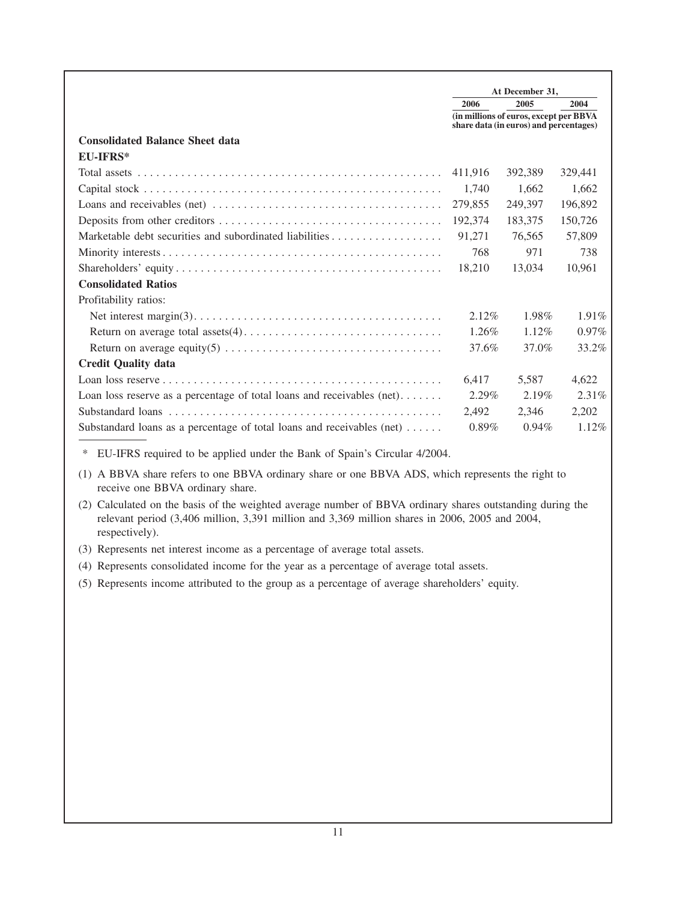|                                                                                                               | At December 31, |                                                                                  |          |
|---------------------------------------------------------------------------------------------------------------|-----------------|----------------------------------------------------------------------------------|----------|
|                                                                                                               | 2006            | 2005                                                                             | 2004     |
|                                                                                                               |                 | (in millions of euros, except per BBVA<br>share data (in euros) and percentages) |          |
| <b>Consolidated Balance Sheet data</b>                                                                        |                 |                                                                                  |          |
| <b>EU-IFRS*</b>                                                                                               |                 |                                                                                  |          |
|                                                                                                               | 411,916         | 392,389                                                                          | 329,441  |
|                                                                                                               | 1,740           | 1,662                                                                            | 1,662    |
| Loans and receivables (net) $\dots \dots \dots \dots \dots \dots \dots \dots \dots \dots \dots \dots$         | 279,855         | 249,397                                                                          | 196,892  |
|                                                                                                               | 192,374         | 183,375                                                                          | 150,726  |
|                                                                                                               | 91,271          | 76.565                                                                           | 57,809   |
|                                                                                                               | 768             | 971                                                                              | 738      |
|                                                                                                               | 18,210          | 13,034                                                                           | 10,961   |
| <b>Consolidated Ratios</b>                                                                                    |                 |                                                                                  |          |
| Profitability ratios:                                                                                         |                 |                                                                                  |          |
| Net interest margin(3). $\dots \dots \dots \dots \dots \dots \dots \dots \dots \dots \dots \dots \dots \dots$ | 2.12%           | 1.98%                                                                            | $1.91\%$ |
|                                                                                                               | 1.26%           | $1.12\%$                                                                         | $0.97\%$ |
| Return on average equity(5) $\dots \dots \dots \dots \dots \dots \dots \dots \dots \dots \dots$               | 37.6%           | 37.0%                                                                            | 33.2%    |
| <b>Credit Quality data</b>                                                                                    |                 |                                                                                  |          |
|                                                                                                               | 6,417           | 5,587                                                                            | 4,622    |
| Loan loss reserve as a percentage of total loans and receivables $(net) \dots \dots$                          | $2.29\%$        | 2.19%                                                                            | $2.31\%$ |
|                                                                                                               | 2,492           | 2.346                                                                            | 2,202    |
| Substandard loans as a percentage of total loans and receivables $(\text{net}) \dots$ .                       | $0.89\%$        | $0.94\%$                                                                         | $1.12\%$ |

\* EU-IFRS required to be applied under the Bank of Spain's Circular 4/2004.

(1) A BBVA share refers to one BBVA ordinary share or one BBVA ADS, which represents the right to receive one BBVA ordinary share.

(2) Calculated on the basis of the weighted average number of BBVA ordinary shares outstanding during the relevant period (3,406 million, 3,391 million and 3,369 million shares in 2006, 2005 and 2004, respectively).

(3) Represents net interest income as a percentage of average total assets.

(4) Represents consolidated income for the year as a percentage of average total assets.

(5) Represents income attributed to the group as a percentage of average shareholders' equity.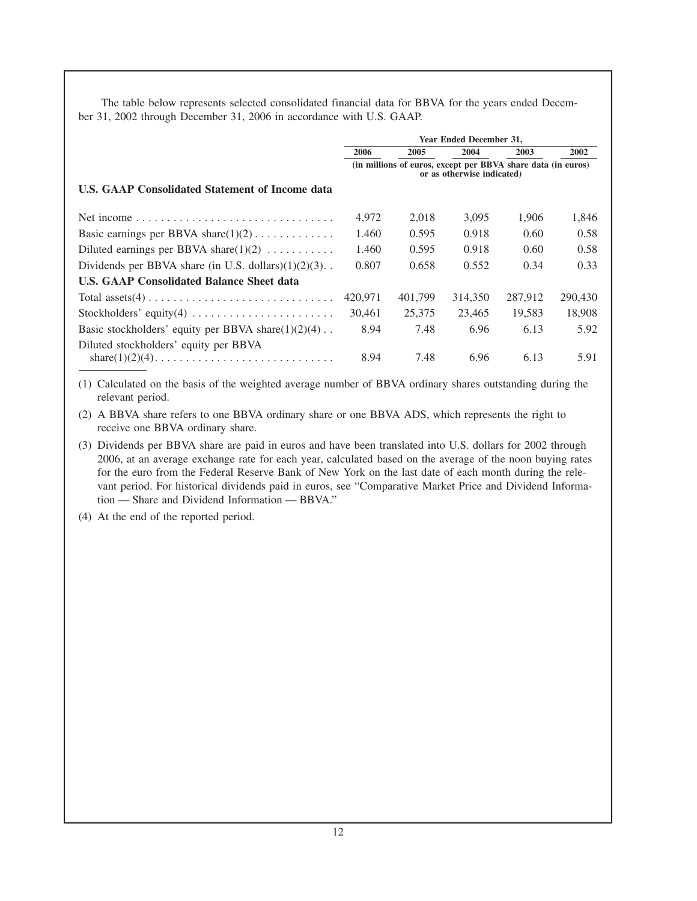The table below represents selected consolidated financial data for BBVA for the years ended December 31, 2002 through December 31, 2006 in accordance with U.S. GAAP.

|                                                                     | <b>Year Ended December 31.</b> |                                                              |         |         |         |
|---------------------------------------------------------------------|--------------------------------|--------------------------------------------------------------|---------|---------|---------|
|                                                                     | 2006                           | 2005                                                         | 2004    | 2003    | 2002    |
|                                                                     |                                | (in millions of euros, except per BBVA share data (in euros) |         |         |         |
| <b>U.S. GAAP Consolidated Statement of Income data</b>              |                                |                                                              |         |         |         |
|                                                                     | 4,972                          | 2,018                                                        | 3.095   | 1,906   | 1,846   |
| Basic earnings per BBVA share $(1)(2)$                              | 1.460                          | 0.595                                                        | 0.918   | 0.60    | 0.58    |
| Diluted earnings per BBVA share(1)(2) $\dots \dots \dots$           | 1.460                          | 0.595                                                        | 0.918   | 0.60    | 0.58    |
| Dividends per BBVA share (in U.S. dollars) $(1)(2)(3)$ .            | 0.807                          | 0.658                                                        | 0.552   | 0.34    | 0.33    |
| <b>U.S. GAAP Consolidated Balance Sheet data</b>                    |                                |                                                              |         |         |         |
|                                                                     | 420,971                        | 401,799                                                      | 314,350 | 287.912 | 290,430 |
| Stockholders' equity(4) $\dots \dots \dots \dots \dots \dots \dots$ | 30.461                         | 25,375                                                       | 23,465  | 19,583  | 18,908  |
| Basic stockholders' equity per BBVA share $(1)(2)(4)$ .             | 8.94                           | 7.48                                                         | 6.96    | 6.13    | 5.92    |
| Diluted stockholders' equity per BBVA                               | 8.94                           | 7.48                                                         | 6.96    | 6.13    | 5.91    |

(1) Calculated on the basis of the weighted average number of BBVA ordinary shares outstanding during the relevant period.

(2) A BBVA share refers to one BBVA ordinary share or one BBVA ADS, which represents the right to receive one BBVA ordinary share.

(3) Dividends per BBVA share are paid in euros and have been translated into U.S. dollars for 2002 through 2006, at an average exchange rate for each year, calculated based on the average of the noon buying rates for the euro from the Federal Reserve Bank of New York on the last date of each month during the relevant period. For historical dividends paid in euros, see "Comparative Market Price and Dividend Information — Share and Dividend Information — BBVA."

(4) At the end of the reported period.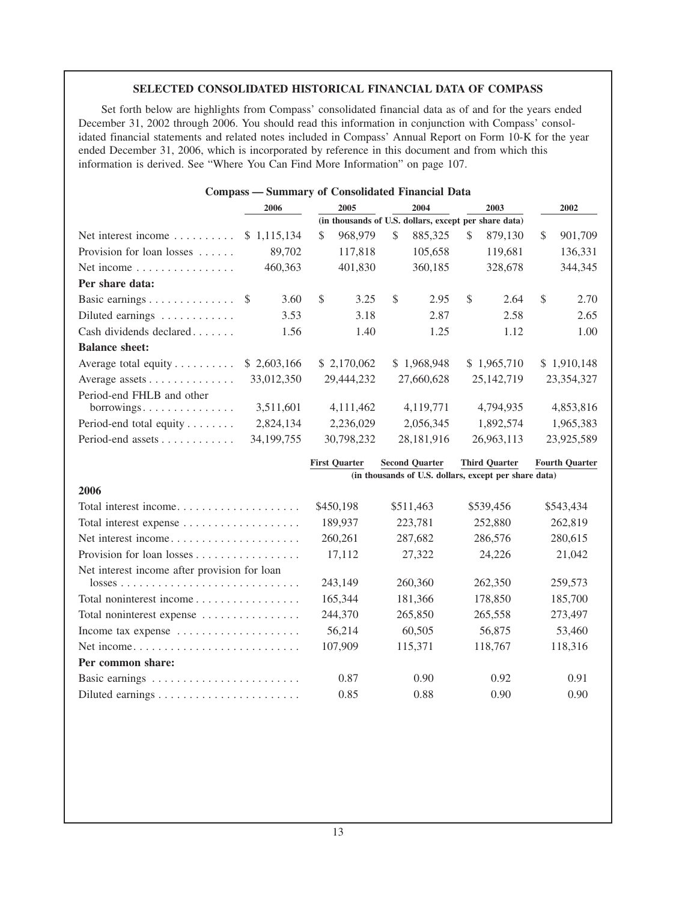# **SELECTED CONSOLIDATED HISTORICAL FINANCIAL DATA OF COMPASS**

Set forth below are highlights from Compass' consolidated financial data as of and for the years ended December 31, 2002 through 2006. You should read this information in conjunction with Compass' consolidated financial statements and related notes included in Compass' Annual Report on Form 10-K for the year ended December 31, 2006, which is incorporated by reference in this document and from which this information is derived. See "Where You Can Find More Information" on page 107.

| <b>Compass - Summary of Consolidated Financial Data</b> |              |               |                                                       |    |             |               |              |               |
|---------------------------------------------------------|--------------|---------------|-------------------------------------------------------|----|-------------|---------------|--------------|---------------|
|                                                         | 2006         |               | 2005                                                  |    | 2004        |               | 2003         | 2002          |
|                                                         |              |               | (in thousands of U.S. dollars, except per share data) |    |             |               |              |               |
| Net interest income                                     | \$1,115,134  | \$.           | 968,979                                               | \$ | 885,325     | \$            | 879,130      | \$<br>901,709 |
| Provision for loan losses                               | 89,702       |               | 117,818                                               |    | 105,658     |               | 119,681      | 136,331       |
| Net income $\dots \dots \dots \dots \dots$              | 460,363      |               | 401,830                                               |    | 360,185     |               | 328,678      | 344,345       |
| Per share data:                                         |              |               |                                                       |    |             |               |              |               |
| Basic earnings \$                                       | 3.60         | <sup>\$</sup> | 3.25                                                  | \$ | 2.95        | <sup>\$</sup> | 2.64         | \$<br>2.70    |
| Diluted earnings                                        | 3.53         |               | 3.18                                                  |    | 2.87        |               | 2.58         | 2.65          |
| Cash dividends declared                                 | 1.56         |               | 1.40                                                  |    | 1.25        |               | 1.12         | 1.00          |
| <b>Balance sheet:</b>                                   |              |               |                                                       |    |             |               |              |               |
| Average total equity $\dots \dots$                      | \$2,603,166  |               | \$2,170,062                                           |    | \$1,968,948 |               | \$1,965,710  | \$1,910,148   |
| Average assets $\dots \dots \dots \dots$                | 33,012,350   |               | 29,444,232                                            |    | 27,660,628  |               | 25, 142, 719 | 23,354,327    |
| Period-end FHLB and other                               |              |               |                                                       |    |             |               |              |               |
| borrowings                                              | 3,511,601    |               | 4,111,462                                             |    | 4,119,771   |               | 4,794,935    | 4,853,816     |
| Period-end total equity $\dots \dots$                   | 2,824,134    |               | 2,236,029                                             |    | 2,056,345   |               | 1,892,574    | 1,965,383     |
| Period-end assets                                       | 34, 199, 755 |               | 30,798,232                                            |    | 28,181,916  |               | 26,963,113   | 23,925,589    |

|                                                                         | (in thousands of U.S. dollars, except per share data) |           |           |           |  |  |
|-------------------------------------------------------------------------|-------------------------------------------------------|-----------|-----------|-----------|--|--|
| 2006                                                                    |                                                       |           |           |           |  |  |
| Total interest income                                                   | \$450,198                                             | \$511.463 | \$539,456 | \$543,434 |  |  |
| Total interest expense                                                  | 189,937                                               | 223,781   | 252,880   | 262,819   |  |  |
| Net interest income                                                     | 260,261                                               | 287,682   | 286,576   | 280,615   |  |  |
| Provision for loan losses                                               | 17,112                                                | 27,322    | 24,226    | 21,042    |  |  |
| Net interest income after provision for loan                            |                                                       |           |           |           |  |  |
| $losses \ldots \ldots \ldots \ldots \ldots \ldots \ldots \ldots \ldots$ | 243.149                                               | 260,360   | 262,350   | 259,573   |  |  |
| Total noninterest income                                                | 165,344                                               | 181,366   | 178,850   | 185,700   |  |  |
| Total noninterest expense                                               | 244,370                                               | 265,850   | 265,558   | 273,497   |  |  |
| Income tax expense $\dots \dots \dots \dots \dots \dots$                | 56.214                                                | 60.505    | 56,875    | 53,460    |  |  |
|                                                                         | 107,909                                               | 115,371   | 118,767   | 118,316   |  |  |
| Per common share:                                                       |                                                       |           |           |           |  |  |
|                                                                         | 0.87                                                  | 0.90      | 0.92      | 0.91      |  |  |
|                                                                         | 0.85                                                  | 0.88      | 0.90      | 0.90      |  |  |

**First Quarter Second Quarter Third Quarter Fourth Quarter**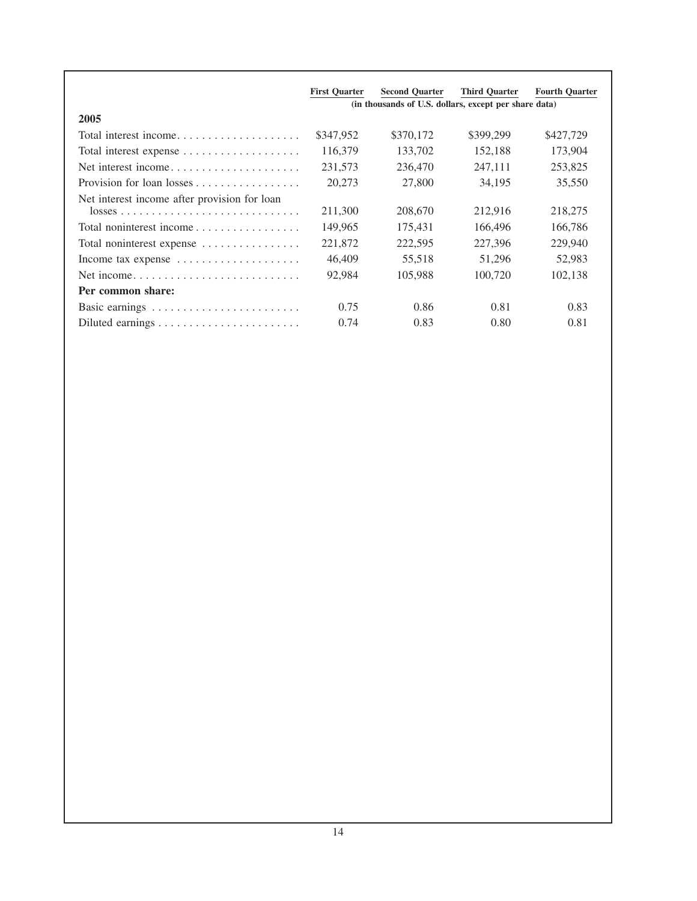|                                                                         | <b>First Quarter</b> | <b>Second Quarter</b>                                 | <b>Third Quarter</b> | <b>Fourth Quarter</b> |
|-------------------------------------------------------------------------|----------------------|-------------------------------------------------------|----------------------|-----------------------|
|                                                                         |                      | (in thousands of U.S. dollars, except per share data) |                      |                       |
| 2005                                                                    |                      |                                                       |                      |                       |
| Total interest income                                                   | \$347,952            | \$370,172                                             | \$399,299            | \$427,729             |
| Total interest expense                                                  | 116,379              | 133,702                                               | 152,188              | 173,904               |
| Net interest income                                                     | 231,573              | 236,470                                               | 247,111              | 253,825               |
|                                                                         | 20,273               | 27,800                                                | 34,195               | 35,550                |
| Net interest income after provision for loan                            |                      |                                                       |                      |                       |
| $losses \ldots \ldots \ldots \ldots \ldots \ldots \ldots \ldots \ldots$ | 211,300              | 208,670                                               | 212,916              | 218,275               |
| Total noninterest income                                                | 149,965              | 175,431                                               | 166,496              | 166,786               |
| Total noninterest expense                                               | 221,872              | 222,595                                               | 227,396              | 229,940               |
| Income tax expense $\dots \dots \dots \dots \dots \dots$                | 46,409               | 55,518                                                | 51,296               | 52,983                |
|                                                                         | 92,984               | 105,988                                               | 100,720              | 102,138               |
| Per common share:                                                       |                      |                                                       |                      |                       |
|                                                                         | 0.75                 | 0.86                                                  | 0.81                 | 0.83                  |
|                                                                         | 0.74                 | 0.83                                                  | 0.80                 | 0.81                  |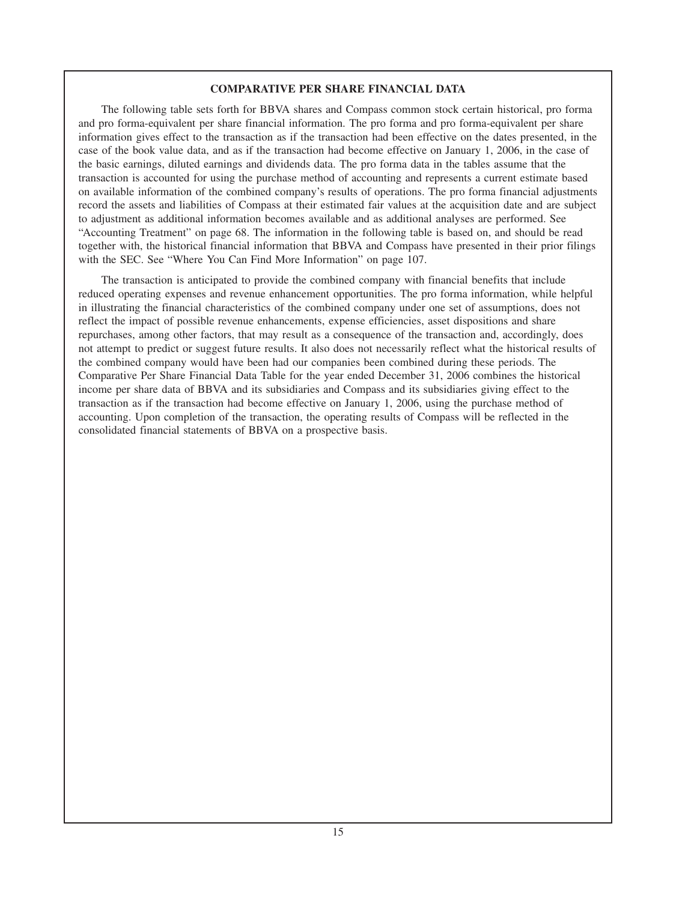### **COMPARATIVE PER SHARE FINANCIAL DATA**

The following table sets forth for BBVA shares and Compass common stock certain historical, pro forma and pro forma-equivalent per share financial information. The pro forma and pro forma-equivalent per share information gives effect to the transaction as if the transaction had been effective on the dates presented, in the case of the book value data, and as if the transaction had become effective on January 1, 2006, in the case of the basic earnings, diluted earnings and dividends data. The pro forma data in the tables assume that the transaction is accounted for using the purchase method of accounting and represents a current estimate based on available information of the combined company's results of operations. The pro forma financial adjustments record the assets and liabilities of Compass at their estimated fair values at the acquisition date and are subject to adjustment as additional information becomes available and as additional analyses are performed. See "Accounting Treatment" on page 68. The information in the following table is based on, and should be read together with, the historical financial information that BBVA and Compass have presented in their prior filings with the SEC. See "Where You Can Find More Information" on page 107.

The transaction is anticipated to provide the combined company with financial benefits that include reduced operating expenses and revenue enhancement opportunities. The pro forma information, while helpful in illustrating the financial characteristics of the combined company under one set of assumptions, does not reflect the impact of possible revenue enhancements, expense efficiencies, asset dispositions and share repurchases, among other factors, that may result as a consequence of the transaction and, accordingly, does not attempt to predict or suggest future results. It also does not necessarily reflect what the historical results of the combined company would have been had our companies been combined during these periods. The Comparative Per Share Financial Data Table for the year ended December 31, 2006 combines the historical income per share data of BBVA and its subsidiaries and Compass and its subsidiaries giving effect to the transaction as if the transaction had become effective on January 1, 2006, using the purchase method of accounting. Upon completion of the transaction, the operating results of Compass will be reflected in the consolidated financial statements of BBVA on a prospective basis.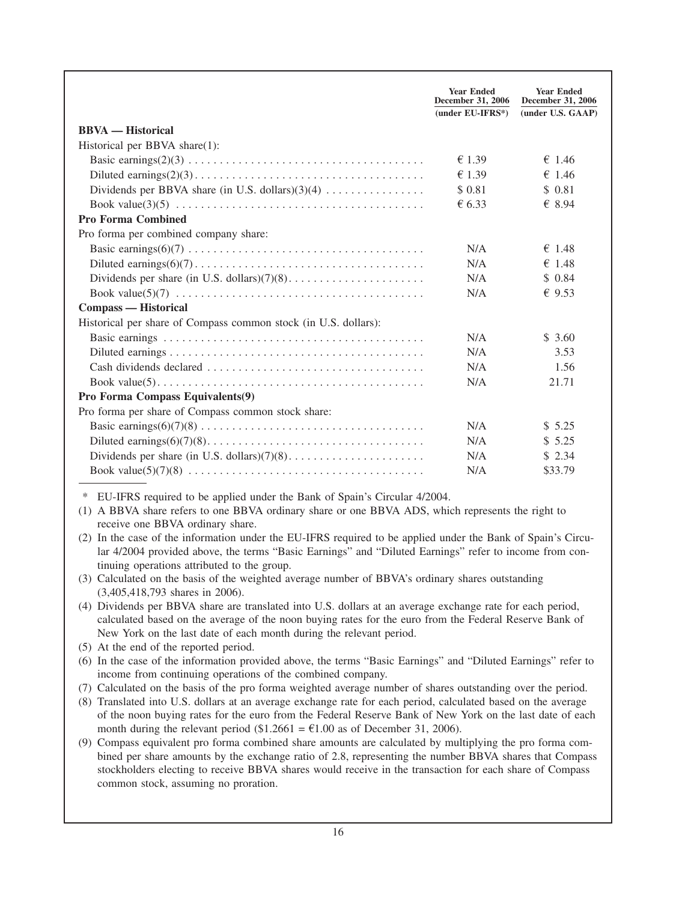|                                                                                                                                                                                                                                                                                                                                                                                                                                                                                                  | <b>Year Ended</b><br>December 31, 2006<br>(under EU-IFRS*) | <b>Year Ended</b><br>December 31, 2006<br>(under U.S. GAAP) |
|--------------------------------------------------------------------------------------------------------------------------------------------------------------------------------------------------------------------------------------------------------------------------------------------------------------------------------------------------------------------------------------------------------------------------------------------------------------------------------------------------|------------------------------------------------------------|-------------------------------------------------------------|
| <b>BBVA</b> — Historical                                                                                                                                                                                                                                                                                                                                                                                                                                                                         |                                                            |                                                             |
| Historical per BBVA share(1):                                                                                                                                                                                                                                                                                                                                                                                                                                                                    |                                                            |                                                             |
|                                                                                                                                                                                                                                                                                                                                                                                                                                                                                                  | $\epsilon$ 1.39                                            | € 1.46                                                      |
|                                                                                                                                                                                                                                                                                                                                                                                                                                                                                                  | €1.39                                                      | € 1.46                                                      |
| Dividends per BBVA share (in U.S. dollars) $(3)(4)$                                                                                                                                                                                                                                                                                                                                                                                                                                              | \$ 0.81                                                    | \$0.81                                                      |
|                                                                                                                                                                                                                                                                                                                                                                                                                                                                                                  | € 6.33                                                     | € 8.94                                                      |
| <b>Pro Forma Combined</b>                                                                                                                                                                                                                                                                                                                                                                                                                                                                        |                                                            |                                                             |
| Pro forma per combined company share:                                                                                                                                                                                                                                                                                                                                                                                                                                                            |                                                            |                                                             |
|                                                                                                                                                                                                                                                                                                                                                                                                                                                                                                  | N/A                                                        | $\epsilon$ 1.48                                             |
|                                                                                                                                                                                                                                                                                                                                                                                                                                                                                                  | N/A                                                        | \$1.48                                                      |
|                                                                                                                                                                                                                                                                                                                                                                                                                                                                                                  | N/A                                                        | \$0.84                                                      |
| Book value(5)(7) $\ldots \ldots \ldots \ldots \ldots \ldots \ldots \ldots \ldots \ldots \ldots \ldots \ldots$                                                                                                                                                                                                                                                                                                                                                                                    | N/A                                                        | \$9.53                                                      |
| <b>Compass — Historical</b>                                                                                                                                                                                                                                                                                                                                                                                                                                                                      |                                                            |                                                             |
| Historical per share of Compass common stock (in U.S. dollars):                                                                                                                                                                                                                                                                                                                                                                                                                                  |                                                            |                                                             |
|                                                                                                                                                                                                                                                                                                                                                                                                                                                                                                  | N/A                                                        | \$ 3.60                                                     |
|                                                                                                                                                                                                                                                                                                                                                                                                                                                                                                  | N/A                                                        | 3.53                                                        |
|                                                                                                                                                                                                                                                                                                                                                                                                                                                                                                  | N/A                                                        | 1.56                                                        |
|                                                                                                                                                                                                                                                                                                                                                                                                                                                                                                  | N/A                                                        | 21.71                                                       |
| Pro Forma Compass Equivalents(9)                                                                                                                                                                                                                                                                                                                                                                                                                                                                 |                                                            |                                                             |
| Pro forma per share of Compass common stock share:                                                                                                                                                                                                                                                                                                                                                                                                                                               |                                                            |                                                             |
|                                                                                                                                                                                                                                                                                                                                                                                                                                                                                                  | N/A                                                        | \$5.25                                                      |
|                                                                                                                                                                                                                                                                                                                                                                                                                                                                                                  | N/A                                                        | \$5.25                                                      |
|                                                                                                                                                                                                                                                                                                                                                                                                                                                                                                  | N/A                                                        | \$2.34                                                      |
|                                                                                                                                                                                                                                                                                                                                                                                                                                                                                                  | N/A                                                        | \$33.79                                                     |
| EU-IFRS required to be applied under the Bank of Spain's Circular 4/2004.<br>∗<br>(1) A BBVA share refers to one BBVA ordinary share or one BBVA ADS, which represents the right to<br>receive one BBVA ordinary share.<br>(2) In the case of the information under the EU-IFRS required to be applied under the Bank of Spain's Circu-<br>lar 4/2004 provided above, the terms "Basic Earnings" and "Diluted Earnings" refer to income from con-<br>tinuing operations attributed to the group. |                                                            |                                                             |
| (3) Calculated on the basis of the weighted average number of BBVA's ordinary shares outstanding<br>(3,405,418,793 shares in 2006).                                                                                                                                                                                                                                                                                                                                                              |                                                            |                                                             |
| (4) Dividends per BBVA share are translated into U.S. dollars at an average exchange rate for each period,<br>calculated based on the average of the noon buying rates for the euro from the Federal Reserve Bank of<br>New York on the last date of each month during the relevant period.                                                                                                                                                                                                      |                                                            |                                                             |

- (5) At the end of the reported period.
- (6) In the case of the information provided above, the terms "Basic Earnings" and "Diluted Earnings" refer to income from continuing operations of the combined company.
- (7) Calculated on the basis of the pro forma weighted average number of shares outstanding over the period.
- (8) Translated into U.S. dollars at an average exchange rate for each period, calculated based on the average of the noon buying rates for the euro from the Federal Reserve Bank of New York on the last date of each month during the relevant period (\$1.2661 =  $\epsilon$ 1.00 as of December 31, 2006).
- (9) Compass equivalent pro forma combined share amounts are calculated by multiplying the pro forma combined per share amounts by the exchange ratio of 2.8, representing the number BBVA shares that Compass stockholders electing to receive BBVA shares would receive in the transaction for each share of Compass common stock, assuming no proration.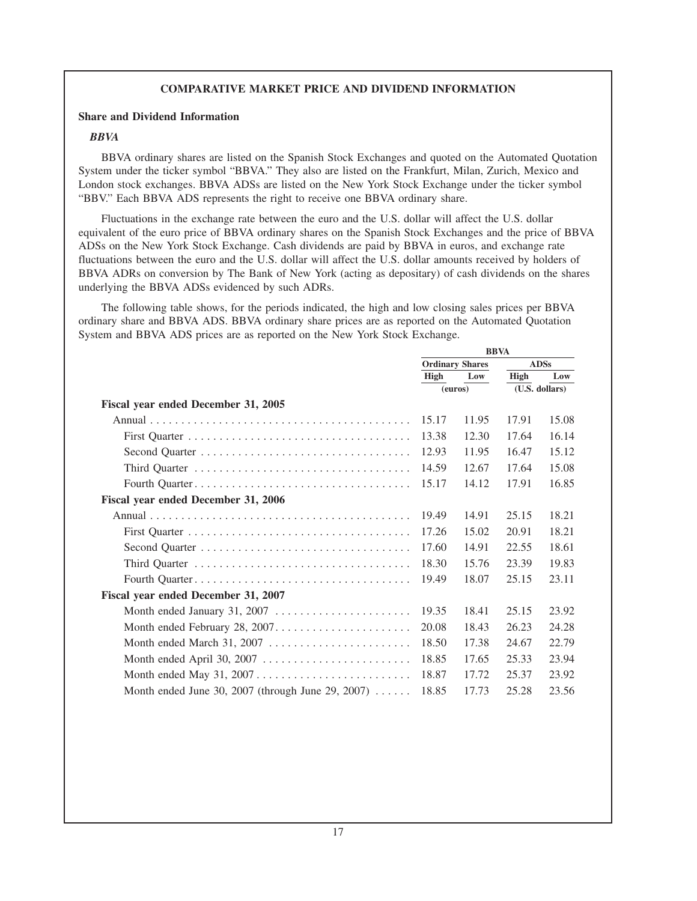# **COMPARATIVE MARKET PRICE AND DIVIDEND INFORMATION**

# **Share and Dividend Information**

# *BBVA*

BBVA ordinary shares are listed on the Spanish Stock Exchanges and quoted on the Automated Quotation System under the ticker symbol "BBVA." They also are listed on the Frankfurt, Milan, Zurich, Mexico and London stock exchanges. BBVA ADSs are listed on the New York Stock Exchange under the ticker symbol "BBV." Each BBVA ADS represents the right to receive one BBVA ordinary share.

Fluctuations in the exchange rate between the euro and the U.S. dollar will affect the U.S. dollar equivalent of the euro price of BBVA ordinary shares on the Spanish Stock Exchanges and the price of BBVA ADSs on the New York Stock Exchange. Cash dividends are paid by BBVA in euros, and exchange rate fluctuations between the euro and the U.S. dollar will affect the U.S. dollar amounts received by holders of BBVA ADRs on conversion by The Bank of New York (acting as depositary) of cash dividends on the shares underlying the BBVA ADSs evidenced by such ADRs.

The following table shows, for the periods indicated, the high and low closing sales prices per BBVA ordinary share and BBVA ADS. BBVA ordinary share prices are as reported on the Automated Quotation System and BBVA ADS prices are as reported on the New York Stock Exchange.

**BBVA**

|                                                                               | DD VA                  |       |                |             |
|-------------------------------------------------------------------------------|------------------------|-------|----------------|-------------|
|                                                                               | <b>Ordinary Shares</b> |       |                | <b>ADSs</b> |
|                                                                               | <b>High</b>            | Low   | <b>High</b>    | Low         |
|                                                                               | (euros)                |       | (U.S. dollars) |             |
| Fiscal year ended December 31, 2005                                           |                        |       |                |             |
|                                                                               | 15.17                  | 11.95 | 17.91          | 15.08       |
|                                                                               | 13.38                  | 12.30 | 17.64          | 16.14       |
|                                                                               | 12.93                  | 11.95 | 16.47          | 15.12       |
|                                                                               | 14.59                  | 12.67 | 17.64          | 15.08       |
|                                                                               | 15.17                  | 14.12 | 17.91          | 16.85       |
| Fiscal year ended December 31, 2006                                           |                        |       |                |             |
|                                                                               | 19.49                  | 14.91 | 25.15          | 18.21       |
|                                                                               | 17.26                  | 15.02 | 20.91          | 18.21       |
|                                                                               | 17.60                  | 14.91 | 22.55          | 18.61       |
|                                                                               | 18.30                  | 15.76 | 23.39          | 19.83       |
|                                                                               | 19.49                  | 18.07 | 25.15          | 23.11       |
| Fiscal year ended December 31, 2007                                           |                        |       |                |             |
| Month ended January 31, 2007                                                  | 19.35                  | 18.41 | 25.15          | 23.92       |
|                                                                               | 20.08                  | 18.43 | 26.23          | 24.28       |
|                                                                               | 18.50                  | 17.38 | 24.67          | 22.79       |
| Month ended April 30, 2007 $\ldots \ldots \ldots \ldots \ldots \ldots \ldots$ | 18.85                  | 17.65 | 25.33          | 23.94       |
|                                                                               | 18.87                  | 17.72 | 25.37          | 23.92       |
| Month ended June 30, 2007 (through June 29, 2007) $\dots$                     | 18.85                  | 17.73 | 25.28          | 23.56       |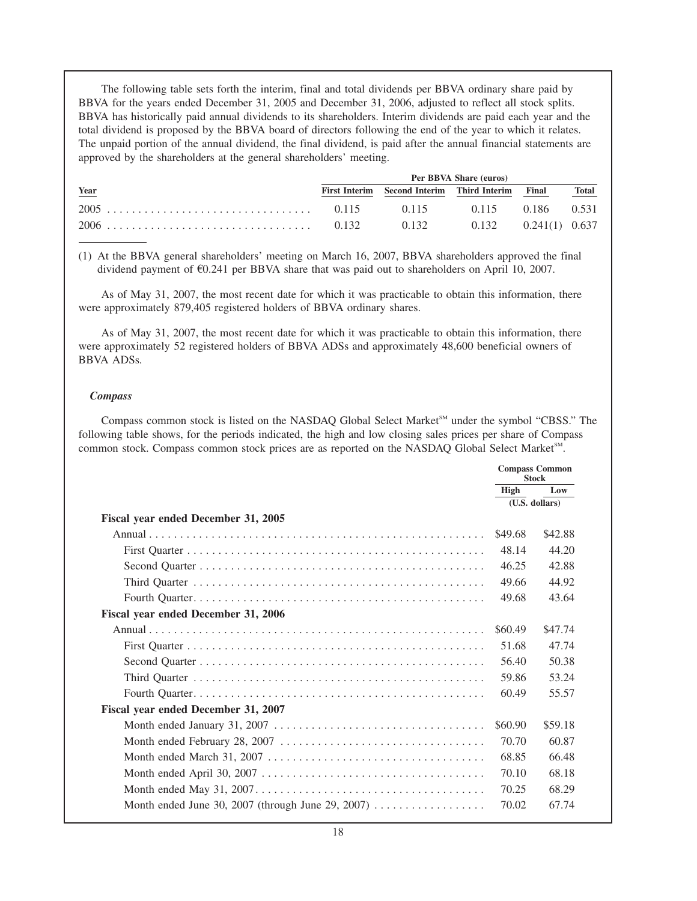The following table sets forth the interim, final and total dividends per BBVA ordinary share paid by BBVA for the years ended December 31, 2005 and December 31, 2006, adjusted to reflect all stock splits. BBVA has historically paid annual dividends to its shareholders. Interim dividends are paid each year and the total dividend is proposed by the BBVA board of directors following the end of the year to which it relates. The unpaid portion of the annual dividend, the final dividend, is paid after the annual financial statements are approved by the shareholders at the general shareholders' meeting.

|             | Per BBVA Share (euros) |                                                  |                                    |  |              |
|-------------|------------------------|--------------------------------------------------|------------------------------------|--|--------------|
| <u>Year</u> |                        | First Interim Second Interim Third Interim Final |                                    |  | <b>Total</b> |
|             |                        |                                                  | $0.115$ $0.115$ $0.186$ $0.531$    |  |              |
|             |                        |                                                  | $0.132$ $0.132$ $0.241(1)$ $0.637$ |  |              |

(1) At the BBVA general shareholders' meeting on March 16, 2007, BBVA shareholders approved the final dividend payment of  $E$ 0.241 per BBVA share that was paid out to shareholders on April 10, 2007.

As of May 31, 2007, the most recent date for which it was practicable to obtain this information, there were approximately 879,405 registered holders of BBVA ordinary shares.

As of May 31, 2007, the most recent date for which it was practicable to obtain this information, there were approximately 52 registered holders of BBVA ADSs and approximately 48,600 beneficial owners of BBVA ADSs.

### *Compass*

Compass common stock is listed on the NASDAQ Global Select Market<sup>SM</sup> under the symbol "CBSS." The following table shows, for the periods indicated, the high and low closing sales prices per share of Compass common stock. Compass common stock prices are as reported on the NASDAQ Global Select Market<sup>SM</sup>.

|                                                                                                      | <b>Compass Common</b><br><b>Stock</b> |         |
|------------------------------------------------------------------------------------------------------|---------------------------------------|---------|
|                                                                                                      | High                                  | Low     |
|                                                                                                      | (U.S. dollars)                        |         |
| Fiscal year ended December 31, 2005                                                                  |                                       |         |
|                                                                                                      | \$49.68                               | \$42.88 |
|                                                                                                      | 48.14                                 | 44.20   |
|                                                                                                      | 46.25                                 | 42.88   |
|                                                                                                      | 49.66                                 | 44.92   |
|                                                                                                      | 49.68                                 | 43.64   |
| Fiscal year ended December 31, 2006                                                                  |                                       |         |
|                                                                                                      | \$60.49                               | \$47.74 |
|                                                                                                      | 51.68                                 | 47.74   |
|                                                                                                      | 56.40                                 | 50.38   |
|                                                                                                      | 59.86                                 | 53.24   |
|                                                                                                      | 60.49                                 | 55.57   |
| Fiscal year ended December 31, 2007                                                                  |                                       |         |
| Month ended January 31, 2007 $\ldots \ldots \ldots \ldots \ldots \ldots \ldots \ldots \ldots \ldots$ | \$60.90                               | \$59.18 |
|                                                                                                      | 70.70                                 | 60.87   |
|                                                                                                      | 68.85                                 | 66.48   |
|                                                                                                      | 70.10                                 | 68.18   |
| Month ended May $31, 2007, \ldots, \ldots, \ldots, \ldots, \ldots, \ldots, \ldots, \ldots, \ldots$   | 70.25                                 | 68.29   |
| Month ended June 30, 2007 (through June 29, 2007) $\dots$                                            | 70.02                                 | 67.74   |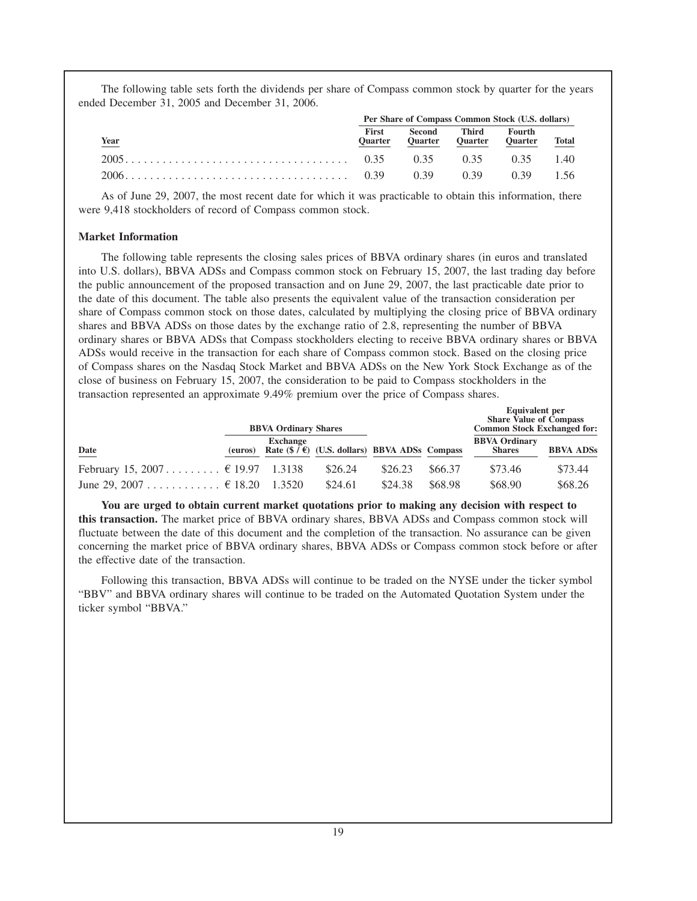The following table sets forth the dividends per share of Compass common stock by quarter for the years ended December 31, 2005 and December 31, 2006.

|                                                                                                               | Per Share of Compass Common Stock (U.S. dollars) |                                                                    |  |  |  |
|---------------------------------------------------------------------------------------------------------------|--------------------------------------------------|--------------------------------------------------------------------|--|--|--|
| <u>Year</u>                                                                                                   |                                                  | First Second Third Fourth<br>Quarter Quarter Quarter Quarter Total |  |  |  |
| $2005$ , $\ldots$ , $\ldots$ , $\ldots$ , $\ldots$ , $\ldots$ , $\ldots$ , $0.35$ $0.35$ $0.35$ $0.35$ $1.40$ |                                                  |                                                                    |  |  |  |
| 2006                                                                                                          |                                                  |                                                                    |  |  |  |

As of June 29, 2007, the most recent date for which it was practicable to obtain this information, there were 9,418 stockholders of record of Compass common stock.

### **Market Information**

The following table represents the closing sales prices of BBVA ordinary shares (in euros and translated into U.S. dollars), BBVA ADSs and Compass common stock on February 15, 2007, the last trading day before the public announcement of the proposed transaction and on June 29, 2007, the last practicable date prior to the date of this document. The table also presents the equivalent value of the transaction consideration per share of Compass common stock on those dates, calculated by multiplying the closing price of BBVA ordinary shares and BBVA ADSs on those dates by the exchange ratio of 2.8, representing the number of BBVA ordinary shares or BBVA ADSs that Compass stockholders electing to receive BBVA ordinary shares or BBVA ADSs would receive in the transaction for each share of Compass common stock. Based on the closing price of Compass shares on the Nasdaq Stock Market and BBVA ADSs on the New York Stock Exchange as of the close of business on February 15, 2007, the consideration to be paid to Compass stockholders in the transaction represented an approximate 9.49% premium over the price of Compass shares.

|                                           |         | <b>BBVA Ordinary Shares</b> |                                                                    |         |         | <b>Equivalent per</b><br><b>Share Value of Compass</b><br><b>Common Stock Exchanged for:</b> |                  |
|-------------------------------------------|---------|-----------------------------|--------------------------------------------------------------------|---------|---------|----------------------------------------------------------------------------------------------|------------------|
| Date                                      | (euros) | <b>Exchange</b>             | Rate $(\frac{6}{5}, \frac{1}{5})$ (U.S. dollars) BBVA ADSs Compass |         |         | <b>BBVA Ordinary</b><br><b>Shares</b>                                                        | <b>BBVA ADSs</b> |
| February 15, 2007 $\epsilon$ 19.97 1.3138 |         |                             | \$26.24                                                            | \$26.23 | \$66.37 | \$73.46                                                                                      | \$73.44          |
| June 29, 2007 $\in$ 18.20 1.3520          |         |                             | \$24.61                                                            | \$24.38 | \$68.98 | \$68.90                                                                                      | \$68.26          |

**You are urged to obtain current market quotations prior to making any decision with respect to this transaction.** The market price of BBVA ordinary shares, BBVA ADSs and Compass common stock will fluctuate between the date of this document and the completion of the transaction. No assurance can be given concerning the market price of BBVA ordinary shares, BBVA ADSs or Compass common stock before or after the effective date of the transaction.

Following this transaction, BBVA ADSs will continue to be traded on the NYSE under the ticker symbol "BBV" and BBVA ordinary shares will continue to be traded on the Automated Quotation System under the ticker symbol "BBVA."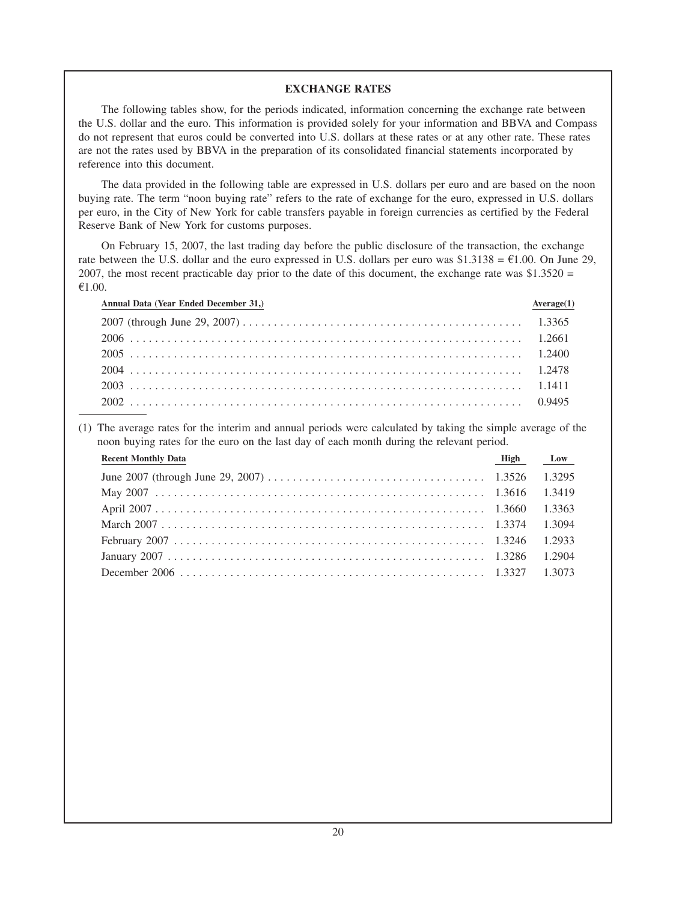### **EXCHANGE RATES**

The following tables show, for the periods indicated, information concerning the exchange rate between the U.S. dollar and the euro. This information is provided solely for your information and BBVA and Compass do not represent that euros could be converted into U.S. dollars at these rates or at any other rate. These rates are not the rates used by BBVA in the preparation of its consolidated financial statements incorporated by reference into this document.

The data provided in the following table are expressed in U.S. dollars per euro and are based on the noon buying rate. The term "noon buying rate" refers to the rate of exchange for the euro, expressed in U.S. dollars per euro, in the City of New York for cable transfers payable in foreign currencies as certified by the Federal Reserve Bank of New York for customs purposes.

On February 15, 2007, the last trading day before the public disclosure of the transaction, the exchange rate between the U.S. dollar and the euro expressed in U.S. dollars per euro was  $$1.3138 = £1.00$ . On June 29, 2007, the most recent practicable day prior to the date of this document, the exchange rate was  $$1.3520 =$  $€1.00.$ 

| Annual Data (Year Ended December 31,) | Average(1) |
|---------------------------------------|------------|
|                                       |            |
|                                       |            |
|                                       |            |
|                                       |            |
|                                       |            |
|                                       |            |

(1) The average rates for the interim and annual periods were calculated by taking the simple average of the noon buying rates for the euro on the last day of each month during the relevant period.

| <b>Recent Monthly Data</b> | High Low |  |
|----------------------------|----------|--|
|                            |          |  |
|                            |          |  |
|                            |          |  |
|                            |          |  |
|                            |          |  |
|                            |          |  |
|                            |          |  |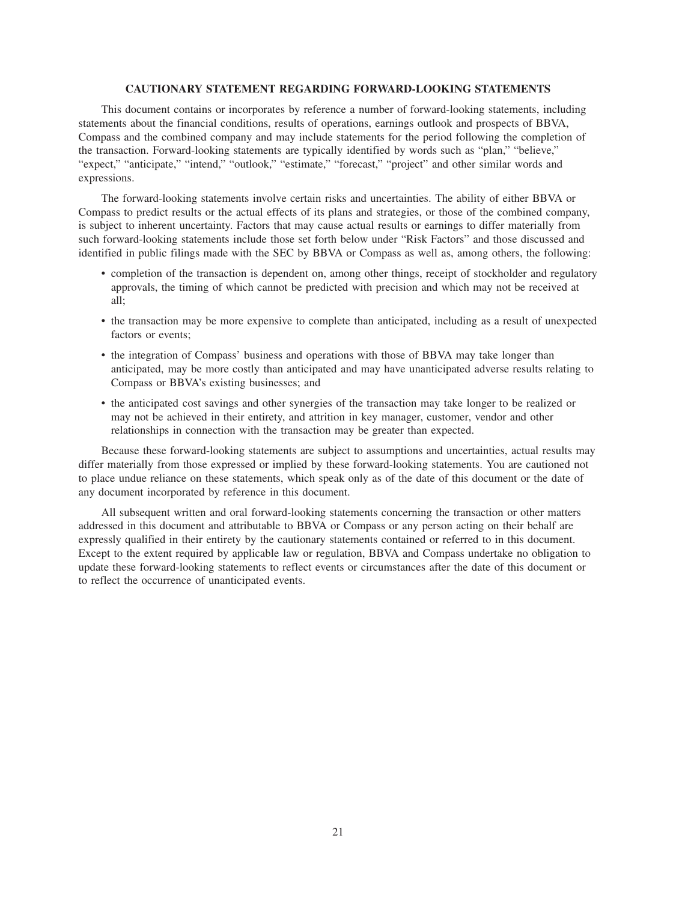#### **CAUTIONARY STATEMENT REGARDING FORWARD-LOOKING STATEMENTS**

This document contains or incorporates by reference a number of forward-looking statements, including statements about the financial conditions, results of operations, earnings outlook and prospects of BBVA, Compass and the combined company and may include statements for the period following the completion of the transaction. Forward-looking statements are typically identified by words such as "plan," "believe," "expect," "anticipate," "intend," "outlook," "estimate," "forecast," "project" and other similar words and expressions.

The forward-looking statements involve certain risks and uncertainties. The ability of either BBVA or Compass to predict results or the actual effects of its plans and strategies, or those of the combined company, is subject to inherent uncertainty. Factors that may cause actual results or earnings to differ materially from such forward-looking statements include those set forth below under "Risk Factors" and those discussed and identified in public filings made with the SEC by BBVA or Compass as well as, among others, the following:

- completion of the transaction is dependent on, among other things, receipt of stockholder and regulatory approvals, the timing of which cannot be predicted with precision and which may not be received at all;
- the transaction may be more expensive to complete than anticipated, including as a result of unexpected factors or events;
- the integration of Compass' business and operations with those of BBVA may take longer than anticipated, may be more costly than anticipated and may have unanticipated adverse results relating to Compass or BBVA's existing businesses; and
- the anticipated cost savings and other synergies of the transaction may take longer to be realized or may not be achieved in their entirety, and attrition in key manager, customer, vendor and other relationships in connection with the transaction may be greater than expected.

Because these forward-looking statements are subject to assumptions and uncertainties, actual results may differ materially from those expressed or implied by these forward-looking statements. You are cautioned not to place undue reliance on these statements, which speak only as of the date of this document or the date of any document incorporated by reference in this document.

All subsequent written and oral forward-looking statements concerning the transaction or other matters addressed in this document and attributable to BBVA or Compass or any person acting on their behalf are expressly qualified in their entirety by the cautionary statements contained or referred to in this document. Except to the extent required by applicable law or regulation, BBVA and Compass undertake no obligation to update these forward-looking statements to reflect events or circumstances after the date of this document or to reflect the occurrence of unanticipated events.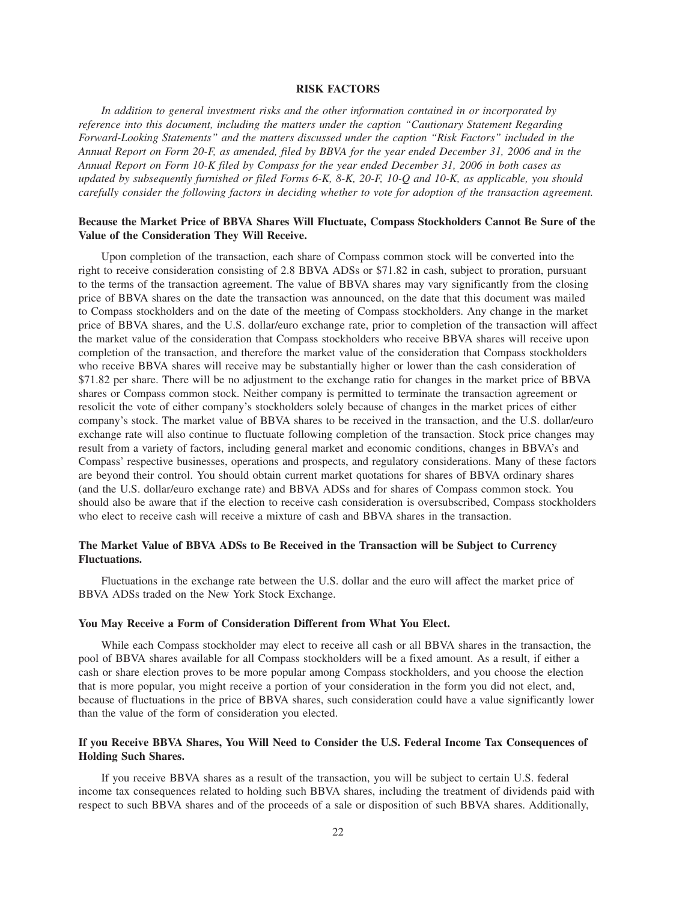#### **RISK FACTORS**

*In addition to general investment risks and the other information contained in or incorporated by reference into this document, including the matters under the caption "Cautionary Statement Regarding Forward-Looking Statements" and the matters discussed under the caption "Risk Factors" included in the Annual Report on Form 20-F, as amended, filed by BBVA for the year ended December 31, 2006 and in the Annual Report on Form 10-K filed by Compass for the year ended December 31, 2006 in both cases as updated by subsequently furnished or filed Forms 6-K, 8-K, 20-F, 10-Q and 10-K, as applicable, you should carefully consider the following factors in deciding whether to vote for adoption of the transaction agreement.*

### **Because the Market Price of BBVA Shares Will Fluctuate, Compass Stockholders Cannot Be Sure of the Value of the Consideration They Will Receive.**

Upon completion of the transaction, each share of Compass common stock will be converted into the right to receive consideration consisting of 2.8 BBVA ADSs or \$71.82 in cash, subject to proration, pursuant to the terms of the transaction agreement. The value of BBVA shares may vary significantly from the closing price of BBVA shares on the date the transaction was announced, on the date that this document was mailed to Compass stockholders and on the date of the meeting of Compass stockholders. Any change in the market price of BBVA shares, and the U.S. dollar/euro exchange rate, prior to completion of the transaction will affect the market value of the consideration that Compass stockholders who receive BBVA shares will receive upon completion of the transaction, and therefore the market value of the consideration that Compass stockholders who receive BBVA shares will receive may be substantially higher or lower than the cash consideration of \$71.82 per share. There will be no adjustment to the exchange ratio for changes in the market price of BBVA shares or Compass common stock. Neither company is permitted to terminate the transaction agreement or resolicit the vote of either company's stockholders solely because of changes in the market prices of either company's stock. The market value of BBVA shares to be received in the transaction, and the U.S. dollar/euro exchange rate will also continue to fluctuate following completion of the transaction. Stock price changes may result from a variety of factors, including general market and economic conditions, changes in BBVA's and Compass' respective businesses, operations and prospects, and regulatory considerations. Many of these factors are beyond their control. You should obtain current market quotations for shares of BBVA ordinary shares (and the U.S. dollar/euro exchange rate) and BBVA ADSs and for shares of Compass common stock. You should also be aware that if the election to receive cash consideration is oversubscribed, Compass stockholders who elect to receive cash will receive a mixture of cash and BBVA shares in the transaction.

# **The Market Value of BBVA ADSs to Be Received in the Transaction will be Subject to Currency Fluctuations.**

Fluctuations in the exchange rate between the U.S. dollar and the euro will affect the market price of BBVA ADSs traded on the New York Stock Exchange.

### **You May Receive a Form of Consideration Different from What You Elect.**

While each Compass stockholder may elect to receive all cash or all BBVA shares in the transaction, the pool of BBVA shares available for all Compass stockholders will be a fixed amount. As a result, if either a cash or share election proves to be more popular among Compass stockholders, and you choose the election that is more popular, you might receive a portion of your consideration in the form you did not elect, and, because of fluctuations in the price of BBVA shares, such consideration could have a value significantly lower than the value of the form of consideration you elected.

# **If you Receive BBVA Shares, You Will Need to Consider the U.S. Federal Income Tax Consequences of Holding Such Shares.**

If you receive BBVA shares as a result of the transaction, you will be subject to certain U.S. federal income tax consequences related to holding such BBVA shares, including the treatment of dividends paid with respect to such BBVA shares and of the proceeds of a sale or disposition of such BBVA shares. Additionally,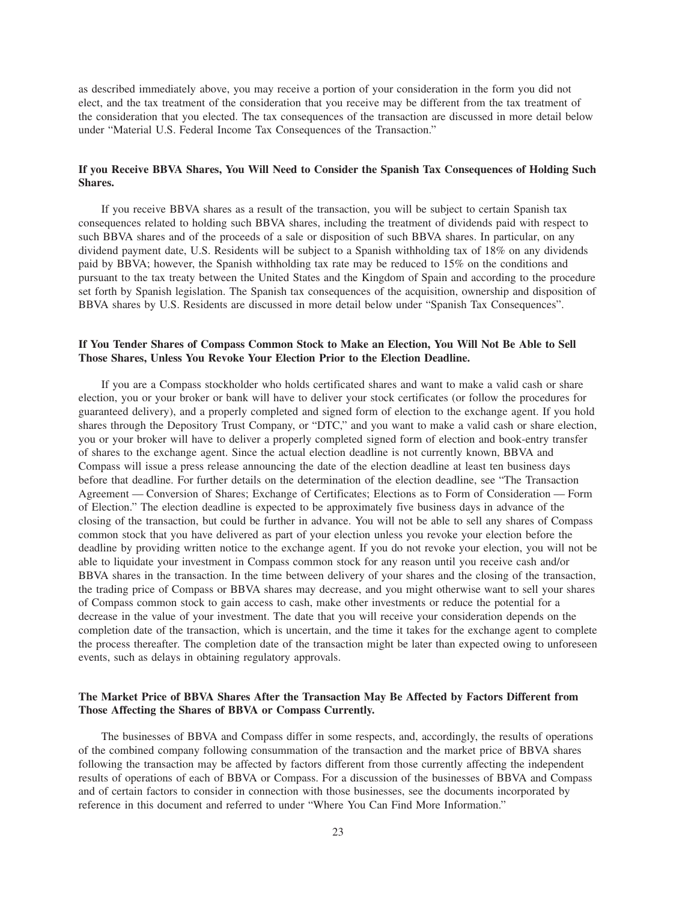as described immediately above, you may receive a portion of your consideration in the form you did not elect, and the tax treatment of the consideration that you receive may be different from the tax treatment of the consideration that you elected. The tax consequences of the transaction are discussed in more detail below under "Material U.S. Federal Income Tax Consequences of the Transaction."

# **If you Receive BBVA Shares, You Will Need to Consider the Spanish Tax Consequences of Holding Such Shares.**

If you receive BBVA shares as a result of the transaction, you will be subject to certain Spanish tax consequences related to holding such BBVA shares, including the treatment of dividends paid with respect to such BBVA shares and of the proceeds of a sale or disposition of such BBVA shares. In particular, on any dividend payment date, U.S. Residents will be subject to a Spanish withholding tax of 18% on any dividends paid by BBVA; however, the Spanish withholding tax rate may be reduced to 15% on the conditions and pursuant to the tax treaty between the United States and the Kingdom of Spain and according to the procedure set forth by Spanish legislation. The Spanish tax consequences of the acquisition, ownership and disposition of BBVA shares by U.S. Residents are discussed in more detail below under "Spanish Tax Consequences".

### **If You Tender Shares of Compass Common Stock to Make an Election, You Will Not Be Able to Sell Those Shares, Unless You Revoke Your Election Prior to the Election Deadline.**

If you are a Compass stockholder who holds certificated shares and want to make a valid cash or share election, you or your broker or bank will have to deliver your stock certificates (or follow the procedures for guaranteed delivery), and a properly completed and signed form of election to the exchange agent. If you hold shares through the Depository Trust Company, or "DTC," and you want to make a valid cash or share election, you or your broker will have to deliver a properly completed signed form of election and book-entry transfer of shares to the exchange agent. Since the actual election deadline is not currently known, BBVA and Compass will issue a press release announcing the date of the election deadline at least ten business days before that deadline. For further details on the determination of the election deadline, see "The Transaction Agreement — Conversion of Shares; Exchange of Certificates; Elections as to Form of Consideration — Form of Election." The election deadline is expected to be approximately five business days in advance of the closing of the transaction, but could be further in advance. You will not be able to sell any shares of Compass common stock that you have delivered as part of your election unless you revoke your election before the deadline by providing written notice to the exchange agent. If you do not revoke your election, you will not be able to liquidate your investment in Compass common stock for any reason until you receive cash and/or BBVA shares in the transaction. In the time between delivery of your shares and the closing of the transaction, the trading price of Compass or BBVA shares may decrease, and you might otherwise want to sell your shares of Compass common stock to gain access to cash, make other investments or reduce the potential for a decrease in the value of your investment. The date that you will receive your consideration depends on the completion date of the transaction, which is uncertain, and the time it takes for the exchange agent to complete the process thereafter. The completion date of the transaction might be later than expected owing to unforeseen events, such as delays in obtaining regulatory approvals.

# **The Market Price of BBVA Shares After the Transaction May Be Affected by Factors Different from Those Affecting the Shares of BBVA or Compass Currently.**

The businesses of BBVA and Compass differ in some respects, and, accordingly, the results of operations of the combined company following consummation of the transaction and the market price of BBVA shares following the transaction may be affected by factors different from those currently affecting the independent results of operations of each of BBVA or Compass. For a discussion of the businesses of BBVA and Compass and of certain factors to consider in connection with those businesses, see the documents incorporated by reference in this document and referred to under "Where You Can Find More Information."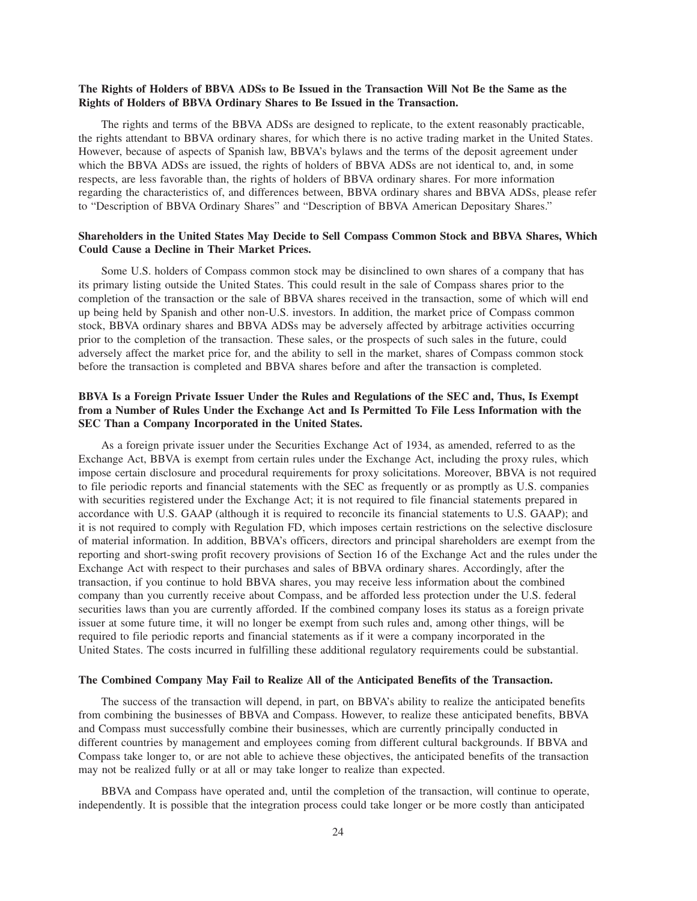### **The Rights of Holders of BBVA ADSs to Be Issued in the Transaction Will Not Be the Same as the Rights of Holders of BBVA Ordinary Shares to Be Issued in the Transaction.**

The rights and terms of the BBVA ADSs are designed to replicate, to the extent reasonably practicable, the rights attendant to BBVA ordinary shares, for which there is no active trading market in the United States. However, because of aspects of Spanish law, BBVA's bylaws and the terms of the deposit agreement under which the BBVA ADSs are issued, the rights of holders of BBVA ADSs are not identical to, and, in some respects, are less favorable than, the rights of holders of BBVA ordinary shares. For more information regarding the characteristics of, and differences between, BBVA ordinary shares and BBVA ADSs, please refer to "Description of BBVA Ordinary Shares" and "Description of BBVA American Depositary Shares."

### **Shareholders in the United States May Decide to Sell Compass Common Stock and BBVA Shares, Which Could Cause a Decline in Their Market Prices.**

Some U.S. holders of Compass common stock may be disinclined to own shares of a company that has its primary listing outside the United States. This could result in the sale of Compass shares prior to the completion of the transaction or the sale of BBVA shares received in the transaction, some of which will end up being held by Spanish and other non-U.S. investors. In addition, the market price of Compass common stock, BBVA ordinary shares and BBVA ADSs may be adversely affected by arbitrage activities occurring prior to the completion of the transaction. These sales, or the prospects of such sales in the future, could adversely affect the market price for, and the ability to sell in the market, shares of Compass common stock before the transaction is completed and BBVA shares before and after the transaction is completed.

# **BBVA Is a Foreign Private Issuer Under the Rules and Regulations of the SEC and, Thus, Is Exempt from a Number of Rules Under the Exchange Act and Is Permitted To File Less Information with the SEC Than a Company Incorporated in the United States.**

As a foreign private issuer under the Securities Exchange Act of 1934, as amended, referred to as the Exchange Act, BBVA is exempt from certain rules under the Exchange Act, including the proxy rules, which impose certain disclosure and procedural requirements for proxy solicitations. Moreover, BBVA is not required to file periodic reports and financial statements with the SEC as frequently or as promptly as U.S. companies with securities registered under the Exchange Act; it is not required to file financial statements prepared in accordance with U.S. GAAP (although it is required to reconcile its financial statements to U.S. GAAP); and it is not required to comply with Regulation FD, which imposes certain restrictions on the selective disclosure of material information. In addition, BBVA's officers, directors and principal shareholders are exempt from the reporting and short-swing profit recovery provisions of Section 16 of the Exchange Act and the rules under the Exchange Act with respect to their purchases and sales of BBVA ordinary shares. Accordingly, after the transaction, if you continue to hold BBVA shares, you may receive less information about the combined company than you currently receive about Compass, and be afforded less protection under the U.S. federal securities laws than you are currently afforded. If the combined company loses its status as a foreign private issuer at some future time, it will no longer be exempt from such rules and, among other things, will be required to file periodic reports and financial statements as if it were a company incorporated in the United States. The costs incurred in fulfilling these additional regulatory requirements could be substantial.

### **The Combined Company May Fail to Realize All of the Anticipated Benefits of the Transaction.**

The success of the transaction will depend, in part, on BBVA's ability to realize the anticipated benefits from combining the businesses of BBVA and Compass. However, to realize these anticipated benefits, BBVA and Compass must successfully combine their businesses, which are currently principally conducted in different countries by management and employees coming from different cultural backgrounds. If BBVA and Compass take longer to, or are not able to achieve these objectives, the anticipated benefits of the transaction may not be realized fully or at all or may take longer to realize than expected.

BBVA and Compass have operated and, until the completion of the transaction, will continue to operate, independently. It is possible that the integration process could take longer or be more costly than anticipated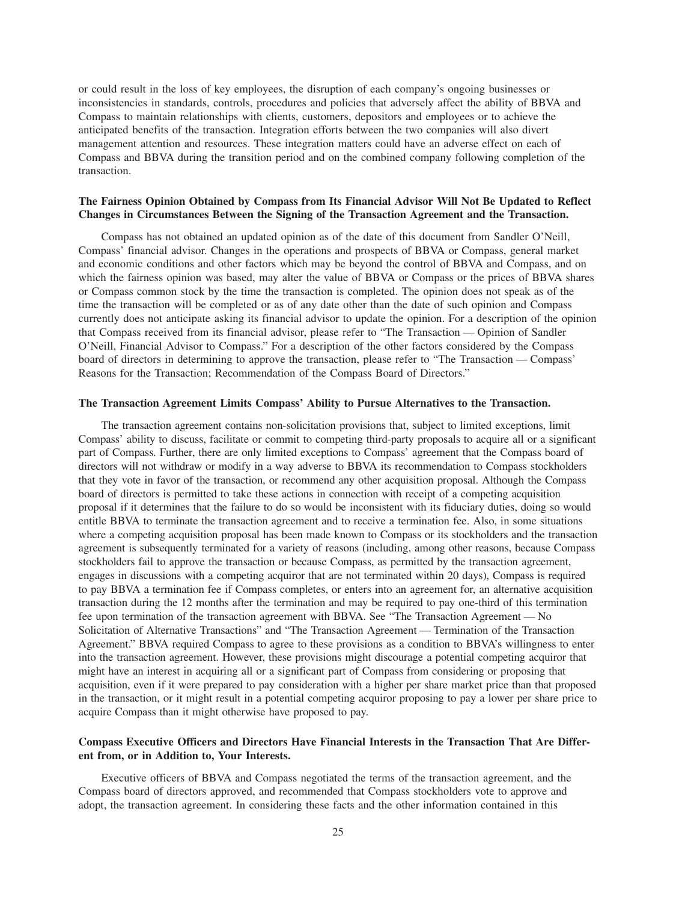or could result in the loss of key employees, the disruption of each company's ongoing businesses or inconsistencies in standards, controls, procedures and policies that adversely affect the ability of BBVA and Compass to maintain relationships with clients, customers, depositors and employees or to achieve the anticipated benefits of the transaction. Integration efforts between the two companies will also divert management attention and resources. These integration matters could have an adverse effect on each of Compass and BBVA during the transition period and on the combined company following completion of the transaction.

# **The Fairness Opinion Obtained by Compass from Its Financial Advisor Will Not Be Updated to Reflect Changes in Circumstances Between the Signing of the Transaction Agreement and the Transaction.**

Compass has not obtained an updated opinion as of the date of this document from Sandler O'Neill, Compass' financial advisor. Changes in the operations and prospects of BBVA or Compass, general market and economic conditions and other factors which may be beyond the control of BBVA and Compass, and on which the fairness opinion was based, may alter the value of BBVA or Compass or the prices of BBVA shares or Compass common stock by the time the transaction is completed. The opinion does not speak as of the time the transaction will be completed or as of any date other than the date of such opinion and Compass currently does not anticipate asking its financial advisor to update the opinion. For a description of the opinion that Compass received from its financial advisor, please refer to "The Transaction — Opinion of Sandler O'Neill, Financial Advisor to Compass." For a description of the other factors considered by the Compass board of directors in determining to approve the transaction, please refer to "The Transaction — Compass' Reasons for the Transaction; Recommendation of the Compass Board of Directors."

# **The Transaction Agreement Limits Compass' Ability to Pursue Alternatives to the Transaction.**

The transaction agreement contains non-solicitation provisions that, subject to limited exceptions, limit Compass' ability to discuss, facilitate or commit to competing third-party proposals to acquire all or a significant part of Compass. Further, there are only limited exceptions to Compass' agreement that the Compass board of directors will not withdraw or modify in a way adverse to BBVA its recommendation to Compass stockholders that they vote in favor of the transaction, or recommend any other acquisition proposal. Although the Compass board of directors is permitted to take these actions in connection with receipt of a competing acquisition proposal if it determines that the failure to do so would be inconsistent with its fiduciary duties, doing so would entitle BBVA to terminate the transaction agreement and to receive a termination fee. Also, in some situations where a competing acquisition proposal has been made known to Compass or its stockholders and the transaction agreement is subsequently terminated for a variety of reasons (including, among other reasons, because Compass stockholders fail to approve the transaction or because Compass, as permitted by the transaction agreement, engages in discussions with a competing acquiror that are not terminated within 20 days), Compass is required to pay BBVA a termination fee if Compass completes, or enters into an agreement for, an alternative acquisition transaction during the 12 months after the termination and may be required to pay one-third of this termination fee upon termination of the transaction agreement with BBVA. See "The Transaction Agreement — No Solicitation of Alternative Transactions" and "The Transaction Agreement — Termination of the Transaction Agreement." BBVA required Compass to agree to these provisions as a condition to BBVA's willingness to enter into the transaction agreement. However, these provisions might discourage a potential competing acquiror that might have an interest in acquiring all or a significant part of Compass from considering or proposing that acquisition, even if it were prepared to pay consideration with a higher per share market price than that proposed in the transaction, or it might result in a potential competing acquiror proposing to pay a lower per share price to acquire Compass than it might otherwise have proposed to pay.

# **Compass Executive Officers and Directors Have Financial Interests in the Transaction That Are Different from, or in Addition to, Your Interests.**

Executive officers of BBVA and Compass negotiated the terms of the transaction agreement, and the Compass board of directors approved, and recommended that Compass stockholders vote to approve and adopt, the transaction agreement. In considering these facts and the other information contained in this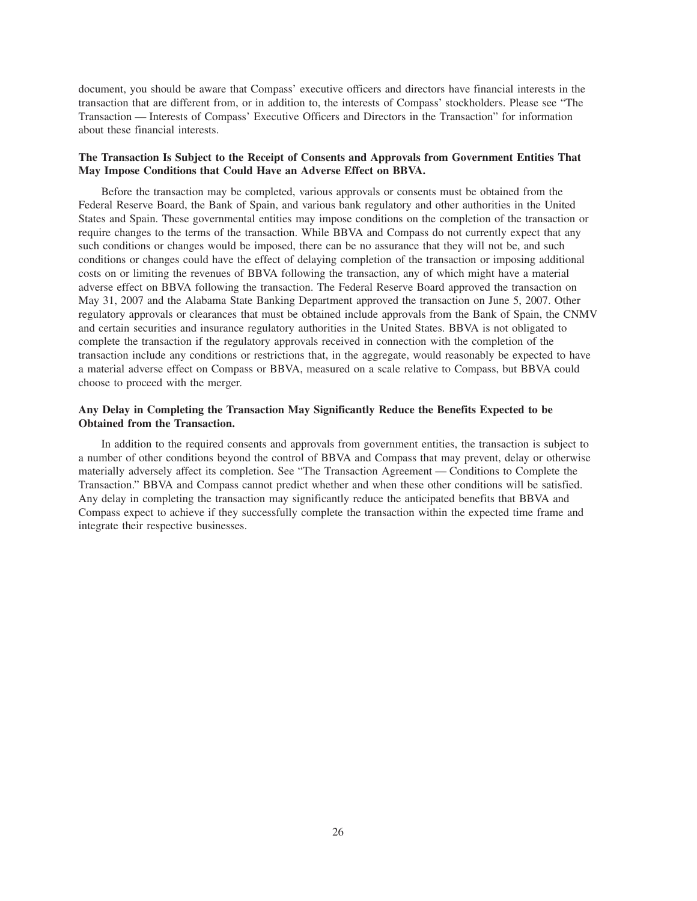document, you should be aware that Compass' executive officers and directors have financial interests in the transaction that are different from, or in addition to, the interests of Compass' stockholders. Please see "The Transaction — Interests of Compass' Executive Officers and Directors in the Transaction" for information about these financial interests.

# **The Transaction Is Subject to the Receipt of Consents and Approvals from Government Entities That May Impose Conditions that Could Have an Adverse Effect on BBVA.**

Before the transaction may be completed, various approvals or consents must be obtained from the Federal Reserve Board, the Bank of Spain, and various bank regulatory and other authorities in the United States and Spain. These governmental entities may impose conditions on the completion of the transaction or require changes to the terms of the transaction. While BBVA and Compass do not currently expect that any such conditions or changes would be imposed, there can be no assurance that they will not be, and such conditions or changes could have the effect of delaying completion of the transaction or imposing additional costs on or limiting the revenues of BBVA following the transaction, any of which might have a material adverse effect on BBVA following the transaction. The Federal Reserve Board approved the transaction on May 31, 2007 and the Alabama State Banking Department approved the transaction on June 5, 2007. Other regulatory approvals or clearances that must be obtained include approvals from the Bank of Spain, the CNMV and certain securities and insurance regulatory authorities in the United States. BBVA is not obligated to complete the transaction if the regulatory approvals received in connection with the completion of the transaction include any conditions or restrictions that, in the aggregate, would reasonably be expected to have a material adverse effect on Compass or BBVA, measured on a scale relative to Compass, but BBVA could choose to proceed with the merger.

### **Any Delay in Completing the Transaction May Significantly Reduce the Benefits Expected to be Obtained from the Transaction.**

In addition to the required consents and approvals from government entities, the transaction is subject to a number of other conditions beyond the control of BBVA and Compass that may prevent, delay or otherwise materially adversely affect its completion. See "The Transaction Agreement — Conditions to Complete the Transaction." BBVA and Compass cannot predict whether and when these other conditions will be satisfied. Any delay in completing the transaction may significantly reduce the anticipated benefits that BBVA and Compass expect to achieve if they successfully complete the transaction within the expected time frame and integrate their respective businesses.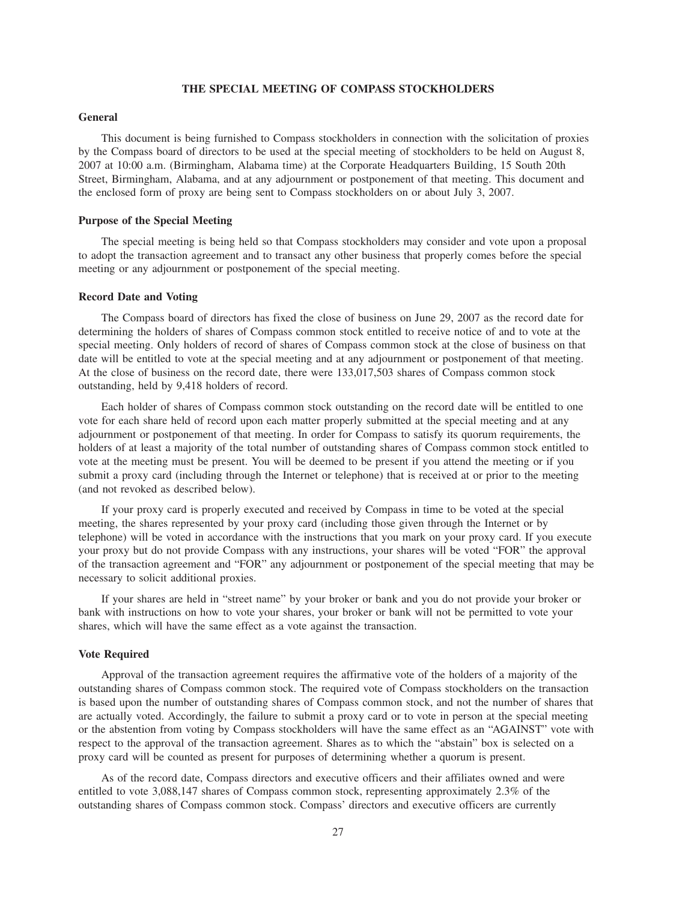### **THE SPECIAL MEETING OF COMPASS STOCKHOLDERS**

### **General**

This document is being furnished to Compass stockholders in connection with the solicitation of proxies by the Compass board of directors to be used at the special meeting of stockholders to be held on August 8, 2007 at 10:00 a.m. (Birmingham, Alabama time) at the Corporate Headquarters Building, 15 South 20th Street, Birmingham, Alabama, and at any adjournment or postponement of that meeting. This document and the enclosed form of proxy are being sent to Compass stockholders on or about July 3, 2007.

#### **Purpose of the Special Meeting**

The special meeting is being held so that Compass stockholders may consider and vote upon a proposal to adopt the transaction agreement and to transact any other business that properly comes before the special meeting or any adjournment or postponement of the special meeting.

#### **Record Date and Voting**

The Compass board of directors has fixed the close of business on June 29, 2007 as the record date for determining the holders of shares of Compass common stock entitled to receive notice of and to vote at the special meeting. Only holders of record of shares of Compass common stock at the close of business on that date will be entitled to vote at the special meeting and at any adjournment or postponement of that meeting. At the close of business on the record date, there were 133,017,503 shares of Compass common stock outstanding, held by 9,418 holders of record.

Each holder of shares of Compass common stock outstanding on the record date will be entitled to one vote for each share held of record upon each matter properly submitted at the special meeting and at any adjournment or postponement of that meeting. In order for Compass to satisfy its quorum requirements, the holders of at least a majority of the total number of outstanding shares of Compass common stock entitled to vote at the meeting must be present. You will be deemed to be present if you attend the meeting or if you submit a proxy card (including through the Internet or telephone) that is received at or prior to the meeting (and not revoked as described below).

If your proxy card is properly executed and received by Compass in time to be voted at the special meeting, the shares represented by your proxy card (including those given through the Internet or by telephone) will be voted in accordance with the instructions that you mark on your proxy card. If you execute your proxy but do not provide Compass with any instructions, your shares will be voted "FOR" the approval of the transaction agreement and "FOR" any adjournment or postponement of the special meeting that may be necessary to solicit additional proxies.

If your shares are held in "street name" by your broker or bank and you do not provide your broker or bank with instructions on how to vote your shares, your broker or bank will not be permitted to vote your shares, which will have the same effect as a vote against the transaction.

#### **Vote Required**

Approval of the transaction agreement requires the affirmative vote of the holders of a majority of the outstanding shares of Compass common stock. The required vote of Compass stockholders on the transaction is based upon the number of outstanding shares of Compass common stock, and not the number of shares that are actually voted. Accordingly, the failure to submit a proxy card or to vote in person at the special meeting or the abstention from voting by Compass stockholders will have the same effect as an "AGAINST" vote with respect to the approval of the transaction agreement. Shares as to which the "abstain" box is selected on a proxy card will be counted as present for purposes of determining whether a quorum is present.

As of the record date, Compass directors and executive officers and their affiliates owned and were entitled to vote 3,088,147 shares of Compass common stock, representing approximately 2.3% of the outstanding shares of Compass common stock. Compass' directors and executive officers are currently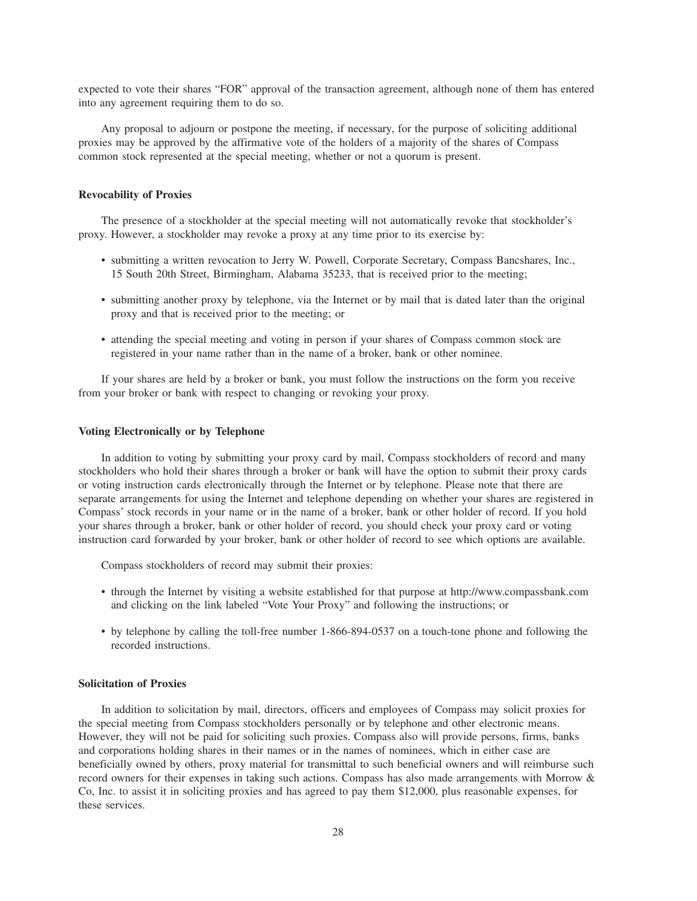expected to vote their shares "FOR" approval of the transaction agreement, although none of them has entered into any agreement requiring them to do so.

Any proposal to adjourn or postpone the meeting, if necessary, for the purpose of soliciting additional proxies may be approved by the affirmative vote of the holders of a majority of the shares of Compass common stock represented at the special meeting, whether or not a quorum is present.

## **Revocability of Proxies**

The presence of a stockholder at the special meeting will not automatically revoke that stockholder's proxy. However, a stockholder may revoke a proxy at any time prior to its exercise by:

- submitting a written revocation to Jerry W. Powell, Corporate Secretary, Compass Bancshares, Inc., 15 South 20th Street, Birmingham, Alabama 35233, that is received prior to the meeting;
- submitting another proxy by telephone, via the Internet or by mail that is dated later than the original proxy and that is received prior to the meeting; or
- attending the special meeting and voting in person if your shares of Compass common stock are registered in your name rather than in the name of a broker, bank or other nominee.

If your shares are held by a broker or bank, you must follow the instructions on the form you receive from your broker or bank with respect to changing or revoking your proxy.

## **Voting Electronically or by Telephone**

In addition to voting by submitting your proxy card by mail, Compass stockholders of record and many stockholders who hold their shares through a broker or bank will have the option to submit their proxy cards or voting instruction cards electronically through the Internet or by telephone. Please note that there are separate arrangements for using the Internet and telephone depending on whether your shares are registered in Compass' stock records in your name or in the name of a broker, bank or other holder of record. If you hold your shares through a broker, bank or other holder of record, you should check your proxy card or voting instruction card forwarded by your broker, bank or other holder of record to see which options are available.

Compass stockholders of record may submit their proxies:

- through the Internet by visiting a website established for that purpose at http://www.compassbank.com and clicking on the link labeled "Vote Your Proxy" and following the instructions; or
- by telephone by calling the toll-free number 1-866-894-0537 on a touch-tone phone and following the recorded instructions.

# **Solicitation of Proxies**

In addition to solicitation by mail, directors, officers and employees of Compass may solicit proxies for the special meeting from Compass stockholders personally or by telephone and other electronic means. However, they will not be paid for soliciting such proxies. Compass also will provide persons, firms, banks and corporations holding shares in their names or in the names of nominees, which in either case are beneficially owned by others, proxy material for transmittal to such beneficial owners and will reimburse such record owners for their expenses in taking such actions. Compass has also made arrangements with Morrow & Co, Inc. to assist it in soliciting proxies and has agreed to pay them \$12,000, plus reasonable expenses, for these services.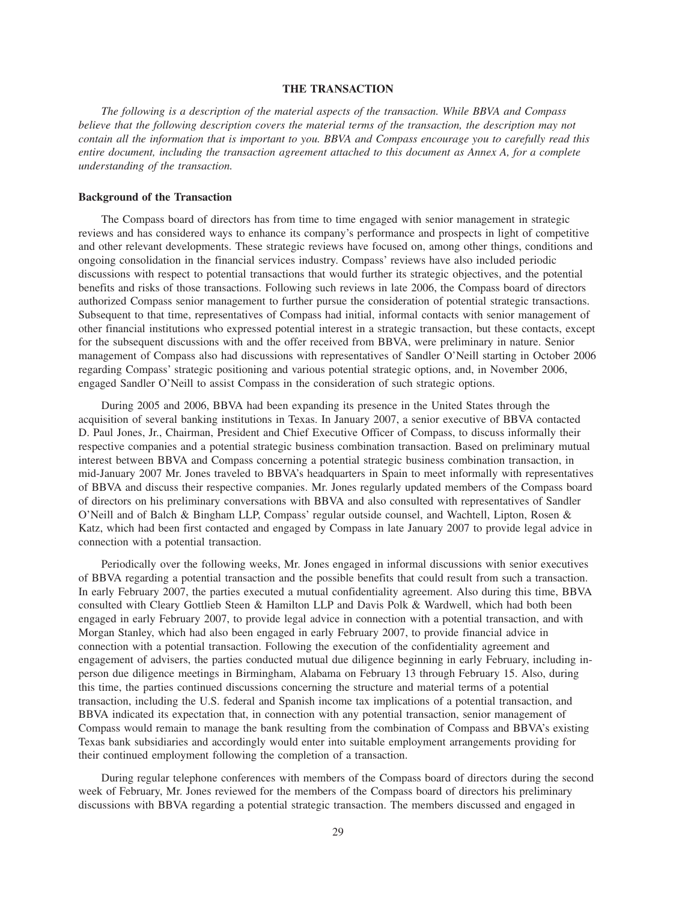## **THE TRANSACTION**

*The following is a description of the material aspects of the transaction. While BBVA and Compass believe that the following description covers the material terms of the transaction, the description may not contain all the information that is important to you. BBVA and Compass encourage you to carefully read this entire document, including the transaction agreement attached to this document as Annex A, for a complete understanding of the transaction.*

# **Background of the Transaction**

The Compass board of directors has from time to time engaged with senior management in strategic reviews and has considered ways to enhance its company's performance and prospects in light of competitive and other relevant developments. These strategic reviews have focused on, among other things, conditions and ongoing consolidation in the financial services industry. Compass' reviews have also included periodic discussions with respect to potential transactions that would further its strategic objectives, and the potential benefits and risks of those transactions. Following such reviews in late 2006, the Compass board of directors authorized Compass senior management to further pursue the consideration of potential strategic transactions. Subsequent to that time, representatives of Compass had initial, informal contacts with senior management of other financial institutions who expressed potential interest in a strategic transaction, but these contacts, except for the subsequent discussions with and the offer received from BBVA, were preliminary in nature. Senior management of Compass also had discussions with representatives of Sandler O'Neill starting in October 2006 regarding Compass' strategic positioning and various potential strategic options, and, in November 2006, engaged Sandler O'Neill to assist Compass in the consideration of such strategic options.

During 2005 and 2006, BBVA had been expanding its presence in the United States through the acquisition of several banking institutions in Texas. In January 2007, a senior executive of BBVA contacted D. Paul Jones, Jr., Chairman, President and Chief Executive Officer of Compass, to discuss informally their respective companies and a potential strategic business combination transaction. Based on preliminary mutual interest between BBVA and Compass concerning a potential strategic business combination transaction, in mid-January 2007 Mr. Jones traveled to BBVA's headquarters in Spain to meet informally with representatives of BBVA and discuss their respective companies. Mr. Jones regularly updated members of the Compass board of directors on his preliminary conversations with BBVA and also consulted with representatives of Sandler O'Neill and of Balch & Bingham LLP, Compass' regular outside counsel, and Wachtell, Lipton, Rosen & Katz, which had been first contacted and engaged by Compass in late January 2007 to provide legal advice in connection with a potential transaction.

Periodically over the following weeks, Mr. Jones engaged in informal discussions with senior executives of BBVA regarding a potential transaction and the possible benefits that could result from such a transaction. In early February 2007, the parties executed a mutual confidentiality agreement. Also during this time, BBVA consulted with Cleary Gottlieb Steen & Hamilton LLP and Davis Polk & Wardwell, which had both been engaged in early February 2007, to provide legal advice in connection with a potential transaction, and with Morgan Stanley, which had also been engaged in early February 2007, to provide financial advice in connection with a potential transaction. Following the execution of the confidentiality agreement and engagement of advisers, the parties conducted mutual due diligence beginning in early February, including inperson due diligence meetings in Birmingham, Alabama on February 13 through February 15. Also, during this time, the parties continued discussions concerning the structure and material terms of a potential transaction, including the U.S. federal and Spanish income tax implications of a potential transaction, and BBVA indicated its expectation that, in connection with any potential transaction, senior management of Compass would remain to manage the bank resulting from the combination of Compass and BBVA's existing Texas bank subsidiaries and accordingly would enter into suitable employment arrangements providing for their continued employment following the completion of a transaction.

During regular telephone conferences with members of the Compass board of directors during the second week of February, Mr. Jones reviewed for the members of the Compass board of directors his preliminary discussions with BBVA regarding a potential strategic transaction. The members discussed and engaged in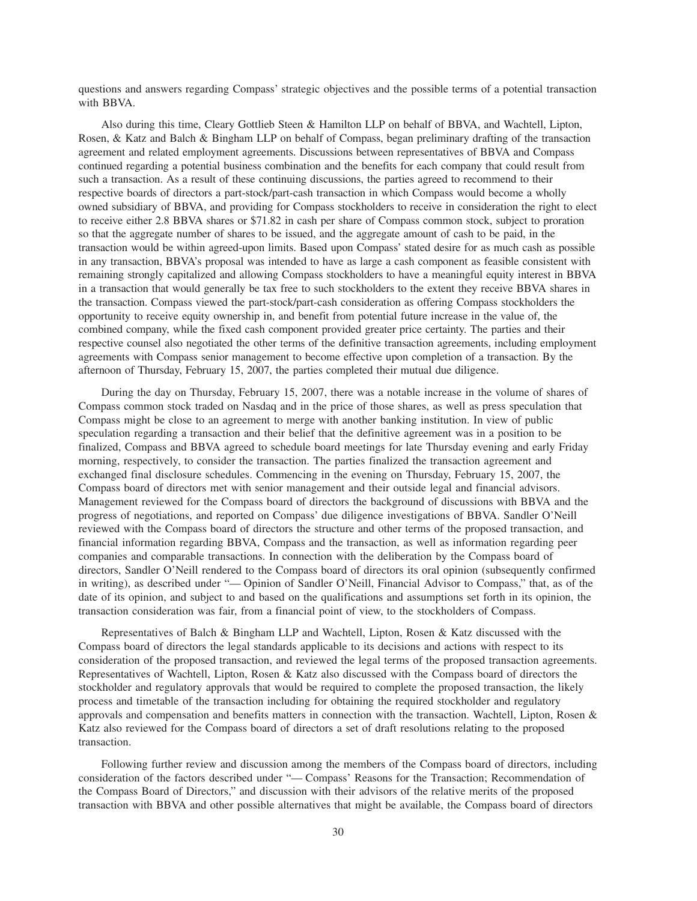questions and answers regarding Compass' strategic objectives and the possible terms of a potential transaction with BBVA.

Also during this time, Cleary Gottlieb Steen & Hamilton LLP on behalf of BBVA, and Wachtell, Lipton, Rosen, & Katz and Balch & Bingham LLP on behalf of Compass, began preliminary drafting of the transaction agreement and related employment agreements. Discussions between representatives of BBVA and Compass continued regarding a potential business combination and the benefits for each company that could result from such a transaction. As a result of these continuing discussions, the parties agreed to recommend to their respective boards of directors a part-stock/part-cash transaction in which Compass would become a wholly owned subsidiary of BBVA, and providing for Compass stockholders to receive in consideration the right to elect to receive either 2.8 BBVA shares or \$71.82 in cash per share of Compass common stock, subject to proration so that the aggregate number of shares to be issued, and the aggregate amount of cash to be paid, in the transaction would be within agreed-upon limits. Based upon Compass' stated desire for as much cash as possible in any transaction, BBVA's proposal was intended to have as large a cash component as feasible consistent with remaining strongly capitalized and allowing Compass stockholders to have a meaningful equity interest in BBVA in a transaction that would generally be tax free to such stockholders to the extent they receive BBVA shares in the transaction. Compass viewed the part-stock/part-cash consideration as offering Compass stockholders the opportunity to receive equity ownership in, and benefit from potential future increase in the value of, the combined company, while the fixed cash component provided greater price certainty. The parties and their respective counsel also negotiated the other terms of the definitive transaction agreements, including employment agreements with Compass senior management to become effective upon completion of a transaction. By the afternoon of Thursday, February 15, 2007, the parties completed their mutual due diligence.

During the day on Thursday, February 15, 2007, there was a notable increase in the volume of shares of Compass common stock traded on Nasdaq and in the price of those shares, as well as press speculation that Compass might be close to an agreement to merge with another banking institution. In view of public speculation regarding a transaction and their belief that the definitive agreement was in a position to be finalized, Compass and BBVA agreed to schedule board meetings for late Thursday evening and early Friday morning, respectively, to consider the transaction. The parties finalized the transaction agreement and exchanged final disclosure schedules. Commencing in the evening on Thursday, February 15, 2007, the Compass board of directors met with senior management and their outside legal and financial advisors. Management reviewed for the Compass board of directors the background of discussions with BBVA and the progress of negotiations, and reported on Compass' due diligence investigations of BBVA. Sandler O'Neill reviewed with the Compass board of directors the structure and other terms of the proposed transaction, and financial information regarding BBVA, Compass and the transaction, as well as information regarding peer companies and comparable transactions. In connection with the deliberation by the Compass board of directors, Sandler O'Neill rendered to the Compass board of directors its oral opinion (subsequently confirmed in writing), as described under "— Opinion of Sandler O'Neill, Financial Advisor to Compass," that, as of the date of its opinion, and subject to and based on the qualifications and assumptions set forth in its opinion, the transaction consideration was fair, from a financial point of view, to the stockholders of Compass.

Representatives of Balch & Bingham LLP and Wachtell, Lipton, Rosen & Katz discussed with the Compass board of directors the legal standards applicable to its decisions and actions with respect to its consideration of the proposed transaction, and reviewed the legal terms of the proposed transaction agreements. Representatives of Wachtell, Lipton, Rosen & Katz also discussed with the Compass board of directors the stockholder and regulatory approvals that would be required to complete the proposed transaction, the likely process and timetable of the transaction including for obtaining the required stockholder and regulatory approvals and compensation and benefits matters in connection with the transaction. Wachtell, Lipton, Rosen & Katz also reviewed for the Compass board of directors a set of draft resolutions relating to the proposed transaction.

Following further review and discussion among the members of the Compass board of directors, including consideration of the factors described under "— Compass' Reasons for the Transaction; Recommendation of the Compass Board of Directors," and discussion with their advisors of the relative merits of the proposed transaction with BBVA and other possible alternatives that might be available, the Compass board of directors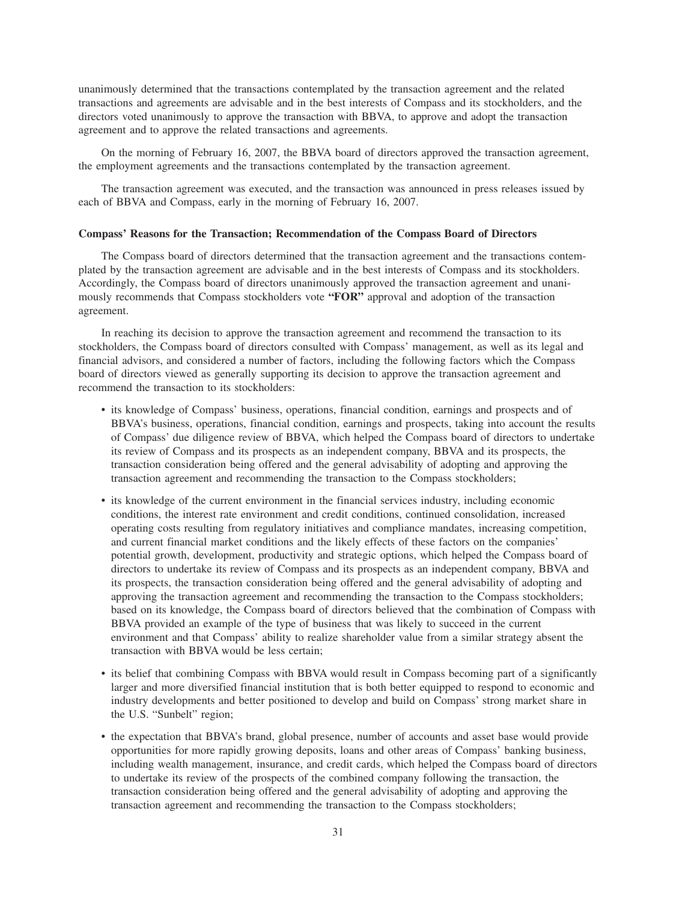unanimously determined that the transactions contemplated by the transaction agreement and the related transactions and agreements are advisable and in the best interests of Compass and its stockholders, and the directors voted unanimously to approve the transaction with BBVA, to approve and adopt the transaction agreement and to approve the related transactions and agreements.

On the morning of February 16, 2007, the BBVA board of directors approved the transaction agreement, the employment agreements and the transactions contemplated by the transaction agreement.

The transaction agreement was executed, and the transaction was announced in press releases issued by each of BBVA and Compass, early in the morning of February 16, 2007.

#### **Compass' Reasons for the Transaction; Recommendation of the Compass Board of Directors**

The Compass board of directors determined that the transaction agreement and the transactions contemplated by the transaction agreement are advisable and in the best interests of Compass and its stockholders. Accordingly, the Compass board of directors unanimously approved the transaction agreement and unanimously recommends that Compass stockholders vote **"FOR"** approval and adoption of the transaction agreement.

In reaching its decision to approve the transaction agreement and recommend the transaction to its stockholders, the Compass board of directors consulted with Compass' management, as well as its legal and financial advisors, and considered a number of factors, including the following factors which the Compass board of directors viewed as generally supporting its decision to approve the transaction agreement and recommend the transaction to its stockholders:

- its knowledge of Compass' business, operations, financial condition, earnings and prospects and of BBVA's business, operations, financial condition, earnings and prospects, taking into account the results of Compass' due diligence review of BBVA, which helped the Compass board of directors to undertake its review of Compass and its prospects as an independent company, BBVA and its prospects, the transaction consideration being offered and the general advisability of adopting and approving the transaction agreement and recommending the transaction to the Compass stockholders;
- its knowledge of the current environment in the financial services industry, including economic conditions, the interest rate environment and credit conditions, continued consolidation, increased operating costs resulting from regulatory initiatives and compliance mandates, increasing competition, and current financial market conditions and the likely effects of these factors on the companies' potential growth, development, productivity and strategic options, which helped the Compass board of directors to undertake its review of Compass and its prospects as an independent company, BBVA and its prospects, the transaction consideration being offered and the general advisability of adopting and approving the transaction agreement and recommending the transaction to the Compass stockholders; based on its knowledge, the Compass board of directors believed that the combination of Compass with BBVA provided an example of the type of business that was likely to succeed in the current environment and that Compass' ability to realize shareholder value from a similar strategy absent the transaction with BBVA would be less certain;
- its belief that combining Compass with BBVA would result in Compass becoming part of a significantly larger and more diversified financial institution that is both better equipped to respond to economic and industry developments and better positioned to develop and build on Compass' strong market share in the U.S. "Sunbelt" region;
- the expectation that BBVA's brand, global presence, number of accounts and asset base would provide opportunities for more rapidly growing deposits, loans and other areas of Compass' banking business, including wealth management, insurance, and credit cards, which helped the Compass board of directors to undertake its review of the prospects of the combined company following the transaction, the transaction consideration being offered and the general advisability of adopting and approving the transaction agreement and recommending the transaction to the Compass stockholders;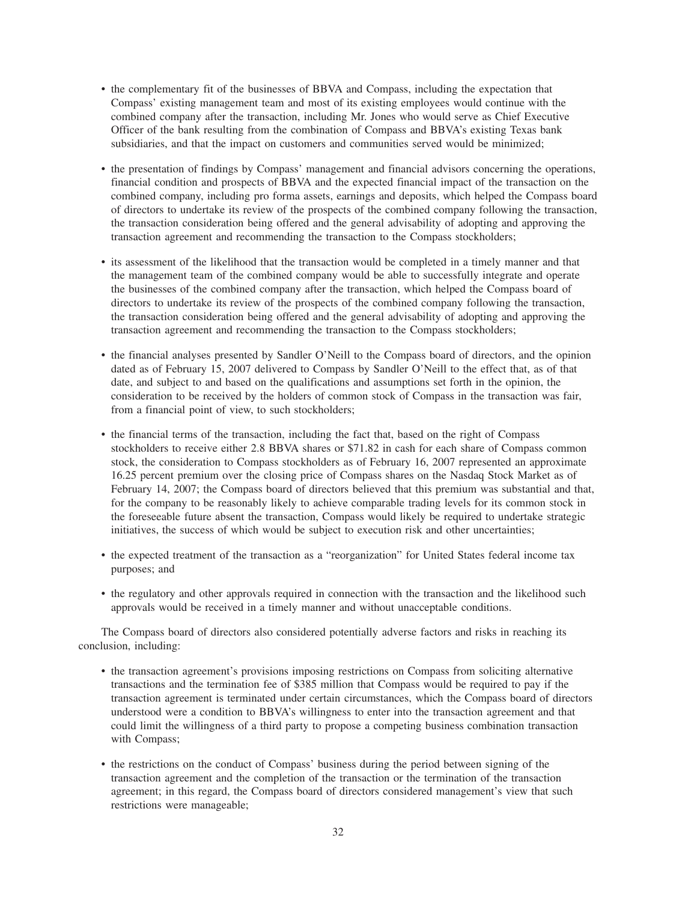- the complementary fit of the businesses of BBVA and Compass, including the expectation that Compass' existing management team and most of its existing employees would continue with the combined company after the transaction, including Mr. Jones who would serve as Chief Executive Officer of the bank resulting from the combination of Compass and BBVA's existing Texas bank subsidiaries, and that the impact on customers and communities served would be minimized;
- the presentation of findings by Compass' management and financial advisors concerning the operations, financial condition and prospects of BBVA and the expected financial impact of the transaction on the combined company, including pro forma assets, earnings and deposits, which helped the Compass board of directors to undertake its review of the prospects of the combined company following the transaction, the transaction consideration being offered and the general advisability of adopting and approving the transaction agreement and recommending the transaction to the Compass stockholders;
- its assessment of the likelihood that the transaction would be completed in a timely manner and that the management team of the combined company would be able to successfully integrate and operate the businesses of the combined company after the transaction, which helped the Compass board of directors to undertake its review of the prospects of the combined company following the transaction, the transaction consideration being offered and the general advisability of adopting and approving the transaction agreement and recommending the transaction to the Compass stockholders;
- the financial analyses presented by Sandler O'Neill to the Compass board of directors, and the opinion dated as of February 15, 2007 delivered to Compass by Sandler O'Neill to the effect that, as of that date, and subject to and based on the qualifications and assumptions set forth in the opinion, the consideration to be received by the holders of common stock of Compass in the transaction was fair, from a financial point of view, to such stockholders;
- the financial terms of the transaction, including the fact that, based on the right of Compass stockholders to receive either 2.8 BBVA shares or \$71.82 in cash for each share of Compass common stock, the consideration to Compass stockholders as of February 16, 2007 represented an approximate 16.25 percent premium over the closing price of Compass shares on the Nasdaq Stock Market as of February 14, 2007; the Compass board of directors believed that this premium was substantial and that, for the company to be reasonably likely to achieve comparable trading levels for its common stock in the foreseeable future absent the transaction, Compass would likely be required to undertake strategic initiatives, the success of which would be subject to execution risk and other uncertainties;
- the expected treatment of the transaction as a "reorganization" for United States federal income tax purposes; and
- the regulatory and other approvals required in connection with the transaction and the likelihood such approvals would be received in a timely manner and without unacceptable conditions.

The Compass board of directors also considered potentially adverse factors and risks in reaching its conclusion, including:

- the transaction agreement's provisions imposing restrictions on Compass from soliciting alternative transactions and the termination fee of \$385 million that Compass would be required to pay if the transaction agreement is terminated under certain circumstances, which the Compass board of directors understood were a condition to BBVA's willingness to enter into the transaction agreement and that could limit the willingness of a third party to propose a competing business combination transaction with Compass;
- the restrictions on the conduct of Compass' business during the period between signing of the transaction agreement and the completion of the transaction or the termination of the transaction agreement; in this regard, the Compass board of directors considered management's view that such restrictions were manageable;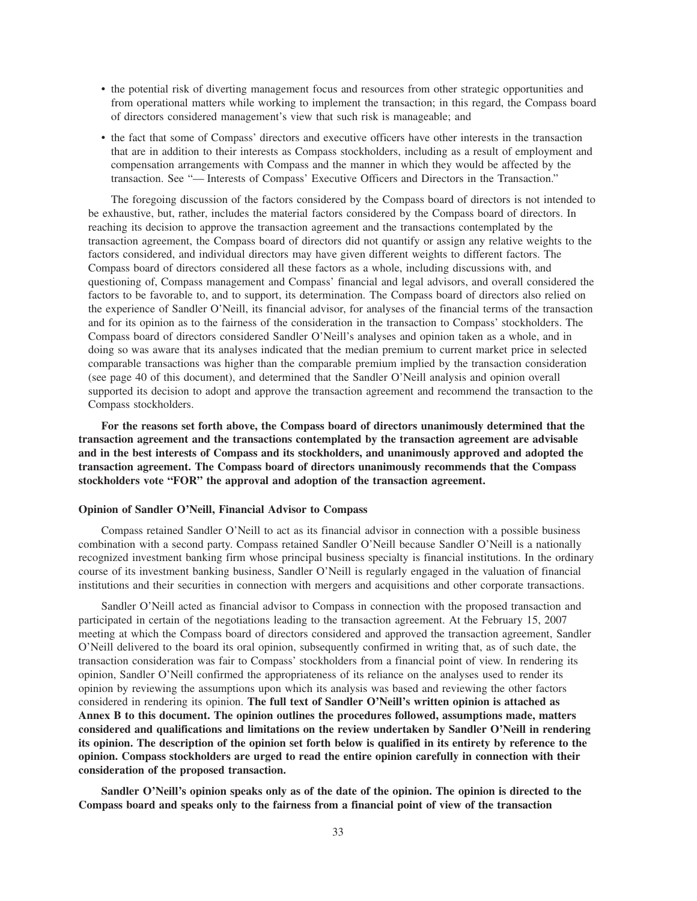- the potential risk of diverting management focus and resources from other strategic opportunities and from operational matters while working to implement the transaction; in this regard, the Compass board of directors considered management's view that such risk is manageable; and
- the fact that some of Compass' directors and executive officers have other interests in the transaction that are in addition to their interests as Compass stockholders, including as a result of employment and compensation arrangements with Compass and the manner in which they would be affected by the transaction. See "— Interests of Compass' Executive Officers and Directors in the Transaction."

The foregoing discussion of the factors considered by the Compass board of directors is not intended to be exhaustive, but, rather, includes the material factors considered by the Compass board of directors. In reaching its decision to approve the transaction agreement and the transactions contemplated by the transaction agreement, the Compass board of directors did not quantify or assign any relative weights to the factors considered, and individual directors may have given different weights to different factors. The Compass board of directors considered all these factors as a whole, including discussions with, and questioning of, Compass management and Compass' financial and legal advisors, and overall considered the factors to be favorable to, and to support, its determination. The Compass board of directors also relied on the experience of Sandler O'Neill, its financial advisor, for analyses of the financial terms of the transaction and for its opinion as to the fairness of the consideration in the transaction to Compass' stockholders. The Compass board of directors considered Sandler O'Neill's analyses and opinion taken as a whole, and in doing so was aware that its analyses indicated that the median premium to current market price in selected comparable transactions was higher than the comparable premium implied by the transaction consideration (see page 40 of this document), and determined that the Sandler O'Neill analysis and opinion overall supported its decision to adopt and approve the transaction agreement and recommend the transaction to the Compass stockholders.

**For the reasons set forth above, the Compass board of directors unanimously determined that the transaction agreement and the transactions contemplated by the transaction agreement are advisable and in the best interests of Compass and its stockholders, and unanimously approved and adopted the transaction agreement. The Compass board of directors unanimously recommends that the Compass stockholders vote "FOR" the approval and adoption of the transaction agreement.**

#### **Opinion of Sandler O'Neill, Financial Advisor to Compass**

Compass retained Sandler O'Neill to act as its financial advisor in connection with a possible business combination with a second party. Compass retained Sandler O'Neill because Sandler O'Neill is a nationally recognized investment banking firm whose principal business specialty is financial institutions. In the ordinary course of its investment banking business, Sandler O'Neill is regularly engaged in the valuation of financial institutions and their securities in connection with mergers and acquisitions and other corporate transactions.

Sandler O'Neill acted as financial advisor to Compass in connection with the proposed transaction and participated in certain of the negotiations leading to the transaction agreement. At the February 15, 2007 meeting at which the Compass board of directors considered and approved the transaction agreement, Sandler O'Neill delivered to the board its oral opinion, subsequently confirmed in writing that, as of such date, the transaction consideration was fair to Compass' stockholders from a financial point of view. In rendering its opinion, Sandler O'Neill confirmed the appropriateness of its reliance on the analyses used to render its opinion by reviewing the assumptions upon which its analysis was based and reviewing the other factors considered in rendering its opinion. **The full text of Sandler O'Neill's written opinion is attached as Annex B to this document. The opinion outlines the procedures followed, assumptions made, matters considered and qualifications and limitations on the review undertaken by Sandler O'Neill in rendering its opinion. The description of the opinion set forth below is qualified in its entirety by reference to the opinion. Compass stockholders are urged to read the entire opinion carefully in connection with their consideration of the proposed transaction.**

**Sandler O'Neill's opinion speaks only as of the date of the opinion. The opinion is directed to the Compass board and speaks only to the fairness from a financial point of view of the transaction**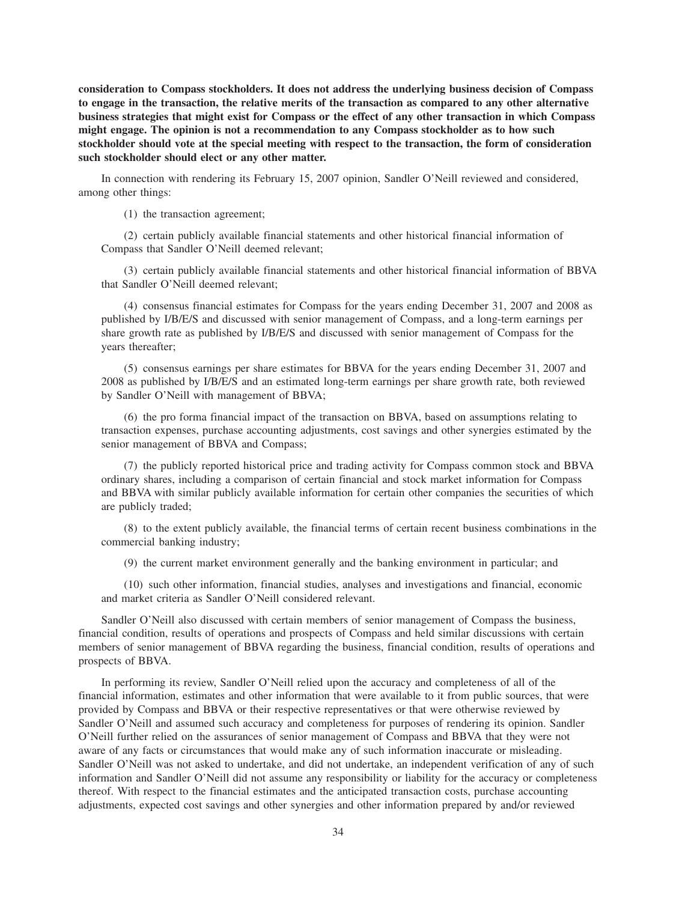**consideration to Compass stockholders. It does not address the underlying business decision of Compass to engage in the transaction, the relative merits of the transaction as compared to any other alternative business strategies that might exist for Compass or the effect of any other transaction in which Compass might engage. The opinion is not a recommendation to any Compass stockholder as to how such stockholder should vote at the special meeting with respect to the transaction, the form of consideration such stockholder should elect or any other matter.**

In connection with rendering its February 15, 2007 opinion, Sandler O'Neill reviewed and considered, among other things:

(1) the transaction agreement;

(2) certain publicly available financial statements and other historical financial information of Compass that Sandler O'Neill deemed relevant;

(3) certain publicly available financial statements and other historical financial information of BBVA that Sandler O'Neill deemed relevant;

(4) consensus financial estimates for Compass for the years ending December 31, 2007 and 2008 as published by I/B/E/S and discussed with senior management of Compass, and a long-term earnings per share growth rate as published by I/B/E/S and discussed with senior management of Compass for the years thereafter;

(5) consensus earnings per share estimates for BBVA for the years ending December 31, 2007 and 2008 as published by I/B/E/S and an estimated long-term earnings per share growth rate, both reviewed by Sandler O'Neill with management of BBVA;

(6) the pro forma financial impact of the transaction on BBVA, based on assumptions relating to transaction expenses, purchase accounting adjustments, cost savings and other synergies estimated by the senior management of BBVA and Compass;

(7) the publicly reported historical price and trading activity for Compass common stock and BBVA ordinary shares, including a comparison of certain financial and stock market information for Compass and BBVA with similar publicly available information for certain other companies the securities of which are publicly traded;

(8) to the extent publicly available, the financial terms of certain recent business combinations in the commercial banking industry;

(9) the current market environment generally and the banking environment in particular; and

(10) such other information, financial studies, analyses and investigations and financial, economic and market criteria as Sandler O'Neill considered relevant.

Sandler O'Neill also discussed with certain members of senior management of Compass the business, financial condition, results of operations and prospects of Compass and held similar discussions with certain members of senior management of BBVA regarding the business, financial condition, results of operations and prospects of BBVA.

In performing its review, Sandler O'Neill relied upon the accuracy and completeness of all of the financial information, estimates and other information that were available to it from public sources, that were provided by Compass and BBVA or their respective representatives or that were otherwise reviewed by Sandler O'Neill and assumed such accuracy and completeness for purposes of rendering its opinion. Sandler O'Neill further relied on the assurances of senior management of Compass and BBVA that they were not aware of any facts or circumstances that would make any of such information inaccurate or misleading. Sandler O'Neill was not asked to undertake, and did not undertake, an independent verification of any of such information and Sandler O'Neill did not assume any responsibility or liability for the accuracy or completeness thereof. With respect to the financial estimates and the anticipated transaction costs, purchase accounting adjustments, expected cost savings and other synergies and other information prepared by and/or reviewed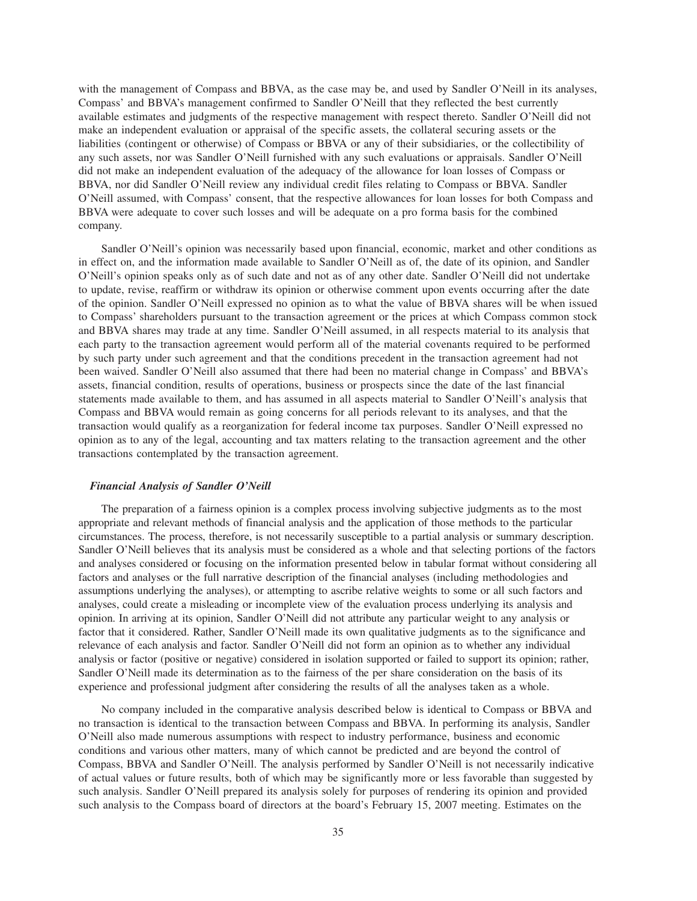with the management of Compass and BBVA, as the case may be, and used by Sandler O'Neill in its analyses, Compass' and BBVA's management confirmed to Sandler O'Neill that they reflected the best currently available estimates and judgments of the respective management with respect thereto. Sandler O'Neill did not make an independent evaluation or appraisal of the specific assets, the collateral securing assets or the liabilities (contingent or otherwise) of Compass or BBVA or any of their subsidiaries, or the collectibility of any such assets, nor was Sandler O'Neill furnished with any such evaluations or appraisals. Sandler O'Neill did not make an independent evaluation of the adequacy of the allowance for loan losses of Compass or BBVA, nor did Sandler O'Neill review any individual credit files relating to Compass or BBVA. Sandler O'Neill assumed, with Compass' consent, that the respective allowances for loan losses for both Compass and BBVA were adequate to cover such losses and will be adequate on a pro forma basis for the combined company.

Sandler O'Neill's opinion was necessarily based upon financial, economic, market and other conditions as in effect on, and the information made available to Sandler O'Neill as of, the date of its opinion, and Sandler O'Neill's opinion speaks only as of such date and not as of any other date. Sandler O'Neill did not undertake to update, revise, reaffirm or withdraw its opinion or otherwise comment upon events occurring after the date of the opinion. Sandler O'Neill expressed no opinion as to what the value of BBVA shares will be when issued to Compass' shareholders pursuant to the transaction agreement or the prices at which Compass common stock and BBVA shares may trade at any time. Sandler O'Neill assumed, in all respects material to its analysis that each party to the transaction agreement would perform all of the material covenants required to be performed by such party under such agreement and that the conditions precedent in the transaction agreement had not been waived. Sandler O'Neill also assumed that there had been no material change in Compass' and BBVA's assets, financial condition, results of operations, business or prospects since the date of the last financial statements made available to them, and has assumed in all aspects material to Sandler O'Neill's analysis that Compass and BBVA would remain as going concerns for all periods relevant to its analyses, and that the transaction would qualify as a reorganization for federal income tax purposes. Sandler O'Neill expressed no opinion as to any of the legal, accounting and tax matters relating to the transaction agreement and the other transactions contemplated by the transaction agreement.

#### *Financial Analysis of Sandler O'Neill*

The preparation of a fairness opinion is a complex process involving subjective judgments as to the most appropriate and relevant methods of financial analysis and the application of those methods to the particular circumstances. The process, therefore, is not necessarily susceptible to a partial analysis or summary description. Sandler O'Neill believes that its analysis must be considered as a whole and that selecting portions of the factors and analyses considered or focusing on the information presented below in tabular format without considering all factors and analyses or the full narrative description of the financial analyses (including methodologies and assumptions underlying the analyses), or attempting to ascribe relative weights to some or all such factors and analyses, could create a misleading or incomplete view of the evaluation process underlying its analysis and opinion. In arriving at its opinion, Sandler O'Neill did not attribute any particular weight to any analysis or factor that it considered. Rather, Sandler O'Neill made its own qualitative judgments as to the significance and relevance of each analysis and factor. Sandler O'Neill did not form an opinion as to whether any individual analysis or factor (positive or negative) considered in isolation supported or failed to support its opinion; rather, Sandler O'Neill made its determination as to the fairness of the per share consideration on the basis of its experience and professional judgment after considering the results of all the analyses taken as a whole.

No company included in the comparative analysis described below is identical to Compass or BBVA and no transaction is identical to the transaction between Compass and BBVA. In performing its analysis, Sandler O'Neill also made numerous assumptions with respect to industry performance, business and economic conditions and various other matters, many of which cannot be predicted and are beyond the control of Compass, BBVA and Sandler O'Neill. The analysis performed by Sandler O'Neill is not necessarily indicative of actual values or future results, both of which may be significantly more or less favorable than suggested by such analysis. Sandler O'Neill prepared its analysis solely for purposes of rendering its opinion and provided such analysis to the Compass board of directors at the board's February 15, 2007 meeting. Estimates on the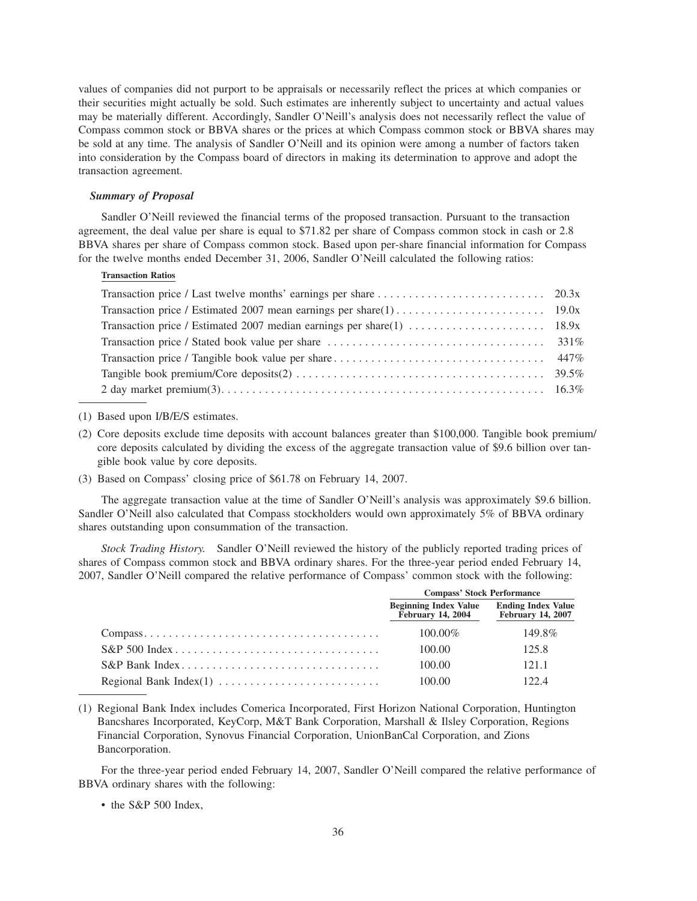values of companies did not purport to be appraisals or necessarily reflect the prices at which companies or their securities might actually be sold. Such estimates are inherently subject to uncertainty and actual values may be materially different. Accordingly, Sandler O'Neill's analysis does not necessarily reflect the value of Compass common stock or BBVA shares or the prices at which Compass common stock or BBVA shares may be sold at any time. The analysis of Sandler O'Neill and its opinion were among a number of factors taken into consideration by the Compass board of directors in making its determination to approve and adopt the transaction agreement.

#### *Summary of Proposal*

Sandler O'Neill reviewed the financial terms of the proposed transaction. Pursuant to the transaction agreement, the deal value per share is equal to \$71.82 per share of Compass common stock in cash or 2.8 BBVA shares per share of Compass common stock. Based upon per-share financial information for Compass for the twelve months ended December 31, 2006, Sandler O'Neill calculated the following ratios:

# **Transaction Ratios**

# (1) Based upon I/B/E/S estimates.

- (2) Core deposits exclude time deposits with account balances greater than \$100,000. Tangible book premium/ core deposits calculated by dividing the excess of the aggregate transaction value of \$9.6 billion over tangible book value by core deposits.
- (3) Based on Compass' closing price of \$61.78 on February 14, 2007.

The aggregate transaction value at the time of Sandler O'Neill's analysis was approximately \$9.6 billion. Sandler O'Neill also calculated that Compass stockholders would own approximately 5% of BBVA ordinary shares outstanding upon consummation of the transaction.

*Stock Trading History.* Sandler O'Neill reviewed the history of the publicly reported trading prices of shares of Compass common stock and BBVA ordinary shares. For the three-year period ended February 14, 2007, Sandler O'Neill compared the relative performance of Compass' common stock with the following:

| <b>Compass' Stock Performance</b>                  |                                                       |  |
|----------------------------------------------------|-------------------------------------------------------|--|
| <b>Beginning Index Value<br/>February 14, 2004</b> | <b>Ending Index Value</b><br><b>February 14, 2007</b> |  |
| $100.00\%$                                         | 149.8%                                                |  |
| 100.00                                             | 125.8                                                 |  |
| 100.00                                             | 121.1                                                 |  |
| 100.00                                             | 122.4                                                 |  |

(1) Regional Bank Index includes Comerica Incorporated, First Horizon National Corporation, Huntington Bancshares Incorporated, KeyCorp, M&T Bank Corporation, Marshall & Ilsley Corporation, Regions Financial Corporation, Synovus Financial Corporation, UnionBanCal Corporation, and Zions Bancorporation.

For the three-year period ended February 14, 2007, Sandler O'Neill compared the relative performance of BBVA ordinary shares with the following:

# • the S&P 500 Index.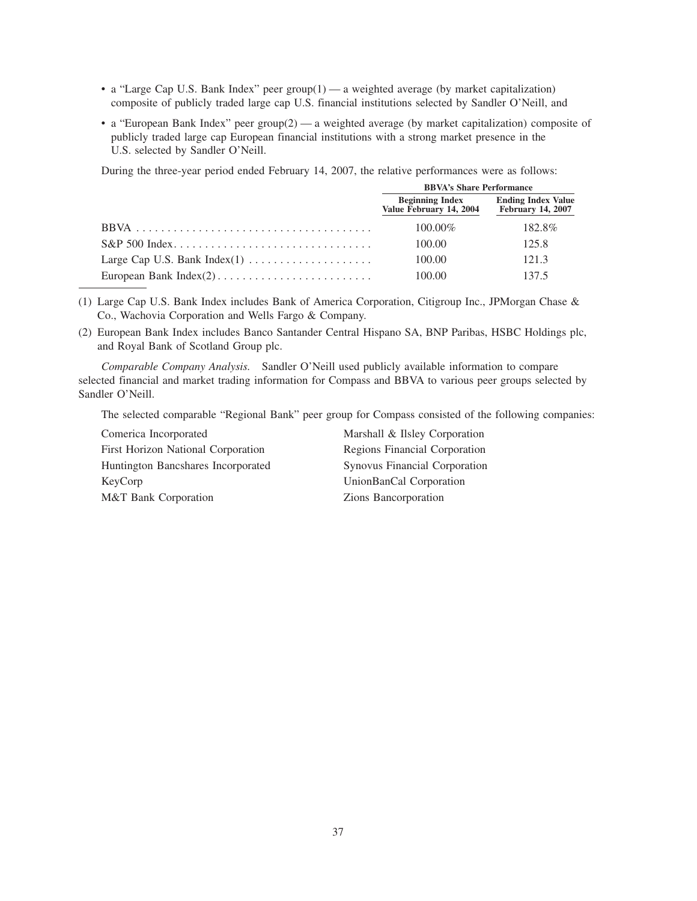- a "Large Cap U.S. Bank Index" peer  $\text{group}(1)$  a weighted average (by market capitalization) composite of publicly traded large cap U.S. financial institutions selected by Sandler O'Neill, and
- a "European Bank Index" peer group(2) a weighted average (by market capitalization) composite of publicly traded large cap European financial institutions with a strong market presence in the U.S. selected by Sandler O'Neill.

During the three-year period ended February 14, 2007, the relative performances were as follows:

| <b>BBVA's Share Performance</b>                   |                                                       |  |
|---------------------------------------------------|-------------------------------------------------------|--|
| <b>Beginning Index</b><br>Value February 14, 2004 | <b>Ending Index Value</b><br><b>February 14, 2007</b> |  |
| $100.00\%$                                        | 182.8%                                                |  |
| 100.00                                            | 125.8                                                 |  |
| 100.00                                            | 121.3                                                 |  |
| 100.00                                            | 137.5                                                 |  |

- (1) Large Cap U.S. Bank Index includes Bank of America Corporation, Citigroup Inc., JPMorgan Chase & Co., Wachovia Corporation and Wells Fargo & Company.
- (2) European Bank Index includes Banco Santander Central Hispano SA, BNP Paribas, HSBC Holdings plc, and Royal Bank of Scotland Group plc.

*Comparable Company Analysis.* Sandler O'Neill used publicly available information to compare selected financial and market trading information for Compass and BBVA to various peer groups selected by Sandler O'Neill.

The selected comparable "Regional Bank" peer group for Compass consisted of the following companies:

Comerica Incorporated Marshall & Ilsley Corporation First Horizon National Corporation Regions Financial Corporation Huntington Bancshares Incorporated Synovus Financial Corporation KeyCorp UnionBanCal Corporation M&T Bank Corporation Zions Bancorporation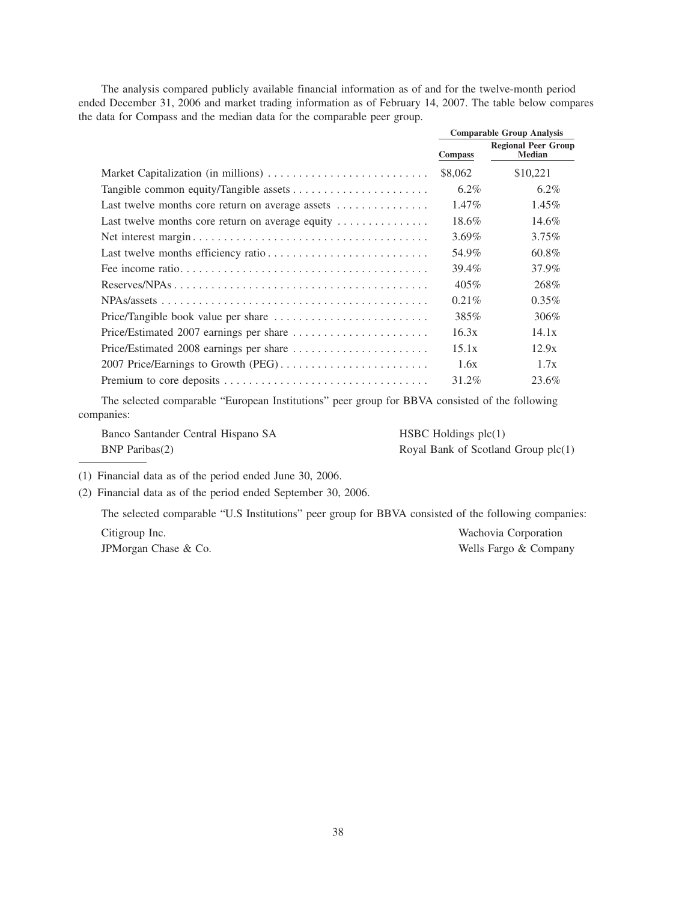The analysis compared publicly available financial information as of and for the twelve-month period ended December 31, 2006 and market trading information as of February 14, 2007. The table below compares the data for Compass and the median data for the comparable peer group.

|                                                                              | <b>Comparable Group Analysis</b> |                                             |
|------------------------------------------------------------------------------|----------------------------------|---------------------------------------------|
|                                                                              | <b>Compass</b>                   | <b>Regional Peer Group</b><br><b>Median</b> |
|                                                                              | \$8,062                          | \$10,221                                    |
|                                                                              | $6.2\%$                          | $6.2\%$                                     |
| Last twelve months core return on average assets                             | $1.47\%$                         | $1.45\%$                                    |
| Last twelve months core return on average equity $\dots\dots\dots\dots\dots$ | 18.6%                            | 14.6%                                       |
|                                                                              | $3.69\%$                         | $3.75\%$                                    |
|                                                                              | 54.9%                            | 60.8%                                       |
|                                                                              | 39.4%                            | 37.9%                                       |
|                                                                              | 405%                             | 268\%                                       |
|                                                                              | $0.21\%$                         | $0.35\%$                                    |
|                                                                              | 385%                             | 306\%                                       |
|                                                                              | 16.3x                            | 14.1x                                       |
|                                                                              | 15.1x                            | 12.9x                                       |
|                                                                              | 1.6x                             | 1.7x                                        |
|                                                                              | 31.2%                            | 23.6%                                       |

The selected comparable "European Institutions" peer group for BBVA consisted of the following companies:

Banco Santander Central Hispano SA HSBC Holdings plc(1) BNP Paribas(2) Royal Bank of Scotland Group plc(1)

(1) Financial data as of the period ended June 30, 2006.

(2) Financial data as of the period ended September 30, 2006.

The selected comparable "U.S Institutions" peer group for BBVA consisted of the following companies:

Citigroup Inc. Wachovia Corporation JPMorgan Chase & Co. Wells Fargo & Company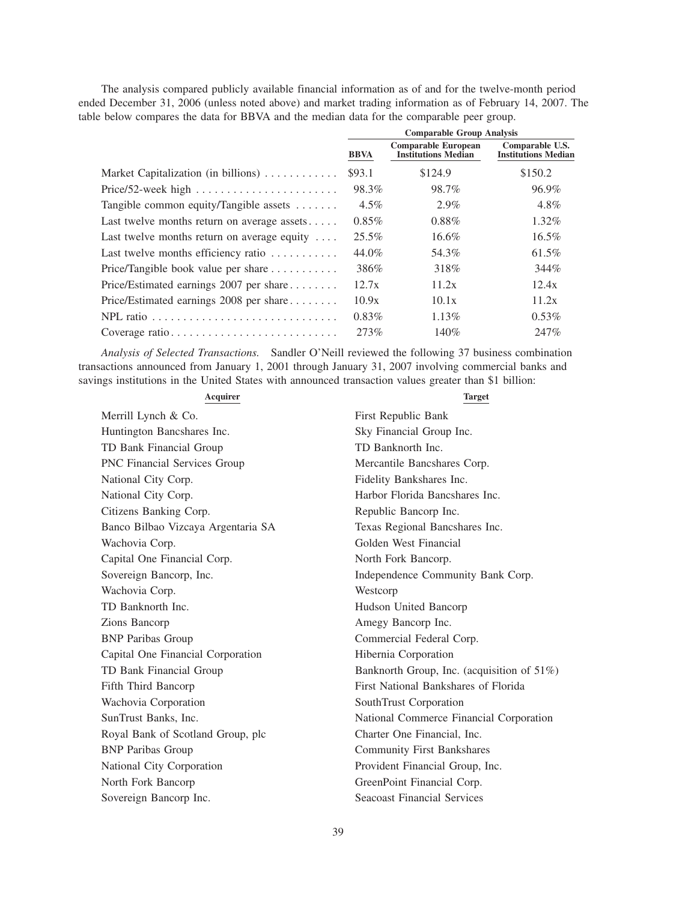The analysis compared publicly available financial information as of and for the twelve-month period ended December 31, 2006 (unless noted above) and market trading information as of February 14, 2007. The table below compares the data for BBVA and the median data for the comparable peer group.

| <b>Comparable Group Analysis</b> |                                                          |                                               |  |
|----------------------------------|----------------------------------------------------------|-----------------------------------------------|--|
| <b>BBVA</b>                      | <b>Comparable European</b><br><b>Institutions Median</b> | Comparable U.S.<br><b>Institutions Median</b> |  |
| \$93.1                           | \$124.9                                                  | \$150.2                                       |  |
| 98.3%                            | 98.7%                                                    | 96.9%                                         |  |
| $4.5\%$                          | 2.9%                                                     | 4.8%                                          |  |
| $0.85\%$                         | $0.88\%$                                                 | 1.32%                                         |  |
| $25.5\%$                         | 16.6%                                                    | $16.5\%$                                      |  |
| $44.0\%$                         | 54.3%                                                    | 61.5%                                         |  |
| 386%                             | 318\%                                                    | 344%                                          |  |
| 12.7x                            | 11.2x                                                    | 12.4x                                         |  |
| 10.9x                            | 10.1x                                                    | 11.2x                                         |  |
| $0.83\%$                         | 1.13%                                                    | $0.53\%$                                      |  |
| 273%                             | 140%                                                     | 247%                                          |  |
|                                  |                                                          |                                               |  |

*Analysis of Selected Transactions.* Sandler O'Neill reviewed the following 37 business combination transactions announced from January 1, 2001 through January 31, 2007 involving commercial banks and savings institutions in the United States with announced transaction values greater than \$1 billion:

| Acquirer                           | <b>Target</b>                              |
|------------------------------------|--------------------------------------------|
| Merrill Lynch & Co.                | First Republic Bank                        |
| Huntington Bancshares Inc.         | Sky Financial Group Inc.                   |
| TD Bank Financial Group            | TD Banknorth Inc.                          |
| PNC Financial Services Group       | Mercantile Bancshares Corp.                |
| National City Corp.                | Fidelity Bankshares Inc.                   |
| National City Corp.                | Harbor Florida Bancshares Inc.             |
| Citizens Banking Corp.             | Republic Bancorp Inc.                      |
| Banco Bilbao Vizcaya Argentaria SA | Texas Regional Bancshares Inc.             |
| Wachovia Corp.                     | Golden West Financial                      |
| Capital One Financial Corp.        | North Fork Bancorp.                        |
| Sovereign Bancorp, Inc.            | Independence Community Bank Corp.          |
| Wachovia Corp.                     | Westcorp                                   |
| TD Banknorth Inc.                  | Hudson United Bancorp                      |
| Zions Bancorp                      | Amegy Bancorp Inc.                         |
| <b>BNP</b> Paribas Group           | Commercial Federal Corp.                   |
| Capital One Financial Corporation  | Hibernia Corporation                       |
| TD Bank Financial Group            | Banknorth Group, Inc. (acquisition of 51%) |
| Fifth Third Bancorp                | First National Bankshares of Florida       |
| Wachovia Corporation               | SouthTrust Corporation                     |
| SunTrust Banks, Inc.               | National Commerce Financial Corporation    |
| Royal Bank of Scotland Group, plc  | Charter One Financial, Inc.                |
| <b>BNP</b> Paribas Group           | <b>Community First Bankshares</b>          |
| National City Corporation          | Provident Financial Group, Inc.            |
| North Fork Bancorp                 | GreenPoint Financial Corp.                 |
| Sovereign Bancorp Inc.             | <b>Seacoast Financial Services</b>         |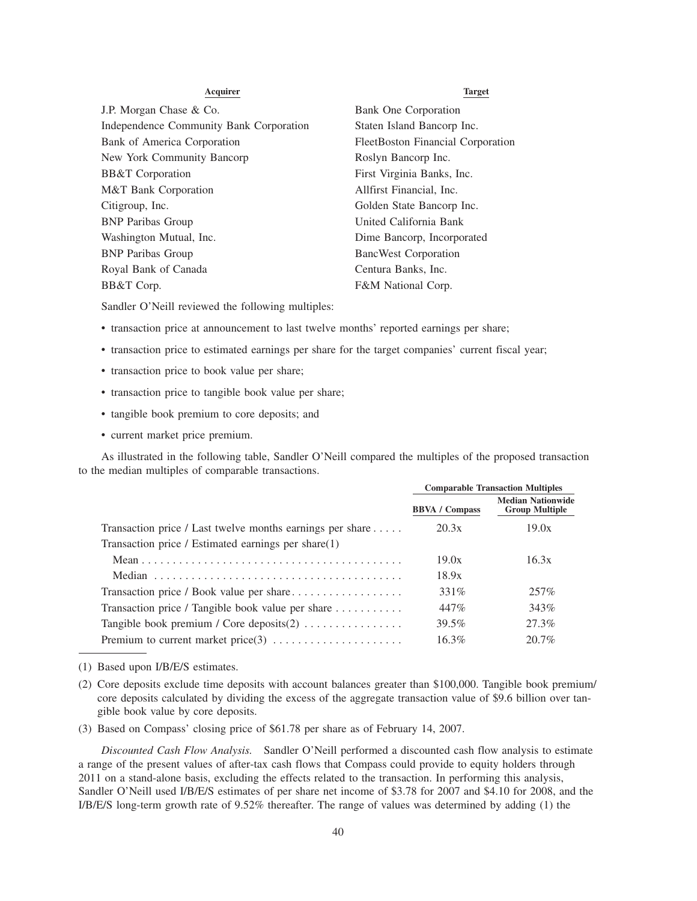# **Acquirer Target** J.P. Morgan Chase & Co. Bank One Corporation Independence Community Bank Corporation Staten Island Bancorp Inc. Bank of America Corporation FleetBoston Financial Corporation New York Community Bancorp **Roslyn Bancorp Inc.** BB&T Corporation First Virginia Banks, Inc. M&T Bank Corporation Allfirst Financial, Inc. Citigroup, Inc. Golden State Bancorp Inc. BNP Paribas Group United California Bank Washington Mutual, Inc. Dime Bancorp, Incorporated BNP Paribas Group BancWest Corporation Royal Bank of Canada Centura Banks, Inc. BB&T Corp. **F&M National Corp.**

Sandler O'Neill reviewed the following multiples:

- transaction price at announcement to last twelve months' reported earnings per share;
- transaction price to estimated earnings per share for the target companies' current fiscal year;
- transaction price to book value per share;
- transaction price to tangible book value per share;
- tangible book premium to core deposits; and
- current market price premium.

As illustrated in the following table, Sandler O'Neill compared the multiples of the proposed transaction to the median multiples of comparable transactions.

|                                                                     | <b>Comparable Transaction Multiples</b> |                                                   |  |
|---------------------------------------------------------------------|-----------------------------------------|---------------------------------------------------|--|
|                                                                     | <b>BBVA</b> / Compass                   | <b>Median Nationwide</b><br><b>Group Multiple</b> |  |
| Transaction price / Last twelve months earnings per share $\dots$ . | 20.3x                                   | 19.0x                                             |  |
| Transaction price / Estimated earnings per share(1)                 |                                         |                                                   |  |
|                                                                     | 19.0x                                   | 16.3x                                             |  |
|                                                                     | 18.9x                                   |                                                   |  |
| Transaction price / Book value per share                            | 331\%                                   | 257%                                              |  |
| Transaction price / Tangible book value per share                   | 447%                                    | 343%                                              |  |
| Tangible book premium / Core deposits $(2)$                         | 39.5%                                   | 27.3%                                             |  |
|                                                                     | $16.3\%$                                | $20.7\%$                                          |  |

(1) Based upon I/B/E/S estimates.

- (2) Core deposits exclude time deposits with account balances greater than \$100,000. Tangible book premium/ core deposits calculated by dividing the excess of the aggregate transaction value of \$9.6 billion over tangible book value by core deposits.
- (3) Based on Compass' closing price of \$61.78 per share as of February 14, 2007.

*Discounted Cash Flow Analysis.* Sandler O'Neill performed a discounted cash flow analysis to estimate a range of the present values of after-tax cash flows that Compass could provide to equity holders through 2011 on a stand-alone basis, excluding the effects related to the transaction. In performing this analysis, Sandler O'Neill used I/B/E/S estimates of per share net income of \$3.78 for 2007 and \$4.10 for 2008, and the I/B/E/S long-term growth rate of 9.52% thereafter. The range of values was determined by adding (1) the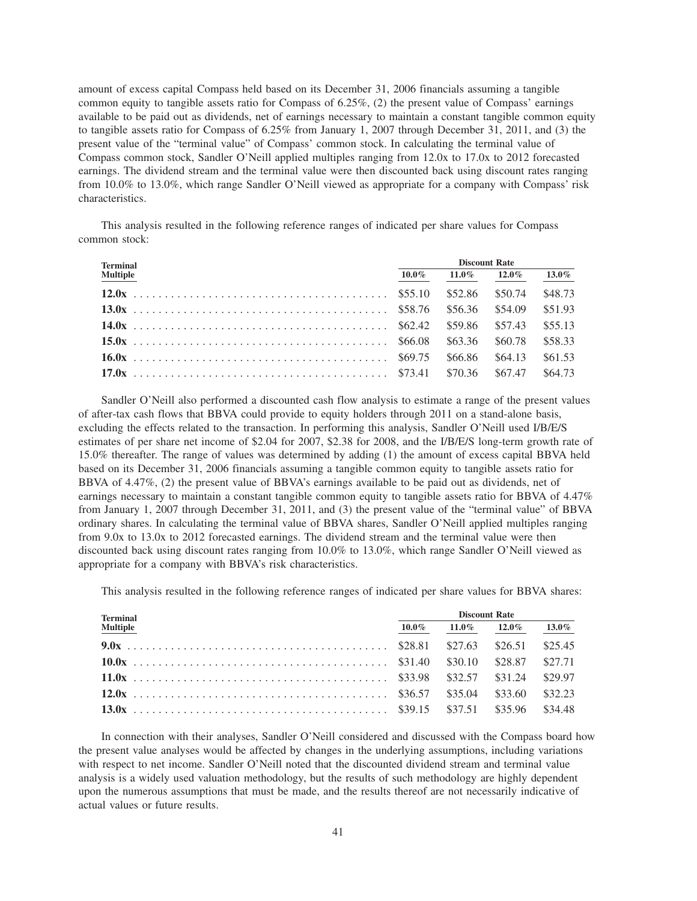amount of excess capital Compass held based on its December 31, 2006 financials assuming a tangible common equity to tangible assets ratio for Compass of 6.25%, (2) the present value of Compass' earnings available to be paid out as dividends, net of earnings necessary to maintain a constant tangible common equity to tangible assets ratio for Compass of 6.25% from January 1, 2007 through December 31, 2011, and (3) the present value of the "terminal value" of Compass' common stock. In calculating the terminal value of Compass common stock, Sandler O'Neill applied multiples ranging from 12.0x to 17.0x to 2012 forecasted earnings. The dividend stream and the terminal value were then discounted back using discount rates ranging from 10.0% to 13.0%, which range Sandler O'Neill viewed as appropriate for a company with Compass' risk characteristics.

This analysis resulted in the following reference ranges of indicated per share values for Compass common stock:

| <b>Terminal</b> |  | <b>Discount Rate</b>       |  |          |  |
|-----------------|--|----------------------------|--|----------|--|
| <b>Multiple</b> |  | $10.0\%$ $11.0\%$ $12.0\%$ |  | $13.0\%$ |  |
|                 |  |                            |  | \$48.73  |  |
|                 |  |                            |  | \$51.93  |  |
|                 |  |                            |  | \$55.13  |  |
|                 |  |                            |  | \$58.33  |  |
|                 |  |                            |  | \$61.53  |  |
|                 |  |                            |  | \$64.73  |  |

Sandler O'Neill also performed a discounted cash flow analysis to estimate a range of the present values of after-tax cash flows that BBVA could provide to equity holders through 2011 on a stand-alone basis, excluding the effects related to the transaction. In performing this analysis, Sandler O'Neill used I/B/E/S estimates of per share net income of \$2.04 for 2007, \$2.38 for 2008, and the I/B/E/S long-term growth rate of 15.0% thereafter. The range of values was determined by adding (1) the amount of excess capital BBVA held based on its December 31, 2006 financials assuming a tangible common equity to tangible assets ratio for BBVA of 4.47%, (2) the present value of BBVA's earnings available to be paid out as dividends, net of earnings necessary to maintain a constant tangible common equity to tangible assets ratio for BBVA of 4.47% from January 1, 2007 through December 31, 2011, and (3) the present value of the "terminal value" of BBVA ordinary shares. In calculating the terminal value of BBVA shares, Sandler O'Neill applied multiples ranging from 9.0x to 13.0x to 2012 forecasted earnings. The dividend stream and the terminal value were then discounted back using discount rates ranging from 10.0% to 13.0%, which range Sandler O'Neill viewed as appropriate for a company with BBVA's risk characteristics.

This analysis resulted in the following reference ranges of indicated per share values for BBVA shares:

| <b>Terminal</b> |  | <b>Discount Rate</b>       |  |          |  |
|-----------------|--|----------------------------|--|----------|--|
| <b>Multiple</b> |  | $10.0\%$ $11.0\%$ $12.0\%$ |  | $13.0\%$ |  |
|                 |  |                            |  |          |  |
|                 |  |                            |  |          |  |
|                 |  |                            |  |          |  |
|                 |  |                            |  |          |  |
|                 |  |                            |  |          |  |

In connection with their analyses, Sandler O'Neill considered and discussed with the Compass board how the present value analyses would be affected by changes in the underlying assumptions, including variations with respect to net income. Sandler O'Neill noted that the discounted dividend stream and terminal value analysis is a widely used valuation methodology, but the results of such methodology are highly dependent upon the numerous assumptions that must be made, and the results thereof are not necessarily indicative of actual values or future results.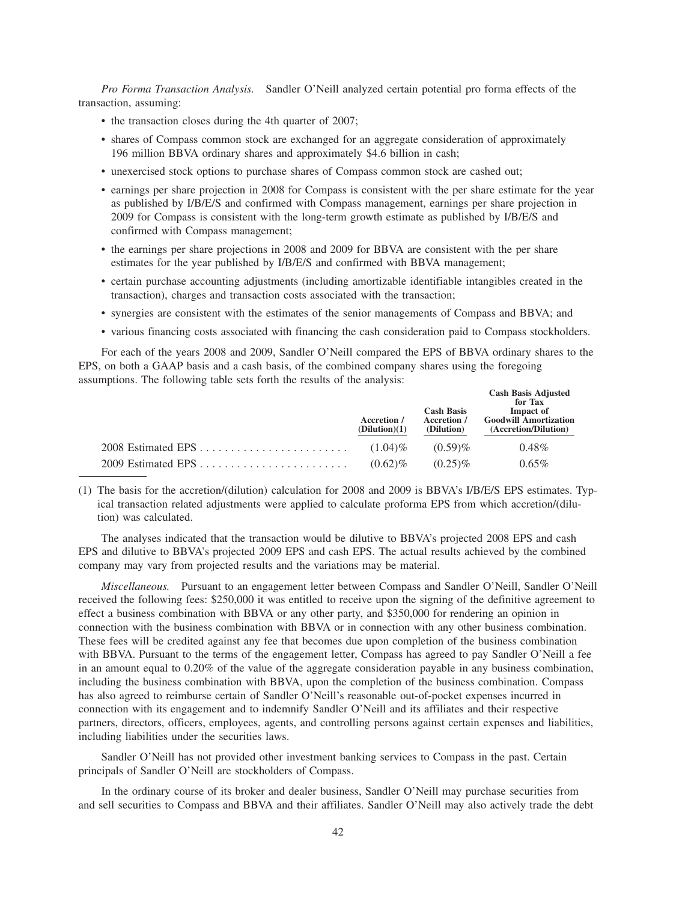*Pro Forma Transaction Analysis.* Sandler O'Neill analyzed certain potential pro forma effects of the transaction, assuming:

- the transaction closes during the 4th quarter of 2007;
- shares of Compass common stock are exchanged for an aggregate consideration of approximately 196 million BBVA ordinary shares and approximately \$4.6 billion in cash;
- unexercised stock options to purchase shares of Compass common stock are cashed out;
- earnings per share projection in 2008 for Compass is consistent with the per share estimate for the year as published by I/B/E/S and confirmed with Compass management, earnings per share projection in 2009 for Compass is consistent with the long-term growth estimate as published by I/B/E/S and confirmed with Compass management;
- the earnings per share projections in 2008 and 2009 for BBVA are consistent with the per share estimates for the year published by I/B/E/S and confirmed with BBVA management;
- certain purchase accounting adjustments (including amortizable identifiable intangibles created in the transaction), charges and transaction costs associated with the transaction;
- synergies are consistent with the estimates of the senior managements of Compass and BBVA; and
- various financing costs associated with financing the cash consideration paid to Compass stockholders.

For each of the years 2008 and 2009, Sandler O'Neill compared the EPS of BBVA ordinary shares to the EPS, on both a GAAP basis and a cash basis, of the combined company shares using the foregoing assumptions. The following table sets forth the results of the analysis:

| Accretion /<br>(Dilution)(1) | <b>Cash Basis</b><br>Accretion /<br>(Dilution) | <b>Cash Basis Adjusted</b><br>for Tax<br>Impact of<br><b>Goodwill Amortization</b><br>(Accretion/Dilution) |
|------------------------------|------------------------------------------------|------------------------------------------------------------------------------------------------------------|
| $(1.04)\%$                   | $(0.59)\%$                                     | $0.48\%$                                                                                                   |
| $(0.62)\%$                   | $(0.25)\%$                                     | $0.65\%$                                                                                                   |

(1) The basis for the accretion/(dilution) calculation for 2008 and 2009 is BBVA's I/B/E/S EPS estimates. Typical transaction related adjustments were applied to calculate proforma EPS from which accretion/(dilution) was calculated.

The analyses indicated that the transaction would be dilutive to BBVA's projected 2008 EPS and cash EPS and dilutive to BBVA's projected 2009 EPS and cash EPS. The actual results achieved by the combined company may vary from projected results and the variations may be material.

*Miscellaneous.* Pursuant to an engagement letter between Compass and Sandler O'Neill, Sandler O'Neill received the following fees: \$250,000 it was entitled to receive upon the signing of the definitive agreement to effect a business combination with BBVA or any other party, and \$350,000 for rendering an opinion in connection with the business combination with BBVA or in connection with any other business combination. These fees will be credited against any fee that becomes due upon completion of the business combination with BBVA. Pursuant to the terms of the engagement letter, Compass has agreed to pay Sandler O'Neill a fee in an amount equal to 0.20% of the value of the aggregate consideration payable in any business combination, including the business combination with BBVA, upon the completion of the business combination. Compass has also agreed to reimburse certain of Sandler O'Neill's reasonable out-of-pocket expenses incurred in connection with its engagement and to indemnify Sandler O'Neill and its affiliates and their respective partners, directors, officers, employees, agents, and controlling persons against certain expenses and liabilities, including liabilities under the securities laws.

Sandler O'Neill has not provided other investment banking services to Compass in the past. Certain principals of Sandler O'Neill are stockholders of Compass.

In the ordinary course of its broker and dealer business, Sandler O'Neill may purchase securities from and sell securities to Compass and BBVA and their affiliates. Sandler O'Neill may also actively trade the debt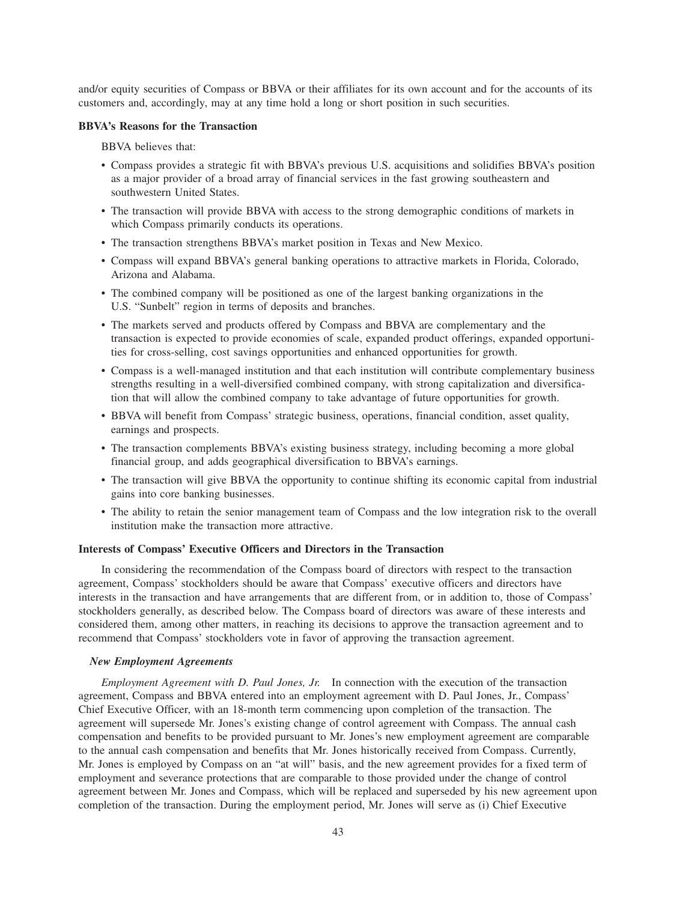and/or equity securities of Compass or BBVA or their affiliates for its own account and for the accounts of its customers and, accordingly, may at any time hold a long or short position in such securities.

# **BBVA's Reasons for the Transaction**

BBVA believes that:

- Compass provides a strategic fit with BBVA's previous U.S. acquisitions and solidifies BBVA's position as a major provider of a broad array of financial services in the fast growing southeastern and southwestern United States.
- The transaction will provide BBVA with access to the strong demographic conditions of markets in which Compass primarily conducts its operations.
- The transaction strengthens BBVA's market position in Texas and New Mexico.
- Compass will expand BBVA's general banking operations to attractive markets in Florida, Colorado, Arizona and Alabama.
- The combined company will be positioned as one of the largest banking organizations in the U.S. "Sunbelt" region in terms of deposits and branches.
- The markets served and products offered by Compass and BBVA are complementary and the transaction is expected to provide economies of scale, expanded product offerings, expanded opportunities for cross-selling, cost savings opportunities and enhanced opportunities for growth.
- Compass is a well-managed institution and that each institution will contribute complementary business strengths resulting in a well-diversified combined company, with strong capitalization and diversification that will allow the combined company to take advantage of future opportunities for growth.
- BBVA will benefit from Compass' strategic business, operations, financial condition, asset quality, earnings and prospects.
- The transaction complements BBVA's existing business strategy, including becoming a more global financial group, and adds geographical diversification to BBVA's earnings.
- The transaction will give BBVA the opportunity to continue shifting its economic capital from industrial gains into core banking businesses.
- The ability to retain the senior management team of Compass and the low integration risk to the overall institution make the transaction more attractive.

#### **Interests of Compass' Executive Officers and Directors in the Transaction**

In considering the recommendation of the Compass board of directors with respect to the transaction agreement, Compass' stockholders should be aware that Compass' executive officers and directors have interests in the transaction and have arrangements that are different from, or in addition to, those of Compass' stockholders generally, as described below. The Compass board of directors was aware of these interests and considered them, among other matters, in reaching its decisions to approve the transaction agreement and to recommend that Compass' stockholders vote in favor of approving the transaction agreement.

#### *New Employment Agreements*

*Employment Agreement with D. Paul Jones, Jr.* In connection with the execution of the transaction agreement, Compass and BBVA entered into an employment agreement with D. Paul Jones, Jr., Compass' Chief Executive Officer, with an 18-month term commencing upon completion of the transaction. The agreement will supersede Mr. Jones's existing change of control agreement with Compass. The annual cash compensation and benefits to be provided pursuant to Mr. Jones's new employment agreement are comparable to the annual cash compensation and benefits that Mr. Jones historically received from Compass. Currently, Mr. Jones is employed by Compass on an "at will" basis, and the new agreement provides for a fixed term of employment and severance protections that are comparable to those provided under the change of control agreement between Mr. Jones and Compass, which will be replaced and superseded by his new agreement upon completion of the transaction. During the employment period, Mr. Jones will serve as (i) Chief Executive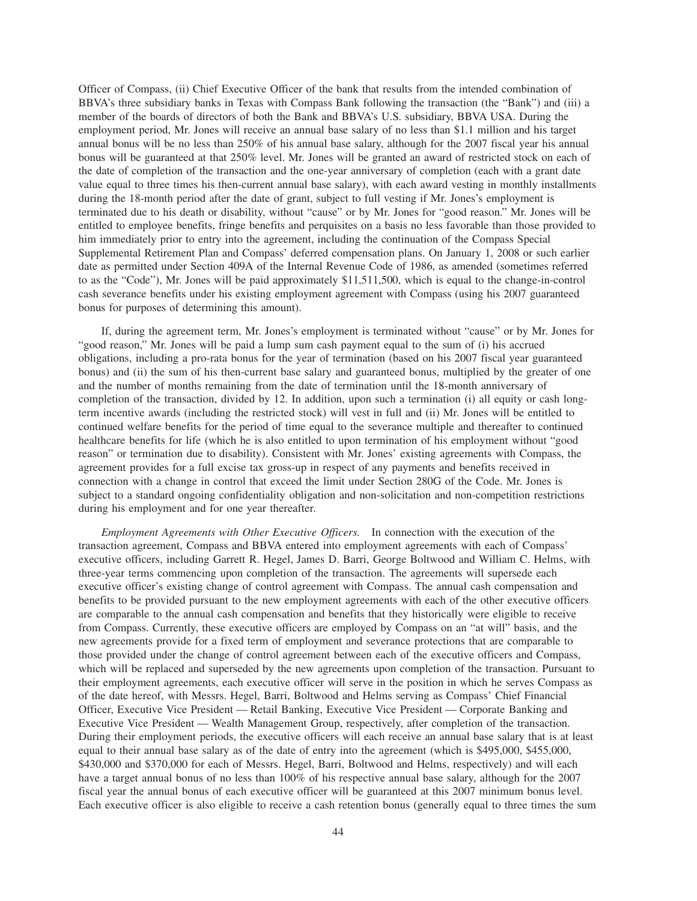Officer of Compass, (ii) Chief Executive Officer of the bank that results from the intended combination of BBVA's three subsidiary banks in Texas with Compass Bank following the transaction (the "Bank") and (iii) a member of the boards of directors of both the Bank and BBVA's U.S. subsidiary, BBVA USA. During the employment period, Mr. Jones will receive an annual base salary of no less than \$1.1 million and his target annual bonus will be no less than 250% of his annual base salary, although for the 2007 fiscal year his annual bonus will be guaranteed at that 250% level. Mr. Jones will be granted an award of restricted stock on each of the date of completion of the transaction and the one-year anniversary of completion (each with a grant date value equal to three times his then-current annual base salary), with each award vesting in monthly installments during the 18-month period after the date of grant, subject to full vesting if Mr. Jones's employment is terminated due to his death or disability, without "cause" or by Mr. Jones for "good reason." Mr. Jones will be entitled to employee benefits, fringe benefits and perquisites on a basis no less favorable than those provided to him immediately prior to entry into the agreement, including the continuation of the Compass Special Supplemental Retirement Plan and Compass' deferred compensation plans. On January 1, 2008 or such earlier date as permitted under Section 409A of the Internal Revenue Code of 1986, as amended (sometimes referred to as the "Code"), Mr. Jones will be paid approximately \$11,511,500, which is equal to the change-in-control cash severance benefits under his existing employment agreement with Compass (using his 2007 guaranteed bonus for purposes of determining this amount).

If, during the agreement term, Mr. Jones's employment is terminated without "cause" or by Mr. Jones for "good reason," Mr. Jones will be paid a lump sum cash payment equal to the sum of (i) his accrued obligations, including a pro-rata bonus for the year of termination (based on his 2007 fiscal year guaranteed bonus) and (ii) the sum of his then-current base salary and guaranteed bonus, multiplied by the greater of one and the number of months remaining from the date of termination until the 18-month anniversary of completion of the transaction, divided by 12. In addition, upon such a termination (i) all equity or cash longterm incentive awards (including the restricted stock) will vest in full and (ii) Mr. Jones will be entitled to continued welfare benefits for the period of time equal to the severance multiple and thereafter to continued healthcare benefits for life (which he is also entitled to upon termination of his employment without "good reason" or termination due to disability). Consistent with Mr. Jones' existing agreements with Compass, the agreement provides for a full excise tax gross-up in respect of any payments and benefits received in connection with a change in control that exceed the limit under Section 280G of the Code. Mr. Jones is subject to a standard ongoing confidentiality obligation and non-solicitation and non-competition restrictions during his employment and for one year thereafter.

*Employment Agreements with Other Executive Officers.* In connection with the execution of the transaction agreement, Compass and BBVA entered into employment agreements with each of Compass' executive officers, including Garrett R. Hegel, James D. Barri, George Boltwood and William C. Helms, with three-year terms commencing upon completion of the transaction. The agreements will supersede each executive officer's existing change of control agreement with Compass. The annual cash compensation and benefits to be provided pursuant to the new employment agreements with each of the other executive officers are comparable to the annual cash compensation and benefits that they historically were eligible to receive from Compass. Currently, these executive officers are employed by Compass on an "at will" basis, and the new agreements provide for a fixed term of employment and severance protections that are comparable to those provided under the change of control agreement between each of the executive officers and Compass, which will be replaced and superseded by the new agreements upon completion of the transaction. Pursuant to their employment agreements, each executive officer will serve in the position in which he serves Compass as of the date hereof, with Messrs. Hegel, Barri, Boltwood and Helms serving as Compass' Chief Financial Officer, Executive Vice President — Retail Banking, Executive Vice President — Corporate Banking and Executive Vice President — Wealth Management Group, respectively, after completion of the transaction. During their employment periods, the executive officers will each receive an annual base salary that is at least equal to their annual base salary as of the date of entry into the agreement (which is \$495,000, \$455,000, \$430,000 and \$370,000 for each of Messrs. Hegel, Barri, Boltwood and Helms, respectively) and will each have a target annual bonus of no less than 100% of his respective annual base salary, although for the 2007 fiscal year the annual bonus of each executive officer will be guaranteed at this 2007 minimum bonus level. Each executive officer is also eligible to receive a cash retention bonus (generally equal to three times the sum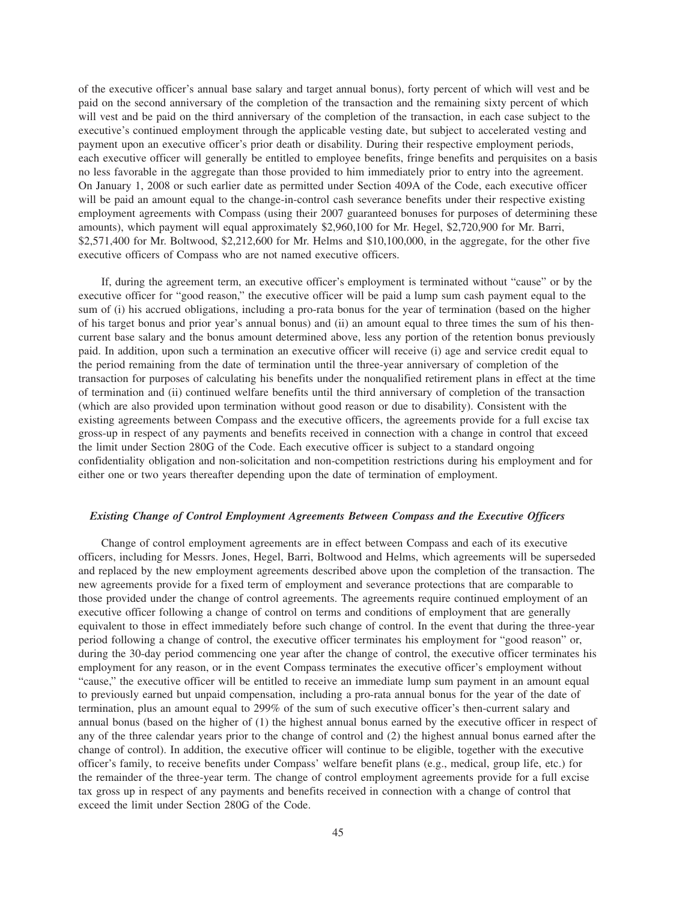of the executive officer's annual base salary and target annual bonus), forty percent of which will vest and be paid on the second anniversary of the completion of the transaction and the remaining sixty percent of which will vest and be paid on the third anniversary of the completion of the transaction, in each case subject to the executive's continued employment through the applicable vesting date, but subject to accelerated vesting and payment upon an executive officer's prior death or disability. During their respective employment periods, each executive officer will generally be entitled to employee benefits, fringe benefits and perquisites on a basis no less favorable in the aggregate than those provided to him immediately prior to entry into the agreement. On January 1, 2008 or such earlier date as permitted under Section 409A of the Code, each executive officer will be paid an amount equal to the change-in-control cash severance benefits under their respective existing employment agreements with Compass (using their 2007 guaranteed bonuses for purposes of determining these amounts), which payment will equal approximately \$2,960,100 for Mr. Hegel, \$2,720,900 for Mr. Barri, \$2,571,400 for Mr. Boltwood, \$2,212,600 for Mr. Helms and \$10,100,000, in the aggregate, for the other five executive officers of Compass who are not named executive officers.

If, during the agreement term, an executive officer's employment is terminated without "cause" or by the executive officer for "good reason," the executive officer will be paid a lump sum cash payment equal to the sum of (i) his accrued obligations, including a pro-rata bonus for the year of termination (based on the higher of his target bonus and prior year's annual bonus) and (ii) an amount equal to three times the sum of his thencurrent base salary and the bonus amount determined above, less any portion of the retention bonus previously paid. In addition, upon such a termination an executive officer will receive (i) age and service credit equal to the period remaining from the date of termination until the three-year anniversary of completion of the transaction for purposes of calculating his benefits under the nonqualified retirement plans in effect at the time of termination and (ii) continued welfare benefits until the third anniversary of completion of the transaction (which are also provided upon termination without good reason or due to disability). Consistent with the existing agreements between Compass and the executive officers, the agreements provide for a full excise tax gross-up in respect of any payments and benefits received in connection with a change in control that exceed the limit under Section 280G of the Code. Each executive officer is subject to a standard ongoing confidentiality obligation and non-solicitation and non-competition restrictions during his employment and for either one or two years thereafter depending upon the date of termination of employment.

## *Existing Change of Control Employment Agreements Between Compass and the Executive Officers*

Change of control employment agreements are in effect between Compass and each of its executive officers, including for Messrs. Jones, Hegel, Barri, Boltwood and Helms, which agreements will be superseded and replaced by the new employment agreements described above upon the completion of the transaction. The new agreements provide for a fixed term of employment and severance protections that are comparable to those provided under the change of control agreements. The agreements require continued employment of an executive officer following a change of control on terms and conditions of employment that are generally equivalent to those in effect immediately before such change of control. In the event that during the three-year period following a change of control, the executive officer terminates his employment for "good reason" or, during the 30-day period commencing one year after the change of control, the executive officer terminates his employment for any reason, or in the event Compass terminates the executive officer's employment without "cause," the executive officer will be entitled to receive an immediate lump sum payment in an amount equal to previously earned but unpaid compensation, including a pro-rata annual bonus for the year of the date of termination, plus an amount equal to 299% of the sum of such executive officer's then-current salary and annual bonus (based on the higher of (1) the highest annual bonus earned by the executive officer in respect of any of the three calendar years prior to the change of control and (2) the highest annual bonus earned after the change of control). In addition, the executive officer will continue to be eligible, together with the executive officer's family, to receive benefits under Compass' welfare benefit plans (e.g., medical, group life, etc.) for the remainder of the three-year term. The change of control employment agreements provide for a full excise tax gross up in respect of any payments and benefits received in connection with a change of control that exceed the limit under Section 280G of the Code.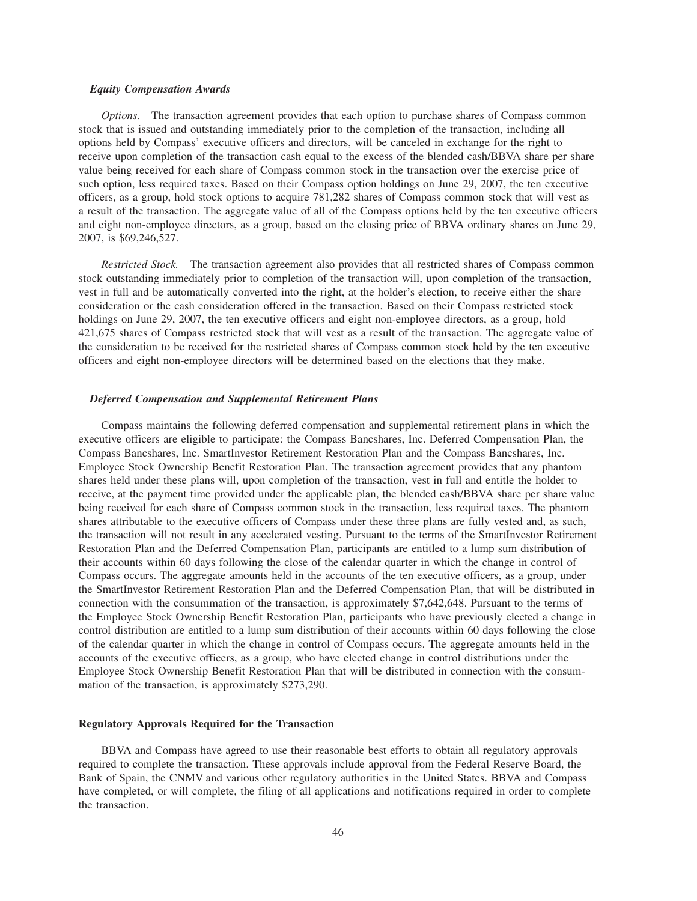#### *Equity Compensation Awards*

*Options.* The transaction agreement provides that each option to purchase shares of Compass common stock that is issued and outstanding immediately prior to the completion of the transaction, including all options held by Compass' executive officers and directors, will be canceled in exchange for the right to receive upon completion of the transaction cash equal to the excess of the blended cash/BBVA share per share value being received for each share of Compass common stock in the transaction over the exercise price of such option, less required taxes. Based on their Compass option holdings on June 29, 2007, the ten executive officers, as a group, hold stock options to acquire 781,282 shares of Compass common stock that will vest as a result of the transaction. The aggregate value of all of the Compass options held by the ten executive officers and eight non-employee directors, as a group, based on the closing price of BBVA ordinary shares on June 29, 2007, is \$69,246,527.

*Restricted Stock.* The transaction agreement also provides that all restricted shares of Compass common stock outstanding immediately prior to completion of the transaction will, upon completion of the transaction, vest in full and be automatically converted into the right, at the holder's election, to receive either the share consideration or the cash consideration offered in the transaction. Based on their Compass restricted stock holdings on June 29, 2007, the ten executive officers and eight non-employee directors, as a group, hold 421,675 shares of Compass restricted stock that will vest as a result of the transaction. The aggregate value of the consideration to be received for the restricted shares of Compass common stock held by the ten executive officers and eight non-employee directors will be determined based on the elections that they make.

#### *Deferred Compensation and Supplemental Retirement Plans*

Compass maintains the following deferred compensation and supplemental retirement plans in which the executive officers are eligible to participate: the Compass Bancshares, Inc. Deferred Compensation Plan, the Compass Bancshares, Inc. SmartInvestor Retirement Restoration Plan and the Compass Bancshares, Inc. Employee Stock Ownership Benefit Restoration Plan. The transaction agreement provides that any phantom shares held under these plans will, upon completion of the transaction, vest in full and entitle the holder to receive, at the payment time provided under the applicable plan, the blended cash/BBVA share per share value being received for each share of Compass common stock in the transaction, less required taxes. The phantom shares attributable to the executive officers of Compass under these three plans are fully vested and, as such, the transaction will not result in any accelerated vesting. Pursuant to the terms of the SmartInvestor Retirement Restoration Plan and the Deferred Compensation Plan, participants are entitled to a lump sum distribution of their accounts within 60 days following the close of the calendar quarter in which the change in control of Compass occurs. The aggregate amounts held in the accounts of the ten executive officers, as a group, under the SmartInvestor Retirement Restoration Plan and the Deferred Compensation Plan, that will be distributed in connection with the consummation of the transaction, is approximately \$7,642,648. Pursuant to the terms of the Employee Stock Ownership Benefit Restoration Plan, participants who have previously elected a change in control distribution are entitled to a lump sum distribution of their accounts within 60 days following the close of the calendar quarter in which the change in control of Compass occurs. The aggregate amounts held in the accounts of the executive officers, as a group, who have elected change in control distributions under the Employee Stock Ownership Benefit Restoration Plan that will be distributed in connection with the consummation of the transaction, is approximately \$273,290.

#### **Regulatory Approvals Required for the Transaction**

BBVA and Compass have agreed to use their reasonable best efforts to obtain all regulatory approvals required to complete the transaction. These approvals include approval from the Federal Reserve Board, the Bank of Spain, the CNMV and various other regulatory authorities in the United States. BBVA and Compass have completed, or will complete, the filing of all applications and notifications required in order to complete the transaction.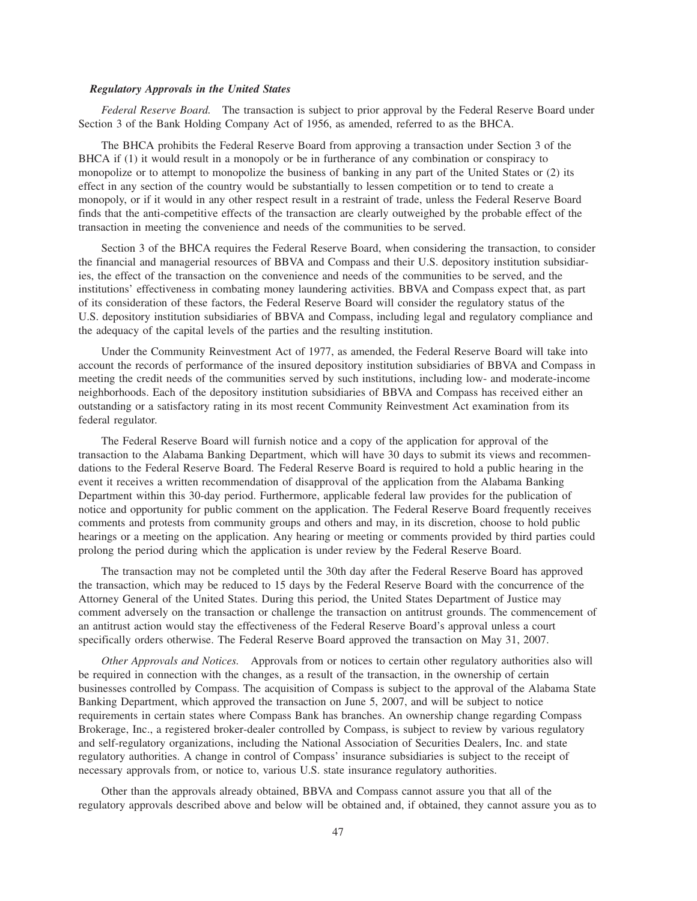#### *Regulatory Approvals in the United States*

*Federal Reserve Board.* The transaction is subject to prior approval by the Federal Reserve Board under Section 3 of the Bank Holding Company Act of 1956, as amended, referred to as the BHCA.

The BHCA prohibits the Federal Reserve Board from approving a transaction under Section 3 of the BHCA if (1) it would result in a monopoly or be in furtherance of any combination or conspiracy to monopolize or to attempt to monopolize the business of banking in any part of the United States or (2) its effect in any section of the country would be substantially to lessen competition or to tend to create a monopoly, or if it would in any other respect result in a restraint of trade, unless the Federal Reserve Board finds that the anti-competitive effects of the transaction are clearly outweighed by the probable effect of the transaction in meeting the convenience and needs of the communities to be served.

Section 3 of the BHCA requires the Federal Reserve Board, when considering the transaction, to consider the financial and managerial resources of BBVA and Compass and their U.S. depository institution subsidiaries, the effect of the transaction on the convenience and needs of the communities to be served, and the institutions' effectiveness in combating money laundering activities. BBVA and Compass expect that, as part of its consideration of these factors, the Federal Reserve Board will consider the regulatory status of the U.S. depository institution subsidiaries of BBVA and Compass, including legal and regulatory compliance and the adequacy of the capital levels of the parties and the resulting institution.

Under the Community Reinvestment Act of 1977, as amended, the Federal Reserve Board will take into account the records of performance of the insured depository institution subsidiaries of BBVA and Compass in meeting the credit needs of the communities served by such institutions, including low- and moderate-income neighborhoods. Each of the depository institution subsidiaries of BBVA and Compass has received either an outstanding or a satisfactory rating in its most recent Community Reinvestment Act examination from its federal regulator.

The Federal Reserve Board will furnish notice and a copy of the application for approval of the transaction to the Alabama Banking Department, which will have 30 days to submit its views and recommendations to the Federal Reserve Board. The Federal Reserve Board is required to hold a public hearing in the event it receives a written recommendation of disapproval of the application from the Alabama Banking Department within this 30-day period. Furthermore, applicable federal law provides for the publication of notice and opportunity for public comment on the application. The Federal Reserve Board frequently receives comments and protests from community groups and others and may, in its discretion, choose to hold public hearings or a meeting on the application. Any hearing or meeting or comments provided by third parties could prolong the period during which the application is under review by the Federal Reserve Board.

The transaction may not be completed until the 30th day after the Federal Reserve Board has approved the transaction, which may be reduced to 15 days by the Federal Reserve Board with the concurrence of the Attorney General of the United States. During this period, the United States Department of Justice may comment adversely on the transaction or challenge the transaction on antitrust grounds. The commencement of an antitrust action would stay the effectiveness of the Federal Reserve Board's approval unless a court specifically orders otherwise. The Federal Reserve Board approved the transaction on May 31, 2007.

*Other Approvals and Notices.* Approvals from or notices to certain other regulatory authorities also will be required in connection with the changes, as a result of the transaction, in the ownership of certain businesses controlled by Compass. The acquisition of Compass is subject to the approval of the Alabama State Banking Department, which approved the transaction on June 5, 2007, and will be subject to notice requirements in certain states where Compass Bank has branches. An ownership change regarding Compass Brokerage, Inc., a registered broker-dealer controlled by Compass, is subject to review by various regulatory and self-regulatory organizations, including the National Association of Securities Dealers, Inc. and state regulatory authorities. A change in control of Compass' insurance subsidiaries is subject to the receipt of necessary approvals from, or notice to, various U.S. state insurance regulatory authorities.

Other than the approvals already obtained, BBVA and Compass cannot assure you that all of the regulatory approvals described above and below will be obtained and, if obtained, they cannot assure you as to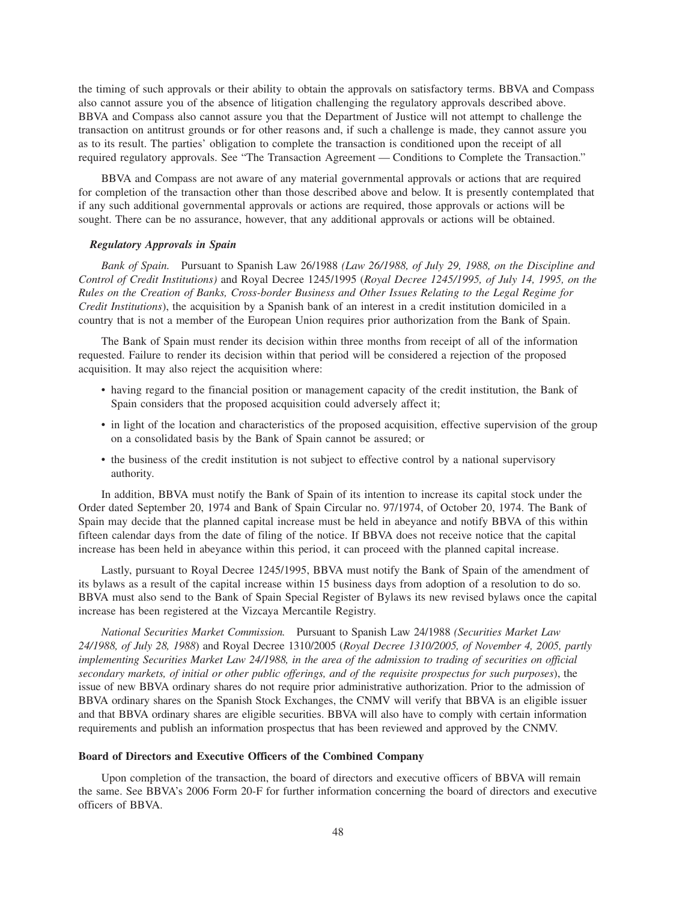the timing of such approvals or their ability to obtain the approvals on satisfactory terms. BBVA and Compass also cannot assure you of the absence of litigation challenging the regulatory approvals described above. BBVA and Compass also cannot assure you that the Department of Justice will not attempt to challenge the transaction on antitrust grounds or for other reasons and, if such a challenge is made, they cannot assure you as to its result. The parties' obligation to complete the transaction is conditioned upon the receipt of all required regulatory approvals. See "The Transaction Agreement — Conditions to Complete the Transaction."

BBVA and Compass are not aware of any material governmental approvals or actions that are required for completion of the transaction other than those described above and below. It is presently contemplated that if any such additional governmental approvals or actions are required, those approvals or actions will be sought. There can be no assurance, however, that any additional approvals or actions will be obtained.

#### *Regulatory Approvals in Spain*

*Bank of Spain.* Pursuant to Spanish Law 26/1988 *(Law 26/1988, of July 29, 1988, on the Discipline and Control of Credit Institutions)* and Royal Decree 1245/1995 (*Royal Decree 1245/1995, of July 14, 1995, on the Rules on the Creation of Banks, Cross-border Business and Other Issues Relating to the Legal Regime for Credit Institutions*), the acquisition by a Spanish bank of an interest in a credit institution domiciled in a country that is not a member of the European Union requires prior authorization from the Bank of Spain.

The Bank of Spain must render its decision within three months from receipt of all of the information requested. Failure to render its decision within that period will be considered a rejection of the proposed acquisition. It may also reject the acquisition where:

- having regard to the financial position or management capacity of the credit institution, the Bank of Spain considers that the proposed acquisition could adversely affect it;
- in light of the location and characteristics of the proposed acquisition, effective supervision of the group on a consolidated basis by the Bank of Spain cannot be assured; or
- the business of the credit institution is not subject to effective control by a national supervisory authority.

In addition, BBVA must notify the Bank of Spain of its intention to increase its capital stock under the Order dated September 20, 1974 and Bank of Spain Circular no. 97/1974, of October 20, 1974. The Bank of Spain may decide that the planned capital increase must be held in abeyance and notify BBVA of this within fifteen calendar days from the date of filing of the notice. If BBVA does not receive notice that the capital increase has been held in abeyance within this period, it can proceed with the planned capital increase.

Lastly, pursuant to Royal Decree 1245/1995, BBVA must notify the Bank of Spain of the amendment of its bylaws as a result of the capital increase within 15 business days from adoption of a resolution to do so. BBVA must also send to the Bank of Spain Special Register of Bylaws its new revised bylaws once the capital increase has been registered at the Vizcaya Mercantile Registry.

*National Securities Market Commission.* Pursuant to Spanish Law 24/1988 *(Securities Market Law 24/1988, of July 28, 1988*) and Royal Decree 1310/2005 (*Royal Decree 1310/2005, of November 4, 2005, partly implementing Securities Market Law 24/1988, in the area of the admission to trading of securities on official secondary markets, of initial or other public offerings, and of the requisite prospectus for such purposes*), the issue of new BBVA ordinary shares do not require prior administrative authorization. Prior to the admission of BBVA ordinary shares on the Spanish Stock Exchanges, the CNMV will verify that BBVA is an eligible issuer and that BBVA ordinary shares are eligible securities. BBVA will also have to comply with certain information requirements and publish an information prospectus that has been reviewed and approved by the CNMV.

#### **Board of Directors and Executive Officers of the Combined Company**

Upon completion of the transaction, the board of directors and executive officers of BBVA will remain the same. See BBVA's 2006 Form 20-F for further information concerning the board of directors and executive officers of BBVA.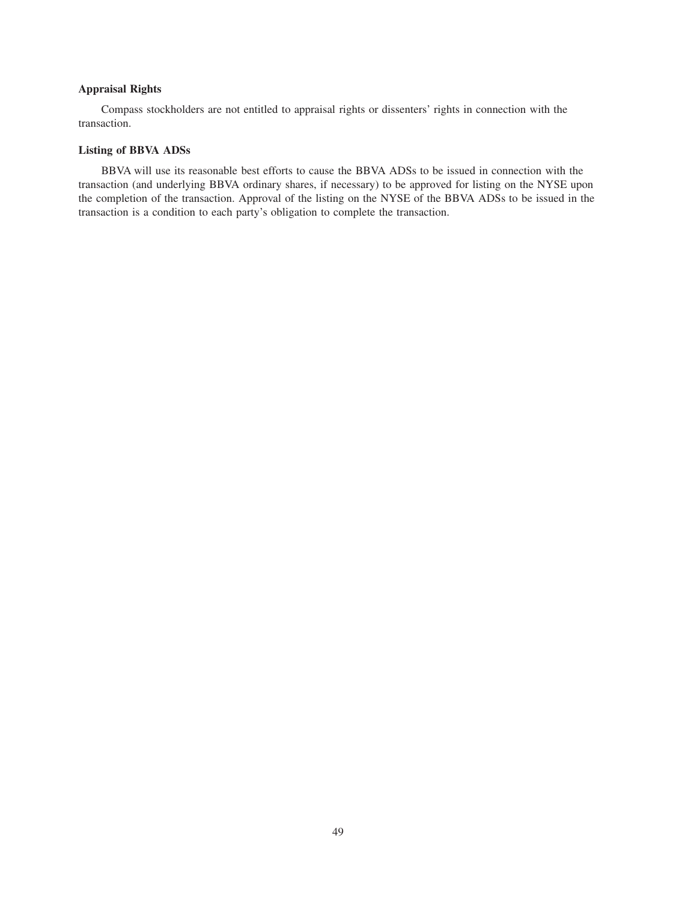# **Appraisal Rights**

Compass stockholders are not entitled to appraisal rights or dissenters' rights in connection with the transaction.

# **Listing of BBVA ADSs**

BBVA will use its reasonable best efforts to cause the BBVA ADSs to be issued in connection with the transaction (and underlying BBVA ordinary shares, if necessary) to be approved for listing on the NYSE upon the completion of the transaction. Approval of the listing on the NYSE of the BBVA ADSs to be issued in the transaction is a condition to each party's obligation to complete the transaction.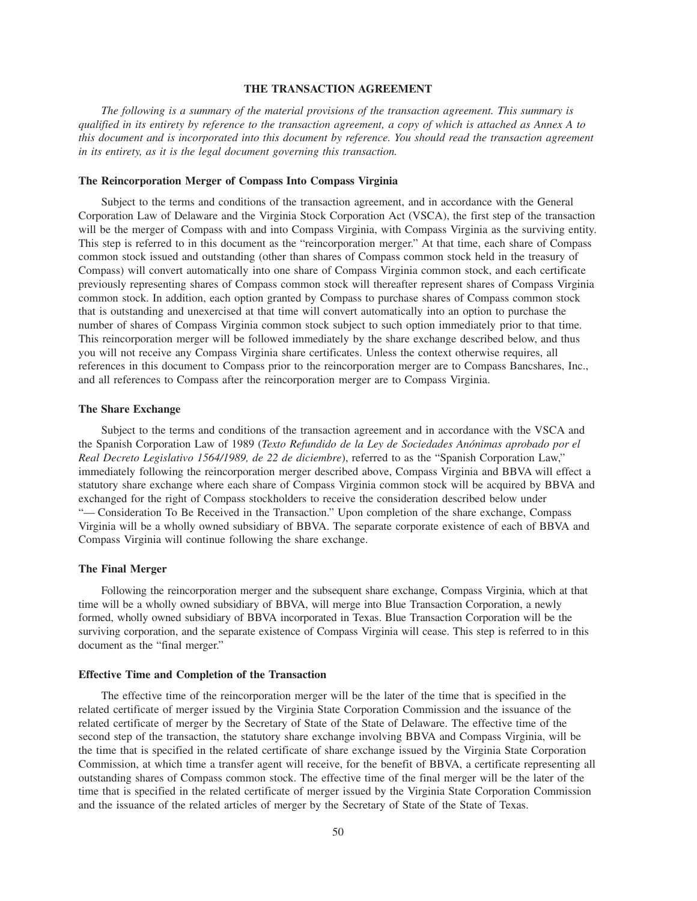## **THE TRANSACTION AGREEMENT**

*The following is a summary of the material provisions of the transaction agreement. This summary is qualified in its entirety by reference to the transaction agreement, a copy of which is attached as Annex A to this document and is incorporated into this document by reference. You should read the transaction agreement in its entirety, as it is the legal document governing this transaction.*

# **The Reincorporation Merger of Compass Into Compass Virginia**

Subject to the terms and conditions of the transaction agreement, and in accordance with the General Corporation Law of Delaware and the Virginia Stock Corporation Act (VSCA), the first step of the transaction will be the merger of Compass with and into Compass Virginia, with Compass Virginia as the surviving entity. This step is referred to in this document as the "reincorporation merger." At that time, each share of Compass common stock issued and outstanding (other than shares of Compass common stock held in the treasury of Compass) will convert automatically into one share of Compass Virginia common stock, and each certificate previously representing shares of Compass common stock will thereafter represent shares of Compass Virginia common stock. In addition, each option granted by Compass to purchase shares of Compass common stock that is outstanding and unexercised at that time will convert automatically into an option to purchase the number of shares of Compass Virginia common stock subject to such option immediately prior to that time. This reincorporation merger will be followed immediately by the share exchange described below, and thus you will not receive any Compass Virginia share certificates. Unless the context otherwise requires, all references in this document to Compass prior to the reincorporation merger are to Compass Bancshares, Inc., and all references to Compass after the reincorporation merger are to Compass Virginia.

#### **The Share Exchange**

Subject to the terms and conditions of the transaction agreement and in accordance with the VSCA and the Spanish Corporation Law of 1989 (*Texto Refundido de la Ley de Sociedades Anónimas aprobado por el Real Decreto Legislativo 1564/1989, de 22 de diciembre*), referred to as the "Spanish Corporation Law," immediately following the reincorporation merger described above, Compass Virginia and BBVA will effect a statutory share exchange where each share of Compass Virginia common stock will be acquired by BBVA and exchanged for the right of Compass stockholders to receive the consideration described below under "— Consideration To Be Received in the Transaction." Upon completion of the share exchange, Compass Virginia will be a wholly owned subsidiary of BBVA. The separate corporate existence of each of BBVA and Compass Virginia will continue following the share exchange.

#### **The Final Merger**

Following the reincorporation merger and the subsequent share exchange, Compass Virginia, which at that time will be a wholly owned subsidiary of BBVA, will merge into Blue Transaction Corporation, a newly formed, wholly owned subsidiary of BBVA incorporated in Texas. Blue Transaction Corporation will be the surviving corporation, and the separate existence of Compass Virginia will cease. This step is referred to in this document as the "final merger."

#### **Effective Time and Completion of the Transaction**

The effective time of the reincorporation merger will be the later of the time that is specified in the related certificate of merger issued by the Virginia State Corporation Commission and the issuance of the related certificate of merger by the Secretary of State of the State of Delaware. The effective time of the second step of the transaction, the statutory share exchange involving BBVA and Compass Virginia, will be the time that is specified in the related certificate of share exchange issued by the Virginia State Corporation Commission, at which time a transfer agent will receive, for the benefit of BBVA, a certificate representing all outstanding shares of Compass common stock. The effective time of the final merger will be the later of the time that is specified in the related certificate of merger issued by the Virginia State Corporation Commission and the issuance of the related articles of merger by the Secretary of State of the State of Texas.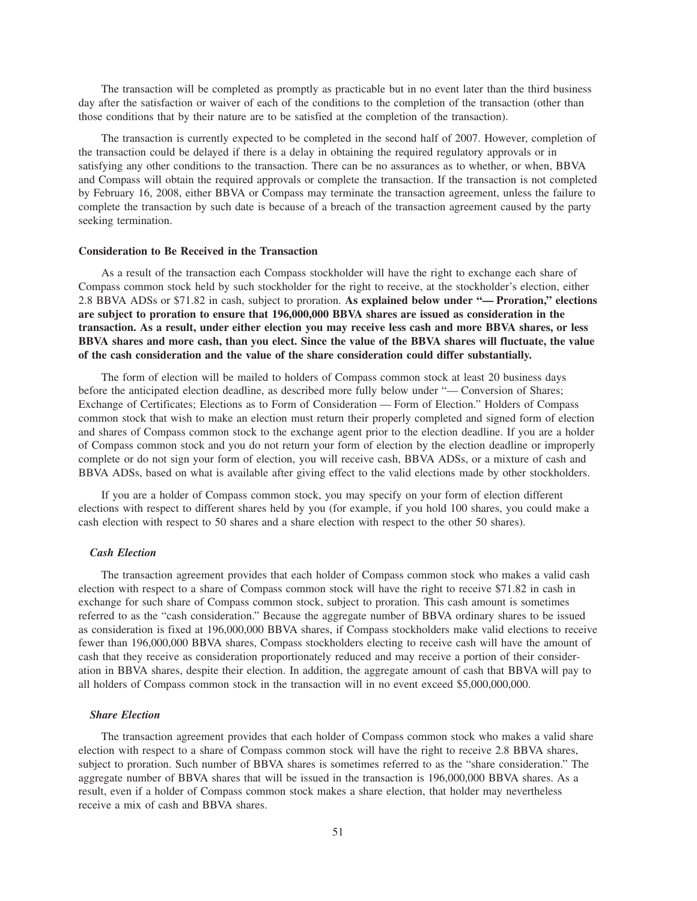The transaction will be completed as promptly as practicable but in no event later than the third business day after the satisfaction or waiver of each of the conditions to the completion of the transaction (other than those conditions that by their nature are to be satisfied at the completion of the transaction).

The transaction is currently expected to be completed in the second half of 2007. However, completion of the transaction could be delayed if there is a delay in obtaining the required regulatory approvals or in satisfying any other conditions to the transaction. There can be no assurances as to whether, or when, BBVA and Compass will obtain the required approvals or complete the transaction. If the transaction is not completed by February 16, 2008, either BBVA or Compass may terminate the transaction agreement, unless the failure to complete the transaction by such date is because of a breach of the transaction agreement caused by the party seeking termination.

#### **Consideration to Be Received in the Transaction**

As a result of the transaction each Compass stockholder will have the right to exchange each share of Compass common stock held by such stockholder for the right to receive, at the stockholder's election, either 2.8 BBVA ADSs or \$71.82 in cash, subject to proration. **As explained below under "— Proration," elections are subject to proration to ensure that 196,000,000 BBVA shares are issued as consideration in the transaction. As a result, under either election you may receive less cash and more BBVA shares, or less BBVA shares and more cash, than you elect. Since the value of the BBVA shares will fluctuate, the value of the cash consideration and the value of the share consideration could differ substantially.**

The form of election will be mailed to holders of Compass common stock at least 20 business days before the anticipated election deadline, as described more fully below under "— Conversion of Shares; Exchange of Certificates; Elections as to Form of Consideration — Form of Election." Holders of Compass common stock that wish to make an election must return their properly completed and signed form of election and shares of Compass common stock to the exchange agent prior to the election deadline. If you are a holder of Compass common stock and you do not return your form of election by the election deadline or improperly complete or do not sign your form of election, you will receive cash, BBVA ADSs, or a mixture of cash and BBVA ADSs, based on what is available after giving effect to the valid elections made by other stockholders.

If you are a holder of Compass common stock, you may specify on your form of election different elections with respect to different shares held by you (for example, if you hold 100 shares, you could make a cash election with respect to 50 shares and a share election with respect to the other 50 shares).

# *Cash Election*

The transaction agreement provides that each holder of Compass common stock who makes a valid cash election with respect to a share of Compass common stock will have the right to receive \$71.82 in cash in exchange for such share of Compass common stock, subject to proration. This cash amount is sometimes referred to as the "cash consideration." Because the aggregate number of BBVA ordinary shares to be issued as consideration is fixed at 196,000,000 BBVA shares, if Compass stockholders make valid elections to receive fewer than 196,000,000 BBVA shares, Compass stockholders electing to receive cash will have the amount of cash that they receive as consideration proportionately reduced and may receive a portion of their consideration in BBVA shares, despite their election. In addition, the aggregate amount of cash that BBVA will pay to all holders of Compass common stock in the transaction will in no event exceed \$5,000,000,000.

## *Share Election*

The transaction agreement provides that each holder of Compass common stock who makes a valid share election with respect to a share of Compass common stock will have the right to receive 2.8 BBVA shares, subject to proration. Such number of BBVA shares is sometimes referred to as the "share consideration." The aggregate number of BBVA shares that will be issued in the transaction is 196,000,000 BBVA shares. As a result, even if a holder of Compass common stock makes a share election, that holder may nevertheless receive a mix of cash and BBVA shares.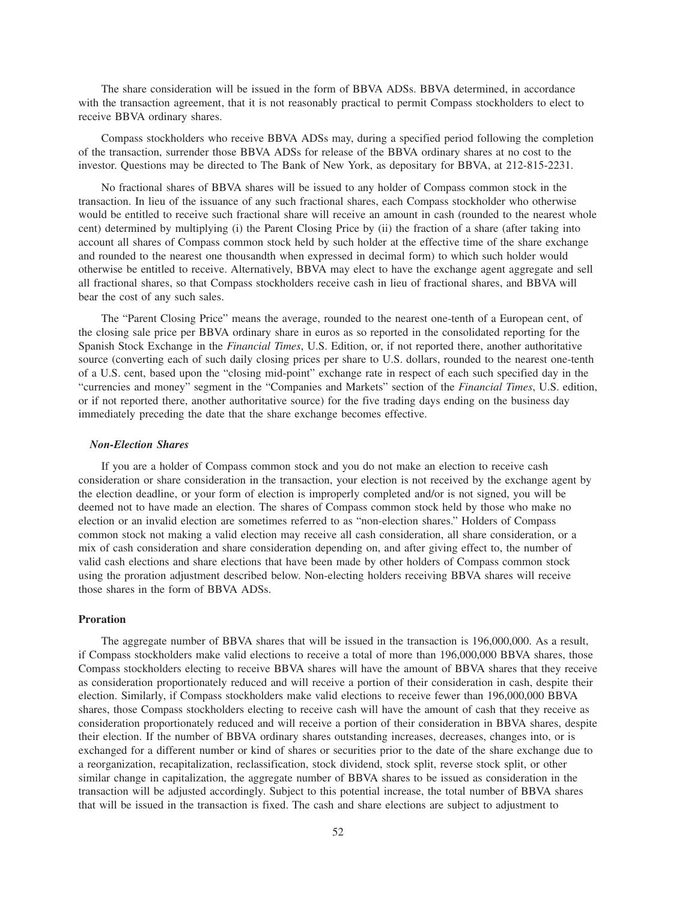The share consideration will be issued in the form of BBVA ADSs. BBVA determined, in accordance with the transaction agreement, that it is not reasonably practical to permit Compass stockholders to elect to receive BBVA ordinary shares.

Compass stockholders who receive BBVA ADSs may, during a specified period following the completion of the transaction, surrender those BBVA ADSs for release of the BBVA ordinary shares at no cost to the investor. Questions may be directed to The Bank of New York, as depositary for BBVA, at 212-815-2231.

No fractional shares of BBVA shares will be issued to any holder of Compass common stock in the transaction. In lieu of the issuance of any such fractional shares, each Compass stockholder who otherwise would be entitled to receive such fractional share will receive an amount in cash (rounded to the nearest whole cent) determined by multiplying (i) the Parent Closing Price by (ii) the fraction of a share (after taking into account all shares of Compass common stock held by such holder at the effective time of the share exchange and rounded to the nearest one thousandth when expressed in decimal form) to which such holder would otherwise be entitled to receive. Alternatively, BBVA may elect to have the exchange agent aggregate and sell all fractional shares, so that Compass stockholders receive cash in lieu of fractional shares, and BBVA will bear the cost of any such sales.

The "Parent Closing Price" means the average, rounded to the nearest one-tenth of a European cent, of the closing sale price per BBVA ordinary share in euros as so reported in the consolidated reporting for the Spanish Stock Exchange in the *Financial Times*, U.S. Edition, or, if not reported there, another authoritative source (converting each of such daily closing prices per share to U.S. dollars, rounded to the nearest one-tenth of a U.S. cent, based upon the "closing mid-point" exchange rate in respect of each such specified day in the "currencies and money" segment in the "Companies and Markets" section of the *Financial Times*, U.S. edition, or if not reported there, another authoritative source) for the five trading days ending on the business day immediately preceding the date that the share exchange becomes effective.

#### *Non-Election Shares*

If you are a holder of Compass common stock and you do not make an election to receive cash consideration or share consideration in the transaction, your election is not received by the exchange agent by the election deadline, or your form of election is improperly completed and/or is not signed, you will be deemed not to have made an election. The shares of Compass common stock held by those who make no election or an invalid election are sometimes referred to as "non-election shares." Holders of Compass common stock not making a valid election may receive all cash consideration, all share consideration, or a mix of cash consideration and share consideration depending on, and after giving effect to, the number of valid cash elections and share elections that have been made by other holders of Compass common stock using the proration adjustment described below. Non-electing holders receiving BBVA shares will receive those shares in the form of BBVA ADSs.

# **Proration**

The aggregate number of BBVA shares that will be issued in the transaction is 196,000,000. As a result, if Compass stockholders make valid elections to receive a total of more than 196,000,000 BBVA shares, those Compass stockholders electing to receive BBVA shares will have the amount of BBVA shares that they receive as consideration proportionately reduced and will receive a portion of their consideration in cash, despite their election. Similarly, if Compass stockholders make valid elections to receive fewer than 196,000,000 BBVA shares, those Compass stockholders electing to receive cash will have the amount of cash that they receive as consideration proportionately reduced and will receive a portion of their consideration in BBVA shares, despite their election. If the number of BBVA ordinary shares outstanding increases, decreases, changes into, or is exchanged for a different number or kind of shares or securities prior to the date of the share exchange due to a reorganization, recapitalization, reclassification, stock dividend, stock split, reverse stock split, or other similar change in capitalization, the aggregate number of BBVA shares to be issued as consideration in the transaction will be adjusted accordingly. Subject to this potential increase, the total number of BBVA shares that will be issued in the transaction is fixed. The cash and share elections are subject to adjustment to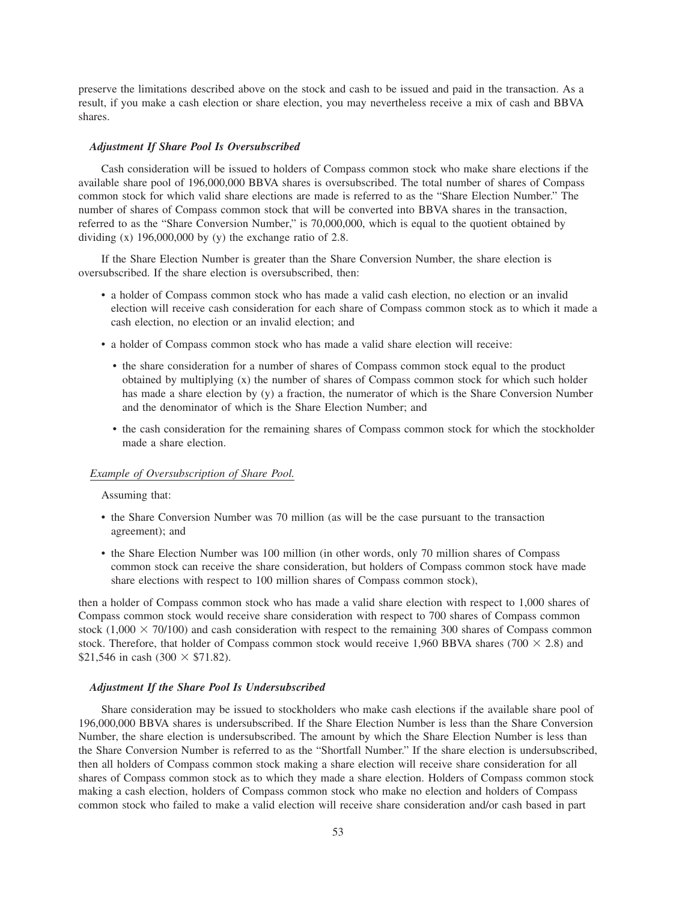preserve the limitations described above on the stock and cash to be issued and paid in the transaction. As a result, if you make a cash election or share election, you may nevertheless receive a mix of cash and BBVA shares.

#### *Adjustment If Share Pool Is Oversubscribed*

Cash consideration will be issued to holders of Compass common stock who make share elections if the available share pool of 196,000,000 BBVA shares is oversubscribed. The total number of shares of Compass common stock for which valid share elections are made is referred to as the "Share Election Number." The number of shares of Compass common stock that will be converted into BBVA shares in the transaction, referred to as the "Share Conversion Number," is 70,000,000, which is equal to the quotient obtained by dividing  $(x)$  196,000,000 by  $(y)$  the exchange ratio of 2.8.

If the Share Election Number is greater than the Share Conversion Number, the share election is oversubscribed. If the share election is oversubscribed, then:

- a holder of Compass common stock who has made a valid cash election, no election or an invalid election will receive cash consideration for each share of Compass common stock as to which it made a cash election, no election or an invalid election; and
- a holder of Compass common stock who has made a valid share election will receive:
	- the share consideration for a number of shares of Compass common stock equal to the product obtained by multiplying (x) the number of shares of Compass common stock for which such holder has made a share election by (y) a fraction, the numerator of which is the Share Conversion Number and the denominator of which is the Share Election Number; and
	- the cash consideration for the remaining shares of Compass common stock for which the stockholder made a share election.

## *Example of Oversubscription of Share Pool.*

Assuming that:

- the Share Conversion Number was 70 million (as will be the case pursuant to the transaction agreement); and
- the Share Election Number was 100 million (in other words, only 70 million shares of Compass common stock can receive the share consideration, but holders of Compass common stock have made share elections with respect to 100 million shares of Compass common stock),

then a holder of Compass common stock who has made a valid share election with respect to 1,000 shares of Compass common stock would receive share consideration with respect to 700 shares of Compass common stock  $(1,000 \times 70/100)$  and cash consideration with respect to the remaining 300 shares of Compass common stock. Therefore, that holder of Compass common stock would receive 1,960 BBVA shares (700  $\times$  2.8) and  $$21,546$  in cash (300  $\times$  \$71.82).

## *Adjustment If the Share Pool Is Undersubscribed*

Share consideration may be issued to stockholders who make cash elections if the available share pool of 196,000,000 BBVA shares is undersubscribed. If the Share Election Number is less than the Share Conversion Number, the share election is undersubscribed. The amount by which the Share Election Number is less than the Share Conversion Number is referred to as the "Shortfall Number." If the share election is undersubscribed, then all holders of Compass common stock making a share election will receive share consideration for all shares of Compass common stock as to which they made a share election. Holders of Compass common stock making a cash election, holders of Compass common stock who make no election and holders of Compass common stock who failed to make a valid election will receive share consideration and/or cash based in part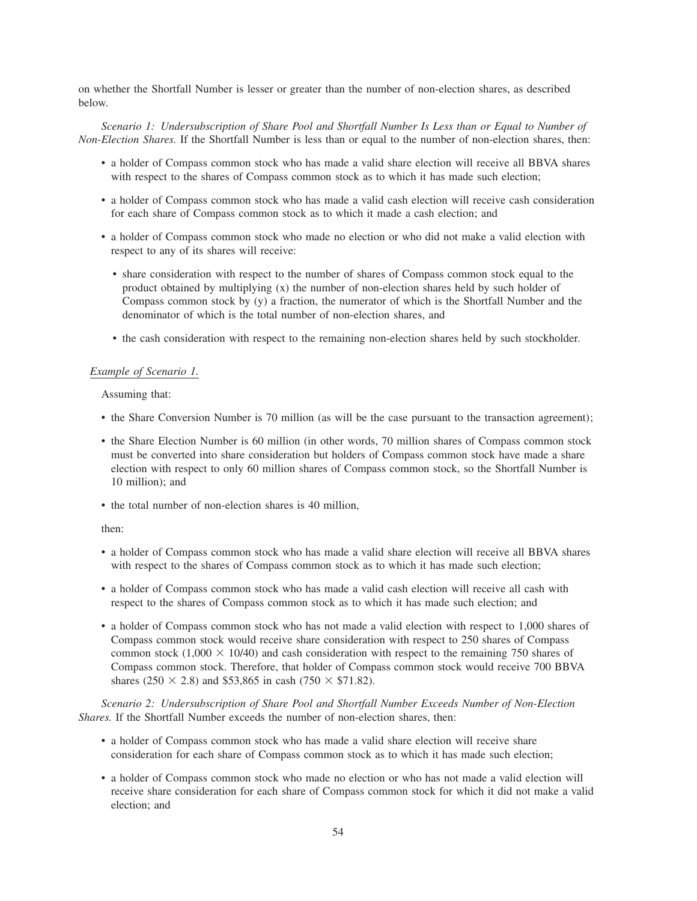on whether the Shortfall Number is lesser or greater than the number of non-election shares, as described below.

*Scenario 1: Undersubscription of Share Pool and Shortfall Number Is Less than or Equal to Number of Non-Election Shares.* If the Shortfall Number is less than or equal to the number of non-election shares, then:

- a holder of Compass common stock who has made a valid share election will receive all BBVA shares with respect to the shares of Compass common stock as to which it has made such election;
- a holder of Compass common stock who has made a valid cash election will receive cash consideration for each share of Compass common stock as to which it made a cash election; and
- a holder of Compass common stock who made no election or who did not make a valid election with respect to any of its shares will receive:
	- share consideration with respect to the number of shares of Compass common stock equal to the product obtained by multiplying (x) the number of non-election shares held by such holder of Compass common stock by (y) a fraction, the numerator of which is the Shortfall Number and the denominator of which is the total number of non-election shares, and
	- the cash consideration with respect to the remaining non-election shares held by such stockholder.

#### *Example of Scenario 1.*

Assuming that:

- the Share Conversion Number is 70 million (as will be the case pursuant to the transaction agreement);
- the Share Election Number is 60 million (in other words, 70 million shares of Compass common stock must be converted into share consideration but holders of Compass common stock have made a share election with respect to only 60 million shares of Compass common stock, so the Shortfall Number is 10 million); and
- the total number of non-election shares is 40 million,

then:

- a holder of Compass common stock who has made a valid share election will receive all BBVA shares with respect to the shares of Compass common stock as to which it has made such election;
- a holder of Compass common stock who has made a valid cash election will receive all cash with respect to the shares of Compass common stock as to which it has made such election; and
- a holder of Compass common stock who has not made a valid election with respect to 1,000 shares of Compass common stock would receive share consideration with respect to 250 shares of Compass common stock  $(1,000 \times 10/40)$  and cash consideration with respect to the remaining 750 shares of Compass common stock. Therefore, that holder of Compass common stock would receive 700 BBVA shares (250  $\times$  2.8) and \$53,865 in cash (750  $\times$  \$71.82).

*Scenario 2: Undersubscription of Share Pool and Shortfall Number Exceeds Number of Non-Election Shares.* If the Shortfall Number exceeds the number of non-election shares, then:

- a holder of Compass common stock who has made a valid share election will receive share consideration for each share of Compass common stock as to which it has made such election;
- a holder of Compass common stock who made no election or who has not made a valid election will receive share consideration for each share of Compass common stock for which it did not make a valid election; and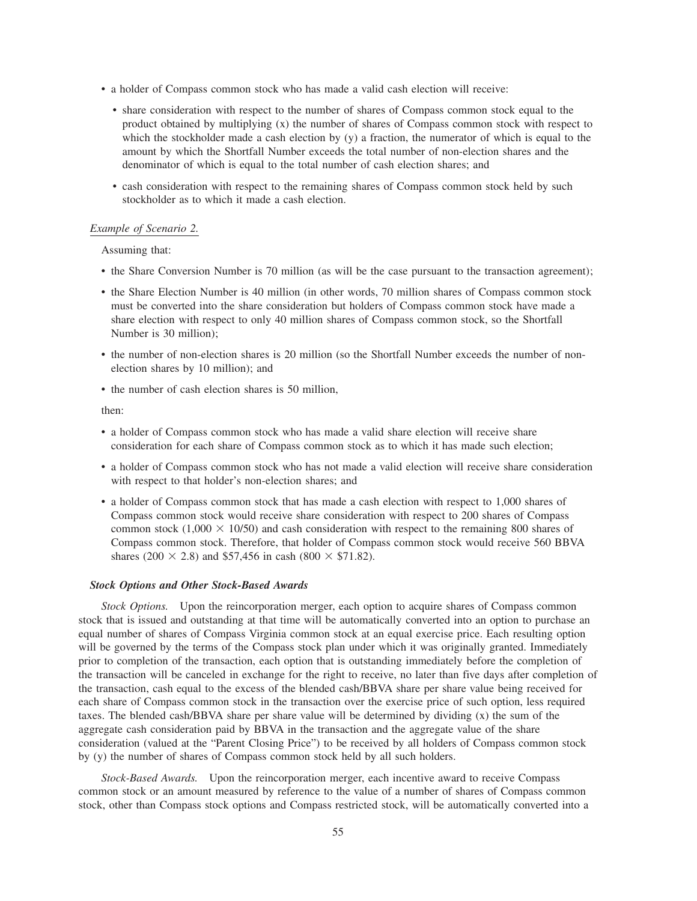- a holder of Compass common stock who has made a valid cash election will receive:
	- share consideration with respect to the number of shares of Compass common stock equal to the product obtained by multiplying (x) the number of shares of Compass common stock with respect to which the stockholder made a cash election by (y) a fraction, the numerator of which is equal to the amount by which the Shortfall Number exceeds the total number of non-election shares and the denominator of which is equal to the total number of cash election shares; and
	- cash consideration with respect to the remaining shares of Compass common stock held by such stockholder as to which it made a cash election.

#### *Example of Scenario 2.*

Assuming that:

- the Share Conversion Number is 70 million (as will be the case pursuant to the transaction agreement);
- the Share Election Number is 40 million (in other words, 70 million shares of Compass common stock must be converted into the share consideration but holders of Compass common stock have made a share election with respect to only 40 million shares of Compass common stock, so the Shortfall Number is 30 million);
- the number of non-election shares is 20 million (so the Shortfall Number exceeds the number of nonelection shares by 10 million); and
- the number of cash election shares is 50 million,

then:

- a holder of Compass common stock who has made a valid share election will receive share consideration for each share of Compass common stock as to which it has made such election;
- a holder of Compass common stock who has not made a valid election will receive share consideration with respect to that holder's non-election shares; and
- a holder of Compass common stock that has made a cash election with respect to 1,000 shares of Compass common stock would receive share consideration with respect to 200 shares of Compass common stock  $(1,000 \times 10/50)$  and cash consideration with respect to the remaining 800 shares of Compass common stock. Therefore, that holder of Compass common stock would receive 560 BBVA shares (200  $\times$  2.8) and \$57,456 in cash (800  $\times$  \$71.82).

#### *Stock Options and Other Stock-Based Awards*

*Stock Options.* Upon the reincorporation merger, each option to acquire shares of Compass common stock that is issued and outstanding at that time will be automatically converted into an option to purchase an equal number of shares of Compass Virginia common stock at an equal exercise price. Each resulting option will be governed by the terms of the Compass stock plan under which it was originally granted. Immediately prior to completion of the transaction, each option that is outstanding immediately before the completion of the transaction will be canceled in exchange for the right to receive, no later than five days after completion of the transaction, cash equal to the excess of the blended cash/BBVA share per share value being received for each share of Compass common stock in the transaction over the exercise price of such option, less required taxes. The blended cash/BBVA share per share value will be determined by dividing (x) the sum of the aggregate cash consideration paid by BBVA in the transaction and the aggregate value of the share consideration (valued at the "Parent Closing Price") to be received by all holders of Compass common stock by (y) the number of shares of Compass common stock held by all such holders.

*Stock-Based Awards.* Upon the reincorporation merger, each incentive award to receive Compass common stock or an amount measured by reference to the value of a number of shares of Compass common stock, other than Compass stock options and Compass restricted stock, will be automatically converted into a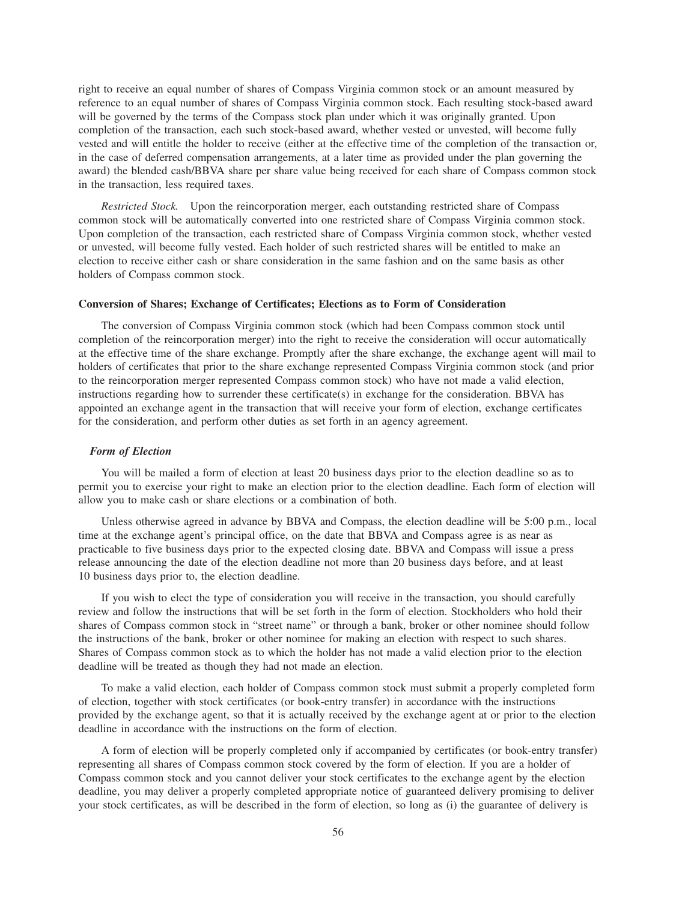right to receive an equal number of shares of Compass Virginia common stock or an amount measured by reference to an equal number of shares of Compass Virginia common stock. Each resulting stock-based award will be governed by the terms of the Compass stock plan under which it was originally granted. Upon completion of the transaction, each such stock-based award, whether vested or unvested, will become fully vested and will entitle the holder to receive (either at the effective time of the completion of the transaction or, in the case of deferred compensation arrangements, at a later time as provided under the plan governing the award) the blended cash/BBVA share per share value being received for each share of Compass common stock in the transaction, less required taxes.

*Restricted Stock.* Upon the reincorporation merger, each outstanding restricted share of Compass common stock will be automatically converted into one restricted share of Compass Virginia common stock. Upon completion of the transaction, each restricted share of Compass Virginia common stock, whether vested or unvested, will become fully vested. Each holder of such restricted shares will be entitled to make an election to receive either cash or share consideration in the same fashion and on the same basis as other holders of Compass common stock.

#### **Conversion of Shares; Exchange of Certificates; Elections as to Form of Consideration**

The conversion of Compass Virginia common stock (which had been Compass common stock until completion of the reincorporation merger) into the right to receive the consideration will occur automatically at the effective time of the share exchange. Promptly after the share exchange, the exchange agent will mail to holders of certificates that prior to the share exchange represented Compass Virginia common stock (and prior to the reincorporation merger represented Compass common stock) who have not made a valid election, instructions regarding how to surrender these certificate(s) in exchange for the consideration. BBVA has appointed an exchange agent in the transaction that will receive your form of election, exchange certificates for the consideration, and perform other duties as set forth in an agency agreement.

# *Form of Election*

You will be mailed a form of election at least 20 business days prior to the election deadline so as to permit you to exercise your right to make an election prior to the election deadline. Each form of election will allow you to make cash or share elections or a combination of both.

Unless otherwise agreed in advance by BBVA and Compass, the election deadline will be 5:00 p.m., local time at the exchange agent's principal office, on the date that BBVA and Compass agree is as near as practicable to five business days prior to the expected closing date. BBVA and Compass will issue a press release announcing the date of the election deadline not more than 20 business days before, and at least 10 business days prior to, the election deadline.

If you wish to elect the type of consideration you will receive in the transaction, you should carefully review and follow the instructions that will be set forth in the form of election. Stockholders who hold their shares of Compass common stock in "street name" or through a bank, broker or other nominee should follow the instructions of the bank, broker or other nominee for making an election with respect to such shares. Shares of Compass common stock as to which the holder has not made a valid election prior to the election deadline will be treated as though they had not made an election.

To make a valid election, each holder of Compass common stock must submit a properly completed form of election, together with stock certificates (or book-entry transfer) in accordance with the instructions provided by the exchange agent, so that it is actually received by the exchange agent at or prior to the election deadline in accordance with the instructions on the form of election.

A form of election will be properly completed only if accompanied by certificates (or book-entry transfer) representing all shares of Compass common stock covered by the form of election. If you are a holder of Compass common stock and you cannot deliver your stock certificates to the exchange agent by the election deadline, you may deliver a properly completed appropriate notice of guaranteed delivery promising to deliver your stock certificates, as will be described in the form of election, so long as (i) the guarantee of delivery is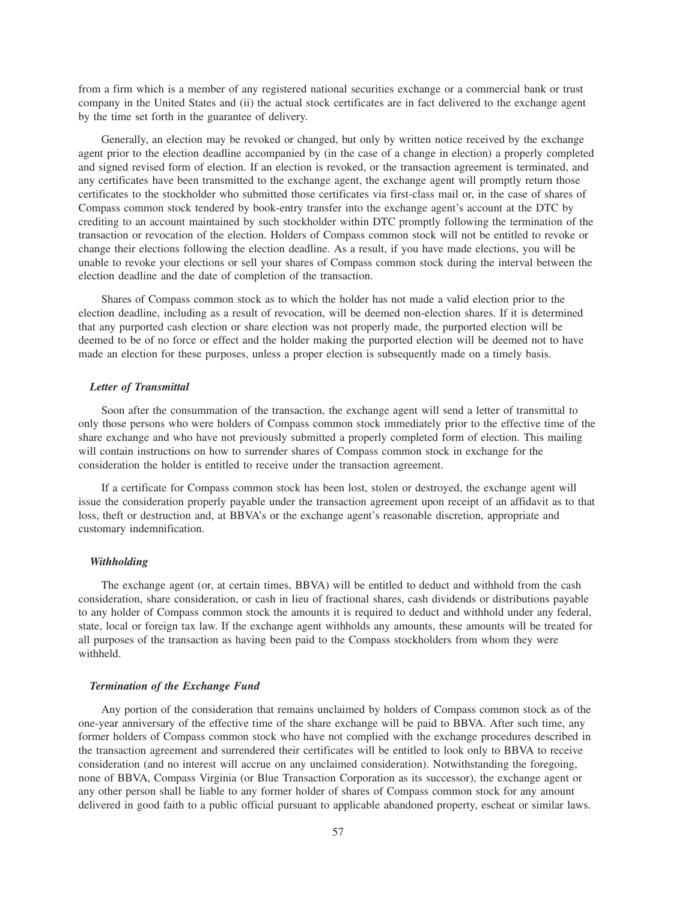from a firm which is a member of any registered national securities exchange or a commercial bank or trust company in the United States and (ii) the actual stock certificates are in fact delivered to the exchange agent by the time set forth in the guarantee of delivery.

Generally, an election may be revoked or changed, but only by written notice received by the exchange agent prior to the election deadline accompanied by (in the case of a change in election) a properly completed and signed revised form of election. If an election is revoked, or the transaction agreement is terminated, and any certificates have been transmitted to the exchange agent, the exchange agent will promptly return those certificates to the stockholder who submitted those certificates via first-class mail or, in the case of shares of Compass common stock tendered by book-entry transfer into the exchange agent's account at the DTC by crediting to an account maintained by such stockholder within DTC promptly following the termination of the transaction or revocation of the election. Holders of Compass common stock will not be entitled to revoke or change their elections following the election deadline. As a result, if you have made elections, you will be unable to revoke your elections or sell your shares of Compass common stock during the interval between the election deadline and the date of completion of the transaction.

Shares of Compass common stock as to which the holder has not made a valid election prior to the election deadline, including as a result of revocation, will be deemed non-election shares. If it is determined that any purported cash election or share election was not properly made, the purported election will be deemed to be of no force or effect and the holder making the purported election will be deemed not to have made an election for these purposes, unless a proper election is subsequently made on a timely basis.

# *Letter of Transmittal*

Soon after the consummation of the transaction, the exchange agent will send a letter of transmittal to only those persons who were holders of Compass common stock immediately prior to the effective time of the share exchange and who have not previously submitted a properly completed form of election. This mailing will contain instructions on how to surrender shares of Compass common stock in exchange for the consideration the holder is entitled to receive under the transaction agreement.

If a certificate for Compass common stock has been lost, stolen or destroyed, the exchange agent will issue the consideration properly payable under the transaction agreement upon receipt of an affidavit as to that loss, theft or destruction and, at BBVA's or the exchange agent's reasonable discretion, appropriate and customary indemnification.

## *Withholding*

The exchange agent (or, at certain times, BBVA) will be entitled to deduct and withhold from the cash consideration, share consideration, or cash in lieu of fractional shares, cash dividends or distributions payable to any holder of Compass common stock the amounts it is required to deduct and withhold under any federal, state, local or foreign tax law. If the exchange agent withholds any amounts, these amounts will be treated for all purposes of the transaction as having been paid to the Compass stockholders from whom they were withheld.

## *Termination of the Exchange Fund*

Any portion of the consideration that remains unclaimed by holders of Compass common stock as of the one-year anniversary of the effective time of the share exchange will be paid to BBVA. After such time, any former holders of Compass common stock who have not complied with the exchange procedures described in the transaction agreement and surrendered their certificates will be entitled to look only to BBVA to receive consideration (and no interest will accrue on any unclaimed consideration). Notwithstanding the foregoing, none of BBVA, Compass Virginia (or Blue Transaction Corporation as its successor), the exchange agent or any other person shall be liable to any former holder of shares of Compass common stock for any amount delivered in good faith to a public official pursuant to applicable abandoned property, escheat or similar laws.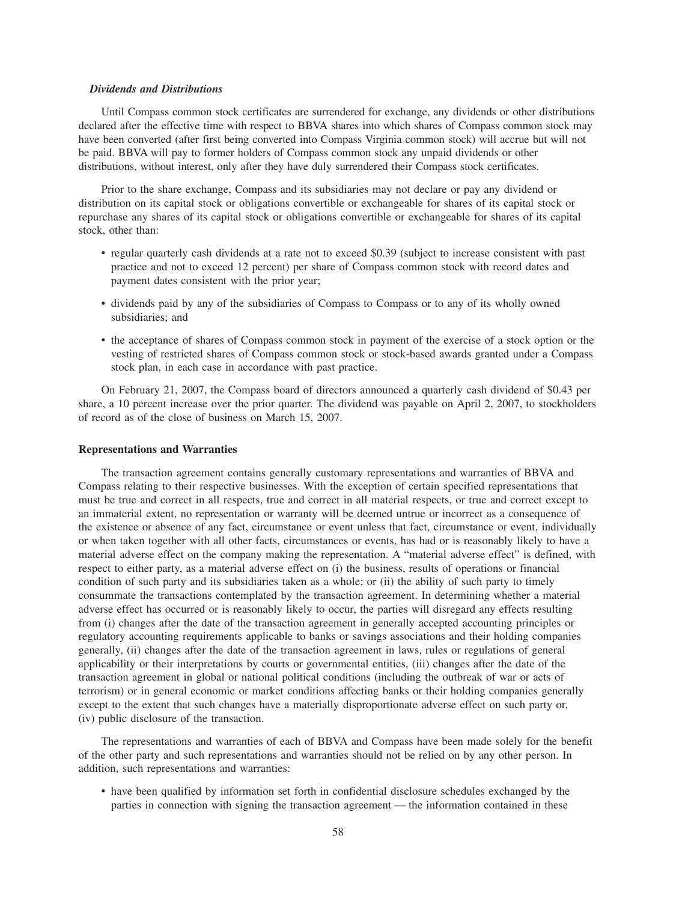#### *Dividends and Distributions*

Until Compass common stock certificates are surrendered for exchange, any dividends or other distributions declared after the effective time with respect to BBVA shares into which shares of Compass common stock may have been converted (after first being converted into Compass Virginia common stock) will accrue but will not be paid. BBVA will pay to former holders of Compass common stock any unpaid dividends or other distributions, without interest, only after they have duly surrendered their Compass stock certificates.

Prior to the share exchange, Compass and its subsidiaries may not declare or pay any dividend or distribution on its capital stock or obligations convertible or exchangeable for shares of its capital stock or repurchase any shares of its capital stock or obligations convertible or exchangeable for shares of its capital stock, other than:

- regular quarterly cash dividends at a rate not to exceed \$0.39 (subject to increase consistent with past practice and not to exceed 12 percent) per share of Compass common stock with record dates and payment dates consistent with the prior year;
- dividends paid by any of the subsidiaries of Compass to Compass or to any of its wholly owned subsidiaries; and
- the acceptance of shares of Compass common stock in payment of the exercise of a stock option or the vesting of restricted shares of Compass common stock or stock-based awards granted under a Compass stock plan, in each case in accordance with past practice.

On February 21, 2007, the Compass board of directors announced a quarterly cash dividend of \$0.43 per share, a 10 percent increase over the prior quarter. The dividend was payable on April 2, 2007, to stockholders of record as of the close of business on March 15, 2007.

#### **Representations and Warranties**

The transaction agreement contains generally customary representations and warranties of BBVA and Compass relating to their respective businesses. With the exception of certain specified representations that must be true and correct in all respects, true and correct in all material respects, or true and correct except to an immaterial extent, no representation or warranty will be deemed untrue or incorrect as a consequence of the existence or absence of any fact, circumstance or event unless that fact, circumstance or event, individually or when taken together with all other facts, circumstances or events, has had or is reasonably likely to have a material adverse effect on the company making the representation. A "material adverse effect" is defined, with respect to either party, as a material adverse effect on (i) the business, results of operations or financial condition of such party and its subsidiaries taken as a whole; or (ii) the ability of such party to timely consummate the transactions contemplated by the transaction agreement. In determining whether a material adverse effect has occurred or is reasonably likely to occur, the parties will disregard any effects resulting from (i) changes after the date of the transaction agreement in generally accepted accounting principles or regulatory accounting requirements applicable to banks or savings associations and their holding companies generally, (ii) changes after the date of the transaction agreement in laws, rules or regulations of general applicability or their interpretations by courts or governmental entities, (iii) changes after the date of the transaction agreement in global or national political conditions (including the outbreak of war or acts of terrorism) or in general economic or market conditions affecting banks or their holding companies generally except to the extent that such changes have a materially disproportionate adverse effect on such party or, (iv) public disclosure of the transaction.

The representations and warranties of each of BBVA and Compass have been made solely for the benefit of the other party and such representations and warranties should not be relied on by any other person. In addition, such representations and warranties:

• have been qualified by information set forth in confidential disclosure schedules exchanged by the parties in connection with signing the transaction agreement — the information contained in these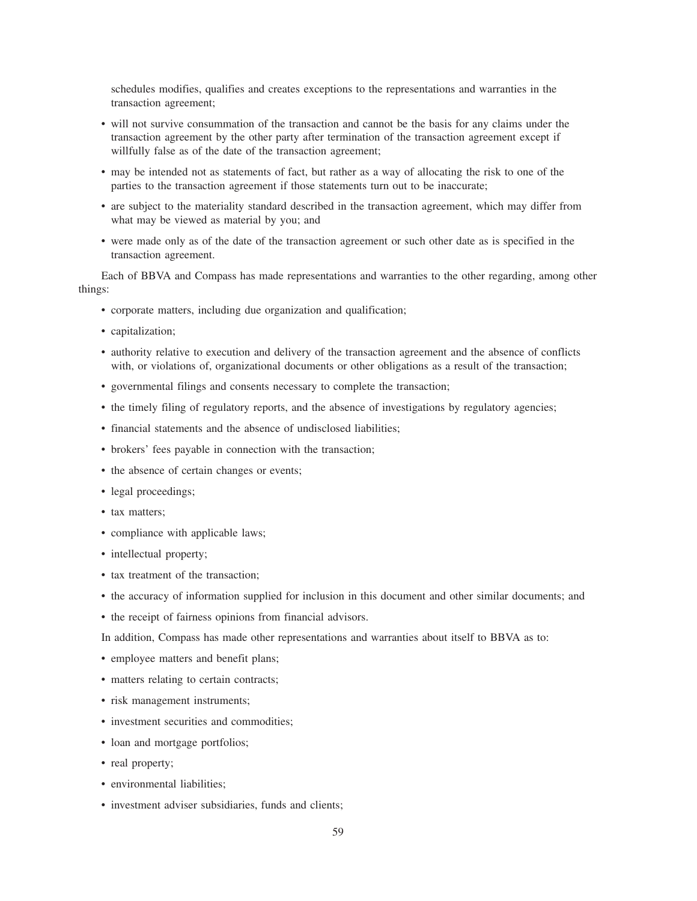schedules modifies, qualifies and creates exceptions to the representations and warranties in the transaction agreement;

- will not survive consummation of the transaction and cannot be the basis for any claims under the transaction agreement by the other party after termination of the transaction agreement except if willfully false as of the date of the transaction agreement;
- may be intended not as statements of fact, but rather as a way of allocating the risk to one of the parties to the transaction agreement if those statements turn out to be inaccurate;
- are subject to the materiality standard described in the transaction agreement, which may differ from what may be viewed as material by you; and
- were made only as of the date of the transaction agreement or such other date as is specified in the transaction agreement.

Each of BBVA and Compass has made representations and warranties to the other regarding, among other things:

- corporate matters, including due organization and qualification;
- capitalization;
- authority relative to execution and delivery of the transaction agreement and the absence of conflicts with, or violations of, organizational documents or other obligations as a result of the transaction;
- governmental filings and consents necessary to complete the transaction;
- the timely filing of regulatory reports, and the absence of investigations by regulatory agencies;
- financial statements and the absence of undisclosed liabilities;
- brokers' fees payable in connection with the transaction;
- the absence of certain changes or events;
- legal proceedings;
- tax matters;
- compliance with applicable laws;
- intellectual property;
- tax treatment of the transaction:
- the accuracy of information supplied for inclusion in this document and other similar documents; and
- the receipt of fairness opinions from financial advisors.

In addition, Compass has made other representations and warranties about itself to BBVA as to:

- employee matters and benefit plans;
- matters relating to certain contracts;
- risk management instruments;
- investment securities and commodities:
- loan and mortgage portfolios;
- real property;
- environmental liabilities;
- investment adviser subsidiaries, funds and clients;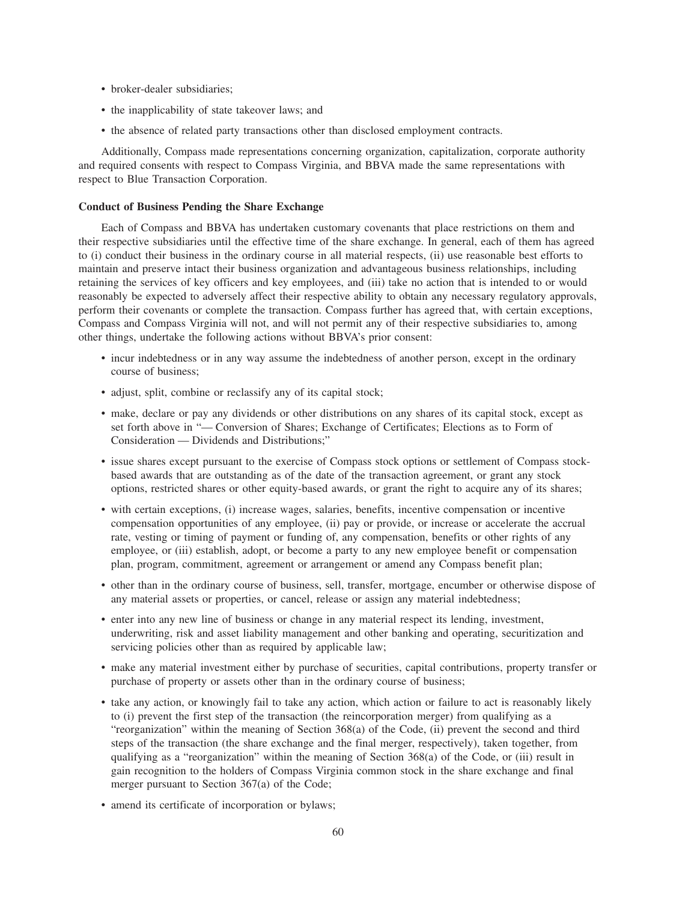- broker-dealer subsidiaries;
- the inapplicability of state takeover laws; and
- the absence of related party transactions other than disclosed employment contracts.

Additionally, Compass made representations concerning organization, capitalization, corporate authority and required consents with respect to Compass Virginia, and BBVA made the same representations with respect to Blue Transaction Corporation.

## **Conduct of Business Pending the Share Exchange**

Each of Compass and BBVA has undertaken customary covenants that place restrictions on them and their respective subsidiaries until the effective time of the share exchange. In general, each of them has agreed to (i) conduct their business in the ordinary course in all material respects, (ii) use reasonable best efforts to maintain and preserve intact their business organization and advantageous business relationships, including retaining the services of key officers and key employees, and (iii) take no action that is intended to or would reasonably be expected to adversely affect their respective ability to obtain any necessary regulatory approvals, perform their covenants or complete the transaction. Compass further has agreed that, with certain exceptions, Compass and Compass Virginia will not, and will not permit any of their respective subsidiaries to, among other things, undertake the following actions without BBVA's prior consent:

- incur indebtedness or in any way assume the indebtedness of another person, except in the ordinary course of business;
- adjust, split, combine or reclassify any of its capital stock;
- make, declare or pay any dividends or other distributions on any shares of its capital stock, except as set forth above in "— Conversion of Shares; Exchange of Certificates; Elections as to Form of Consideration — Dividends and Distributions;"
- issue shares except pursuant to the exercise of Compass stock options or settlement of Compass stockbased awards that are outstanding as of the date of the transaction agreement, or grant any stock options, restricted shares or other equity-based awards, or grant the right to acquire any of its shares;
- with certain exceptions, (i) increase wages, salaries, benefits, incentive compensation or incentive compensation opportunities of any employee, (ii) pay or provide, or increase or accelerate the accrual rate, vesting or timing of payment or funding of, any compensation, benefits or other rights of any employee, or (iii) establish, adopt, or become a party to any new employee benefit or compensation plan, program, commitment, agreement or arrangement or amend any Compass benefit plan;
- other than in the ordinary course of business, sell, transfer, mortgage, encumber or otherwise dispose of any material assets or properties, or cancel, release or assign any material indebtedness;
- enter into any new line of business or change in any material respect its lending, investment, underwriting, risk and asset liability management and other banking and operating, securitization and servicing policies other than as required by applicable law;
- make any material investment either by purchase of securities, capital contributions, property transfer or purchase of property or assets other than in the ordinary course of business;
- take any action, or knowingly fail to take any action, which action or failure to act is reasonably likely to (i) prevent the first step of the transaction (the reincorporation merger) from qualifying as a "reorganization" within the meaning of Section 368(a) of the Code, (ii) prevent the second and third steps of the transaction (the share exchange and the final merger, respectively), taken together, from qualifying as a "reorganization" within the meaning of Section 368(a) of the Code, or (iii) result in gain recognition to the holders of Compass Virginia common stock in the share exchange and final merger pursuant to Section 367(a) of the Code;
- amend its certificate of incorporation or bylaws;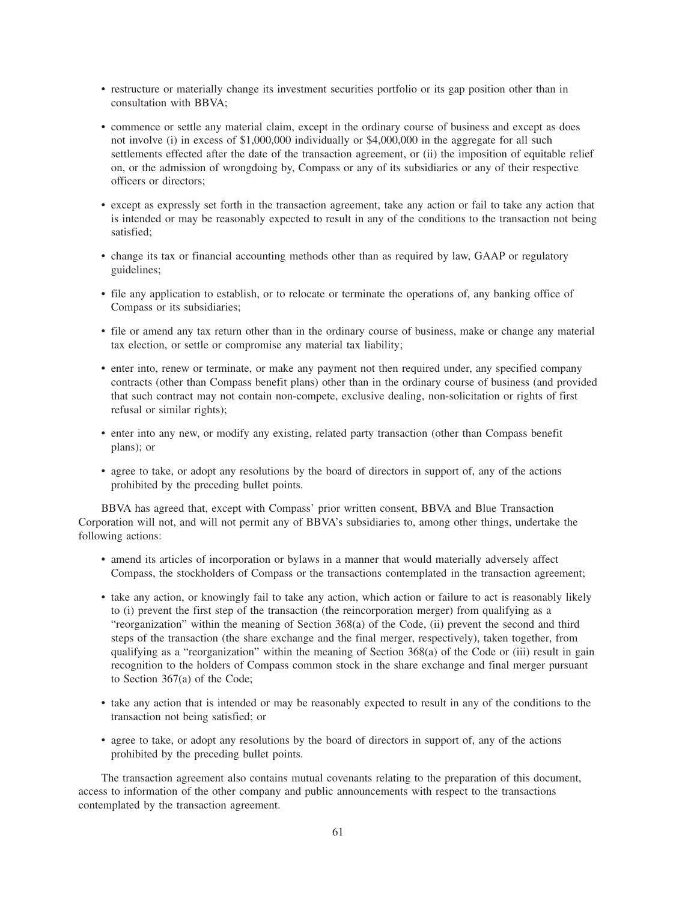- restructure or materially change its investment securities portfolio or its gap position other than in consultation with BBVA;
- commence or settle any material claim, except in the ordinary course of business and except as does not involve (i) in excess of \$1,000,000 individually or \$4,000,000 in the aggregate for all such settlements effected after the date of the transaction agreement, or (ii) the imposition of equitable relief on, or the admission of wrongdoing by, Compass or any of its subsidiaries or any of their respective officers or directors;
- except as expressly set forth in the transaction agreement, take any action or fail to take any action that is intended or may be reasonably expected to result in any of the conditions to the transaction not being satisfied;
- change its tax or financial accounting methods other than as required by law, GAAP or regulatory guidelines;
- file any application to establish, or to relocate or terminate the operations of, any banking office of Compass or its subsidiaries;
- file or amend any tax return other than in the ordinary course of business, make or change any material tax election, or settle or compromise any material tax liability;
- enter into, renew or terminate, or make any payment not then required under, any specified company contracts (other than Compass benefit plans) other than in the ordinary course of business (and provided that such contract may not contain non-compete, exclusive dealing, non-solicitation or rights of first refusal or similar rights);
- enter into any new, or modify any existing, related party transaction (other than Compass benefit plans); or
- agree to take, or adopt any resolutions by the board of directors in support of, any of the actions prohibited by the preceding bullet points.

BBVA has agreed that, except with Compass' prior written consent, BBVA and Blue Transaction Corporation will not, and will not permit any of BBVA's subsidiaries to, among other things, undertake the following actions:

- amend its articles of incorporation or bylaws in a manner that would materially adversely affect Compass, the stockholders of Compass or the transactions contemplated in the transaction agreement;
- take any action, or knowingly fail to take any action, which action or failure to act is reasonably likely to (i) prevent the first step of the transaction (the reincorporation merger) from qualifying as a "reorganization" within the meaning of Section 368(a) of the Code, (ii) prevent the second and third steps of the transaction (the share exchange and the final merger, respectively), taken together, from qualifying as a "reorganization" within the meaning of Section 368(a) of the Code or (iii) result in gain recognition to the holders of Compass common stock in the share exchange and final merger pursuant to Section 367(a) of the Code;
- take any action that is intended or may be reasonably expected to result in any of the conditions to the transaction not being satisfied; or
- agree to take, or adopt any resolutions by the board of directors in support of, any of the actions prohibited by the preceding bullet points.

The transaction agreement also contains mutual covenants relating to the preparation of this document, access to information of the other company and public announcements with respect to the transactions contemplated by the transaction agreement.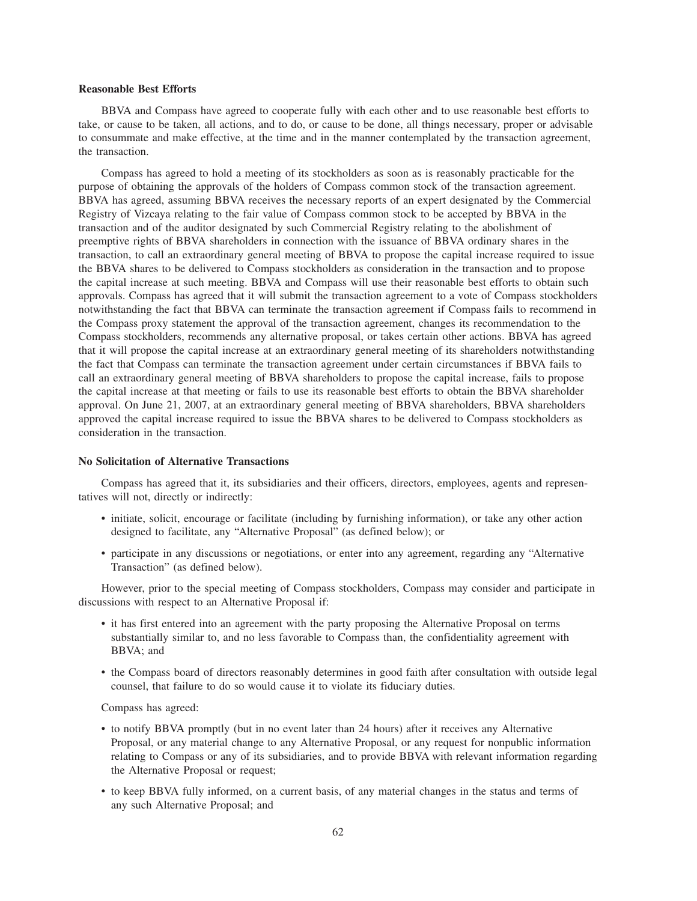#### **Reasonable Best Efforts**

BBVA and Compass have agreed to cooperate fully with each other and to use reasonable best efforts to take, or cause to be taken, all actions, and to do, or cause to be done, all things necessary, proper or advisable to consummate and make effective, at the time and in the manner contemplated by the transaction agreement, the transaction.

Compass has agreed to hold a meeting of its stockholders as soon as is reasonably practicable for the purpose of obtaining the approvals of the holders of Compass common stock of the transaction agreement. BBVA has agreed, assuming BBVA receives the necessary reports of an expert designated by the Commercial Registry of Vizcaya relating to the fair value of Compass common stock to be accepted by BBVA in the transaction and of the auditor designated by such Commercial Registry relating to the abolishment of preemptive rights of BBVA shareholders in connection with the issuance of BBVA ordinary shares in the transaction, to call an extraordinary general meeting of BBVA to propose the capital increase required to issue the BBVA shares to be delivered to Compass stockholders as consideration in the transaction and to propose the capital increase at such meeting. BBVA and Compass will use their reasonable best efforts to obtain such approvals. Compass has agreed that it will submit the transaction agreement to a vote of Compass stockholders notwithstanding the fact that BBVA can terminate the transaction agreement if Compass fails to recommend in the Compass proxy statement the approval of the transaction agreement, changes its recommendation to the Compass stockholders, recommends any alternative proposal, or takes certain other actions. BBVA has agreed that it will propose the capital increase at an extraordinary general meeting of its shareholders notwithstanding the fact that Compass can terminate the transaction agreement under certain circumstances if BBVA fails to call an extraordinary general meeting of BBVA shareholders to propose the capital increase, fails to propose the capital increase at that meeting or fails to use its reasonable best efforts to obtain the BBVA shareholder approval. On June 21, 2007, at an extraordinary general meeting of BBVA shareholders, BBVA shareholders approved the capital increase required to issue the BBVA shares to be delivered to Compass stockholders as consideration in the transaction.

## **No Solicitation of Alternative Transactions**

Compass has agreed that it, its subsidiaries and their officers, directors, employees, agents and representatives will not, directly or indirectly:

- initiate, solicit, encourage or facilitate (including by furnishing information), or take any other action designed to facilitate, any "Alternative Proposal" (as defined below); or
- participate in any discussions or negotiations, or enter into any agreement, regarding any "Alternative Transaction" (as defined below).

However, prior to the special meeting of Compass stockholders, Compass may consider and participate in discussions with respect to an Alternative Proposal if:

- it has first entered into an agreement with the party proposing the Alternative Proposal on terms substantially similar to, and no less favorable to Compass than, the confidentiality agreement with BBVA; and
- the Compass board of directors reasonably determines in good faith after consultation with outside legal counsel, that failure to do so would cause it to violate its fiduciary duties.

Compass has agreed:

- to notify BBVA promptly (but in no event later than 24 hours) after it receives any Alternative Proposal, or any material change to any Alternative Proposal, or any request for nonpublic information relating to Compass or any of its subsidiaries, and to provide BBVA with relevant information regarding the Alternative Proposal or request;
- to keep BBVA fully informed, on a current basis, of any material changes in the status and terms of any such Alternative Proposal; and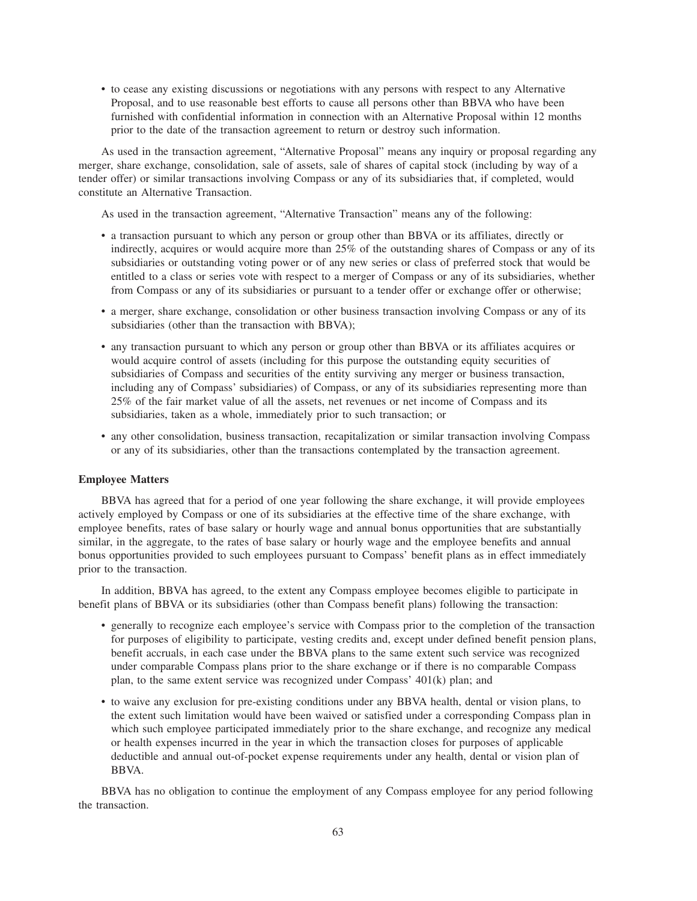• to cease any existing discussions or negotiations with any persons with respect to any Alternative Proposal, and to use reasonable best efforts to cause all persons other than BBVA who have been furnished with confidential information in connection with an Alternative Proposal within 12 months prior to the date of the transaction agreement to return or destroy such information.

As used in the transaction agreement, "Alternative Proposal" means any inquiry or proposal regarding any merger, share exchange, consolidation, sale of assets, sale of shares of capital stock (including by way of a tender offer) or similar transactions involving Compass or any of its subsidiaries that, if completed, would constitute an Alternative Transaction.

As used in the transaction agreement, "Alternative Transaction" means any of the following:

- a transaction pursuant to which any person or group other than BBVA or its affiliates, directly or indirectly, acquires or would acquire more than 25% of the outstanding shares of Compass or any of its subsidiaries or outstanding voting power or of any new series or class of preferred stock that would be entitled to a class or series vote with respect to a merger of Compass or any of its subsidiaries, whether from Compass or any of its subsidiaries or pursuant to a tender offer or exchange offer or otherwise;
- a merger, share exchange, consolidation or other business transaction involving Compass or any of its subsidiaries (other than the transaction with BBVA);
- any transaction pursuant to which any person or group other than BBVA or its affiliates acquires or would acquire control of assets (including for this purpose the outstanding equity securities of subsidiaries of Compass and securities of the entity surviving any merger or business transaction, including any of Compass' subsidiaries) of Compass, or any of its subsidiaries representing more than 25% of the fair market value of all the assets, net revenues or net income of Compass and its subsidiaries, taken as a whole, immediately prior to such transaction; or
- any other consolidation, business transaction, recapitalization or similar transaction involving Compass or any of its subsidiaries, other than the transactions contemplated by the transaction agreement.

#### **Employee Matters**

BBVA has agreed that for a period of one year following the share exchange, it will provide employees actively employed by Compass or one of its subsidiaries at the effective time of the share exchange, with employee benefits, rates of base salary or hourly wage and annual bonus opportunities that are substantially similar, in the aggregate, to the rates of base salary or hourly wage and the employee benefits and annual bonus opportunities provided to such employees pursuant to Compass' benefit plans as in effect immediately prior to the transaction.

In addition, BBVA has agreed, to the extent any Compass employee becomes eligible to participate in benefit plans of BBVA or its subsidiaries (other than Compass benefit plans) following the transaction:

- generally to recognize each employee's service with Compass prior to the completion of the transaction for purposes of eligibility to participate, vesting credits and, except under defined benefit pension plans, benefit accruals, in each case under the BBVA plans to the same extent such service was recognized under comparable Compass plans prior to the share exchange or if there is no comparable Compass plan, to the same extent service was recognized under Compass' 401(k) plan; and
- to waive any exclusion for pre-existing conditions under any BBVA health, dental or vision plans, to the extent such limitation would have been waived or satisfied under a corresponding Compass plan in which such employee participated immediately prior to the share exchange, and recognize any medical or health expenses incurred in the year in which the transaction closes for purposes of applicable deductible and annual out-of-pocket expense requirements under any health, dental or vision plan of BBVA.

BBVA has no obligation to continue the employment of any Compass employee for any period following the transaction.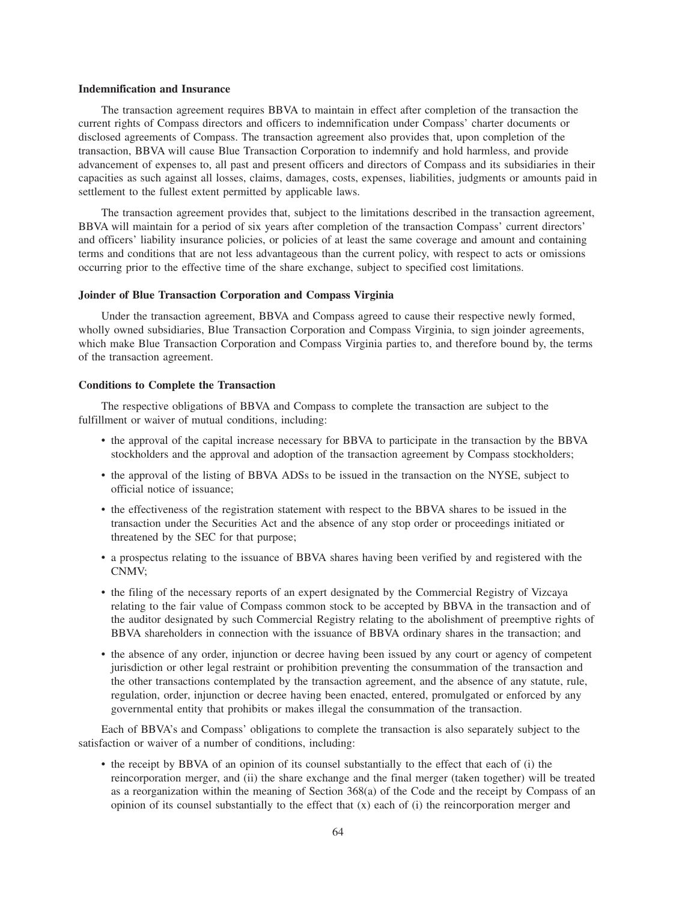#### **Indemnification and Insurance**

The transaction agreement requires BBVA to maintain in effect after completion of the transaction the current rights of Compass directors and officers to indemnification under Compass' charter documents or disclosed agreements of Compass. The transaction agreement also provides that, upon completion of the transaction, BBVA will cause Blue Transaction Corporation to indemnify and hold harmless, and provide advancement of expenses to, all past and present officers and directors of Compass and its subsidiaries in their capacities as such against all losses, claims, damages, costs, expenses, liabilities, judgments or amounts paid in settlement to the fullest extent permitted by applicable laws.

The transaction agreement provides that, subject to the limitations described in the transaction agreement, BBVA will maintain for a period of six years after completion of the transaction Compass' current directors' and officers' liability insurance policies, or policies of at least the same coverage and amount and containing terms and conditions that are not less advantageous than the current policy, with respect to acts or omissions occurring prior to the effective time of the share exchange, subject to specified cost limitations.

### **Joinder of Blue Transaction Corporation and Compass Virginia**

Under the transaction agreement, BBVA and Compass agreed to cause their respective newly formed, wholly owned subsidiaries, Blue Transaction Corporation and Compass Virginia, to sign joinder agreements, which make Blue Transaction Corporation and Compass Virginia parties to, and therefore bound by, the terms of the transaction agreement.

#### **Conditions to Complete the Transaction**

The respective obligations of BBVA and Compass to complete the transaction are subject to the fulfillment or waiver of mutual conditions, including:

- the approval of the capital increase necessary for BBVA to participate in the transaction by the BBVA stockholders and the approval and adoption of the transaction agreement by Compass stockholders;
- the approval of the listing of BBVA ADSs to be issued in the transaction on the NYSE, subject to official notice of issuance;
- the effectiveness of the registration statement with respect to the BBVA shares to be issued in the transaction under the Securities Act and the absence of any stop order or proceedings initiated or threatened by the SEC for that purpose;
- a prospectus relating to the issuance of BBVA shares having been verified by and registered with the CNMV;
- the filing of the necessary reports of an expert designated by the Commercial Registry of Vizcaya relating to the fair value of Compass common stock to be accepted by BBVA in the transaction and of the auditor designated by such Commercial Registry relating to the abolishment of preemptive rights of BBVA shareholders in connection with the issuance of BBVA ordinary shares in the transaction; and
- the absence of any order, injunction or decree having been issued by any court or agency of competent jurisdiction or other legal restraint or prohibition preventing the consummation of the transaction and the other transactions contemplated by the transaction agreement, and the absence of any statute, rule, regulation, order, injunction or decree having been enacted, entered, promulgated or enforced by any governmental entity that prohibits or makes illegal the consummation of the transaction.

Each of BBVA's and Compass' obligations to complete the transaction is also separately subject to the satisfaction or waiver of a number of conditions, including:

• the receipt by BBVA of an opinion of its counsel substantially to the effect that each of (i) the reincorporation merger, and (ii) the share exchange and the final merger (taken together) will be treated as a reorganization within the meaning of Section 368(a) of the Code and the receipt by Compass of an opinion of its counsel substantially to the effect that (x) each of (i) the reincorporation merger and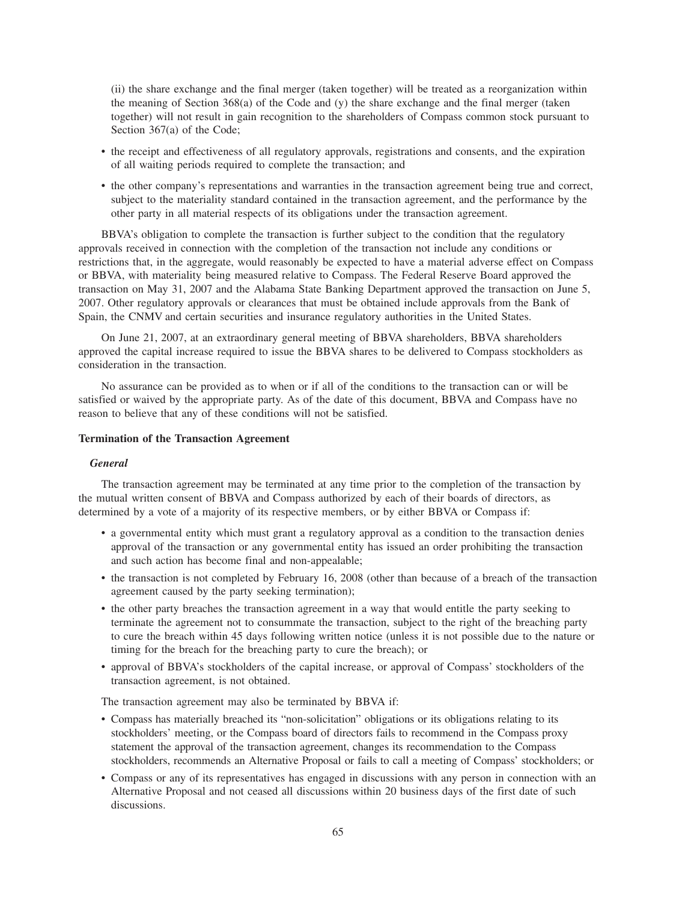(ii) the share exchange and the final merger (taken together) will be treated as a reorganization within the meaning of Section 368(a) of the Code and (y) the share exchange and the final merger (taken together) will not result in gain recognition to the shareholders of Compass common stock pursuant to Section 367(a) of the Code;

- the receipt and effectiveness of all regulatory approvals, registrations and consents, and the expiration of all waiting periods required to complete the transaction; and
- the other company's representations and warranties in the transaction agreement being true and correct, subject to the materiality standard contained in the transaction agreement, and the performance by the other party in all material respects of its obligations under the transaction agreement.

BBVA's obligation to complete the transaction is further subject to the condition that the regulatory approvals received in connection with the completion of the transaction not include any conditions or restrictions that, in the aggregate, would reasonably be expected to have a material adverse effect on Compass or BBVA, with materiality being measured relative to Compass. The Federal Reserve Board approved the transaction on May 31, 2007 and the Alabama State Banking Department approved the transaction on June 5, 2007. Other regulatory approvals or clearances that must be obtained include approvals from the Bank of Spain, the CNMV and certain securities and insurance regulatory authorities in the United States.

On June 21, 2007, at an extraordinary general meeting of BBVA shareholders, BBVA shareholders approved the capital increase required to issue the BBVA shares to be delivered to Compass stockholders as consideration in the transaction.

No assurance can be provided as to when or if all of the conditions to the transaction can or will be satisfied or waived by the appropriate party. As of the date of this document, BBVA and Compass have no reason to believe that any of these conditions will not be satisfied.

## **Termination of the Transaction Agreement**

# *General*

The transaction agreement may be terminated at any time prior to the completion of the transaction by the mutual written consent of BBVA and Compass authorized by each of their boards of directors, as determined by a vote of a majority of its respective members, or by either BBVA or Compass if:

- a governmental entity which must grant a regulatory approval as a condition to the transaction denies approval of the transaction or any governmental entity has issued an order prohibiting the transaction and such action has become final and non-appealable;
- the transaction is not completed by February 16, 2008 (other than because of a breach of the transaction agreement caused by the party seeking termination);
- the other party breaches the transaction agreement in a way that would entitle the party seeking to terminate the agreement not to consummate the transaction, subject to the right of the breaching party to cure the breach within 45 days following written notice (unless it is not possible due to the nature or timing for the breach for the breaching party to cure the breach); or
- approval of BBVA's stockholders of the capital increase, or approval of Compass' stockholders of the transaction agreement, is not obtained.

The transaction agreement may also be terminated by BBVA if:

- Compass has materially breached its "non-solicitation" obligations or its obligations relating to its stockholders' meeting, or the Compass board of directors fails to recommend in the Compass proxy statement the approval of the transaction agreement, changes its recommendation to the Compass stockholders, recommends an Alternative Proposal or fails to call a meeting of Compass' stockholders; or
- Compass or any of its representatives has engaged in discussions with any person in connection with an Alternative Proposal and not ceased all discussions within 20 business days of the first date of such discussions.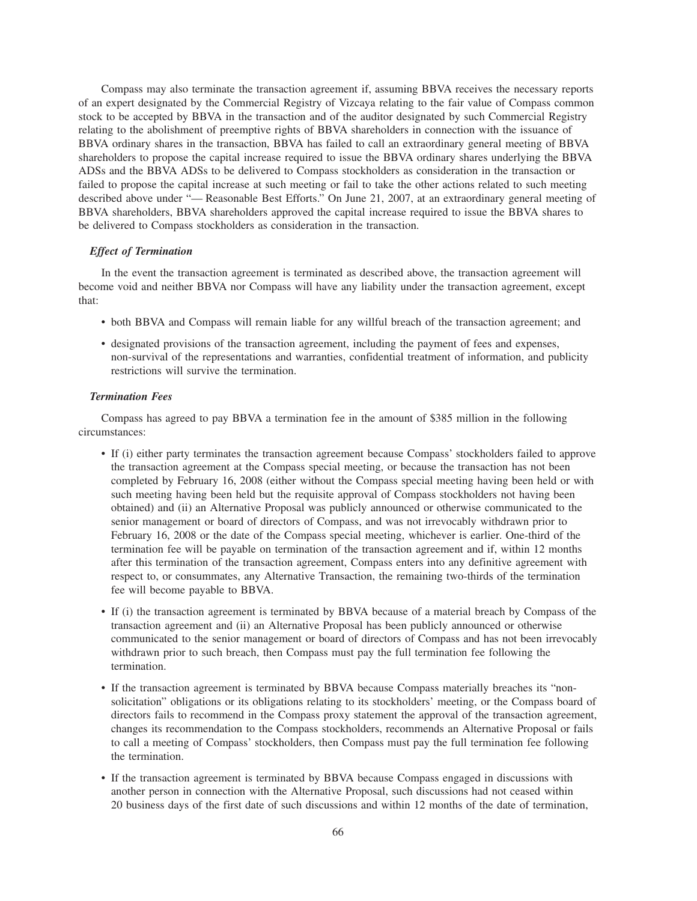Compass may also terminate the transaction agreement if, assuming BBVA receives the necessary reports of an expert designated by the Commercial Registry of Vizcaya relating to the fair value of Compass common stock to be accepted by BBVA in the transaction and of the auditor designated by such Commercial Registry relating to the abolishment of preemptive rights of BBVA shareholders in connection with the issuance of BBVA ordinary shares in the transaction, BBVA has failed to call an extraordinary general meeting of BBVA shareholders to propose the capital increase required to issue the BBVA ordinary shares underlying the BBVA ADSs and the BBVA ADSs to be delivered to Compass stockholders as consideration in the transaction or failed to propose the capital increase at such meeting or fail to take the other actions related to such meeting described above under "— Reasonable Best Efforts." On June 21, 2007, at an extraordinary general meeting of BBVA shareholders, BBVA shareholders approved the capital increase required to issue the BBVA shares to be delivered to Compass stockholders as consideration in the transaction.

# *Effect of Termination*

In the event the transaction agreement is terminated as described above, the transaction agreement will become void and neither BBVA nor Compass will have any liability under the transaction agreement, except that:

- both BBVA and Compass will remain liable for any willful breach of the transaction agreement; and
- designated provisions of the transaction agreement, including the payment of fees and expenses, non-survival of the representations and warranties, confidential treatment of information, and publicity restrictions will survive the termination.

#### *Termination Fees*

Compass has agreed to pay BBVA a termination fee in the amount of \$385 million in the following circumstances:

- If (i) either party terminates the transaction agreement because Compass' stockholders failed to approve the transaction agreement at the Compass special meeting, or because the transaction has not been completed by February 16, 2008 (either without the Compass special meeting having been held or with such meeting having been held but the requisite approval of Compass stockholders not having been obtained) and (ii) an Alternative Proposal was publicly announced or otherwise communicated to the senior management or board of directors of Compass, and was not irrevocably withdrawn prior to February 16, 2008 or the date of the Compass special meeting, whichever is earlier. One-third of the termination fee will be payable on termination of the transaction agreement and if, within 12 months after this termination of the transaction agreement, Compass enters into any definitive agreement with respect to, or consummates, any Alternative Transaction, the remaining two-thirds of the termination fee will become payable to BBVA.
- If (i) the transaction agreement is terminated by BBVA because of a material breach by Compass of the transaction agreement and (ii) an Alternative Proposal has been publicly announced or otherwise communicated to the senior management or board of directors of Compass and has not been irrevocably withdrawn prior to such breach, then Compass must pay the full termination fee following the termination.
- If the transaction agreement is terminated by BBVA because Compass materially breaches its "nonsolicitation" obligations or its obligations relating to its stockholders' meeting, or the Compass board of directors fails to recommend in the Compass proxy statement the approval of the transaction agreement, changes its recommendation to the Compass stockholders, recommends an Alternative Proposal or fails to call a meeting of Compass' stockholders, then Compass must pay the full termination fee following the termination.
- If the transaction agreement is terminated by BBVA because Compass engaged in discussions with another person in connection with the Alternative Proposal, such discussions had not ceased within 20 business days of the first date of such discussions and within 12 months of the date of termination,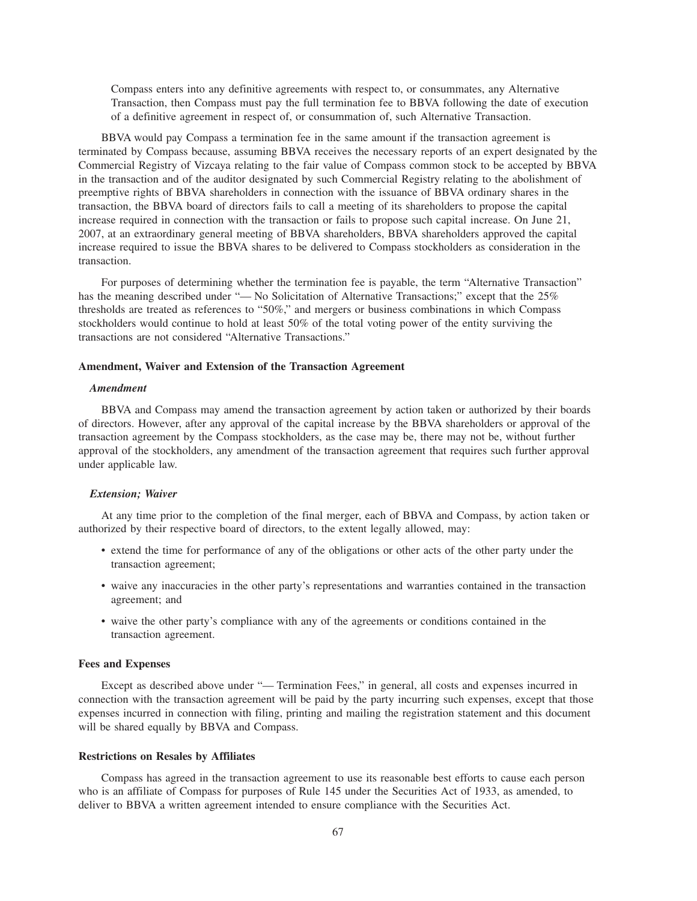Compass enters into any definitive agreements with respect to, or consummates, any Alternative Transaction, then Compass must pay the full termination fee to BBVA following the date of execution of a definitive agreement in respect of, or consummation of, such Alternative Transaction.

BBVA would pay Compass a termination fee in the same amount if the transaction agreement is terminated by Compass because, assuming BBVA receives the necessary reports of an expert designated by the Commercial Registry of Vizcaya relating to the fair value of Compass common stock to be accepted by BBVA in the transaction and of the auditor designated by such Commercial Registry relating to the abolishment of preemptive rights of BBVA shareholders in connection with the issuance of BBVA ordinary shares in the transaction, the BBVA board of directors fails to call a meeting of its shareholders to propose the capital increase required in connection with the transaction or fails to propose such capital increase. On June 21, 2007, at an extraordinary general meeting of BBVA shareholders, BBVA shareholders approved the capital increase required to issue the BBVA shares to be delivered to Compass stockholders as consideration in the transaction.

For purposes of determining whether the termination fee is payable, the term "Alternative Transaction" has the meaning described under "— No Solicitation of Alternative Transactions;" except that the 25% thresholds are treated as references to "50%," and mergers or business combinations in which Compass stockholders would continue to hold at least 50% of the total voting power of the entity surviving the transactions are not considered "Alternative Transactions."

## **Amendment, Waiver and Extension of the Transaction Agreement**

## *Amendment*

BBVA and Compass may amend the transaction agreement by action taken or authorized by their boards of directors. However, after any approval of the capital increase by the BBVA shareholders or approval of the transaction agreement by the Compass stockholders, as the case may be, there may not be, without further approval of the stockholders, any amendment of the transaction agreement that requires such further approval under applicable law.

# *Extension; Waiver*

At any time prior to the completion of the final merger, each of BBVA and Compass, by action taken or authorized by their respective board of directors, to the extent legally allowed, may:

- extend the time for performance of any of the obligations or other acts of the other party under the transaction agreement;
- waive any inaccuracies in the other party's representations and warranties contained in the transaction agreement; and
- waive the other party's compliance with any of the agreements or conditions contained in the transaction agreement.

## **Fees and Expenses**

Except as described above under "— Termination Fees," in general, all costs and expenses incurred in connection with the transaction agreement will be paid by the party incurring such expenses, except that those expenses incurred in connection with filing, printing and mailing the registration statement and this document will be shared equally by BBVA and Compass.

## **Restrictions on Resales by Affiliates**

Compass has agreed in the transaction agreement to use its reasonable best efforts to cause each person who is an affiliate of Compass for purposes of Rule 145 under the Securities Act of 1933, as amended, to deliver to BBVA a written agreement intended to ensure compliance with the Securities Act.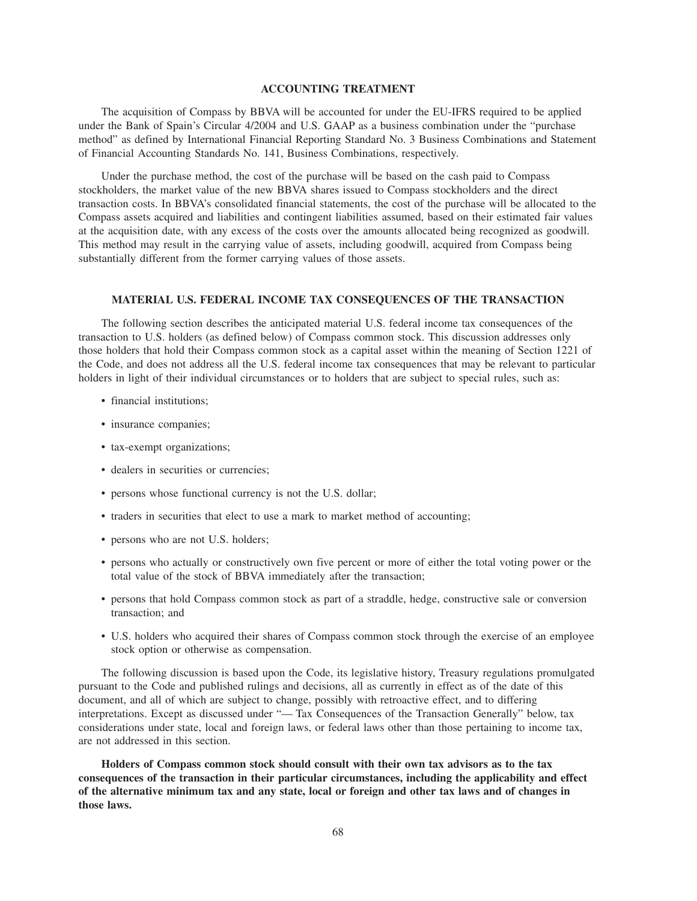## **ACCOUNTING TREATMENT**

The acquisition of Compass by BBVA will be accounted for under the EU-IFRS required to be applied under the Bank of Spain's Circular 4/2004 and U.S. GAAP as a business combination under the "purchase method" as defined by International Financial Reporting Standard No. 3 Business Combinations and Statement of Financial Accounting Standards No. 141, Business Combinations, respectively.

Under the purchase method, the cost of the purchase will be based on the cash paid to Compass stockholders, the market value of the new BBVA shares issued to Compass stockholders and the direct transaction costs. In BBVA's consolidated financial statements, the cost of the purchase will be allocated to the Compass assets acquired and liabilities and contingent liabilities assumed, based on their estimated fair values at the acquisition date, with any excess of the costs over the amounts allocated being recognized as goodwill. This method may result in the carrying value of assets, including goodwill, acquired from Compass being substantially different from the former carrying values of those assets.

## **MATERIAL U.S. FEDERAL INCOME TAX CONSEQUENCES OF THE TRANSACTION**

The following section describes the anticipated material U.S. federal income tax consequences of the transaction to U.S. holders (as defined below) of Compass common stock. This discussion addresses only those holders that hold their Compass common stock as a capital asset within the meaning of Section 1221 of the Code, and does not address all the U.S. federal income tax consequences that may be relevant to particular holders in light of their individual circumstances or to holders that are subject to special rules, such as:

- financial institutions;
- insurance companies;
- tax-exempt organizations;
- dealers in securities or currencies;
- persons whose functional currency is not the U.S. dollar;
- traders in securities that elect to use a mark to market method of accounting;
- persons who are not U.S. holders;
- persons who actually or constructively own five percent or more of either the total voting power or the total value of the stock of BBVA immediately after the transaction;
- persons that hold Compass common stock as part of a straddle, hedge, constructive sale or conversion transaction; and
- U.S. holders who acquired their shares of Compass common stock through the exercise of an employee stock option or otherwise as compensation.

The following discussion is based upon the Code, its legislative history, Treasury regulations promulgated pursuant to the Code and published rulings and decisions, all as currently in effect as of the date of this document, and all of which are subject to change, possibly with retroactive effect, and to differing interpretations. Except as discussed under "— Tax Consequences of the Transaction Generally" below, tax considerations under state, local and foreign laws, or federal laws other than those pertaining to income tax, are not addressed in this section.

**Holders of Compass common stock should consult with their own tax advisors as to the tax consequences of the transaction in their particular circumstances, including the applicability and effect of the alternative minimum tax and any state, local or foreign and other tax laws and of changes in those laws.**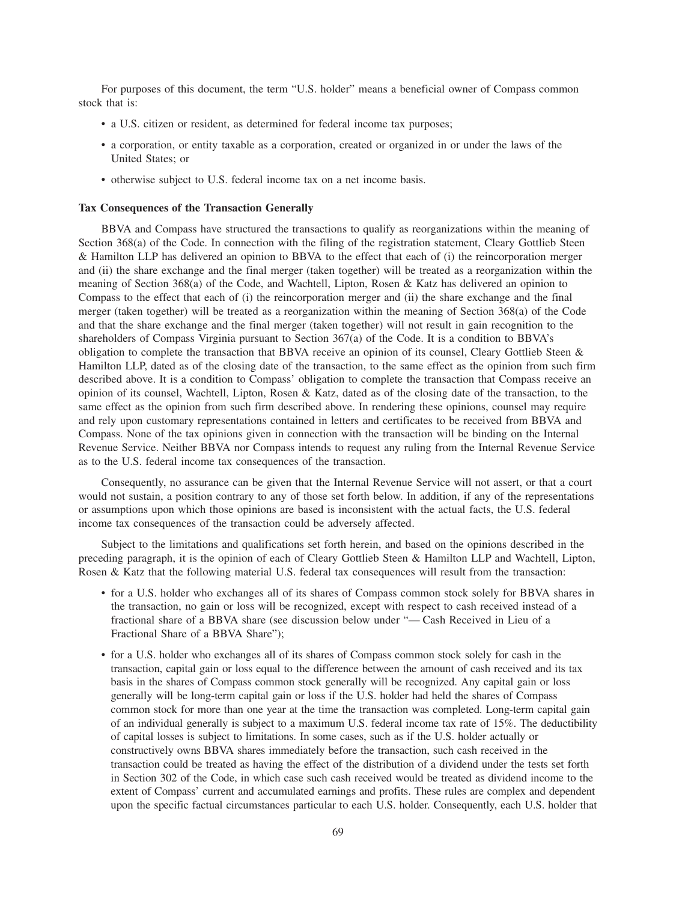For purposes of this document, the term "U.S. holder" means a beneficial owner of Compass common stock that is:

- a U.S. citizen or resident, as determined for federal income tax purposes;
- a corporation, or entity taxable as a corporation, created or organized in or under the laws of the United States; or
- otherwise subject to U.S. federal income tax on a net income basis.

#### **Tax Consequences of the Transaction Generally**

BBVA and Compass have structured the transactions to qualify as reorganizations within the meaning of Section 368(a) of the Code. In connection with the filing of the registration statement, Cleary Gottlieb Steen & Hamilton LLP has delivered an opinion to BBVA to the effect that each of (i) the reincorporation merger and (ii) the share exchange and the final merger (taken together) will be treated as a reorganization within the meaning of Section 368(a) of the Code, and Wachtell, Lipton, Rosen & Katz has delivered an opinion to Compass to the effect that each of (i) the reincorporation merger and (ii) the share exchange and the final merger (taken together) will be treated as a reorganization within the meaning of Section 368(a) of the Code and that the share exchange and the final merger (taken together) will not result in gain recognition to the shareholders of Compass Virginia pursuant to Section 367(a) of the Code. It is a condition to BBVA's obligation to complete the transaction that BBVA receive an opinion of its counsel, Cleary Gottlieb Steen & Hamilton LLP, dated as of the closing date of the transaction, to the same effect as the opinion from such firm described above. It is a condition to Compass' obligation to complete the transaction that Compass receive an opinion of its counsel, Wachtell, Lipton, Rosen & Katz, dated as of the closing date of the transaction, to the same effect as the opinion from such firm described above. In rendering these opinions, counsel may require and rely upon customary representations contained in letters and certificates to be received from BBVA and Compass. None of the tax opinions given in connection with the transaction will be binding on the Internal Revenue Service. Neither BBVA nor Compass intends to request any ruling from the Internal Revenue Service as to the U.S. federal income tax consequences of the transaction.

Consequently, no assurance can be given that the Internal Revenue Service will not assert, or that a court would not sustain, a position contrary to any of those set forth below. In addition, if any of the representations or assumptions upon which those opinions are based is inconsistent with the actual facts, the U.S. federal income tax consequences of the transaction could be adversely affected.

Subject to the limitations and qualifications set forth herein, and based on the opinions described in the preceding paragraph, it is the opinion of each of Cleary Gottlieb Steen & Hamilton LLP and Wachtell, Lipton, Rosen & Katz that the following material U.S. federal tax consequences will result from the transaction:

- for a U.S. holder who exchanges all of its shares of Compass common stock solely for BBVA shares in the transaction, no gain or loss will be recognized, except with respect to cash received instead of a fractional share of a BBVA share (see discussion below under "— Cash Received in Lieu of a Fractional Share of a BBVA Share");
- for a U.S. holder who exchanges all of its shares of Compass common stock solely for cash in the transaction, capital gain or loss equal to the difference between the amount of cash received and its tax basis in the shares of Compass common stock generally will be recognized. Any capital gain or loss generally will be long-term capital gain or loss if the U.S. holder had held the shares of Compass common stock for more than one year at the time the transaction was completed. Long-term capital gain of an individual generally is subject to a maximum U.S. federal income tax rate of 15%. The deductibility of capital losses is subject to limitations. In some cases, such as if the U.S. holder actually or constructively owns BBVA shares immediately before the transaction, such cash received in the transaction could be treated as having the effect of the distribution of a dividend under the tests set forth in Section 302 of the Code, in which case such cash received would be treated as dividend income to the extent of Compass' current and accumulated earnings and profits. These rules are complex and dependent upon the specific factual circumstances particular to each U.S. holder. Consequently, each U.S. holder that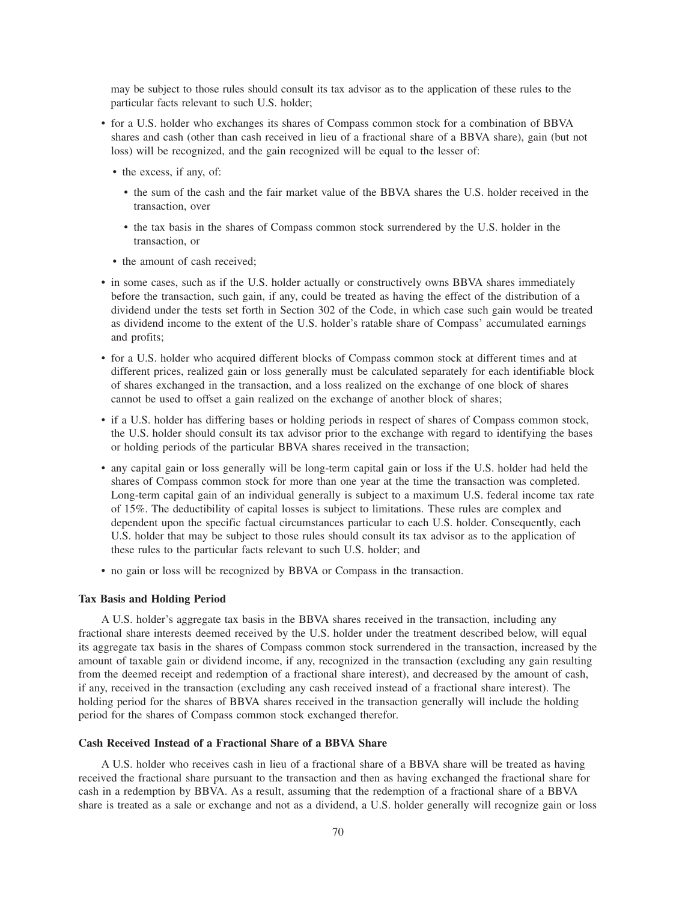may be subject to those rules should consult its tax advisor as to the application of these rules to the particular facts relevant to such U.S. holder;

- for a U.S. holder who exchanges its shares of Compass common stock for a combination of BBVA shares and cash (other than cash received in lieu of a fractional share of a BBVA share), gain (but not loss) will be recognized, and the gain recognized will be equal to the lesser of:
	- the excess, if any, of:
		- the sum of the cash and the fair market value of the BBVA shares the U.S. holder received in the transaction, over
		- the tax basis in the shares of Compass common stock surrendered by the U.S. holder in the transaction, or
	- the amount of cash received:
- in some cases, such as if the U.S. holder actually or constructively owns BBVA shares immediately before the transaction, such gain, if any, could be treated as having the effect of the distribution of a dividend under the tests set forth in Section 302 of the Code, in which case such gain would be treated as dividend income to the extent of the U.S. holder's ratable share of Compass' accumulated earnings and profits;
- for a U.S. holder who acquired different blocks of Compass common stock at different times and at different prices, realized gain or loss generally must be calculated separately for each identifiable block of shares exchanged in the transaction, and a loss realized on the exchange of one block of shares cannot be used to offset a gain realized on the exchange of another block of shares;
- if a U.S. holder has differing bases or holding periods in respect of shares of Compass common stock, the U.S. holder should consult its tax advisor prior to the exchange with regard to identifying the bases or holding periods of the particular BBVA shares received in the transaction;
- any capital gain or loss generally will be long-term capital gain or loss if the U.S. holder had held the shares of Compass common stock for more than one year at the time the transaction was completed. Long-term capital gain of an individual generally is subject to a maximum U.S. federal income tax rate of 15%. The deductibility of capital losses is subject to limitations. These rules are complex and dependent upon the specific factual circumstances particular to each U.S. holder. Consequently, each U.S. holder that may be subject to those rules should consult its tax advisor as to the application of these rules to the particular facts relevant to such U.S. holder; and
- no gain or loss will be recognized by BBVA or Compass in the transaction.

#### **Tax Basis and Holding Period**

A U.S. holder's aggregate tax basis in the BBVA shares received in the transaction, including any fractional share interests deemed received by the U.S. holder under the treatment described below, will equal its aggregate tax basis in the shares of Compass common stock surrendered in the transaction, increased by the amount of taxable gain or dividend income, if any, recognized in the transaction (excluding any gain resulting from the deemed receipt and redemption of a fractional share interest), and decreased by the amount of cash, if any, received in the transaction (excluding any cash received instead of a fractional share interest). The holding period for the shares of BBVA shares received in the transaction generally will include the holding period for the shares of Compass common stock exchanged therefor.

# **Cash Received Instead of a Fractional Share of a BBVA Share**

A U.S. holder who receives cash in lieu of a fractional share of a BBVA share will be treated as having received the fractional share pursuant to the transaction and then as having exchanged the fractional share for cash in a redemption by BBVA. As a result, assuming that the redemption of a fractional share of a BBVA share is treated as a sale or exchange and not as a dividend, a U.S. holder generally will recognize gain or loss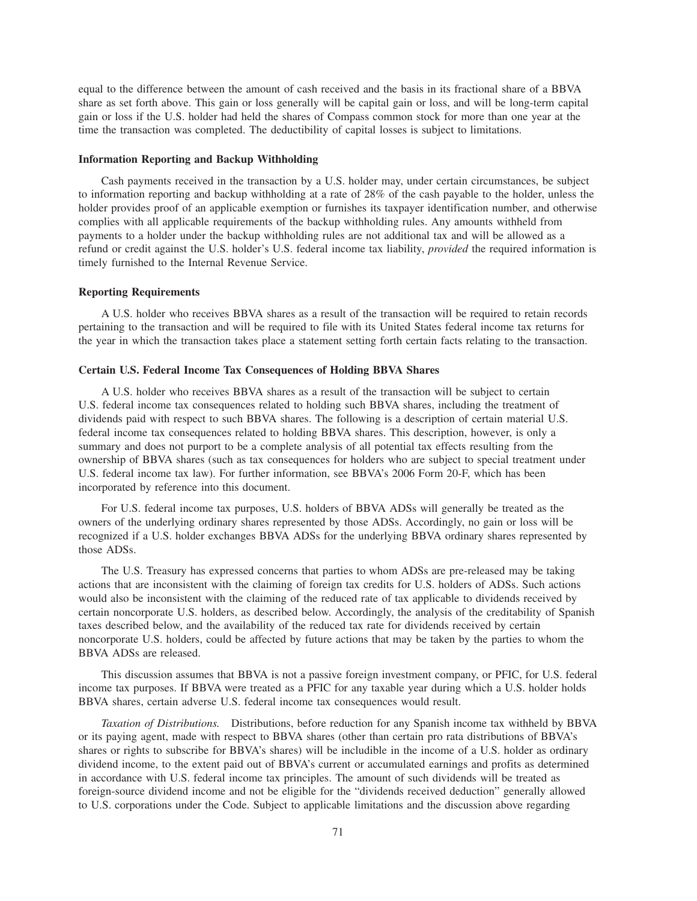equal to the difference between the amount of cash received and the basis in its fractional share of a BBVA share as set forth above. This gain or loss generally will be capital gain or loss, and will be long-term capital gain or loss if the U.S. holder had held the shares of Compass common stock for more than one year at the time the transaction was completed. The deductibility of capital losses is subject to limitations.

#### **Information Reporting and Backup Withholding**

Cash payments received in the transaction by a U.S. holder may, under certain circumstances, be subject to information reporting and backup withholding at a rate of 28% of the cash payable to the holder, unless the holder provides proof of an applicable exemption or furnishes its taxpayer identification number, and otherwise complies with all applicable requirements of the backup withholding rules. Any amounts withheld from payments to a holder under the backup withholding rules are not additional tax and will be allowed as a refund or credit against the U.S. holder's U.S. federal income tax liability, *provided* the required information is timely furnished to the Internal Revenue Service.

## **Reporting Requirements**

A U.S. holder who receives BBVA shares as a result of the transaction will be required to retain records pertaining to the transaction and will be required to file with its United States federal income tax returns for the year in which the transaction takes place a statement setting forth certain facts relating to the transaction.

# **Certain U.S. Federal Income Tax Consequences of Holding BBVA Shares**

A U.S. holder who receives BBVA shares as a result of the transaction will be subject to certain U.S. federal income tax consequences related to holding such BBVA shares, including the treatment of dividends paid with respect to such BBVA shares. The following is a description of certain material U.S. federal income tax consequences related to holding BBVA shares. This description, however, is only a summary and does not purport to be a complete analysis of all potential tax effects resulting from the ownership of BBVA shares (such as tax consequences for holders who are subject to special treatment under U.S. federal income tax law). For further information, see BBVA's 2006 Form 20-F, which has been incorporated by reference into this document.

For U.S. federal income tax purposes, U.S. holders of BBVA ADSs will generally be treated as the owners of the underlying ordinary shares represented by those ADSs. Accordingly, no gain or loss will be recognized if a U.S. holder exchanges BBVA ADSs for the underlying BBVA ordinary shares represented by those ADSs.

The U.S. Treasury has expressed concerns that parties to whom ADSs are pre-released may be taking actions that are inconsistent with the claiming of foreign tax credits for U.S. holders of ADSs. Such actions would also be inconsistent with the claiming of the reduced rate of tax applicable to dividends received by certain noncorporate U.S. holders, as described below. Accordingly, the analysis of the creditability of Spanish taxes described below, and the availability of the reduced tax rate for dividends received by certain noncorporate U.S. holders, could be affected by future actions that may be taken by the parties to whom the BBVA ADSs are released.

This discussion assumes that BBVA is not a passive foreign investment company, or PFIC, for U.S. federal income tax purposes. If BBVA were treated as a PFIC for any taxable year during which a U.S. holder holds BBVA shares, certain adverse U.S. federal income tax consequences would result.

*Taxation of Distributions.* Distributions, before reduction for any Spanish income tax withheld by BBVA or its paying agent, made with respect to BBVA shares (other than certain pro rata distributions of BBVA's shares or rights to subscribe for BBVA's shares) will be includible in the income of a U.S. holder as ordinary dividend income, to the extent paid out of BBVA's current or accumulated earnings and profits as determined in accordance with U.S. federal income tax principles. The amount of such dividends will be treated as foreign-source dividend income and not be eligible for the "dividends received deduction" generally allowed to U.S. corporations under the Code. Subject to applicable limitations and the discussion above regarding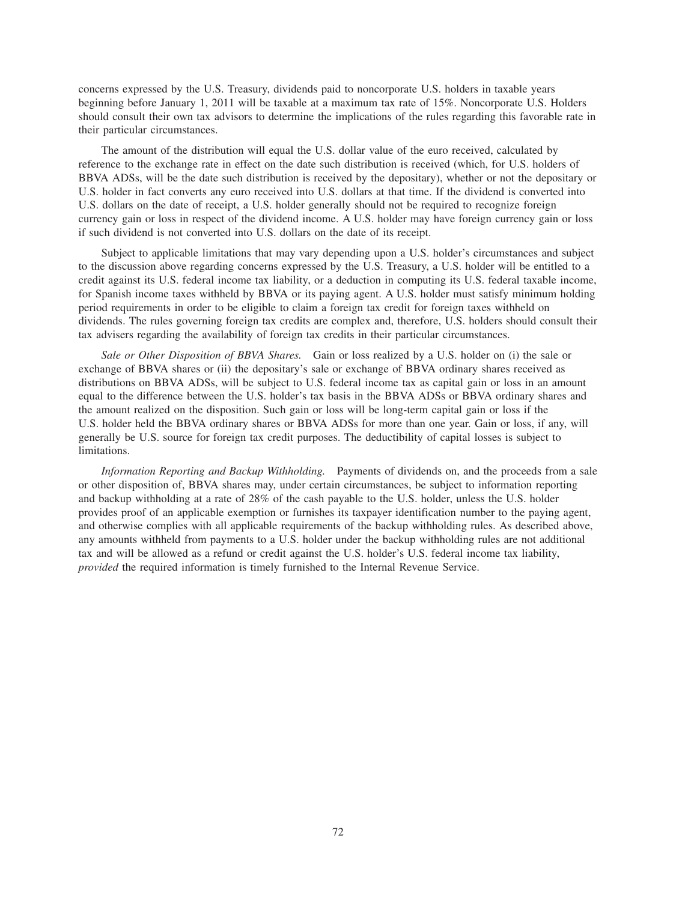concerns expressed by the U.S. Treasury, dividends paid to noncorporate U.S. holders in taxable years beginning before January 1, 2011 will be taxable at a maximum tax rate of 15%. Noncorporate U.S. Holders should consult their own tax advisors to determine the implications of the rules regarding this favorable rate in their particular circumstances.

The amount of the distribution will equal the U.S. dollar value of the euro received, calculated by reference to the exchange rate in effect on the date such distribution is received (which, for U.S. holders of BBVA ADSs, will be the date such distribution is received by the depositary), whether or not the depositary or U.S. holder in fact converts any euro received into U.S. dollars at that time. If the dividend is converted into U.S. dollars on the date of receipt, a U.S. holder generally should not be required to recognize foreign currency gain or loss in respect of the dividend income. A U.S. holder may have foreign currency gain or loss if such dividend is not converted into U.S. dollars on the date of its receipt.

Subject to applicable limitations that may vary depending upon a U.S. holder's circumstances and subject to the discussion above regarding concerns expressed by the U.S. Treasury, a U.S. holder will be entitled to a credit against its U.S. federal income tax liability, or a deduction in computing its U.S. federal taxable income, for Spanish income taxes withheld by BBVA or its paying agent. A U.S. holder must satisfy minimum holding period requirements in order to be eligible to claim a foreign tax credit for foreign taxes withheld on dividends. The rules governing foreign tax credits are complex and, therefore, U.S. holders should consult their tax advisers regarding the availability of foreign tax credits in their particular circumstances.

*Sale or Other Disposition of BBVA Shares.* Gain or loss realized by a U.S. holder on (i) the sale or exchange of BBVA shares or (ii) the depositary's sale or exchange of BBVA ordinary shares received as distributions on BBVA ADSs, will be subject to U.S. federal income tax as capital gain or loss in an amount equal to the difference between the U.S. holder's tax basis in the BBVA ADSs or BBVA ordinary shares and the amount realized on the disposition. Such gain or loss will be long-term capital gain or loss if the U.S. holder held the BBVA ordinary shares or BBVA ADSs for more than one year. Gain or loss, if any, will generally be U.S. source for foreign tax credit purposes. The deductibility of capital losses is subject to limitations.

*Information Reporting and Backup Withholding.* Payments of dividends on, and the proceeds from a sale or other disposition of, BBVA shares may, under certain circumstances, be subject to information reporting and backup withholding at a rate of 28% of the cash payable to the U.S. holder, unless the U.S. holder provides proof of an applicable exemption or furnishes its taxpayer identification number to the paying agent, and otherwise complies with all applicable requirements of the backup withholding rules. As described above, any amounts withheld from payments to a U.S. holder under the backup withholding rules are not additional tax and will be allowed as a refund or credit against the U.S. holder's U.S. federal income tax liability, *provided* the required information is timely furnished to the Internal Revenue Service.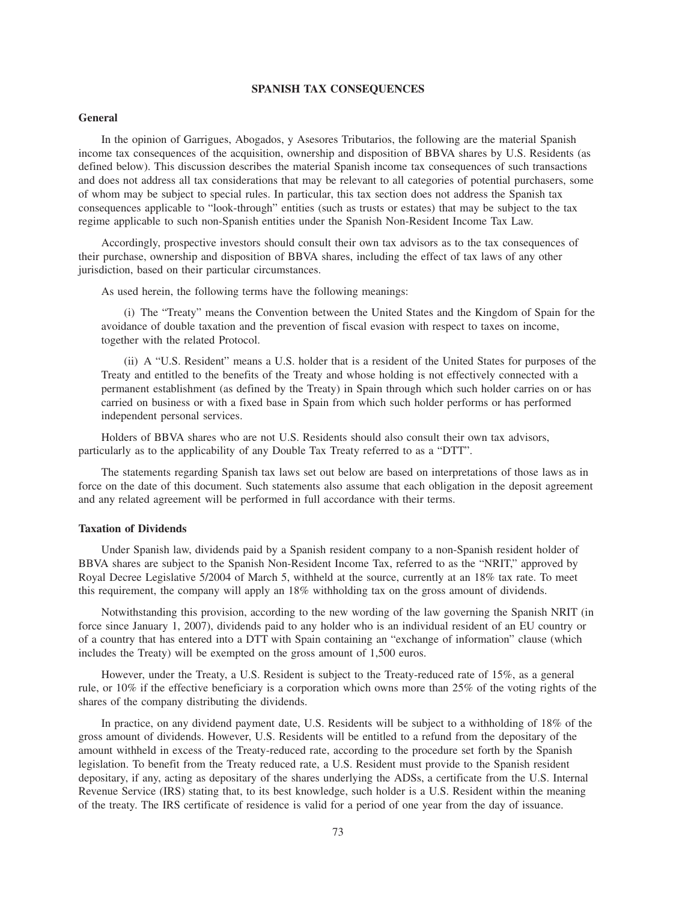## **SPANISH TAX CONSEQUENCES**

# **General**

In the opinion of Garrigues, Abogados, y Asesores Tributarios, the following are the material Spanish income tax consequences of the acquisition, ownership and disposition of BBVA shares by U.S. Residents (as defined below). This discussion describes the material Spanish income tax consequences of such transactions and does not address all tax considerations that may be relevant to all categories of potential purchasers, some of whom may be subject to special rules. In particular, this tax section does not address the Spanish tax consequences applicable to "look-through" entities (such as trusts or estates) that may be subject to the tax regime applicable to such non-Spanish entities under the Spanish Non-Resident Income Tax Law.

Accordingly, prospective investors should consult their own tax advisors as to the tax consequences of their purchase, ownership and disposition of BBVA shares, including the effect of tax laws of any other jurisdiction, based on their particular circumstances.

As used herein, the following terms have the following meanings:

(i) The "Treaty" means the Convention between the United States and the Kingdom of Spain for the avoidance of double taxation and the prevention of fiscal evasion with respect to taxes on income, together with the related Protocol.

(ii) A "U.S. Resident" means a U.S. holder that is a resident of the United States for purposes of the Treaty and entitled to the benefits of the Treaty and whose holding is not effectively connected with a permanent establishment (as defined by the Treaty) in Spain through which such holder carries on or has carried on business or with a fixed base in Spain from which such holder performs or has performed independent personal services.

Holders of BBVA shares who are not U.S. Residents should also consult their own tax advisors, particularly as to the applicability of any Double Tax Treaty referred to as a "DTT".

The statements regarding Spanish tax laws set out below are based on interpretations of those laws as in force on the date of this document. Such statements also assume that each obligation in the deposit agreement and any related agreement will be performed in full accordance with their terms.

### **Taxation of Dividends**

Under Spanish law, dividends paid by a Spanish resident company to a non-Spanish resident holder of BBVA shares are subject to the Spanish Non-Resident Income Tax, referred to as the "NRIT," approved by Royal Decree Legislative 5/2004 of March 5, withheld at the source, currently at an 18% tax rate. To meet this requirement, the company will apply an 18% withholding tax on the gross amount of dividends.

Notwithstanding this provision, according to the new wording of the law governing the Spanish NRIT (in force since January 1, 2007), dividends paid to any holder who is an individual resident of an EU country or of a country that has entered into a DTT with Spain containing an "exchange of information" clause (which includes the Treaty) will be exempted on the gross amount of 1,500 euros.

However, under the Treaty, a U.S. Resident is subject to the Treaty-reduced rate of 15%, as a general rule, or 10% if the effective beneficiary is a corporation which owns more than 25% of the voting rights of the shares of the company distributing the dividends.

In practice, on any dividend payment date, U.S. Residents will be subject to a withholding of 18% of the gross amount of dividends. However, U.S. Residents will be entitled to a refund from the depositary of the amount withheld in excess of the Treaty-reduced rate, according to the procedure set forth by the Spanish legislation. To benefit from the Treaty reduced rate, a U.S. Resident must provide to the Spanish resident depositary, if any, acting as depositary of the shares underlying the ADSs, a certificate from the U.S. Internal Revenue Service (IRS) stating that, to its best knowledge, such holder is a U.S. Resident within the meaning of the treaty. The IRS certificate of residence is valid for a period of one year from the day of issuance.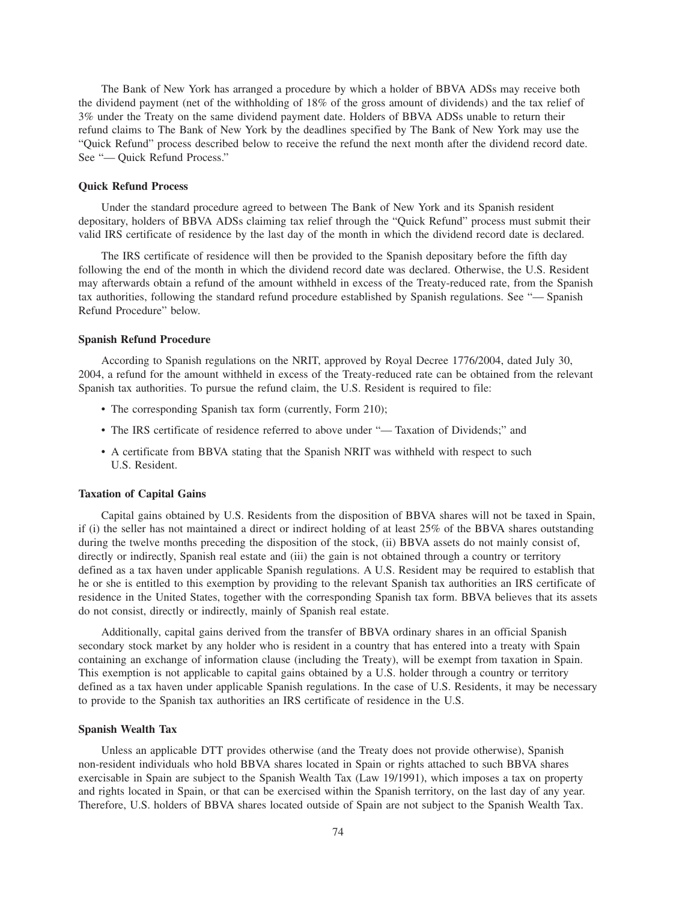The Bank of New York has arranged a procedure by which a holder of BBVA ADSs may receive both the dividend payment (net of the withholding of 18% of the gross amount of dividends) and the tax relief of 3% under the Treaty on the same dividend payment date. Holders of BBVA ADSs unable to return their refund claims to The Bank of New York by the deadlines specified by The Bank of New York may use the "Quick Refund" process described below to receive the refund the next month after the dividend record date. See "— Quick Refund Process."

# **Quick Refund Process**

Under the standard procedure agreed to between The Bank of New York and its Spanish resident depositary, holders of BBVA ADSs claiming tax relief through the "Quick Refund" process must submit their valid IRS certificate of residence by the last day of the month in which the dividend record date is declared.

The IRS certificate of residence will then be provided to the Spanish depositary before the fifth day following the end of the month in which the dividend record date was declared. Otherwise, the U.S. Resident may afterwards obtain a refund of the amount withheld in excess of the Treaty-reduced rate, from the Spanish tax authorities, following the standard refund procedure established by Spanish regulations. See "— Spanish Refund Procedure" below.

#### **Spanish Refund Procedure**

According to Spanish regulations on the NRIT, approved by Royal Decree 1776/2004, dated July 30, 2004, a refund for the amount withheld in excess of the Treaty-reduced rate can be obtained from the relevant Spanish tax authorities. To pursue the refund claim, the U.S. Resident is required to file:

- The corresponding Spanish tax form (currently, Form 210);
- The IRS certificate of residence referred to above under "— Taxation of Dividends;" and
- A certificate from BBVA stating that the Spanish NRIT was withheld with respect to such U.S. Resident.

# **Taxation of Capital Gains**

Capital gains obtained by U.S. Residents from the disposition of BBVA shares will not be taxed in Spain, if (i) the seller has not maintained a direct or indirect holding of at least 25% of the BBVA shares outstanding during the twelve months preceding the disposition of the stock, (ii) BBVA assets do not mainly consist of, directly or indirectly, Spanish real estate and (iii) the gain is not obtained through a country or territory defined as a tax haven under applicable Spanish regulations. A U.S. Resident may be required to establish that he or she is entitled to this exemption by providing to the relevant Spanish tax authorities an IRS certificate of residence in the United States, together with the corresponding Spanish tax form. BBVA believes that its assets do not consist, directly or indirectly, mainly of Spanish real estate.

Additionally, capital gains derived from the transfer of BBVA ordinary shares in an official Spanish secondary stock market by any holder who is resident in a country that has entered into a treaty with Spain containing an exchange of information clause (including the Treaty), will be exempt from taxation in Spain. This exemption is not applicable to capital gains obtained by a U.S. holder through a country or territory defined as a tax haven under applicable Spanish regulations. In the case of U.S. Residents, it may be necessary to provide to the Spanish tax authorities an IRS certificate of residence in the U.S.

#### **Spanish Wealth Tax**

Unless an applicable DTT provides otherwise (and the Treaty does not provide otherwise), Spanish non-resident individuals who hold BBVA shares located in Spain or rights attached to such BBVA shares exercisable in Spain are subject to the Spanish Wealth Tax (Law 19/1991), which imposes a tax on property and rights located in Spain, or that can be exercised within the Spanish territory, on the last day of any year. Therefore, U.S. holders of BBVA shares located outside of Spain are not subject to the Spanish Wealth Tax.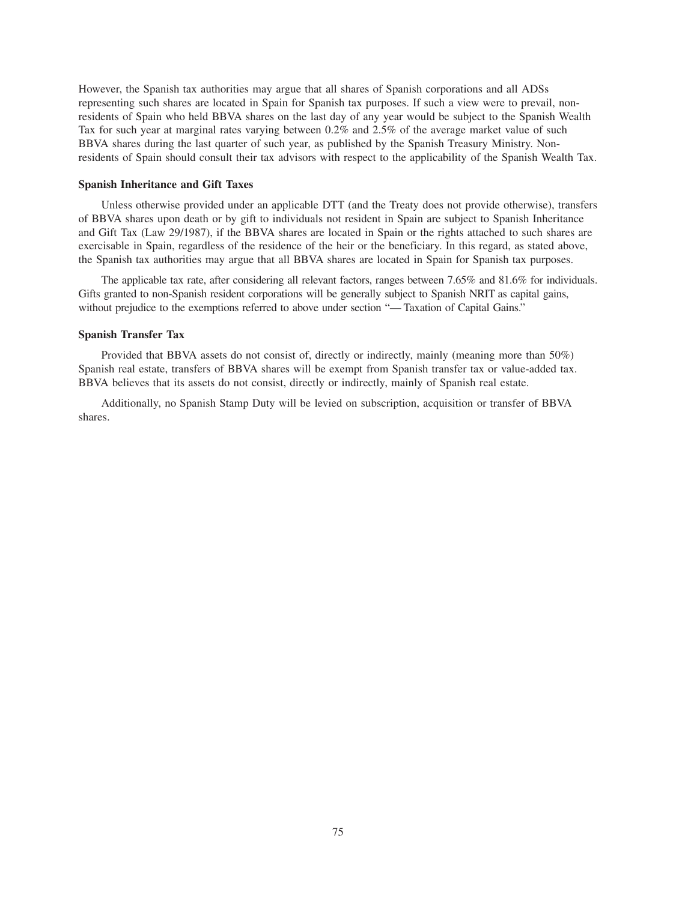However, the Spanish tax authorities may argue that all shares of Spanish corporations and all ADSs representing such shares are located in Spain for Spanish tax purposes. If such a view were to prevail, nonresidents of Spain who held BBVA shares on the last day of any year would be subject to the Spanish Wealth Tax for such year at marginal rates varying between 0.2% and 2.5% of the average market value of such BBVA shares during the last quarter of such year, as published by the Spanish Treasury Ministry. Nonresidents of Spain should consult their tax advisors with respect to the applicability of the Spanish Wealth Tax.

#### **Spanish Inheritance and Gift Taxes**

Unless otherwise provided under an applicable DTT (and the Treaty does not provide otherwise), transfers of BBVA shares upon death or by gift to individuals not resident in Spain are subject to Spanish Inheritance and Gift Tax (Law 29/1987), if the BBVA shares are located in Spain or the rights attached to such shares are exercisable in Spain, regardless of the residence of the heir or the beneficiary. In this regard, as stated above, the Spanish tax authorities may argue that all BBVA shares are located in Spain for Spanish tax purposes.

The applicable tax rate, after considering all relevant factors, ranges between 7.65% and 81.6% for individuals. Gifts granted to non-Spanish resident corporations will be generally subject to Spanish NRIT as capital gains, without prejudice to the exemptions referred to above under section "— Taxation of Capital Gains."

#### **Spanish Transfer Tax**

Provided that BBVA assets do not consist of, directly or indirectly, mainly (meaning more than 50%) Spanish real estate, transfers of BBVA shares will be exempt from Spanish transfer tax or value-added tax. BBVA believes that its assets do not consist, directly or indirectly, mainly of Spanish real estate.

Additionally, no Spanish Stamp Duty will be levied on subscription, acquisition or transfer of BBVA shares.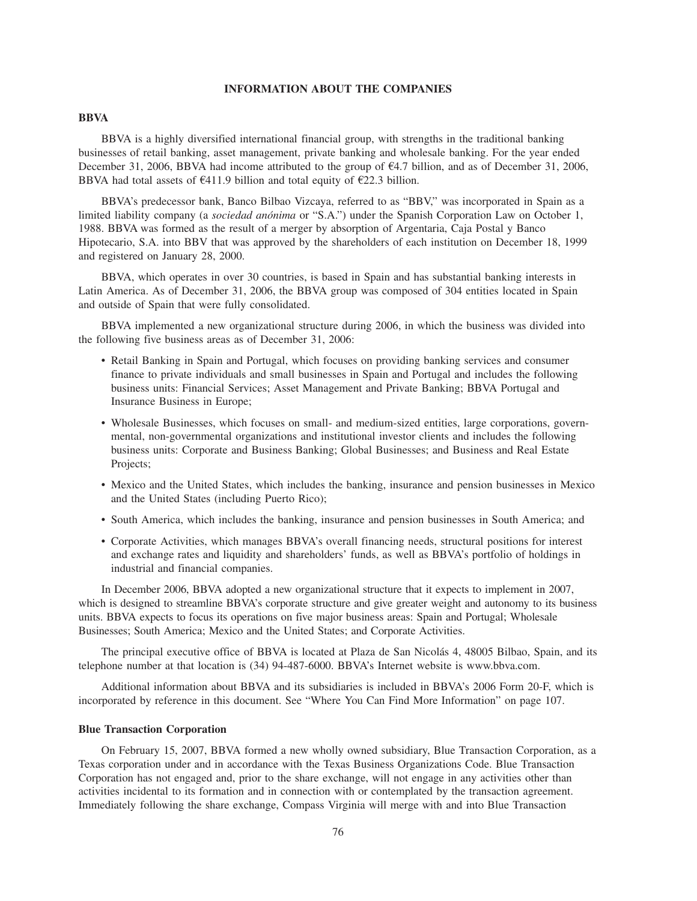# **INFORMATION ABOUT THE COMPANIES**

# **BBVA**

BBVA is a highly diversified international financial group, with strengths in the traditional banking businesses of retail banking, asset management, private banking and wholesale banking. For the year ended December 31, 2006, BBVA had income attributed to the group of  $\epsilon$ 4.7 billion, and as of December 31, 2006, BBVA had total assets of  $E$ 411.9 billion and total equity of  $E$ 22.3 billion.

BBVA's predecessor bank, Banco Bilbao Vizcaya, referred to as "BBV," was incorporated in Spain as a limited liability company (a *sociedad anónima* or "S.A.") under the Spanish Corporation Law on October 1, 1988. BBVA was formed as the result of a merger by absorption of Argentaria, Caja Postal y Banco Hipotecario, S.A. into BBV that was approved by the shareholders of each institution on December 18, 1999 and registered on January 28, 2000.

BBVA, which operates in over 30 countries, is based in Spain and has substantial banking interests in Latin America. As of December 31, 2006, the BBVA group was composed of 304 entities located in Spain and outside of Spain that were fully consolidated.

BBVA implemented a new organizational structure during 2006, in which the business was divided into the following five business areas as of December 31, 2006:

- Retail Banking in Spain and Portugal, which focuses on providing banking services and consumer finance to private individuals and small businesses in Spain and Portugal and includes the following business units: Financial Services; Asset Management and Private Banking; BBVA Portugal and Insurance Business in Europe;
- Wholesale Businesses, which focuses on small- and medium-sized entities, large corporations, governmental, non-governmental organizations and institutional investor clients and includes the following business units: Corporate and Business Banking; Global Businesses; and Business and Real Estate Projects;
- Mexico and the United States, which includes the banking, insurance and pension businesses in Mexico and the United States (including Puerto Rico);
- South America, which includes the banking, insurance and pension businesses in South America; and
- Corporate Activities, which manages BBVA's overall financing needs, structural positions for interest and exchange rates and liquidity and shareholders' funds, as well as BBVA's portfolio of holdings in industrial and financial companies.

In December 2006, BBVA adopted a new organizational structure that it expects to implement in 2007, which is designed to streamline BBVA's corporate structure and give greater weight and autonomy to its business units. BBVA expects to focus its operations on five major business areas: Spain and Portugal; Wholesale Businesses; South America; Mexico and the United States; and Corporate Activities.

The principal executive office of BBVA is located at Plaza de San Nicolás 4, 48005 Bilbao, Spain, and its telephone number at that location is (34) 94-487-6000. BBVA's Internet website is www.bbva.com.

Additional information about BBVA and its subsidiaries is included in BBVA's 2006 Form 20-F, which is incorporated by reference in this document. See "Where You Can Find More Information" on page 107.

## **Blue Transaction Corporation**

On February 15, 2007, BBVA formed a new wholly owned subsidiary, Blue Transaction Corporation, as a Texas corporation under and in accordance with the Texas Business Organizations Code. Blue Transaction Corporation has not engaged and, prior to the share exchange, will not engage in any activities other than activities incidental to its formation and in connection with or contemplated by the transaction agreement. Immediately following the share exchange, Compass Virginia will merge with and into Blue Transaction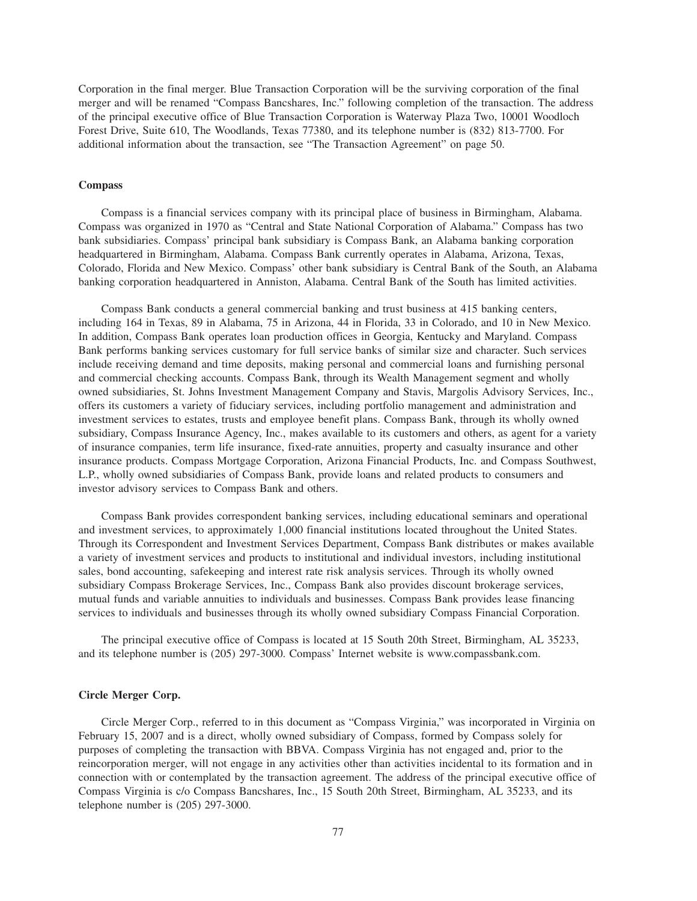Corporation in the final merger. Blue Transaction Corporation will be the surviving corporation of the final merger and will be renamed "Compass Bancshares, Inc." following completion of the transaction. The address of the principal executive office of Blue Transaction Corporation is Waterway Plaza Two, 10001 Woodloch Forest Drive, Suite 610, The Woodlands, Texas 77380, and its telephone number is (832) 813-7700. For additional information about the transaction, see "The Transaction Agreement" on page 50.

# **Compass**

Compass is a financial services company with its principal place of business in Birmingham, Alabama. Compass was organized in 1970 as "Central and State National Corporation of Alabama." Compass has two bank subsidiaries. Compass' principal bank subsidiary is Compass Bank, an Alabama banking corporation headquartered in Birmingham, Alabama. Compass Bank currently operates in Alabama, Arizona, Texas, Colorado, Florida and New Mexico. Compass' other bank subsidiary is Central Bank of the South, an Alabama banking corporation headquartered in Anniston, Alabama. Central Bank of the South has limited activities.

Compass Bank conducts a general commercial banking and trust business at 415 banking centers, including 164 in Texas, 89 in Alabama, 75 in Arizona, 44 in Florida, 33 in Colorado, and 10 in New Mexico. In addition, Compass Bank operates loan production offices in Georgia, Kentucky and Maryland. Compass Bank performs banking services customary for full service banks of similar size and character. Such services include receiving demand and time deposits, making personal and commercial loans and furnishing personal and commercial checking accounts. Compass Bank, through its Wealth Management segment and wholly owned subsidiaries, St. Johns Investment Management Company and Stavis, Margolis Advisory Services, Inc., offers its customers a variety of fiduciary services, including portfolio management and administration and investment services to estates, trusts and employee benefit plans. Compass Bank, through its wholly owned subsidiary, Compass Insurance Agency, Inc., makes available to its customers and others, as agent for a variety of insurance companies, term life insurance, fixed-rate annuities, property and casualty insurance and other insurance products. Compass Mortgage Corporation, Arizona Financial Products, Inc. and Compass Southwest, L.P., wholly owned subsidiaries of Compass Bank, provide loans and related products to consumers and investor advisory services to Compass Bank and others.

Compass Bank provides correspondent banking services, including educational seminars and operational and investment services, to approximately 1,000 financial institutions located throughout the United States. Through its Correspondent and Investment Services Department, Compass Bank distributes or makes available a variety of investment services and products to institutional and individual investors, including institutional sales, bond accounting, safekeeping and interest rate risk analysis services. Through its wholly owned subsidiary Compass Brokerage Services, Inc., Compass Bank also provides discount brokerage services, mutual funds and variable annuities to individuals and businesses. Compass Bank provides lease financing services to individuals and businesses through its wholly owned subsidiary Compass Financial Corporation.

The principal executive office of Compass is located at 15 South 20th Street, Birmingham, AL 35233, and its telephone number is (205) 297-3000. Compass' Internet website is www.compassbank.com.

## **Circle Merger Corp.**

Circle Merger Corp., referred to in this document as "Compass Virginia," was incorporated in Virginia on February 15, 2007 and is a direct, wholly owned subsidiary of Compass, formed by Compass solely for purposes of completing the transaction with BBVA. Compass Virginia has not engaged and, prior to the reincorporation merger, will not engage in any activities other than activities incidental to its formation and in connection with or contemplated by the transaction agreement. The address of the principal executive office of Compass Virginia is c/o Compass Bancshares, Inc., 15 South 20th Street, Birmingham, AL 35233, and its telephone number is (205) 297-3000.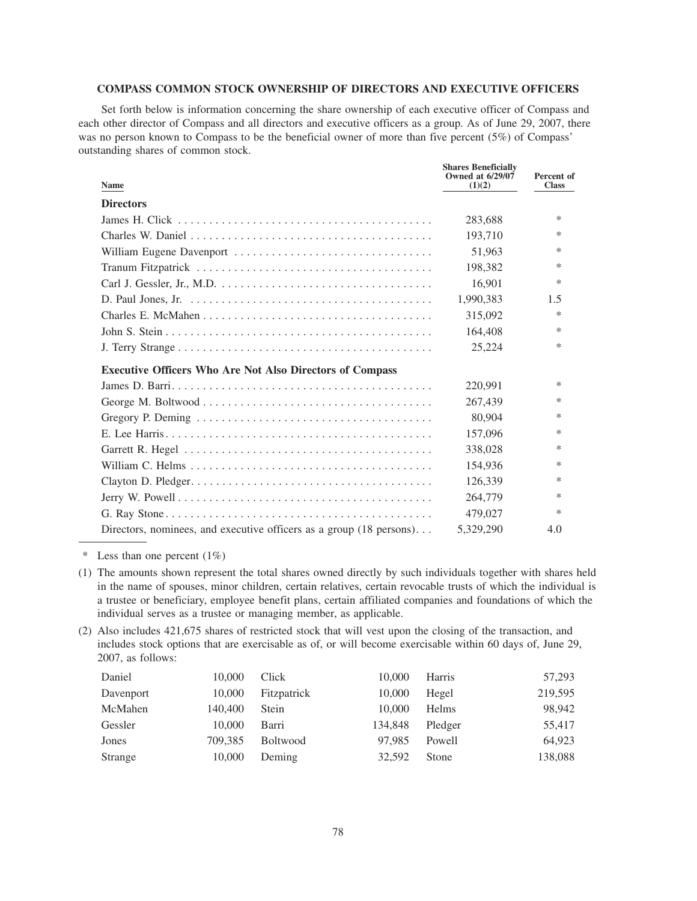# **COMPASS COMMON STOCK OWNERSHIP OF DIRECTORS AND EXECUTIVE OFFICERS**

Set forth below is information concerning the share ownership of each executive officer of Compass and each other director of Compass and all directors and executive officers as a group. As of June 29, 2007, there was no person known to Compass to be the beneficial owner of more than five percent (5%) of Compass' outstanding shares of common stock.

| <b>Name</b>                                                                                              | <b>Shares Beneficially</b><br><b>Owned at 6/29/07</b><br>(1)(2) | Percent of<br><b>Class</b> |
|----------------------------------------------------------------------------------------------------------|-----------------------------------------------------------------|----------------------------|
| <b>Directors</b>                                                                                         |                                                                 |                            |
|                                                                                                          | 283,688                                                         | $\ast$                     |
|                                                                                                          | 193,710                                                         | ∗                          |
|                                                                                                          | 51,963                                                          | $\ast$                     |
|                                                                                                          | 198,382                                                         | $\ast$                     |
|                                                                                                          | 16,901                                                          | $\ast$                     |
| D. Paul Jones, Jr. $\dots \dots \dots \dots \dots \dots \dots \dots \dots \dots \dots \dots \dots \dots$ | 1,990,383                                                       | 1.5                        |
|                                                                                                          | 315,092                                                         | $\ast$                     |
|                                                                                                          | 164,408                                                         | $\ast$                     |
|                                                                                                          | 25,224                                                          | $\ast$                     |
| <b>Executive Officers Who Are Not Also Directors of Compass</b>                                          |                                                                 |                            |
|                                                                                                          | 220,991                                                         | ∗                          |
|                                                                                                          | 267,439                                                         | $\ast$                     |
|                                                                                                          | 80,904                                                          | ∗                          |
|                                                                                                          | 157,096                                                         | *                          |
|                                                                                                          | 338,028                                                         | $\ast$                     |
|                                                                                                          | 154,936                                                         | $\ast$                     |
|                                                                                                          | 126,339                                                         | ∗                          |
|                                                                                                          | 264,779                                                         | ∗                          |
|                                                                                                          | 479,027                                                         | $\ast$                     |
| Directors, nominees, and executive officers as a group $(18 \text{ persons})$                            | 5.329.290                                                       | 4.0                        |

\* Less than one percent (1%)

- (1) The amounts shown represent the total shares owned directly by such individuals together with shares held in the name of spouses, minor children, certain relatives, certain revocable trusts of which the individual is a trustee or beneficiary, employee benefit plans, certain affiliated companies and foundations of which the individual serves as a trustee or managing member, as applicable.
- (2) Also includes 421,675 shares of restricted stock that will vest upon the closing of the transaction, and includes stock options that are exercisable as of, or will become exercisable within 60 days of, June 29, 2007, as follows:

| 10,000  | Click           | 10,000  | Harris  | 57,293  |
|---------|-----------------|---------|---------|---------|
| 10,000  | Fitzpatrick     | 10,000  | Hegel   | 219,595 |
| 140,400 | Stein           | 10,000  | Helms   | 98,942  |
| 10,000  | Barri           | 134,848 | Pledger | 55,417  |
| 709,385 | <b>Boltwood</b> | 97.985  | Powell  | 64,923  |
| 10,000  | Deming          | 32,592  | Stone   | 138,088 |
|         |                 |         |         |         |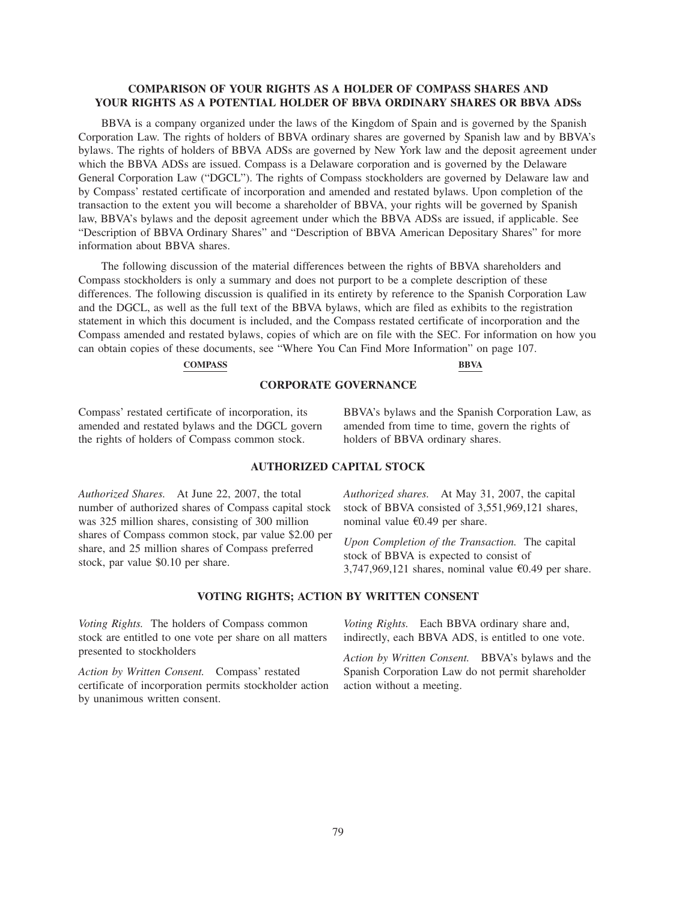# **COMPARISON OF YOUR RIGHTS AS A HOLDER OF COMPASS SHARES AND YOUR RIGHTS AS A POTENTIAL HOLDER OF BBVA ORDINARY SHARES OR BBVA ADSs**

BBVA is a company organized under the laws of the Kingdom of Spain and is governed by the Spanish Corporation Law. The rights of holders of BBVA ordinary shares are governed by Spanish law and by BBVA's bylaws. The rights of holders of BBVA ADSs are governed by New York law and the deposit agreement under which the BBVA ADSs are issued. Compass is a Delaware corporation and is governed by the Delaware General Corporation Law ("DGCL"). The rights of Compass stockholders are governed by Delaware law and by Compass' restated certificate of incorporation and amended and restated bylaws. Upon completion of the transaction to the extent you will become a shareholder of BBVA, your rights will be governed by Spanish law, BBVA's bylaws and the deposit agreement under which the BBVA ADSs are issued, if applicable. See "Description of BBVA Ordinary Shares" and "Description of BBVA American Depositary Shares" for more information about BBVA shares.

The following discussion of the material differences between the rights of BBVA shareholders and Compass stockholders is only a summary and does not purport to be a complete description of these differences. The following discussion is qualified in its entirety by reference to the Spanish Corporation Law and the DGCL, as well as the full text of the BBVA bylaws, which are filed as exhibits to the registration statement in which this document is included, and the Compass restated certificate of incorporation and the Compass amended and restated bylaws, copies of which are on file with the SEC. For information on how you can obtain copies of these documents, see "Where You Can Find More Information" on page 107.

# **COMPASS BBVA**

#### **CORPORATE GOVERNANCE**

Compass' restated certificate of incorporation, its amended and restated bylaws and the DGCL govern the rights of holders of Compass common stock.

BBVA's bylaws and the Spanish Corporation Law, as amended from time to time, govern the rights of holders of BBVA ordinary shares.

# **AUTHORIZED CAPITAL STOCK**

*Authorized Shares.* At June 22, 2007, the total number of authorized shares of Compass capital stock was 325 million shares, consisting of 300 million shares of Compass common stock, par value \$2.00 per share, and 25 million shares of Compass preferred stock, par value \$0.10 per share.

*Authorized shares.* At May 31, 2007, the capital stock of BBVA consisted of 3,551,969,121 shares, nominal value  $\epsilon$ 0.49 per share.

*Upon Completion of the Transaction.* The capital stock of BBVA is expected to consist of 3,747,969,121 shares, nominal value  $\epsilon$ 0.49 per share.

#### **VOTING RIGHTS; ACTION BY WRITTEN CONSENT**

*Voting Rights.* The holders of Compass common stock are entitled to one vote per share on all matters presented to stockholders

*Action by Written Consent.* Compass' restated certificate of incorporation permits stockholder action by unanimous written consent.

*Voting Rights.* Each BBVA ordinary share and, indirectly, each BBVA ADS, is entitled to one vote.

*Action by Written Consent.* BBVA's bylaws and the Spanish Corporation Law do not permit shareholder action without a meeting.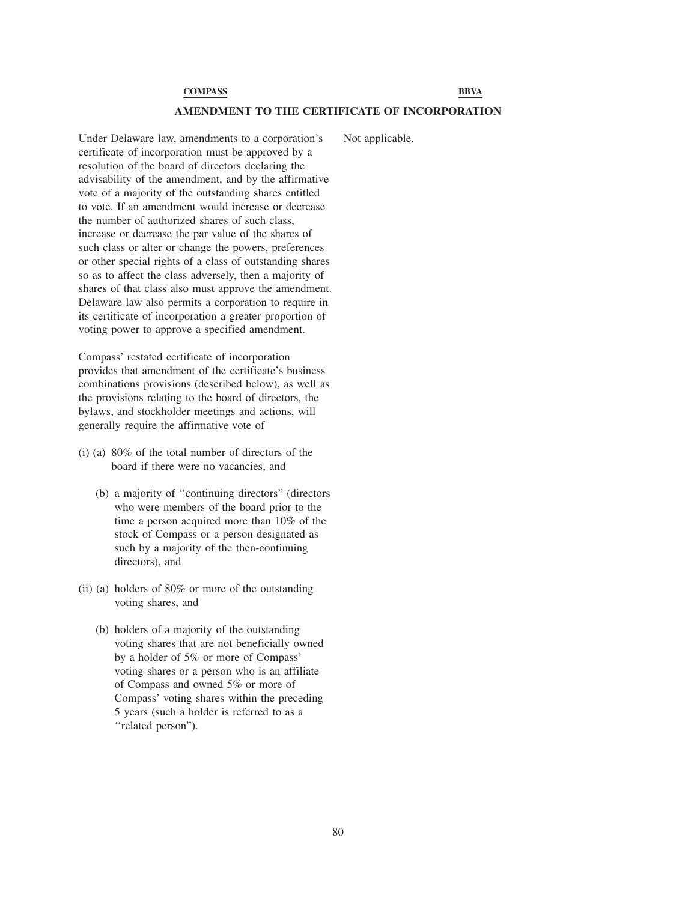## **AMENDMENT TO THE CERTIFICATE OF INCORPORATION**

Under Delaware law, amendments to a corporation's certificate of incorporation must be approved by a resolution of the board of directors declaring the advisability of the amendment, and by the affirmative vote of a majority of the outstanding shares entitled to vote. If an amendment would increase or decrease the number of authorized shares of such class, increase or decrease the par value of the shares of such class or alter or change the powers, preferences or other special rights of a class of outstanding shares so as to affect the class adversely, then a majority of shares of that class also must approve the amendment. Delaware law also permits a corporation to require in its certificate of incorporation a greater proportion of voting power to approve a specified amendment.

Compass' restated certificate of incorporation provides that amendment of the certificate's business combinations provisions (described below), as well as the provisions relating to the board of directors, the bylaws, and stockholder meetings and actions, will generally require the affirmative vote of

- (i) (a) 80% of the total number of directors of the board if there were no vacancies, and
	- (b) a majority of ''continuing directors" (directors who were members of the board prior to the time a person acquired more than 10% of the stock of Compass or a person designated as such by a majority of the then-continuing directors), and
- (ii) (a) holders of 80% or more of the outstanding voting shares, and
	- (b) holders of a majority of the outstanding voting shares that are not beneficially owned by a holder of 5% or more of Compass' voting shares or a person who is an affiliate of Compass and owned 5% or more of Compass' voting shares within the preceding 5 years (such a holder is referred to as a "related person").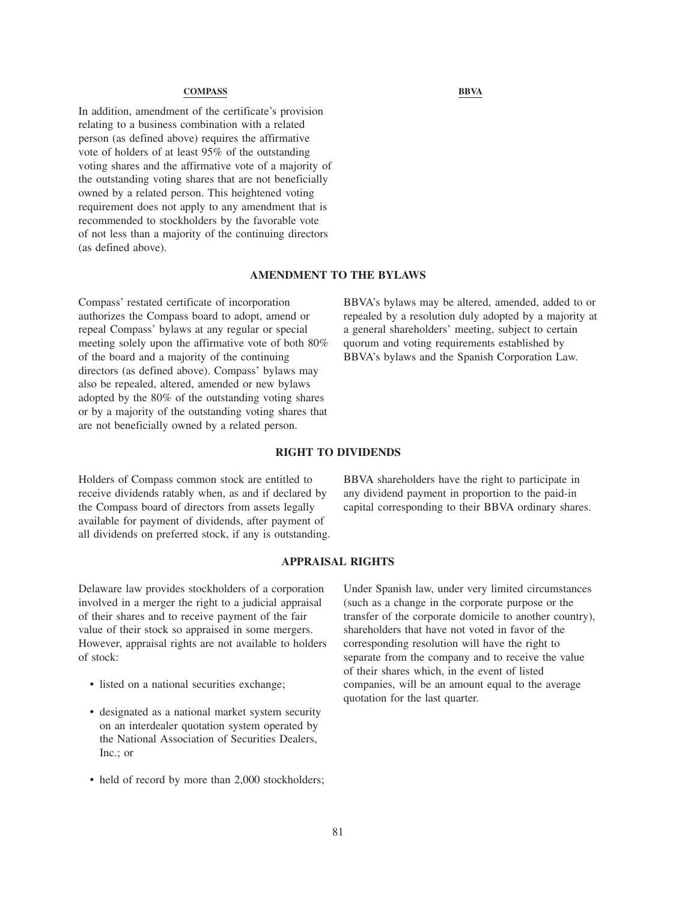In addition, amendment of the certificate's provision relating to a business combination with a related person (as defined above) requires the affirmative vote of holders of at least 95% of the outstanding voting shares and the affirmative vote of a majority of the outstanding voting shares that are not beneficially owned by a related person. This heightened voting requirement does not apply to any amendment that is recommended to stockholders by the favorable vote of not less than a majority of the continuing directors (as defined above).

## **AMENDMENT TO THE BYLAWS**

Compass' restated certificate of incorporation authorizes the Compass board to adopt, amend or repeal Compass' bylaws at any regular or special meeting solely upon the affirmative vote of both 80% of the board and a majority of the continuing directors (as defined above). Compass' bylaws may also be repealed, altered, amended or new bylaws adopted by the 80% of the outstanding voting shares or by a majority of the outstanding voting shares that are not beneficially owned by a related person.

BBVA's bylaws may be altered, amended, added to or repealed by a resolution duly adopted by a majority at a general shareholders' meeting, subject to certain quorum and voting requirements established by BBVA's bylaws and the Spanish Corporation Law.

#### **RIGHT TO DIVIDENDS**

Holders of Compass common stock are entitled to receive dividends ratably when, as and if declared by the Compass board of directors from assets legally available for payment of dividends, after payment of all dividends on preferred stock, if any is outstanding. BBVA shareholders have the right to participate in any dividend payment in proportion to the paid-in capital corresponding to their BBVA ordinary shares.

# **APPRAISAL RIGHTS**

Delaware law provides stockholders of a corporation involved in a merger the right to a judicial appraisal of their shares and to receive payment of the fair value of their stock so appraised in some mergers. However, appraisal rights are not available to holders of stock:

- listed on a national securities exchange;
- designated as a national market system security on an interdealer quotation system operated by the National Association of Securities Dealers, Inc.; or
- held of record by more than 2,000 stockholders;

Under Spanish law, under very limited circumstances (such as a change in the corporate purpose or the transfer of the corporate domicile to another country), shareholders that have not voted in favor of the corresponding resolution will have the right to separate from the company and to receive the value of their shares which, in the event of listed companies, will be an amount equal to the average quotation for the last quarter.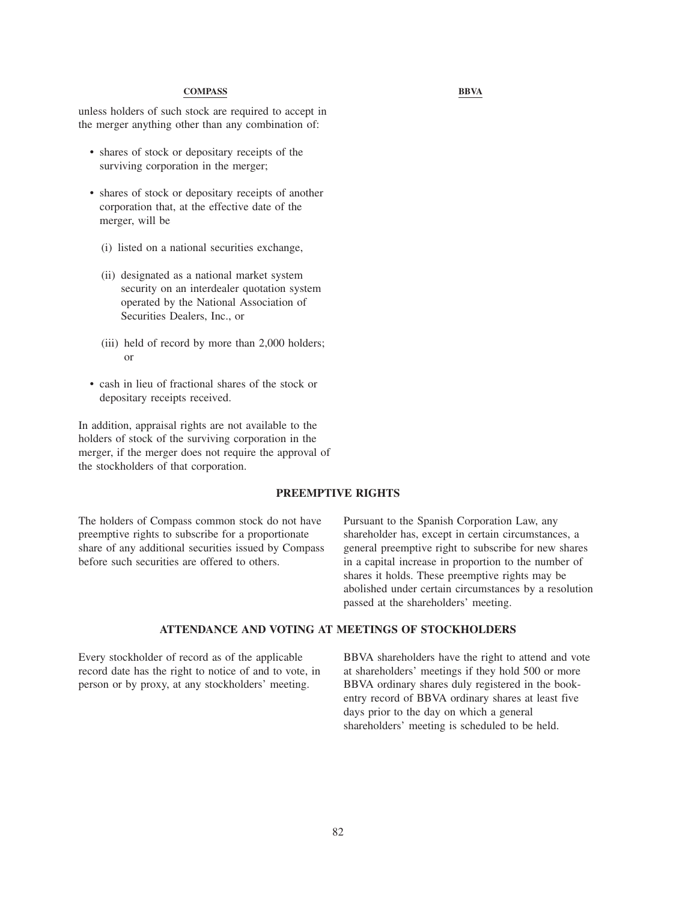unless holders of such stock are required to accept in the merger anything other than any combination of:

- shares of stock or depositary receipts of the surviving corporation in the merger;
- shares of stock or depositary receipts of another corporation that, at the effective date of the merger, will be
	- (i) listed on a national securities exchange,
	- (ii) designated as a national market system security on an interdealer quotation system operated by the National Association of Securities Dealers, Inc., or
	- (iii) held of record by more than 2,000 holders; or
- cash in lieu of fractional shares of the stock or depositary receipts received.

In addition, appraisal rights are not available to the holders of stock of the surviving corporation in the merger, if the merger does not require the approval of the stockholders of that corporation.

# **PREEMPTIVE RIGHTS**

The holders of Compass common stock do not have preemptive rights to subscribe for a proportionate share of any additional securities issued by Compass before such securities are offered to others.

Pursuant to the Spanish Corporation Law, any shareholder has, except in certain circumstances, a general preemptive right to subscribe for new shares in a capital increase in proportion to the number of shares it holds. These preemptive rights may be abolished under certain circumstances by a resolution passed at the shareholders' meeting.

# **ATTENDANCE AND VOTING AT MEETINGS OF STOCKHOLDERS**

Every stockholder of record as of the applicable record date has the right to notice of and to vote, in person or by proxy, at any stockholders' meeting.

BBVA shareholders have the right to attend and vote at shareholders' meetings if they hold 500 or more BBVA ordinary shares duly registered in the bookentry record of BBVA ordinary shares at least five days prior to the day on which a general shareholders' meeting is scheduled to be held.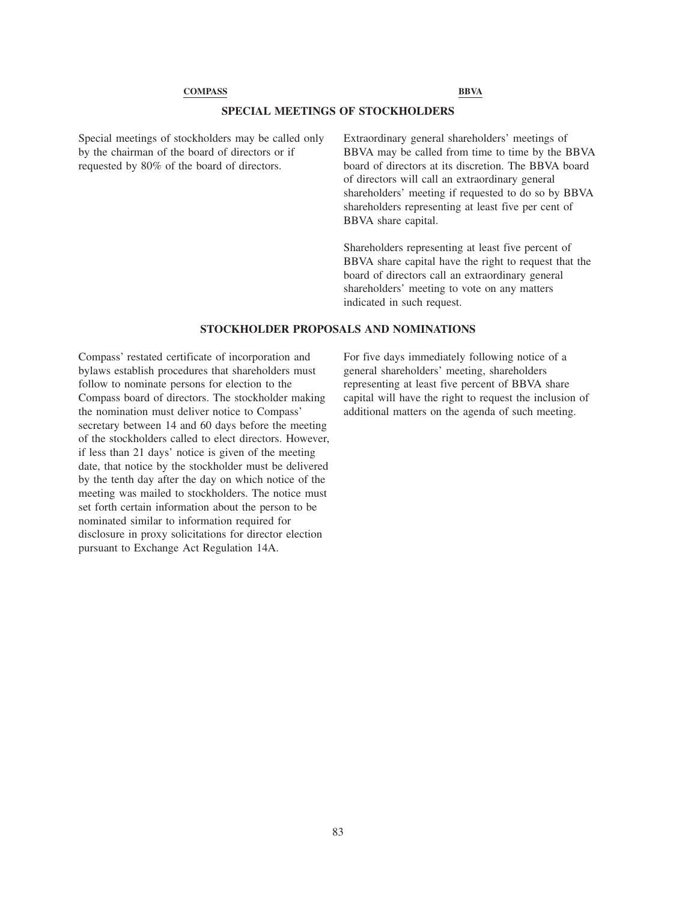# **SPECIAL MEETINGS OF STOCKHOLDERS**

Special meetings of stockholders may be called only by the chairman of the board of directors or if requested by 80% of the board of directors.

Extraordinary general shareholders' meetings of BBVA may be called from time to time by the BBVA board of directors at its discretion. The BBVA board of directors will call an extraordinary general shareholders' meeting if requested to do so by BBVA shareholders representing at least five per cent of BBVA share capital.

Shareholders representing at least five percent of BBVA share capital have the right to request that the board of directors call an extraordinary general shareholders' meeting to vote on any matters indicated in such request.

## **STOCKHOLDER PROPOSALS AND NOMINATIONS**

Compass' restated certificate of incorporation and bylaws establish procedures that shareholders must follow to nominate persons for election to the Compass board of directors. The stockholder making the nomination must deliver notice to Compass' secretary between 14 and 60 days before the meeting of the stockholders called to elect directors. However, if less than 21 days' notice is given of the meeting date, that notice by the stockholder must be delivered by the tenth day after the day on which notice of the meeting was mailed to stockholders. The notice must set forth certain information about the person to be nominated similar to information required for disclosure in proxy solicitations for director election pursuant to Exchange Act Regulation 14A.

For five days immediately following notice of a general shareholders' meeting, shareholders representing at least five percent of BBVA share capital will have the right to request the inclusion of additional matters on the agenda of such meeting.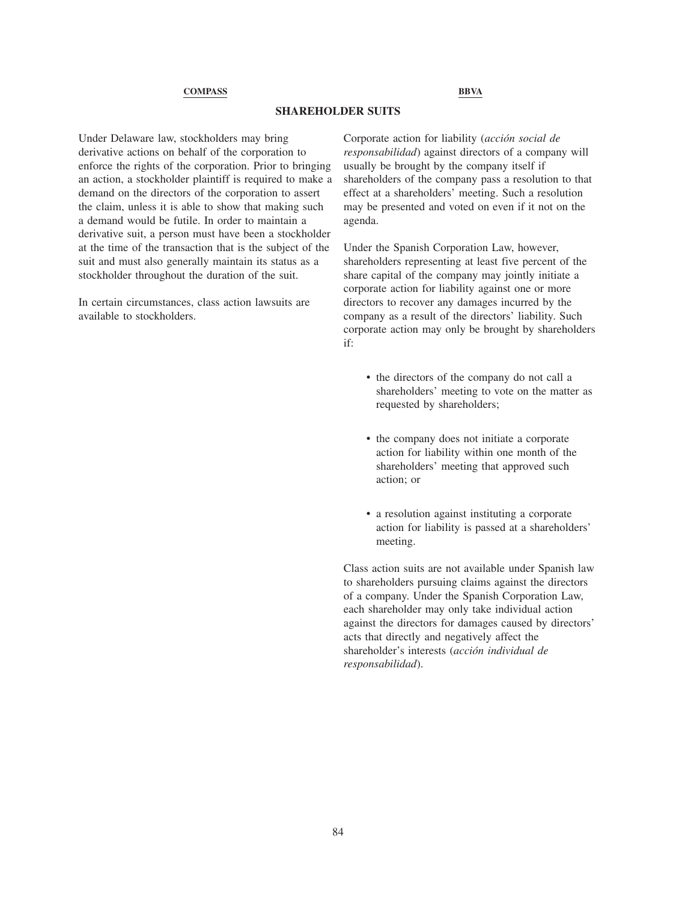# **SHAREHOLDER SUITS**

Under Delaware law, stockholders may bring derivative actions on behalf of the corporation to enforce the rights of the corporation. Prior to bringing an action, a stockholder plaintiff is required to make a demand on the directors of the corporation to assert the claim, unless it is able to show that making such a demand would be futile. In order to maintain a derivative suit, a person must have been a stockholder at the time of the transaction that is the subject of the suit and must also generally maintain its status as a stockholder throughout the duration of the suit.

In certain circumstances, class action lawsuits are available to stockholders.

Corporate action for liability (*acción social de responsabilidad*) against directors of a company will usually be brought by the company itself if shareholders of the company pass a resolution to that effect at a shareholders' meeting. Such a resolution may be presented and voted on even if it not on the agenda.

Under the Spanish Corporation Law, however, shareholders representing at least five percent of the share capital of the company may jointly initiate a corporate action for liability against one or more directors to recover any damages incurred by the company as a result of the directors' liability. Such corporate action may only be brought by shareholders if:

- the directors of the company do not call a shareholders' meeting to vote on the matter as requested by shareholders;
- the company does not initiate a corporate action for liability within one month of the shareholders' meeting that approved such action; or
- a resolution against instituting a corporate action for liability is passed at a shareholders' meeting.

Class action suits are not available under Spanish law to shareholders pursuing claims against the directors of a company. Under the Spanish Corporation Law, each shareholder may only take individual action against the directors for damages caused by directors' acts that directly and negatively affect the shareholder's interests (*acción individual de responsabilidad*).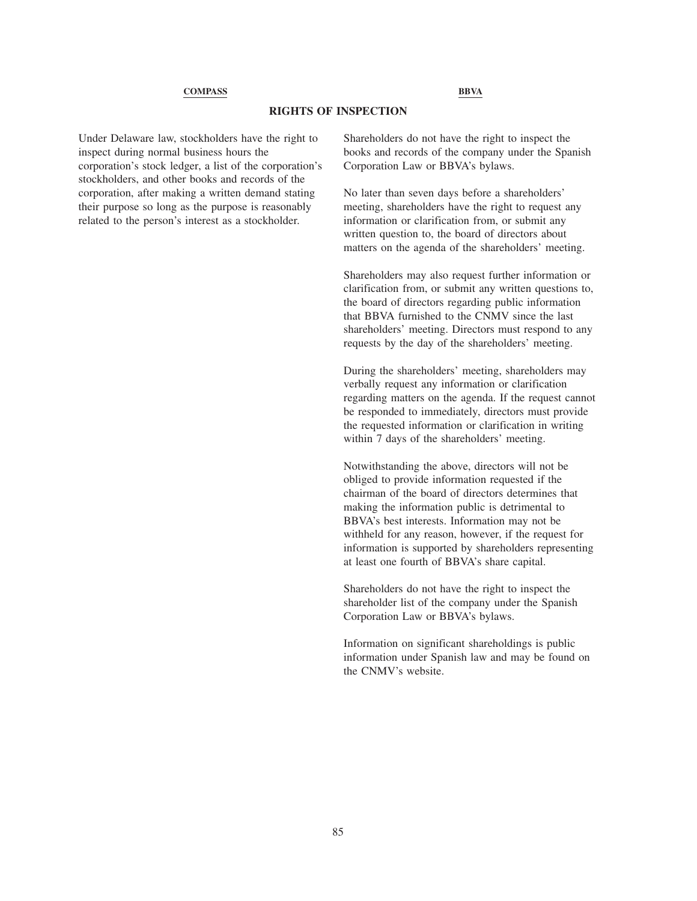# **RIGHTS OF INSPECTION**

Under Delaware law, stockholders have the right to inspect during normal business hours the corporation's stock ledger, a list of the corporation's stockholders, and other books and records of the corporation, after making a written demand stating their purpose so long as the purpose is reasonably related to the person's interest as a stockholder.

Shareholders do not have the right to inspect the books and records of the company under the Spanish Corporation Law or BBVA's bylaws.

No later than seven days before a shareholders' meeting, shareholders have the right to request any information or clarification from, or submit any written question to, the board of directors about matters on the agenda of the shareholders' meeting.

Shareholders may also request further information or clarification from, or submit any written questions to, the board of directors regarding public information that BBVA furnished to the CNMV since the last shareholders' meeting. Directors must respond to any requests by the day of the shareholders' meeting.

During the shareholders' meeting, shareholders may verbally request any information or clarification regarding matters on the agenda. If the request cannot be responded to immediately, directors must provide the requested information or clarification in writing within 7 days of the shareholders' meeting.

Notwithstanding the above, directors will not be obliged to provide information requested if the chairman of the board of directors determines that making the information public is detrimental to BBVA's best interests. Information may not be withheld for any reason, however, if the request for information is supported by shareholders representing at least one fourth of BBVA's share capital.

Shareholders do not have the right to inspect the shareholder list of the company under the Spanish Corporation Law or BBVA's bylaws.

Information on significant shareholdings is public information under Spanish law and may be found on the CNMV's website.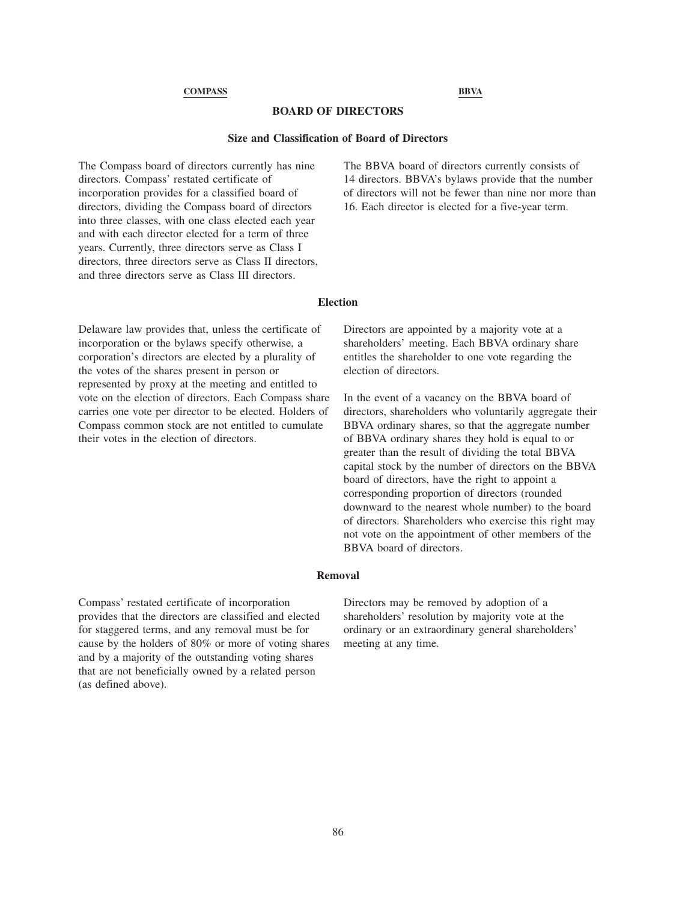# **BOARD OF DIRECTORS**

## **Size and Classification of Board of Directors**

The Compass board of directors currently has nine directors. Compass' restated certificate of incorporation provides for a classified board of directors, dividing the Compass board of directors into three classes, with one class elected each year and with each director elected for a term of three years. Currently, three directors serve as Class I directors, three directors serve as Class II directors, and three directors serve as Class III directors.

The BBVA board of directors currently consists of 14 directors. BBVA's bylaws provide that the number of directors will not be fewer than nine nor more than 16. Each director is elected for a five-year term.

#### **Election**

Delaware law provides that, unless the certificate of incorporation or the bylaws specify otherwise, a corporation's directors are elected by a plurality of the votes of the shares present in person or represented by proxy at the meeting and entitled to vote on the election of directors. Each Compass share carries one vote per director to be elected. Holders of Compass common stock are not entitled to cumulate their votes in the election of directors.

Directors are appointed by a majority vote at a shareholders' meeting. Each BBVA ordinary share entitles the shareholder to one vote regarding the election of directors.

In the event of a vacancy on the BBVA board of directors, shareholders who voluntarily aggregate their BBVA ordinary shares, so that the aggregate number of BBVA ordinary shares they hold is equal to or greater than the result of dividing the total BBVA capital stock by the number of directors on the BBVA board of directors, have the right to appoint a corresponding proportion of directors (rounded downward to the nearest whole number) to the board of directors. Shareholders who exercise this right may not vote on the appointment of other members of the BBVA board of directors.

# **Removal**

Compass' restated certificate of incorporation provides that the directors are classified and elected for staggered terms, and any removal must be for cause by the holders of 80% or more of voting shares and by a majority of the outstanding voting shares that are not beneficially owned by a related person (as defined above).

Directors may be removed by adoption of a shareholders' resolution by majority vote at the ordinary or an extraordinary general shareholders' meeting at any time.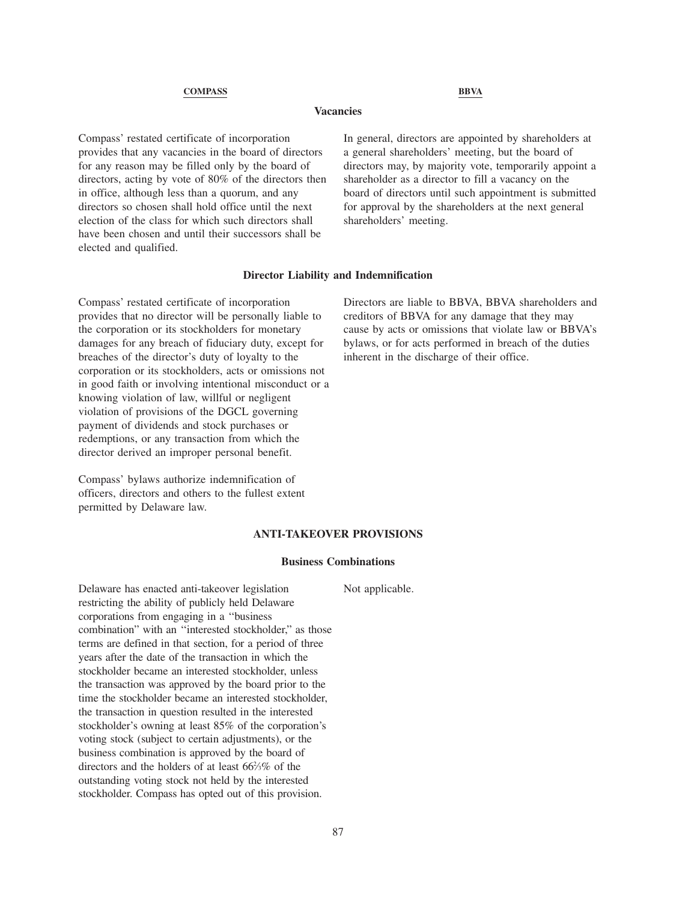# **Vacancies**

Compass' restated certificate of incorporation provides that any vacancies in the board of directors for any reason may be filled only by the board of directors, acting by vote of 80% of the directors then in office, although less than a quorum, and any directors so chosen shall hold office until the next election of the class for which such directors shall have been chosen and until their successors shall be elected and qualified.

In general, directors are appointed by shareholders at a general shareholders' meeting, but the board of directors may, by majority vote, temporarily appoint a shareholder as a director to fill a vacancy on the board of directors until such appointment is submitted for approval by the shareholders at the next general shareholders' meeting.

## **Director Liability and Indemnification**

Compass' restated certificate of incorporation provides that no director will be personally liable to the corporation or its stockholders for monetary damages for any breach of fiduciary duty, except for breaches of the director's duty of loyalty to the corporation or its stockholders, acts or omissions not in good faith or involving intentional misconduct or a knowing violation of law, willful or negligent violation of provisions of the DGCL governing payment of dividends and stock purchases or redemptions, or any transaction from which the director derived an improper personal benefit.

Compass' bylaws authorize indemnification of officers, directors and others to the fullest extent permitted by Delaware law.

Directors are liable to BBVA, BBVA shareholders and creditors of BBVA for any damage that they may cause by acts or omissions that violate law or BBVA's bylaws, or for acts performed in breach of the duties inherent in the discharge of their office.

#### **ANTI-TAKEOVER PROVISIONS**

## **Business Combinations**

Not applicable.

Delaware has enacted anti-takeover legislation restricting the ability of publicly held Delaware corporations from engaging in a ''business combination" with an ''interested stockholder," as those terms are defined in that section, for a period of three years after the date of the transaction in which the stockholder became an interested stockholder, unless the transaction was approved by the board prior to the time the stockholder became an interested stockholder, the transaction in question resulted in the interested stockholder's owning at least 85% of the corporation's voting stock (subject to certain adjustments), or the business combination is approved by the board of directors and the holders of at least 662 ⁄3% of the outstanding voting stock not held by the interested stockholder. Compass has opted out of this provision.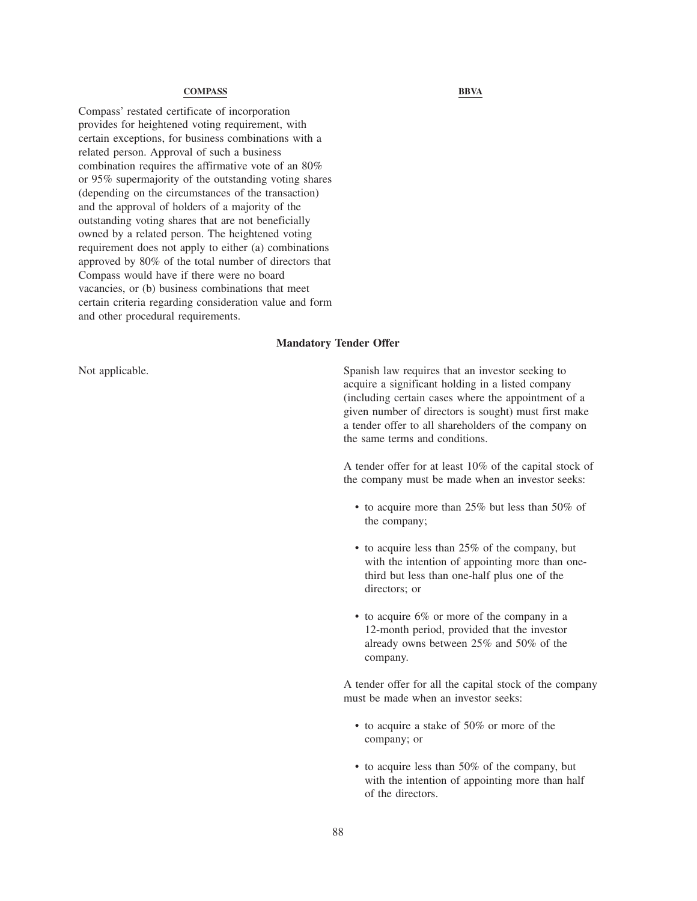Compass' restated certificate of incorporation provides for heightened voting requirement, with certain exceptions, for business combinations with a related person. Approval of such a business combination requires the affirmative vote of an 80% or 95% supermajority of the outstanding voting shares (depending on the circumstances of the transaction) and the approval of holders of a majority of the outstanding voting shares that are not beneficially owned by a related person. The heightened voting requirement does not apply to either (a) combinations approved by 80% of the total number of directors that Compass would have if there were no board vacancies, or (b) business combinations that meet certain criteria regarding consideration value and form and other procedural requirements.

# **Mandatory Tender Offer**

Not applicable. Spanish law requires that an investor seeking to spanish law requires that an investor seeking to acquire a significant holding in a listed company (including certain cases where the appointment of a given number of directors is sought) must first make a tender offer to all shareholders of the company on the same terms and conditions.

> A tender offer for at least 10% of the capital stock of the company must be made when an investor seeks:

- to acquire more than 25% but less than 50% of the company;
- to acquire less than 25% of the company, but with the intention of appointing more than onethird but less than one-half plus one of the directors; or
- to acquire 6% or more of the company in a 12-month period, provided that the investor already owns between 25% and 50% of the company.

A tender offer for all the capital stock of the company must be made when an investor seeks:

- to acquire a stake of 50% or more of the company; or
- to acquire less than 50% of the company, but with the intention of appointing more than half of the directors.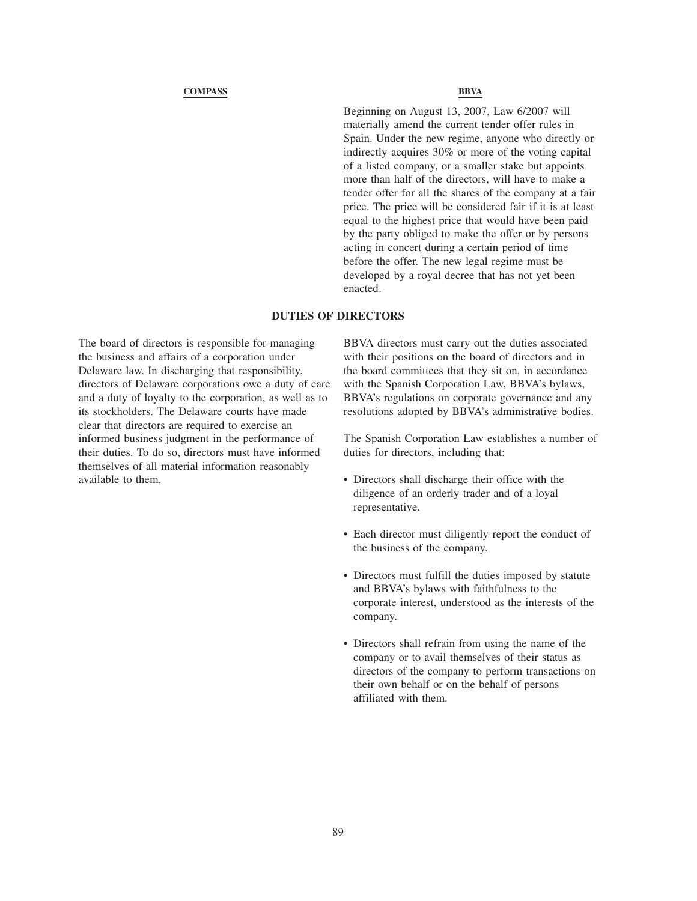Beginning on August 13, 2007, Law 6/2007 will materially amend the current tender offer rules in Spain. Under the new regime, anyone who directly or indirectly acquires 30% or more of the voting capital of a listed company, or a smaller stake but appoints more than half of the directors, will have to make a tender offer for all the shares of the company at a fair price. The price will be considered fair if it is at least equal to the highest price that would have been paid by the party obliged to make the offer or by persons acting in concert during a certain period of time before the offer. The new legal regime must be developed by a royal decree that has not yet been enacted.

# **DUTIES OF DIRECTORS**

The board of directors is responsible for managing the business and affairs of a corporation under Delaware law. In discharging that responsibility, directors of Delaware corporations owe a duty of care and a duty of loyalty to the corporation, as well as to its stockholders. The Delaware courts have made clear that directors are required to exercise an informed business judgment in the performance of their duties. To do so, directors must have informed themselves of all material information reasonably available to them.

BBVA directors must carry out the duties associated with their positions on the board of directors and in the board committees that they sit on, in accordance with the Spanish Corporation Law, BBVA's bylaws, BBVA's regulations on corporate governance and any resolutions adopted by BBVA's administrative bodies.

The Spanish Corporation Law establishes a number of duties for directors, including that:

- Directors shall discharge their office with the diligence of an orderly trader and of a loyal representative.
- Each director must diligently report the conduct of the business of the company.
- Directors must fulfill the duties imposed by statute and BBVA's bylaws with faithfulness to the corporate interest, understood as the interests of the company.
- Directors shall refrain from using the name of the company or to avail themselves of their status as directors of the company to perform transactions on their own behalf or on the behalf of persons affiliated with them.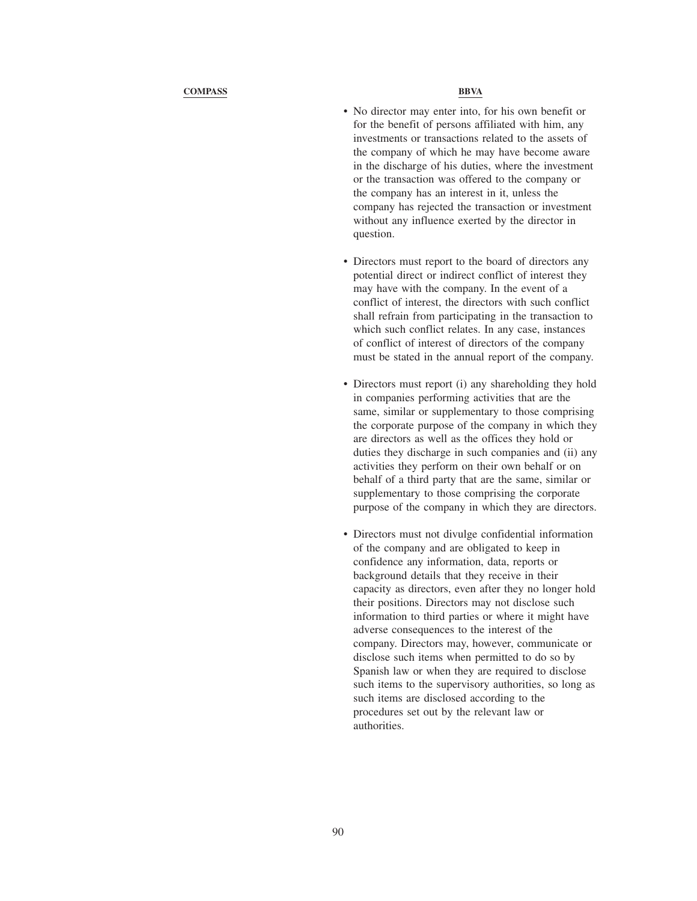- No director may enter into, for his own benefit or for the benefit of persons affiliated with him, any investments or transactions related to the assets of the company of which he may have become aware in the discharge of his duties, where the investment or the transaction was offered to the company or the company has an interest in it, unless the company has rejected the transaction or investment without any influence exerted by the director in question.
- Directors must report to the board of directors any potential direct or indirect conflict of interest they may have with the company. In the event of a conflict of interest, the directors with such conflict shall refrain from participating in the transaction to which such conflict relates. In any case, instances of conflict of interest of directors of the company must be stated in the annual report of the company.
- Directors must report (i) any shareholding they hold in companies performing activities that are the same, similar or supplementary to those comprising the corporate purpose of the company in which they are directors as well as the offices they hold or duties they discharge in such companies and (ii) any activities they perform on their own behalf or on behalf of a third party that are the same, similar or supplementary to those comprising the corporate purpose of the company in which they are directors.
- Directors must not divulge confidential information of the company and are obligated to keep in confidence any information, data, reports or background details that they receive in their capacity as directors, even after they no longer hold their positions. Directors may not disclose such information to third parties or where it might have adverse consequences to the interest of the company. Directors may, however, communicate or disclose such items when permitted to do so by Spanish law or when they are required to disclose such items to the supervisory authorities, so long as such items are disclosed according to the procedures set out by the relevant law or authorities.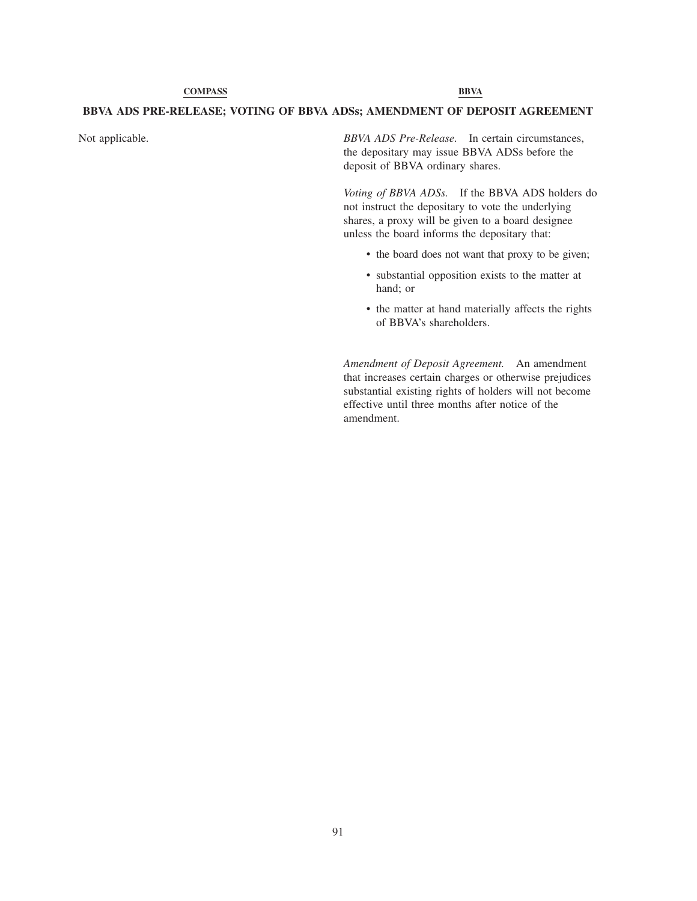# **BBVA ADS PRE-RELEASE; VOTING OF BBVA ADSs; AMENDMENT OF DEPOSIT AGREEMENT**

Not applicable. *BBVA ADS Pre-Release.* In certain circumstances, the depositary may issue BBVA ADSs before the deposit of BBVA ordinary shares.

> *Voting of BBVA ADSs.* If the BBVA ADS holders do not instruct the depositary to vote the underlying shares, a proxy will be given to a board designee unless the board informs the depositary that:

- the board does not want that proxy to be given;
- substantial opposition exists to the matter at hand; or
- the matter at hand materially affects the rights of BBVA's shareholders.

*Amendment of Deposit Agreement.* An amendment that increases certain charges or otherwise prejudices substantial existing rights of holders will not become effective until three months after notice of the amendment.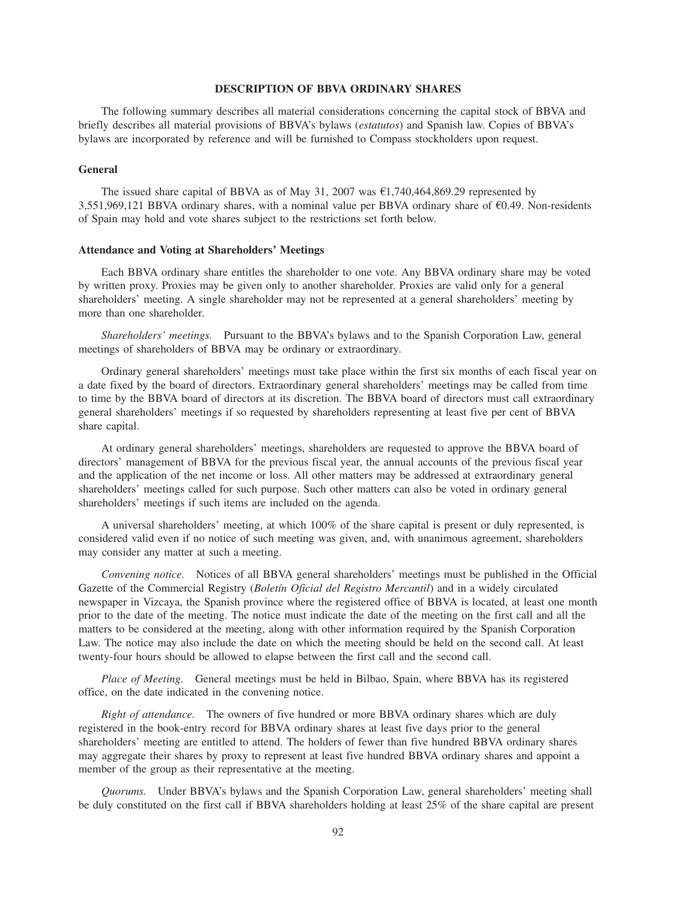# **DESCRIPTION OF BBVA ORDINARY SHARES**

The following summary describes all material considerations concerning the capital stock of BBVA and briefly describes all material provisions of BBVA's bylaws (*estatutos*) and Spanish law. Copies of BBVA's bylaws are incorporated by reference and will be furnished to Compass stockholders upon request.

## **General**

The issued share capital of BBVA as of May 31, 2007 was  $\epsilon$ 1,740,464,869.29 represented by 3,551,969,121 BBVA ordinary shares, with a nominal value per BBVA ordinary share of  $\epsilon$ 0.49. Non-residents of Spain may hold and vote shares subject to the restrictions set forth below.

# **Attendance and Voting at Shareholders' Meetings**

Each BBVA ordinary share entitles the shareholder to one vote. Any BBVA ordinary share may be voted by written proxy. Proxies may be given only to another shareholder. Proxies are valid only for a general shareholders' meeting. A single shareholder may not be represented at a general shareholders' meeting by more than one shareholder.

*Shareholders' meetings.* Pursuant to the BBVA's bylaws and to the Spanish Corporation Law, general meetings of shareholders of BBVA may be ordinary or extraordinary.

Ordinary general shareholders' meetings must take place within the first six months of each fiscal year on a date fixed by the board of directors. Extraordinary general shareholders' meetings may be called from time to time by the BBVA board of directors at its discretion. The BBVA board of directors must call extraordinary general shareholders' meetings if so requested by shareholders representing at least five per cent of BBVA share capital.

At ordinary general shareholders' meetings, shareholders are requested to approve the BBVA board of directors' management of BBVA for the previous fiscal year, the annual accounts of the previous fiscal year and the application of the net income or loss. All other matters may be addressed at extraordinary general shareholders' meetings called for such purpose. Such other matters can also be voted in ordinary general shareholders' meetings if such items are included on the agenda.

A universal shareholders' meeting, at which 100% of the share capital is present or duly represented, is considered valid even if no notice of such meeting was given, and, with unanimous agreement, shareholders may consider any matter at such a meeting.

*Convening notice.* Notices of all BBVA general shareholders' meetings must be published in the Official Gazette of the Commercial Registry (*Boletín Oficial del Registro Mercantil*) and in a widely circulated newspaper in Vizcaya, the Spanish province where the registered office of BBVA is located, at least one month prior to the date of the meeting. The notice must indicate the date of the meeting on the first call and all the matters to be considered at the meeting, along with other information required by the Spanish Corporation Law. The notice may also include the date on which the meeting should be held on the second call. At least twenty-four hours should be allowed to elapse between the first call and the second call.

*Place of Meeting.* General meetings must be held in Bilbao, Spain, where BBVA has its registered office, on the date indicated in the convening notice.

*Right of attendance.* The owners of five hundred or more BBVA ordinary shares which are duly registered in the book-entry record for BBVA ordinary shares at least five days prior to the general shareholders' meeting are entitled to attend. The holders of fewer than five hundred BBVA ordinary shares may aggregate their shares by proxy to represent at least five hundred BBVA ordinary shares and appoint a member of the group as their representative at the meeting.

*Quorums.* Under BBVA's bylaws and the Spanish Corporation Law, general shareholders' meeting shall be duly constituted on the first call if BBVA shareholders holding at least 25% of the share capital are present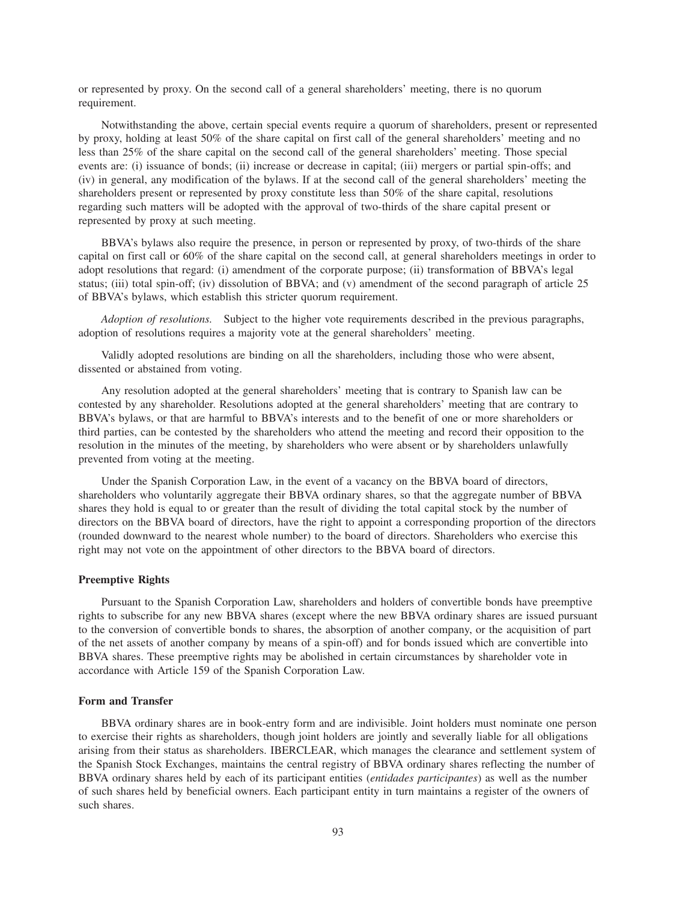or represented by proxy. On the second call of a general shareholders' meeting, there is no quorum requirement.

Notwithstanding the above, certain special events require a quorum of shareholders, present or represented by proxy, holding at least 50% of the share capital on first call of the general shareholders' meeting and no less than 25% of the share capital on the second call of the general shareholders' meeting. Those special events are: (i) issuance of bonds; (ii) increase or decrease in capital; (iii) mergers or partial spin-offs; and (iv) in general, any modification of the bylaws. If at the second call of the general shareholders' meeting the shareholders present or represented by proxy constitute less than 50% of the share capital, resolutions regarding such matters will be adopted with the approval of two-thirds of the share capital present or represented by proxy at such meeting.

BBVA's bylaws also require the presence, in person or represented by proxy, of two-thirds of the share capital on first call or 60% of the share capital on the second call, at general shareholders meetings in order to adopt resolutions that regard: (i) amendment of the corporate purpose; (ii) transformation of BBVA's legal status; (iii) total spin-off; (iv) dissolution of BBVA; and (v) amendment of the second paragraph of article 25 of BBVA's bylaws, which establish this stricter quorum requirement.

*Adoption of resolutions.* Subject to the higher vote requirements described in the previous paragraphs, adoption of resolutions requires a majority vote at the general shareholders' meeting.

Validly adopted resolutions are binding on all the shareholders, including those who were absent, dissented or abstained from voting.

Any resolution adopted at the general shareholders' meeting that is contrary to Spanish law can be contested by any shareholder. Resolutions adopted at the general shareholders' meeting that are contrary to BBVA's bylaws, or that are harmful to BBVA's interests and to the benefit of one or more shareholders or third parties, can be contested by the shareholders who attend the meeting and record their opposition to the resolution in the minutes of the meeting, by shareholders who were absent or by shareholders unlawfully prevented from voting at the meeting.

Under the Spanish Corporation Law, in the event of a vacancy on the BBVA board of directors, shareholders who voluntarily aggregate their BBVA ordinary shares, so that the aggregate number of BBVA shares they hold is equal to or greater than the result of dividing the total capital stock by the number of directors on the BBVA board of directors, have the right to appoint a corresponding proportion of the directors (rounded downward to the nearest whole number) to the board of directors. Shareholders who exercise this right may not vote on the appointment of other directors to the BBVA board of directors.

## **Preemptive Rights**

Pursuant to the Spanish Corporation Law, shareholders and holders of convertible bonds have preemptive rights to subscribe for any new BBVA shares (except where the new BBVA ordinary shares are issued pursuant to the conversion of convertible bonds to shares, the absorption of another company, or the acquisition of part of the net assets of another company by means of a spin-off) and for bonds issued which are convertible into BBVA shares. These preemptive rights may be abolished in certain circumstances by shareholder vote in accordance with Article 159 of the Spanish Corporation Law.

# **Form and Transfer**

BBVA ordinary shares are in book-entry form and are indivisible. Joint holders must nominate one person to exercise their rights as shareholders, though joint holders are jointly and severally liable for all obligations arising from their status as shareholders. IBERCLEAR, which manages the clearance and settlement system of the Spanish Stock Exchanges, maintains the central registry of BBVA ordinary shares reflecting the number of BBVA ordinary shares held by each of its participant entities (*entidades participantes*) as well as the number of such shares held by beneficial owners. Each participant entity in turn maintains a register of the owners of such shares.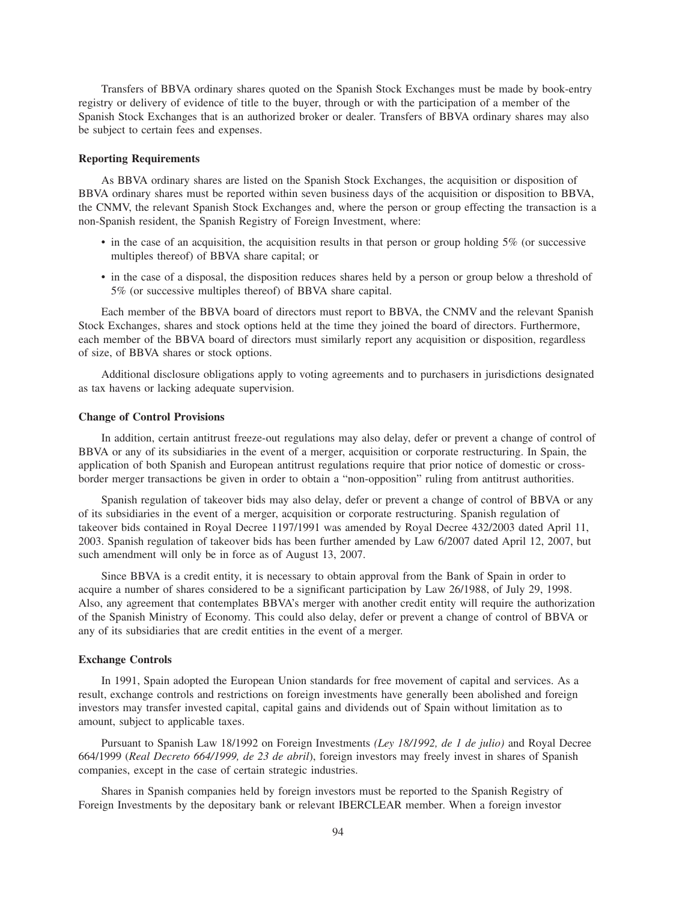Transfers of BBVA ordinary shares quoted on the Spanish Stock Exchanges must be made by book-entry registry or delivery of evidence of title to the buyer, through or with the participation of a member of the Spanish Stock Exchanges that is an authorized broker or dealer. Transfers of BBVA ordinary shares may also be subject to certain fees and expenses.

### **Reporting Requirements**

As BBVA ordinary shares are listed on the Spanish Stock Exchanges, the acquisition or disposition of BBVA ordinary shares must be reported within seven business days of the acquisition or disposition to BBVA, the CNMV, the relevant Spanish Stock Exchanges and, where the person or group effecting the transaction is a non-Spanish resident, the Spanish Registry of Foreign Investment, where:

- in the case of an acquisition, the acquisition results in that person or group holding 5% (or successive multiples thereof) of BBVA share capital; or
- in the case of a disposal, the disposition reduces shares held by a person or group below a threshold of 5% (or successive multiples thereof) of BBVA share capital.

Each member of the BBVA board of directors must report to BBVA, the CNMV and the relevant Spanish Stock Exchanges, shares and stock options held at the time they joined the board of directors. Furthermore, each member of the BBVA board of directors must similarly report any acquisition or disposition, regardless of size, of BBVA shares or stock options.

Additional disclosure obligations apply to voting agreements and to purchasers in jurisdictions designated as tax havens or lacking adequate supervision.

#### **Change of Control Provisions**

In addition, certain antitrust freeze-out regulations may also delay, defer or prevent a change of control of BBVA or any of its subsidiaries in the event of a merger, acquisition or corporate restructuring. In Spain, the application of both Spanish and European antitrust regulations require that prior notice of domestic or crossborder merger transactions be given in order to obtain a "non-opposition" ruling from antitrust authorities.

Spanish regulation of takeover bids may also delay, defer or prevent a change of control of BBVA or any of its subsidiaries in the event of a merger, acquisition or corporate restructuring. Spanish regulation of takeover bids contained in Royal Decree 1197/1991 was amended by Royal Decree 432/2003 dated April 11, 2003. Spanish regulation of takeover bids has been further amended by Law 6/2007 dated April 12, 2007, but such amendment will only be in force as of August 13, 2007.

Since BBVA is a credit entity, it is necessary to obtain approval from the Bank of Spain in order to acquire a number of shares considered to be a significant participation by Law 26/1988, of July 29, 1998. Also, any agreement that contemplates BBVA's merger with another credit entity will require the authorization of the Spanish Ministry of Economy. This could also delay, defer or prevent a change of control of BBVA or any of its subsidiaries that are credit entities in the event of a merger.

## **Exchange Controls**

In 1991, Spain adopted the European Union standards for free movement of capital and services. As a result, exchange controls and restrictions on foreign investments have generally been abolished and foreign investors may transfer invested capital, capital gains and dividends out of Spain without limitation as to amount, subject to applicable taxes.

Pursuant to Spanish Law 18/1992 on Foreign Investments *(Ley 18/1992, de 1 de julio)* and Royal Decree 664/1999 (*Real Decreto 664/1999, de 23 de abril*), foreign investors may freely invest in shares of Spanish companies, except in the case of certain strategic industries.

Shares in Spanish companies held by foreign investors must be reported to the Spanish Registry of Foreign Investments by the depositary bank or relevant IBERCLEAR member. When a foreign investor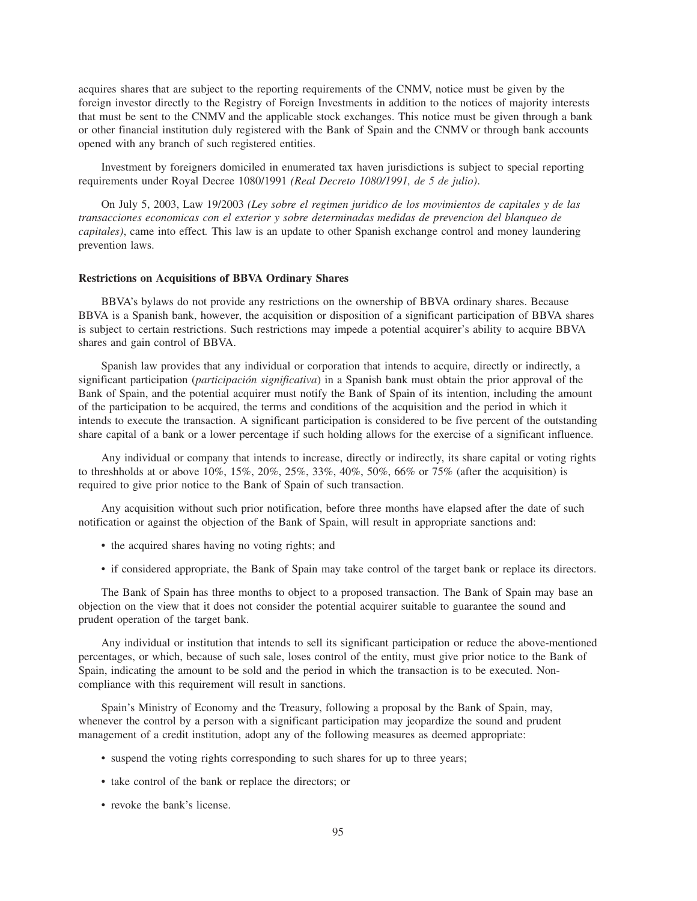acquires shares that are subject to the reporting requirements of the CNMV, notice must be given by the foreign investor directly to the Registry of Foreign Investments in addition to the notices of majority interests that must be sent to the CNMV and the applicable stock exchanges. This notice must be given through a bank or other financial institution duly registered with the Bank of Spain and the CNMV or through bank accounts opened with any branch of such registered entities.

Investment by foreigners domiciled in enumerated tax haven jurisdictions is subject to special reporting requirements under Royal Decree 1080/1991 *(Real Decreto 1080/1991, de 5 de julio)*.

On July 5, 2003, Law 19/2003 *(Ley sobre el regimen juridico de los movimientos de capitales y de las transacciones economicas con el exterior y sobre determinadas medidas de prevencion del blanqueo de capitales)*, came into effect*.* This law is an update to other Spanish exchange control and money laundering prevention laws.

## **Restrictions on Acquisitions of BBVA Ordinary Shares**

BBVA's bylaws do not provide any restrictions on the ownership of BBVA ordinary shares. Because BBVA is a Spanish bank, however, the acquisition or disposition of a significant participation of BBVA shares is subject to certain restrictions. Such restrictions may impede a potential acquirer's ability to acquire BBVA shares and gain control of BBVA.

Spanish law provides that any individual or corporation that intends to acquire, directly or indirectly, a significant participation (*participación significativa*) in a Spanish bank must obtain the prior approval of the Bank of Spain, and the potential acquirer must notify the Bank of Spain of its intention, including the amount of the participation to be acquired, the terms and conditions of the acquisition and the period in which it intends to execute the transaction. A significant participation is considered to be five percent of the outstanding share capital of a bank or a lower percentage if such holding allows for the exercise of a significant influence.

Any individual or company that intends to increase, directly or indirectly, its share capital or voting rights to threshholds at or above  $10\%, 15\%, 20\%, 25\%, 33\%, 40\%, 50\%, 66\%$  or  $75\%$  (after the acquisition) is required to give prior notice to the Bank of Spain of such transaction.

Any acquisition without such prior notification, before three months have elapsed after the date of such notification or against the objection of the Bank of Spain, will result in appropriate sanctions and:

- the acquired shares having no voting rights; and
- if considered appropriate, the Bank of Spain may take control of the target bank or replace its directors.

The Bank of Spain has three months to object to a proposed transaction. The Bank of Spain may base an objection on the view that it does not consider the potential acquirer suitable to guarantee the sound and prudent operation of the target bank.

Any individual or institution that intends to sell its significant participation or reduce the above-mentioned percentages, or which, because of such sale, loses control of the entity, must give prior notice to the Bank of Spain, indicating the amount to be sold and the period in which the transaction is to be executed. Noncompliance with this requirement will result in sanctions.

Spain's Ministry of Economy and the Treasury, following a proposal by the Bank of Spain, may, whenever the control by a person with a significant participation may jeopardize the sound and prudent management of a credit institution, adopt any of the following measures as deemed appropriate:

- suspend the voting rights corresponding to such shares for up to three years;
- take control of the bank or replace the directors; or
- revoke the bank's license.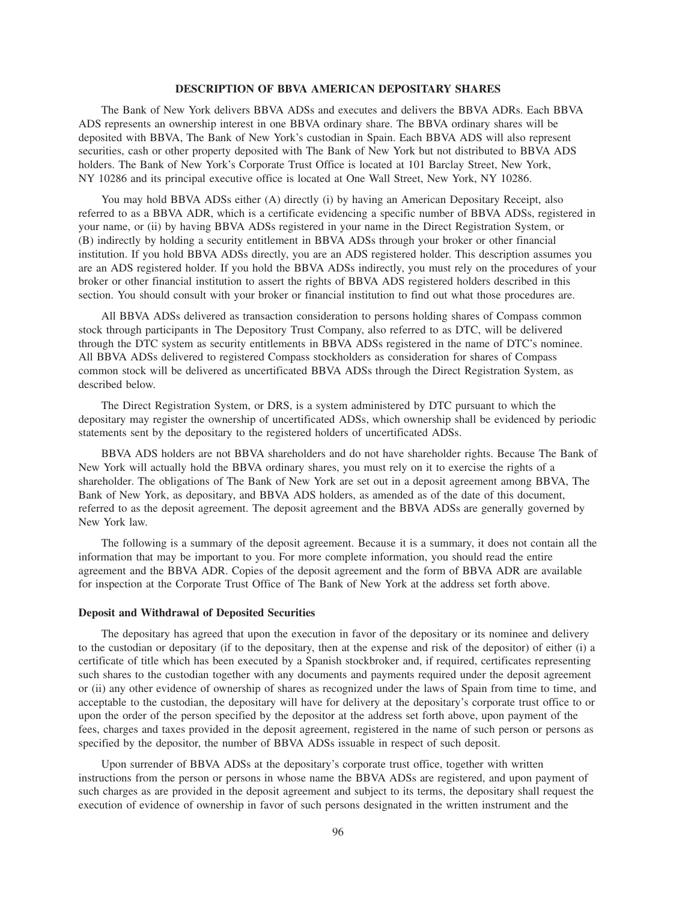## **DESCRIPTION OF BBVA AMERICAN DEPOSITARY SHARES**

The Bank of New York delivers BBVA ADSs and executes and delivers the BBVA ADRs. Each BBVA ADS represents an ownership interest in one BBVA ordinary share. The BBVA ordinary shares will be deposited with BBVA, The Bank of New York's custodian in Spain. Each BBVA ADS will also represent securities, cash or other property deposited with The Bank of New York but not distributed to BBVA ADS holders. The Bank of New York's Corporate Trust Office is located at 101 Barclay Street, New York, NY 10286 and its principal executive office is located at One Wall Street, New York, NY 10286.

You may hold BBVA ADSs either (A) directly (i) by having an American Depositary Receipt, also referred to as a BBVA ADR, which is a certificate evidencing a specific number of BBVA ADSs, registered in your name, or (ii) by having BBVA ADSs registered in your name in the Direct Registration System, or (B) indirectly by holding a security entitlement in BBVA ADSs through your broker or other financial institution. If you hold BBVA ADSs directly, you are an ADS registered holder. This description assumes you are an ADS registered holder. If you hold the BBVA ADSs indirectly, you must rely on the procedures of your broker or other financial institution to assert the rights of BBVA ADS registered holders described in this section. You should consult with your broker or financial institution to find out what those procedures are.

All BBVA ADSs delivered as transaction consideration to persons holding shares of Compass common stock through participants in The Depository Trust Company, also referred to as DTC, will be delivered through the DTC system as security entitlements in BBVA ADSs registered in the name of DTC's nominee. All BBVA ADSs delivered to registered Compass stockholders as consideration for shares of Compass common stock will be delivered as uncertificated BBVA ADSs through the Direct Registration System, as described below.

The Direct Registration System, or DRS, is a system administered by DTC pursuant to which the depositary may register the ownership of uncertificated ADSs, which ownership shall be evidenced by periodic statements sent by the depositary to the registered holders of uncertificated ADSs.

BBVA ADS holders are not BBVA shareholders and do not have shareholder rights. Because The Bank of New York will actually hold the BBVA ordinary shares, you must rely on it to exercise the rights of a shareholder. The obligations of The Bank of New York are set out in a deposit agreement among BBVA, The Bank of New York, as depositary, and BBVA ADS holders, as amended as of the date of this document, referred to as the deposit agreement. The deposit agreement and the BBVA ADSs are generally governed by New York law.

The following is a summary of the deposit agreement. Because it is a summary, it does not contain all the information that may be important to you. For more complete information, you should read the entire agreement and the BBVA ADR. Copies of the deposit agreement and the form of BBVA ADR are available for inspection at the Corporate Trust Office of The Bank of New York at the address set forth above.

# **Deposit and Withdrawal of Deposited Securities**

The depositary has agreed that upon the execution in favor of the depositary or its nominee and delivery to the custodian or depositary (if to the depositary, then at the expense and risk of the depositor) of either (i) a certificate of title which has been executed by a Spanish stockbroker and, if required, certificates representing such shares to the custodian together with any documents and payments required under the deposit agreement or (ii) any other evidence of ownership of shares as recognized under the laws of Spain from time to time, and acceptable to the custodian, the depositary will have for delivery at the depositary's corporate trust office to or upon the order of the person specified by the depositor at the address set forth above, upon payment of the fees, charges and taxes provided in the deposit agreement, registered in the name of such person or persons as specified by the depositor, the number of BBVA ADSs issuable in respect of such deposit.

Upon surrender of BBVA ADSs at the depositary's corporate trust office, together with written instructions from the person or persons in whose name the BBVA ADSs are registered, and upon payment of such charges as are provided in the deposit agreement and subject to its terms, the depositary shall request the execution of evidence of ownership in favor of such persons designated in the written instrument and the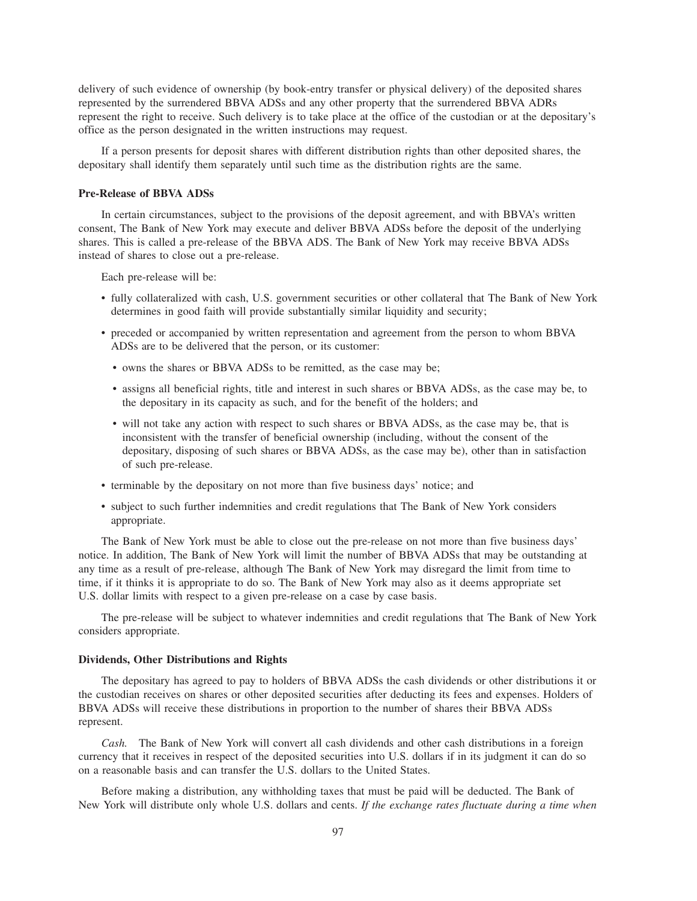delivery of such evidence of ownership (by book-entry transfer or physical delivery) of the deposited shares represented by the surrendered BBVA ADSs and any other property that the surrendered BBVA ADRs represent the right to receive. Such delivery is to take place at the office of the custodian or at the depositary's office as the person designated in the written instructions may request.

If a person presents for deposit shares with different distribution rights than other deposited shares, the depositary shall identify them separately until such time as the distribution rights are the same.

# **Pre-Release of BBVA ADSs**

In certain circumstances, subject to the provisions of the deposit agreement, and with BBVA's written consent, The Bank of New York may execute and deliver BBVA ADSs before the deposit of the underlying shares. This is called a pre-release of the BBVA ADS. The Bank of New York may receive BBVA ADSs instead of shares to close out a pre-release.

Each pre-release will be:

- fully collateralized with cash, U.S. government securities or other collateral that The Bank of New York determines in good faith will provide substantially similar liquidity and security;
- preceded or accompanied by written representation and agreement from the person to whom BBVA ADSs are to be delivered that the person, or its customer:
	- owns the shares or BBVA ADSs to be remitted, as the case may be;
	- assigns all beneficial rights, title and interest in such shares or BBVA ADSs, as the case may be, to the depositary in its capacity as such, and for the benefit of the holders; and
	- will not take any action with respect to such shares or BBVA ADSs, as the case may be, that is inconsistent with the transfer of beneficial ownership (including, without the consent of the depositary, disposing of such shares or BBVA ADSs, as the case may be), other than in satisfaction of such pre-release.
- terminable by the depositary on not more than five business days' notice; and
- subject to such further indemnities and credit regulations that The Bank of New York considers appropriate.

The Bank of New York must be able to close out the pre-release on not more than five business days' notice. In addition, The Bank of New York will limit the number of BBVA ADSs that may be outstanding at any time as a result of pre-release, although The Bank of New York may disregard the limit from time to time, if it thinks it is appropriate to do so. The Bank of New York may also as it deems appropriate set U.S. dollar limits with respect to a given pre-release on a case by case basis.

The pre-release will be subject to whatever indemnities and credit regulations that The Bank of New York considers appropriate.

#### **Dividends, Other Distributions and Rights**

The depositary has agreed to pay to holders of BBVA ADSs the cash dividends or other distributions it or the custodian receives on shares or other deposited securities after deducting its fees and expenses. Holders of BBVA ADSs will receive these distributions in proportion to the number of shares their BBVA ADSs represent.

*Cash.* The Bank of New York will convert all cash dividends and other cash distributions in a foreign currency that it receives in respect of the deposited securities into U.S. dollars if in its judgment it can do so on a reasonable basis and can transfer the U.S. dollars to the United States.

Before making a distribution, any withholding taxes that must be paid will be deducted. The Bank of New York will distribute only whole U.S. dollars and cents. *If the exchange rates fluctuate during a time when*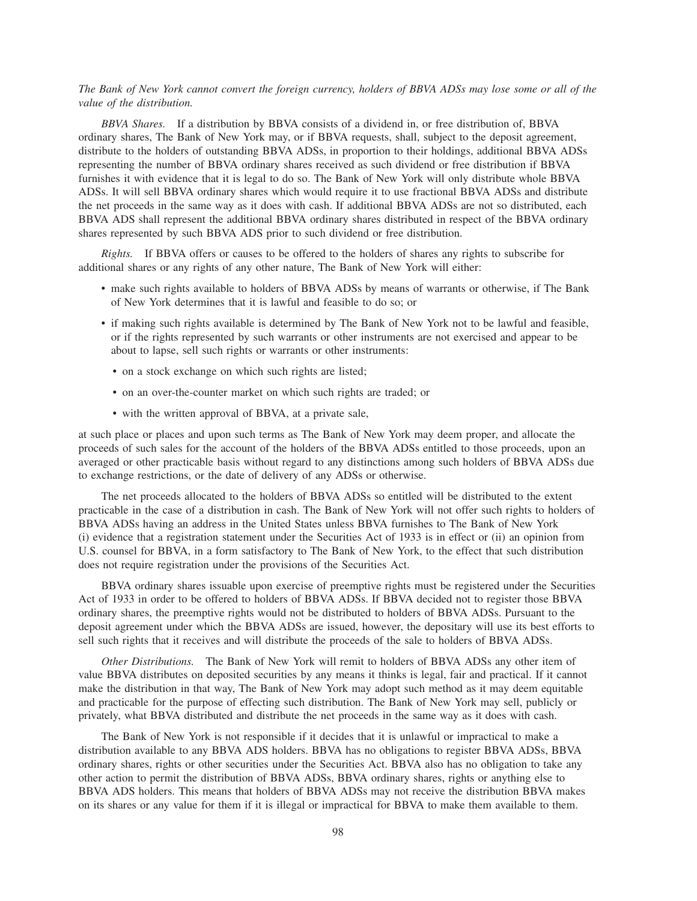# *The Bank of New York cannot convert the foreign currency, holders of BBVA ADSs may lose some or all of the value of the distribution.*

*BBVA Shares.* If a distribution by BBVA consists of a dividend in, or free distribution of, BBVA ordinary shares, The Bank of New York may, or if BBVA requests, shall, subject to the deposit agreement, distribute to the holders of outstanding BBVA ADSs, in proportion to their holdings, additional BBVA ADSs representing the number of BBVA ordinary shares received as such dividend or free distribution if BBVA furnishes it with evidence that it is legal to do so. The Bank of New York will only distribute whole BBVA ADSs. It will sell BBVA ordinary shares which would require it to use fractional BBVA ADSs and distribute the net proceeds in the same way as it does with cash. If additional BBVA ADSs are not so distributed, each BBVA ADS shall represent the additional BBVA ordinary shares distributed in respect of the BBVA ordinary shares represented by such BBVA ADS prior to such dividend or free distribution.

*Rights.* If BBVA offers or causes to be offered to the holders of shares any rights to subscribe for additional shares or any rights of any other nature, The Bank of New York will either:

- make such rights available to holders of BBVA ADSs by means of warrants or otherwise, if The Bank of New York determines that it is lawful and feasible to do so; or
- if making such rights available is determined by The Bank of New York not to be lawful and feasible, or if the rights represented by such warrants or other instruments are not exercised and appear to be about to lapse, sell such rights or warrants or other instruments:
	- on a stock exchange on which such rights are listed;
	- on an over-the-counter market on which such rights are traded; or
	- with the written approval of BBVA, at a private sale,

at such place or places and upon such terms as The Bank of New York may deem proper, and allocate the proceeds of such sales for the account of the holders of the BBVA ADSs entitled to those proceeds, upon an averaged or other practicable basis without regard to any distinctions among such holders of BBVA ADSs due to exchange restrictions, or the date of delivery of any ADSs or otherwise.

The net proceeds allocated to the holders of BBVA ADSs so entitled will be distributed to the extent practicable in the case of a distribution in cash. The Bank of New York will not offer such rights to holders of BBVA ADSs having an address in the United States unless BBVA furnishes to The Bank of New York (i) evidence that a registration statement under the Securities Act of 1933 is in effect or (ii) an opinion from U.S. counsel for BBVA, in a form satisfactory to The Bank of New York, to the effect that such distribution does not require registration under the provisions of the Securities Act.

BBVA ordinary shares issuable upon exercise of preemptive rights must be registered under the Securities Act of 1933 in order to be offered to holders of BBVA ADSs. If BBVA decided not to register those BBVA ordinary shares, the preemptive rights would not be distributed to holders of BBVA ADSs. Pursuant to the deposit agreement under which the BBVA ADSs are issued, however, the depositary will use its best efforts to sell such rights that it receives and will distribute the proceeds of the sale to holders of BBVA ADSs.

*Other Distributions.* The Bank of New York will remit to holders of BBVA ADSs any other item of value BBVA distributes on deposited securities by any means it thinks is legal, fair and practical. If it cannot make the distribution in that way, The Bank of New York may adopt such method as it may deem equitable and practicable for the purpose of effecting such distribution. The Bank of New York may sell, publicly or privately, what BBVA distributed and distribute the net proceeds in the same way as it does with cash.

The Bank of New York is not responsible if it decides that it is unlawful or impractical to make a distribution available to any BBVA ADS holders. BBVA has no obligations to register BBVA ADSs, BBVA ordinary shares, rights or other securities under the Securities Act. BBVA also has no obligation to take any other action to permit the distribution of BBVA ADSs, BBVA ordinary shares, rights or anything else to BBVA ADS holders. This means that holders of BBVA ADSs may not receive the distribution BBVA makes on its shares or any value for them if it is illegal or impractical for BBVA to make them available to them.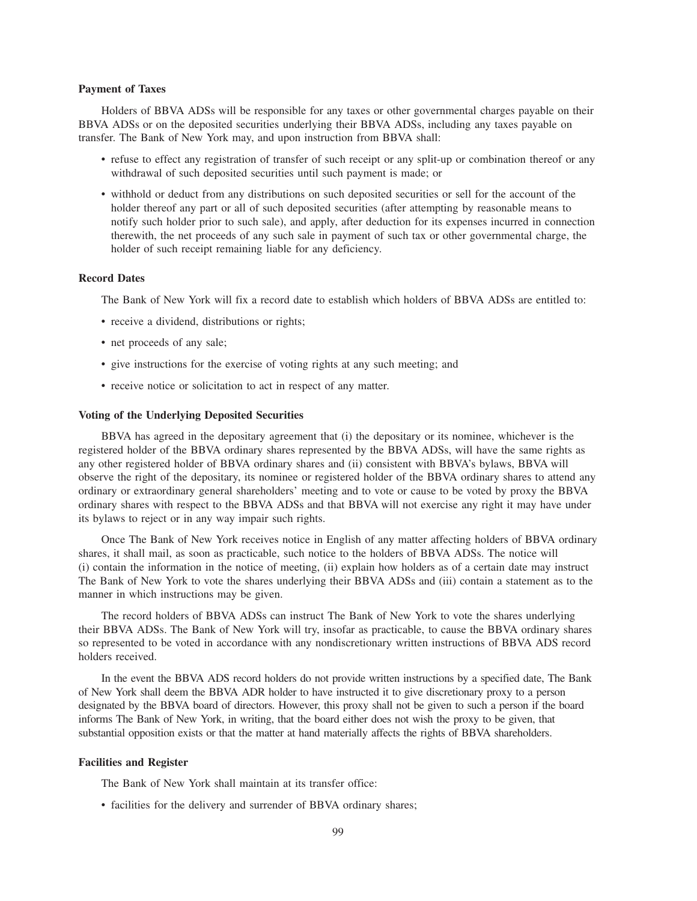#### **Payment of Taxes**

Holders of BBVA ADSs will be responsible for any taxes or other governmental charges payable on their BBVA ADSs or on the deposited securities underlying their BBVA ADSs, including any taxes payable on transfer. The Bank of New York may, and upon instruction from BBVA shall:

- refuse to effect any registration of transfer of such receipt or any split-up or combination thereof or any withdrawal of such deposited securities until such payment is made; or
- withhold or deduct from any distributions on such deposited securities or sell for the account of the holder thereof any part or all of such deposited securities (after attempting by reasonable means to notify such holder prior to such sale), and apply, after deduction for its expenses incurred in connection therewith, the net proceeds of any such sale in payment of such tax or other governmental charge, the holder of such receipt remaining liable for any deficiency.

## **Record Dates**

The Bank of New York will fix a record date to establish which holders of BBVA ADSs are entitled to:

- receive a dividend, distributions or rights;
- net proceeds of any sale;
- give instructions for the exercise of voting rights at any such meeting; and
- receive notice or solicitation to act in respect of any matter.

## **Voting of the Underlying Deposited Securities**

BBVA has agreed in the depositary agreement that (i) the depositary or its nominee, whichever is the registered holder of the BBVA ordinary shares represented by the BBVA ADSs, will have the same rights as any other registered holder of BBVA ordinary shares and (ii) consistent with BBVA's bylaws, BBVA will observe the right of the depositary, its nominee or registered holder of the BBVA ordinary shares to attend any ordinary or extraordinary general shareholders' meeting and to vote or cause to be voted by proxy the BBVA ordinary shares with respect to the BBVA ADSs and that BBVA will not exercise any right it may have under its bylaws to reject or in any way impair such rights.

Once The Bank of New York receives notice in English of any matter affecting holders of BBVA ordinary shares, it shall mail, as soon as practicable, such notice to the holders of BBVA ADSs. The notice will (i) contain the information in the notice of meeting, (ii) explain how holders as of a certain date may instruct The Bank of New York to vote the shares underlying their BBVA ADSs and (iii) contain a statement as to the manner in which instructions may be given.

The record holders of BBVA ADSs can instruct The Bank of New York to vote the shares underlying their BBVA ADSs. The Bank of New York will try, insofar as practicable, to cause the BBVA ordinary shares so represented to be voted in accordance with any nondiscretionary written instructions of BBVA ADS record holders received.

In the event the BBVA ADS record holders do not provide written instructions by a specified date, The Bank of New York shall deem the BBVA ADR holder to have instructed it to give discretionary proxy to a person designated by the BBVA board of directors. However, this proxy shall not be given to such a person if the board informs The Bank of New York, in writing, that the board either does not wish the proxy to be given, that substantial opposition exists or that the matter at hand materially affects the rights of BBVA shareholders.

## **Facilities and Register**

The Bank of New York shall maintain at its transfer office:

• facilities for the delivery and surrender of BBVA ordinary shares;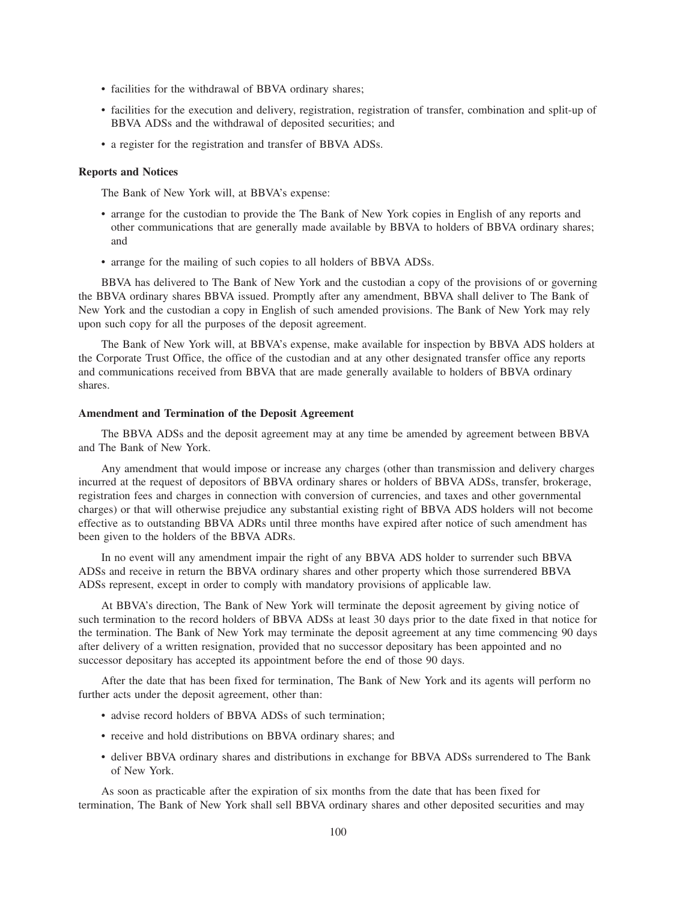- facilities for the withdrawal of BBVA ordinary shares;
- facilities for the execution and delivery, registration, registration of transfer, combination and split-up of BBVA ADSs and the withdrawal of deposited securities; and
- a register for the registration and transfer of BBVA ADSs.

#### **Reports and Notices**

The Bank of New York will, at BBVA's expense:

- arrange for the custodian to provide the The Bank of New York copies in English of any reports and other communications that are generally made available by BBVA to holders of BBVA ordinary shares; and
- arrange for the mailing of such copies to all holders of BBVA ADSs.

BBVA has delivered to The Bank of New York and the custodian a copy of the provisions of or governing the BBVA ordinary shares BBVA issued. Promptly after any amendment, BBVA shall deliver to The Bank of New York and the custodian a copy in English of such amended provisions. The Bank of New York may rely upon such copy for all the purposes of the deposit agreement.

The Bank of New York will, at BBVA's expense, make available for inspection by BBVA ADS holders at the Corporate Trust Office, the office of the custodian and at any other designated transfer office any reports and communications received from BBVA that are made generally available to holders of BBVA ordinary shares.

#### **Amendment and Termination of the Deposit Agreement**

The BBVA ADSs and the deposit agreement may at any time be amended by agreement between BBVA and The Bank of New York.

Any amendment that would impose or increase any charges (other than transmission and delivery charges incurred at the request of depositors of BBVA ordinary shares or holders of BBVA ADSs, transfer, brokerage, registration fees and charges in connection with conversion of currencies, and taxes and other governmental charges) or that will otherwise prejudice any substantial existing right of BBVA ADS holders will not become effective as to outstanding BBVA ADRs until three months have expired after notice of such amendment has been given to the holders of the BBVA ADRs.

In no event will any amendment impair the right of any BBVA ADS holder to surrender such BBVA ADSs and receive in return the BBVA ordinary shares and other property which those surrendered BBVA ADSs represent, except in order to comply with mandatory provisions of applicable law.

At BBVA's direction, The Bank of New York will terminate the deposit agreement by giving notice of such termination to the record holders of BBVA ADSs at least 30 days prior to the date fixed in that notice for the termination. The Bank of New York may terminate the deposit agreement at any time commencing 90 days after delivery of a written resignation, provided that no successor depositary has been appointed and no successor depositary has accepted its appointment before the end of those 90 days.

After the date that has been fixed for termination, The Bank of New York and its agents will perform no further acts under the deposit agreement, other than:

- advise record holders of BBVA ADSs of such termination;
- receive and hold distributions on BBVA ordinary shares; and
- deliver BBVA ordinary shares and distributions in exchange for BBVA ADSs surrendered to The Bank of New York.

As soon as practicable after the expiration of six months from the date that has been fixed for termination, The Bank of New York shall sell BBVA ordinary shares and other deposited securities and may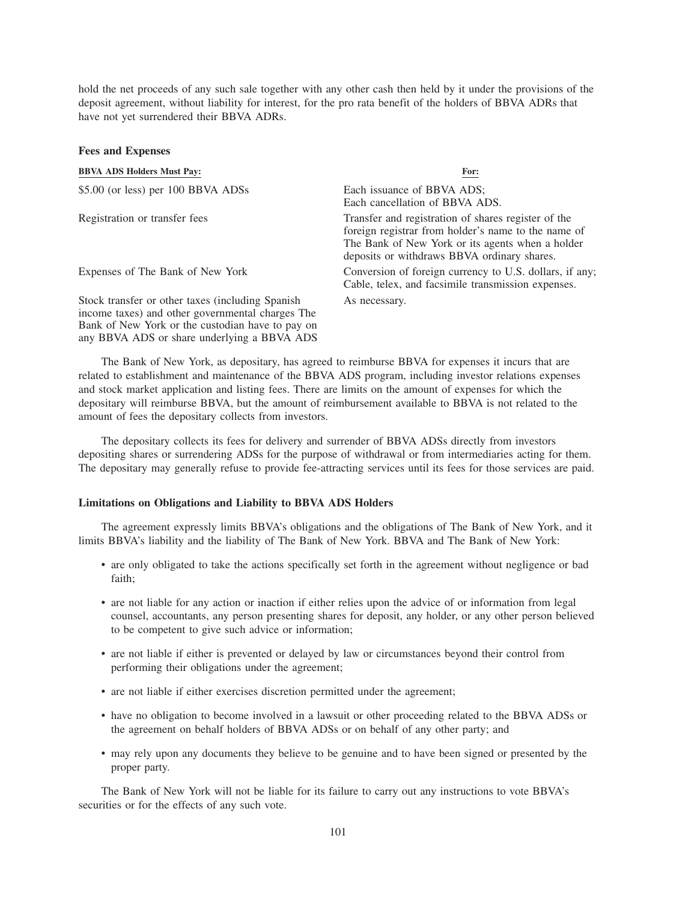hold the net proceeds of any such sale together with any other cash then held by it under the provisions of the deposit agreement, without liability for interest, for the pro rata benefit of the holders of BBVA ADRs that have not yet surrendered their BBVA ADRs.

| r ees and Expenses                                                                                                                                                                                      |                                                                                                                                                                                                               |
|---------------------------------------------------------------------------------------------------------------------------------------------------------------------------------------------------------|---------------------------------------------------------------------------------------------------------------------------------------------------------------------------------------------------------------|
| <b>BBVA ADS Holders Must Pay:</b>                                                                                                                                                                       | For:                                                                                                                                                                                                          |
| \$5.00 (or less) per 100 BBVA ADSs                                                                                                                                                                      | Each issuance of BBVA ADS;<br>Each cancellation of BBVA ADS.                                                                                                                                                  |
| Registration or transfer fees                                                                                                                                                                           | Transfer and registration of shares register of the<br>foreign registrar from holder's name to the name of<br>The Bank of New York or its agents when a holder<br>deposits or withdraws BBVA ordinary shares. |
| Expenses of The Bank of New York                                                                                                                                                                        | Conversion of foreign currency to U.S. dollars, if any;<br>Cable, telex, and facsimile transmission expenses.                                                                                                 |
| Stock transfer or other taxes (including Spanish<br>income taxes) and other governmental charges The<br>Bank of New York or the custodian have to pay on<br>any BBVA ADS or share underlying a BBVA ADS | As necessary.                                                                                                                                                                                                 |

The Bank of New York, as depositary, has agreed to reimburse BBVA for expenses it incurs that are related to establishment and maintenance of the BBVA ADS program, including investor relations expenses and stock market application and listing fees. There are limits on the amount of expenses for which the depositary will reimburse BBVA, but the amount of reimbursement available to BBVA is not related to the amount of fees the depositary collects from investors.

The depositary collects its fees for delivery and surrender of BBVA ADSs directly from investors depositing shares or surrendering ADSs for the purpose of withdrawal or from intermediaries acting for them. The depositary may generally refuse to provide fee-attracting services until its fees for those services are paid.

#### **Limitations on Obligations and Liability to BBVA ADS Holders**

**Fees and Expenses**

The agreement expressly limits BBVA's obligations and the obligations of The Bank of New York, and it limits BBVA's liability and the liability of The Bank of New York. BBVA and The Bank of New York:

- are only obligated to take the actions specifically set forth in the agreement without negligence or bad faith;
- are not liable for any action or inaction if either relies upon the advice of or information from legal counsel, accountants, any person presenting shares for deposit, any holder, or any other person believed to be competent to give such advice or information;
- are not liable if either is prevented or delayed by law or circumstances beyond their control from performing their obligations under the agreement;
- are not liable if either exercises discretion permitted under the agreement;
- have no obligation to become involved in a lawsuit or other proceeding related to the BBVA ADSs or the agreement on behalf holders of BBVA ADSs or on behalf of any other party; and
- may rely upon any documents they believe to be genuine and to have been signed or presented by the proper party.

The Bank of New York will not be liable for its failure to carry out any instructions to vote BBVA's securities or for the effects of any such vote.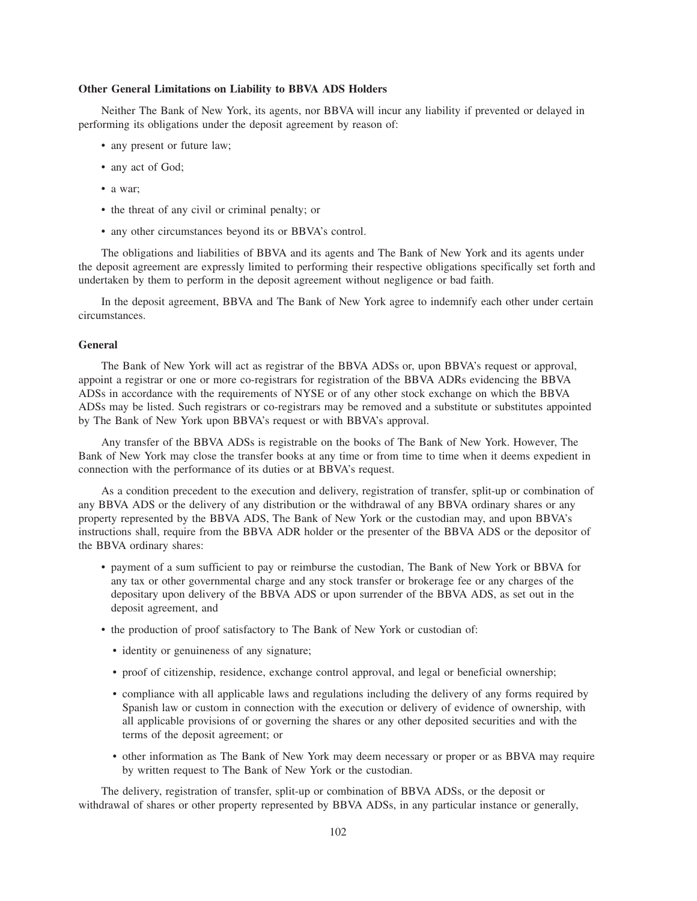#### **Other General Limitations on Liability to BBVA ADS Holders**

Neither The Bank of New York, its agents, nor BBVA will incur any liability if prevented or delayed in performing its obligations under the deposit agreement by reason of:

- any present or future law;
- any act of God;
- a war;
- the threat of any civil or criminal penalty; or
- any other circumstances beyond its or BBVA's control.

The obligations and liabilities of BBVA and its agents and The Bank of New York and its agents under the deposit agreement are expressly limited to performing their respective obligations specifically set forth and undertaken by them to perform in the deposit agreement without negligence or bad faith.

In the deposit agreement, BBVA and The Bank of New York agree to indemnify each other under certain circumstances.

### **General**

The Bank of New York will act as registrar of the BBVA ADSs or, upon BBVA's request or approval, appoint a registrar or one or more co-registrars for registration of the BBVA ADRs evidencing the BBVA ADSs in accordance with the requirements of NYSE or of any other stock exchange on which the BBVA ADSs may be listed. Such registrars or co-registrars may be removed and a substitute or substitutes appointed by The Bank of New York upon BBVA's request or with BBVA's approval.

Any transfer of the BBVA ADSs is registrable on the books of The Bank of New York. However, The Bank of New York may close the transfer books at any time or from time to time when it deems expedient in connection with the performance of its duties or at BBVA's request.

As a condition precedent to the execution and delivery, registration of transfer, split-up or combination of any BBVA ADS or the delivery of any distribution or the withdrawal of any BBVA ordinary shares or any property represented by the BBVA ADS, The Bank of New York or the custodian may, and upon BBVA's instructions shall, require from the BBVA ADR holder or the presenter of the BBVA ADS or the depositor of the BBVA ordinary shares:

- payment of a sum sufficient to pay or reimburse the custodian, The Bank of New York or BBVA for any tax or other governmental charge and any stock transfer or brokerage fee or any charges of the depositary upon delivery of the BBVA ADS or upon surrender of the BBVA ADS, as set out in the deposit agreement, and
- the production of proof satisfactory to The Bank of New York or custodian of:
	- identity or genuineness of any signature;
	- proof of citizenship, residence, exchange control approval, and legal or beneficial ownership;
	- compliance with all applicable laws and regulations including the delivery of any forms required by Spanish law or custom in connection with the execution or delivery of evidence of ownership, with all applicable provisions of or governing the shares or any other deposited securities and with the terms of the deposit agreement; or
	- other information as The Bank of New York may deem necessary or proper or as BBVA may require by written request to The Bank of New York or the custodian.

The delivery, registration of transfer, split-up or combination of BBVA ADSs, or the deposit or withdrawal of shares or other property represented by BBVA ADSs, in any particular instance or generally,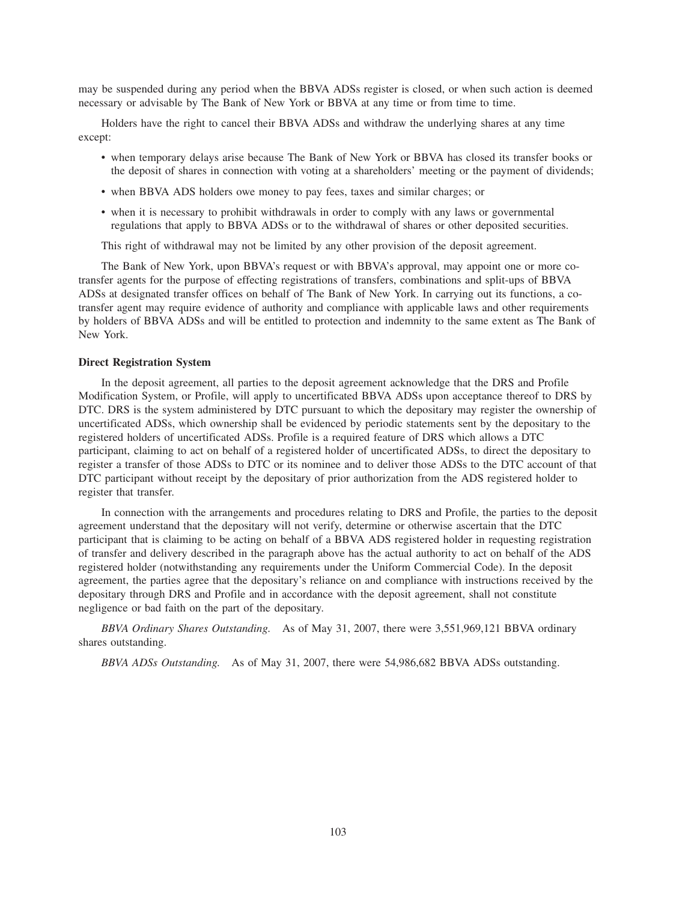may be suspended during any period when the BBVA ADSs register is closed, or when such action is deemed necessary or advisable by The Bank of New York or BBVA at any time or from time to time.

Holders have the right to cancel their BBVA ADSs and withdraw the underlying shares at any time except:

- when temporary delays arise because The Bank of New York or BBVA has closed its transfer books or the deposit of shares in connection with voting at a shareholders' meeting or the payment of dividends;
- when BBVA ADS holders owe money to pay fees, taxes and similar charges; or
- when it is necessary to prohibit withdrawals in order to comply with any laws or governmental regulations that apply to BBVA ADSs or to the withdrawal of shares or other deposited securities.

This right of withdrawal may not be limited by any other provision of the deposit agreement.

The Bank of New York, upon BBVA's request or with BBVA's approval, may appoint one or more cotransfer agents for the purpose of effecting registrations of transfers, combinations and split-ups of BBVA ADSs at designated transfer offices on behalf of The Bank of New York. In carrying out its functions, a cotransfer agent may require evidence of authority and compliance with applicable laws and other requirements by holders of BBVA ADSs and will be entitled to protection and indemnity to the same extent as The Bank of New York.

#### **Direct Registration System**

In the deposit agreement, all parties to the deposit agreement acknowledge that the DRS and Profile Modification System, or Profile, will apply to uncertificated BBVA ADSs upon acceptance thereof to DRS by DTC. DRS is the system administered by DTC pursuant to which the depositary may register the ownership of uncertificated ADSs, which ownership shall be evidenced by periodic statements sent by the depositary to the registered holders of uncertificated ADSs. Profile is a required feature of DRS which allows a DTC participant, claiming to act on behalf of a registered holder of uncertificated ADSs, to direct the depositary to register a transfer of those ADSs to DTC or its nominee and to deliver those ADSs to the DTC account of that DTC participant without receipt by the depositary of prior authorization from the ADS registered holder to register that transfer.

In connection with the arrangements and procedures relating to DRS and Profile, the parties to the deposit agreement understand that the depositary will not verify, determine or otherwise ascertain that the DTC participant that is claiming to be acting on behalf of a BBVA ADS registered holder in requesting registration of transfer and delivery described in the paragraph above has the actual authority to act on behalf of the ADS registered holder (notwithstanding any requirements under the Uniform Commercial Code). In the deposit agreement, the parties agree that the depositary's reliance on and compliance with instructions received by the depositary through DRS and Profile and in accordance with the deposit agreement, shall not constitute negligence or bad faith on the part of the depositary.

*BBVA Ordinary Shares Outstanding.* As of May 31, 2007, there were 3,551,969,121 BBVA ordinary shares outstanding.

*BBVA ADSs Outstanding.* As of May 31, 2007, there were 54,986,682 BBVA ADSs outstanding.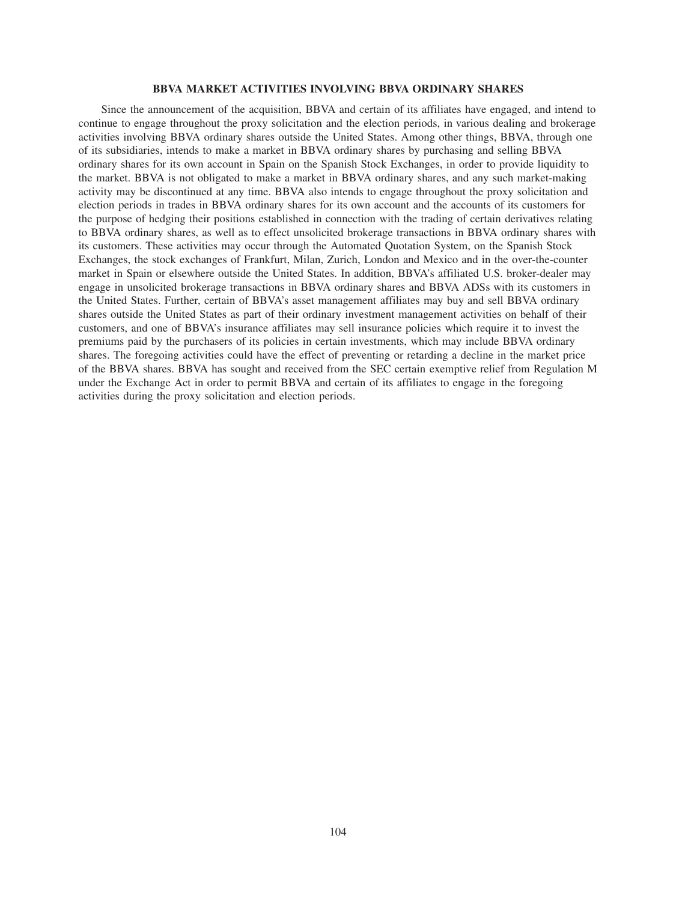#### **BBVA MARKET ACTIVITIES INVOLVING BBVA ORDINARY SHARES**

Since the announcement of the acquisition, BBVA and certain of its affiliates have engaged, and intend to continue to engage throughout the proxy solicitation and the election periods, in various dealing and brokerage activities involving BBVA ordinary shares outside the United States. Among other things, BBVA, through one of its subsidiaries, intends to make a market in BBVA ordinary shares by purchasing and selling BBVA ordinary shares for its own account in Spain on the Spanish Stock Exchanges, in order to provide liquidity to the market. BBVA is not obligated to make a market in BBVA ordinary shares, and any such market-making activity may be discontinued at any time. BBVA also intends to engage throughout the proxy solicitation and election periods in trades in BBVA ordinary shares for its own account and the accounts of its customers for the purpose of hedging their positions established in connection with the trading of certain derivatives relating to BBVA ordinary shares, as well as to effect unsolicited brokerage transactions in BBVA ordinary shares with its customers. These activities may occur through the Automated Quotation System, on the Spanish Stock Exchanges, the stock exchanges of Frankfurt, Milan, Zurich, London and Mexico and in the over-the-counter market in Spain or elsewhere outside the United States. In addition, BBVA's affiliated U.S. broker-dealer may engage in unsolicited brokerage transactions in BBVA ordinary shares and BBVA ADSs with its customers in the United States. Further, certain of BBVA's asset management affiliates may buy and sell BBVA ordinary shares outside the United States as part of their ordinary investment management activities on behalf of their customers, and one of BBVA's insurance affiliates may sell insurance policies which require it to invest the premiums paid by the purchasers of its policies in certain investments, which may include BBVA ordinary shares. The foregoing activities could have the effect of preventing or retarding a decline in the market price of the BBVA shares. BBVA has sought and received from the SEC certain exemptive relief from Regulation M under the Exchange Act in order to permit BBVA and certain of its affiliates to engage in the foregoing activities during the proxy solicitation and election periods.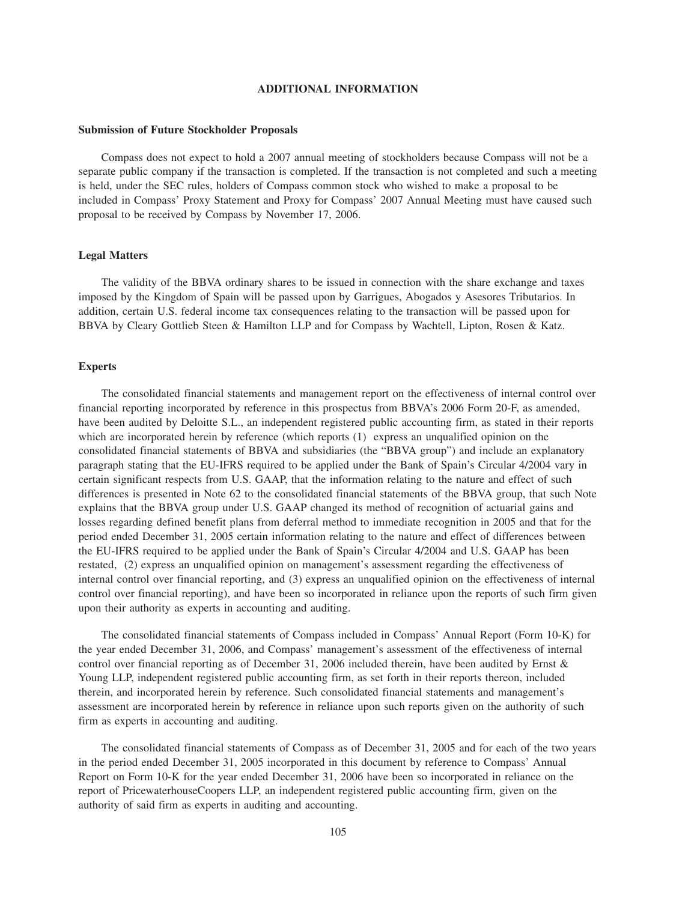#### **ADDITIONAL INFORMATION**

#### **Submission of Future Stockholder Proposals**

Compass does not expect to hold a 2007 annual meeting of stockholders because Compass will not be a separate public company if the transaction is completed. If the transaction is not completed and such a meeting is held, under the SEC rules, holders of Compass common stock who wished to make a proposal to be included in Compass' Proxy Statement and Proxy for Compass' 2007 Annual Meeting must have caused such proposal to be received by Compass by November 17, 2006.

## **Legal Matters**

The validity of the BBVA ordinary shares to be issued in connection with the share exchange and taxes imposed by the Kingdom of Spain will be passed upon by Garrigues, Abogados y Asesores Tributarios. In addition, certain U.S. federal income tax consequences relating to the transaction will be passed upon for BBVA by Cleary Gottlieb Steen & Hamilton LLP and for Compass by Wachtell, Lipton, Rosen & Katz.

### **Experts**

The consolidated financial statements and management report on the effectiveness of internal control over financial reporting incorporated by reference in this prospectus from BBVA's 2006 Form 20-F, as amended, have been audited by Deloitte S.L., an independent registered public accounting firm, as stated in their reports which are incorporated herein by reference (which reports (1) express an unqualified opinion on the consolidated financial statements of BBVA and subsidiaries (the "BBVA group") and include an explanatory paragraph stating that the EU-IFRS required to be applied under the Bank of Spain's Circular 4/2004 vary in certain significant respects from U.S. GAAP, that the information relating to the nature and effect of such differences is presented in Note 62 to the consolidated financial statements of the BBVA group, that such Note explains that the BBVA group under U.S. GAAP changed its method of recognition of actuarial gains and losses regarding defined benefit plans from deferral method to immediate recognition in 2005 and that for the period ended December 31, 2005 certain information relating to the nature and effect of differences between the EU-IFRS required to be applied under the Bank of Spain's Circular 4/2004 and U.S. GAAP has been restated, (2) express an unqualified opinion on management's assessment regarding the effectiveness of internal control over financial reporting, and (3) express an unqualified opinion on the effectiveness of internal control over financial reporting), and have been so incorporated in reliance upon the reports of such firm given upon their authority as experts in accounting and auditing.

The consolidated financial statements of Compass included in Compass' Annual Report (Form 10-K) for the year ended December 31, 2006, and Compass' management's assessment of the effectiveness of internal control over financial reporting as of December 31, 2006 included therein, have been audited by Ernst & Young LLP, independent registered public accounting firm, as set forth in their reports thereon, included therein, and incorporated herein by reference. Such consolidated financial statements and management's assessment are incorporated herein by reference in reliance upon such reports given on the authority of such firm as experts in accounting and auditing.

The consolidated financial statements of Compass as of December 31, 2005 and for each of the two years in the period ended December 31, 2005 incorporated in this document by reference to Compass' Annual Report on Form 10-K for the year ended December 31, 2006 have been so incorporated in reliance on the report of PricewaterhouseCoopers LLP, an independent registered public accounting firm, given on the authority of said firm as experts in auditing and accounting.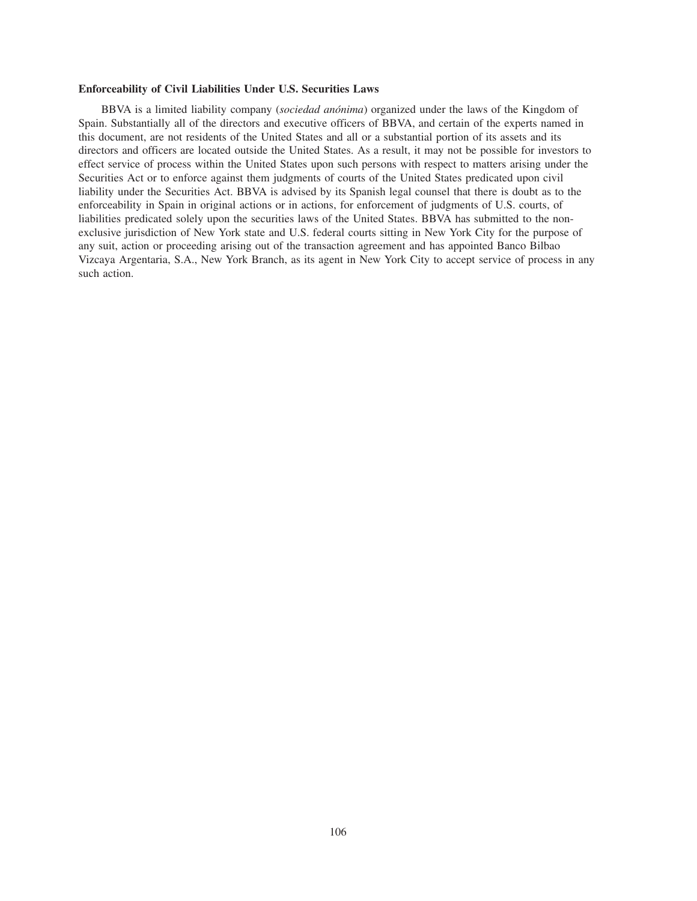#### **Enforceability of Civil Liabilities Under U.S. Securities Laws**

BBVA is a limited liability company (*sociedad anónima*) organized under the laws of the Kingdom of Spain. Substantially all of the directors and executive officers of BBVA, and certain of the experts named in this document, are not residents of the United States and all or a substantial portion of its assets and its directors and officers are located outside the United States. As a result, it may not be possible for investors to effect service of process within the United States upon such persons with respect to matters arising under the Securities Act or to enforce against them judgments of courts of the United States predicated upon civil liability under the Securities Act. BBVA is advised by its Spanish legal counsel that there is doubt as to the enforceability in Spain in original actions or in actions, for enforcement of judgments of U.S. courts, of liabilities predicated solely upon the securities laws of the United States. BBVA has submitted to the nonexclusive jurisdiction of New York state and U.S. federal courts sitting in New York City for the purpose of any suit, action or proceeding arising out of the transaction agreement and has appointed Banco Bilbao Vizcaya Argentaria, S.A., New York Branch, as its agent in New York City to accept service of process in any such action.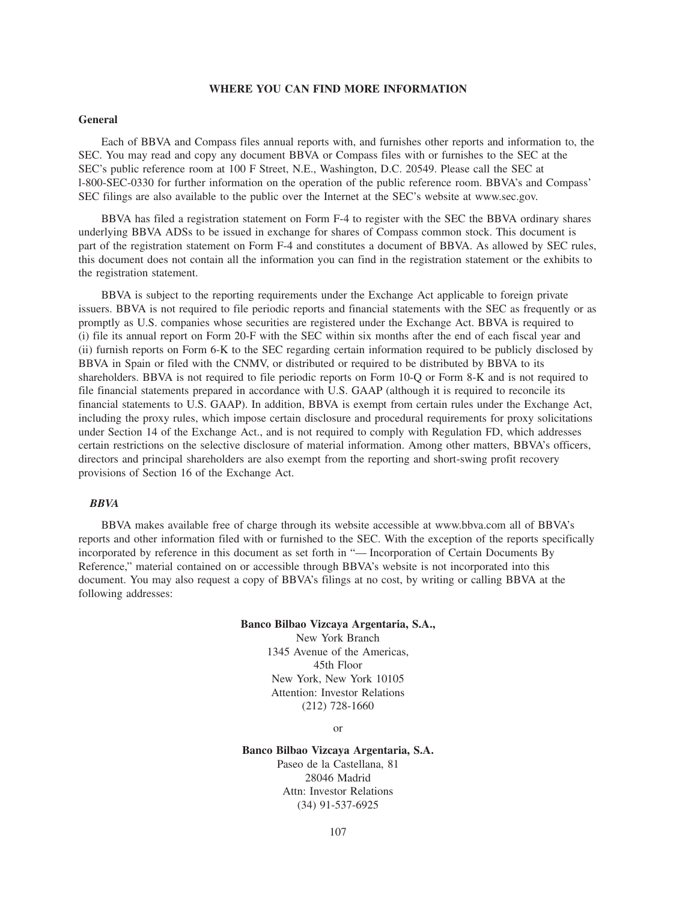### **WHERE YOU CAN FIND MORE INFORMATION**

#### **General**

Each of BBVA and Compass files annual reports with, and furnishes other reports and information to, the SEC. You may read and copy any document BBVA or Compass files with or furnishes to the SEC at the SEC's public reference room at 100 F Street, N.E., Washington, D.C. 20549. Please call the SEC at l-800-SEC-0330 for further information on the operation of the public reference room. BBVA's and Compass' SEC filings are also available to the public over the Internet at the SEC's website at www.sec.gov.

BBVA has filed a registration statement on Form F-4 to register with the SEC the BBVA ordinary shares underlying BBVA ADSs to be issued in exchange for shares of Compass common stock. This document is part of the registration statement on Form F-4 and constitutes a document of BBVA. As allowed by SEC rules, this document does not contain all the information you can find in the registration statement or the exhibits to the registration statement.

BBVA is subject to the reporting requirements under the Exchange Act applicable to foreign private issuers. BBVA is not required to file periodic reports and financial statements with the SEC as frequently or as promptly as U.S. companies whose securities are registered under the Exchange Act. BBVA is required to (i) file its annual report on Form 20-F with the SEC within six months after the end of each fiscal year and (ii) furnish reports on Form 6-K to the SEC regarding certain information required to be publicly disclosed by BBVA in Spain or filed with the CNMV, or distributed or required to be distributed by BBVA to its shareholders. BBVA is not required to file periodic reports on Form 10-Q or Form 8-K and is not required to file financial statements prepared in accordance with U.S. GAAP (although it is required to reconcile its financial statements to U.S. GAAP). In addition, BBVA is exempt from certain rules under the Exchange Act, including the proxy rules, which impose certain disclosure and procedural requirements for proxy solicitations under Section 14 of the Exchange Act., and is not required to comply with Regulation FD, which addresses certain restrictions on the selective disclosure of material information. Among other matters, BBVA's officers, directors and principal shareholders are also exempt from the reporting and short-swing profit recovery provisions of Section 16 of the Exchange Act.

### *BBVA*

BBVA makes available free of charge through its website accessible at www.bbva.com all of BBVA's reports and other information filed with or furnished to the SEC. With the exception of the reports specifically incorporated by reference in this document as set forth in "— Incorporation of Certain Documents By Reference," material contained on or accessible through BBVA's website is not incorporated into this document. You may also request a copy of BBVA's filings at no cost, by writing or calling BBVA at the following addresses:

#### **Banco Bilbao Vizcaya Argentaria, S.A.,**

New York Branch 1345 Avenue of the Americas, 45th Floor New York, New York 10105 Attention: Investor Relations (212) 728-1660

or

#### **Banco Bilbao Vizcaya Argentaria, S.A.**

Paseo de la Castellana, 81 28046 Madrid Attn: Investor Relations (34) 91-537-6925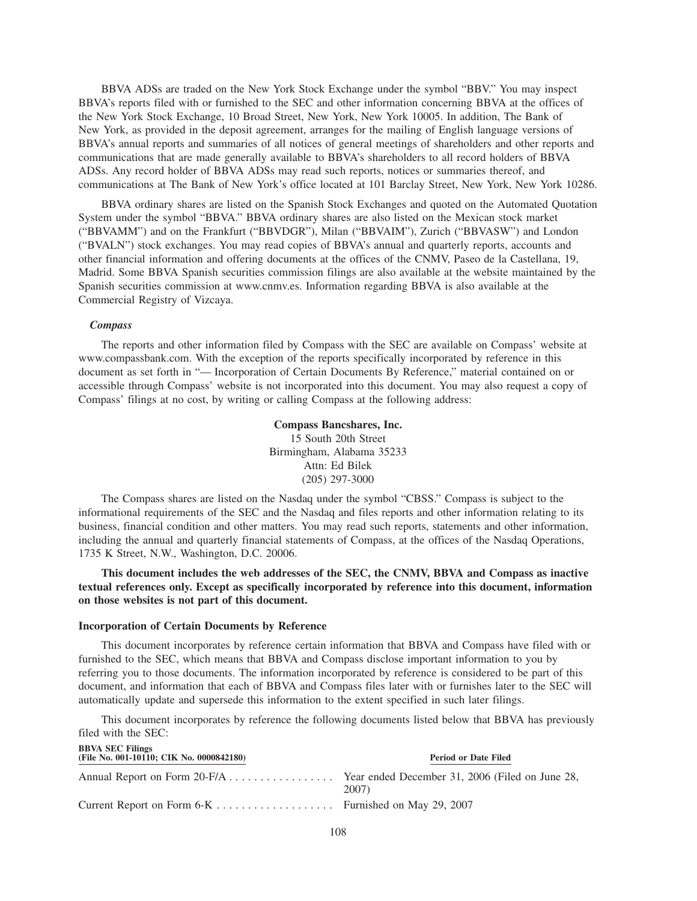BBVA ADSs are traded on the New York Stock Exchange under the symbol "BBV." You may inspect BBVA's reports filed with or furnished to the SEC and other information concerning BBVA at the offices of the New York Stock Exchange, 10 Broad Street, New York, New York 10005. In addition, The Bank of New York, as provided in the deposit agreement, arranges for the mailing of English language versions of BBVA's annual reports and summaries of all notices of general meetings of shareholders and other reports and communications that are made generally available to BBVA's shareholders to all record holders of BBVA ADSs. Any record holder of BBVA ADSs may read such reports, notices or summaries thereof, and communications at The Bank of New York's office located at 101 Barclay Street, New York, New York 10286.

BBVA ordinary shares are listed on the Spanish Stock Exchanges and quoted on the Automated Quotation System under the symbol "BBVA." BBVA ordinary shares are also listed on the Mexican stock market ("BBVAMM") and on the Frankfurt ("BBVDGR"), Milan ("BBVAIM"), Zurich ("BBVASW") and London ("BVALN") stock exchanges. You may read copies of BBVA's annual and quarterly reports, accounts and other financial information and offering documents at the offices of the CNMV, Paseo de la Castellana, 19, Madrid. Some BBVA Spanish securities commission filings are also available at the website maintained by the Spanish securities commission at www.cnmv.es. Information regarding BBVA is also available at the Commercial Registry of Vizcaya.

### *Compass*

The reports and other information filed by Compass with the SEC are available on Compass' website at www.compassbank.com. With the exception of the reports specifically incorporated by reference in this document as set forth in "— Incorporation of Certain Documents By Reference," material contained on or accessible through Compass' website is not incorporated into this document. You may also request a copy of Compass' filings at no cost, by writing or calling Compass at the following address:

## **Compass Bancshares, Inc.** 15 South 20th Street Birmingham, Alabama 35233 Attn: Ed Bilek

(205) 297-3000

The Compass shares are listed on the Nasdaq under the symbol "CBSS." Compass is subject to the informational requirements of the SEC and the Nasdaq and files reports and other information relating to its business, financial condition and other matters. You may read such reports, statements and other information, including the annual and quarterly financial statements of Compass, at the offices of the Nasdaq Operations, 1735 K Street, N.W., Washington, D.C. 20006.

## **This document includes the web addresses of the SEC, the CNMV, BBVA and Compass as inactive textual references only. Except as specifically incorporated by reference into this document, information on those websites is not part of this document.**

#### **Incorporation of Certain Documents by Reference**

This document incorporates by reference certain information that BBVA and Compass have filed with or furnished to the SEC, which means that BBVA and Compass disclose important information to you by referring you to those documents. The information incorporated by reference is considered to be part of this document, and information that each of BBVA and Compass files later with or furnishes later to the SEC will automatically update and supersede this information to the extent specified in such later filings.

This document incorporates by reference the following documents listed below that BBVA has previously filed with the SEC:

| <b>BBVA SEC Filings</b><br>(File No. 001-10110; CIK No. 0000842180)          | Period or Date Filed |
|------------------------------------------------------------------------------|----------------------|
| Annual Report on Form 20-F/A Year ended December 31, 2006 (Filed on June 28, | 2007)                |
| Current Report on Form 6-K Furnished on May 29, 2007                         |                      |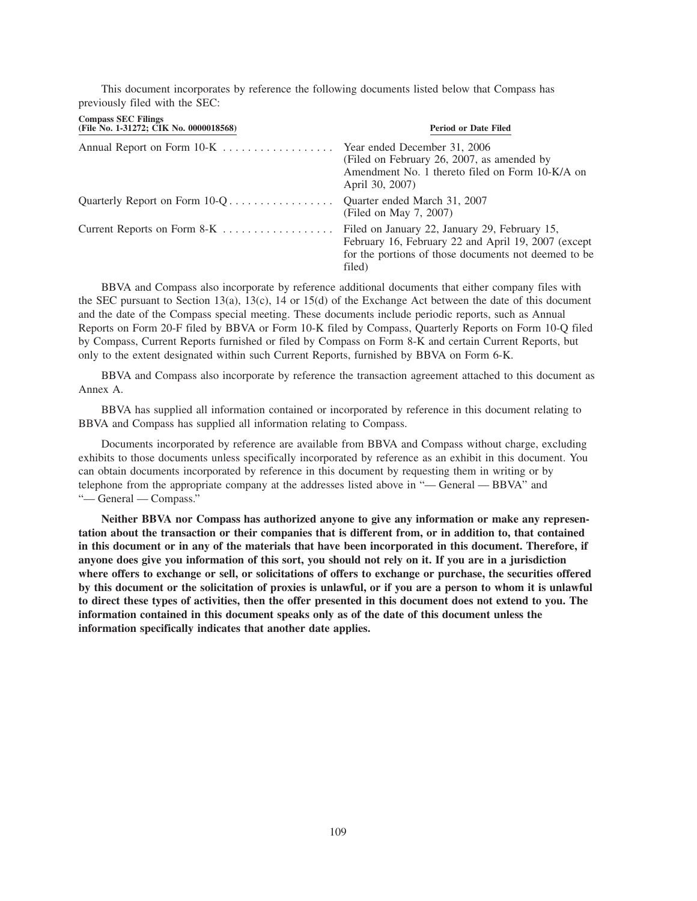This document incorporates by reference the following documents listed below that Compass has previously filed with the SEC:

| <b>Compass SEC Filings</b><br>(File No. 1-31272; CIK No. 0000018568) | <b>Period or Date Filed</b>                                                                                                                                            |
|----------------------------------------------------------------------|------------------------------------------------------------------------------------------------------------------------------------------------------------------------|
| Annual Report on Form 10-K Year ended December 31, 2006              | (Filed on February 26, 2007, as amended by<br>Amendment No. 1 thereto filed on Form 10-K/A on<br>April 30, 2007)                                                       |
|                                                                      | Ouarter ended March 31, 2007<br>(Filed on May 7, 2007)                                                                                                                 |
| Current Reports on Form 8-K                                          | Filed on January 22, January 29, February 15,<br>February 16, February 22 and April 19, 2007 (except<br>for the portions of those documents not deemed to be<br>filed) |

BBVA and Compass also incorporate by reference additional documents that either company files with the SEC pursuant to Section 13(a), 13(c), 14 or 15(d) of the Exchange Act between the date of this document and the date of the Compass special meeting. These documents include periodic reports, such as Annual Reports on Form 20-F filed by BBVA or Form 10-K filed by Compass, Quarterly Reports on Form 10-Q filed by Compass, Current Reports furnished or filed by Compass on Form 8-K and certain Current Reports, but only to the extent designated within such Current Reports, furnished by BBVA on Form 6-K.

BBVA and Compass also incorporate by reference the transaction agreement attached to this document as Annex A.

BBVA has supplied all information contained or incorporated by reference in this document relating to BBVA and Compass has supplied all information relating to Compass.

Documents incorporated by reference are available from BBVA and Compass without charge, excluding exhibits to those documents unless specifically incorporated by reference as an exhibit in this document. You can obtain documents incorporated by reference in this document by requesting them in writing or by telephone from the appropriate company at the addresses listed above in "— General — BBVA" and "— General — Compass."

**Neither BBVA nor Compass has authorized anyone to give any information or make any representation about the transaction or their companies that is different from, or in addition to, that contained in this document or in any of the materials that have been incorporated in this document. Therefore, if anyone does give you information of this sort, you should not rely on it. If you are in a jurisdiction where offers to exchange or sell, or solicitations of offers to exchange or purchase, the securities offered by this document or the solicitation of proxies is unlawful, or if you are a person to whom it is unlawful to direct these types of activities, then the offer presented in this document does not extend to you. The information contained in this document speaks only as of the date of this document unless the information specifically indicates that another date applies.**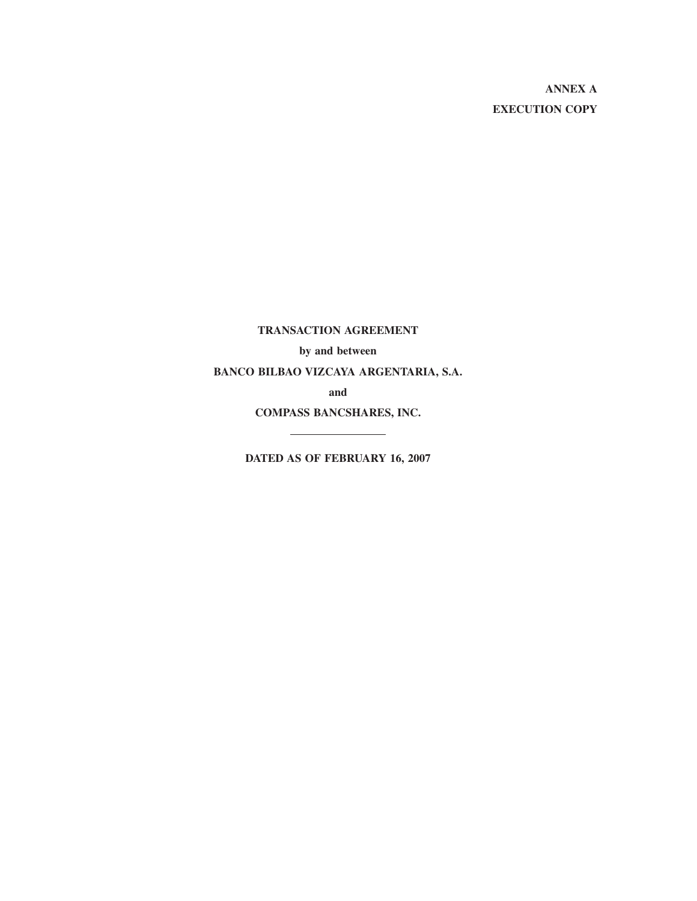**ANNEX A EXECUTION COPY**

**TRANSACTION AGREEMENT**

**by and between**

**BANCO BILBAO VIZCAYA ARGENTARIA, S.A.**

**and**

**COMPASS BANCSHARES, INC.** 

**DATED AS OF FEBRUARY 16, 2007**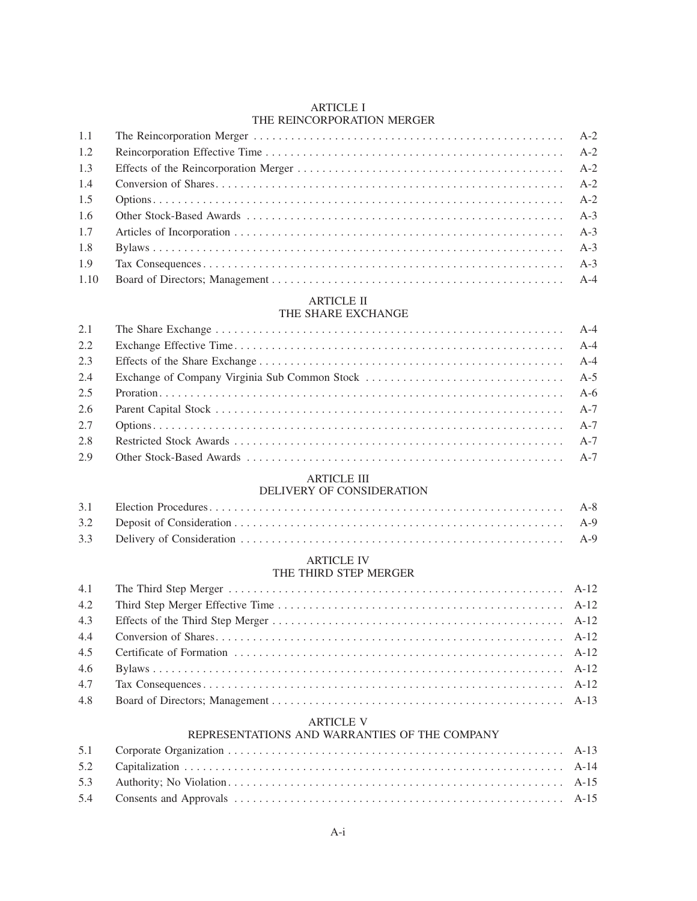### ARTICLE I THE REINCORPORATION MERGER

| 1.1  |  |
|------|--|
| 1.2  |  |
| 1.3  |  |
| 1.4  |  |
| 1.5  |  |
| 1.6  |  |
| 1.7  |  |
| 1.8  |  |
| 1.9  |  |
| 1.10 |  |

# ARTICLE II

## THE SHARE EXCHANGE

| $2.2^{\circ}$ |  |
|---------------|--|
| 2.3           |  |
| 2.4           |  |
| 2.5           |  |
| 2.6           |  |
| 2.7           |  |
| 2.8           |  |
| 2.9           |  |

## ARTICLE III

## DELIVERY OF CONSIDERATION

## ARTICLE IV

## THE THIRD STEP MERGER

| 4.2 |  |
|-----|--|
| 4.3 |  |
|     |  |
| 4.5 |  |
| 4.6 |  |
| 4.7 |  |
| 4.8 |  |

## ARTICLE V

## REPRESENTATIONS AND WARRANTIES OF THE COMPANY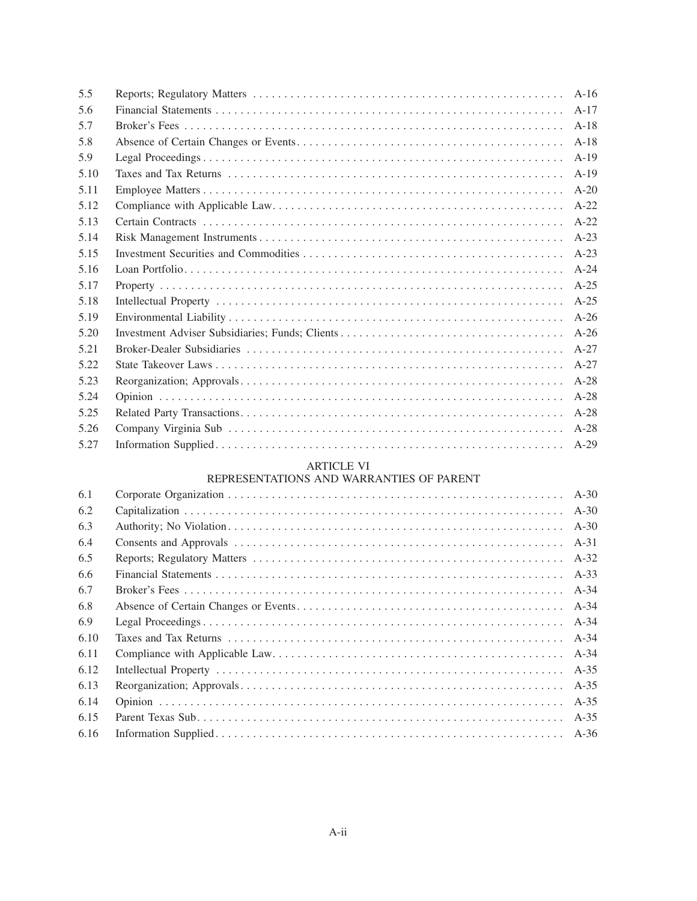| 5.5  |          |
|------|----------|
| 5.6  |          |
| 5.7  |          |
| 5.8  |          |
| 5.9  | $A-19$   |
| 5.10 | $A-19$   |
| 5.11 | $A-20$   |
| 5.12 | $A-22$   |
| 5.13 | $A-22$   |
| 5.14 | $A-23$   |
| 5.15 | $A-23$   |
| 5.16 | $A - 24$ |
| 5.17 |          |
| 5.18 | $A-25$   |
| 5.19 | $A-26$   |
| 5.20 | $A-26$   |
| 5.21 | $A - 27$ |
| 5.22 | $A-27$   |
| 5.23 | $A-28$   |
| 5.24 | $A-28$   |
| 5.25 | $A-28$   |
| 5.26 |          |
| 5.27 |          |

## ARTICLE VI

## REPRESENTATIONS AND WARRANTIES OF PARENT

| 6.1  |          |
|------|----------|
| 6.2  | $A-30$   |
| 6.3  |          |
| 6.4  | A-31     |
| 6.5  | $A-32$   |
| 6.6  | $A-33$   |
| 6.7  | A-34     |
| 6.8  | A-34     |
| 6.9  | $A - 34$ |
| 6.10 | A-34     |
| 6.11 | A-34     |
| 6.12 | $A-35$   |
| 6.13 | $A-35$   |
| 6.14 | $A-35$   |
| 6.15 | $A-35$   |
| 6.16 |          |
|      |          |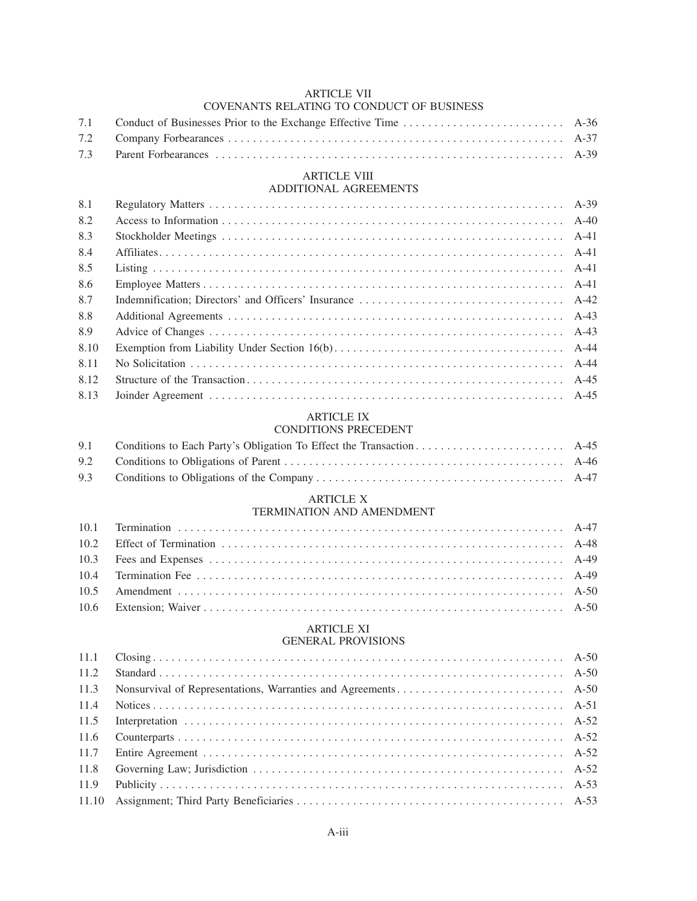## ARTICLE VII COVENANTS RELATING TO CONDUCT OF BUSINESS

# ARTICLE VIII

## ADDITIONAL AGREEMENTS

| 8.1  |  |
|------|--|
| 8.2  |  |
| 8.3  |  |
| 8.4  |  |
| 8.5  |  |
| 8.6  |  |
| 8.7  |  |
| 8.8  |  |
| 8.9  |  |
| 8.10 |  |
| 8.11 |  |
| 8.12 |  |
| 8.13 |  |

## ARTICLE IX

| CONDITIONS PRECEDENT |  |
|----------------------|--|
|                      |  |

## ARTICLE X

## TERMINATION AND AMENDMENT

## ARTICLE XI

## GENERAL PROVISIONS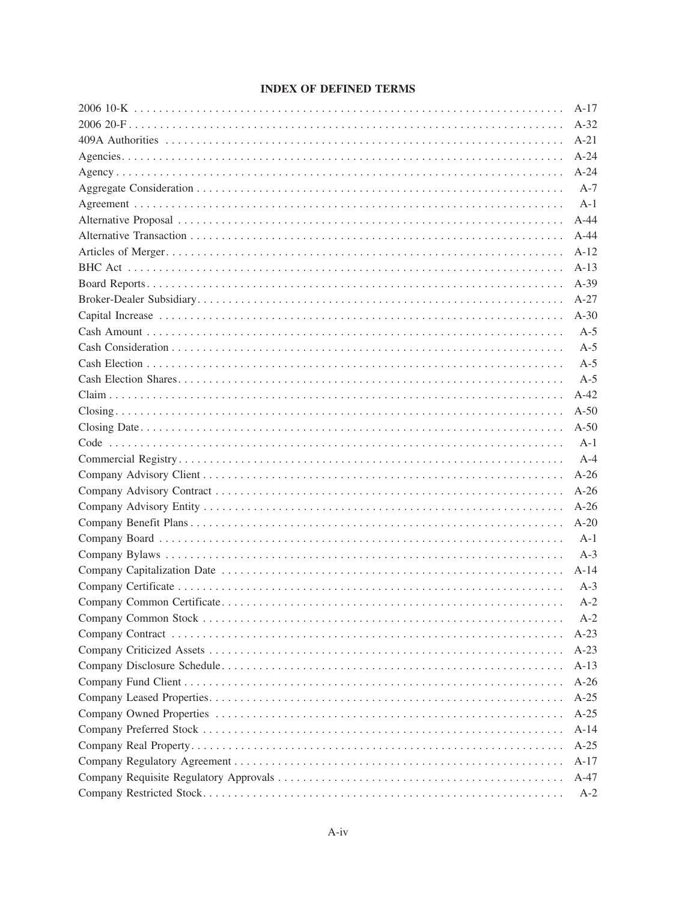## **INDEX OF DEFINED TERMS**

| $A-17$ |
|--------|
| $A-32$ |
| $A-21$ |
| $A-24$ |
| $A-24$ |
| $A-7$  |
| $A-1$  |
| $A-44$ |
| $A-44$ |
| $A-12$ |
| $A-13$ |
| $A-39$ |
| $A-27$ |
| $A-30$ |
| $A-5$  |
| $A-5$  |
| $A-5$  |
| $A-5$  |
| $A-42$ |
| $A-50$ |
| $A-50$ |
| $A-1$  |
| $A-4$  |
| $A-26$ |
| $A-26$ |
| $A-26$ |
| $A-20$ |
| $A-1$  |
| $A-3$  |
| $A-14$ |
| $A-3$  |
| $A-2$  |
| $A-2$  |
| $A-23$ |
| $A-23$ |
| $A-13$ |
| $A-26$ |
| $A-25$ |
| $A-25$ |
| $A-14$ |
| $A-25$ |
| $A-17$ |
| A-47   |
| $A-2$  |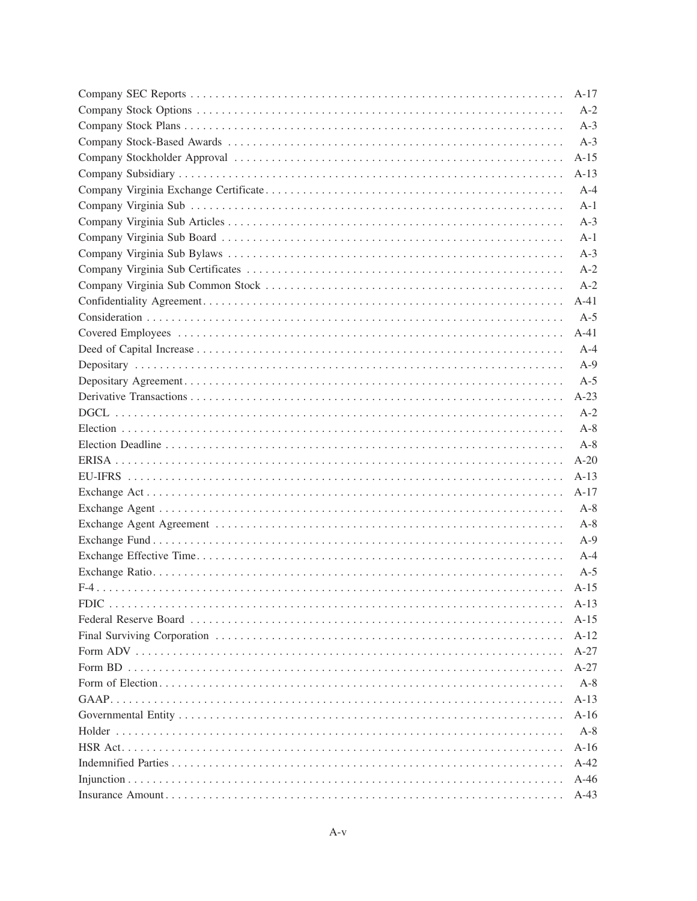|             | $A-17$ |
|-------------|--------|
|             | $A-2$  |
|             | $A-3$  |
|             | $A-3$  |
|             | $A-15$ |
|             | $A-13$ |
|             | $A-4$  |
|             | $A-1$  |
|             | $A-3$  |
|             | $A-1$  |
|             | $A-3$  |
|             | $A-2$  |
|             | $A-2$  |
|             | $A-41$ |
|             | $A-5$  |
|             | $A-41$ |
|             | $A-4$  |
|             | $A-9$  |
|             | $A-5$  |
|             | $A-23$ |
|             | $A-2$  |
|             | $A-8$  |
|             | $A-8$  |
|             | $A-20$ |
|             | $A-13$ |
|             | $A-17$ |
|             | $A-8$  |
|             | $A-8$  |
|             | $A-9$  |
|             | $A-4$  |
|             | $A-5$  |
|             | $A-15$ |
| <b>FDIC</b> | $A-13$ |
|             | $A-15$ |
|             | $A-12$ |
|             | $A-27$ |
|             | $A-27$ |
|             | $A-8$  |
|             | $A-13$ |
|             | $A-16$ |
|             | $A-8$  |
|             | $A-16$ |
|             | $A-42$ |
|             | $A-46$ |
|             | $A-43$ |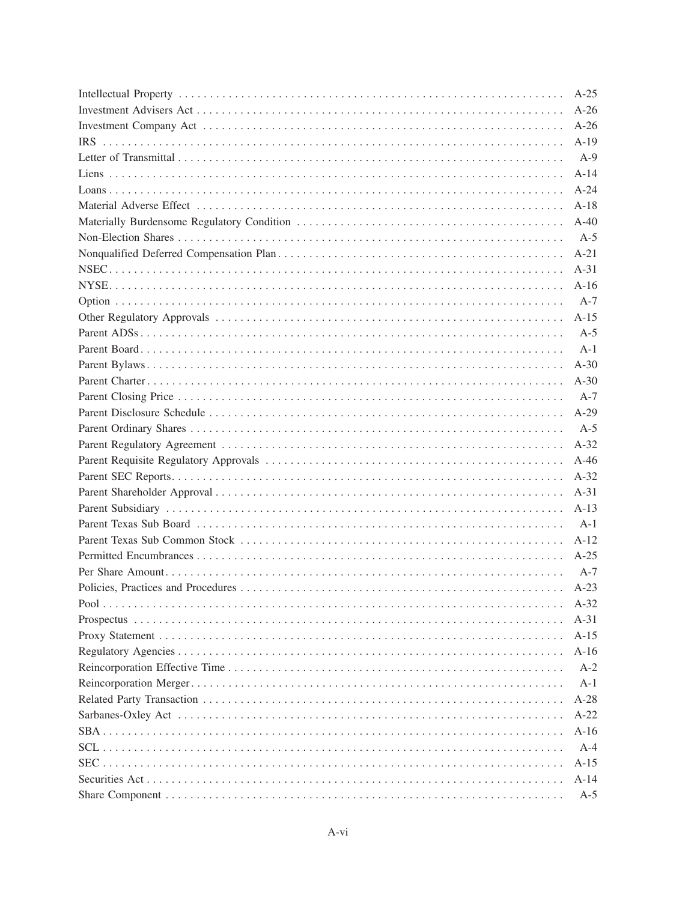| $A-25$ |
|--------|
| $A-26$ |
| $A-26$ |
| $A-19$ |
| $A-9$  |
| $A-14$ |
| $A-24$ |
| $A-18$ |
| $A-40$ |
| $A-5$  |
| $A-21$ |
| $A-31$ |
| $A-16$ |
| $A-7$  |
| $A-15$ |
| $A-5$  |
| $A-1$  |
| $A-30$ |
| $A-30$ |
| $A-7$  |
| $A-29$ |
| $A-5$  |
| $A-32$ |
| $A-46$ |
| $A-32$ |
| $A-31$ |
| $A-13$ |
| $A-1$  |
| $A-12$ |
| $A-25$ |
| $A-7$  |
| $A-23$ |
| $A-32$ |
| $A-31$ |
| $A-15$ |
| $A-16$ |
| $A-2$  |
| $A-1$  |
| $A-28$ |
| $A-22$ |
| $A-16$ |
| $A-4$  |
| $A-15$ |
| $A-14$ |
| $A-5$  |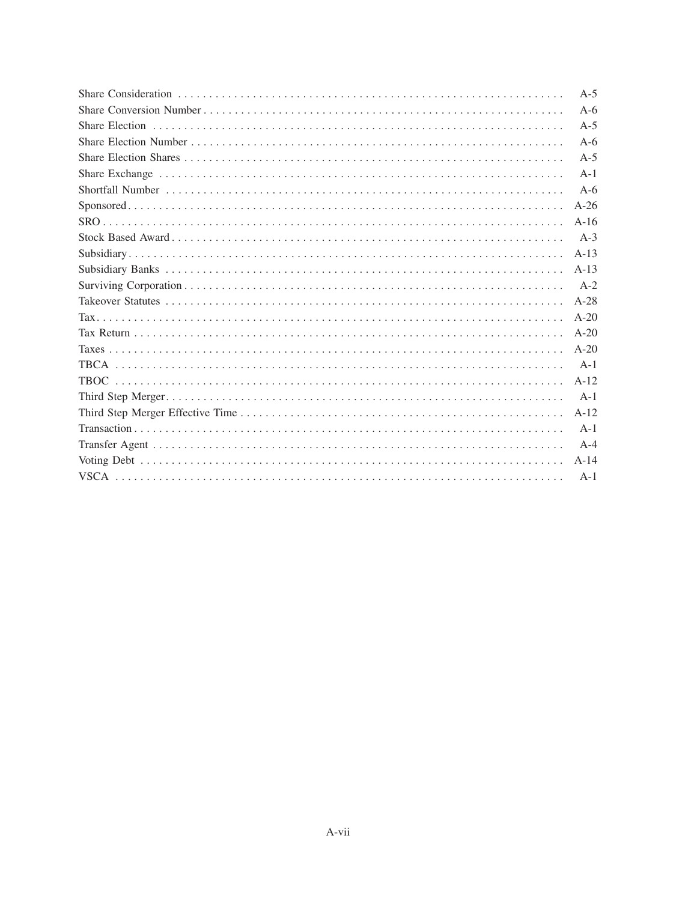| $A-5$  |
|--------|
| $A-6$  |
| $A-5$  |
| $A-6$  |
| $A-5$  |
| $A-1$  |
| $A-6$  |
| $A-26$ |
| $A-16$ |
| $A-3$  |
| $A-13$ |
| $A-13$ |
| $A-2$  |
| $A-28$ |
| $A-20$ |
| $A-20$ |
| $A-20$ |
| $A-1$  |
| $A-12$ |
| $A-1$  |
| $A-12$ |
| $A-1$  |
| $A-4$  |
| $A-14$ |
| $A-1$  |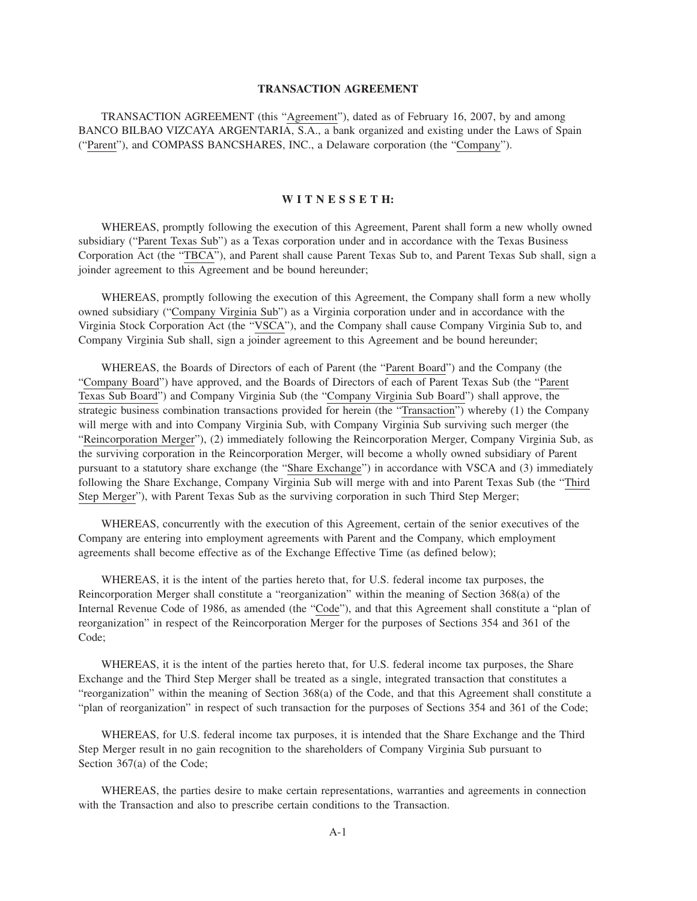#### **TRANSACTION AGREEMENT**

TRANSACTION AGREEMENT (this "Agreement"), dated as of February 16, 2007, by and among BANCO BILBAO VIZCAYA ARGENTARIA, S.A., a bank organized and existing under the Laws of Spain ("Parent"), and COMPASS BANCSHARES, INC., a Delaware corporation (the "Company").

### **W I T N E S S E T H:**

WHEREAS, promptly following the execution of this Agreement, Parent shall form a new wholly owned subsidiary ("Parent Texas Sub") as a Texas corporation under and in accordance with the Texas Business Corporation Act (the "TBCA"), and Parent shall cause Parent Texas Sub to, and Parent Texas Sub shall, sign a joinder agreement to this Agreement and be bound hereunder;

WHEREAS, promptly following the execution of this Agreement, the Company shall form a new wholly owned subsidiary ("Company Virginia Sub") as a Virginia corporation under and in accordance with the Virginia Stock Corporation Act (the "VSCA"), and the Company shall cause Company Virginia Sub to, and Company Virginia Sub shall, sign a joinder agreement to this Agreement and be bound hereunder;

WHEREAS, the Boards of Directors of each of Parent (the "Parent Board") and the Company (the "Company Board") have approved, and the Boards of Directors of each of Parent Texas Sub (the "Parent Texas Sub Board") and Company Virginia Sub (the "Company Virginia Sub Board") shall approve, the strategic business combination transactions provided for herein (the "Transaction") whereby (1) the Company will merge with and into Company Virginia Sub, with Company Virginia Sub surviving such merger (the "Reincorporation Merger"), (2) immediately following the Reincorporation Merger, Company Virginia Sub, as the surviving corporation in the Reincorporation Merger, will become a wholly owned subsidiary of Parent pursuant to a statutory share exchange (the "Share Exchange") in accordance with VSCA and (3) immediately following the Share Exchange, Company Virginia Sub will merge with and into Parent Texas Sub (the "Third Step Merger"), with Parent Texas Sub as the surviving corporation in such Third Step Merger;

WHEREAS, concurrently with the execution of this Agreement, certain of the senior executives of the Company are entering into employment agreements with Parent and the Company, which employment agreements shall become effective as of the Exchange Effective Time (as defined below);

WHEREAS, it is the intent of the parties hereto that, for U.S. federal income tax purposes, the Reincorporation Merger shall constitute a "reorganization" within the meaning of Section 368(a) of the Internal Revenue Code of 1986, as amended (the "Code"), and that this Agreement shall constitute a "plan of reorganization" in respect of the Reincorporation Merger for the purposes of Sections 354 and 361 of the Code;

WHEREAS, it is the intent of the parties hereto that, for U.S. federal income tax purposes, the Share Exchange and the Third Step Merger shall be treated as a single, integrated transaction that constitutes a "reorganization" within the meaning of Section 368(a) of the Code, and that this Agreement shall constitute a "plan of reorganization" in respect of such transaction for the purposes of Sections 354 and 361 of the Code;

WHEREAS, for U.S. federal income tax purposes, it is intended that the Share Exchange and the Third Step Merger result in no gain recognition to the shareholders of Company Virginia Sub pursuant to Section 367(a) of the Code;

WHEREAS, the parties desire to make certain representations, warranties and agreements in connection with the Transaction and also to prescribe certain conditions to the Transaction.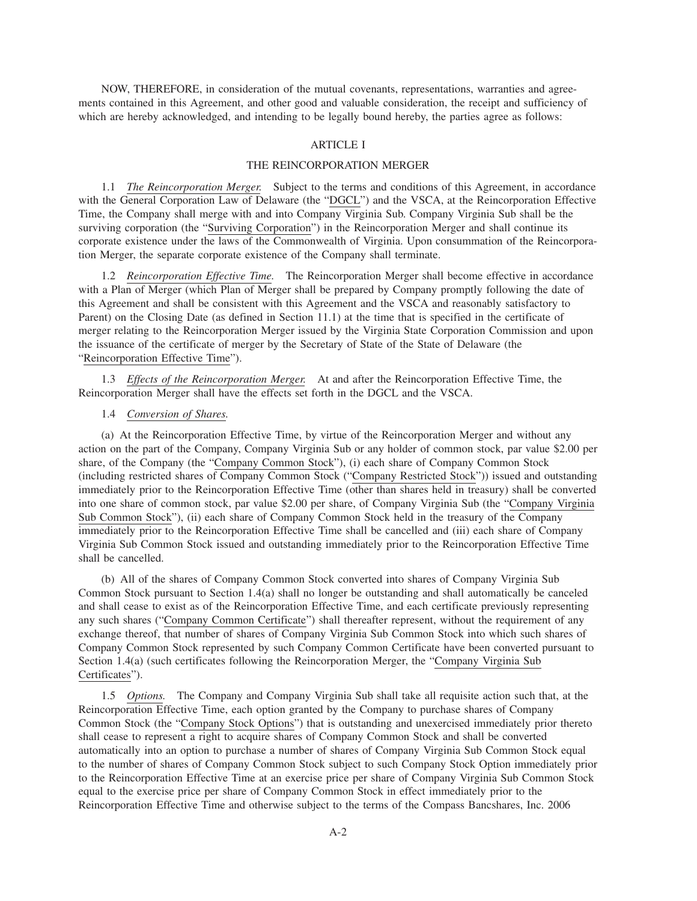NOW, THEREFORE, in consideration of the mutual covenants, representations, warranties and agreements contained in this Agreement, and other good and valuable consideration, the receipt and sufficiency of which are hereby acknowledged, and intending to be legally bound hereby, the parties agree as follows:

## ARTICLE I

#### THE REINCORPORATION MERGER

1.1 *The Reincorporation Merger.* Subject to the terms and conditions of this Agreement, in accordance with the General Corporation Law of Delaware (the "DGCL") and the VSCA, at the Reincorporation Effective Time, the Company shall merge with and into Company Virginia Sub. Company Virginia Sub shall be the surviving corporation (the "Surviving Corporation") in the Reincorporation Merger and shall continue its corporate existence under the laws of the Commonwealth of Virginia. Upon consummation of the Reincorporation Merger, the separate corporate existence of the Company shall terminate.

1.2 *Reincorporation Effective Time.* The Reincorporation Merger shall become effective in accordance with a Plan of Merger (which Plan of Merger shall be prepared by Company promptly following the date of this Agreement and shall be consistent with this Agreement and the VSCA and reasonably satisfactory to Parent) on the Closing Date (as defined in Section 11.1) at the time that is specified in the certificate of merger relating to the Reincorporation Merger issued by the Virginia State Corporation Commission and upon the issuance of the certificate of merger by the Secretary of State of the State of Delaware (the "Reincorporation Effective Time").

1.3 *Effects of the Reincorporation Merger.* At and after the Reincorporation Effective Time, the Reincorporation Merger shall have the effects set forth in the DGCL and the VSCA.

### 1.4 *Conversion of Shares.*

(a) At the Reincorporation Effective Time, by virtue of the Reincorporation Merger and without any action on the part of the Company, Company Virginia Sub or any holder of common stock, par value \$2.00 per share, of the Company (the "Company Common Stock"), (i) each share of Company Common Stock (including restricted shares of Company Common Stock ("Company Restricted Stock")) issued and outstanding immediately prior to the Reincorporation Effective Time (other than shares held in treasury) shall be converted into one share of common stock, par value \$2.00 per share, of Company Virginia Sub (the "Company Virginia Sub Common Stock"), (ii) each share of Company Common Stock held in the treasury of the Company immediately prior to the Reincorporation Effective Time shall be cancelled and (iii) each share of Company Virginia Sub Common Stock issued and outstanding immediately prior to the Reincorporation Effective Time shall be cancelled.

(b) All of the shares of Company Common Stock converted into shares of Company Virginia Sub Common Stock pursuant to Section 1.4(a) shall no longer be outstanding and shall automatically be canceled and shall cease to exist as of the Reincorporation Effective Time, and each certificate previously representing any such shares ("Company Common Certificate") shall thereafter represent, without the requirement of any exchange thereof, that number of shares of Company Virginia Sub Common Stock into which such shares of Company Common Stock represented by such Company Common Certificate have been converted pursuant to Section 1.4(a) (such certificates following the Reincorporation Merger, the "Company Virginia Sub Certificates").

1.5 *Options.* The Company and Company Virginia Sub shall take all requisite action such that, at the Reincorporation Effective Time, each option granted by the Company to purchase shares of Company Common Stock (the "Company Stock Options") that is outstanding and unexercised immediately prior thereto shall cease to represent a right to acquire shares of Company Common Stock and shall be converted automatically into an option to purchase a number of shares of Company Virginia Sub Common Stock equal to the number of shares of Company Common Stock subject to such Company Stock Option immediately prior to the Reincorporation Effective Time at an exercise price per share of Company Virginia Sub Common Stock equal to the exercise price per share of Company Common Stock in effect immediately prior to the Reincorporation Effective Time and otherwise subject to the terms of the Compass Bancshares, Inc. 2006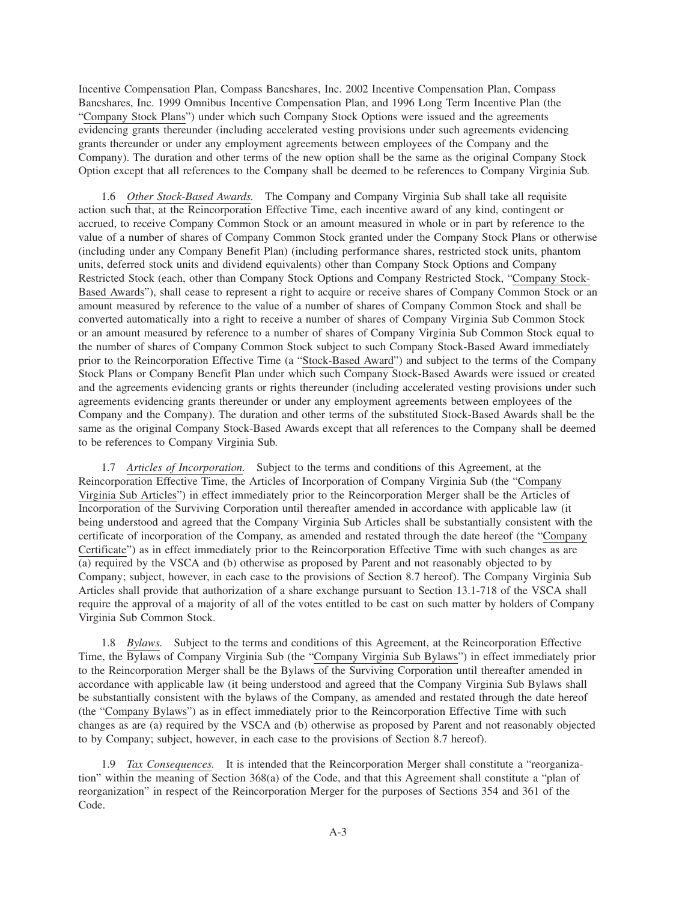Incentive Compensation Plan, Compass Bancshares, Inc. 2002 Incentive Compensation Plan, Compass Bancshares, Inc. 1999 Omnibus Incentive Compensation Plan, and 1996 Long Term Incentive Plan (the "Company Stock Plans") under which such Company Stock Options were issued and the agreements evidencing grants thereunder (including accelerated vesting provisions under such agreements evidencing grants thereunder or under any employment agreements between employees of the Company and the Company). The duration and other terms of the new option shall be the same as the original Company Stock Option except that all references to the Company shall be deemed to be references to Company Virginia Sub.

1.6 *Other Stock-Based Awards.* The Company and Company Virginia Sub shall take all requisite action such that, at the Reincorporation Effective Time, each incentive award of any kind, contingent or accrued, to receive Company Common Stock or an amount measured in whole or in part by reference to the value of a number of shares of Company Common Stock granted under the Company Stock Plans or otherwise (including under any Company Benefit Plan) (including performance shares, restricted stock units, phantom units, deferred stock units and dividend equivalents) other than Company Stock Options and Company Restricted Stock (each, other than Company Stock Options and Company Restricted Stock, "Company Stock-Based Awards"), shall cease to represent a right to acquire or receive shares of Company Common Stock or an amount measured by reference to the value of a number of shares of Company Common Stock and shall be converted automatically into a right to receive a number of shares of Company Virginia Sub Common Stock or an amount measured by reference to a number of shares of Company Virginia Sub Common Stock equal to the number of shares of Company Common Stock subject to such Company Stock-Based Award immediately prior to the Reincorporation Effective Time (a "Stock-Based Award") and subject to the terms of the Company Stock Plans or Company Benefit Plan under which such Company Stock-Based Awards were issued or created and the agreements evidencing grants or rights thereunder (including accelerated vesting provisions under such agreements evidencing grants thereunder or under any employment agreements between employees of the Company and the Company). The duration and other terms of the substituted Stock-Based Awards shall be the same as the original Company Stock-Based Awards except that all references to the Company shall be deemed to be references to Company Virginia Sub.

1.7 *Articles of Incorporation.* Subject to the terms and conditions of this Agreement, at the Reincorporation Effective Time, the Articles of Incorporation of Company Virginia Sub (the "Company Virginia Sub Articles") in effect immediately prior to the Reincorporation Merger shall be the Articles of Incorporation of the Surviving Corporation until thereafter amended in accordance with applicable law (it being understood and agreed that the Company Virginia Sub Articles shall be substantially consistent with the certificate of incorporation of the Company, as amended and restated through the date hereof (the "Company Certificate") as in effect immediately prior to the Reincorporation Effective Time with such changes as are (a) required by the VSCA and (b) otherwise as proposed by Parent and not reasonably objected to by Company; subject, however, in each case to the provisions of Section 8.7 hereof). The Company Virginia Sub Articles shall provide that authorization of a share exchange pursuant to Section 13.1-718 of the VSCA shall require the approval of a majority of all of the votes entitled to be cast on such matter by holders of Company Virginia Sub Common Stock.

1.8 *Bylaws.* Subject to the terms and conditions of this Agreement, at the Reincorporation Effective Time, the Bylaws of Company Virginia Sub (the "Company Virginia Sub Bylaws") in effect immediately prior to the Reincorporation Merger shall be the Bylaws of the Surviving Corporation until thereafter amended in accordance with applicable law (it being understood and agreed that the Company Virginia Sub Bylaws shall be substantially consistent with the bylaws of the Company, as amended and restated through the date hereof (the "Company Bylaws") as in effect immediately prior to the Reincorporation Effective Time with such changes as are (a) required by the VSCA and (b) otherwise as proposed by Parent and not reasonably objected to by Company; subject, however, in each case to the provisions of Section 8.7 hereof).

1.9 *Tax Consequences.* It is intended that the Reincorporation Merger shall constitute a "reorganization" within the meaning of Section 368(a) of the Code, and that this Agreement shall constitute a "plan of reorganization" in respect of the Reincorporation Merger for the purposes of Sections 354 and 361 of the Code.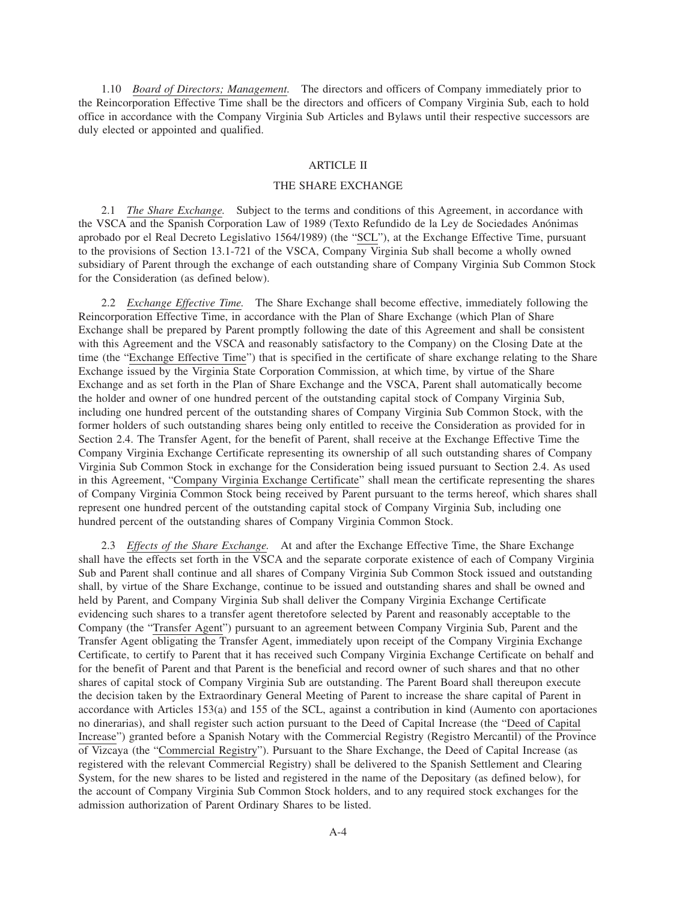1.10 *Board of Directors; Management.* The directors and officers of Company immediately prior to the Reincorporation Effective Time shall be the directors and officers of Company Virginia Sub, each to hold office in accordance with the Company Virginia Sub Articles and Bylaws until their respective successors are duly elected or appointed and qualified.

#### ARTICLE II

#### THE SHARE EXCHANGE

2.1 *The Share Exchange.* Subject to the terms and conditions of this Agreement, in accordance with the VSCA and the Spanish Corporation Law of 1989 (Texto Refundido de la Ley de Sociedades Anónimas aprobado por el Real Decreto Legislativo 1564/1989) (the "SCL"), at the Exchange Effective Time, pursuant to the provisions of Section 13.1-721 of the VSCA, Company Virginia Sub shall become a wholly owned subsidiary of Parent through the exchange of each outstanding share of Company Virginia Sub Common Stock for the Consideration (as defined below).

2.2 *Exchange Effective Time.* The Share Exchange shall become effective, immediately following the Reincorporation Effective Time, in accordance with the Plan of Share Exchange (which Plan of Share Exchange shall be prepared by Parent promptly following the date of this Agreement and shall be consistent with this Agreement and the VSCA and reasonably satisfactory to the Company) on the Closing Date at the time (the "Exchange Effective Time") that is specified in the certificate of share exchange relating to the Share Exchange issued by the Virginia State Corporation Commission, at which time, by virtue of the Share Exchange and as set forth in the Plan of Share Exchange and the VSCA, Parent shall automatically become the holder and owner of one hundred percent of the outstanding capital stock of Company Virginia Sub, including one hundred percent of the outstanding shares of Company Virginia Sub Common Stock, with the former holders of such outstanding shares being only entitled to receive the Consideration as provided for in Section 2.4. The Transfer Agent, for the benefit of Parent, shall receive at the Exchange Effective Time the Company Virginia Exchange Certificate representing its ownership of all such outstanding shares of Company Virginia Sub Common Stock in exchange for the Consideration being issued pursuant to Section 2.4. As used in this Agreement, "Company Virginia Exchange Certificate" shall mean the certificate representing the shares of Company Virginia Common Stock being received by Parent pursuant to the terms hereof, which shares shall represent one hundred percent of the outstanding capital stock of Company Virginia Sub, including one hundred percent of the outstanding shares of Company Virginia Common Stock.

2.3 *Effects of the Share Exchange.* At and after the Exchange Effective Time, the Share Exchange shall have the effects set forth in the VSCA and the separate corporate existence of each of Company Virginia Sub and Parent shall continue and all shares of Company Virginia Sub Common Stock issued and outstanding shall, by virtue of the Share Exchange, continue to be issued and outstanding shares and shall be owned and held by Parent, and Company Virginia Sub shall deliver the Company Virginia Exchange Certificate evidencing such shares to a transfer agent theretofore selected by Parent and reasonably acceptable to the Company (the "Transfer Agent") pursuant to an agreement between Company Virginia Sub, Parent and the Transfer Agent obligating the Transfer Agent, immediately upon receipt of the Company Virginia Exchange Certificate, to certify to Parent that it has received such Company Virginia Exchange Certificate on behalf and for the benefit of Parent and that Parent is the beneficial and record owner of such shares and that no other shares of capital stock of Company Virginia Sub are outstanding. The Parent Board shall thereupon execute the decision taken by the Extraordinary General Meeting of Parent to increase the share capital of Parent in accordance with Articles 153(a) and 155 of the SCL, against a contribution in kind (Aumento con aportaciones no dinerarias), and shall register such action pursuant to the Deed of Capital Increase (the "Deed of Capital Increase") granted before a Spanish Notary with the Commercial Registry (Registro Mercantil) of the Province of Vizcaya (the "Commercial Registry"). Pursuant to the Share Exchange, the Deed of Capital Increase (as registered with the relevant Commercial Registry) shall be delivered to the Spanish Settlement and Clearing System, for the new shares to be listed and registered in the name of the Depositary (as defined below), for the account of Company Virginia Sub Common Stock holders, and to any required stock exchanges for the admission authorization of Parent Ordinary Shares to be listed.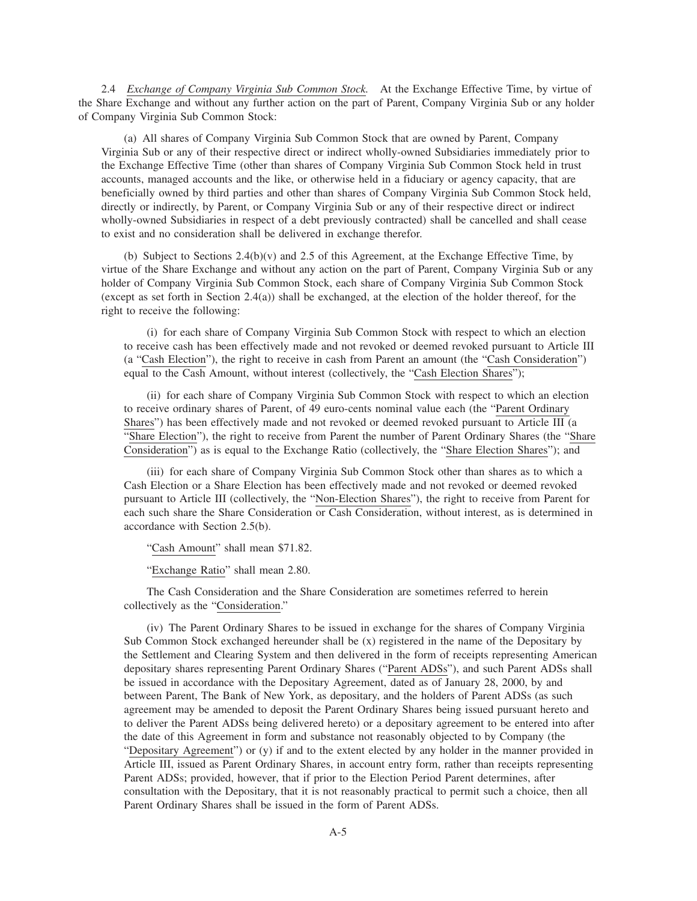2.4 *Exchange of Company Virginia Sub Common Stock.* At the Exchange Effective Time, by virtue of the Share Exchange and without any further action on the part of Parent, Company Virginia Sub or any holder of Company Virginia Sub Common Stock:

(a) All shares of Company Virginia Sub Common Stock that are owned by Parent, Company Virginia Sub or any of their respective direct or indirect wholly-owned Subsidiaries immediately prior to the Exchange Effective Time (other than shares of Company Virginia Sub Common Stock held in trust accounts, managed accounts and the like, or otherwise held in a fiduciary or agency capacity, that are beneficially owned by third parties and other than shares of Company Virginia Sub Common Stock held, directly or indirectly, by Parent, or Company Virginia Sub or any of their respective direct or indirect wholly-owned Subsidiaries in respect of a debt previously contracted) shall be cancelled and shall cease to exist and no consideration shall be delivered in exchange therefor.

(b) Subject to Sections 2.4(b)(v) and 2.5 of this Agreement, at the Exchange Effective Time, by virtue of the Share Exchange and without any action on the part of Parent, Company Virginia Sub or any holder of Company Virginia Sub Common Stock, each share of Company Virginia Sub Common Stock (except as set forth in Section 2.4(a)) shall be exchanged, at the election of the holder thereof, for the right to receive the following:

(i) for each share of Company Virginia Sub Common Stock with respect to which an election to receive cash has been effectively made and not revoked or deemed revoked pursuant to Article III (a "Cash Election"), the right to receive in cash from Parent an amount (the "Cash Consideration") equal to the Cash Amount, without interest (collectively, the "Cash Election Shares");

(ii) for each share of Company Virginia Sub Common Stock with respect to which an election to receive ordinary shares of Parent, of 49 euro-cents nominal value each (the "Parent Ordinary Shares") has been effectively made and not revoked or deemed revoked pursuant to Article III (a "Share Election"), the right to receive from Parent the number of Parent Ordinary Shares (the "Share Consideration") as is equal to the Exchange Ratio (collectively, the "Share Election Shares"); and

(iii) for each share of Company Virginia Sub Common Stock other than shares as to which a Cash Election or a Share Election has been effectively made and not revoked or deemed revoked pursuant to Article III (collectively, the "Non-Election Shares"), the right to receive from Parent for each such share the Share Consideration or Cash Consideration, without interest, as is determined in accordance with Section 2.5(b).

"Cash Amount" shall mean \$71.82.

"Exchange Ratio" shall mean 2.80.

The Cash Consideration and the Share Consideration are sometimes referred to herein collectively as the "Consideration."

(iv) The Parent Ordinary Shares to be issued in exchange for the shares of Company Virginia Sub Common Stock exchanged hereunder shall be (x) registered in the name of the Depositary by the Settlement and Clearing System and then delivered in the form of receipts representing American depositary shares representing Parent Ordinary Shares ("Parent ADSs"), and such Parent ADSs shall be issued in accordance with the Depositary Agreement, dated as of January 28, 2000, by and between Parent, The Bank of New York, as depositary, and the holders of Parent ADSs (as such agreement may be amended to deposit the Parent Ordinary Shares being issued pursuant hereto and to deliver the Parent ADSs being delivered hereto) or a depositary agreement to be entered into after the date of this Agreement in form and substance not reasonably objected to by Company (the "Depositary Agreement") or (y) if and to the extent elected by any holder in the manner provided in Article III, issued as Parent Ordinary Shares, in account entry form, rather than receipts representing Parent ADSs; provided, however, that if prior to the Election Period Parent determines, after consultation with the Depositary, that it is not reasonably practical to permit such a choice, then all Parent Ordinary Shares shall be issued in the form of Parent ADSs.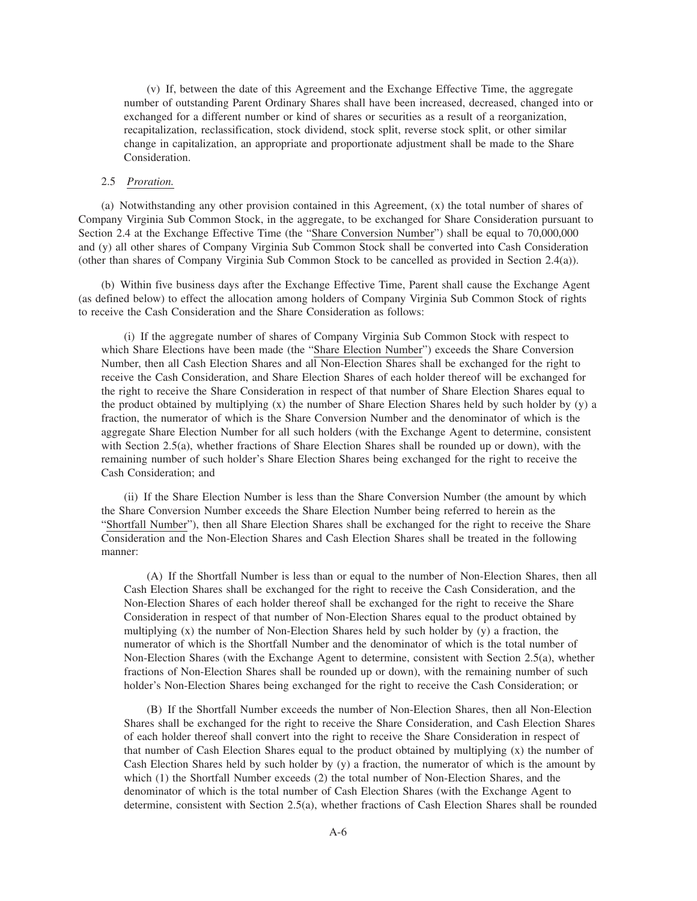(v) If, between the date of this Agreement and the Exchange Effective Time, the aggregate number of outstanding Parent Ordinary Shares shall have been increased, decreased, changed into or exchanged for a different number or kind of shares or securities as a result of a reorganization, recapitalization, reclassification, stock dividend, stock split, reverse stock split, or other similar change in capitalization, an appropriate and proportionate adjustment shall be made to the Share Consideration.

## 2.5 *Proration.*

(a) Notwithstanding any other provision contained in this Agreement, (x) the total number of shares of Company Virginia Sub Common Stock, in the aggregate, to be exchanged for Share Consideration pursuant to Section 2.4 at the Exchange Effective Time (the "Share Conversion Number") shall be equal to 70,000,000 and (y) all other shares of Company Virginia Sub Common Stock shall be converted into Cash Consideration (other than shares of Company Virginia Sub Common Stock to be cancelled as provided in Section 2.4(a)).

(b) Within five business days after the Exchange Effective Time, Parent shall cause the Exchange Agent (as defined below) to effect the allocation among holders of Company Virginia Sub Common Stock of rights to receive the Cash Consideration and the Share Consideration as follows:

(i) If the aggregate number of shares of Company Virginia Sub Common Stock with respect to which Share Elections have been made (the "Share Election Number") exceeds the Share Conversion Number, then all Cash Election Shares and all Non-Election Shares shall be exchanged for the right to receive the Cash Consideration, and Share Election Shares of each holder thereof will be exchanged for the right to receive the Share Consideration in respect of that number of Share Election Shares equal to the product obtained by multiplying (x) the number of Share Election Shares held by such holder by (y) a fraction, the numerator of which is the Share Conversion Number and the denominator of which is the aggregate Share Election Number for all such holders (with the Exchange Agent to determine, consistent with Section 2.5(a), whether fractions of Share Election Shares shall be rounded up or down), with the remaining number of such holder's Share Election Shares being exchanged for the right to receive the Cash Consideration; and

(ii) If the Share Election Number is less than the Share Conversion Number (the amount by which the Share Conversion Number exceeds the Share Election Number being referred to herein as the "Shortfall Number"), then all Share Election Shares shall be exchanged for the right to receive the Share Consideration and the Non-Election Shares and Cash Election Shares shall be treated in the following manner:

(A) If the Shortfall Number is less than or equal to the number of Non-Election Shares, then all Cash Election Shares shall be exchanged for the right to receive the Cash Consideration, and the Non-Election Shares of each holder thereof shall be exchanged for the right to receive the Share Consideration in respect of that number of Non-Election Shares equal to the product obtained by multiplying (x) the number of Non-Election Shares held by such holder by (y) a fraction, the numerator of which is the Shortfall Number and the denominator of which is the total number of Non-Election Shares (with the Exchange Agent to determine, consistent with Section 2.5(a), whether fractions of Non-Election Shares shall be rounded up or down), with the remaining number of such holder's Non-Election Shares being exchanged for the right to receive the Cash Consideration; or

(B) If the Shortfall Number exceeds the number of Non-Election Shares, then all Non-Election Shares shall be exchanged for the right to receive the Share Consideration, and Cash Election Shares of each holder thereof shall convert into the right to receive the Share Consideration in respect of that number of Cash Election Shares equal to the product obtained by multiplying (x) the number of Cash Election Shares held by such holder by (y) a fraction, the numerator of which is the amount by which (1) the Shortfall Number exceeds (2) the total number of Non-Election Shares, and the denominator of which is the total number of Cash Election Shares (with the Exchange Agent to determine, consistent with Section 2.5(a), whether fractions of Cash Election Shares shall be rounded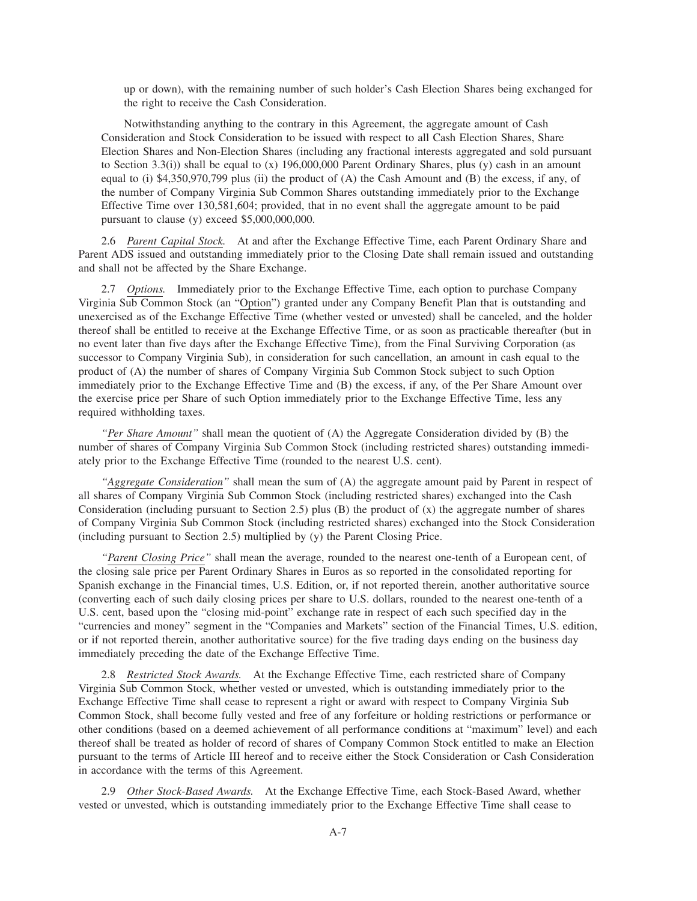up or down), with the remaining number of such holder's Cash Election Shares being exchanged for the right to receive the Cash Consideration.

Notwithstanding anything to the contrary in this Agreement, the aggregate amount of Cash Consideration and Stock Consideration to be issued with respect to all Cash Election Shares, Share Election Shares and Non-Election Shares (including any fractional interests aggregated and sold pursuant to Section 3.3(i)) shall be equal to (x) 196,000,000 Parent Ordinary Shares, plus (y) cash in an amount equal to (i) \$4,350,970,799 plus (ii) the product of (A) the Cash Amount and (B) the excess, if any, of the number of Company Virginia Sub Common Shares outstanding immediately prior to the Exchange Effective Time over 130,581,604; provided, that in no event shall the aggregate amount to be paid pursuant to clause (y) exceed \$5,000,000,000.

2.6 *Parent Capital Stock.* At and after the Exchange Effective Time, each Parent Ordinary Share and Parent ADS issued and outstanding immediately prior to the Closing Date shall remain issued and outstanding and shall not be affected by the Share Exchange.

2.7 *Options.* Immediately prior to the Exchange Effective Time, each option to purchase Company Virginia Sub Common Stock (an "Option") granted under any Company Benefit Plan that is outstanding and unexercised as of the Exchange Effective Time (whether vested or unvested) shall be canceled, and the holder thereof shall be entitled to receive at the Exchange Effective Time, or as soon as practicable thereafter (but in no event later than five days after the Exchange Effective Time), from the Final Surviving Corporation (as successor to Company Virginia Sub), in consideration for such cancellation, an amount in cash equal to the product of (A) the number of shares of Company Virginia Sub Common Stock subject to such Option immediately prior to the Exchange Effective Time and (B) the excess, if any, of the Per Share Amount over the exercise price per Share of such Option immediately prior to the Exchange Effective Time, less any required withholding taxes.

*"Per Share Amount"* shall mean the quotient of (A) the Aggregate Consideration divided by (B) the number of shares of Company Virginia Sub Common Stock (including restricted shares) outstanding immediately prior to the Exchange Effective Time (rounded to the nearest U.S. cent).

*"Aggregate Consideration"* shall mean the sum of (A) the aggregate amount paid by Parent in respect of all shares of Company Virginia Sub Common Stock (including restricted shares) exchanged into the Cash Consideration (including pursuant to Section 2.5) plus  $(B)$  the product of  $(x)$  the aggregate number of shares of Company Virginia Sub Common Stock (including restricted shares) exchanged into the Stock Consideration (including pursuant to Section 2.5) multiplied by (y) the Parent Closing Price.

*"Parent Closing Price"* shall mean the average, rounded to the nearest one-tenth of a European cent, of the closing sale price per Parent Ordinary Shares in Euros as so reported in the consolidated reporting for Spanish exchange in the Financial times, U.S. Edition, or, if not reported therein, another authoritative source (converting each of such daily closing prices per share to U.S. dollars, rounded to the nearest one-tenth of a U.S. cent, based upon the "closing mid-point" exchange rate in respect of each such specified day in the "currencies and money" segment in the "Companies and Markets" section of the Financial Times, U.S. edition, or if not reported therein, another authoritative source) for the five trading days ending on the business day immediately preceding the date of the Exchange Effective Time.

2.8 *Restricted Stock Awards.* At the Exchange Effective Time, each restricted share of Company Virginia Sub Common Stock, whether vested or unvested, which is outstanding immediately prior to the Exchange Effective Time shall cease to represent a right or award with respect to Company Virginia Sub Common Stock, shall become fully vested and free of any forfeiture or holding restrictions or performance or other conditions (based on a deemed achievement of all performance conditions at "maximum" level) and each thereof shall be treated as holder of record of shares of Company Common Stock entitled to make an Election pursuant to the terms of Article III hereof and to receive either the Stock Consideration or Cash Consideration in accordance with the terms of this Agreement.

2.9 *Other Stock-Based Awards.* At the Exchange Effective Time, each Stock-Based Award, whether vested or unvested, which is outstanding immediately prior to the Exchange Effective Time shall cease to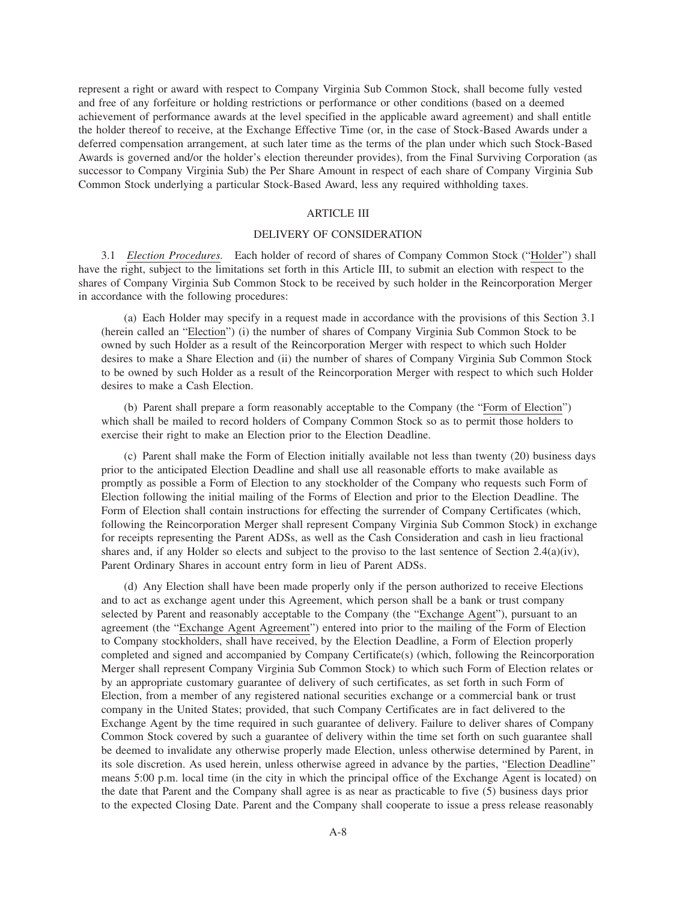represent a right or award with respect to Company Virginia Sub Common Stock, shall become fully vested and free of any forfeiture or holding restrictions or performance or other conditions (based on a deemed achievement of performance awards at the level specified in the applicable award agreement) and shall entitle the holder thereof to receive, at the Exchange Effective Time (or, in the case of Stock-Based Awards under a deferred compensation arrangement, at such later time as the terms of the plan under which such Stock-Based Awards is governed and/or the holder's election thereunder provides), from the Final Surviving Corporation (as successor to Company Virginia Sub) the Per Share Amount in respect of each share of Company Virginia Sub Common Stock underlying a particular Stock-Based Award, less any required withholding taxes.

## ARTICLE III

#### DELIVERY OF CONSIDERATION

3.1 *Election Procedures.* Each holder of record of shares of Company Common Stock ("Holder") shall have the right, subject to the limitations set forth in this Article III, to submit an election with respect to the shares of Company Virginia Sub Common Stock to be received by such holder in the Reincorporation Merger in accordance with the following procedures:

(a) Each Holder may specify in a request made in accordance with the provisions of this Section 3.1 (herein called an "Election") (i) the number of shares of Company Virginia Sub Common Stock to be owned by such Holder as a result of the Reincorporation Merger with respect to which such Holder desires to make a Share Election and (ii) the number of shares of Company Virginia Sub Common Stock to be owned by such Holder as a result of the Reincorporation Merger with respect to which such Holder desires to make a Cash Election.

(b) Parent shall prepare a form reasonably acceptable to the Company (the "Form of Election") which shall be mailed to record holders of Company Common Stock so as to permit those holders to exercise their right to make an Election prior to the Election Deadline.

(c) Parent shall make the Form of Election initially available not less than twenty (20) business days prior to the anticipated Election Deadline and shall use all reasonable efforts to make available as promptly as possible a Form of Election to any stockholder of the Company who requests such Form of Election following the initial mailing of the Forms of Election and prior to the Election Deadline. The Form of Election shall contain instructions for effecting the surrender of Company Certificates (which, following the Reincorporation Merger shall represent Company Virginia Sub Common Stock) in exchange for receipts representing the Parent ADSs, as well as the Cash Consideration and cash in lieu fractional shares and, if any Holder so elects and subject to the proviso to the last sentence of Section  $2.4(a)(iv)$ , Parent Ordinary Shares in account entry form in lieu of Parent ADSs.

(d) Any Election shall have been made properly only if the person authorized to receive Elections and to act as exchange agent under this Agreement, which person shall be a bank or trust company selected by Parent and reasonably acceptable to the Company (the "Exchange Agent"), pursuant to an agreement (the "Exchange Agent Agreement") entered into prior to the mailing of the Form of Election to Company stockholders, shall have received, by the Election Deadline, a Form of Election properly completed and signed and accompanied by Company Certificate(s) (which, following the Reincorporation Merger shall represent Company Virginia Sub Common Stock) to which such Form of Election relates or by an appropriate customary guarantee of delivery of such certificates, as set forth in such Form of Election, from a member of any registered national securities exchange or a commercial bank or trust company in the United States; provided, that such Company Certificates are in fact delivered to the Exchange Agent by the time required in such guarantee of delivery. Failure to deliver shares of Company Common Stock covered by such a guarantee of delivery within the time set forth on such guarantee shall be deemed to invalidate any otherwise properly made Election, unless otherwise determined by Parent, in its sole discretion. As used herein, unless otherwise agreed in advance by the parties, "Election Deadline" means 5:00 p.m. local time (in the city in which the principal office of the Exchange Agent is located) on the date that Parent and the Company shall agree is as near as practicable to five (5) business days prior to the expected Closing Date. Parent and the Company shall cooperate to issue a press release reasonably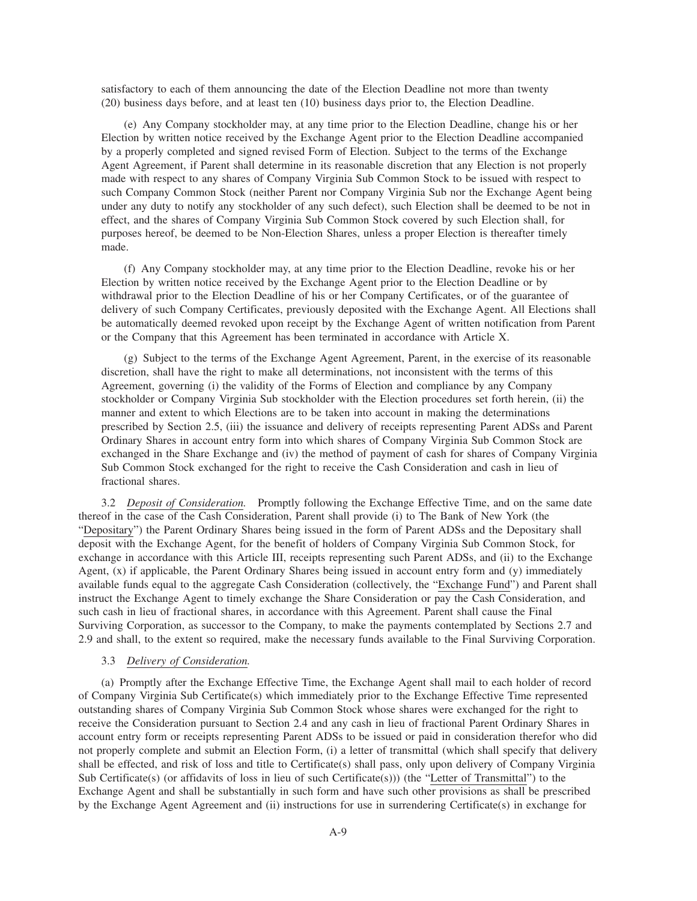satisfactory to each of them announcing the date of the Election Deadline not more than twenty (20) business days before, and at least ten (10) business days prior to, the Election Deadline.

(e) Any Company stockholder may, at any time prior to the Election Deadline, change his or her Election by written notice received by the Exchange Agent prior to the Election Deadline accompanied by a properly completed and signed revised Form of Election. Subject to the terms of the Exchange Agent Agreement, if Parent shall determine in its reasonable discretion that any Election is not properly made with respect to any shares of Company Virginia Sub Common Stock to be issued with respect to such Company Common Stock (neither Parent nor Company Virginia Sub nor the Exchange Agent being under any duty to notify any stockholder of any such defect), such Election shall be deemed to be not in effect, and the shares of Company Virginia Sub Common Stock covered by such Election shall, for purposes hereof, be deemed to be Non-Election Shares, unless a proper Election is thereafter timely made.

(f) Any Company stockholder may, at any time prior to the Election Deadline, revoke his or her Election by written notice received by the Exchange Agent prior to the Election Deadline or by withdrawal prior to the Election Deadline of his or her Company Certificates, or of the guarantee of delivery of such Company Certificates, previously deposited with the Exchange Agent. All Elections shall be automatically deemed revoked upon receipt by the Exchange Agent of written notification from Parent or the Company that this Agreement has been terminated in accordance with Article X.

(g) Subject to the terms of the Exchange Agent Agreement, Parent, in the exercise of its reasonable discretion, shall have the right to make all determinations, not inconsistent with the terms of this Agreement, governing (i) the validity of the Forms of Election and compliance by any Company stockholder or Company Virginia Sub stockholder with the Election procedures set forth herein, (ii) the manner and extent to which Elections are to be taken into account in making the determinations prescribed by Section 2.5, (iii) the issuance and delivery of receipts representing Parent ADSs and Parent Ordinary Shares in account entry form into which shares of Company Virginia Sub Common Stock are exchanged in the Share Exchange and (iv) the method of payment of cash for shares of Company Virginia Sub Common Stock exchanged for the right to receive the Cash Consideration and cash in lieu of fractional shares.

3.2 *Deposit of Consideration.* Promptly following the Exchange Effective Time, and on the same date thereof in the case of the Cash Consideration, Parent shall provide (i) to The Bank of New York (the "Depositary") the Parent Ordinary Shares being issued in the form of Parent ADSs and the Depositary shall deposit with the Exchange Agent, for the benefit of holders of Company Virginia Sub Common Stock, for exchange in accordance with this Article III, receipts representing such Parent ADSs, and (ii) to the Exchange Agent, (x) if applicable, the Parent Ordinary Shares being issued in account entry form and (y) immediately available funds equal to the aggregate Cash Consideration (collectively, the "Exchange Fund") and Parent shall instruct the Exchange Agent to timely exchange the Share Consideration or pay the Cash Consideration, and such cash in lieu of fractional shares, in accordance with this Agreement. Parent shall cause the Final Surviving Corporation, as successor to the Company, to make the payments contemplated by Sections 2.7 and 2.9 and shall, to the extent so required, make the necessary funds available to the Final Surviving Corporation.

## 3.3 *Delivery of Consideration.*

(a) Promptly after the Exchange Effective Time, the Exchange Agent shall mail to each holder of record of Company Virginia Sub Certificate(s) which immediately prior to the Exchange Effective Time represented outstanding shares of Company Virginia Sub Common Stock whose shares were exchanged for the right to receive the Consideration pursuant to Section 2.4 and any cash in lieu of fractional Parent Ordinary Shares in account entry form or receipts representing Parent ADSs to be issued or paid in consideration therefor who did not properly complete and submit an Election Form, (i) a letter of transmittal (which shall specify that delivery shall be effected, and risk of loss and title to Certificate(s) shall pass, only upon delivery of Company Virginia Sub Certificate(s) (or affidavits of loss in lieu of such Certificate(s))) (the "Letter of Transmittal") to the Exchange Agent and shall be substantially in such form and have such other provisions as shall be prescribed by the Exchange Agent Agreement and (ii) instructions for use in surrendering Certificate(s) in exchange for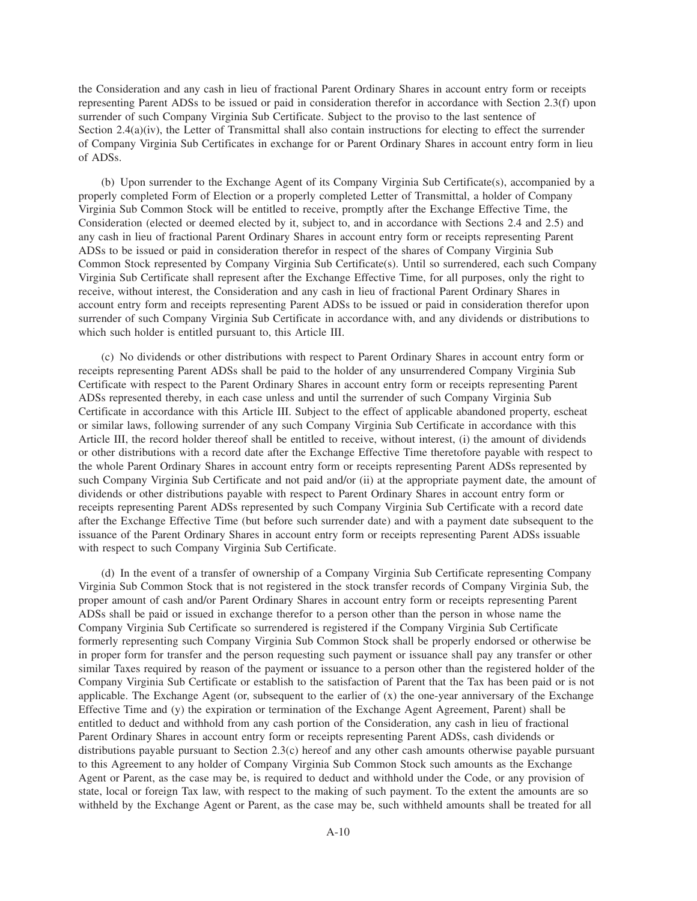the Consideration and any cash in lieu of fractional Parent Ordinary Shares in account entry form or receipts representing Parent ADSs to be issued or paid in consideration therefor in accordance with Section 2.3(f) upon surrender of such Company Virginia Sub Certificate. Subject to the proviso to the last sentence of Section 2.4(a)(iv), the Letter of Transmittal shall also contain instructions for electing to effect the surrender of Company Virginia Sub Certificates in exchange for or Parent Ordinary Shares in account entry form in lieu of ADSs.

(b) Upon surrender to the Exchange Agent of its Company Virginia Sub Certificate(s), accompanied by a properly completed Form of Election or a properly completed Letter of Transmittal, a holder of Company Virginia Sub Common Stock will be entitled to receive, promptly after the Exchange Effective Time, the Consideration (elected or deemed elected by it, subject to, and in accordance with Sections 2.4 and 2.5) and any cash in lieu of fractional Parent Ordinary Shares in account entry form or receipts representing Parent ADSs to be issued or paid in consideration therefor in respect of the shares of Company Virginia Sub Common Stock represented by Company Virginia Sub Certificate(s). Until so surrendered, each such Company Virginia Sub Certificate shall represent after the Exchange Effective Time, for all purposes, only the right to receive, without interest, the Consideration and any cash in lieu of fractional Parent Ordinary Shares in account entry form and receipts representing Parent ADSs to be issued or paid in consideration therefor upon surrender of such Company Virginia Sub Certificate in accordance with, and any dividends or distributions to which such holder is entitled pursuant to, this Article III.

(c) No dividends or other distributions with respect to Parent Ordinary Shares in account entry form or receipts representing Parent ADSs shall be paid to the holder of any unsurrendered Company Virginia Sub Certificate with respect to the Parent Ordinary Shares in account entry form or receipts representing Parent ADSs represented thereby, in each case unless and until the surrender of such Company Virginia Sub Certificate in accordance with this Article III. Subject to the effect of applicable abandoned property, escheat or similar laws, following surrender of any such Company Virginia Sub Certificate in accordance with this Article III, the record holder thereof shall be entitled to receive, without interest, (i) the amount of dividends or other distributions with a record date after the Exchange Effective Time theretofore payable with respect to the whole Parent Ordinary Shares in account entry form or receipts representing Parent ADSs represented by such Company Virginia Sub Certificate and not paid and/or (ii) at the appropriate payment date, the amount of dividends or other distributions payable with respect to Parent Ordinary Shares in account entry form or receipts representing Parent ADSs represented by such Company Virginia Sub Certificate with a record date after the Exchange Effective Time (but before such surrender date) and with a payment date subsequent to the issuance of the Parent Ordinary Shares in account entry form or receipts representing Parent ADSs issuable with respect to such Company Virginia Sub Certificate.

(d) In the event of a transfer of ownership of a Company Virginia Sub Certificate representing Company Virginia Sub Common Stock that is not registered in the stock transfer records of Company Virginia Sub, the proper amount of cash and/or Parent Ordinary Shares in account entry form or receipts representing Parent ADSs shall be paid or issued in exchange therefor to a person other than the person in whose name the Company Virginia Sub Certificate so surrendered is registered if the Company Virginia Sub Certificate formerly representing such Company Virginia Sub Common Stock shall be properly endorsed or otherwise be in proper form for transfer and the person requesting such payment or issuance shall pay any transfer or other similar Taxes required by reason of the payment or issuance to a person other than the registered holder of the Company Virginia Sub Certificate or establish to the satisfaction of Parent that the Tax has been paid or is not applicable. The Exchange Agent (or, subsequent to the earlier of  $(x)$  the one-year anniversary of the Exchange Effective Time and (y) the expiration or termination of the Exchange Agent Agreement, Parent) shall be entitled to deduct and withhold from any cash portion of the Consideration, any cash in lieu of fractional Parent Ordinary Shares in account entry form or receipts representing Parent ADSs, cash dividends or distributions payable pursuant to Section 2.3(c) hereof and any other cash amounts otherwise payable pursuant to this Agreement to any holder of Company Virginia Sub Common Stock such amounts as the Exchange Agent or Parent, as the case may be, is required to deduct and withhold under the Code, or any provision of state, local or foreign Tax law, with respect to the making of such payment. To the extent the amounts are so withheld by the Exchange Agent or Parent, as the case may be, such withheld amounts shall be treated for all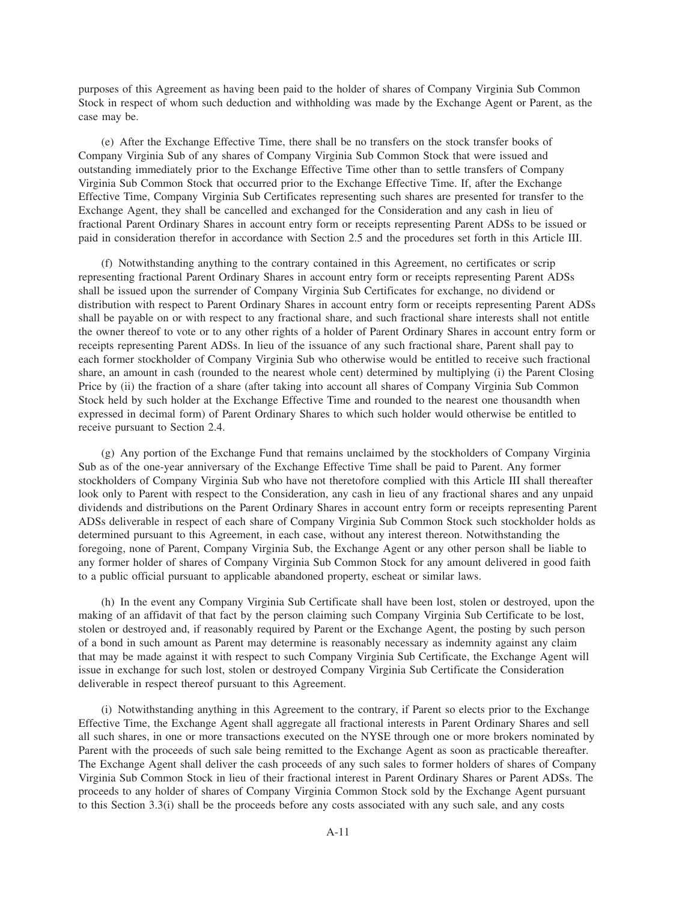purposes of this Agreement as having been paid to the holder of shares of Company Virginia Sub Common Stock in respect of whom such deduction and withholding was made by the Exchange Agent or Parent, as the case may be.

(e) After the Exchange Effective Time, there shall be no transfers on the stock transfer books of Company Virginia Sub of any shares of Company Virginia Sub Common Stock that were issued and outstanding immediately prior to the Exchange Effective Time other than to settle transfers of Company Virginia Sub Common Stock that occurred prior to the Exchange Effective Time. If, after the Exchange Effective Time, Company Virginia Sub Certificates representing such shares are presented for transfer to the Exchange Agent, they shall be cancelled and exchanged for the Consideration and any cash in lieu of fractional Parent Ordinary Shares in account entry form or receipts representing Parent ADSs to be issued or paid in consideration therefor in accordance with Section 2.5 and the procedures set forth in this Article III.

(f) Notwithstanding anything to the contrary contained in this Agreement, no certificates or scrip representing fractional Parent Ordinary Shares in account entry form or receipts representing Parent ADSs shall be issued upon the surrender of Company Virginia Sub Certificates for exchange, no dividend or distribution with respect to Parent Ordinary Shares in account entry form or receipts representing Parent ADSs shall be payable on or with respect to any fractional share, and such fractional share interests shall not entitle the owner thereof to vote or to any other rights of a holder of Parent Ordinary Shares in account entry form or receipts representing Parent ADSs. In lieu of the issuance of any such fractional share, Parent shall pay to each former stockholder of Company Virginia Sub who otherwise would be entitled to receive such fractional share, an amount in cash (rounded to the nearest whole cent) determined by multiplying (i) the Parent Closing Price by (ii) the fraction of a share (after taking into account all shares of Company Virginia Sub Common Stock held by such holder at the Exchange Effective Time and rounded to the nearest one thousandth when expressed in decimal form) of Parent Ordinary Shares to which such holder would otherwise be entitled to receive pursuant to Section 2.4.

(g) Any portion of the Exchange Fund that remains unclaimed by the stockholders of Company Virginia Sub as of the one-year anniversary of the Exchange Effective Time shall be paid to Parent. Any former stockholders of Company Virginia Sub who have not theretofore complied with this Article III shall thereafter look only to Parent with respect to the Consideration, any cash in lieu of any fractional shares and any unpaid dividends and distributions on the Parent Ordinary Shares in account entry form or receipts representing Parent ADSs deliverable in respect of each share of Company Virginia Sub Common Stock such stockholder holds as determined pursuant to this Agreement, in each case, without any interest thereon. Notwithstanding the foregoing, none of Parent, Company Virginia Sub, the Exchange Agent or any other person shall be liable to any former holder of shares of Company Virginia Sub Common Stock for any amount delivered in good faith to a public official pursuant to applicable abandoned property, escheat or similar laws.

(h) In the event any Company Virginia Sub Certificate shall have been lost, stolen or destroyed, upon the making of an affidavit of that fact by the person claiming such Company Virginia Sub Certificate to be lost, stolen or destroyed and, if reasonably required by Parent or the Exchange Agent, the posting by such person of a bond in such amount as Parent may determine is reasonably necessary as indemnity against any claim that may be made against it with respect to such Company Virginia Sub Certificate, the Exchange Agent will issue in exchange for such lost, stolen or destroyed Company Virginia Sub Certificate the Consideration deliverable in respect thereof pursuant to this Agreement.

(i) Notwithstanding anything in this Agreement to the contrary, if Parent so elects prior to the Exchange Effective Time, the Exchange Agent shall aggregate all fractional interests in Parent Ordinary Shares and sell all such shares, in one or more transactions executed on the NYSE through one or more brokers nominated by Parent with the proceeds of such sale being remitted to the Exchange Agent as soon as practicable thereafter. The Exchange Agent shall deliver the cash proceeds of any such sales to former holders of shares of Company Virginia Sub Common Stock in lieu of their fractional interest in Parent Ordinary Shares or Parent ADSs. The proceeds to any holder of shares of Company Virginia Common Stock sold by the Exchange Agent pursuant to this Section 3.3(i) shall be the proceeds before any costs associated with any such sale, and any costs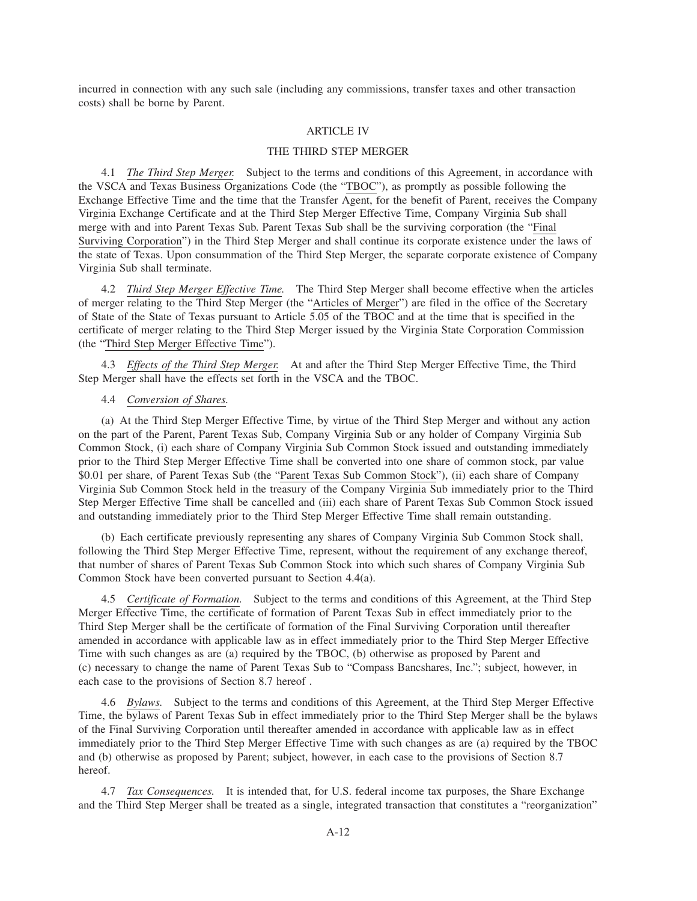incurred in connection with any such sale (including any commissions, transfer taxes and other transaction costs) shall be borne by Parent.

### ARTICLE IV

### THE THIRD STEP MERGER

4.1 *The Third Step Merger.* Subject to the terms and conditions of this Agreement, in accordance with the VSCA and Texas Business Organizations Code (the "TBOC"), as promptly as possible following the Exchange Effective Time and the time that the Transfer Agent, for the benefit of Parent, receives the Company Virginia Exchange Certificate and at the Third Step Merger Effective Time, Company Virginia Sub shall merge with and into Parent Texas Sub. Parent Texas Sub shall be the surviving corporation (the "Final Surviving Corporation") in the Third Step Merger and shall continue its corporate existence under the laws of the state of Texas. Upon consummation of the Third Step Merger, the separate corporate existence of Company Virginia Sub shall terminate.

4.2 *Third Step Merger Effective Time.* The Third Step Merger shall become effective when the articles of merger relating to the Third Step Merger (the "Articles of Merger") are filed in the office of the Secretary of State of the State of Texas pursuant to Article 5.05 of the TBOC and at the time that is specified in the certificate of merger relating to the Third Step Merger issued by the Virginia State Corporation Commission (the "Third Step Merger Effective Time").

4.3 *Effects of the Third Step Merger.* At and after the Third Step Merger Effective Time, the Third Step Merger shall have the effects set forth in the VSCA and the TBOC.

4.4 *Conversion of Shares.*

(a) At the Third Step Merger Effective Time, by virtue of the Third Step Merger and without any action on the part of the Parent, Parent Texas Sub, Company Virginia Sub or any holder of Company Virginia Sub Common Stock, (i) each share of Company Virginia Sub Common Stock issued and outstanding immediately prior to the Third Step Merger Effective Time shall be converted into one share of common stock, par value \$0.01 per share, of Parent Texas Sub (the "Parent Texas Sub Common Stock"), (ii) each share of Company Virginia Sub Common Stock held in the treasury of the Company Virginia Sub immediately prior to the Third Step Merger Effective Time shall be cancelled and (iii) each share of Parent Texas Sub Common Stock issued and outstanding immediately prior to the Third Step Merger Effective Time shall remain outstanding.

(b) Each certificate previously representing any shares of Company Virginia Sub Common Stock shall, following the Third Step Merger Effective Time, represent, without the requirement of any exchange thereof, that number of shares of Parent Texas Sub Common Stock into which such shares of Company Virginia Sub Common Stock have been converted pursuant to Section 4.4(a).

4.5 *Certificate of Formation.* Subject to the terms and conditions of this Agreement, at the Third Step Merger Effective Time, the certificate of formation of Parent Texas Sub in effect immediately prior to the Third Step Merger shall be the certificate of formation of the Final Surviving Corporation until thereafter amended in accordance with applicable law as in effect immediately prior to the Third Step Merger Effective Time with such changes as are (a) required by the TBOC, (b) otherwise as proposed by Parent and (c) necessary to change the name of Parent Texas Sub to "Compass Bancshares, Inc."; subject, however, in each case to the provisions of Section 8.7 hereof .

4.6 *Bylaws.* Subject to the terms and conditions of this Agreement, at the Third Step Merger Effective Time, the bylaws of Parent Texas Sub in effect immediately prior to the Third Step Merger shall be the bylaws of the Final Surviving Corporation until thereafter amended in accordance with applicable law as in effect immediately prior to the Third Step Merger Effective Time with such changes as are (a) required by the TBOC and (b) otherwise as proposed by Parent; subject, however, in each case to the provisions of Section 8.7 hereof.

4.7 *Tax Consequences.* It is intended that, for U.S. federal income tax purposes, the Share Exchange and the Third Step Merger shall be treated as a single, integrated transaction that constitutes a "reorganization"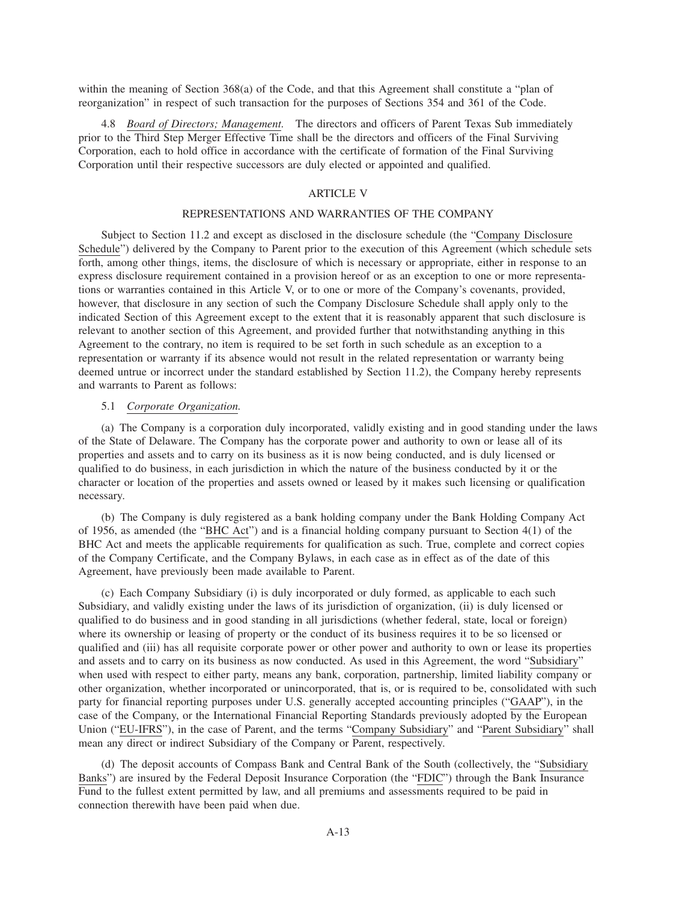within the meaning of Section 368(a) of the Code, and that this Agreement shall constitute a "plan of reorganization" in respect of such transaction for the purposes of Sections 354 and 361 of the Code.

4.8 *Board of Directors; Management.* The directors and officers of Parent Texas Sub immediately prior to the Third Step Merger Effective Time shall be the directors and officers of the Final Surviving Corporation, each to hold office in accordance with the certificate of formation of the Final Surviving Corporation until their respective successors are duly elected or appointed and qualified.

## ARTICLE V

## REPRESENTATIONS AND WARRANTIES OF THE COMPANY

Subject to Section 11.2 and except as disclosed in the disclosure schedule (the "Company Disclosure Schedule") delivered by the Company to Parent prior to the execution of this Agreement (which schedule sets forth, among other things, items, the disclosure of which is necessary or appropriate, either in response to an express disclosure requirement contained in a provision hereof or as an exception to one or more representations or warranties contained in this Article V, or to one or more of the Company's covenants, provided, however, that disclosure in any section of such the Company Disclosure Schedule shall apply only to the indicated Section of this Agreement except to the extent that it is reasonably apparent that such disclosure is relevant to another section of this Agreement, and provided further that notwithstanding anything in this Agreement to the contrary, no item is required to be set forth in such schedule as an exception to a representation or warranty if its absence would not result in the related representation or warranty being deemed untrue or incorrect under the standard established by Section 11.2), the Company hereby represents and warrants to Parent as follows:

### 5.1 *Corporate Organization.*

(a) The Company is a corporation duly incorporated, validly existing and in good standing under the laws of the State of Delaware. The Company has the corporate power and authority to own or lease all of its properties and assets and to carry on its business as it is now being conducted, and is duly licensed or qualified to do business, in each jurisdiction in which the nature of the business conducted by it or the character or location of the properties and assets owned or leased by it makes such licensing or qualification necessary.

(b) The Company is duly registered as a bank holding company under the Bank Holding Company Act of 1956, as amended (the "BHC Act") and is a financial holding company pursuant to Section 4(1) of the BHC Act and meets the applicable requirements for qualification as such. True, complete and correct copies of the Company Certificate, and the Company Bylaws, in each case as in effect as of the date of this Agreement, have previously been made available to Parent.

(c) Each Company Subsidiary (i) is duly incorporated or duly formed, as applicable to each such Subsidiary, and validly existing under the laws of its jurisdiction of organization, (ii) is duly licensed or qualified to do business and in good standing in all jurisdictions (whether federal, state, local or foreign) where its ownership or leasing of property or the conduct of its business requires it to be so licensed or qualified and (iii) has all requisite corporate power or other power and authority to own or lease its properties and assets and to carry on its business as now conducted. As used in this Agreement, the word "Subsidiary" when used with respect to either party, means any bank, corporation, partnership, limited liability company or other organization, whether incorporated or unincorporated, that is, or is required to be, consolidated with such party for financial reporting purposes under U.S. generally accepted accounting principles ("GAAP"), in the case of the Company, or the International Financial Reporting Standards previously adopted by the European Union ("EU-IFRS"), in the case of Parent, and the terms "Company Subsidiary" and "Parent Subsidiary" shall mean any direct or indirect Subsidiary of the Company or Parent, respectively.

(d) The deposit accounts of Compass Bank and Central Bank of the South (collectively, the "Subsidiary Banks") are insured by the Federal Deposit Insurance Corporation (the "FDIC") through the Bank Insurance Fund to the fullest extent permitted by law, and all premiums and assessments required to be paid in connection therewith have been paid when due.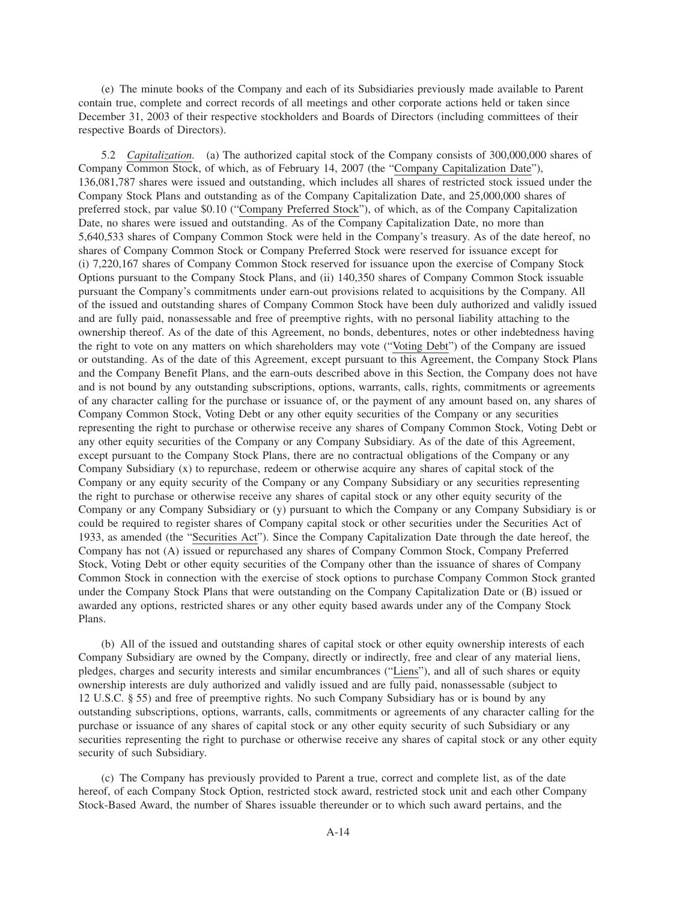(e) The minute books of the Company and each of its Subsidiaries previously made available to Parent contain true, complete and correct records of all meetings and other corporate actions held or taken since December 31, 2003 of their respective stockholders and Boards of Directors (including committees of their respective Boards of Directors).

5.2 *Capitalization.* (a) The authorized capital stock of the Company consists of 300,000,000 shares of Company Common Stock, of which, as of February 14, 2007 (the "Company Capitalization Date"), 136,081,787 shares were issued and outstanding, which includes all shares of restricted stock issued under the Company Stock Plans and outstanding as of the Company Capitalization Date, and 25,000,000 shares of preferred stock, par value \$0.10 ("Company Preferred Stock"), of which, as of the Company Capitalization Date, no shares were issued and outstanding. As of the Company Capitalization Date, no more than 5,640,533 shares of Company Common Stock were held in the Company's treasury. As of the date hereof, no shares of Company Common Stock or Company Preferred Stock were reserved for issuance except for (i) 7,220,167 shares of Company Common Stock reserved for issuance upon the exercise of Company Stock Options pursuant to the Company Stock Plans, and (ii) 140,350 shares of Company Common Stock issuable pursuant the Company's commitments under earn-out provisions related to acquisitions by the Company. All of the issued and outstanding shares of Company Common Stock have been duly authorized and validly issued and are fully paid, nonassessable and free of preemptive rights, with no personal liability attaching to the ownership thereof. As of the date of this Agreement, no bonds, debentures, notes or other indebtedness having the right to vote on any matters on which shareholders may vote ("Voting Debt") of the Company are issued or outstanding. As of the date of this Agreement, except pursuant to this Agreement, the Company Stock Plans and the Company Benefit Plans, and the earn-outs described above in this Section, the Company does not have and is not bound by any outstanding subscriptions, options, warrants, calls, rights, commitments or agreements of any character calling for the purchase or issuance of, or the payment of any amount based on, any shares of Company Common Stock, Voting Debt or any other equity securities of the Company or any securities representing the right to purchase or otherwise receive any shares of Company Common Stock, Voting Debt or any other equity securities of the Company or any Company Subsidiary. As of the date of this Agreement, except pursuant to the Company Stock Plans, there are no contractual obligations of the Company or any Company Subsidiary (x) to repurchase, redeem or otherwise acquire any shares of capital stock of the Company or any equity security of the Company or any Company Subsidiary or any securities representing the right to purchase or otherwise receive any shares of capital stock or any other equity security of the Company or any Company Subsidiary or (y) pursuant to which the Company or any Company Subsidiary is or could be required to register shares of Company capital stock or other securities under the Securities Act of 1933, as amended (the "Securities Act"). Since the Company Capitalization Date through the date hereof, the Company has not (A) issued or repurchased any shares of Company Common Stock, Company Preferred Stock, Voting Debt or other equity securities of the Company other than the issuance of shares of Company Common Stock in connection with the exercise of stock options to purchase Company Common Stock granted under the Company Stock Plans that were outstanding on the Company Capitalization Date or (B) issued or awarded any options, restricted shares or any other equity based awards under any of the Company Stock Plans.

(b) All of the issued and outstanding shares of capital stock or other equity ownership interests of each Company Subsidiary are owned by the Company, directly or indirectly, free and clear of any material liens, pledges, charges and security interests and similar encumbrances ("Liens"), and all of such shares or equity ownership interests are duly authorized and validly issued and are fully paid, nonassessable (subject to 12 U.S.C. § 55) and free of preemptive rights. No such Company Subsidiary has or is bound by any outstanding subscriptions, options, warrants, calls, commitments or agreements of any character calling for the purchase or issuance of any shares of capital stock or any other equity security of such Subsidiary or any securities representing the right to purchase or otherwise receive any shares of capital stock or any other equity security of such Subsidiary.

(c) The Company has previously provided to Parent a true, correct and complete list, as of the date hereof, of each Company Stock Option, restricted stock award, restricted stock unit and each other Company Stock-Based Award, the number of Shares issuable thereunder or to which such award pertains, and the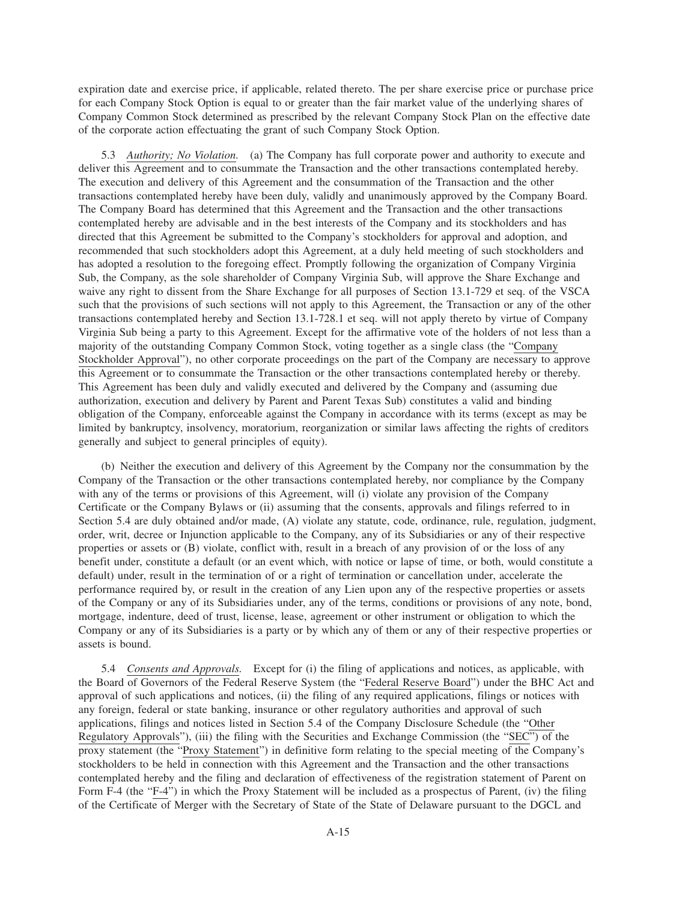expiration date and exercise price, if applicable, related thereto. The per share exercise price or purchase price for each Company Stock Option is equal to or greater than the fair market value of the underlying shares of Company Common Stock determined as prescribed by the relevant Company Stock Plan on the effective date of the corporate action effectuating the grant of such Company Stock Option.

5.3 *Authority; No Violation.* (a) The Company has full corporate power and authority to execute and deliver this Agreement and to consummate the Transaction and the other transactions contemplated hereby. The execution and delivery of this Agreement and the consummation of the Transaction and the other transactions contemplated hereby have been duly, validly and unanimously approved by the Company Board. The Company Board has determined that this Agreement and the Transaction and the other transactions contemplated hereby are advisable and in the best interests of the Company and its stockholders and has directed that this Agreement be submitted to the Company's stockholders for approval and adoption, and recommended that such stockholders adopt this Agreement, at a duly held meeting of such stockholders and has adopted a resolution to the foregoing effect. Promptly following the organization of Company Virginia Sub, the Company, as the sole shareholder of Company Virginia Sub, will approve the Share Exchange and waive any right to dissent from the Share Exchange for all purposes of Section 13.1-729 et seq. of the VSCA such that the provisions of such sections will not apply to this Agreement, the Transaction or any of the other transactions contemplated hereby and Section 13.1-728.1 et seq. will not apply thereto by virtue of Company Virginia Sub being a party to this Agreement. Except for the affirmative vote of the holders of not less than a majority of the outstanding Company Common Stock, voting together as a single class (the "Company Stockholder Approval"), no other corporate proceedings on the part of the Company are necessary to approve this Agreement or to consummate the Transaction or the other transactions contemplated hereby or thereby. This Agreement has been duly and validly executed and delivered by the Company and (assuming due authorization, execution and delivery by Parent and Parent Texas Sub) constitutes a valid and binding obligation of the Company, enforceable against the Company in accordance with its terms (except as may be limited by bankruptcy, insolvency, moratorium, reorganization or similar laws affecting the rights of creditors generally and subject to general principles of equity).

(b) Neither the execution and delivery of this Agreement by the Company nor the consummation by the Company of the Transaction or the other transactions contemplated hereby, nor compliance by the Company with any of the terms or provisions of this Agreement, will (i) violate any provision of the Company Certificate or the Company Bylaws or (ii) assuming that the consents, approvals and filings referred to in Section 5.4 are duly obtained and/or made, (A) violate any statute, code, ordinance, rule, regulation, judgment, order, writ, decree or Injunction applicable to the Company, any of its Subsidiaries or any of their respective properties or assets or (B) violate, conflict with, result in a breach of any provision of or the loss of any benefit under, constitute a default (or an event which, with notice or lapse of time, or both, would constitute a default) under, result in the termination of or a right of termination or cancellation under, accelerate the performance required by, or result in the creation of any Lien upon any of the respective properties or assets of the Company or any of its Subsidiaries under, any of the terms, conditions or provisions of any note, bond, mortgage, indenture, deed of trust, license, lease, agreement or other instrument or obligation to which the Company or any of its Subsidiaries is a party or by which any of them or any of their respective properties or assets is bound.

5.4 *Consents and Approvals.* Except for (i) the filing of applications and notices, as applicable, with the Board of Governors of the Federal Reserve System (the "Federal Reserve Board") under the BHC Act and approval of such applications and notices, (ii) the filing of any required applications, filings or notices with any foreign, federal or state banking, insurance or other regulatory authorities and approval of such applications, filings and notices listed in Section 5.4 of the Company Disclosure Schedule (the "Other Regulatory Approvals"), (iii) the filing with the Securities and Exchange Commission (the "SEC") of the proxy statement (the "Proxy Statement") in definitive form relating to the special meeting of the Company's stockholders to be held in connection with this Agreement and the Transaction and the other transactions contemplated hereby and the filing and declaration of effectiveness of the registration statement of Parent on Form F-4 (the "F-4") in which the Proxy Statement will be included as a prospectus of Parent, (iv) the filing of the Certificate of Merger with the Secretary of State of the State of Delaware pursuant to the DGCL and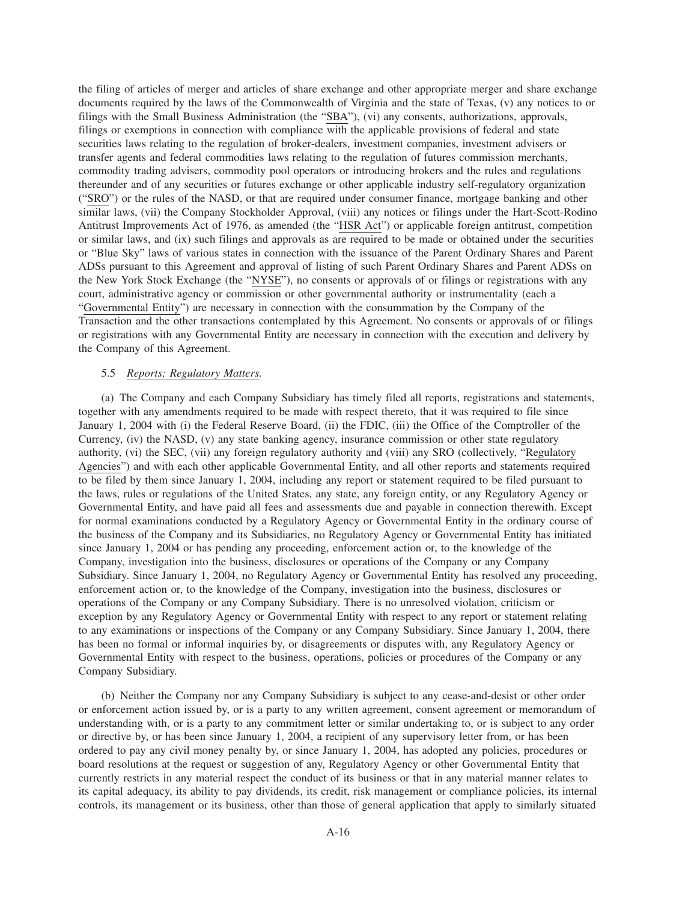the filing of articles of merger and articles of share exchange and other appropriate merger and share exchange documents required by the laws of the Commonwealth of Virginia and the state of Texas, (v) any notices to or filings with the Small Business Administration (the "SBA"), (vi) any consents, authorizations, approvals, filings or exemptions in connection with compliance with the applicable provisions of federal and state securities laws relating to the regulation of broker-dealers, investment companies, investment advisers or transfer agents and federal commodities laws relating to the regulation of futures commission merchants, commodity trading advisers, commodity pool operators or introducing brokers and the rules and regulations thereunder and of any securities or futures exchange or other applicable industry self-regulatory organization ("SRO") or the rules of the NASD, or that are required under consumer finance, mortgage banking and other similar laws, (vii) the Company Stockholder Approval, (viii) any notices or filings under the Hart-Scott-Rodino Antitrust Improvements Act of 1976, as amended (the "HSR Act") or applicable foreign antitrust, competition or similar laws, and (ix) such filings and approvals as are required to be made or obtained under the securities or "Blue Sky" laws of various states in connection with the issuance of the Parent Ordinary Shares and Parent ADSs pursuant to this Agreement and approval of listing of such Parent Ordinary Shares and Parent ADSs on the New York Stock Exchange (the "NYSE"), no consents or approvals of or filings or registrations with any court, administrative agency or commission or other governmental authority or instrumentality (each a "Governmental Entity") are necessary in connection with the consummation by the Company of the Transaction and the other transactions contemplated by this Agreement. No consents or approvals of or filings or registrations with any Governmental Entity are necessary in connection with the execution and delivery by the Company of this Agreement.

### 5.5 *Reports; Regulatory Matters.*

(a) The Company and each Company Subsidiary has timely filed all reports, registrations and statements, together with any amendments required to be made with respect thereto, that it was required to file since January 1, 2004 with (i) the Federal Reserve Board, (ii) the FDIC, (iii) the Office of the Comptroller of the Currency, (iv) the NASD, (v) any state banking agency, insurance commission or other state regulatory authority, (vi) the SEC, (vii) any foreign regulatory authority and (viii) any SRO (collectively, "Regulatory Agencies") and with each other applicable Governmental Entity, and all other reports and statements required to be filed by them since January 1, 2004, including any report or statement required to be filed pursuant to the laws, rules or regulations of the United States, any state, any foreign entity, or any Regulatory Agency or Governmental Entity, and have paid all fees and assessments due and payable in connection therewith. Except for normal examinations conducted by a Regulatory Agency or Governmental Entity in the ordinary course of the business of the Company and its Subsidiaries, no Regulatory Agency or Governmental Entity has initiated since January 1, 2004 or has pending any proceeding, enforcement action or, to the knowledge of the Company, investigation into the business, disclosures or operations of the Company or any Company Subsidiary. Since January 1, 2004, no Regulatory Agency or Governmental Entity has resolved any proceeding, enforcement action or, to the knowledge of the Company, investigation into the business, disclosures or operations of the Company or any Company Subsidiary. There is no unresolved violation, criticism or exception by any Regulatory Agency or Governmental Entity with respect to any report or statement relating to any examinations or inspections of the Company or any Company Subsidiary. Since January 1, 2004, there has been no formal or informal inquiries by, or disagreements or disputes with, any Regulatory Agency or Governmental Entity with respect to the business, operations, policies or procedures of the Company or any Company Subsidiary.

(b) Neither the Company nor any Company Subsidiary is subject to any cease-and-desist or other order or enforcement action issued by, or is a party to any written agreement, consent agreement or memorandum of understanding with, or is a party to any commitment letter or similar undertaking to, or is subject to any order or directive by, or has been since January 1, 2004, a recipient of any supervisory letter from, or has been ordered to pay any civil money penalty by, or since January 1, 2004, has adopted any policies, procedures or board resolutions at the request or suggestion of any, Regulatory Agency or other Governmental Entity that currently restricts in any material respect the conduct of its business or that in any material manner relates to its capital adequacy, its ability to pay dividends, its credit, risk management or compliance policies, its internal controls, its management or its business, other than those of general application that apply to similarly situated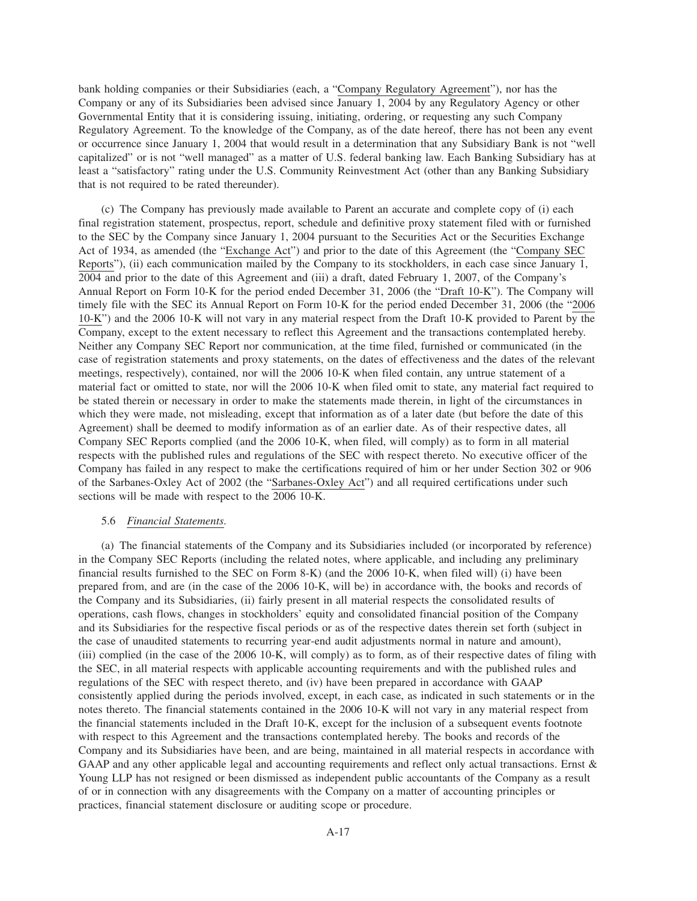bank holding companies or their Subsidiaries (each, a "Company Regulatory Agreement"), nor has the Company or any of its Subsidiaries been advised since January 1, 2004 by any Regulatory Agency or other Governmental Entity that it is considering issuing, initiating, ordering, or requesting any such Company Regulatory Agreement. To the knowledge of the Company, as of the date hereof, there has not been any event or occurrence since January 1, 2004 that would result in a determination that any Subsidiary Bank is not "well capitalized" or is not "well managed" as a matter of U.S. federal banking law. Each Banking Subsidiary has at least a "satisfactory" rating under the U.S. Community Reinvestment Act (other than any Banking Subsidiary that is not required to be rated thereunder).

(c) The Company has previously made available to Parent an accurate and complete copy of (i) each final registration statement, prospectus, report, schedule and definitive proxy statement filed with or furnished to the SEC by the Company since January 1, 2004 pursuant to the Securities Act or the Securities Exchange Act of 1934, as amended (the "Exchange Act") and prior to the date of this Agreement (the "Company SEC Reports"), (ii) each communication mailed by the Company to its stockholders, in each case since January  $1$ , 2004 and prior to the date of this Agreement and (iii) a draft, dated February 1, 2007, of the Company's Annual Report on Form 10-K for the period ended December 31, 2006 (the "Draft 10-K"). The Company will timely file with the SEC its Annual Report on Form 10-K for the period ended December 31, 2006 (the "2006 10-K") and the 2006 10-K will not vary in any material respect from the Draft 10-K provided to Parent by the Company, except to the extent necessary to reflect this Agreement and the transactions contemplated hereby. Neither any Company SEC Report nor communication, at the time filed, furnished or communicated (in the case of registration statements and proxy statements, on the dates of effectiveness and the dates of the relevant meetings, respectively), contained, nor will the 2006 10-K when filed contain, any untrue statement of a material fact or omitted to state, nor will the 2006 10-K when filed omit to state, any material fact required to be stated therein or necessary in order to make the statements made therein, in light of the circumstances in which they were made, not misleading, except that information as of a later date (but before the date of this Agreement) shall be deemed to modify information as of an earlier date. As of their respective dates, all Company SEC Reports complied (and the 2006 10-K, when filed, will comply) as to form in all material respects with the published rules and regulations of the SEC with respect thereto. No executive officer of the Company has failed in any respect to make the certifications required of him or her under Section 302 or 906 of the Sarbanes-Oxley Act of 2002 (the "Sarbanes-Oxley Act") and all required certifications under such sections will be made with respect to the 2006 10-K.

#### 5.6 *Financial Statements.*

(a) The financial statements of the Company and its Subsidiaries included (or incorporated by reference) in the Company SEC Reports (including the related notes, where applicable, and including any preliminary financial results furnished to the SEC on Form 8-K) (and the 2006 10-K, when filed will) (i) have been prepared from, and are (in the case of the 2006 10-K, will be) in accordance with, the books and records of the Company and its Subsidiaries, (ii) fairly present in all material respects the consolidated results of operations, cash flows, changes in stockholders' equity and consolidated financial position of the Company and its Subsidiaries for the respective fiscal periods or as of the respective dates therein set forth (subject in the case of unaudited statements to recurring year-end audit adjustments normal in nature and amount), (iii) complied (in the case of the 2006 10-K, will comply) as to form, as of their respective dates of filing with the SEC, in all material respects with applicable accounting requirements and with the published rules and regulations of the SEC with respect thereto, and (iv) have been prepared in accordance with GAAP consistently applied during the periods involved, except, in each case, as indicated in such statements or in the notes thereto. The financial statements contained in the 2006 10-K will not vary in any material respect from the financial statements included in the Draft 10-K, except for the inclusion of a subsequent events footnote with respect to this Agreement and the transactions contemplated hereby. The books and records of the Company and its Subsidiaries have been, and are being, maintained in all material respects in accordance with GAAP and any other applicable legal and accounting requirements and reflect only actual transactions. Ernst & Young LLP has not resigned or been dismissed as independent public accountants of the Company as a result of or in connection with any disagreements with the Company on a matter of accounting principles or practices, financial statement disclosure or auditing scope or procedure.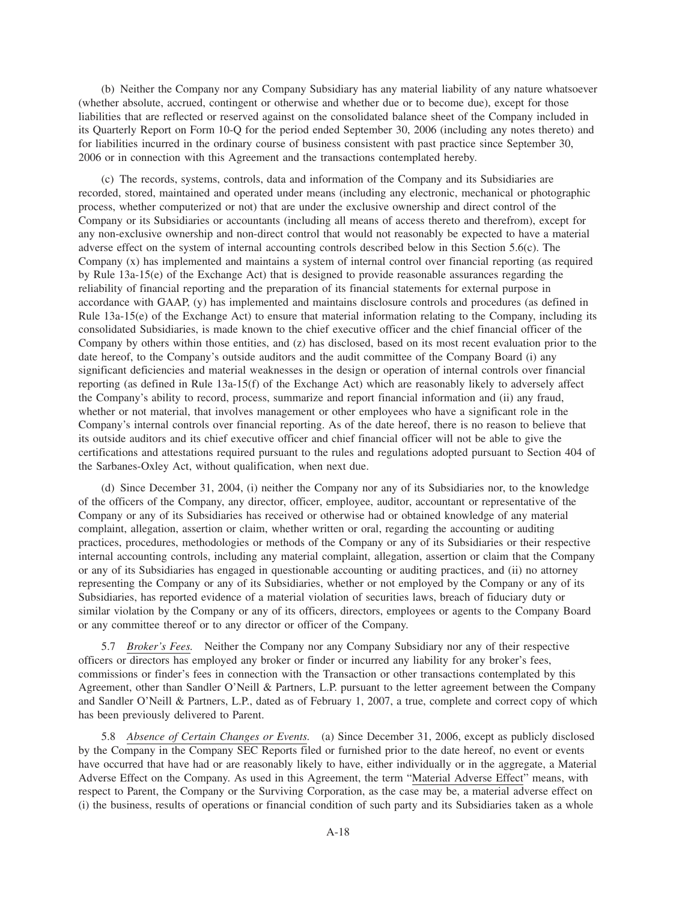(b) Neither the Company nor any Company Subsidiary has any material liability of any nature whatsoever (whether absolute, accrued, contingent or otherwise and whether due or to become due), except for those liabilities that are reflected or reserved against on the consolidated balance sheet of the Company included in its Quarterly Report on Form 10-Q for the period ended September 30, 2006 (including any notes thereto) and for liabilities incurred in the ordinary course of business consistent with past practice since September 30, 2006 or in connection with this Agreement and the transactions contemplated hereby.

(c) The records, systems, controls, data and information of the Company and its Subsidiaries are recorded, stored, maintained and operated under means (including any electronic, mechanical or photographic process, whether computerized or not) that are under the exclusive ownership and direct control of the Company or its Subsidiaries or accountants (including all means of access thereto and therefrom), except for any non-exclusive ownership and non-direct control that would not reasonably be expected to have a material adverse effect on the system of internal accounting controls described below in this Section 5.6(c). The Company (x) has implemented and maintains a system of internal control over financial reporting (as required by Rule 13a-15(e) of the Exchange Act) that is designed to provide reasonable assurances regarding the reliability of financial reporting and the preparation of its financial statements for external purpose in accordance with GAAP, (y) has implemented and maintains disclosure controls and procedures (as defined in Rule 13a-15(e) of the Exchange Act) to ensure that material information relating to the Company, including its consolidated Subsidiaries, is made known to the chief executive officer and the chief financial officer of the Company by others within those entities, and (z) has disclosed, based on its most recent evaluation prior to the date hereof, to the Company's outside auditors and the audit committee of the Company Board (i) any significant deficiencies and material weaknesses in the design or operation of internal controls over financial reporting (as defined in Rule 13a-15(f) of the Exchange Act) which are reasonably likely to adversely affect the Company's ability to record, process, summarize and report financial information and (ii) any fraud, whether or not material, that involves management or other employees who have a significant role in the Company's internal controls over financial reporting. As of the date hereof, there is no reason to believe that its outside auditors and its chief executive officer and chief financial officer will not be able to give the certifications and attestations required pursuant to the rules and regulations adopted pursuant to Section 404 of the Sarbanes-Oxley Act, without qualification, when next due.

(d) Since December 31, 2004, (i) neither the Company nor any of its Subsidiaries nor, to the knowledge of the officers of the Company, any director, officer, employee, auditor, accountant or representative of the Company or any of its Subsidiaries has received or otherwise had or obtained knowledge of any material complaint, allegation, assertion or claim, whether written or oral, regarding the accounting or auditing practices, procedures, methodologies or methods of the Company or any of its Subsidiaries or their respective internal accounting controls, including any material complaint, allegation, assertion or claim that the Company or any of its Subsidiaries has engaged in questionable accounting or auditing practices, and (ii) no attorney representing the Company or any of its Subsidiaries, whether or not employed by the Company or any of its Subsidiaries, has reported evidence of a material violation of securities laws, breach of fiduciary duty or similar violation by the Company or any of its officers, directors, employees or agents to the Company Board or any committee thereof or to any director or officer of the Company.

5.7 *Broker's Fees.* Neither the Company nor any Company Subsidiary nor any of their respective officers or directors has employed any broker or finder or incurred any liability for any broker's fees, commissions or finder's fees in connection with the Transaction or other transactions contemplated by this Agreement, other than Sandler O'Neill & Partners, L.P. pursuant to the letter agreement between the Company and Sandler O'Neill & Partners, L.P., dated as of February 1, 2007, a true, complete and correct copy of which has been previously delivered to Parent.

5.8 *Absence of Certain Changes or Events.* (a) Since December 31, 2006, except as publicly disclosed by the Company in the Company SEC Reports filed or furnished prior to the date hereof, no event or events have occurred that have had or are reasonably likely to have, either individually or in the aggregate, a Material Adverse Effect on the Company. As used in this Agreement, the term "Material Adverse Effect" means, with respect to Parent, the Company or the Surviving Corporation, as the case may be, a material adverse effect on (i) the business, results of operations or financial condition of such party and its Subsidiaries taken as a whole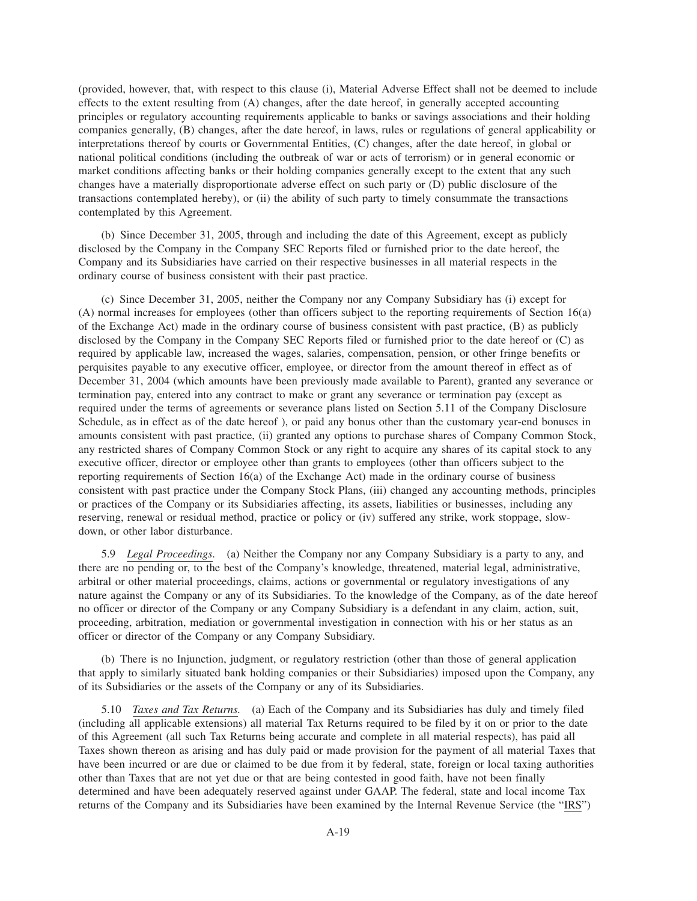(provided, however, that, with respect to this clause (i), Material Adverse Effect shall not be deemed to include effects to the extent resulting from (A) changes, after the date hereof, in generally accepted accounting principles or regulatory accounting requirements applicable to banks or savings associations and their holding companies generally, (B) changes, after the date hereof, in laws, rules or regulations of general applicability or interpretations thereof by courts or Governmental Entities, (C) changes, after the date hereof, in global or national political conditions (including the outbreak of war or acts of terrorism) or in general economic or market conditions affecting banks or their holding companies generally except to the extent that any such changes have a materially disproportionate adverse effect on such party or (D) public disclosure of the transactions contemplated hereby), or (ii) the ability of such party to timely consummate the transactions contemplated by this Agreement.

(b) Since December 31, 2005, through and including the date of this Agreement, except as publicly disclosed by the Company in the Company SEC Reports filed or furnished prior to the date hereof, the Company and its Subsidiaries have carried on their respective businesses in all material respects in the ordinary course of business consistent with their past practice.

(c) Since December 31, 2005, neither the Company nor any Company Subsidiary has (i) except for (A) normal increases for employees (other than officers subject to the reporting requirements of Section 16(a) of the Exchange Act) made in the ordinary course of business consistent with past practice, (B) as publicly disclosed by the Company in the Company SEC Reports filed or furnished prior to the date hereof or (C) as required by applicable law, increased the wages, salaries, compensation, pension, or other fringe benefits or perquisites payable to any executive officer, employee, or director from the amount thereof in effect as of December 31, 2004 (which amounts have been previously made available to Parent), granted any severance or termination pay, entered into any contract to make or grant any severance or termination pay (except as required under the terms of agreements or severance plans listed on Section 5.11 of the Company Disclosure Schedule, as in effect as of the date hereof ), or paid any bonus other than the customary year-end bonuses in amounts consistent with past practice, (ii) granted any options to purchase shares of Company Common Stock, any restricted shares of Company Common Stock or any right to acquire any shares of its capital stock to any executive officer, director or employee other than grants to employees (other than officers subject to the reporting requirements of Section 16(a) of the Exchange Act) made in the ordinary course of business consistent with past practice under the Company Stock Plans, (iii) changed any accounting methods, principles or practices of the Company or its Subsidiaries affecting, its assets, liabilities or businesses, including any reserving, renewal or residual method, practice or policy or (iv) suffered any strike, work stoppage, slowdown, or other labor disturbance.

5.9 *Legal Proceedings.* (a) Neither the Company nor any Company Subsidiary is a party to any, and there are no pending or, to the best of the Company's knowledge, threatened, material legal, administrative, arbitral or other material proceedings, claims, actions or governmental or regulatory investigations of any nature against the Company or any of its Subsidiaries. To the knowledge of the Company, as of the date hereof no officer or director of the Company or any Company Subsidiary is a defendant in any claim, action, suit, proceeding, arbitration, mediation or governmental investigation in connection with his or her status as an officer or director of the Company or any Company Subsidiary.

(b) There is no Injunction, judgment, or regulatory restriction (other than those of general application that apply to similarly situated bank holding companies or their Subsidiaries) imposed upon the Company, any of its Subsidiaries or the assets of the Company or any of its Subsidiaries.

5.10 *Taxes and Tax Returns.* (a) Each of the Company and its Subsidiaries has duly and timely filed (including all applicable extensions) all material Tax Returns required to be filed by it on or prior to the date of this Agreement (all such Tax Returns being accurate and complete in all material respects), has paid all Taxes shown thereon as arising and has duly paid or made provision for the payment of all material Taxes that have been incurred or are due or claimed to be due from it by federal, state, foreign or local taxing authorities other than Taxes that are not yet due or that are being contested in good faith, have not been finally determined and have been adequately reserved against under GAAP. The federal, state and local income Tax returns of the Company and its Subsidiaries have been examined by the Internal Revenue Service (the "IRS")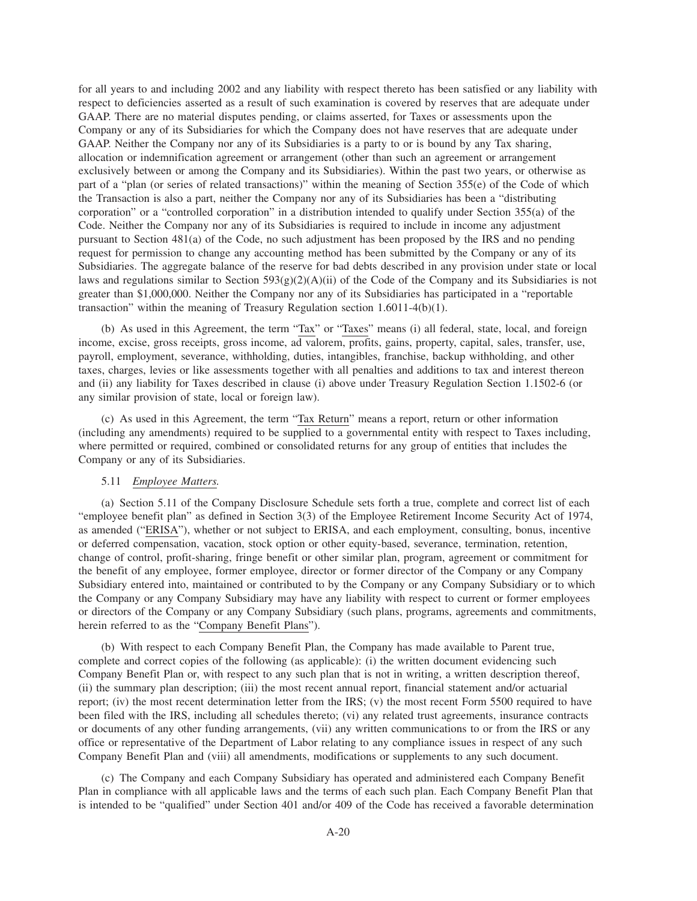for all years to and including 2002 and any liability with respect thereto has been satisfied or any liability with respect to deficiencies asserted as a result of such examination is covered by reserves that are adequate under GAAP. There are no material disputes pending, or claims asserted, for Taxes or assessments upon the Company or any of its Subsidiaries for which the Company does not have reserves that are adequate under GAAP. Neither the Company nor any of its Subsidiaries is a party to or is bound by any Tax sharing, allocation or indemnification agreement or arrangement (other than such an agreement or arrangement exclusively between or among the Company and its Subsidiaries). Within the past two years, or otherwise as part of a "plan (or series of related transactions)" within the meaning of Section 355(e) of the Code of which the Transaction is also a part, neither the Company nor any of its Subsidiaries has been a "distributing corporation" or a "controlled corporation" in a distribution intended to qualify under Section 355(a) of the Code. Neither the Company nor any of its Subsidiaries is required to include in income any adjustment pursuant to Section 481(a) of the Code, no such adjustment has been proposed by the IRS and no pending request for permission to change any accounting method has been submitted by the Company or any of its Subsidiaries. The aggregate balance of the reserve for bad debts described in any provision under state or local laws and regulations similar to Section  $593(g)(2)(A)(ii)$  of the Code of the Company and its Subsidiaries is not greater than \$1,000,000. Neither the Company nor any of its Subsidiaries has participated in a "reportable transaction" within the meaning of Treasury Regulation section 1.6011-4(b)(1).

(b) As used in this Agreement, the term "Tax" or "Taxes" means (i) all federal, state, local, and foreign income, excise, gross receipts, gross income, ad valorem, profits, gains, property, capital, sales, transfer, use, payroll, employment, severance, withholding, duties, intangibles, franchise, backup withholding, and other taxes, charges, levies or like assessments together with all penalties and additions to tax and interest thereon and (ii) any liability for Taxes described in clause (i) above under Treasury Regulation Section 1.1502-6 (or any similar provision of state, local or foreign law).

(c) As used in this Agreement, the term "Tax Return" means a report, return or other information (including any amendments) required to be supplied to a governmental entity with respect to Taxes including, where permitted or required, combined or consolidated returns for any group of entities that includes the Company or any of its Subsidiaries.

## 5.11 *Employee Matters.*

(a) Section 5.11 of the Company Disclosure Schedule sets forth a true, complete and correct list of each "employee benefit plan" as defined in Section 3(3) of the Employee Retirement Income Security Act of 1974, as amended ("ERISA"), whether or not subject to ERISA, and each employment, consulting, bonus, incentive or deferred compensation, vacation, stock option or other equity-based, severance, termination, retention, change of control, profit-sharing, fringe benefit or other similar plan, program, agreement or commitment for the benefit of any employee, former employee, director or former director of the Company or any Company Subsidiary entered into, maintained or contributed to by the Company or any Company Subsidiary or to which the Company or any Company Subsidiary may have any liability with respect to current or former employees or directors of the Company or any Company Subsidiary (such plans, programs, agreements and commitments, herein referred to as the "Company Benefit Plans").

(b) With respect to each Company Benefit Plan, the Company has made available to Parent true, complete and correct copies of the following (as applicable): (i) the written document evidencing such Company Benefit Plan or, with respect to any such plan that is not in writing, a written description thereof, (ii) the summary plan description; (iii) the most recent annual report, financial statement and/or actuarial report; (iv) the most recent determination letter from the IRS; (v) the most recent Form 5500 required to have been filed with the IRS, including all schedules thereto; (vi) any related trust agreements, insurance contracts or documents of any other funding arrangements, (vii) any written communications to or from the IRS or any office or representative of the Department of Labor relating to any compliance issues in respect of any such Company Benefit Plan and (viii) all amendments, modifications or supplements to any such document.

(c) The Company and each Company Subsidiary has operated and administered each Company Benefit Plan in compliance with all applicable laws and the terms of each such plan. Each Company Benefit Plan that is intended to be "qualified" under Section 401 and/or 409 of the Code has received a favorable determination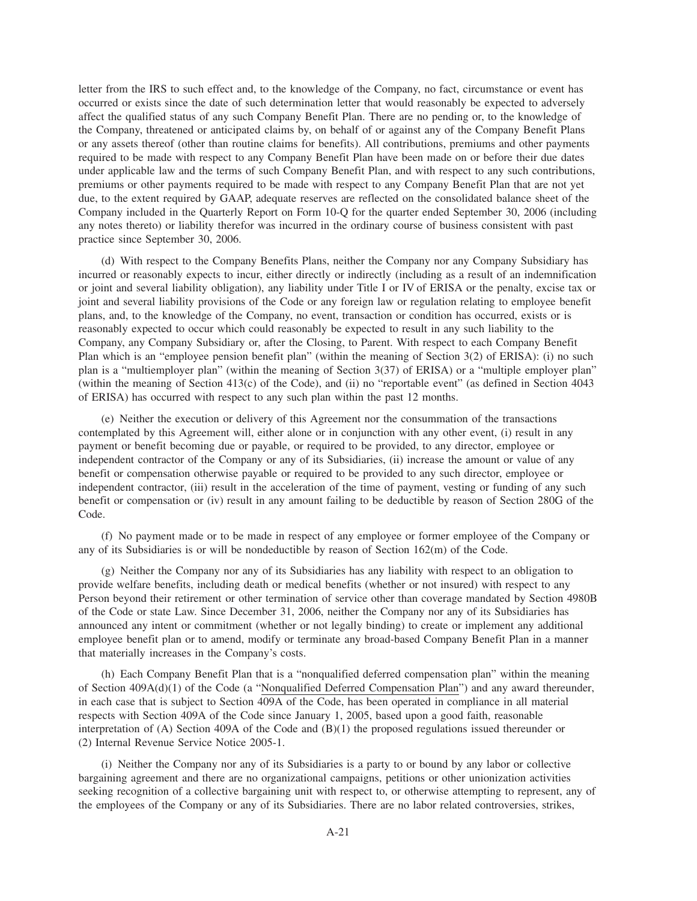letter from the IRS to such effect and, to the knowledge of the Company, no fact, circumstance or event has occurred or exists since the date of such determination letter that would reasonably be expected to adversely affect the qualified status of any such Company Benefit Plan. There are no pending or, to the knowledge of the Company, threatened or anticipated claims by, on behalf of or against any of the Company Benefit Plans or any assets thereof (other than routine claims for benefits). All contributions, premiums and other payments required to be made with respect to any Company Benefit Plan have been made on or before their due dates under applicable law and the terms of such Company Benefit Plan, and with respect to any such contributions, premiums or other payments required to be made with respect to any Company Benefit Plan that are not yet due, to the extent required by GAAP, adequate reserves are reflected on the consolidated balance sheet of the Company included in the Quarterly Report on Form 10-Q for the quarter ended September 30, 2006 (including any notes thereto) or liability therefor was incurred in the ordinary course of business consistent with past practice since September 30, 2006.

(d) With respect to the Company Benefits Plans, neither the Company nor any Company Subsidiary has incurred or reasonably expects to incur, either directly or indirectly (including as a result of an indemnification or joint and several liability obligation), any liability under Title I or IV of ERISA or the penalty, excise tax or joint and several liability provisions of the Code or any foreign law or regulation relating to employee benefit plans, and, to the knowledge of the Company, no event, transaction or condition has occurred, exists or is reasonably expected to occur which could reasonably be expected to result in any such liability to the Company, any Company Subsidiary or, after the Closing, to Parent. With respect to each Company Benefit Plan which is an "employee pension benefit plan" (within the meaning of Section 3(2) of ERISA): (i) no such plan is a "multiemployer plan" (within the meaning of Section 3(37) of ERISA) or a "multiple employer plan" (within the meaning of Section 413(c) of the Code), and (ii) no "reportable event" (as defined in Section 4043 of ERISA) has occurred with respect to any such plan within the past 12 months.

(e) Neither the execution or delivery of this Agreement nor the consummation of the transactions contemplated by this Agreement will, either alone or in conjunction with any other event, (i) result in any payment or benefit becoming due or payable, or required to be provided, to any director, employee or independent contractor of the Company or any of its Subsidiaries, (ii) increase the amount or value of any benefit or compensation otherwise payable or required to be provided to any such director, employee or independent contractor, (iii) result in the acceleration of the time of payment, vesting or funding of any such benefit or compensation or (iv) result in any amount failing to be deductible by reason of Section 280G of the Code.

(f) No payment made or to be made in respect of any employee or former employee of the Company or any of its Subsidiaries is or will be nondeductible by reason of Section 162(m) of the Code.

(g) Neither the Company nor any of its Subsidiaries has any liability with respect to an obligation to provide welfare benefits, including death or medical benefits (whether or not insured) with respect to any Person beyond their retirement or other termination of service other than coverage mandated by Section 4980B of the Code or state Law. Since December 31, 2006, neither the Company nor any of its Subsidiaries has announced any intent or commitment (whether or not legally binding) to create or implement any additional employee benefit plan or to amend, modify or terminate any broad-based Company Benefit Plan in a manner that materially increases in the Company's costs.

(h) Each Company Benefit Plan that is a "nonqualified deferred compensation plan" within the meaning of Section 409A(d)(1) of the Code (a "Nonqualified Deferred Compensation Plan") and any award thereunder, in each case that is subject to Section 409A of the Code, has been operated in compliance in all material respects with Section 409A of the Code since January 1, 2005, based upon a good faith, reasonable interpretation of (A) Section 409A of the Code and (B)(1) the proposed regulations issued thereunder or (2) Internal Revenue Service Notice 2005-1.

(i) Neither the Company nor any of its Subsidiaries is a party to or bound by any labor or collective bargaining agreement and there are no organizational campaigns, petitions or other unionization activities seeking recognition of a collective bargaining unit with respect to, or otherwise attempting to represent, any of the employees of the Company or any of its Subsidiaries. There are no labor related controversies, strikes,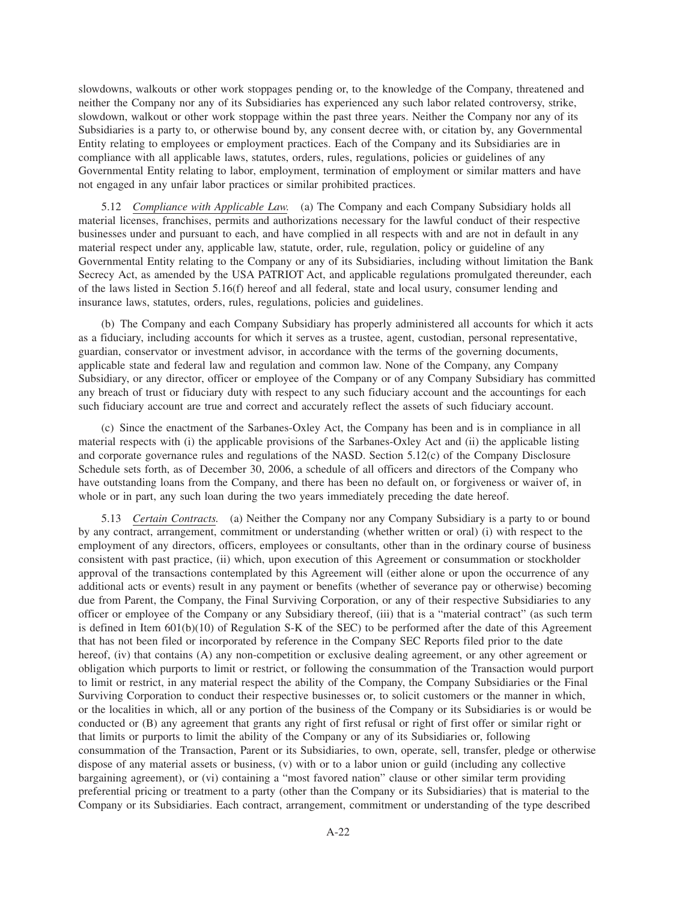slowdowns, walkouts or other work stoppages pending or, to the knowledge of the Company, threatened and neither the Company nor any of its Subsidiaries has experienced any such labor related controversy, strike, slowdown, walkout or other work stoppage within the past three years. Neither the Company nor any of its Subsidiaries is a party to, or otherwise bound by, any consent decree with, or citation by, any Governmental Entity relating to employees or employment practices. Each of the Company and its Subsidiaries are in compliance with all applicable laws, statutes, orders, rules, regulations, policies or guidelines of any Governmental Entity relating to labor, employment, termination of employment or similar matters and have not engaged in any unfair labor practices or similar prohibited practices.

5.12 *Compliance with Applicable Law.* (a) The Company and each Company Subsidiary holds all material licenses, franchises, permits and authorizations necessary for the lawful conduct of their respective businesses under and pursuant to each, and have complied in all respects with and are not in default in any material respect under any, applicable law, statute, order, rule, regulation, policy or guideline of any Governmental Entity relating to the Company or any of its Subsidiaries, including without limitation the Bank Secrecy Act, as amended by the USA PATRIOT Act, and applicable regulations promulgated thereunder, each of the laws listed in Section 5.16(f) hereof and all federal, state and local usury, consumer lending and insurance laws, statutes, orders, rules, regulations, policies and guidelines.

(b) The Company and each Company Subsidiary has properly administered all accounts for which it acts as a fiduciary, including accounts for which it serves as a trustee, agent, custodian, personal representative, guardian, conservator or investment advisor, in accordance with the terms of the governing documents, applicable state and federal law and regulation and common law. None of the Company, any Company Subsidiary, or any director, officer or employee of the Company or of any Company Subsidiary has committed any breach of trust or fiduciary duty with respect to any such fiduciary account and the accountings for each such fiduciary account are true and correct and accurately reflect the assets of such fiduciary account.

(c) Since the enactment of the Sarbanes-Oxley Act, the Company has been and is in compliance in all material respects with (i) the applicable provisions of the Sarbanes-Oxley Act and (ii) the applicable listing and corporate governance rules and regulations of the NASD. Section 5.12(c) of the Company Disclosure Schedule sets forth, as of December 30, 2006, a schedule of all officers and directors of the Company who have outstanding loans from the Company, and there has been no default on, or forgiveness or waiver of, in whole or in part, any such loan during the two years immediately preceding the date hereof.

5.13 *Certain Contracts.* (a) Neither the Company nor any Company Subsidiary is a party to or bound by any contract, arrangement, commitment or understanding (whether written or oral) (i) with respect to the employment of any directors, officers, employees or consultants, other than in the ordinary course of business consistent with past practice, (ii) which, upon execution of this Agreement or consummation or stockholder approval of the transactions contemplated by this Agreement will (either alone or upon the occurrence of any additional acts or events) result in any payment or benefits (whether of severance pay or otherwise) becoming due from Parent, the Company, the Final Surviving Corporation, or any of their respective Subsidiaries to any officer or employee of the Company or any Subsidiary thereof, (iii) that is a "material contract" (as such term is defined in Item 601(b)(10) of Regulation S-K of the SEC) to be performed after the date of this Agreement that has not been filed or incorporated by reference in the Company SEC Reports filed prior to the date hereof, (iv) that contains (A) any non-competition or exclusive dealing agreement, or any other agreement or obligation which purports to limit or restrict, or following the consummation of the Transaction would purport to limit or restrict, in any material respect the ability of the Company, the Company Subsidiaries or the Final Surviving Corporation to conduct their respective businesses or, to solicit customers or the manner in which, or the localities in which, all or any portion of the business of the Company or its Subsidiaries is or would be conducted or (B) any agreement that grants any right of first refusal or right of first offer or similar right or that limits or purports to limit the ability of the Company or any of its Subsidiaries or, following consummation of the Transaction, Parent or its Subsidiaries, to own, operate, sell, transfer, pledge or otherwise dispose of any material assets or business, (v) with or to a labor union or guild (including any collective bargaining agreement), or (vi) containing a "most favored nation" clause or other similar term providing preferential pricing or treatment to a party (other than the Company or its Subsidiaries) that is material to the Company or its Subsidiaries. Each contract, arrangement, commitment or understanding of the type described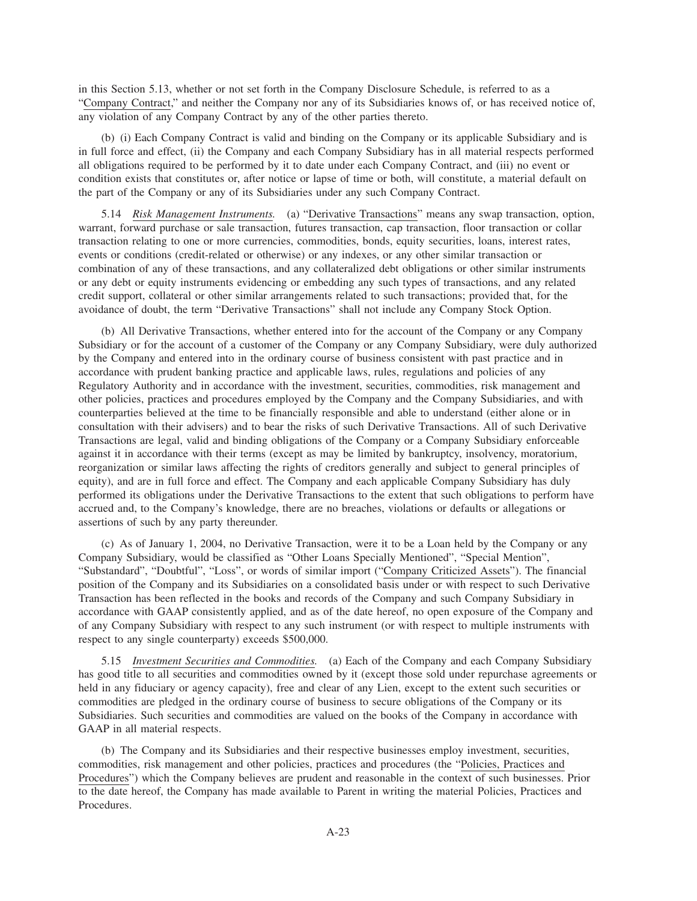in this Section 5.13, whether or not set forth in the Company Disclosure Schedule, is referred to as a "Company Contract," and neither the Company nor any of its Subsidiaries knows of, or has received notice of, any violation of any Company Contract by any of the other parties thereto.

(b) (i) Each Company Contract is valid and binding on the Company or its applicable Subsidiary and is in full force and effect, (ii) the Company and each Company Subsidiary has in all material respects performed all obligations required to be performed by it to date under each Company Contract, and (iii) no event or condition exists that constitutes or, after notice or lapse of time or both, will constitute, a material default on the part of the Company or any of its Subsidiaries under any such Company Contract.

5.14 *Risk Management Instruments.* (a) "Derivative Transactions" means any swap transaction, option, warrant, forward purchase or sale transaction, futures transaction, cap transaction, floor transaction or collar transaction relating to one or more currencies, commodities, bonds, equity securities, loans, interest rates, events or conditions (credit-related or otherwise) or any indexes, or any other similar transaction or combination of any of these transactions, and any collateralized debt obligations or other similar instruments or any debt or equity instruments evidencing or embedding any such types of transactions, and any related credit support, collateral or other similar arrangements related to such transactions; provided that, for the avoidance of doubt, the term "Derivative Transactions" shall not include any Company Stock Option.

(b) All Derivative Transactions, whether entered into for the account of the Company or any Company Subsidiary or for the account of a customer of the Company or any Company Subsidiary, were duly authorized by the Company and entered into in the ordinary course of business consistent with past practice and in accordance with prudent banking practice and applicable laws, rules, regulations and policies of any Regulatory Authority and in accordance with the investment, securities, commodities, risk management and other policies, practices and procedures employed by the Company and the Company Subsidiaries, and with counterparties believed at the time to be financially responsible and able to understand (either alone or in consultation with their advisers) and to bear the risks of such Derivative Transactions. All of such Derivative Transactions are legal, valid and binding obligations of the Company or a Company Subsidiary enforceable against it in accordance with their terms (except as may be limited by bankruptcy, insolvency, moratorium, reorganization or similar laws affecting the rights of creditors generally and subject to general principles of equity), and are in full force and effect. The Company and each applicable Company Subsidiary has duly performed its obligations under the Derivative Transactions to the extent that such obligations to perform have accrued and, to the Company's knowledge, there are no breaches, violations or defaults or allegations or assertions of such by any party thereunder.

(c) As of January 1, 2004, no Derivative Transaction, were it to be a Loan held by the Company or any Company Subsidiary, would be classified as "Other Loans Specially Mentioned", "Special Mention", "Substandard", "Doubtful", "Loss", or words of similar import ("Company Criticized Assets"). The financial position of the Company and its Subsidiaries on a consolidated basis under or with respect to such Derivative Transaction has been reflected in the books and records of the Company and such Company Subsidiary in accordance with GAAP consistently applied, and as of the date hereof, no open exposure of the Company and of any Company Subsidiary with respect to any such instrument (or with respect to multiple instruments with respect to any single counterparty) exceeds \$500,000.

5.15 *Investment Securities and Commodities.* (a) Each of the Company and each Company Subsidiary has good title to all securities and commodities owned by it (except those sold under repurchase agreements or held in any fiduciary or agency capacity), free and clear of any Lien, except to the extent such securities or commodities are pledged in the ordinary course of business to secure obligations of the Company or its Subsidiaries. Such securities and commodities are valued on the books of the Company in accordance with GAAP in all material respects.

(b) The Company and its Subsidiaries and their respective businesses employ investment, securities, commodities, risk management and other policies, practices and procedures (the "Policies, Practices and Procedures") which the Company believes are prudent and reasonable in the context of such businesses. Prior to the date hereof, the Company has made available to Parent in writing the material Policies, Practices and Procedures.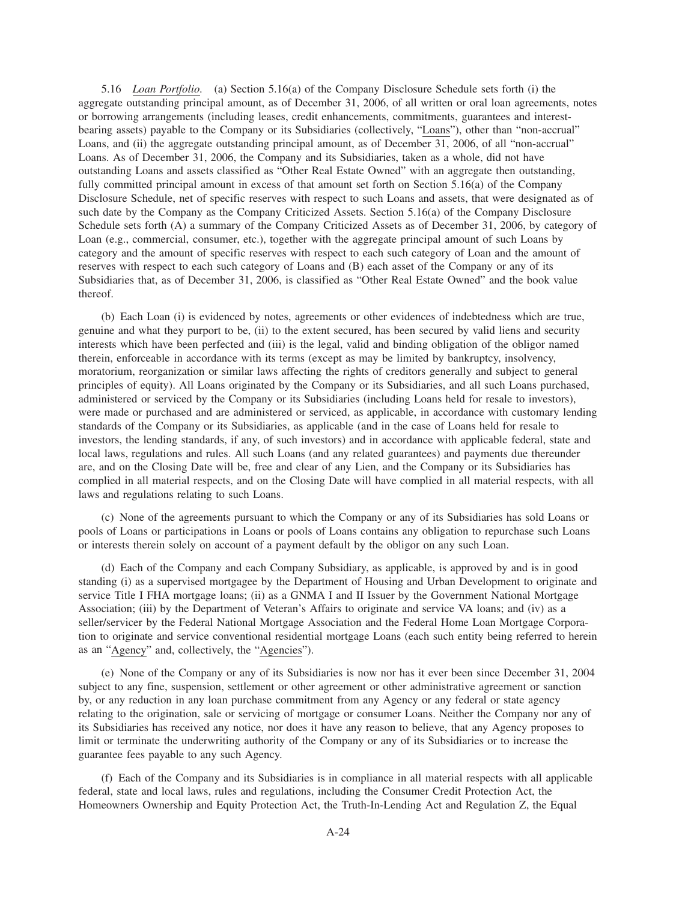5.16 *Loan Portfolio.* (a) Section 5.16(a) of the Company Disclosure Schedule sets forth (i) the aggregate outstanding principal amount, as of December 31, 2006, of all written or oral loan agreements, notes or borrowing arrangements (including leases, credit enhancements, commitments, guarantees and interestbearing assets) payable to the Company or its Subsidiaries (collectively, "Loans"), other than "non-accrual" Loans, and (ii) the aggregate outstanding principal amount, as of December 31, 2006, of all "non-accrual" Loans. As of December 31, 2006, the Company and its Subsidiaries, taken as a whole, did not have outstanding Loans and assets classified as "Other Real Estate Owned" with an aggregate then outstanding, fully committed principal amount in excess of that amount set forth on Section 5.16(a) of the Company Disclosure Schedule, net of specific reserves with respect to such Loans and assets, that were designated as of such date by the Company as the Company Criticized Assets. Section 5.16(a) of the Company Disclosure Schedule sets forth (A) a summary of the Company Criticized Assets as of December 31, 2006, by category of Loan (e.g., commercial, consumer, etc.), together with the aggregate principal amount of such Loans by category and the amount of specific reserves with respect to each such category of Loan and the amount of reserves with respect to each such category of Loans and (B) each asset of the Company or any of its Subsidiaries that, as of December 31, 2006, is classified as "Other Real Estate Owned" and the book value thereof.

(b) Each Loan (i) is evidenced by notes, agreements or other evidences of indebtedness which are true, genuine and what they purport to be, (ii) to the extent secured, has been secured by valid liens and security interests which have been perfected and (iii) is the legal, valid and binding obligation of the obligor named therein, enforceable in accordance with its terms (except as may be limited by bankruptcy, insolvency, moratorium, reorganization or similar laws affecting the rights of creditors generally and subject to general principles of equity). All Loans originated by the Company or its Subsidiaries, and all such Loans purchased, administered or serviced by the Company or its Subsidiaries (including Loans held for resale to investors), were made or purchased and are administered or serviced, as applicable, in accordance with customary lending standards of the Company or its Subsidiaries, as applicable (and in the case of Loans held for resale to investors, the lending standards, if any, of such investors) and in accordance with applicable federal, state and local laws, regulations and rules. All such Loans (and any related guarantees) and payments due thereunder are, and on the Closing Date will be, free and clear of any Lien, and the Company or its Subsidiaries has complied in all material respects, and on the Closing Date will have complied in all material respects, with all laws and regulations relating to such Loans.

(c) None of the agreements pursuant to which the Company or any of its Subsidiaries has sold Loans or pools of Loans or participations in Loans or pools of Loans contains any obligation to repurchase such Loans or interests therein solely on account of a payment default by the obligor on any such Loan.

(d) Each of the Company and each Company Subsidiary, as applicable, is approved by and is in good standing (i) as a supervised mortgagee by the Department of Housing and Urban Development to originate and service Title I FHA mortgage loans; (ii) as a GNMA I and II Issuer by the Government National Mortgage Association; (iii) by the Department of Veteran's Affairs to originate and service VA loans; and (iv) as a seller/servicer by the Federal National Mortgage Association and the Federal Home Loan Mortgage Corporation to originate and service conventional residential mortgage Loans (each such entity being referred to herein as an "Agency" and, collectively, the "Agencies").

(e) None of the Company or any of its Subsidiaries is now nor has it ever been since December 31, 2004 subject to any fine, suspension, settlement or other agreement or other administrative agreement or sanction by, or any reduction in any loan purchase commitment from any Agency or any federal or state agency relating to the origination, sale or servicing of mortgage or consumer Loans. Neither the Company nor any of its Subsidiaries has received any notice, nor does it have any reason to believe, that any Agency proposes to limit or terminate the underwriting authority of the Company or any of its Subsidiaries or to increase the guarantee fees payable to any such Agency.

(f) Each of the Company and its Subsidiaries is in compliance in all material respects with all applicable federal, state and local laws, rules and regulations, including the Consumer Credit Protection Act, the Homeowners Ownership and Equity Protection Act, the Truth-In-Lending Act and Regulation Z, the Equal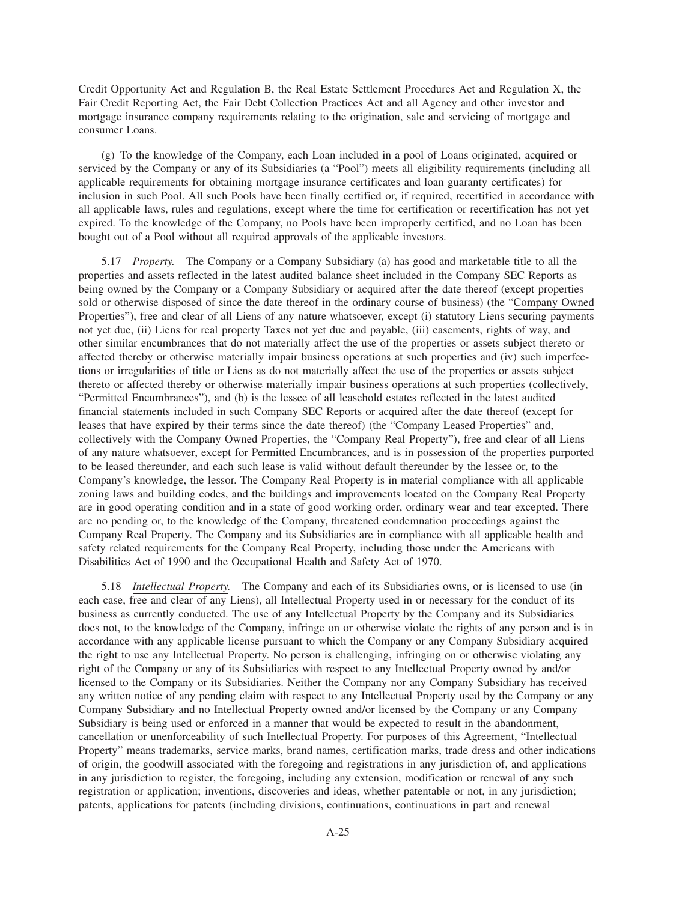Credit Opportunity Act and Regulation B, the Real Estate Settlement Procedures Act and Regulation X, the Fair Credit Reporting Act, the Fair Debt Collection Practices Act and all Agency and other investor and mortgage insurance company requirements relating to the origination, sale and servicing of mortgage and consumer Loans.

(g) To the knowledge of the Company, each Loan included in a pool of Loans originated, acquired or serviced by the Company or any of its Subsidiaries (a "Pool") meets all eligibility requirements (including all applicable requirements for obtaining mortgage insurance certificates and loan guaranty certificates) for inclusion in such Pool. All such Pools have been finally certified or, if required, recertified in accordance with all applicable laws, rules and regulations, except where the time for certification or recertification has not yet expired. To the knowledge of the Company, no Pools have been improperly certified, and no Loan has been bought out of a Pool without all required approvals of the applicable investors.

5.17 *Property.* The Company or a Company Subsidiary (a) has good and marketable title to all the properties and assets reflected in the latest audited balance sheet included in the Company SEC Reports as being owned by the Company or a Company Subsidiary or acquired after the date thereof (except properties sold or otherwise disposed of since the date thereof in the ordinary course of business) (the "Company Owned Properties"), free and clear of all Liens of any nature whatsoever, except (i) statutory Liens securing payments not yet due, (ii) Liens for real property Taxes not yet due and payable, (iii) easements, rights of way, and other similar encumbrances that do not materially affect the use of the properties or assets subject thereto or affected thereby or otherwise materially impair business operations at such properties and (iv) such imperfections or irregularities of title or Liens as do not materially affect the use of the properties or assets subject thereto or affected thereby or otherwise materially impair business operations at such properties (collectively, "Permitted Encumbrances"), and (b) is the lessee of all leasehold estates reflected in the latest audited financial statements included in such Company SEC Reports or acquired after the date thereof (except for leases that have expired by their terms since the date thereof) (the "Company Leased Properties" and, collectively with the Company Owned Properties, the "Company Real Property"), free and clear of all Liens of any nature whatsoever, except for Permitted Encumbrances, and is in possession of the properties purported to be leased thereunder, and each such lease is valid without default thereunder by the lessee or, to the Company's knowledge, the lessor. The Company Real Property is in material compliance with all applicable zoning laws and building codes, and the buildings and improvements located on the Company Real Property are in good operating condition and in a state of good working order, ordinary wear and tear excepted. There are no pending or, to the knowledge of the Company, threatened condemnation proceedings against the Company Real Property. The Company and its Subsidiaries are in compliance with all applicable health and safety related requirements for the Company Real Property, including those under the Americans with Disabilities Act of 1990 and the Occupational Health and Safety Act of 1970.

5.18 *Intellectual Property.* The Company and each of its Subsidiaries owns, or is licensed to use (in each case, free and clear of any Liens), all Intellectual Property used in or necessary for the conduct of its business as currently conducted. The use of any Intellectual Property by the Company and its Subsidiaries does not, to the knowledge of the Company, infringe on or otherwise violate the rights of any person and is in accordance with any applicable license pursuant to which the Company or any Company Subsidiary acquired the right to use any Intellectual Property. No person is challenging, infringing on or otherwise violating any right of the Company or any of its Subsidiaries with respect to any Intellectual Property owned by and/or licensed to the Company or its Subsidiaries. Neither the Company nor any Company Subsidiary has received any written notice of any pending claim with respect to any Intellectual Property used by the Company or any Company Subsidiary and no Intellectual Property owned and/or licensed by the Company or any Company Subsidiary is being used or enforced in a manner that would be expected to result in the abandonment, cancellation or unenforceability of such Intellectual Property. For purposes of this Agreement, "Intellectual Property" means trademarks, service marks, brand names, certification marks, trade dress and other indications of origin, the goodwill associated with the foregoing and registrations in any jurisdiction of, and applications in any jurisdiction to register, the foregoing, including any extension, modification or renewal of any such registration or application; inventions, discoveries and ideas, whether patentable or not, in any jurisdiction; patents, applications for patents (including divisions, continuations, continuations in part and renewal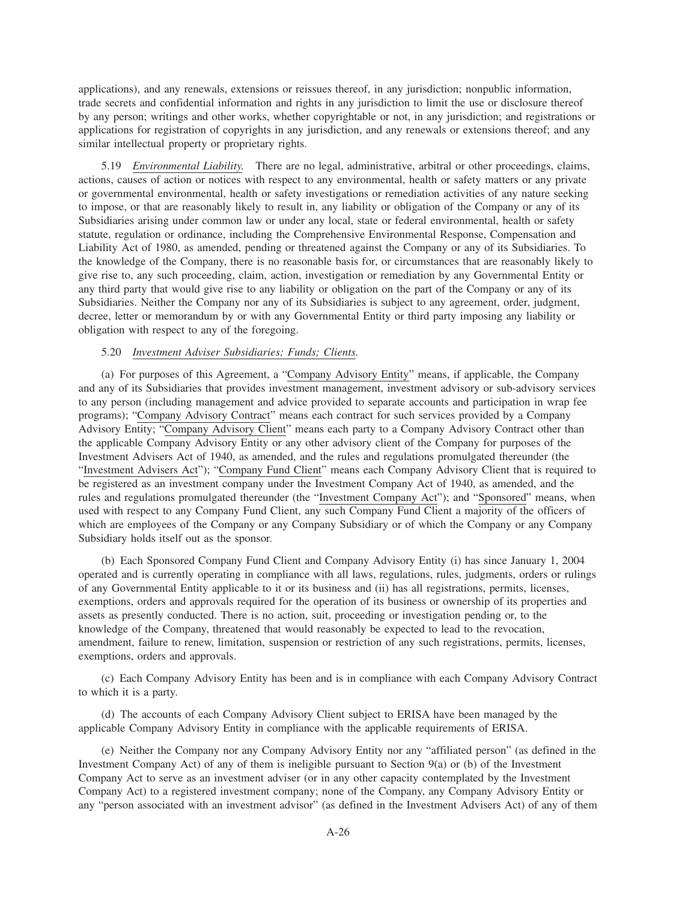applications), and any renewals, extensions or reissues thereof, in any jurisdiction; nonpublic information, trade secrets and confidential information and rights in any jurisdiction to limit the use or disclosure thereof by any person; writings and other works, whether copyrightable or not, in any jurisdiction; and registrations or applications for registration of copyrights in any jurisdiction, and any renewals or extensions thereof; and any similar intellectual property or proprietary rights.

5.19 *Environmental Liability.* There are no legal, administrative, arbitral or other proceedings, claims, actions, causes of action or notices with respect to any environmental, health or safety matters or any private or governmental environmental, health or safety investigations or remediation activities of any nature seeking to impose, or that are reasonably likely to result in, any liability or obligation of the Company or any of its Subsidiaries arising under common law or under any local, state or federal environmental, health or safety statute, regulation or ordinance, including the Comprehensive Environmental Response, Compensation and Liability Act of 1980, as amended, pending or threatened against the Company or any of its Subsidiaries. To the knowledge of the Company, there is no reasonable basis for, or circumstances that are reasonably likely to give rise to, any such proceeding, claim, action, investigation or remediation by any Governmental Entity or any third party that would give rise to any liability or obligation on the part of the Company or any of its Subsidiaries. Neither the Company nor any of its Subsidiaries is subject to any agreement, order, judgment, decree, letter or memorandum by or with any Governmental Entity or third party imposing any liability or obligation with respect to any of the foregoing.

# 5.20 *Investment Adviser Subsidiaries; Funds; Clients.*

(a) For purposes of this Agreement, a "Company Advisory Entity" means, if applicable, the Company and any of its Subsidiaries that provides investment management, investment advisory or sub-advisory services to any person (including management and advice provided to separate accounts and participation in wrap fee programs); "Company Advisory Contract" means each contract for such services provided by a Company Advisory Entity; "Company Advisory Client" means each party to a Company Advisory Contract other than the applicable Company Advisory Entity or any other advisory client of the Company for purposes of the Investment Advisers Act of 1940, as amended, and the rules and regulations promulgated thereunder (the "Investment Advisers Act"); "Company Fund Client" means each Company Advisory Client that is required to be registered as an investment company under the Investment Company Act of 1940, as amended, and the rules and regulations promulgated thereunder (the "Investment Company Act"); and "Sponsored" means, when used with respect to any Company Fund Client, any such Company Fund Client a majority of the officers of which are employees of the Company or any Company Subsidiary or of which the Company or any Company Subsidiary holds itself out as the sponsor.

(b) Each Sponsored Company Fund Client and Company Advisory Entity (i) has since January 1, 2004 operated and is currently operating in compliance with all laws, regulations, rules, judgments, orders or rulings of any Governmental Entity applicable to it or its business and (ii) has all registrations, permits, licenses, exemptions, orders and approvals required for the operation of its business or ownership of its properties and assets as presently conducted. There is no action, suit, proceeding or investigation pending or, to the knowledge of the Company, threatened that would reasonably be expected to lead to the revocation, amendment, failure to renew, limitation, suspension or restriction of any such registrations, permits, licenses, exemptions, orders and approvals.

(c) Each Company Advisory Entity has been and is in compliance with each Company Advisory Contract to which it is a party.

(d) The accounts of each Company Advisory Client subject to ERISA have been managed by the applicable Company Advisory Entity in compliance with the applicable requirements of ERISA.

(e) Neither the Company nor any Company Advisory Entity nor any "affiliated person" (as defined in the Investment Company Act) of any of them is ineligible pursuant to Section 9(a) or (b) of the Investment Company Act to serve as an investment adviser (or in any other capacity contemplated by the Investment Company Act) to a registered investment company; none of the Company, any Company Advisory Entity or any "person associated with an investment advisor" (as defined in the Investment Advisers Act) of any of them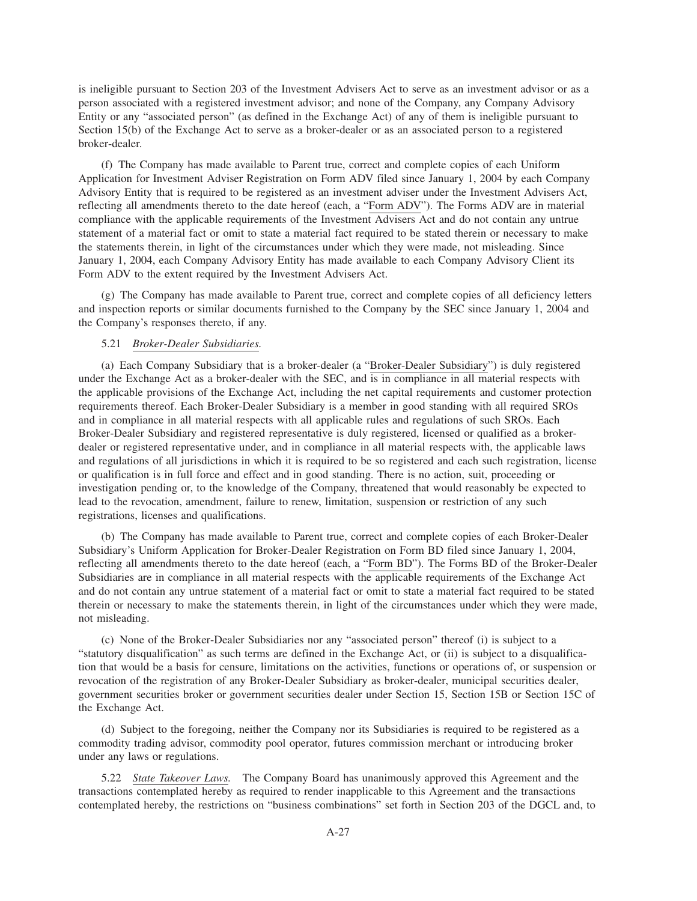is ineligible pursuant to Section 203 of the Investment Advisers Act to serve as an investment advisor or as a person associated with a registered investment advisor; and none of the Company, any Company Advisory Entity or any "associated person" (as defined in the Exchange Act) of any of them is ineligible pursuant to Section 15(b) of the Exchange Act to serve as a broker-dealer or as an associated person to a registered broker-dealer.

(f) The Company has made available to Parent true, correct and complete copies of each Uniform Application for Investment Adviser Registration on Form ADV filed since January 1, 2004 by each Company Advisory Entity that is required to be registered as an investment adviser under the Investment Advisers Act, reflecting all amendments thereto to the date hereof (each, a "Form ADV"). The Forms ADV are in material compliance with the applicable requirements of the Investment Advisers Act and do not contain any untrue statement of a material fact or omit to state a material fact required to be stated therein or necessary to make the statements therein, in light of the circumstances under which they were made, not misleading. Since January 1, 2004, each Company Advisory Entity has made available to each Company Advisory Client its Form ADV to the extent required by the Investment Advisers Act.

(g) The Company has made available to Parent true, correct and complete copies of all deficiency letters and inspection reports or similar documents furnished to the Company by the SEC since January 1, 2004 and the Company's responses thereto, if any.

## 5.21 *Broker-Dealer Subsidiaries.*

(a) Each Company Subsidiary that is a broker-dealer (a "Broker-Dealer Subsidiary") is duly registered under the Exchange Act as a broker-dealer with the SEC, and is in compliance in all material respects with the applicable provisions of the Exchange Act, including the net capital requirements and customer protection requirements thereof. Each Broker-Dealer Subsidiary is a member in good standing with all required SROs and in compliance in all material respects with all applicable rules and regulations of such SROs. Each Broker-Dealer Subsidiary and registered representative is duly registered, licensed or qualified as a brokerdealer or registered representative under, and in compliance in all material respects with, the applicable laws and regulations of all jurisdictions in which it is required to be so registered and each such registration, license or qualification is in full force and effect and in good standing. There is no action, suit, proceeding or investigation pending or, to the knowledge of the Company, threatened that would reasonably be expected to lead to the revocation, amendment, failure to renew, limitation, suspension or restriction of any such registrations, licenses and qualifications.

(b) The Company has made available to Parent true, correct and complete copies of each Broker-Dealer Subsidiary's Uniform Application for Broker-Dealer Registration on Form BD filed since January 1, 2004, reflecting all amendments thereto to the date hereof (each, a "Form BD"). The Forms BD of the Broker-Dealer Subsidiaries are in compliance in all material respects with the applicable requirements of the Exchange Act and do not contain any untrue statement of a material fact or omit to state a material fact required to be stated therein or necessary to make the statements therein, in light of the circumstances under which they were made, not misleading.

(c) None of the Broker-Dealer Subsidiaries nor any "associated person" thereof (i) is subject to a "statutory disqualification" as such terms are defined in the Exchange Act, or (ii) is subject to a disqualification that would be a basis for censure, limitations on the activities, functions or operations of, or suspension or revocation of the registration of any Broker-Dealer Subsidiary as broker-dealer, municipal securities dealer, government securities broker or government securities dealer under Section 15, Section 15B or Section 15C of the Exchange Act.

(d) Subject to the foregoing, neither the Company nor its Subsidiaries is required to be registered as a commodity trading advisor, commodity pool operator, futures commission merchant or introducing broker under any laws or regulations.

5.22 *State Takeover Laws.* The Company Board has unanimously approved this Agreement and the transactions contemplated hereby as required to render inapplicable to this Agreement and the transactions contemplated hereby, the restrictions on "business combinations" set forth in Section 203 of the DGCL and, to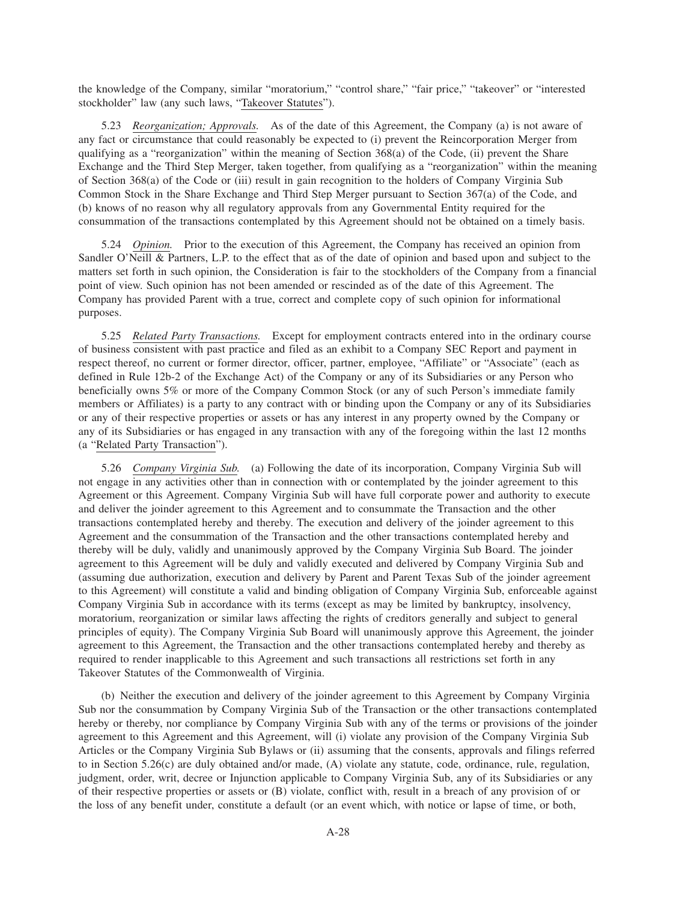the knowledge of the Company, similar "moratorium," "control share," "fair price," "takeover" or "interested stockholder" law (any such laws, "Takeover Statutes").

5.23 *Reorganization; Approvals.* As of the date of this Agreement, the Company (a) is not aware of any fact or circumstance that could reasonably be expected to (i) prevent the Reincorporation Merger from qualifying as a "reorganization" within the meaning of Section 368(a) of the Code, (ii) prevent the Share Exchange and the Third Step Merger, taken together, from qualifying as a "reorganization" within the meaning of Section 368(a) of the Code or (iii) result in gain recognition to the holders of Company Virginia Sub Common Stock in the Share Exchange and Third Step Merger pursuant to Section 367(a) of the Code, and (b) knows of no reason why all regulatory approvals from any Governmental Entity required for the consummation of the transactions contemplated by this Agreement should not be obtained on a timely basis.

5.24 *Opinion.* Prior to the execution of this Agreement, the Company has received an opinion from Sandler O'Neill & Partners, L.P. to the effect that as of the date of opinion and based upon and subject to the matters set forth in such opinion, the Consideration is fair to the stockholders of the Company from a financial point of view. Such opinion has not been amended or rescinded as of the date of this Agreement. The Company has provided Parent with a true, correct and complete copy of such opinion for informational purposes.

5.25 *Related Party Transactions.* Except for employment contracts entered into in the ordinary course of business consistent with past practice and filed as an exhibit to a Company SEC Report and payment in respect thereof, no current or former director, officer, partner, employee, "Affiliate" or "Associate" (each as defined in Rule 12b-2 of the Exchange Act) of the Company or any of its Subsidiaries or any Person who beneficially owns 5% or more of the Company Common Stock (or any of such Person's immediate family members or Affiliates) is a party to any contract with or binding upon the Company or any of its Subsidiaries or any of their respective properties or assets or has any interest in any property owned by the Company or any of its Subsidiaries or has engaged in any transaction with any of the foregoing within the last 12 months (a "Related Party Transaction").

5.26 *Company Virginia Sub.* (a) Following the date of its incorporation, Company Virginia Sub will not engage in any activities other than in connection with or contemplated by the joinder agreement to this Agreement or this Agreement. Company Virginia Sub will have full corporate power and authority to execute and deliver the joinder agreement to this Agreement and to consummate the Transaction and the other transactions contemplated hereby and thereby. The execution and delivery of the joinder agreement to this Agreement and the consummation of the Transaction and the other transactions contemplated hereby and thereby will be duly, validly and unanimously approved by the Company Virginia Sub Board. The joinder agreement to this Agreement will be duly and validly executed and delivered by Company Virginia Sub and (assuming due authorization, execution and delivery by Parent and Parent Texas Sub of the joinder agreement to this Agreement) will constitute a valid and binding obligation of Company Virginia Sub, enforceable against Company Virginia Sub in accordance with its terms (except as may be limited by bankruptcy, insolvency, moratorium, reorganization or similar laws affecting the rights of creditors generally and subject to general principles of equity). The Company Virginia Sub Board will unanimously approve this Agreement, the joinder agreement to this Agreement, the Transaction and the other transactions contemplated hereby and thereby as required to render inapplicable to this Agreement and such transactions all restrictions set forth in any Takeover Statutes of the Commonwealth of Virginia.

(b) Neither the execution and delivery of the joinder agreement to this Agreement by Company Virginia Sub nor the consummation by Company Virginia Sub of the Transaction or the other transactions contemplated hereby or thereby, nor compliance by Company Virginia Sub with any of the terms or provisions of the joinder agreement to this Agreement and this Agreement, will (i) violate any provision of the Company Virginia Sub Articles or the Company Virginia Sub Bylaws or (ii) assuming that the consents, approvals and filings referred to in Section 5.26(c) are duly obtained and/or made, (A) violate any statute, code, ordinance, rule, regulation, judgment, order, writ, decree or Injunction applicable to Company Virginia Sub, any of its Subsidiaries or any of their respective properties or assets or (B) violate, conflict with, result in a breach of any provision of or the loss of any benefit under, constitute a default (or an event which, with notice or lapse of time, or both,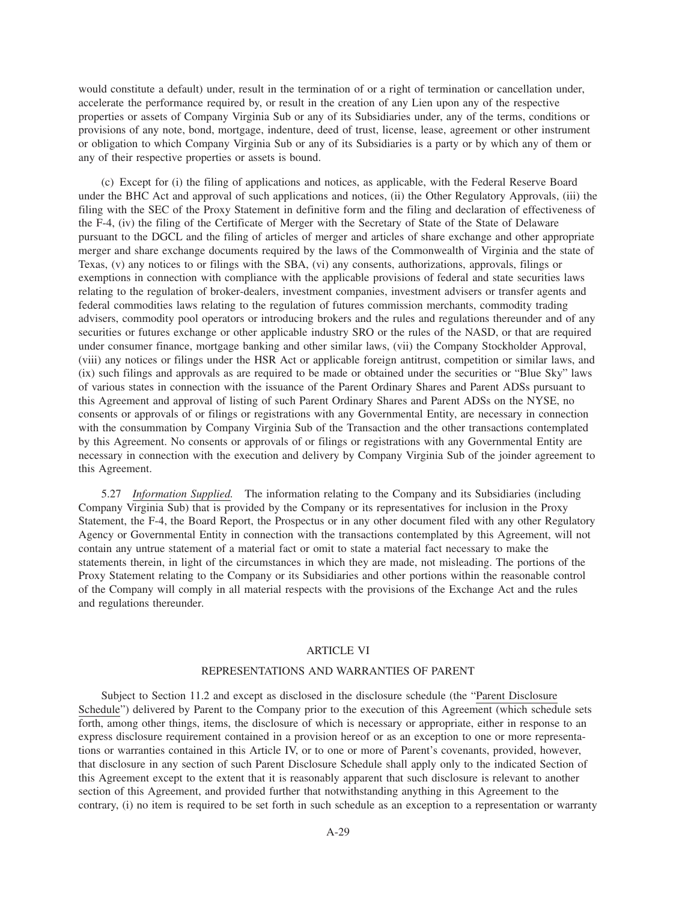would constitute a default) under, result in the termination of or a right of termination or cancellation under, accelerate the performance required by, or result in the creation of any Lien upon any of the respective properties or assets of Company Virginia Sub or any of its Subsidiaries under, any of the terms, conditions or provisions of any note, bond, mortgage, indenture, deed of trust, license, lease, agreement or other instrument or obligation to which Company Virginia Sub or any of its Subsidiaries is a party or by which any of them or any of their respective properties or assets is bound.

(c) Except for (i) the filing of applications and notices, as applicable, with the Federal Reserve Board under the BHC Act and approval of such applications and notices, (ii) the Other Regulatory Approvals, (iii) the filing with the SEC of the Proxy Statement in definitive form and the filing and declaration of effectiveness of the F-4, (iv) the filing of the Certificate of Merger with the Secretary of State of the State of Delaware pursuant to the DGCL and the filing of articles of merger and articles of share exchange and other appropriate merger and share exchange documents required by the laws of the Commonwealth of Virginia and the state of Texas, (v) any notices to or filings with the SBA, (vi) any consents, authorizations, approvals, filings or exemptions in connection with compliance with the applicable provisions of federal and state securities laws relating to the regulation of broker-dealers, investment companies, investment advisers or transfer agents and federal commodities laws relating to the regulation of futures commission merchants, commodity trading advisers, commodity pool operators or introducing brokers and the rules and regulations thereunder and of any securities or futures exchange or other applicable industry SRO or the rules of the NASD, or that are required under consumer finance, mortgage banking and other similar laws, (vii) the Company Stockholder Approval, (viii) any notices or filings under the HSR Act or applicable foreign antitrust, competition or similar laws, and (ix) such filings and approvals as are required to be made or obtained under the securities or "Blue Sky" laws of various states in connection with the issuance of the Parent Ordinary Shares and Parent ADSs pursuant to this Agreement and approval of listing of such Parent Ordinary Shares and Parent ADSs on the NYSE, no consents or approvals of or filings or registrations with any Governmental Entity, are necessary in connection with the consummation by Company Virginia Sub of the Transaction and the other transactions contemplated by this Agreement. No consents or approvals of or filings or registrations with any Governmental Entity are necessary in connection with the execution and delivery by Company Virginia Sub of the joinder agreement to this Agreement.

5.27 *Information Supplied.* The information relating to the Company and its Subsidiaries (including Company Virginia Sub) that is provided by the Company or its representatives for inclusion in the Proxy Statement, the F-4, the Board Report, the Prospectus or in any other document filed with any other Regulatory Agency or Governmental Entity in connection with the transactions contemplated by this Agreement, will not contain any untrue statement of a material fact or omit to state a material fact necessary to make the statements therein, in light of the circumstances in which they are made, not misleading. The portions of the Proxy Statement relating to the Company or its Subsidiaries and other portions within the reasonable control of the Company will comply in all material respects with the provisions of the Exchange Act and the rules and regulations thereunder.

## ARTICLE VI

### REPRESENTATIONS AND WARRANTIES OF PARENT

Subject to Section 11.2 and except as disclosed in the disclosure schedule (the "Parent Disclosure Schedule") delivered by Parent to the Company prior to the execution of this Agreement (which schedule sets forth, among other things, items, the disclosure of which is necessary or appropriate, either in response to an express disclosure requirement contained in a provision hereof or as an exception to one or more representations or warranties contained in this Article IV, or to one or more of Parent's covenants, provided, however, that disclosure in any section of such Parent Disclosure Schedule shall apply only to the indicated Section of this Agreement except to the extent that it is reasonably apparent that such disclosure is relevant to another section of this Agreement, and provided further that notwithstanding anything in this Agreement to the contrary, (i) no item is required to be set forth in such schedule as an exception to a representation or warranty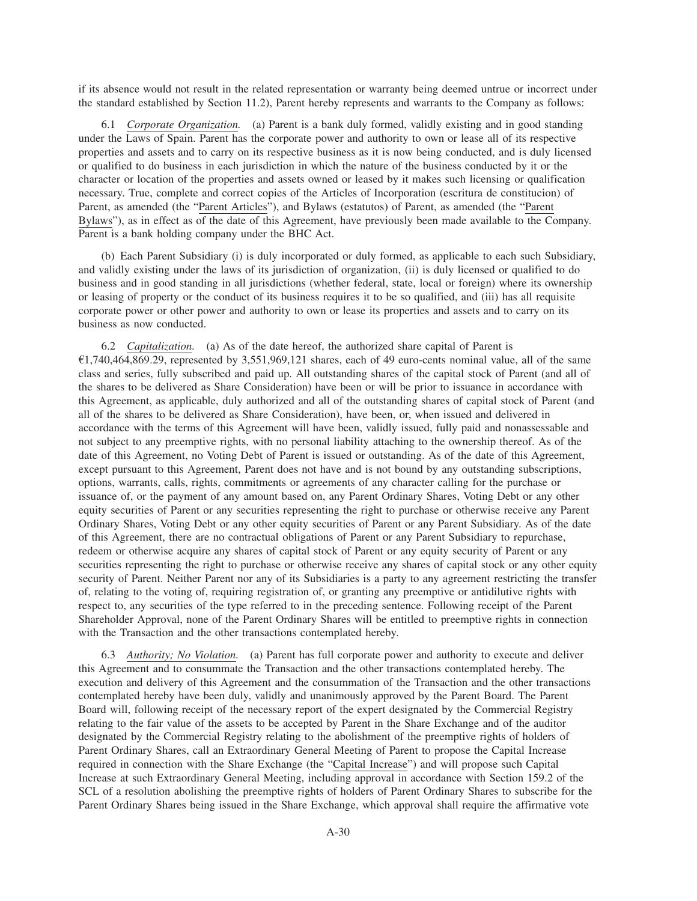if its absence would not result in the related representation or warranty being deemed untrue or incorrect under the standard established by Section 11.2), Parent hereby represents and warrants to the Company as follows:

6.1 *Corporate Organization.* (a) Parent is a bank duly formed, validly existing and in good standing under the Laws of Spain. Parent has the corporate power and authority to own or lease all of its respective properties and assets and to carry on its respective business as it is now being conducted, and is duly licensed or qualified to do business in each jurisdiction in which the nature of the business conducted by it or the character or location of the properties and assets owned or leased by it makes such licensing or qualification necessary. True, complete and correct copies of the Articles of Incorporation (escritura de constitucion) of Parent, as amended (the "Parent Articles"), and Bylaws (estatutos) of Parent, as amended (the "Parent Bylaws"), as in effect as of the date of this Agreement, have previously been made available to the Company. Parent is a bank holding company under the BHC Act.

(b) Each Parent Subsidiary (i) is duly incorporated or duly formed, as applicable to each such Subsidiary, and validly existing under the laws of its jurisdiction of organization, (ii) is duly licensed or qualified to do business and in good standing in all jurisdictions (whether federal, state, local or foreign) where its ownership or leasing of property or the conduct of its business requires it to be so qualified, and (iii) has all requisite corporate power or other power and authority to own or lease its properties and assets and to carry on its business as now conducted.

6.2 *Capitalization.* (a) As of the date hereof, the authorized share capital of Parent is  $£1,740,464,869.29$ , represented by 3,551,969,121 shares, each of 49 euro-cents nominal value, all of the same class and series, fully subscribed and paid up. All outstanding shares of the capital stock of Parent (and all of the shares to be delivered as Share Consideration) have been or will be prior to issuance in accordance with this Agreement, as applicable, duly authorized and all of the outstanding shares of capital stock of Parent (and all of the shares to be delivered as Share Consideration), have been, or, when issued and delivered in accordance with the terms of this Agreement will have been, validly issued, fully paid and nonassessable and not subject to any preemptive rights, with no personal liability attaching to the ownership thereof. As of the date of this Agreement, no Voting Debt of Parent is issued or outstanding. As of the date of this Agreement, except pursuant to this Agreement, Parent does not have and is not bound by any outstanding subscriptions, options, warrants, calls, rights, commitments or agreements of any character calling for the purchase or issuance of, or the payment of any amount based on, any Parent Ordinary Shares, Voting Debt or any other equity securities of Parent or any securities representing the right to purchase or otherwise receive any Parent Ordinary Shares, Voting Debt or any other equity securities of Parent or any Parent Subsidiary. As of the date of this Agreement, there are no contractual obligations of Parent or any Parent Subsidiary to repurchase, redeem or otherwise acquire any shares of capital stock of Parent or any equity security of Parent or any securities representing the right to purchase or otherwise receive any shares of capital stock or any other equity security of Parent. Neither Parent nor any of its Subsidiaries is a party to any agreement restricting the transfer of, relating to the voting of, requiring registration of, or granting any preemptive or antidilutive rights with respect to, any securities of the type referred to in the preceding sentence. Following receipt of the Parent Shareholder Approval, none of the Parent Ordinary Shares will be entitled to preemptive rights in connection with the Transaction and the other transactions contemplated hereby.

6.3 *Authority; No Violation.* (a) Parent has full corporate power and authority to execute and deliver this Agreement and to consummate the Transaction and the other transactions contemplated hereby. The execution and delivery of this Agreement and the consummation of the Transaction and the other transactions contemplated hereby have been duly, validly and unanimously approved by the Parent Board. The Parent Board will, following receipt of the necessary report of the expert designated by the Commercial Registry relating to the fair value of the assets to be accepted by Parent in the Share Exchange and of the auditor designated by the Commercial Registry relating to the abolishment of the preemptive rights of holders of Parent Ordinary Shares, call an Extraordinary General Meeting of Parent to propose the Capital Increase required in connection with the Share Exchange (the "Capital Increase") and will propose such Capital Increase at such Extraordinary General Meeting, including approval in accordance with Section 159.2 of the SCL of a resolution abolishing the preemptive rights of holders of Parent Ordinary Shares to subscribe for the Parent Ordinary Shares being issued in the Share Exchange, which approval shall require the affirmative vote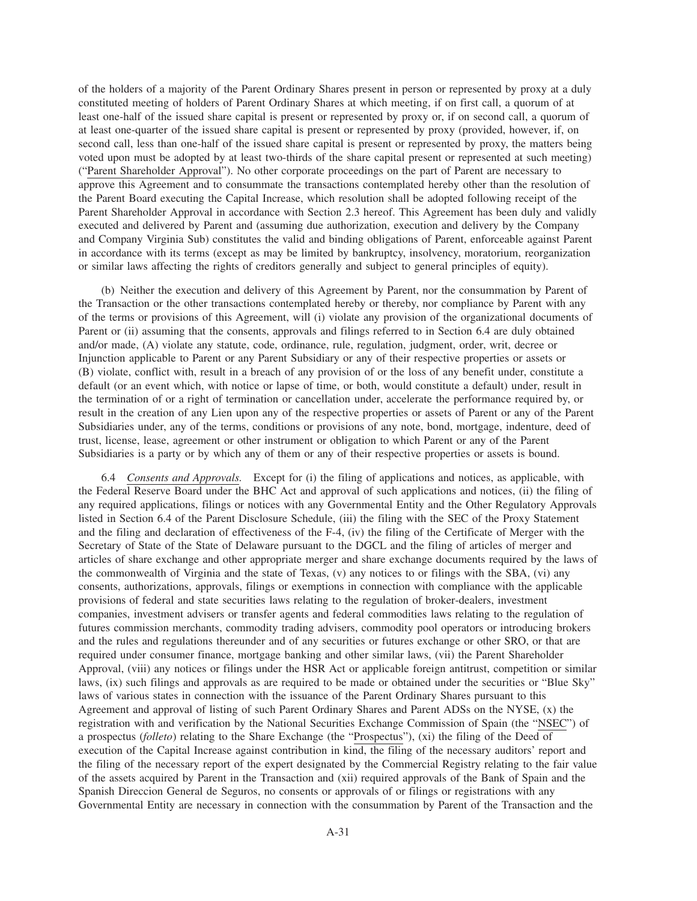of the holders of a majority of the Parent Ordinary Shares present in person or represented by proxy at a duly constituted meeting of holders of Parent Ordinary Shares at which meeting, if on first call, a quorum of at least one-half of the issued share capital is present or represented by proxy or, if on second call, a quorum of at least one-quarter of the issued share capital is present or represented by proxy (provided, however, if, on second call, less than one-half of the issued share capital is present or represented by proxy, the matters being voted upon must be adopted by at least two-thirds of the share capital present or represented at such meeting) ("Parent Shareholder Approval"). No other corporate proceedings on the part of Parent are necessary to approve this Agreement and to consummate the transactions contemplated hereby other than the resolution of the Parent Board executing the Capital Increase, which resolution shall be adopted following receipt of the Parent Shareholder Approval in accordance with Section 2.3 hereof. This Agreement has been duly and validly executed and delivered by Parent and (assuming due authorization, execution and delivery by the Company and Company Virginia Sub) constitutes the valid and binding obligations of Parent, enforceable against Parent in accordance with its terms (except as may be limited by bankruptcy, insolvency, moratorium, reorganization or similar laws affecting the rights of creditors generally and subject to general principles of equity).

(b) Neither the execution and delivery of this Agreement by Parent, nor the consummation by Parent of the Transaction or the other transactions contemplated hereby or thereby, nor compliance by Parent with any of the terms or provisions of this Agreement, will (i) violate any provision of the organizational documents of Parent or (ii) assuming that the consents, approvals and filings referred to in Section 6.4 are duly obtained and/or made, (A) violate any statute, code, ordinance, rule, regulation, judgment, order, writ, decree or Injunction applicable to Parent or any Parent Subsidiary or any of their respective properties or assets or (B) violate, conflict with, result in a breach of any provision of or the loss of any benefit under, constitute a default (or an event which, with notice or lapse of time, or both, would constitute a default) under, result in the termination of or a right of termination or cancellation under, accelerate the performance required by, or result in the creation of any Lien upon any of the respective properties or assets of Parent or any of the Parent Subsidiaries under, any of the terms, conditions or provisions of any note, bond, mortgage, indenture, deed of trust, license, lease, agreement or other instrument or obligation to which Parent or any of the Parent Subsidiaries is a party or by which any of them or any of their respective properties or assets is bound.

6.4 *Consents and Approvals.* Except for (i) the filing of applications and notices, as applicable, with the Federal Reserve Board under the BHC Act and approval of such applications and notices, (ii) the filing of any required applications, filings or notices with any Governmental Entity and the Other Regulatory Approvals listed in Section 6.4 of the Parent Disclosure Schedule, (iii) the filing with the SEC of the Proxy Statement and the filing and declaration of effectiveness of the F-4, (iv) the filing of the Certificate of Merger with the Secretary of State of the State of Delaware pursuant to the DGCL and the filing of articles of merger and articles of share exchange and other appropriate merger and share exchange documents required by the laws of the commonwealth of Virginia and the state of Texas, (v) any notices to or filings with the SBA, (vi) any consents, authorizations, approvals, filings or exemptions in connection with compliance with the applicable provisions of federal and state securities laws relating to the regulation of broker-dealers, investment companies, investment advisers or transfer agents and federal commodities laws relating to the regulation of futures commission merchants, commodity trading advisers, commodity pool operators or introducing brokers and the rules and regulations thereunder and of any securities or futures exchange or other SRO, or that are required under consumer finance, mortgage banking and other similar laws, (vii) the Parent Shareholder Approval, (viii) any notices or filings under the HSR Act or applicable foreign antitrust, competition or similar laws, (ix) such filings and approvals as are required to be made or obtained under the securities or "Blue Sky" laws of various states in connection with the issuance of the Parent Ordinary Shares pursuant to this Agreement and approval of listing of such Parent Ordinary Shares and Parent ADSs on the NYSE, (x) the registration with and verification by the National Securities Exchange Commission of Spain (the "NSEC") of a prospectus (*folleto*) relating to the Share Exchange (the "Prospectus"), (xi) the filing of the Deed of execution of the Capital Increase against contribution in kind, the filing of the necessary auditors' report and the filing of the necessary report of the expert designated by the Commercial Registry relating to the fair value of the assets acquired by Parent in the Transaction and (xii) required approvals of the Bank of Spain and the Spanish Direccion General de Seguros, no consents or approvals of or filings or registrations with any Governmental Entity are necessary in connection with the consummation by Parent of the Transaction and the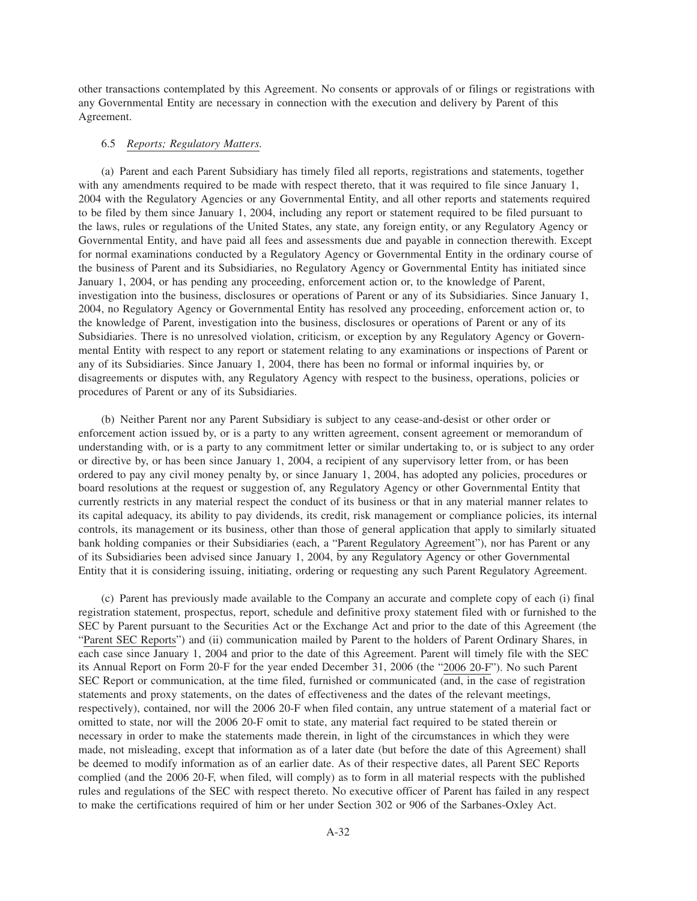other transactions contemplated by this Agreement. No consents or approvals of or filings or registrations with any Governmental Entity are necessary in connection with the execution and delivery by Parent of this Agreement.

### 6.5 *Reports; Regulatory Matters.*

(a) Parent and each Parent Subsidiary has timely filed all reports, registrations and statements, together with any amendments required to be made with respect thereto, that it was required to file since January 1, 2004 with the Regulatory Agencies or any Governmental Entity, and all other reports and statements required to be filed by them since January 1, 2004, including any report or statement required to be filed pursuant to the laws, rules or regulations of the United States, any state, any foreign entity, or any Regulatory Agency or Governmental Entity, and have paid all fees and assessments due and payable in connection therewith. Except for normal examinations conducted by a Regulatory Agency or Governmental Entity in the ordinary course of the business of Parent and its Subsidiaries, no Regulatory Agency or Governmental Entity has initiated since January 1, 2004, or has pending any proceeding, enforcement action or, to the knowledge of Parent, investigation into the business, disclosures or operations of Parent or any of its Subsidiaries. Since January 1, 2004, no Regulatory Agency or Governmental Entity has resolved any proceeding, enforcement action or, to the knowledge of Parent, investigation into the business, disclosures or operations of Parent or any of its Subsidiaries. There is no unresolved violation, criticism, or exception by any Regulatory Agency or Governmental Entity with respect to any report or statement relating to any examinations or inspections of Parent or any of its Subsidiaries. Since January 1, 2004, there has been no formal or informal inquiries by, or disagreements or disputes with, any Regulatory Agency with respect to the business, operations, policies or procedures of Parent or any of its Subsidiaries.

(b) Neither Parent nor any Parent Subsidiary is subject to any cease-and-desist or other order or enforcement action issued by, or is a party to any written agreement, consent agreement or memorandum of understanding with, or is a party to any commitment letter or similar undertaking to, or is subject to any order or directive by, or has been since January 1, 2004, a recipient of any supervisory letter from, or has been ordered to pay any civil money penalty by, or since January 1, 2004, has adopted any policies, procedures or board resolutions at the request or suggestion of, any Regulatory Agency or other Governmental Entity that currently restricts in any material respect the conduct of its business or that in any material manner relates to its capital adequacy, its ability to pay dividends, its credit, risk management or compliance policies, its internal controls, its management or its business, other than those of general application that apply to similarly situated bank holding companies or their Subsidiaries (each, a "Parent Regulatory Agreement"), nor has Parent or any of its Subsidiaries been advised since January 1, 2004, by any Regulatory Agency or other Governmental Entity that it is considering issuing, initiating, ordering or requesting any such Parent Regulatory Agreement.

(c) Parent has previously made available to the Company an accurate and complete copy of each (i) final registration statement, prospectus, report, schedule and definitive proxy statement filed with or furnished to the SEC by Parent pursuant to the Securities Act or the Exchange Act and prior to the date of this Agreement (the "Parent SEC Reports") and (ii) communication mailed by Parent to the holders of Parent Ordinary Shares, in each case since January 1, 2004 and prior to the date of this Agreement. Parent will timely file with the SEC its Annual Report on Form 20-F for the year ended December 31, 2006 (the "2006 20-F"). No such Parent SEC Report or communication, at the time filed, furnished or communicated (and, in the case of registration statements and proxy statements, on the dates of effectiveness and the dates of the relevant meetings, respectively), contained, nor will the 2006 20-F when filed contain, any untrue statement of a material fact or omitted to state, nor will the 2006 20-F omit to state, any material fact required to be stated therein or necessary in order to make the statements made therein, in light of the circumstances in which they were made, not misleading, except that information as of a later date (but before the date of this Agreement) shall be deemed to modify information as of an earlier date. As of their respective dates, all Parent SEC Reports complied (and the 2006 20-F, when filed, will comply) as to form in all material respects with the published rules and regulations of the SEC with respect thereto. No executive officer of Parent has failed in any respect to make the certifications required of him or her under Section 302 or 906 of the Sarbanes-Oxley Act.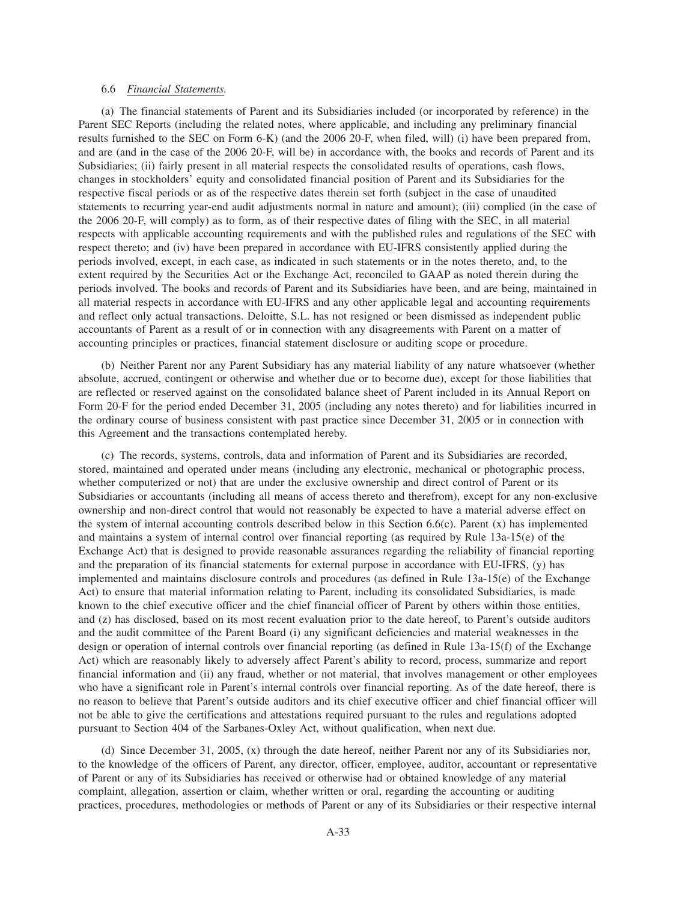#### 6.6 *Financial Statements.*

(a) The financial statements of Parent and its Subsidiaries included (or incorporated by reference) in the Parent SEC Reports (including the related notes, where applicable, and including any preliminary financial results furnished to the SEC on Form 6-K) (and the 2006 20-F, when filed, will) (i) have been prepared from, and are (and in the case of the 2006 20-F, will be) in accordance with, the books and records of Parent and its Subsidiaries; (ii) fairly present in all material respects the consolidated results of operations, cash flows, changes in stockholders' equity and consolidated financial position of Parent and its Subsidiaries for the respective fiscal periods or as of the respective dates therein set forth (subject in the case of unaudited statements to recurring year-end audit adjustments normal in nature and amount); (iii) complied (in the case of the 2006 20-F, will comply) as to form, as of their respective dates of filing with the SEC, in all material respects with applicable accounting requirements and with the published rules and regulations of the SEC with respect thereto; and (iv) have been prepared in accordance with EU-IFRS consistently applied during the periods involved, except, in each case, as indicated in such statements or in the notes thereto, and, to the extent required by the Securities Act or the Exchange Act, reconciled to GAAP as noted therein during the periods involved. The books and records of Parent and its Subsidiaries have been, and are being, maintained in all material respects in accordance with EU-IFRS and any other applicable legal and accounting requirements and reflect only actual transactions. Deloitte, S.L. has not resigned or been dismissed as independent public accountants of Parent as a result of or in connection with any disagreements with Parent on a matter of accounting principles or practices, financial statement disclosure or auditing scope or procedure.

(b) Neither Parent nor any Parent Subsidiary has any material liability of any nature whatsoever (whether absolute, accrued, contingent or otherwise and whether due or to become due), except for those liabilities that are reflected or reserved against on the consolidated balance sheet of Parent included in its Annual Report on Form 20-F for the period ended December 31, 2005 (including any notes thereto) and for liabilities incurred in the ordinary course of business consistent with past practice since December 31, 2005 or in connection with this Agreement and the transactions contemplated hereby.

(c) The records, systems, controls, data and information of Parent and its Subsidiaries are recorded, stored, maintained and operated under means (including any electronic, mechanical or photographic process, whether computerized or not) that are under the exclusive ownership and direct control of Parent or its Subsidiaries or accountants (including all means of access thereto and therefrom), except for any non-exclusive ownership and non-direct control that would not reasonably be expected to have a material adverse effect on the system of internal accounting controls described below in this Section 6.6(c). Parent (x) has implemented and maintains a system of internal control over financial reporting (as required by Rule  $13a-15(e)$  of the Exchange Act) that is designed to provide reasonable assurances regarding the reliability of financial reporting and the preparation of its financial statements for external purpose in accordance with EU-IFRS, (y) has implemented and maintains disclosure controls and procedures (as defined in Rule 13a-15(e) of the Exchange Act) to ensure that material information relating to Parent, including its consolidated Subsidiaries, is made known to the chief executive officer and the chief financial officer of Parent by others within those entities, and (z) has disclosed, based on its most recent evaluation prior to the date hereof, to Parent's outside auditors and the audit committee of the Parent Board (i) any significant deficiencies and material weaknesses in the design or operation of internal controls over financial reporting (as defined in Rule 13a-15(f) of the Exchange Act) which are reasonably likely to adversely affect Parent's ability to record, process, summarize and report financial information and (ii) any fraud, whether or not material, that involves management or other employees who have a significant role in Parent's internal controls over financial reporting. As of the date hereof, there is no reason to believe that Parent's outside auditors and its chief executive officer and chief financial officer will not be able to give the certifications and attestations required pursuant to the rules and regulations adopted pursuant to Section 404 of the Sarbanes-Oxley Act, without qualification, when next due.

(d) Since December 31, 2005, (x) through the date hereof, neither Parent nor any of its Subsidiaries nor, to the knowledge of the officers of Parent, any director, officer, employee, auditor, accountant or representative of Parent or any of its Subsidiaries has received or otherwise had or obtained knowledge of any material complaint, allegation, assertion or claim, whether written or oral, regarding the accounting or auditing practices, procedures, methodologies or methods of Parent or any of its Subsidiaries or their respective internal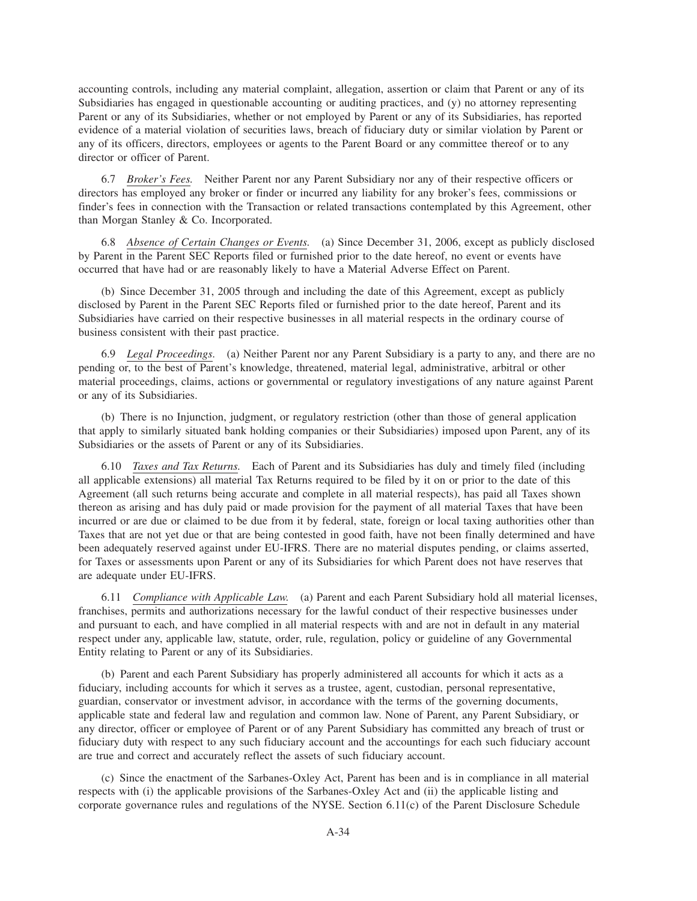accounting controls, including any material complaint, allegation, assertion or claim that Parent or any of its Subsidiaries has engaged in questionable accounting or auditing practices, and (y) no attorney representing Parent or any of its Subsidiaries, whether or not employed by Parent or any of its Subsidiaries, has reported evidence of a material violation of securities laws, breach of fiduciary duty or similar violation by Parent or any of its officers, directors, employees or agents to the Parent Board or any committee thereof or to any director or officer of Parent.

6.7 *Broker's Fees.* Neither Parent nor any Parent Subsidiary nor any of their respective officers or directors has employed any broker or finder or incurred any liability for any broker's fees, commissions or finder's fees in connection with the Transaction or related transactions contemplated by this Agreement, other than Morgan Stanley & Co. Incorporated.

6.8 *Absence of Certain Changes or Events.* (a) Since December 31, 2006, except as publicly disclosed by Parent in the Parent SEC Reports filed or furnished prior to the date hereof, no event or events have occurred that have had or are reasonably likely to have a Material Adverse Effect on Parent.

(b) Since December 31, 2005 through and including the date of this Agreement, except as publicly disclosed by Parent in the Parent SEC Reports filed or furnished prior to the date hereof, Parent and its Subsidiaries have carried on their respective businesses in all material respects in the ordinary course of business consistent with their past practice.

6.9 *Legal Proceedings.* (a) Neither Parent nor any Parent Subsidiary is a party to any, and there are no pending or, to the best of Parent's knowledge, threatened, material legal, administrative, arbitral or other material proceedings, claims, actions or governmental or regulatory investigations of any nature against Parent or any of its Subsidiaries.

(b) There is no Injunction, judgment, or regulatory restriction (other than those of general application that apply to similarly situated bank holding companies or their Subsidiaries) imposed upon Parent, any of its Subsidiaries or the assets of Parent or any of its Subsidiaries.

6.10 *Taxes and Tax Returns.* Each of Parent and its Subsidiaries has duly and timely filed (including all applicable extensions) all material Tax Returns required to be filed by it on or prior to the date of this Agreement (all such returns being accurate and complete in all material respects), has paid all Taxes shown thereon as arising and has duly paid or made provision for the payment of all material Taxes that have been incurred or are due or claimed to be due from it by federal, state, foreign or local taxing authorities other than Taxes that are not yet due or that are being contested in good faith, have not been finally determined and have been adequately reserved against under EU-IFRS. There are no material disputes pending, or claims asserted, for Taxes or assessments upon Parent or any of its Subsidiaries for which Parent does not have reserves that are adequate under EU-IFRS.

6.11 *Compliance with Applicable Law.* (a) Parent and each Parent Subsidiary hold all material licenses, franchises, permits and authorizations necessary for the lawful conduct of their respective businesses under and pursuant to each, and have complied in all material respects with and are not in default in any material respect under any, applicable law, statute, order, rule, regulation, policy or guideline of any Governmental Entity relating to Parent or any of its Subsidiaries.

(b) Parent and each Parent Subsidiary has properly administered all accounts for which it acts as a fiduciary, including accounts for which it serves as a trustee, agent, custodian, personal representative, guardian, conservator or investment advisor, in accordance with the terms of the governing documents, applicable state and federal law and regulation and common law. None of Parent, any Parent Subsidiary, or any director, officer or employee of Parent or of any Parent Subsidiary has committed any breach of trust or fiduciary duty with respect to any such fiduciary account and the accountings for each such fiduciary account are true and correct and accurately reflect the assets of such fiduciary account.

(c) Since the enactment of the Sarbanes-Oxley Act, Parent has been and is in compliance in all material respects with (i) the applicable provisions of the Sarbanes-Oxley Act and (ii) the applicable listing and corporate governance rules and regulations of the NYSE. Section 6.11(c) of the Parent Disclosure Schedule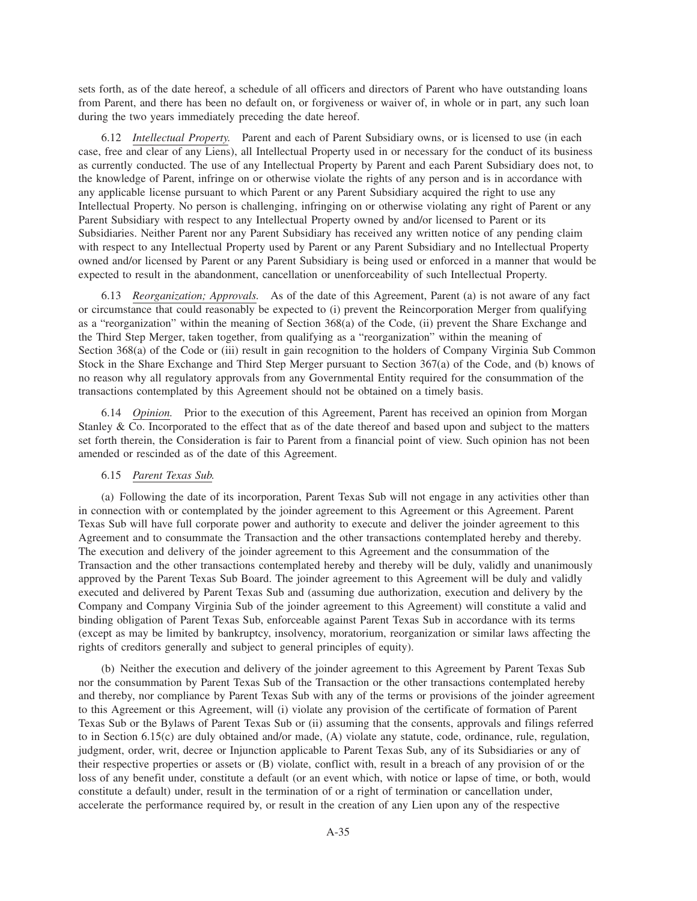sets forth, as of the date hereof, a schedule of all officers and directors of Parent who have outstanding loans from Parent, and there has been no default on, or forgiveness or waiver of, in whole or in part, any such loan during the two years immediately preceding the date hereof.

6.12 *Intellectual Property.* Parent and each of Parent Subsidiary owns, or is licensed to use (in each case, free and clear of any Liens), all Intellectual Property used in or necessary for the conduct of its business as currently conducted. The use of any Intellectual Property by Parent and each Parent Subsidiary does not, to the knowledge of Parent, infringe on or otherwise violate the rights of any person and is in accordance with any applicable license pursuant to which Parent or any Parent Subsidiary acquired the right to use any Intellectual Property. No person is challenging, infringing on or otherwise violating any right of Parent or any Parent Subsidiary with respect to any Intellectual Property owned by and/or licensed to Parent or its Subsidiaries. Neither Parent nor any Parent Subsidiary has received any written notice of any pending claim with respect to any Intellectual Property used by Parent or any Parent Subsidiary and no Intellectual Property owned and/or licensed by Parent or any Parent Subsidiary is being used or enforced in a manner that would be expected to result in the abandonment, cancellation or unenforceability of such Intellectual Property.

6.13 *Reorganization; Approvals.* As of the date of this Agreement, Parent (a) is not aware of any fact or circumstance that could reasonably be expected to (i) prevent the Reincorporation Merger from qualifying as a "reorganization" within the meaning of Section 368(a) of the Code, (ii) prevent the Share Exchange and the Third Step Merger, taken together, from qualifying as a "reorganization" within the meaning of Section 368(a) of the Code or (iii) result in gain recognition to the holders of Company Virginia Sub Common Stock in the Share Exchange and Third Step Merger pursuant to Section 367(a) of the Code, and (b) knows of no reason why all regulatory approvals from any Governmental Entity required for the consummation of the transactions contemplated by this Agreement should not be obtained on a timely basis.

6.14 *Opinion.* Prior to the execution of this Agreement, Parent has received an opinion from Morgan Stanley & Co. Incorporated to the effect that as of the date thereof and based upon and subject to the matters set forth therein, the Consideration is fair to Parent from a financial point of view. Such opinion has not been amended or rescinded as of the date of this Agreement.

## 6.15 *Parent Texas Sub.*

(a) Following the date of its incorporation, Parent Texas Sub will not engage in any activities other than in connection with or contemplated by the joinder agreement to this Agreement or this Agreement. Parent Texas Sub will have full corporate power and authority to execute and deliver the joinder agreement to this Agreement and to consummate the Transaction and the other transactions contemplated hereby and thereby. The execution and delivery of the joinder agreement to this Agreement and the consummation of the Transaction and the other transactions contemplated hereby and thereby will be duly, validly and unanimously approved by the Parent Texas Sub Board. The joinder agreement to this Agreement will be duly and validly executed and delivered by Parent Texas Sub and (assuming due authorization, execution and delivery by the Company and Company Virginia Sub of the joinder agreement to this Agreement) will constitute a valid and binding obligation of Parent Texas Sub, enforceable against Parent Texas Sub in accordance with its terms (except as may be limited by bankruptcy, insolvency, moratorium, reorganization or similar laws affecting the rights of creditors generally and subject to general principles of equity).

(b) Neither the execution and delivery of the joinder agreement to this Agreement by Parent Texas Sub nor the consummation by Parent Texas Sub of the Transaction or the other transactions contemplated hereby and thereby, nor compliance by Parent Texas Sub with any of the terms or provisions of the joinder agreement to this Agreement or this Agreement, will (i) violate any provision of the certificate of formation of Parent Texas Sub or the Bylaws of Parent Texas Sub or (ii) assuming that the consents, approvals and filings referred to in Section 6.15(c) are duly obtained and/or made, (A) violate any statute, code, ordinance, rule, regulation, judgment, order, writ, decree or Injunction applicable to Parent Texas Sub, any of its Subsidiaries or any of their respective properties or assets or (B) violate, conflict with, result in a breach of any provision of or the loss of any benefit under, constitute a default (or an event which, with notice or lapse of time, or both, would constitute a default) under, result in the termination of or a right of termination or cancellation under, accelerate the performance required by, or result in the creation of any Lien upon any of the respective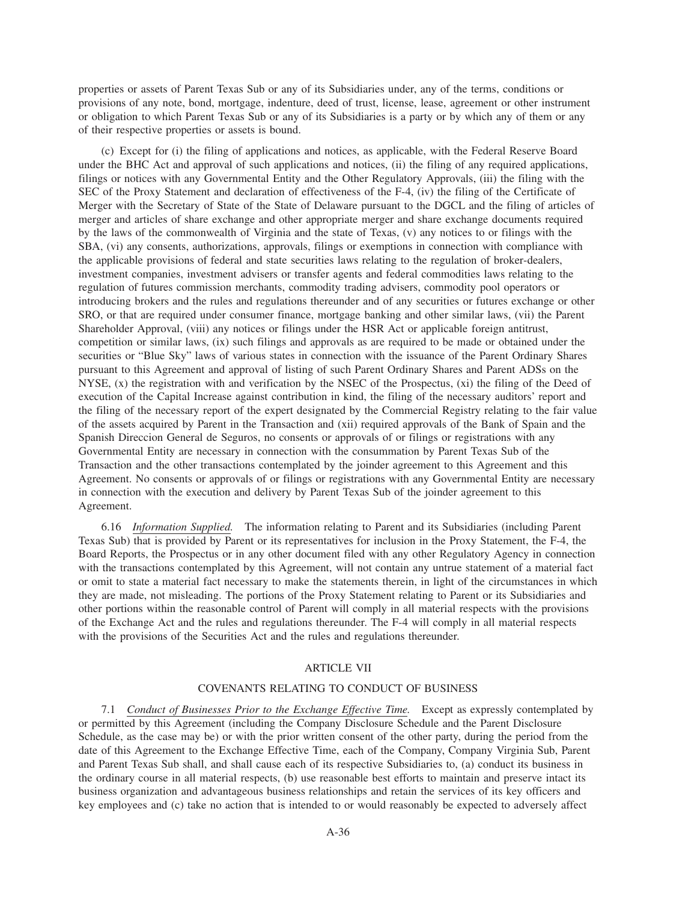properties or assets of Parent Texas Sub or any of its Subsidiaries under, any of the terms, conditions or provisions of any note, bond, mortgage, indenture, deed of trust, license, lease, agreement or other instrument or obligation to which Parent Texas Sub or any of its Subsidiaries is a party or by which any of them or any of their respective properties or assets is bound.

(c) Except for (i) the filing of applications and notices, as applicable, with the Federal Reserve Board under the BHC Act and approval of such applications and notices, (ii) the filing of any required applications, filings or notices with any Governmental Entity and the Other Regulatory Approvals, (iii) the filing with the SEC of the Proxy Statement and declaration of effectiveness of the F-4, (iv) the filing of the Certificate of Merger with the Secretary of State of the State of Delaware pursuant to the DGCL and the filing of articles of merger and articles of share exchange and other appropriate merger and share exchange documents required by the laws of the commonwealth of Virginia and the state of Texas, (v) any notices to or filings with the SBA, (vi) any consents, authorizations, approvals, filings or exemptions in connection with compliance with the applicable provisions of federal and state securities laws relating to the regulation of broker-dealers, investment companies, investment advisers or transfer agents and federal commodities laws relating to the regulation of futures commission merchants, commodity trading advisers, commodity pool operators or introducing brokers and the rules and regulations thereunder and of any securities or futures exchange or other SRO, or that are required under consumer finance, mortgage banking and other similar laws, (vii) the Parent Shareholder Approval, (viii) any notices or filings under the HSR Act or applicable foreign antitrust, competition or similar laws, (ix) such filings and approvals as are required to be made or obtained under the securities or "Blue Sky" laws of various states in connection with the issuance of the Parent Ordinary Shares pursuant to this Agreement and approval of listing of such Parent Ordinary Shares and Parent ADSs on the NYSE, (x) the registration with and verification by the NSEC of the Prospectus, (xi) the filing of the Deed of execution of the Capital Increase against contribution in kind, the filing of the necessary auditors' report and the filing of the necessary report of the expert designated by the Commercial Registry relating to the fair value of the assets acquired by Parent in the Transaction and (xii) required approvals of the Bank of Spain and the Spanish Direccion General de Seguros, no consents or approvals of or filings or registrations with any Governmental Entity are necessary in connection with the consummation by Parent Texas Sub of the Transaction and the other transactions contemplated by the joinder agreement to this Agreement and this Agreement. No consents or approvals of or filings or registrations with any Governmental Entity are necessary in connection with the execution and delivery by Parent Texas Sub of the joinder agreement to this Agreement.

6.16 *Information Supplied.* The information relating to Parent and its Subsidiaries (including Parent Texas Sub) that is provided by Parent or its representatives for inclusion in the Proxy Statement, the F-4, the Board Reports, the Prospectus or in any other document filed with any other Regulatory Agency in connection with the transactions contemplated by this Agreement, will not contain any untrue statement of a material fact or omit to state a material fact necessary to make the statements therein, in light of the circumstances in which they are made, not misleading. The portions of the Proxy Statement relating to Parent or its Subsidiaries and other portions within the reasonable control of Parent will comply in all material respects with the provisions of the Exchange Act and the rules and regulations thereunder. The F-4 will comply in all material respects with the provisions of the Securities Act and the rules and regulations thereunder.

## ARTICLE VII

### COVENANTS RELATING TO CONDUCT OF BUSINESS

7.1 *Conduct of Businesses Prior to the Exchange Effective Time.* Except as expressly contemplated by or permitted by this Agreement (including the Company Disclosure Schedule and the Parent Disclosure Schedule, as the case may be) or with the prior written consent of the other party, during the period from the date of this Agreement to the Exchange Effective Time, each of the Company, Company Virginia Sub, Parent and Parent Texas Sub shall, and shall cause each of its respective Subsidiaries to, (a) conduct its business in the ordinary course in all material respects, (b) use reasonable best efforts to maintain and preserve intact its business organization and advantageous business relationships and retain the services of its key officers and key employees and (c) take no action that is intended to or would reasonably be expected to adversely affect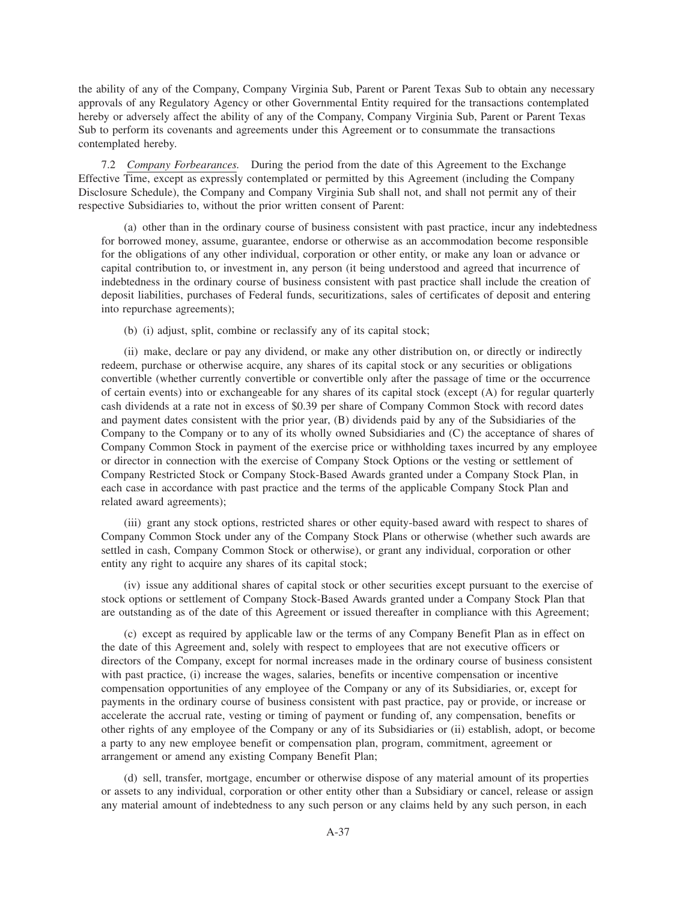the ability of any of the Company, Company Virginia Sub, Parent or Parent Texas Sub to obtain any necessary approvals of any Regulatory Agency or other Governmental Entity required for the transactions contemplated hereby or adversely affect the ability of any of the Company, Company Virginia Sub, Parent or Parent Texas Sub to perform its covenants and agreements under this Agreement or to consummate the transactions contemplated hereby.

7.2 *Company Forbearances.* During the period from the date of this Agreement to the Exchange Effective Time, except as expressly contemplated or permitted by this Agreement (including the Company Disclosure Schedule), the Company and Company Virginia Sub shall not, and shall not permit any of their respective Subsidiaries to, without the prior written consent of Parent:

(a) other than in the ordinary course of business consistent with past practice, incur any indebtedness for borrowed money, assume, guarantee, endorse or otherwise as an accommodation become responsible for the obligations of any other individual, corporation or other entity, or make any loan or advance or capital contribution to, or investment in, any person (it being understood and agreed that incurrence of indebtedness in the ordinary course of business consistent with past practice shall include the creation of deposit liabilities, purchases of Federal funds, securitizations, sales of certificates of deposit and entering into repurchase agreements);

(b) (i) adjust, split, combine or reclassify any of its capital stock;

(ii) make, declare or pay any dividend, or make any other distribution on, or directly or indirectly redeem, purchase or otherwise acquire, any shares of its capital stock or any securities or obligations convertible (whether currently convertible or convertible only after the passage of time or the occurrence of certain events) into or exchangeable for any shares of its capital stock (except (A) for regular quarterly cash dividends at a rate not in excess of \$0.39 per share of Company Common Stock with record dates and payment dates consistent with the prior year, (B) dividends paid by any of the Subsidiaries of the Company to the Company or to any of its wholly owned Subsidiaries and (C) the acceptance of shares of Company Common Stock in payment of the exercise price or withholding taxes incurred by any employee or director in connection with the exercise of Company Stock Options or the vesting or settlement of Company Restricted Stock or Company Stock-Based Awards granted under a Company Stock Plan, in each case in accordance with past practice and the terms of the applicable Company Stock Plan and related award agreements);

(iii) grant any stock options, restricted shares or other equity-based award with respect to shares of Company Common Stock under any of the Company Stock Plans or otherwise (whether such awards are settled in cash, Company Common Stock or otherwise), or grant any individual, corporation or other entity any right to acquire any shares of its capital stock;

(iv) issue any additional shares of capital stock or other securities except pursuant to the exercise of stock options or settlement of Company Stock-Based Awards granted under a Company Stock Plan that are outstanding as of the date of this Agreement or issued thereafter in compliance with this Agreement;

(c) except as required by applicable law or the terms of any Company Benefit Plan as in effect on the date of this Agreement and, solely with respect to employees that are not executive officers or directors of the Company, except for normal increases made in the ordinary course of business consistent with past practice, (i) increase the wages, salaries, benefits or incentive compensation or incentive compensation opportunities of any employee of the Company or any of its Subsidiaries, or, except for payments in the ordinary course of business consistent with past practice, pay or provide, or increase or accelerate the accrual rate, vesting or timing of payment or funding of, any compensation, benefits or other rights of any employee of the Company or any of its Subsidiaries or (ii) establish, adopt, or become a party to any new employee benefit or compensation plan, program, commitment, agreement or arrangement or amend any existing Company Benefit Plan;

(d) sell, transfer, mortgage, encumber or otherwise dispose of any material amount of its properties or assets to any individual, corporation or other entity other than a Subsidiary or cancel, release or assign any material amount of indebtedness to any such person or any claims held by any such person, in each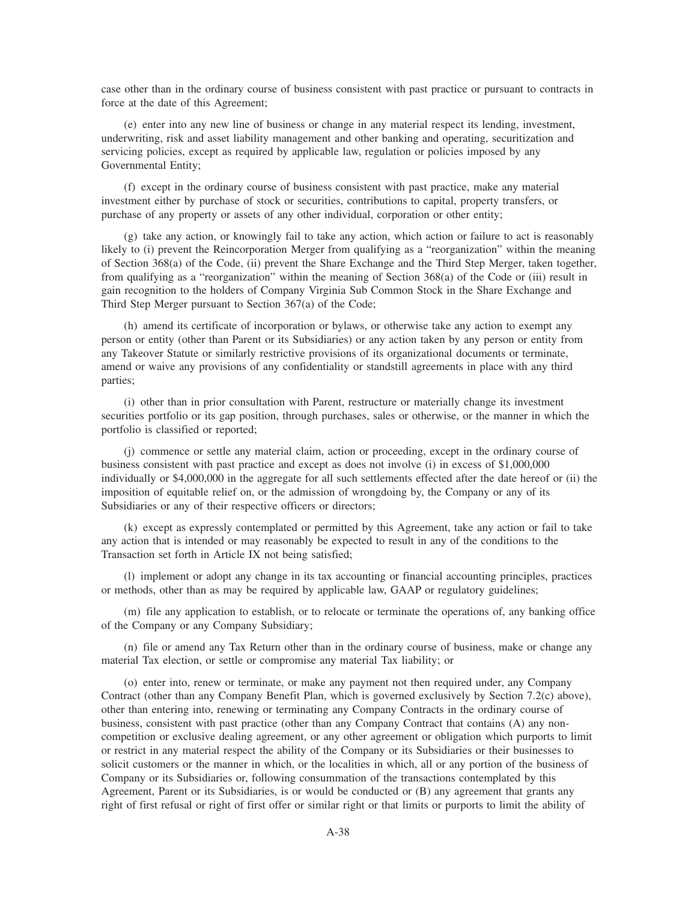case other than in the ordinary course of business consistent with past practice or pursuant to contracts in force at the date of this Agreement;

(e) enter into any new line of business or change in any material respect its lending, investment, underwriting, risk and asset liability management and other banking and operating, securitization and servicing policies, except as required by applicable law, regulation or policies imposed by any Governmental Entity;

(f) except in the ordinary course of business consistent with past practice, make any material investment either by purchase of stock or securities, contributions to capital, property transfers, or purchase of any property or assets of any other individual, corporation or other entity;

(g) take any action, or knowingly fail to take any action, which action or failure to act is reasonably likely to (i) prevent the Reincorporation Merger from qualifying as a "reorganization" within the meaning of Section 368(a) of the Code, (ii) prevent the Share Exchange and the Third Step Merger, taken together, from qualifying as a "reorganization" within the meaning of Section 368(a) of the Code or (iii) result in gain recognition to the holders of Company Virginia Sub Common Stock in the Share Exchange and Third Step Merger pursuant to Section 367(a) of the Code;

(h) amend its certificate of incorporation or bylaws, or otherwise take any action to exempt any person or entity (other than Parent or its Subsidiaries) or any action taken by any person or entity from any Takeover Statute or similarly restrictive provisions of its organizational documents or terminate, amend or waive any provisions of any confidentiality or standstill agreements in place with any third parties;

(i) other than in prior consultation with Parent, restructure or materially change its investment securities portfolio or its gap position, through purchases, sales or otherwise, or the manner in which the portfolio is classified or reported;

(j) commence or settle any material claim, action or proceeding, except in the ordinary course of business consistent with past practice and except as does not involve (i) in excess of \$1,000,000 individually or \$4,000,000 in the aggregate for all such settlements effected after the date hereof or (ii) the imposition of equitable relief on, or the admission of wrongdoing by, the Company or any of its Subsidiaries or any of their respective officers or directors;

(k) except as expressly contemplated or permitted by this Agreement, take any action or fail to take any action that is intended or may reasonably be expected to result in any of the conditions to the Transaction set forth in Article IX not being satisfied;

(l) implement or adopt any change in its tax accounting or financial accounting principles, practices or methods, other than as may be required by applicable law, GAAP or regulatory guidelines;

(m) file any application to establish, or to relocate or terminate the operations of, any banking office of the Company or any Company Subsidiary;

(n) file or amend any Tax Return other than in the ordinary course of business, make or change any material Tax election, or settle or compromise any material Tax liability; or

(o) enter into, renew or terminate, or make any payment not then required under, any Company Contract (other than any Company Benefit Plan, which is governed exclusively by Section 7.2(c) above), other than entering into, renewing or terminating any Company Contracts in the ordinary course of business, consistent with past practice (other than any Company Contract that contains (A) any noncompetition or exclusive dealing agreement, or any other agreement or obligation which purports to limit or restrict in any material respect the ability of the Company or its Subsidiaries or their businesses to solicit customers or the manner in which, or the localities in which, all or any portion of the business of Company or its Subsidiaries or, following consummation of the transactions contemplated by this Agreement, Parent or its Subsidiaries, is or would be conducted or (B) any agreement that grants any right of first refusal or right of first offer or similar right or that limits or purports to limit the ability of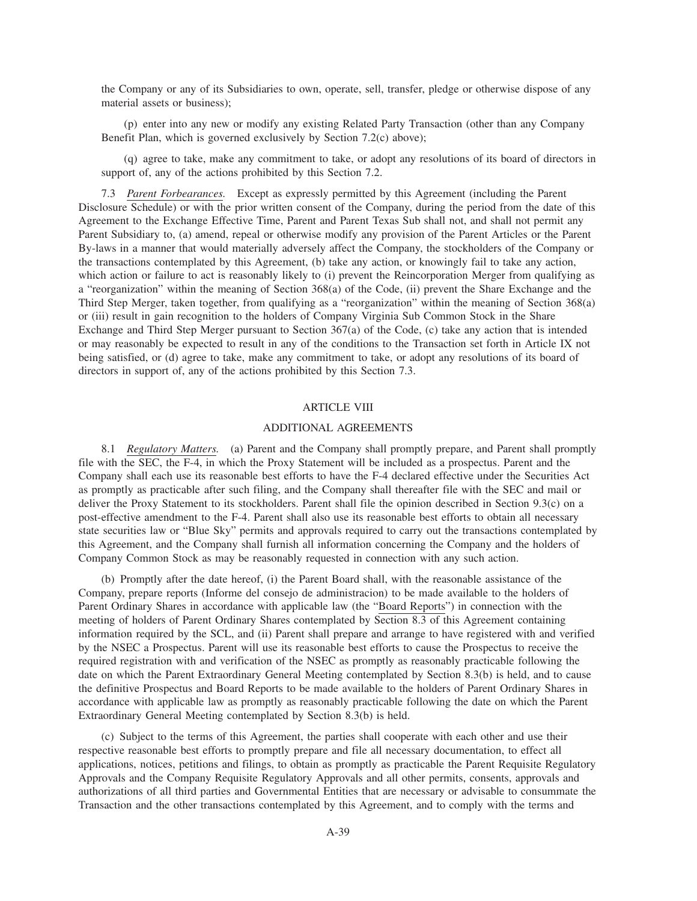the Company or any of its Subsidiaries to own, operate, sell, transfer, pledge or otherwise dispose of any material assets or business);

(p) enter into any new or modify any existing Related Party Transaction (other than any Company Benefit Plan, which is governed exclusively by Section 7.2(c) above);

(q) agree to take, make any commitment to take, or adopt any resolutions of its board of directors in support of, any of the actions prohibited by this Section 7.2.

7.3 *Parent Forbearances.* Except as expressly permitted by this Agreement (including the Parent Disclosure Schedule) or with the prior written consent of the Company, during the period from the date of this Agreement to the Exchange Effective Time, Parent and Parent Texas Sub shall not, and shall not permit any Parent Subsidiary to, (a) amend, repeal or otherwise modify any provision of the Parent Articles or the Parent By-laws in a manner that would materially adversely affect the Company, the stockholders of the Company or the transactions contemplated by this Agreement, (b) take any action, or knowingly fail to take any action, which action or failure to act is reasonably likely to (i) prevent the Reincorporation Merger from qualifying as a "reorganization" within the meaning of Section 368(a) of the Code, (ii) prevent the Share Exchange and the Third Step Merger, taken together, from qualifying as a "reorganization" within the meaning of Section 368(a) or (iii) result in gain recognition to the holders of Company Virginia Sub Common Stock in the Share Exchange and Third Step Merger pursuant to Section 367(a) of the Code, (c) take any action that is intended or may reasonably be expected to result in any of the conditions to the Transaction set forth in Article IX not being satisfied, or (d) agree to take, make any commitment to take, or adopt any resolutions of its board of directors in support of, any of the actions prohibited by this Section 7.3.

# ARTICLE VIII

## ADDITIONAL AGREEMENTS

8.1 *Regulatory Matters.* (a) Parent and the Company shall promptly prepare, and Parent shall promptly file with the SEC, the F-4, in which the Proxy Statement will be included as a prospectus. Parent and the Company shall each use its reasonable best efforts to have the F-4 declared effective under the Securities Act as promptly as practicable after such filing, and the Company shall thereafter file with the SEC and mail or deliver the Proxy Statement to its stockholders. Parent shall file the opinion described in Section 9.3(c) on a post-effective amendment to the F-4. Parent shall also use its reasonable best efforts to obtain all necessary state securities law or "Blue Sky" permits and approvals required to carry out the transactions contemplated by this Agreement, and the Company shall furnish all information concerning the Company and the holders of Company Common Stock as may be reasonably requested in connection with any such action.

(b) Promptly after the date hereof, (i) the Parent Board shall, with the reasonable assistance of the Company, prepare reports (Informe del consejo de administracion) to be made available to the holders of Parent Ordinary Shares in accordance with applicable law (the "Board Reports") in connection with the meeting of holders of Parent Ordinary Shares contemplated by Section 8.3 of this Agreement containing information required by the SCL, and (ii) Parent shall prepare and arrange to have registered with and verified by the NSEC a Prospectus. Parent will use its reasonable best efforts to cause the Prospectus to receive the required registration with and verification of the NSEC as promptly as reasonably practicable following the date on which the Parent Extraordinary General Meeting contemplated by Section 8.3(b) is held, and to cause the definitive Prospectus and Board Reports to be made available to the holders of Parent Ordinary Shares in accordance with applicable law as promptly as reasonably practicable following the date on which the Parent Extraordinary General Meeting contemplated by Section 8.3(b) is held.

(c) Subject to the terms of this Agreement, the parties shall cooperate with each other and use their respective reasonable best efforts to promptly prepare and file all necessary documentation, to effect all applications, notices, petitions and filings, to obtain as promptly as practicable the Parent Requisite Regulatory Approvals and the Company Requisite Regulatory Approvals and all other permits, consents, approvals and authorizations of all third parties and Governmental Entities that are necessary or advisable to consummate the Transaction and the other transactions contemplated by this Agreement, and to comply with the terms and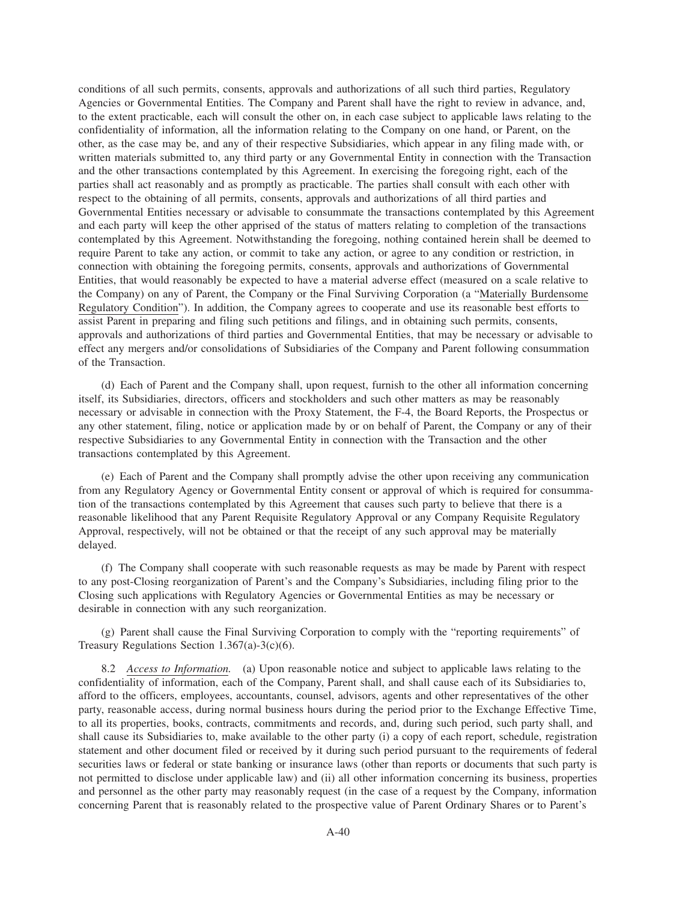conditions of all such permits, consents, approvals and authorizations of all such third parties, Regulatory Agencies or Governmental Entities. The Company and Parent shall have the right to review in advance, and, to the extent practicable, each will consult the other on, in each case subject to applicable laws relating to the confidentiality of information, all the information relating to the Company on one hand, or Parent, on the other, as the case may be, and any of their respective Subsidiaries, which appear in any filing made with, or written materials submitted to, any third party or any Governmental Entity in connection with the Transaction and the other transactions contemplated by this Agreement. In exercising the foregoing right, each of the parties shall act reasonably and as promptly as practicable. The parties shall consult with each other with respect to the obtaining of all permits, consents, approvals and authorizations of all third parties and Governmental Entities necessary or advisable to consummate the transactions contemplated by this Agreement and each party will keep the other apprised of the status of matters relating to completion of the transactions contemplated by this Agreement. Notwithstanding the foregoing, nothing contained herein shall be deemed to require Parent to take any action, or commit to take any action, or agree to any condition or restriction, in connection with obtaining the foregoing permits, consents, approvals and authorizations of Governmental Entities, that would reasonably be expected to have a material adverse effect (measured on a scale relative to the Company) on any of Parent, the Company or the Final Surviving Corporation (a "Materially Burdensome Regulatory Condition"). In addition, the Company agrees to cooperate and use its reasonable best efforts to assist Parent in preparing and filing such petitions and filings, and in obtaining such permits, consents, approvals and authorizations of third parties and Governmental Entities, that may be necessary or advisable to effect any mergers and/or consolidations of Subsidiaries of the Company and Parent following consummation of the Transaction.

(d) Each of Parent and the Company shall, upon request, furnish to the other all information concerning itself, its Subsidiaries, directors, officers and stockholders and such other matters as may be reasonably necessary or advisable in connection with the Proxy Statement, the F-4, the Board Reports, the Prospectus or any other statement, filing, notice or application made by or on behalf of Parent, the Company or any of their respective Subsidiaries to any Governmental Entity in connection with the Transaction and the other transactions contemplated by this Agreement.

(e) Each of Parent and the Company shall promptly advise the other upon receiving any communication from any Regulatory Agency or Governmental Entity consent or approval of which is required for consummation of the transactions contemplated by this Agreement that causes such party to believe that there is a reasonable likelihood that any Parent Requisite Regulatory Approval or any Company Requisite Regulatory Approval, respectively, will not be obtained or that the receipt of any such approval may be materially delayed.

(f) The Company shall cooperate with such reasonable requests as may be made by Parent with respect to any post-Closing reorganization of Parent's and the Company's Subsidiaries, including filing prior to the Closing such applications with Regulatory Agencies or Governmental Entities as may be necessary or desirable in connection with any such reorganization.

(g) Parent shall cause the Final Surviving Corporation to comply with the "reporting requirements" of Treasury Regulations Section 1.367(a)-3(c)(6).

8.2 *Access to Information.* (a) Upon reasonable notice and subject to applicable laws relating to the confidentiality of information, each of the Company, Parent shall, and shall cause each of its Subsidiaries to, afford to the officers, employees, accountants, counsel, advisors, agents and other representatives of the other party, reasonable access, during normal business hours during the period prior to the Exchange Effective Time, to all its properties, books, contracts, commitments and records, and, during such period, such party shall, and shall cause its Subsidiaries to, make available to the other party (i) a copy of each report, schedule, registration statement and other document filed or received by it during such period pursuant to the requirements of federal securities laws or federal or state banking or insurance laws (other than reports or documents that such party is not permitted to disclose under applicable law) and (ii) all other information concerning its business, properties and personnel as the other party may reasonably request (in the case of a request by the Company, information concerning Parent that is reasonably related to the prospective value of Parent Ordinary Shares or to Parent's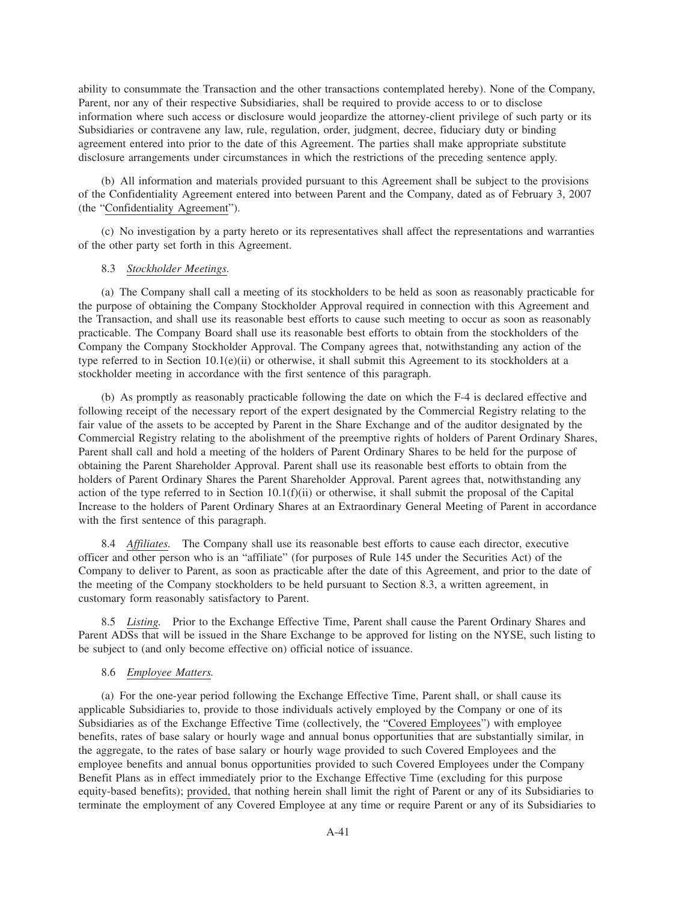ability to consummate the Transaction and the other transactions contemplated hereby). None of the Company, Parent, nor any of their respective Subsidiaries, shall be required to provide access to or to disclose information where such access or disclosure would jeopardize the attorney-client privilege of such party or its Subsidiaries or contravene any law, rule, regulation, order, judgment, decree, fiduciary duty or binding agreement entered into prior to the date of this Agreement. The parties shall make appropriate substitute disclosure arrangements under circumstances in which the restrictions of the preceding sentence apply.

(b) All information and materials provided pursuant to this Agreement shall be subject to the provisions of the Confidentiality Agreement entered into between Parent and the Company, dated as of February 3, 2007 (the "Confidentiality Agreement").

(c) No investigation by a party hereto or its representatives shall affect the representations and warranties of the other party set forth in this Agreement.

### 8.3 *Stockholder Meetings.*

(a) The Company shall call a meeting of its stockholders to be held as soon as reasonably practicable for the purpose of obtaining the Company Stockholder Approval required in connection with this Agreement and the Transaction, and shall use its reasonable best efforts to cause such meeting to occur as soon as reasonably practicable. The Company Board shall use its reasonable best efforts to obtain from the stockholders of the Company the Company Stockholder Approval. The Company agrees that, notwithstanding any action of the type referred to in Section 10.1(e)(ii) or otherwise, it shall submit this Agreement to its stockholders at a stockholder meeting in accordance with the first sentence of this paragraph.

(b) As promptly as reasonably practicable following the date on which the F-4 is declared effective and following receipt of the necessary report of the expert designated by the Commercial Registry relating to the fair value of the assets to be accepted by Parent in the Share Exchange and of the auditor designated by the Commercial Registry relating to the abolishment of the preemptive rights of holders of Parent Ordinary Shares, Parent shall call and hold a meeting of the holders of Parent Ordinary Shares to be held for the purpose of obtaining the Parent Shareholder Approval. Parent shall use its reasonable best efforts to obtain from the holders of Parent Ordinary Shares the Parent Shareholder Approval. Parent agrees that, notwithstanding any action of the type referred to in Section 10.1(f)(ii) or otherwise, it shall submit the proposal of the Capital Increase to the holders of Parent Ordinary Shares at an Extraordinary General Meeting of Parent in accordance with the first sentence of this paragraph.

8.4 *Affiliates.* The Company shall use its reasonable best efforts to cause each director, executive officer and other person who is an "affiliate" (for purposes of Rule 145 under the Securities Act) of the Company to deliver to Parent, as soon as practicable after the date of this Agreement, and prior to the date of the meeting of the Company stockholders to be held pursuant to Section 8.3, a written agreement, in customary form reasonably satisfactory to Parent.

8.5 *Listing.* Prior to the Exchange Effective Time, Parent shall cause the Parent Ordinary Shares and Parent ADSs that will be issued in the Share Exchange to be approved for listing on the NYSE, such listing to be subject to (and only become effective on) official notice of issuance.

### 8.6 *Employee Matters.*

(a) For the one-year period following the Exchange Effective Time, Parent shall, or shall cause its applicable Subsidiaries to, provide to those individuals actively employed by the Company or one of its Subsidiaries as of the Exchange Effective Time (collectively, the "Covered Employees") with employee benefits, rates of base salary or hourly wage and annual bonus opportunities that are substantially similar, in the aggregate, to the rates of base salary or hourly wage provided to such Covered Employees and the employee benefits and annual bonus opportunities provided to such Covered Employees under the Company Benefit Plans as in effect immediately prior to the Exchange Effective Time (excluding for this purpose equity-based benefits); provided, that nothing herein shall limit the right of Parent or any of its Subsidiaries to terminate the employment of any Covered Employee at any time or require Parent or any of its Subsidiaries to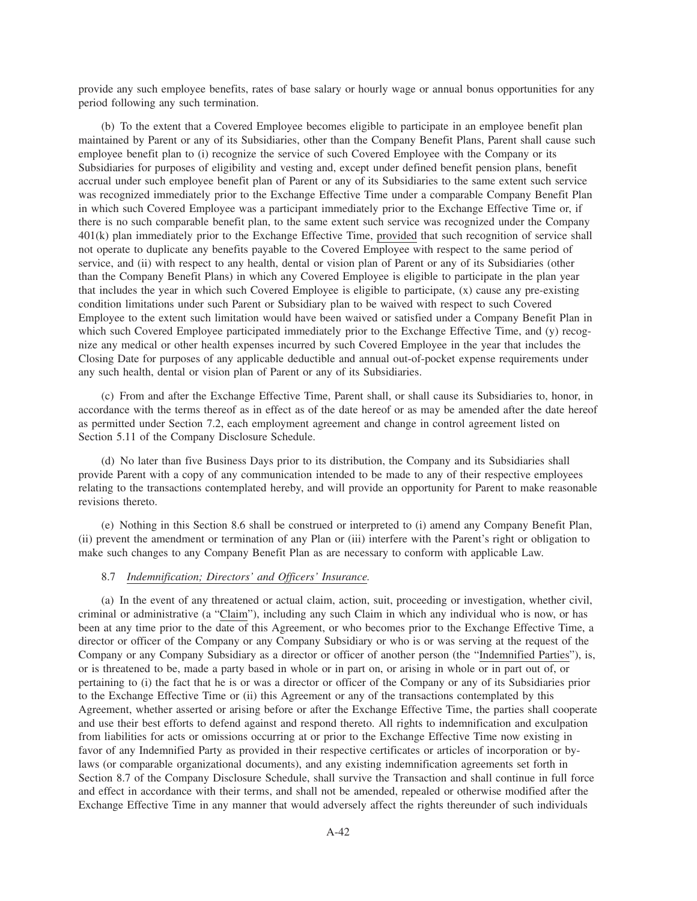provide any such employee benefits, rates of base salary or hourly wage or annual bonus opportunities for any period following any such termination.

(b) To the extent that a Covered Employee becomes eligible to participate in an employee benefit plan maintained by Parent or any of its Subsidiaries, other than the Company Benefit Plans, Parent shall cause such employee benefit plan to (i) recognize the service of such Covered Employee with the Company or its Subsidiaries for purposes of eligibility and vesting and, except under defined benefit pension plans, benefit accrual under such employee benefit plan of Parent or any of its Subsidiaries to the same extent such service was recognized immediately prior to the Exchange Effective Time under a comparable Company Benefit Plan in which such Covered Employee was a participant immediately prior to the Exchange Effective Time or, if there is no such comparable benefit plan, to the same extent such service was recognized under the Company 401(k) plan immediately prior to the Exchange Effective Time, provided that such recognition of service shall not operate to duplicate any benefits payable to the Covered Employee with respect to the same period of service, and (ii) with respect to any health, dental or vision plan of Parent or any of its Subsidiaries (other than the Company Benefit Plans) in which any Covered Employee is eligible to participate in the plan year that includes the year in which such Covered Employee is eligible to participate, (x) cause any pre-existing condition limitations under such Parent or Subsidiary plan to be waived with respect to such Covered Employee to the extent such limitation would have been waived or satisfied under a Company Benefit Plan in which such Covered Employee participated immediately prior to the Exchange Effective Time, and (y) recognize any medical or other health expenses incurred by such Covered Employee in the year that includes the Closing Date for purposes of any applicable deductible and annual out-of-pocket expense requirements under any such health, dental or vision plan of Parent or any of its Subsidiaries.

(c) From and after the Exchange Effective Time, Parent shall, or shall cause its Subsidiaries to, honor, in accordance with the terms thereof as in effect as of the date hereof or as may be amended after the date hereof as permitted under Section 7.2, each employment agreement and change in control agreement listed on Section 5.11 of the Company Disclosure Schedule.

(d) No later than five Business Days prior to its distribution, the Company and its Subsidiaries shall provide Parent with a copy of any communication intended to be made to any of their respective employees relating to the transactions contemplated hereby, and will provide an opportunity for Parent to make reasonable revisions thereto.

(e) Nothing in this Section 8.6 shall be construed or interpreted to (i) amend any Company Benefit Plan, (ii) prevent the amendment or termination of any Plan or (iii) interfere with the Parent's right or obligation to make such changes to any Company Benefit Plan as are necessary to conform with applicable Law.

## 8.7 *Indemnification; Directors' and Officers' Insurance.*

(a) In the event of any threatened or actual claim, action, suit, proceeding or investigation, whether civil, criminal or administrative (a "Claim"), including any such Claim in which any individual who is now, or has been at any time prior to the date of this Agreement, or who becomes prior to the Exchange Effective Time, a director or officer of the Company or any Company Subsidiary or who is or was serving at the request of the Company or any Company Subsidiary as a director or officer of another person (the "Indemnified Parties"), is, or is threatened to be, made a party based in whole or in part on, or arising in whole or in part out of, or pertaining to (i) the fact that he is or was a director or officer of the Company or any of its Subsidiaries prior to the Exchange Effective Time or (ii) this Agreement or any of the transactions contemplated by this Agreement, whether asserted or arising before or after the Exchange Effective Time, the parties shall cooperate and use their best efforts to defend against and respond thereto. All rights to indemnification and exculpation from liabilities for acts or omissions occurring at or prior to the Exchange Effective Time now existing in favor of any Indemnified Party as provided in their respective certificates or articles of incorporation or bylaws (or comparable organizational documents), and any existing indemnification agreements set forth in Section 8.7 of the Company Disclosure Schedule, shall survive the Transaction and shall continue in full force and effect in accordance with their terms, and shall not be amended, repealed or otherwise modified after the Exchange Effective Time in any manner that would adversely affect the rights thereunder of such individuals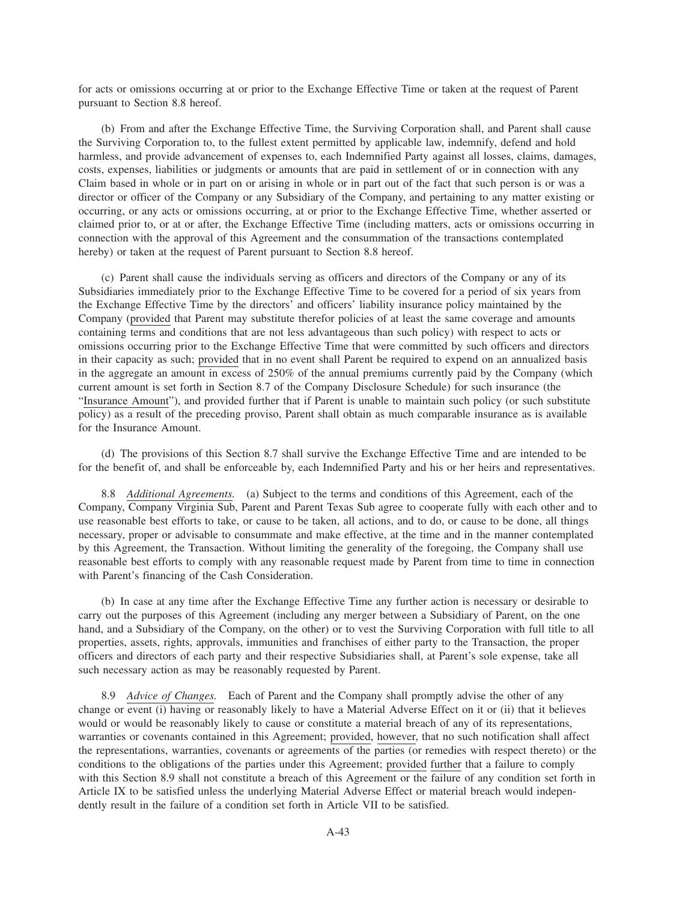for acts or omissions occurring at or prior to the Exchange Effective Time or taken at the request of Parent pursuant to Section 8.8 hereof.

(b) From and after the Exchange Effective Time, the Surviving Corporation shall, and Parent shall cause the Surviving Corporation to, to the fullest extent permitted by applicable law, indemnify, defend and hold harmless, and provide advancement of expenses to, each Indemnified Party against all losses, claims, damages, costs, expenses, liabilities or judgments or amounts that are paid in settlement of or in connection with any Claim based in whole or in part on or arising in whole or in part out of the fact that such person is or was a director or officer of the Company or any Subsidiary of the Company, and pertaining to any matter existing or occurring, or any acts or omissions occurring, at or prior to the Exchange Effective Time, whether asserted or claimed prior to, or at or after, the Exchange Effective Time (including matters, acts or omissions occurring in connection with the approval of this Agreement and the consummation of the transactions contemplated hereby) or taken at the request of Parent pursuant to Section 8.8 hereof.

(c) Parent shall cause the individuals serving as officers and directors of the Company or any of its Subsidiaries immediately prior to the Exchange Effective Time to be covered for a period of six years from the Exchange Effective Time by the directors' and officers' liability insurance policy maintained by the Company (provided that Parent may substitute therefor policies of at least the same coverage and amounts containing terms and conditions that are not less advantageous than such policy) with respect to acts or omissions occurring prior to the Exchange Effective Time that were committed by such officers and directors in their capacity as such; provided that in no event shall Parent be required to expend on an annualized basis in the aggregate an amount in excess of 250% of the annual premiums currently paid by the Company (which current amount is set forth in Section 8.7 of the Company Disclosure Schedule) for such insurance (the "Insurance Amount"), and provided further that if Parent is unable to maintain such policy (or such substitute policy) as a result of the preceding proviso, Parent shall obtain as much comparable insurance as is available for the Insurance Amount.

(d) The provisions of this Section 8.7 shall survive the Exchange Effective Time and are intended to be for the benefit of, and shall be enforceable by, each Indemnified Party and his or her heirs and representatives.

8.8 *Additional Agreements.* (a) Subject to the terms and conditions of this Agreement, each of the Company, Company Virginia Sub, Parent and Parent Texas Sub agree to cooperate fully with each other and to use reasonable best efforts to take, or cause to be taken, all actions, and to do, or cause to be done, all things necessary, proper or advisable to consummate and make effective, at the time and in the manner contemplated by this Agreement, the Transaction. Without limiting the generality of the foregoing, the Company shall use reasonable best efforts to comply with any reasonable request made by Parent from time to time in connection with Parent's financing of the Cash Consideration.

(b) In case at any time after the Exchange Effective Time any further action is necessary or desirable to carry out the purposes of this Agreement (including any merger between a Subsidiary of Parent, on the one hand, and a Subsidiary of the Company, on the other) or to vest the Surviving Corporation with full title to all properties, assets, rights, approvals, immunities and franchises of either party to the Transaction, the proper officers and directors of each party and their respective Subsidiaries shall, at Parent's sole expense, take all such necessary action as may be reasonably requested by Parent.

8.9 *Advice of Changes.* Each of Parent and the Company shall promptly advise the other of any change or event (i) having or reasonably likely to have a Material Adverse Effect on it or (ii) that it believes would or would be reasonably likely to cause or constitute a material breach of any of its representations, warranties or covenants contained in this Agreement; provided, however, that no such notification shall affect the representations, warranties, covenants or agreements of the parties (or remedies with respect thereto) or the conditions to the obligations of the parties under this Agreement; provided further that a failure to comply with this Section 8.9 shall not constitute a breach of this Agreement or the failure of any condition set forth in Article IX to be satisfied unless the underlying Material Adverse Effect or material breach would independently result in the failure of a condition set forth in Article VII to be satisfied.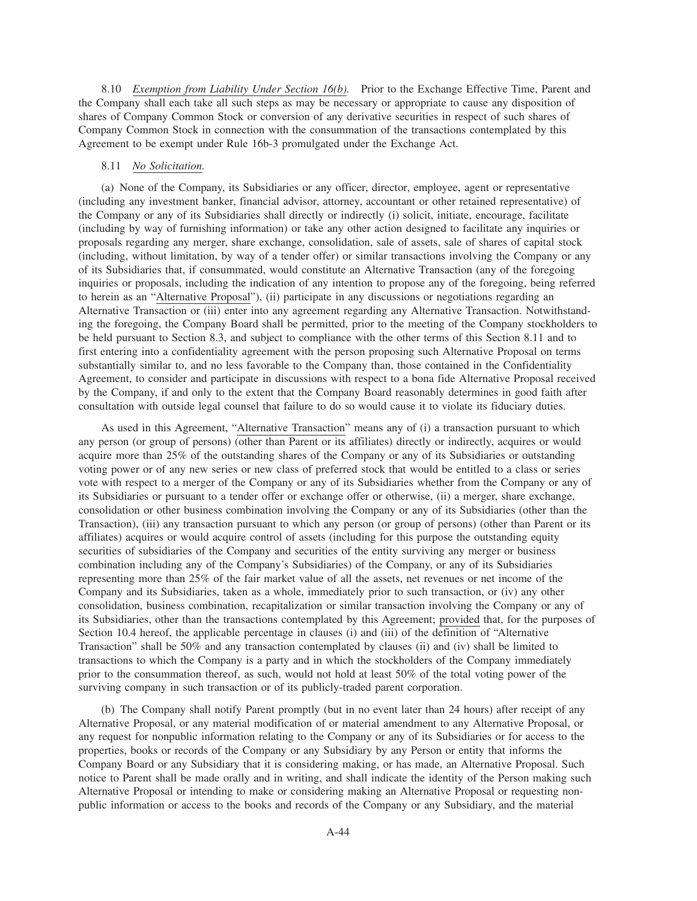8.10 *Exemption from Liability Under Section 16(b).* Prior to the Exchange Effective Time, Parent and the Company shall each take all such steps as may be necessary or appropriate to cause any disposition of shares of Company Common Stock or conversion of any derivative securities in respect of such shares of Company Common Stock in connection with the consummation of the transactions contemplated by this Agreement to be exempt under Rule 16b-3 promulgated under the Exchange Act.

### 8.11 *No Solicitation.*

(a) None of the Company, its Subsidiaries or any officer, director, employee, agent or representative (including any investment banker, financial advisor, attorney, accountant or other retained representative) of the Company or any of its Subsidiaries shall directly or indirectly (i) solicit, initiate, encourage, facilitate (including by way of furnishing information) or take any other action designed to facilitate any inquiries or proposals regarding any merger, share exchange, consolidation, sale of assets, sale of shares of capital stock (including, without limitation, by way of a tender offer) or similar transactions involving the Company or any of its Subsidiaries that, if consummated, would constitute an Alternative Transaction (any of the foregoing inquiries or proposals, including the indication of any intention to propose any of the foregoing, being referred to herein as an "Alternative Proposal"), (ii) participate in any discussions or negotiations regarding an Alternative Transaction or (iii) enter into any agreement regarding any Alternative Transaction. Notwithstanding the foregoing, the Company Board shall be permitted, prior to the meeting of the Company stockholders to be held pursuant to Section 8.3, and subject to compliance with the other terms of this Section 8.11 and to first entering into a confidentiality agreement with the person proposing such Alternative Proposal on terms substantially similar to, and no less favorable to the Company than, those contained in the Confidentiality Agreement, to consider and participate in discussions with respect to a bona fide Alternative Proposal received by the Company, if and only to the extent that the Company Board reasonably determines in good faith after consultation with outside legal counsel that failure to do so would cause it to violate its fiduciary duties.

As used in this Agreement, "Alternative Transaction" means any of (i) a transaction pursuant to which any person (or group of persons) (other than Parent or its affiliates) directly or indirectly, acquires or would acquire more than 25% of the outstanding shares of the Company or any of its Subsidiaries or outstanding voting power or of any new series or new class of preferred stock that would be entitled to a class or series vote with respect to a merger of the Company or any of its Subsidiaries whether from the Company or any of its Subsidiaries or pursuant to a tender offer or exchange offer or otherwise, (ii) a merger, share exchange, consolidation or other business combination involving the Company or any of its Subsidiaries (other than the Transaction), (iii) any transaction pursuant to which any person (or group of persons) (other than Parent or its affiliates) acquires or would acquire control of assets (including for this purpose the outstanding equity securities of subsidiaries of the Company and securities of the entity surviving any merger or business combination including any of the Company's Subsidiaries) of the Company, or any of its Subsidiaries representing more than 25% of the fair market value of all the assets, net revenues or net income of the Company and its Subsidiaries, taken as a whole, immediately prior to such transaction, or (iv) any other consolidation, business combination, recapitalization or similar transaction involving the Company or any of its Subsidiaries, other than the transactions contemplated by this Agreement; provided that, for the purposes of Section 10.4 hereof, the applicable percentage in clauses (i) and (iii) of the definition of "Alternative Transaction" shall be 50% and any transaction contemplated by clauses (ii) and (iv) shall be limited to transactions to which the Company is a party and in which the stockholders of the Company immediately prior to the consummation thereof, as such, would not hold at least 50% of the total voting power of the surviving company in such transaction or of its publicly-traded parent corporation.

(b) The Company shall notify Parent promptly (but in no event later than 24 hours) after receipt of any Alternative Proposal, or any material modification of or material amendment to any Alternative Proposal, or any request for nonpublic information relating to the Company or any of its Subsidiaries or for access to the properties, books or records of the Company or any Subsidiary by any Person or entity that informs the Company Board or any Subsidiary that it is considering making, or has made, an Alternative Proposal. Such notice to Parent shall be made orally and in writing, and shall indicate the identity of the Person making such Alternative Proposal or intending to make or considering making an Alternative Proposal or requesting nonpublic information or access to the books and records of the Company or any Subsidiary, and the material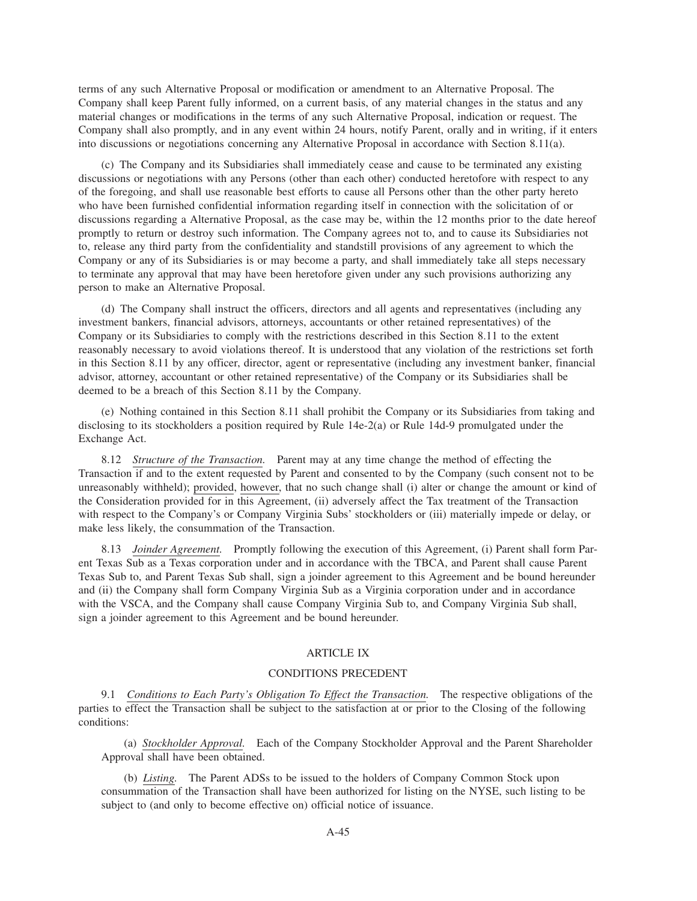terms of any such Alternative Proposal or modification or amendment to an Alternative Proposal. The Company shall keep Parent fully informed, on a current basis, of any material changes in the status and any material changes or modifications in the terms of any such Alternative Proposal, indication or request. The Company shall also promptly, and in any event within 24 hours, notify Parent, orally and in writing, if it enters into discussions or negotiations concerning any Alternative Proposal in accordance with Section 8.11(a).

(c) The Company and its Subsidiaries shall immediately cease and cause to be terminated any existing discussions or negotiations with any Persons (other than each other) conducted heretofore with respect to any of the foregoing, and shall use reasonable best efforts to cause all Persons other than the other party hereto who have been furnished confidential information regarding itself in connection with the solicitation of or discussions regarding a Alternative Proposal, as the case may be, within the 12 months prior to the date hereof promptly to return or destroy such information. The Company agrees not to, and to cause its Subsidiaries not to, release any third party from the confidentiality and standstill provisions of any agreement to which the Company or any of its Subsidiaries is or may become a party, and shall immediately take all steps necessary to terminate any approval that may have been heretofore given under any such provisions authorizing any person to make an Alternative Proposal.

(d) The Company shall instruct the officers, directors and all agents and representatives (including any investment bankers, financial advisors, attorneys, accountants or other retained representatives) of the Company or its Subsidiaries to comply with the restrictions described in this Section 8.11 to the extent reasonably necessary to avoid violations thereof. It is understood that any violation of the restrictions set forth in this Section 8.11 by any officer, director, agent or representative (including any investment banker, financial advisor, attorney, accountant or other retained representative) of the Company or its Subsidiaries shall be deemed to be a breach of this Section 8.11 by the Company.

(e) Nothing contained in this Section 8.11 shall prohibit the Company or its Subsidiaries from taking and disclosing to its stockholders a position required by Rule 14e-2(a) or Rule 14d-9 promulgated under the Exchange Act.

8.12 *Structure of the Transaction.* Parent may at any time change the method of effecting the Transaction if and to the extent requested by Parent and consented to by the Company (such consent not to be unreasonably withheld); provided, however, that no such change shall (i) alter or change the amount or kind of the Consideration provided for in this Agreement, (ii) adversely affect the Tax treatment of the Transaction with respect to the Company's or Company Virginia Subs' stockholders or (iii) materially impede or delay, or make less likely, the consummation of the Transaction.

8.13 *Joinder Agreement.* Promptly following the execution of this Agreement, (i) Parent shall form Parent Texas Sub as a Texas corporation under and in accordance with the TBCA, and Parent shall cause Parent Texas Sub to, and Parent Texas Sub shall, sign a joinder agreement to this Agreement and be bound hereunder and (ii) the Company shall form Company Virginia Sub as a Virginia corporation under and in accordance with the VSCA, and the Company shall cause Company Virginia Sub to, and Company Virginia Sub shall, sign a joinder agreement to this Agreement and be bound hereunder.

### ARTICLE IX

#### CONDITIONS PRECEDENT

9.1 *Conditions to Each Party's Obligation To Effect the Transaction.* The respective obligations of the parties to effect the Transaction shall be subject to the satisfaction at or prior to the Closing of the following conditions:

(a) *Stockholder Approval.* Each of the Company Stockholder Approval and the Parent Shareholder Approval shall have been obtained.

(b) *Listing.* The Parent ADSs to be issued to the holders of Company Common Stock upon consummation of the Transaction shall have been authorized for listing on the NYSE, such listing to be subject to (and only to become effective on) official notice of issuance.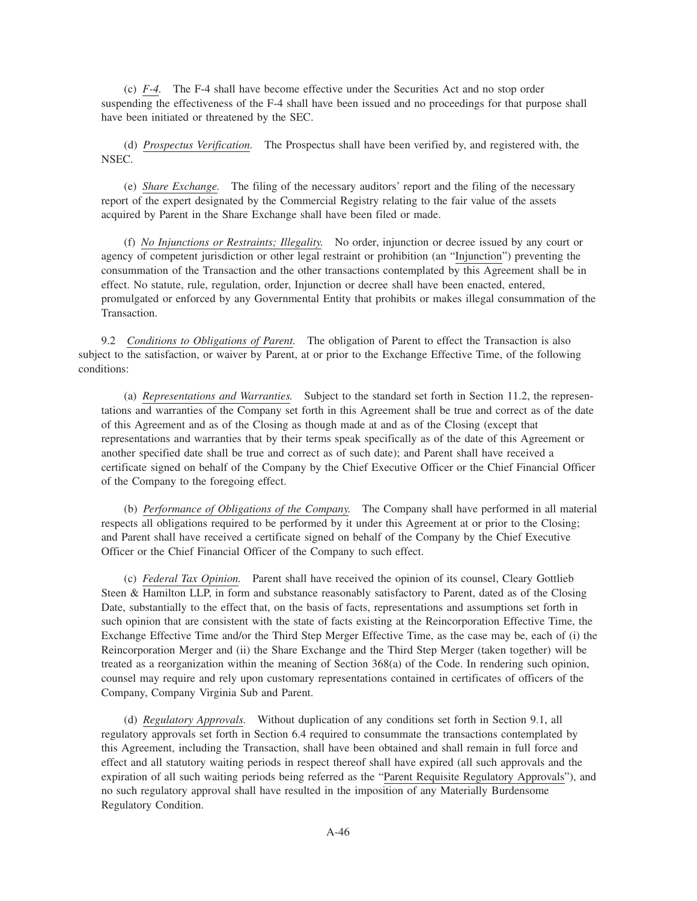(c) *F-4.* The F-4 shall have become effective under the Securities Act and no stop order suspending the effectiveness of the F-4 shall have been issued and no proceedings for that purpose shall have been initiated or threatened by the SEC.

(d) *Prospectus Verification.* The Prospectus shall have been verified by, and registered with, the NSEC.

(e) *Share Exchange.* The filing of the necessary auditors' report and the filing of the necessary report of the expert designated by the Commercial Registry relating to the fair value of the assets acquired by Parent in the Share Exchange shall have been filed or made.

(f) *No Injunctions or Restraints; Illegality.* No order, injunction or decree issued by any court or agency of competent jurisdiction or other legal restraint or prohibition (an "Injunction") preventing the consummation of the Transaction and the other transactions contemplated by this Agreement shall be in effect. No statute, rule, regulation, order, Injunction or decree shall have been enacted, entered, promulgated or enforced by any Governmental Entity that prohibits or makes illegal consummation of the Transaction.

9.2 *Conditions to Obligations of Parent.* The obligation of Parent to effect the Transaction is also subject to the satisfaction, or waiver by Parent, at or prior to the Exchange Effective Time, of the following conditions:

(a) *Representations and Warranties.* Subject to the standard set forth in Section 11.2, the representations and warranties of the Company set forth in this Agreement shall be true and correct as of the date of this Agreement and as of the Closing as though made at and as of the Closing (except that representations and warranties that by their terms speak specifically as of the date of this Agreement or another specified date shall be true and correct as of such date); and Parent shall have received a certificate signed on behalf of the Company by the Chief Executive Officer or the Chief Financial Officer of the Company to the foregoing effect.

(b) *Performance of Obligations of the Company.* The Company shall have performed in all material respects all obligations required to be performed by it under this Agreement at or prior to the Closing; and Parent shall have received a certificate signed on behalf of the Company by the Chief Executive Officer or the Chief Financial Officer of the Company to such effect.

(c) *Federal Tax Opinion.* Parent shall have received the opinion of its counsel, Cleary Gottlieb Steen & Hamilton LLP, in form and substance reasonably satisfactory to Parent, dated as of the Closing Date, substantially to the effect that, on the basis of facts, representations and assumptions set forth in such opinion that are consistent with the state of facts existing at the Reincorporation Effective Time, the Exchange Effective Time and/or the Third Step Merger Effective Time, as the case may be, each of (i) the Reincorporation Merger and (ii) the Share Exchange and the Third Step Merger (taken together) will be treated as a reorganization within the meaning of Section 368(a) of the Code. In rendering such opinion, counsel may require and rely upon customary representations contained in certificates of officers of the Company, Company Virginia Sub and Parent.

(d) *Regulatory Approvals.* Without duplication of any conditions set forth in Section 9.1, all regulatory approvals set forth in Section 6.4 required to consummate the transactions contemplated by this Agreement, including the Transaction, shall have been obtained and shall remain in full force and effect and all statutory waiting periods in respect thereof shall have expired (all such approvals and the expiration of all such waiting periods being referred as the "Parent Requisite Regulatory Approvals"), and no such regulatory approval shall have resulted in the imposition of any Materially Burdensome Regulatory Condition.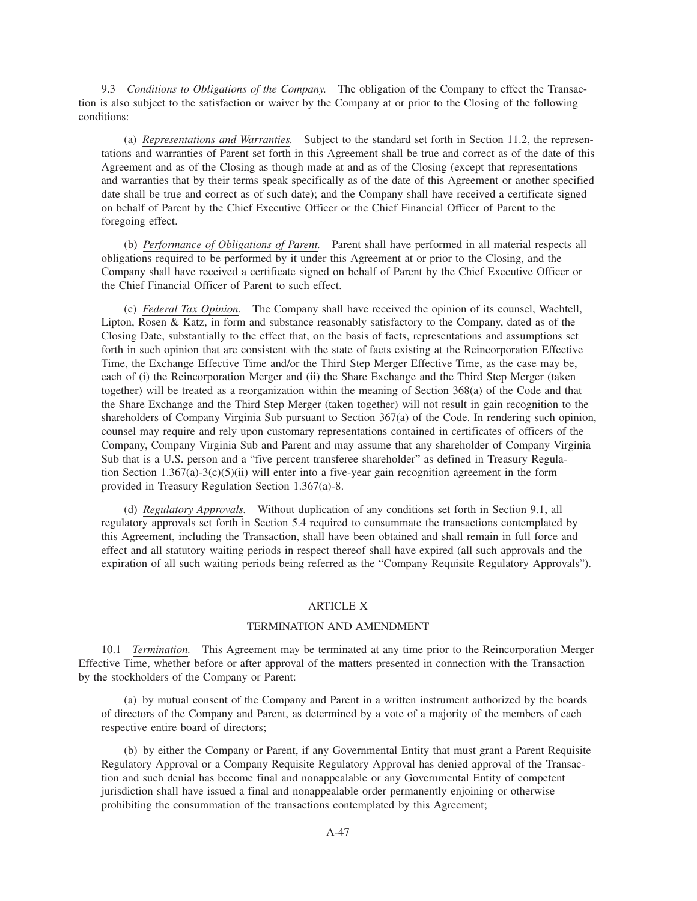9.3 *Conditions to Obligations of the Company.* The obligation of the Company to effect the Transaction is also subject to the satisfaction or waiver by the Company at or prior to the Closing of the following conditions:

(a) *Representations and Warranties.* Subject to the standard set forth in Section 11.2, the representations and warranties of Parent set forth in this Agreement shall be true and correct as of the date of this Agreement and as of the Closing as though made at and as of the Closing (except that representations and warranties that by their terms speak specifically as of the date of this Agreement or another specified date shall be true and correct as of such date); and the Company shall have received a certificate signed on behalf of Parent by the Chief Executive Officer or the Chief Financial Officer of Parent to the foregoing effect.

(b) *Performance of Obligations of Parent.* Parent shall have performed in all material respects all obligations required to be performed by it under this Agreement at or prior to the Closing, and the Company shall have received a certificate signed on behalf of Parent by the Chief Executive Officer or the Chief Financial Officer of Parent to such effect.

(c) *Federal Tax Opinion.* The Company shall have received the opinion of its counsel, Wachtell, Lipton, Rosen & Katz, in form and substance reasonably satisfactory to the Company, dated as of the Closing Date, substantially to the effect that, on the basis of facts, representations and assumptions set forth in such opinion that are consistent with the state of facts existing at the Reincorporation Effective Time, the Exchange Effective Time and/or the Third Step Merger Effective Time, as the case may be, each of (i) the Reincorporation Merger and (ii) the Share Exchange and the Third Step Merger (taken together) will be treated as a reorganization within the meaning of Section 368(a) of the Code and that the Share Exchange and the Third Step Merger (taken together) will not result in gain recognition to the shareholders of Company Virginia Sub pursuant to Section 367(a) of the Code. In rendering such opinion, counsel may require and rely upon customary representations contained in certificates of officers of the Company, Company Virginia Sub and Parent and may assume that any shareholder of Company Virginia Sub that is a U.S. person and a "five percent transferee shareholder" as defined in Treasury Regulation Section  $1.367(a)-3(c)(5)(ii)$  will enter into a five-year gain recognition agreement in the form provided in Treasury Regulation Section 1.367(a)-8.

(d) *Regulatory Approvals.* Without duplication of any conditions set forth in Section 9.1, all regulatory approvals set forth in Section 5.4 required to consummate the transactions contemplated by this Agreement, including the Transaction, shall have been obtained and shall remain in full force and effect and all statutory waiting periods in respect thereof shall have expired (all such approvals and the expiration of all such waiting periods being referred as the "Company Requisite Regulatory Approvals").

### ARTICLE X

# TERMINATION AND AMENDMENT

10.1 *Termination.* This Agreement may be terminated at any time prior to the Reincorporation Merger Effective Time, whether before or after approval of the matters presented in connection with the Transaction by the stockholders of the Company or Parent:

(a) by mutual consent of the Company and Parent in a written instrument authorized by the boards of directors of the Company and Parent, as determined by a vote of a majority of the members of each respective entire board of directors;

(b) by either the Company or Parent, if any Governmental Entity that must grant a Parent Requisite Regulatory Approval or a Company Requisite Regulatory Approval has denied approval of the Transaction and such denial has become final and nonappealable or any Governmental Entity of competent jurisdiction shall have issued a final and nonappealable order permanently enjoining or otherwise prohibiting the consummation of the transactions contemplated by this Agreement;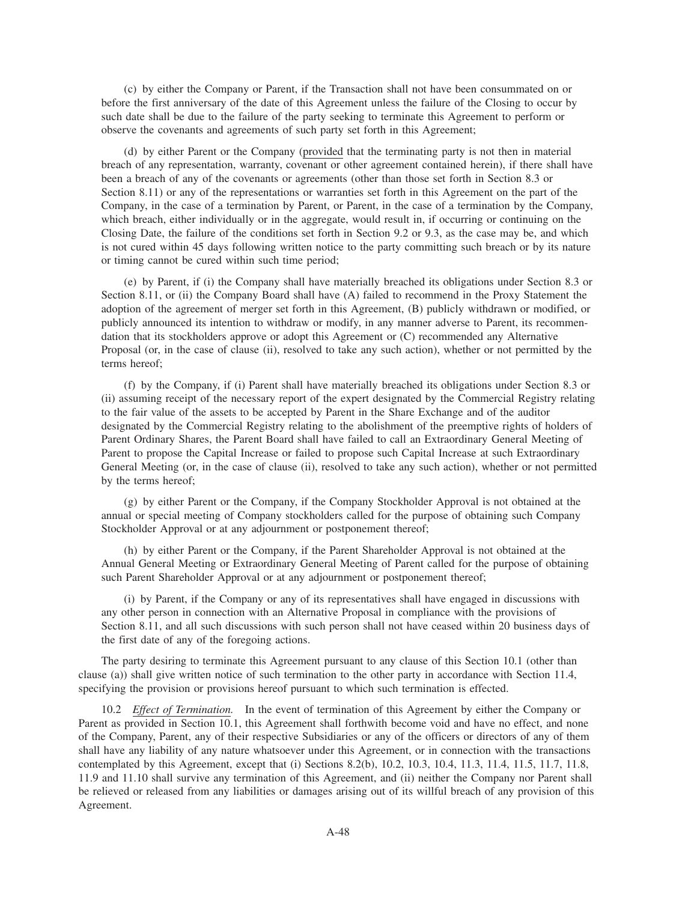(c) by either the Company or Parent, if the Transaction shall not have been consummated on or before the first anniversary of the date of this Agreement unless the failure of the Closing to occur by such date shall be due to the failure of the party seeking to terminate this Agreement to perform or observe the covenants and agreements of such party set forth in this Agreement;

(d) by either Parent or the Company (provided that the terminating party is not then in material breach of any representation, warranty, covenant or other agreement contained herein), if there shall have been a breach of any of the covenants or agreements (other than those set forth in Section 8.3 or Section 8.11) or any of the representations or warranties set forth in this Agreement on the part of the Company, in the case of a termination by Parent, or Parent, in the case of a termination by the Company, which breach, either individually or in the aggregate, would result in, if occurring or continuing on the Closing Date, the failure of the conditions set forth in Section 9.2 or 9.3, as the case may be, and which is not cured within 45 days following written notice to the party committing such breach or by its nature or timing cannot be cured within such time period;

(e) by Parent, if (i) the Company shall have materially breached its obligations under Section 8.3 or Section 8.11, or (ii) the Company Board shall have (A) failed to recommend in the Proxy Statement the adoption of the agreement of merger set forth in this Agreement, (B) publicly withdrawn or modified, or publicly announced its intention to withdraw or modify, in any manner adverse to Parent, its recommendation that its stockholders approve or adopt this Agreement or (C) recommended any Alternative Proposal (or, in the case of clause (ii), resolved to take any such action), whether or not permitted by the terms hereof;

(f) by the Company, if (i) Parent shall have materially breached its obligations under Section 8.3 or (ii) assuming receipt of the necessary report of the expert designated by the Commercial Registry relating to the fair value of the assets to be accepted by Parent in the Share Exchange and of the auditor designated by the Commercial Registry relating to the abolishment of the preemptive rights of holders of Parent Ordinary Shares, the Parent Board shall have failed to call an Extraordinary General Meeting of Parent to propose the Capital Increase or failed to propose such Capital Increase at such Extraordinary General Meeting (or, in the case of clause (ii), resolved to take any such action), whether or not permitted by the terms hereof;

(g) by either Parent or the Company, if the Company Stockholder Approval is not obtained at the annual or special meeting of Company stockholders called for the purpose of obtaining such Company Stockholder Approval or at any adjournment or postponement thereof;

(h) by either Parent or the Company, if the Parent Shareholder Approval is not obtained at the Annual General Meeting or Extraordinary General Meeting of Parent called for the purpose of obtaining such Parent Shareholder Approval or at any adjournment or postponement thereof;

(i) by Parent, if the Company or any of its representatives shall have engaged in discussions with any other person in connection with an Alternative Proposal in compliance with the provisions of Section 8.11, and all such discussions with such person shall not have ceased within 20 business days of the first date of any of the foregoing actions.

The party desiring to terminate this Agreement pursuant to any clause of this Section 10.1 (other than clause (a)) shall give written notice of such termination to the other party in accordance with Section 11.4, specifying the provision or provisions hereof pursuant to which such termination is effected.

10.2 *Effect of Termination.* In the event of termination of this Agreement by either the Company or Parent as provided in Section 10.1, this Agreement shall forthwith become void and have no effect, and none of the Company, Parent, any of their respective Subsidiaries or any of the officers or directors of any of them shall have any liability of any nature whatsoever under this Agreement, or in connection with the transactions contemplated by this Agreement, except that (i) Sections 8.2(b), 10.2, 10.3, 10.4, 11.3, 11.4, 11.5, 11.7, 11.8, 11.9 and 11.10 shall survive any termination of this Agreement, and (ii) neither the Company nor Parent shall be relieved or released from any liabilities or damages arising out of its willful breach of any provision of this Agreement.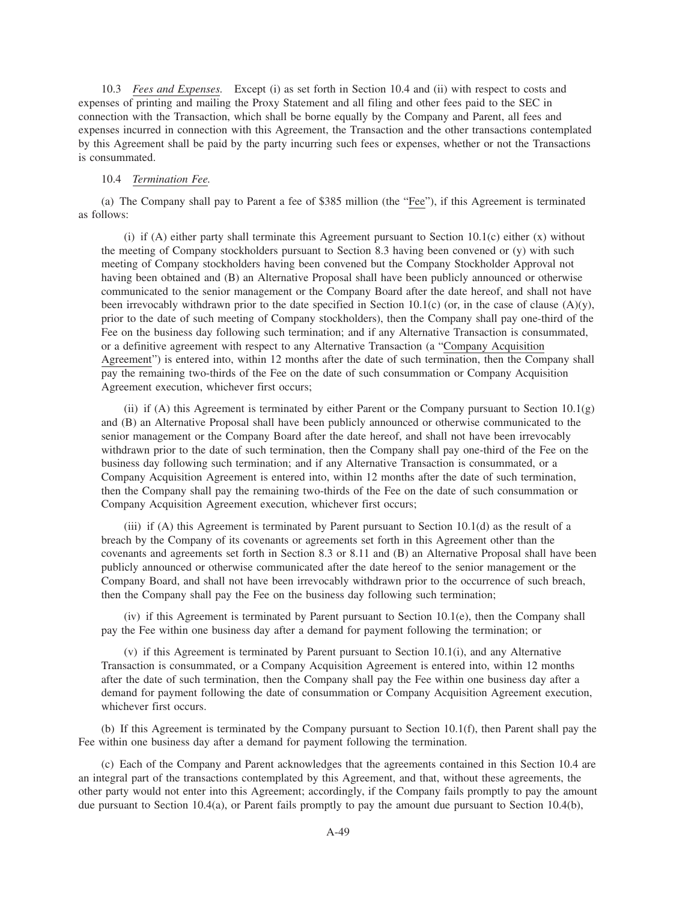10.3 *Fees and Expenses.* Except (i) as set forth in Section 10.4 and (ii) with respect to costs and expenses of printing and mailing the Proxy Statement and all filing and other fees paid to the SEC in connection with the Transaction, which shall be borne equally by the Company and Parent, all fees and expenses incurred in connection with this Agreement, the Transaction and the other transactions contemplated by this Agreement shall be paid by the party incurring such fees or expenses, whether or not the Transactions is consummated.

#### 10.4 *Termination Fee.*

(a) The Company shall pay to Parent a fee of \$385 million (the "Fee"), if this Agreement is terminated as follows:

(i) if (A) either party shall terminate this Agreement pursuant to Section 10.1(c) either  $(x)$  without the meeting of Company stockholders pursuant to Section 8.3 having been convened or (y) with such meeting of Company stockholders having been convened but the Company Stockholder Approval not having been obtained and (B) an Alternative Proposal shall have been publicly announced or otherwise communicated to the senior management or the Company Board after the date hereof, and shall not have been irrevocably withdrawn prior to the date specified in Section 10.1(c) (or, in the case of clause (A)(y), prior to the date of such meeting of Company stockholders), then the Company shall pay one-third of the Fee on the business day following such termination; and if any Alternative Transaction is consummated, or a definitive agreement with respect to any Alternative Transaction (a "Company Acquisition Agreement") is entered into, within 12 months after the date of such termination, then the Company shall pay the remaining two-thirds of the Fee on the date of such consummation or Company Acquisition Agreement execution, whichever first occurs;

(ii) if (A) this Agreement is terminated by either Parent or the Company pursuant to Section  $10.1(g)$ and (B) an Alternative Proposal shall have been publicly announced or otherwise communicated to the senior management or the Company Board after the date hereof, and shall not have been irrevocably withdrawn prior to the date of such termination, then the Company shall pay one-third of the Fee on the business day following such termination; and if any Alternative Transaction is consummated, or a Company Acquisition Agreement is entered into, within 12 months after the date of such termination, then the Company shall pay the remaining two-thirds of the Fee on the date of such consummation or Company Acquisition Agreement execution, whichever first occurs;

(iii) if (A) this Agreement is terminated by Parent pursuant to Section 10.1(d) as the result of a breach by the Company of its covenants or agreements set forth in this Agreement other than the covenants and agreements set forth in Section 8.3 or 8.11 and (B) an Alternative Proposal shall have been publicly announced or otherwise communicated after the date hereof to the senior management or the Company Board, and shall not have been irrevocably withdrawn prior to the occurrence of such breach, then the Company shall pay the Fee on the business day following such termination;

(iv) if this Agreement is terminated by Parent pursuant to Section 10.1(e), then the Company shall pay the Fee within one business day after a demand for payment following the termination; or

(v) if this Agreement is terminated by Parent pursuant to Section 10.1(i), and any Alternative Transaction is consummated, or a Company Acquisition Agreement is entered into, within 12 months after the date of such termination, then the Company shall pay the Fee within one business day after a demand for payment following the date of consummation or Company Acquisition Agreement execution, whichever first occurs.

(b) If this Agreement is terminated by the Company pursuant to Section 10.1(f), then Parent shall pay the Fee within one business day after a demand for payment following the termination.

(c) Each of the Company and Parent acknowledges that the agreements contained in this Section 10.4 are an integral part of the transactions contemplated by this Agreement, and that, without these agreements, the other party would not enter into this Agreement; accordingly, if the Company fails promptly to pay the amount due pursuant to Section 10.4(a), or Parent fails promptly to pay the amount due pursuant to Section 10.4(b),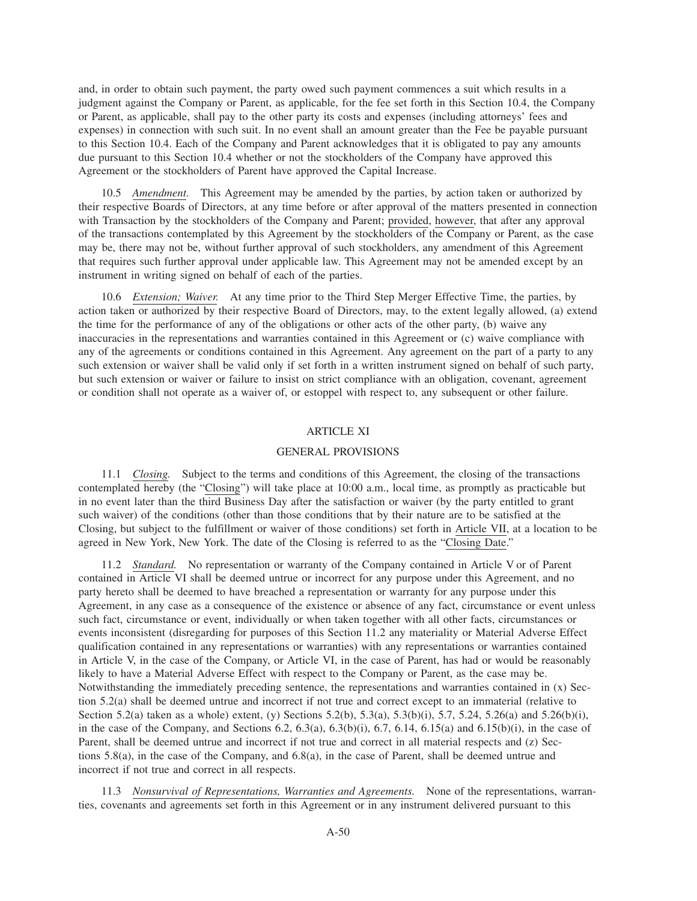and, in order to obtain such payment, the party owed such payment commences a suit which results in a judgment against the Company or Parent, as applicable, for the fee set forth in this Section 10.4, the Company or Parent, as applicable, shall pay to the other party its costs and expenses (including attorneys' fees and expenses) in connection with such suit. In no event shall an amount greater than the Fee be payable pursuant to this Section 10.4. Each of the Company and Parent acknowledges that it is obligated to pay any amounts due pursuant to this Section 10.4 whether or not the stockholders of the Company have approved this Agreement or the stockholders of Parent have approved the Capital Increase.

10.5 *Amendment.* This Agreement may be amended by the parties, by action taken or authorized by their respective Boards of Directors, at any time before or after approval of the matters presented in connection with Transaction by the stockholders of the Company and Parent; provided, however, that after any approval of the transactions contemplated by this Agreement by the stockholders of the Company or Parent, as the case may be, there may not be, without further approval of such stockholders, any amendment of this Agreement that requires such further approval under applicable law. This Agreement may not be amended except by an instrument in writing signed on behalf of each of the parties.

10.6 *Extension; Waiver.* At any time prior to the Third Step Merger Effective Time, the parties, by action taken or authorized by their respective Board of Directors, may, to the extent legally allowed, (a) extend the time for the performance of any of the obligations or other acts of the other party, (b) waive any inaccuracies in the representations and warranties contained in this Agreement or (c) waive compliance with any of the agreements or conditions contained in this Agreement. Any agreement on the part of a party to any such extension or waiver shall be valid only if set forth in a written instrument signed on behalf of such party, but such extension or waiver or failure to insist on strict compliance with an obligation, covenant, agreement or condition shall not operate as a waiver of, or estoppel with respect to, any subsequent or other failure.

## ARTICLE XI

## GENERAL PROVISIONS

11.1 *Closing.* Subject to the terms and conditions of this Agreement, the closing of the transactions contemplated hereby (the "Closing") will take place at 10:00 a.m., local time, as promptly as practicable but in no event later than the third Business Day after the satisfaction or waiver (by the party entitled to grant such waiver) of the conditions (other than those conditions that by their nature are to be satisfied at the Closing, but subject to the fulfillment or waiver of those conditions) set forth in Article VII, at a location to be agreed in New York, New York. The date of the Closing is referred to as the "Closing Date."

11.2 *Standard.* No representation or warranty of the Company contained in Article V or of Parent contained in Article VI shall be deemed untrue or incorrect for any purpose under this Agreement, and no party hereto shall be deemed to have breached a representation or warranty for any purpose under this Agreement, in any case as a consequence of the existence or absence of any fact, circumstance or event unless such fact, circumstance or event, individually or when taken together with all other facts, circumstances or events inconsistent (disregarding for purposes of this Section 11.2 any materiality or Material Adverse Effect qualification contained in any representations or warranties) with any representations or warranties contained in Article V, in the case of the Company, or Article VI, in the case of Parent, has had or would be reasonably likely to have a Material Adverse Effect with respect to the Company or Parent, as the case may be. Notwithstanding the immediately preceding sentence, the representations and warranties contained in (x) Section 5.2(a) shall be deemed untrue and incorrect if not true and correct except to an immaterial (relative to Section 5.2(a) taken as a whole) extent, (y) Sections 5.2(b), 5.3(a), 5.3(b)(i), 5.7, 5.24, 5.26(a) and 5.26(b)(i), in the case of the Company, and Sections 6.2, 6.3(a), 6.3(b)(i), 6.7, 6.14, 6.15(a) and 6.15(b)(i), in the case of Parent, shall be deemed untrue and incorrect if not true and correct in all material respects and (z) Sections 5.8(a), in the case of the Company, and 6.8(a), in the case of Parent, shall be deemed untrue and incorrect if not true and correct in all respects.

11.3 *Nonsurvival of Representations, Warranties and Agreements.* None of the representations, warranties, covenants and agreements set forth in this Agreement or in any instrument delivered pursuant to this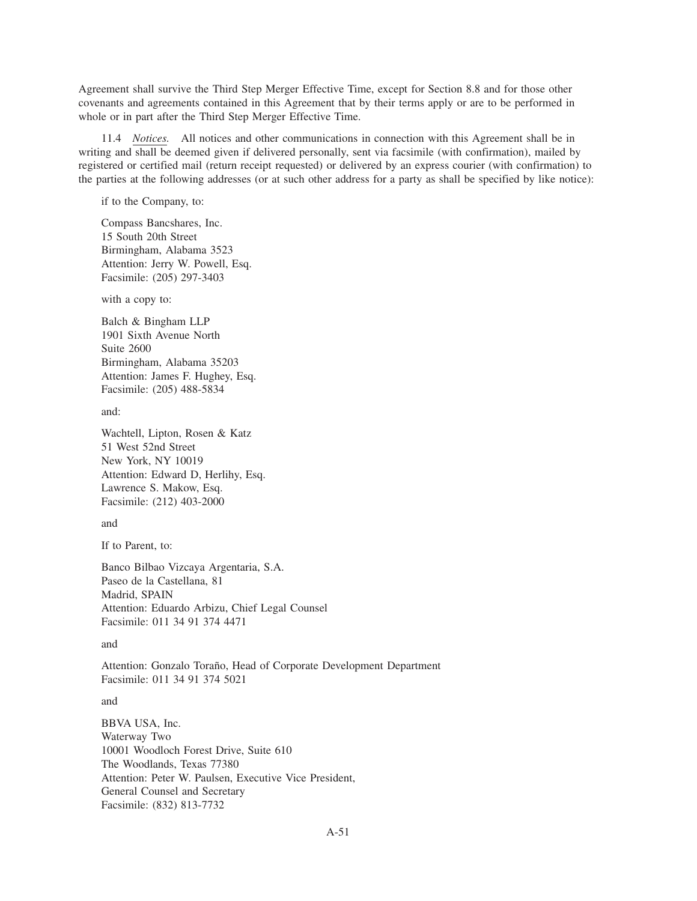Agreement shall survive the Third Step Merger Effective Time, except for Section 8.8 and for those other covenants and agreements contained in this Agreement that by their terms apply or are to be performed in whole or in part after the Third Step Merger Effective Time.

11.4 *Notices.* All notices and other communications in connection with this Agreement shall be in writing and shall be deemed given if delivered personally, sent via facsimile (with confirmation), mailed by registered or certified mail (return receipt requested) or delivered by an express courier (with confirmation) to the parties at the following addresses (or at such other address for a party as shall be specified by like notice):

if to the Company, to:

Compass Bancshares, Inc. 15 South 20th Street Birmingham, Alabama 3523 Attention: Jerry W. Powell, Esq. Facsimile: (205) 297-3403

with a copy to:

Balch & Bingham LLP 1901 Sixth Avenue North Suite 2600 Birmingham, Alabama 35203 Attention: James F. Hughey, Esq. Facsimile: (205) 488-5834

and:

Wachtell, Lipton, Rosen & Katz 51 West 52nd Street New York, NY 10019 Attention: Edward D, Herlihy, Esq. Lawrence S. Makow, Esq. Facsimile: (212) 403-2000

and

If to Parent, to:

Banco Bilbao Vizcaya Argentaria, S.A. Paseo de la Castellana, 81 Madrid, SPAIN Attention: Eduardo Arbizu, Chief Legal Counsel Facsimile: 011 34 91 374 4471

and

Attention: Gonzalo Toraño, Head of Corporate Development Department Facsimile: 011 34 91 374 5021

and

BBVA USA, Inc. Waterway Two 10001 Woodloch Forest Drive, Suite 610 The Woodlands, Texas 77380 Attention: Peter W. Paulsen, Executive Vice President, General Counsel and Secretary Facsimile: (832) 813-7732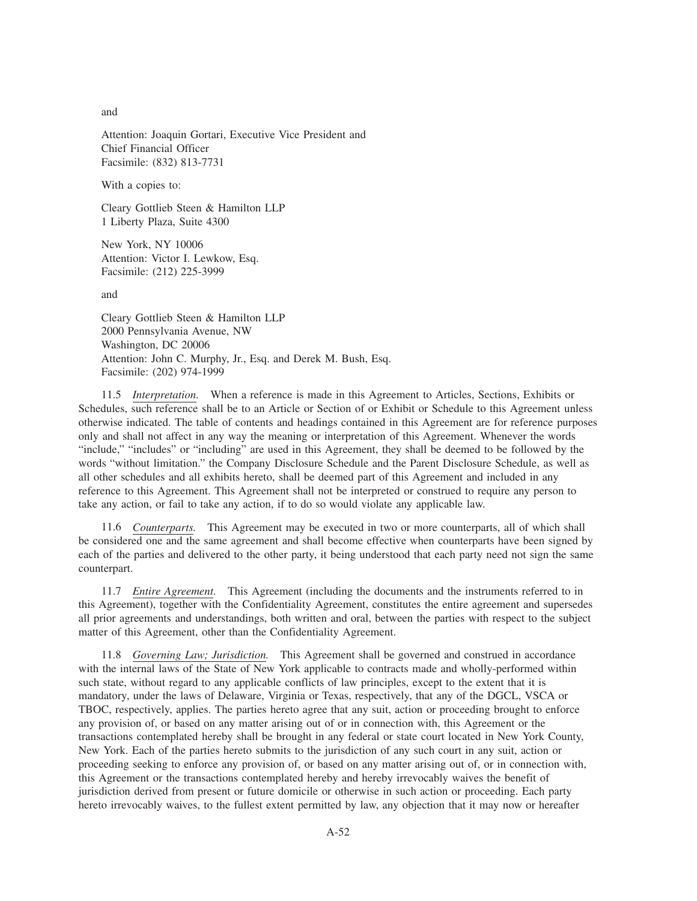and

Attention: Joaquin Gortari, Executive Vice President and Chief Financial Officer Facsimile: (832) 813-7731

With a copies to:

Cleary Gottlieb Steen & Hamilton LLP 1 Liberty Plaza, Suite 4300

New York, NY 10006 Attention: Victor I. Lewkow, Esq. Facsimile: (212) 225-3999

and

Cleary Gottlieb Steen & Hamilton LLP 2000 Pennsylvania Avenue, NW Washington, DC 20006 Attention: John C. Murphy, Jr., Esq. and Derek M. Bush, Esq. Facsimile: (202) 974-1999

11.5 *Interpretation.* When a reference is made in this Agreement to Articles, Sections, Exhibits or Schedules, such reference shall be to an Article or Section of or Exhibit or Schedule to this Agreement unless otherwise indicated. The table of contents and headings contained in this Agreement are for reference purposes only and shall not affect in any way the meaning or interpretation of this Agreement. Whenever the words "include," "includes" or "including" are used in this Agreement, they shall be deemed to be followed by the words "without limitation." the Company Disclosure Schedule and the Parent Disclosure Schedule, as well as all other schedules and all exhibits hereto, shall be deemed part of this Agreement and included in any reference to this Agreement. This Agreement shall not be interpreted or construed to require any person to take any action, or fail to take any action, if to do so would violate any applicable law.

11.6 *Counterparts.* This Agreement may be executed in two or more counterparts, all of which shall be considered one and the same agreement and shall become effective when counterparts have been signed by each of the parties and delivered to the other party, it being understood that each party need not sign the same counterpart.

11.7 *Entire Agreement.* This Agreement (including the documents and the instruments referred to in this Agreement), together with the Confidentiality Agreement, constitutes the entire agreement and supersedes all prior agreements and understandings, both written and oral, between the parties with respect to the subject matter of this Agreement, other than the Confidentiality Agreement.

11.8 *Governing Law; Jurisdiction.* This Agreement shall be governed and construed in accordance with the internal laws of the State of New York applicable to contracts made and wholly-performed within such state, without regard to any applicable conflicts of law principles, except to the extent that it is mandatory, under the laws of Delaware, Virginia or Texas, respectively, that any of the DGCL, VSCA or TBOC, respectively, applies. The parties hereto agree that any suit, action or proceeding brought to enforce any provision of, or based on any matter arising out of or in connection with, this Agreement or the transactions contemplated hereby shall be brought in any federal or state court located in New York County, New York. Each of the parties hereto submits to the jurisdiction of any such court in any suit, action or proceeding seeking to enforce any provision of, or based on any matter arising out of, or in connection with, this Agreement or the transactions contemplated hereby and hereby irrevocably waives the benefit of jurisdiction derived from present or future domicile or otherwise in such action or proceeding. Each party hereto irrevocably waives, to the fullest extent permitted by law, any objection that it may now or hereafter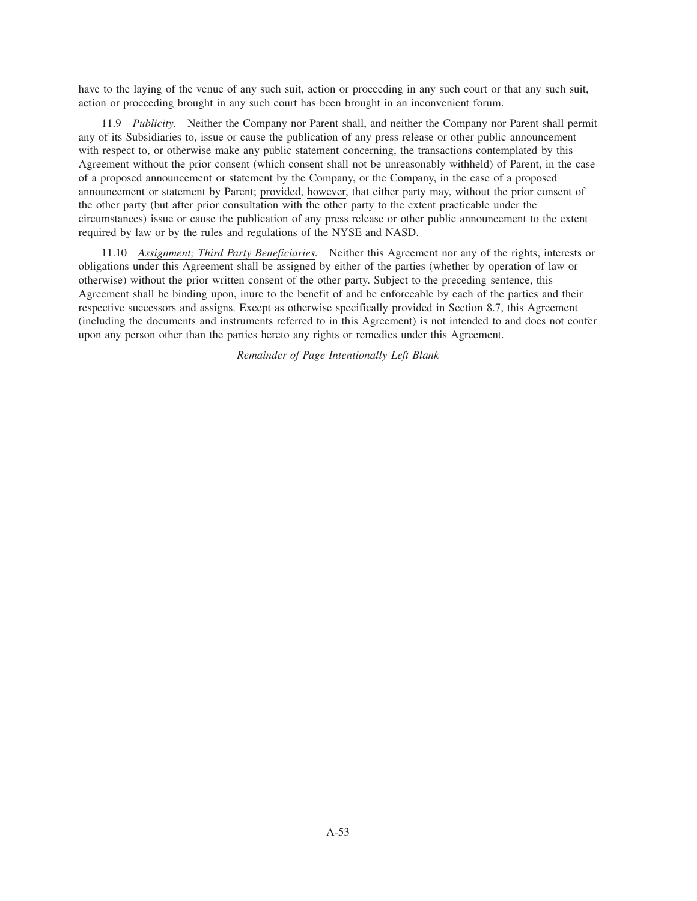have to the laying of the venue of any such suit, action or proceeding in any such court or that any such suit, action or proceeding brought in any such court has been brought in an inconvenient forum.

11.9 *Publicity.* Neither the Company nor Parent shall, and neither the Company nor Parent shall permit any of its Subsidiaries to, issue or cause the publication of any press release or other public announcement with respect to, or otherwise make any public statement concerning, the transactions contemplated by this Agreement without the prior consent (which consent shall not be unreasonably withheld) of Parent, in the case of a proposed announcement or statement by the Company, or the Company, in the case of a proposed announcement or statement by Parent; provided, however, that either party may, without the prior consent of the other party (but after prior consultation with the other party to the extent practicable under the circumstances) issue or cause the publication of any press release or other public announcement to the extent required by law or by the rules and regulations of the NYSE and NASD.

11.10 *Assignment; Third Party Beneficiaries.* Neither this Agreement nor any of the rights, interests or obligations under this Agreement shall be assigned by either of the parties (whether by operation of law or otherwise) without the prior written consent of the other party. Subject to the preceding sentence, this Agreement shall be binding upon, inure to the benefit of and be enforceable by each of the parties and their respective successors and assigns. Except as otherwise specifically provided in Section 8.7, this Agreement (including the documents and instruments referred to in this Agreement) is not intended to and does not confer upon any person other than the parties hereto any rights or remedies under this Agreement.

*Remainder of Page Intentionally Left Blank*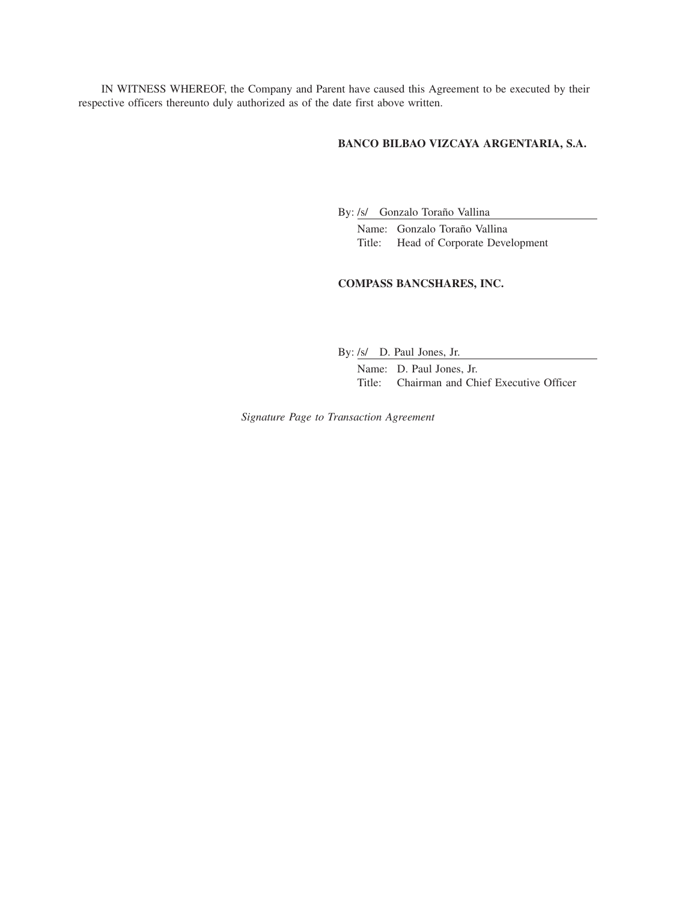IN WITNESS WHEREOF, the Company and Parent have caused this Agreement to be executed by their respective officers thereunto duly authorized as of the date first above written.

## **BANCO BILBAO VIZCAYA ARGENTARIA, S.A.**

By: /s/ Gonzalo Toraño Vallina

Name: Gonzalo Toraño Vallina Title: Head of Corporate Development

# **COMPASS BANCSHARES, INC.**

By: /s/ D. Paul Jones, Jr.

Name: D. Paul Jones, Jr. Title: Chairman and Chief Executive Officer

*Signature Page to Transaction Agreement*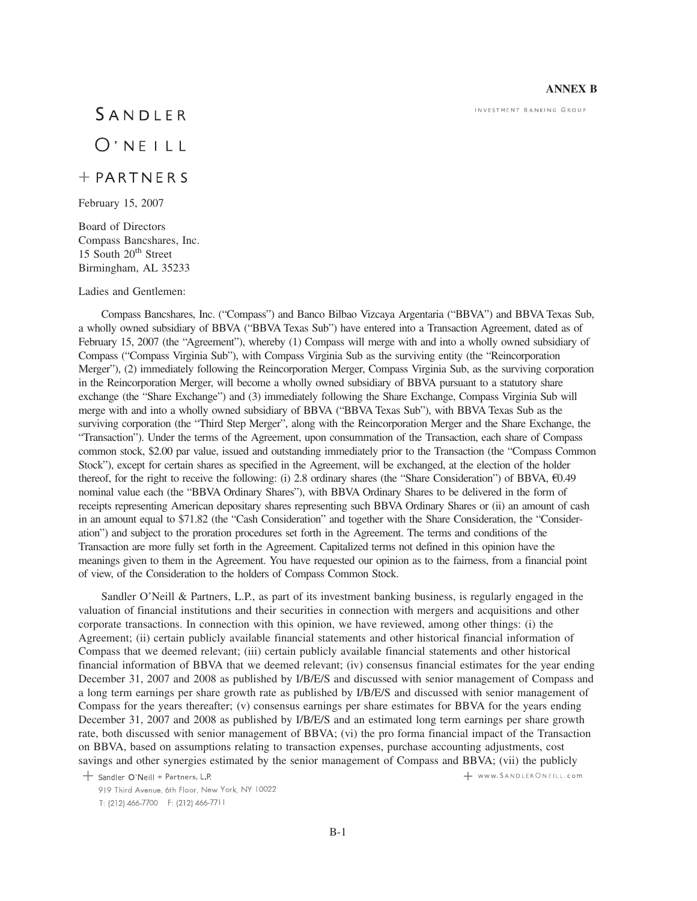### **ANNEX B**

INVESTMENT BANKING GROUP

# SANDLER

## $O'$  NEILL

### $+$  PARTNERS

February 15, 2007

Board of Directors Compass Bancshares, Inc. 15 South 20<sup>th</sup> Street Birmingham, AL 35233

#### Ladies and Gentlemen:

Compass Bancshares, Inc. ("Compass") and Banco Bilbao Vizcaya Argentaria ("BBVA") and BBVA Texas Sub, a wholly owned subsidiary of BBVA ("BBVA Texas Sub") have entered into a Transaction Agreement, dated as of February 15, 2007 (the "Agreement"), whereby (1) Compass will merge with and into a wholly owned subsidiary of Compass ("Compass Virginia Sub"), with Compass Virginia Sub as the surviving entity (the "Reincorporation Merger"), (2) immediately following the Reincorporation Merger, Compass Virginia Sub, as the surviving corporation in the Reincorporation Merger, will become a wholly owned subsidiary of BBVA pursuant to a statutory share exchange (the "Share Exchange") and (3) immediately following the Share Exchange, Compass Virginia Sub will merge with and into a wholly owned subsidiary of BBVA ("BBVA Texas Sub"), with BBVA Texas Sub as the surviving corporation (the "Third Step Merger", along with the Reincorporation Merger and the Share Exchange, the "Transaction"). Under the terms of the Agreement, upon consummation of the Transaction, each share of Compass common stock, \$2.00 par value, issued and outstanding immediately prior to the Transaction (the "Compass Common Stock"), except for certain shares as specified in the Agreement, will be exchanged, at the election of the holder thereof, for the right to receive the following: (i) 2.8 ordinary shares (the "Share Consideration") of BBVA,  $E(0.49)$ nominal value each (the "BBVA Ordinary Shares"), with BBVA Ordinary Shares to be delivered in the form of receipts representing American depositary shares representing such BBVA Ordinary Shares or (ii) an amount of cash in an amount equal to \$71.82 (the "Cash Consideration" and together with the Share Consideration, the "Consideration") and subject to the proration procedures set forth in the Agreement. The terms and conditions of the Transaction are more fully set forth in the Agreement. Capitalized terms not defined in this opinion have the meanings given to them in the Agreement. You have requested our opinion as to the fairness, from a financial point of view, of the Consideration to the holders of Compass Common Stock.

Sandler O'Neill & Partners, L.P., as part of its investment banking business, is regularly engaged in the valuation of financial institutions and their securities in connection with mergers and acquisitions and other corporate transactions. In connection with this opinion, we have reviewed, among other things: (i) the Agreement; (ii) certain publicly available financial statements and other historical financial information of Compass that we deemed relevant; (iii) certain publicly available financial statements and other historical financial information of BBVA that we deemed relevant; (iv) consensus financial estimates for the year ending December 31, 2007 and 2008 as published by I/B/E/S and discussed with senior management of Compass and a long term earnings per share growth rate as published by I/B/E/S and discussed with senior management of Compass for the years thereafter; (v) consensus earnings per share estimates for BBVA for the years ending December 31, 2007 and 2008 as published by I/B/E/S and an estimated long term earnings per share growth rate, both discussed with senior management of BBVA; (vi) the pro forma financial impact of the Transaction on BBVA, based on assumptions relating to transaction expenses, purchase accounting adjustments, cost savings and other synergies estimated by the senior management of Compass and BBVA; (vii) the publicly

+ Sandler O'Neill + Partners, L.P.

+ www.SANDLERONEILL.com

<sup>919</sup> Third Avenue, 6th Floor, New York, NY 10022 T: (212) 466-7700 F: (212) 466-7711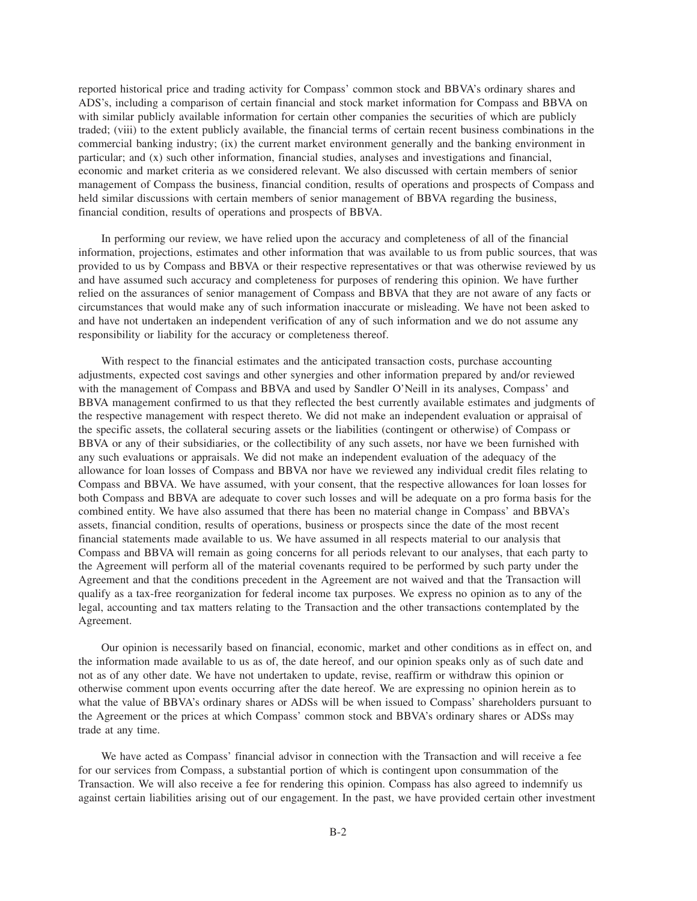reported historical price and trading activity for Compass' common stock and BBVA's ordinary shares and ADS's, including a comparison of certain financial and stock market information for Compass and BBVA on with similar publicly available information for certain other companies the securities of which are publicly traded; (viii) to the extent publicly available, the financial terms of certain recent business combinations in the commercial banking industry; (ix) the current market environment generally and the banking environment in particular; and (x) such other information, financial studies, analyses and investigations and financial, economic and market criteria as we considered relevant. We also discussed with certain members of senior management of Compass the business, financial condition, results of operations and prospects of Compass and held similar discussions with certain members of senior management of BBVA regarding the business, financial condition, results of operations and prospects of BBVA.

In performing our review, we have relied upon the accuracy and completeness of all of the financial information, projections, estimates and other information that was available to us from public sources, that was provided to us by Compass and BBVA or their respective representatives or that was otherwise reviewed by us and have assumed such accuracy and completeness for purposes of rendering this opinion. We have further relied on the assurances of senior management of Compass and BBVA that they are not aware of any facts or circumstances that would make any of such information inaccurate or misleading. We have not been asked to and have not undertaken an independent verification of any of such information and we do not assume any responsibility or liability for the accuracy or completeness thereof.

With respect to the financial estimates and the anticipated transaction costs, purchase accounting adjustments, expected cost savings and other synergies and other information prepared by and/or reviewed with the management of Compass and BBVA and used by Sandler O'Neill in its analyses, Compass' and BBVA management confirmed to us that they reflected the best currently available estimates and judgments of the respective management with respect thereto. We did not make an independent evaluation or appraisal of the specific assets, the collateral securing assets or the liabilities (contingent or otherwise) of Compass or BBVA or any of their subsidiaries, or the collectibility of any such assets, nor have we been furnished with any such evaluations or appraisals. We did not make an independent evaluation of the adequacy of the allowance for loan losses of Compass and BBVA nor have we reviewed any individual credit files relating to Compass and BBVA. We have assumed, with your consent, that the respective allowances for loan losses for both Compass and BBVA are adequate to cover such losses and will be adequate on a pro forma basis for the combined entity. We have also assumed that there has been no material change in Compass' and BBVA's assets, financial condition, results of operations, business or prospects since the date of the most recent financial statements made available to us. We have assumed in all respects material to our analysis that Compass and BBVA will remain as going concerns for all periods relevant to our analyses, that each party to the Agreement will perform all of the material covenants required to be performed by such party under the Agreement and that the conditions precedent in the Agreement are not waived and that the Transaction will qualify as a tax-free reorganization for federal income tax purposes. We express no opinion as to any of the legal, accounting and tax matters relating to the Transaction and the other transactions contemplated by the Agreement.

Our opinion is necessarily based on financial, economic, market and other conditions as in effect on, and the information made available to us as of, the date hereof, and our opinion speaks only as of such date and not as of any other date. We have not undertaken to update, revise, reaffirm or withdraw this opinion or otherwise comment upon events occurring after the date hereof. We are expressing no opinion herein as to what the value of BBVA's ordinary shares or ADSs will be when issued to Compass' shareholders pursuant to the Agreement or the prices at which Compass' common stock and BBVA's ordinary shares or ADSs may trade at any time.

We have acted as Compass' financial advisor in connection with the Transaction and will receive a fee for our services from Compass, a substantial portion of which is contingent upon consummation of the Transaction. We will also receive a fee for rendering this opinion. Compass has also agreed to indemnify us against certain liabilities arising out of our engagement. In the past, we have provided certain other investment